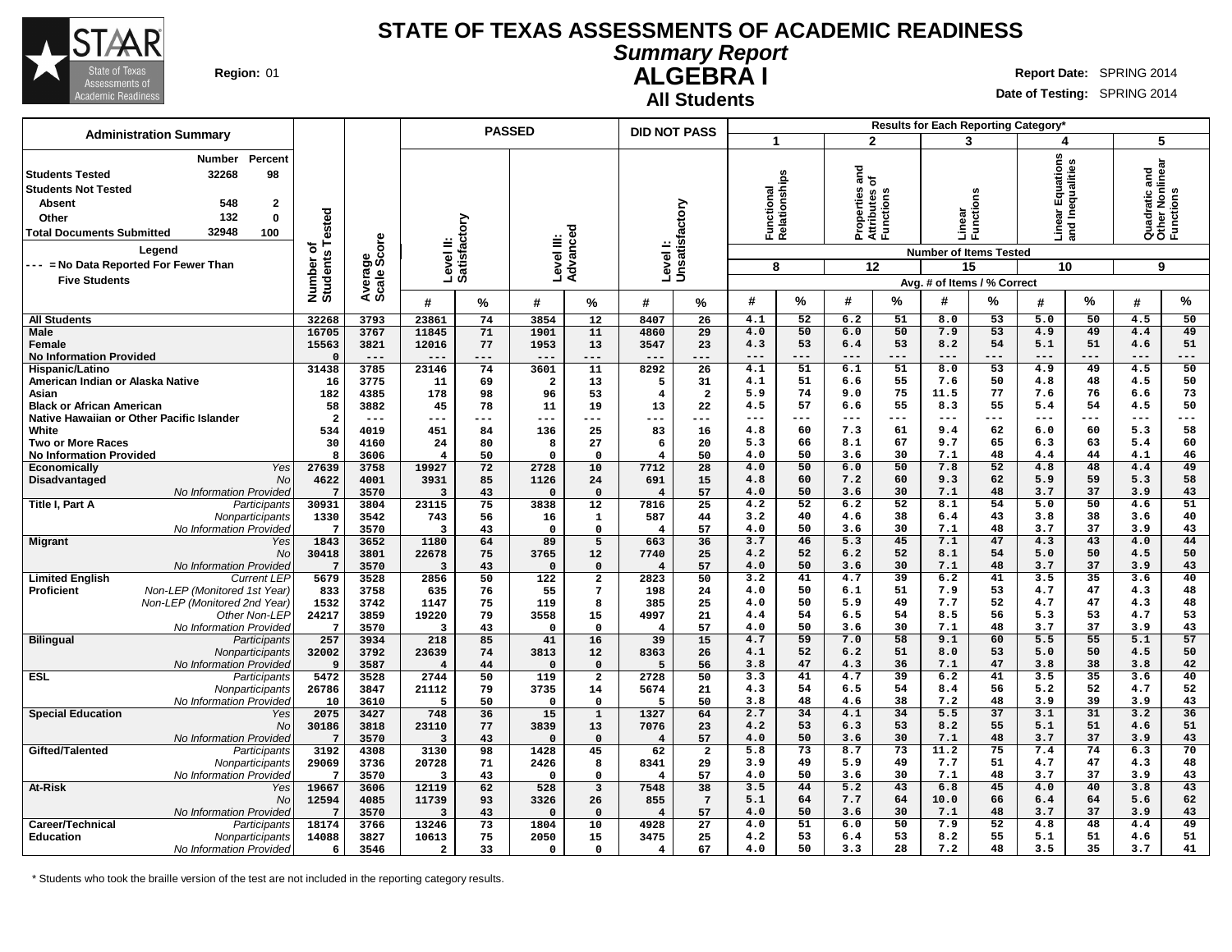

#### **Summary Report ALGEBRA I Region:** 01 **Report** Date: SPRING 2014

**All Students**

**Date of Testing:** SPRING 2014

| <b>Administration Summary</b>                                                                                                                                         |                                                                                            |                                |                        |                         |                           | <b>PASSED</b>           |                              | <b>DID NOT PASS</b>       |                       |                                             |                 |                         |                                                            | Results for Each Reporting Category*                    |                   |                                           |                       |                                                    |                 |
|-----------------------------------------------------------------------------------------------------------------------------------------------------------------------|--------------------------------------------------------------------------------------------|--------------------------------|------------------------|-------------------------|---------------------------|-------------------------|------------------------------|---------------------------|-----------------------|---------------------------------------------|-----------------|-------------------------|------------------------------------------------------------|---------------------------------------------------------|-------------------|-------------------------------------------|-----------------------|----------------------------------------------------|-----------------|
|                                                                                                                                                                       |                                                                                            |                                |                        |                         |                           |                         |                              |                           |                       | 1                                           |                 |                         | $\mathbf{2}$                                               | 3                                                       |                   | 4                                         |                       | 5                                                  |                 |
| <b>Students Tested</b><br><b>Students Not Tested</b><br><b>Absent</b><br>Other<br><b>Total Documents Submitted</b><br>Legend<br>--- = No Data Reported For Fewer Than | Percent<br>Number<br>32268<br>98<br>548<br>$\mathbf{2}$<br>132<br>$\bf{0}$<br>32948<br>100 | Number of<br>Students Tested   | Average<br>Scale Score |                         | Level II:<br>Satisfactory | Level III:              | Advanced                     | Levell:<br>Unsatisfactory |                       | <b>Inctional</b><br>slationships<br>로훈<br>8 |                 | ᇰ<br>ā<br>৳             | Properties<br>Attributes c<br>Functions<br>$\overline{12}$ | Linear<br>Functi<br><b>Number of Items Tested</b><br>15 | S,<br>ã<br>튱      | ar Equations<br>Inequalities<br>로 르<br>10 |                       | Quadratic and<br>Other Nonlinear<br>Functions<br>9 |                 |
| <b>Five Students</b>                                                                                                                                                  |                                                                                            |                                |                        |                         |                           |                         |                              |                           |                       |                                             |                 |                         |                                                            | Avg. # of Items / % Correct                             |                   |                                           |                       |                                                    |                 |
|                                                                                                                                                                       |                                                                                            |                                |                        | #                       | %                         | #                       | %                            | #                         | %                     | #                                           | %               | #                       | %                                                          | #                                                       | %                 | #                                         | %                     | #                                                  | %               |
| <b>All Students</b>                                                                                                                                                   |                                                                                            | 32268                          | 3793                   | 23861                   | 74                        | 3854                    | 12                           | 8407                      | 26                    | 4.1                                         | 52              | 6.2                     | 51                                                         | 8.0                                                     | 53                | 5.0                                       | 50                    | 4.5                                                | 50              |
| <b>Male</b><br>Female<br><b>No Information Provided</b>                                                                                                               |                                                                                            | 16705<br>15563<br>$\Omega$     | 3767<br>3821<br>$---$  | 11845<br>12016<br>---   | 71<br>77<br>---           | 1901<br>1953<br>$---$   | 11<br>13<br>---              | 4860<br>3547<br>---       | 29<br>23<br>---       | 4.0<br>4.3<br>---                           | 50<br>53<br>--- | 6.0<br>6.4              | 50<br>53<br>$---$                                          | 7.9<br>8.2<br>$---$                                     | 53<br>54<br>$---$ | 4.9<br>5.1<br>$---$                       | 49<br>51<br>$---$     | 4.4<br>4.6<br>$---$                                | 49<br>51<br>--- |
| Hispanic/Latino                                                                                                                                                       |                                                                                            | 31438                          | 3785                   | 23146                   | 74                        | 3601                    | 11                           | 8292                      | $\overline{26}$       | 4.1                                         | 51              | 6.1                     | 51                                                         | 8.0                                                     | 53                | 4.9                                       | 49                    | 4.5                                                | 50              |
| American Indian or Alaska Native                                                                                                                                      |                                                                                            | 16                             | 3775                   | 11                      | 69                        | $\overline{\mathbf{2}}$ | 13                           | 5                         | 31                    | 4.1                                         | 51              | 6.6                     | 55                                                         | 7.6                                                     | 50                | 4.8                                       | 48                    | 4.5                                                | 50              |
| Asian                                                                                                                                                                 |                                                                                            | 182                            | 4385                   | 178                     | 98                        | 96                      | 53                           | 4                         | $\overline{a}$        | 5.9                                         | 74              | 9.0                     | 75                                                         | 11.5                                                    | 77                | 7.6                                       | 76                    | 6.6                                                | 73              |
| <b>Black or African American</b>                                                                                                                                      |                                                                                            | 58                             | 3882                   | 45                      | 78                        | 11                      | 19                           | 13                        | 22                    | 4.5                                         | 57              | 6.6                     | 55                                                         | 8.3                                                     | 55                | 5.4                                       | 54                    | 4.5                                                | 50              |
| Native Hawaiian or Other Pacific Islander<br>White                                                                                                                    |                                                                                            | $\overline{\mathbf{2}}$<br>534 | $---$<br>4019          | ---<br>451              | ---<br>84                 | ---<br>136              | ---<br>25                    | ---<br>83                 | ---<br>16             | ---<br>4.8                                  | ---<br>60       | ---<br>7.3              | $--$<br>61                                                 | $- - -$<br>9.4                                          | $---$<br>62       | $---$<br>6.0                              | ---<br>60             | $---$<br>5.3                                       | ---<br>58       |
| <b>Two or More Races</b>                                                                                                                                              |                                                                                            | 30                             | 4160                   | 24                      | 80                        | 8                       | 27                           | 6                         | 20                    | 5.3                                         | 66              | 8.1                     | 67                                                         | 9.7                                                     | 65                | 6.3                                       | 63                    | 5.4                                                | 60              |
| <b>No Information Provided</b>                                                                                                                                        |                                                                                            | 8                              | 3606                   | $\overline{4}$          | 50                        | 0                       | $\Omega$                     | 4                         | 50                    | 4.0                                         | 50              | 3.6                     | 30                                                         | 7.1                                                     | 48                | 4.4                                       | 44                    | 4.1                                                | 46              |
| <b>Economically</b>                                                                                                                                                   | Yes                                                                                        | 27639                          | 3758                   | 19927                   | 72                        | 2728                    | 10                           | 7712                      | 28                    | 4.0                                         | 50              | 6.0                     | 50                                                         | 7.8                                                     | 52                | 4.8                                       | 48                    | 4.4                                                | 49              |
| Disadvantaged                                                                                                                                                         | No                                                                                         | 4622                           | 4001                   | 3931                    | 85                        | 1126                    | 24                           | 691                       | 15                    | 4.8                                         | 60              | 7.2                     | 60                                                         | 9.3                                                     | 62                | 5.9                                       | 59                    | 5.3                                                | 58              |
|                                                                                                                                                                       | No Information Provided                                                                    | $7\overline{ }$                | 3570                   | $\overline{3}$          | 43<br>75                  | $\Omega$<br>3838        | $\mathbf 0$                  | $\overline{4}$            | 57<br>25              | 4.0<br>4.2                                  | 50<br>52        | 3.6<br>6.2              | 30<br>52                                                   | 7.1<br>8.1                                              | 48<br>54          | 3.7<br>5.0                                | 37<br>50              | 3.9<br>4.6                                         | 43<br>51        |
| Title I, Part A                                                                                                                                                       | Participants<br>Nonparticipants                                                            | 30931<br>1330                  | 3804<br>3542           | 23115<br>743            | 56                        | 16                      | 12<br>1                      | 7816<br>587               | 44                    | 3.2                                         | 40              | 4.6                     | 38                                                         | 6.4                                                     | 43                | 3.8                                       | 38                    | 3.6                                                | 40              |
|                                                                                                                                                                       | No Information Provided                                                                    | $7\phantom{.0}$                | 3570                   | $\overline{\mathbf{3}}$ | 43                        | $\Omega$                | $\Omega$                     | $\overline{4}$            | 57                    | 4.0                                         | 50              | 3.6                     | 30                                                         | 7.1                                                     | 48                | 3.7                                       | 37                    | 3.9                                                | 43              |
| <b>Migrant</b>                                                                                                                                                        | Yes                                                                                        | 1843                           | 3652                   | 1180                    | 64                        | 89                      | 5                            | 663                       | 36                    | 3.7                                         | 46              | 5.3                     | 45                                                         | 7.1                                                     | 47                | 4.3                                       | 43                    | 4.0                                                | 44              |
|                                                                                                                                                                       | No                                                                                         | 30418                          | 3801                   | 22678                   | 75                        | 3765                    | 12                           | 7740                      | 25                    | 4.2                                         | 52              | 6.2                     | 52                                                         | 8.1                                                     | 54                | 5.0                                       | 50                    | 4.5                                                | 50              |
|                                                                                                                                                                       | No Information Provideo                                                                    | $7\phantom{.0}$<br>5679        | 3570                   | $\overline{3}$          | 43<br>50                  | $\Omega$<br>122         | $\Omega$                     | $\overline{4}$<br>2823    | 57<br>50              | 4.0<br>3.2                                  | 50<br>41        | 3.6<br>4.7              | 30<br>$\overline{39}$                                      | 7.1<br>6.2                                              | 48<br>41          | 3.7<br>3.5                                | 37<br>$\overline{35}$ | 3.9<br>3.6                                         | 43<br>40        |
| <b>Limited English</b><br><b>Proficient</b>                                                                                                                           | <b>Current LEP</b><br>Non-LEP (Monitored 1st Year)                                         | 833                            | 3528<br>3758           | 2856<br>635             | 76                        | 55                      | $\overline{\mathbf{2}}$<br>7 | 198                       | 24                    | 4.0                                         | 50              | 6.1                     | 51                                                         | 7.9                                                     | 53                | 4.7                                       | 47                    | 4.3                                                | 48              |
|                                                                                                                                                                       | Non-LEP (Monitored 2nd Year)                                                               | 1532                           | 3742                   | 1147                    | 75                        | 119                     | 8                            | 385                       | 25                    | 4.0                                         | 50              | 5.9                     | 49                                                         | 7.7                                                     | 52                | 4.7                                       | 47                    | 4.3                                                | 48              |
|                                                                                                                                                                       | Other Non-LEP                                                                              | 24217                          | 3859                   | 19220                   | 79                        | 3558                    | 15                           | 4997                      | 21                    | 4.4                                         | 54              | 6.5                     | 54                                                         | 8.5                                                     | 56                | 5.3                                       | 53                    | 4.7                                                | 53              |
|                                                                                                                                                                       | No Information Provided                                                                    | $7\phantom{.0}$                | 3570                   | $\overline{\mathbf{3}}$ | 43                        | O                       | $\mathbf 0$                  | 4                         | 57                    | 4.0                                         | 50              | 3.6                     | 30                                                         | 7.1                                                     | 48                | 3.7                                       | 37                    | 3.9                                                | 43              |
| <b>Bilingual</b>                                                                                                                                                      | Participants                                                                               | 257                            | 3934                   | 218<br>23639            | 85<br>74                  | 41                      | 16<br>12                     | 39                        | 15<br>26              | 4.7<br>4.1                                  | 59<br>52        | 7.0<br>6.2              | 58<br>51                                                   | 9.1<br>8.0                                              | 60<br>53          | 5.5<br>5.0                                | 55<br>50              | 5.1<br>4.5                                         | 57<br>50        |
|                                                                                                                                                                       | Nonparticipants<br>No Information Provided                                                 | 32002<br>9                     | 3792<br>3587           | $\overline{4}$          | 44                        | 3813<br>$\Omega$        | $\Omega$                     | 8363<br>5                 | 56                    | 3.8                                         | 47              | 4.3                     | 36                                                         | 7.1                                                     | 47                | 3.8                                       | 38                    | 3.8                                                | 42              |
| <b>ESL</b>                                                                                                                                                            | Participants                                                                               | 5472                           | 3528                   | 2744                    | 50                        | 119                     | $\overline{a}$               | 2728                      | 50                    | 3.3                                         | 41              | 4.7                     | $\overline{39}$                                            | 6.2                                                     | 41                | 3.5                                       | $\overline{35}$       | 3.6                                                | 40              |
|                                                                                                                                                                       | Nonparticipants                                                                            | 26786                          | 3847                   | 21112                   | 79                        | 3735                    | 14                           | 5674                      | 21                    | 4.3                                         | 54              | 6.5                     | 54                                                         | 8.4                                                     | 56                | 5.2                                       | 52                    | 4.7                                                | 52              |
|                                                                                                                                                                       | No Information Provided                                                                    | 10                             | 3610                   | 5                       | 50                        | $\Omega$                | $\Omega$                     | 5                         | 50                    | 3.8                                         | 48              | 4.6                     | 38                                                         | 7.2                                                     | 48                | 3.9                                       | 39                    | 3.9                                                | 43              |
| <b>Special Education</b>                                                                                                                                              | Yes                                                                                        | 2075                           | 3427                   | 748                     | 36                        | 15                      | $\mathbf 1$                  | 1327                      | 64                    | 2.7<br>4.2                                  | 34<br>53        | 4.1<br>6.3              | 34<br>53                                                   | 5.5<br>8.2                                              | 37<br>55          | 3.1<br>5.1                                | 31<br>51              | 3.2<br>4.6                                         | 36<br>51        |
|                                                                                                                                                                       | No<br><b>No Information Provided</b>                                                       | 30186<br>$7\phantom{.0}$       | 3818<br>3570           | 23110<br>$\overline{3}$ | 77<br>43                  | 3839<br>$\Omega$        | 13<br>$\Omega$               | 7076<br>$\overline{4}$    | 23<br>57              | 4.0                                         | 50              | 3.6                     | 30                                                         | 7.1                                                     | 48                | 3.7                                       | 37                    | 3.9                                                | 43              |
| Gifted/Talented                                                                                                                                                       | Participants                                                                               | 3192                           | 4308                   | 3130                    | 98                        | 1428                    | 45                           | 62                        | $\overline{2}$        | 5.8                                         | 73              | 8.7                     | 73                                                         | 11.2                                                    | 75                | 7.4                                       | 74                    | 6.3                                                | 70              |
|                                                                                                                                                                       | Nonparticipants                                                                            | 29069                          | 3736                   | 20728                   | 71                        | 2426                    | 8                            | 8341                      | 29                    | 3.9                                         | 49              | 5.9                     | 49                                                         | 7.7                                                     | 51                | 4.7                                       | 47                    | 4.3                                                | 48              |
|                                                                                                                                                                       | No Information Provided                                                                    | 7                              | 3570                   | -3                      | 43                        | O                       | $\Omega$                     | 4                         | 57                    | 4.0                                         | 50              | 3.6                     | 30                                                         | 7.1                                                     | 48                | 3.7                                       | 37                    | 3.9                                                | 43              |
| At-Risk                                                                                                                                                               | Yes                                                                                        | 19667                          | 3606                   | 12119                   | 62                        | 528                     | $\overline{\mathbf{3}}$      | 7548                      | 38                    | 3.5<br>5.1                                  | 44<br>64        | $\overline{5.2}$<br>7.7 | 43<br>64                                                   | 6.8<br>10.0                                             | 45<br>66          | 4.0<br>6.4                                | 40<br>64              | 3.8<br>5.6                                         | 43<br>62        |
|                                                                                                                                                                       | No<br>No Information Provided                                                              | 12594<br>$7\phantom{.0}$       | 4085<br>3570           | 11739<br>$\overline{3}$ | 93<br>43                  | 3326<br>$\Omega$        | 26<br>$\mathbf{o}$           | 855<br>$\overline{4}$     | $7\phantom{.0}$<br>57 | 4.0                                         | 50              | 3.6                     | 30                                                         | 7.1                                                     | 48                | 3.7                                       | 37                    | 3.9                                                | 43              |
| Career/Technical                                                                                                                                                      | Participants                                                                               | 18174                          | 3766                   | 13246                   | 73                        | 1804                    | 10                           | 4928                      | 27                    | 4.0                                         | 51              | 6.0                     | 50                                                         | 7.9                                                     | 52                | 4.8                                       | 48                    | 4.4                                                | 49              |
| <b>Education</b>                                                                                                                                                      | Nonparticipants                                                                            | 14088                          | 3827                   | 10613                   | 75                        | 2050                    | 15                           | 3475                      | 25                    | 4.2                                         | 53              | 6.4                     | 53                                                         | 8.2                                                     | 55                | 5.1                                       | 51                    | 4.6                                                | 51              |
|                                                                                                                                                                       | No Information Provided                                                                    | 6                              | 3546                   | $\overline{\mathbf{2}}$ | 33                        | 0                       | $\Omega$                     | 4                         | 67                    | 4.0                                         | 50              | 3.3                     | 28                                                         | 7.2                                                     | 48                | 3.5                                       | 35                    | 3.7                                                | 41              |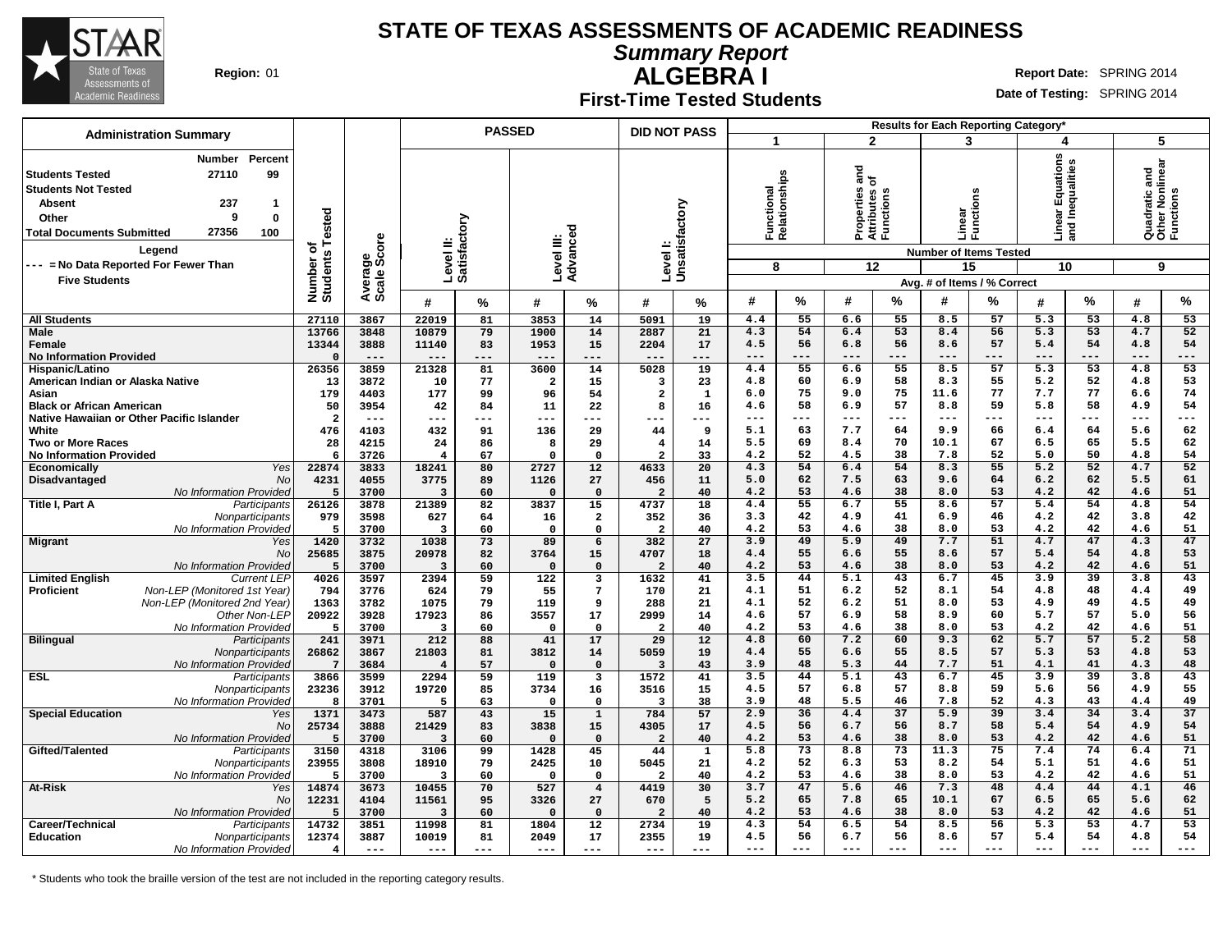

**Summary Report**

**ALGEBRA I Region:** 01 **Report** Date: SPRING 2014

#### **First-Time Tested Students**

**Date of Testing:** SPRING 2014

| <b>Administration Summary</b>                                                                                                                                                                                                                           |                              |                        |                                  | <b>PASSED</b> |                         |                                        | <b>DID NOT PASS</b>       |              |                                  |          |                                                     |              | Results for Each Reporting Category*                    |          |                                           |          |                                                    |          |
|---------------------------------------------------------------------------------------------------------------------------------------------------------------------------------------------------------------------------------------------------------|------------------------------|------------------------|----------------------------------|---------------|-------------------------|----------------------------------------|---------------------------|--------------|----------------------------------|----------|-----------------------------------------------------|--------------|---------------------------------------------------------|----------|-------------------------------------------|----------|----------------------------------------------------|----------|
|                                                                                                                                                                                                                                                         |                              |                        |                                  |               |                         |                                        |                           |              | 1                                |          |                                                     | $\mathbf{2}$ | 3                                                       |          | 4                                         |          | 5                                                  |          |
| Percent<br>Number<br>99<br>27110<br><b>Students Tested</b><br><b>Students Not Tested</b><br>237<br><b>Absent</b><br>-1<br>9<br>$\bf{0}$<br>Other<br>27356<br>100<br><b>Total Documents Submitted</b><br>Legend<br>--- = No Data Reported For Fewer Than | Number of<br>Students Tested | Average<br>Scale Score | Level II:<br>Satisfactory        |               | Level III:              | Advanced                               | Levell:<br>Unsatisfactory |              | Functional<br>Relationships<br>8 |          | ᇰ<br>를 온<br>Properties<br>Attributes c<br>Functions | 12           | Linear<br>Functi<br><b>Number of Items Tested</b><br>15 | ons<br>ਚ | ar Equations<br>Inequalities<br>름 몸<br>10 |          | Quadratic and<br>Other Nonlinear<br>Functions<br>9 |          |
| <b>Five Students</b>                                                                                                                                                                                                                                    |                              |                        |                                  |               |                         |                                        |                           |              |                                  |          |                                                     |              | Avg. # of Items / % Correct                             |          |                                           |          |                                                    |          |
|                                                                                                                                                                                                                                                         |                              |                        | #                                | %             | #                       | %                                      | #                         | %            | #                                | %        | #                                                   | %            | #                                                       | %        | #                                         | %        | #                                                  | %        |
| <b>All Students</b>                                                                                                                                                                                                                                     | 27110                        | 3867                   | 22019                            | 81            | 3853                    | 14                                     | 5091                      | 19           | 4.4                              | 55       | 6.6                                                 | 55           | 8.5                                                     | 57       | 5.3                                       | 53       | 4.8                                                | 53       |
| <b>Male</b>                                                                                                                                                                                                                                             | 13766<br>13344               | 3848<br>3888           | 10879                            | 79<br>83      | 1900<br>1953            | 14<br>15                               | 2887<br>2204              | 21<br>17     | 4.3<br>4.5                       | 54<br>56 | 6.4<br>6.8                                          | 53<br>56     | 8.4<br>8.6                                              | 56<br>57 | 5.3<br>5.4                                | 53<br>54 | 4.7<br>4.8                                         | 52<br>54 |
| Female<br><b>No Information Provided</b>                                                                                                                                                                                                                | $\Omega$                     | $- - -$                | 11140<br>---                     | ---           | $---$                   | ---                                    | ---                       | $- - -$      | ---                              | $- - -$  |                                                     | $- - -$      | $- - -$                                                 | $---$    | $- - -$                                   | $---$    | $- - -$                                            | ---      |
| Hispanic/Latino                                                                                                                                                                                                                                         | 26356                        | 3859                   | 21328                            | 81            | 3600                    | 14                                     | 5028                      | 19           | 4.4                              | 55       | 6.6                                                 | 55           | 8.5                                                     | 57       | 5.3                                       | 53       | 4.8                                                | 53       |
| American Indian or Alaska Native                                                                                                                                                                                                                        | 13                           | 3872                   | 10                               | 77            | $\overline{\mathbf{2}}$ | 15                                     | 3                         | 23           | 4.8                              | 60       | 6.9                                                 | 58           | 8.3                                                     | 55       | 5.2                                       | 52       | 4.8                                                | 53       |
| Asian                                                                                                                                                                                                                                                   | 179                          | 4403                   | 177                              | 99            | 96                      | 54                                     | $\overline{a}$            | $\mathbf{1}$ | 6.0                              | 75       | 9.0                                                 | 75           | 11.6                                                    | 77       | 7.7                                       | 77       | 6.6                                                | 74       |
| <b>Black or African American</b>                                                                                                                                                                                                                        | 50                           | 3954                   | 42                               | 84            | 11                      | 22                                     | 8                         | 16           | 4.6                              | 58       | 6.9                                                 | 57           | 8.8                                                     | 59       | 5.8                                       | 58       | 4.9                                                | 54       |
| Native Hawaiian or Other Pacific Islander                                                                                                                                                                                                               | $\overline{a}$               | $---$                  | ---                              | ---           | ---                     | ---                                    |                           | ---          | ---                              | $- - -$  | ---                                                 | $- - -$      | $- - -$                                                 | $---$    | $- - -$                                   | ---      | $---$                                              | ---      |
| White<br><b>Two or More Races</b>                                                                                                                                                                                                                       | 476<br>28                    | 4103<br>4215           | 432<br>24                        | 91<br>86      | 136<br>8                | 29<br>29                               | 44<br>4                   | 9<br>14      | 5.1<br>5.5                       | 63<br>69 | 7.7<br>8.4                                          | 64<br>70     | 9.9<br>10.1                                             | 66<br>67 | 6.4<br>6.5                                | 64<br>65 | 5.6<br>5.5                                         | 62<br>62 |
| <b>No Information Provided</b>                                                                                                                                                                                                                          | 6                            | 3726                   | $\overline{4}$                   | 67            | $\Omega$                | $\Omega$                               | $\overline{a}$            | 33           | 4.2                              | 52       | 4.5                                                 | 38           | 7.8                                                     | 52       | 5.0                                       | 50       | 4.8                                                | 54       |
| Yes<br><b>Economically</b>                                                                                                                                                                                                                              | 22874                        | 3833                   | 18241                            | 80            | 2727                    | 12                                     | 4633                      | 20           | 4.3                              | 54       | 6.4                                                 | 54           | 8.3                                                     | 55       | $\overline{5.2}$                          | 52       | 4.7                                                | 52       |
| Disadvantaged<br>No                                                                                                                                                                                                                                     | 4231                         | 4055                   | 3775                             | 89            | 1126                    | 27                                     | 456                       | 11           | 5.0                              | 62       | 7.5                                                 | 63           | 9.6                                                     | 64       | 6.2                                       | 62       | 5.5                                                | 61       |
| No Information Provided                                                                                                                                                                                                                                 | 5                            | 3700                   | $\overline{3}$                   | 60            | $\Omega$                | $\Omega$                               | $\overline{2}$            | 40           | 4.2                              | 53       | 4.6                                                 | 38           | 8.0                                                     | 53       | 4.2                                       | 42       | 4.6                                                | 51       |
| Title I, Part A<br>Participants                                                                                                                                                                                                                         | 26126                        | 3878                   | 21389                            | 82            | 3837                    | 15                                     | 4737                      | 18           | 4.4                              | 55       | 6.7                                                 | 55           | 8.6                                                     | 57       | 5.4                                       | 54       | 4.8                                                | 54       |
| Nonparticipants                                                                                                                                                                                                                                         | 979<br>5                     | 3598                   | 627<br>$\overline{\mathbf{3}}$   | 64            | 16<br>$\Omega$          | $\overline{\mathbf{2}}$<br>$\mathbf 0$ | 352<br>$\overline{a}$     | 36           | 3.3<br>4.2                       | 42<br>53 | 4.9                                                 | 41<br>38     | 6.9<br>8.0                                              | 46<br>53 | 4.2<br>4.2                                | 42<br>42 | 3.8                                                | 42<br>51 |
| No Information Provided<br><b>Migrant</b><br>Yes                                                                                                                                                                                                        | 1420                         | 3700<br>3732           | 1038                             | 60<br>73      | 89                      | 6                                      | 382                       | 40<br>27     | 3.9                              | 49       | 4.6<br>5.9                                          | 49           | 7.7                                                     | 51       | 4.7                                       | 47       | 4.6<br>4.3                                         | 47       |
| No                                                                                                                                                                                                                                                      | 25685                        | 3875                   | 20978                            | 82            | 3764                    | 15                                     | 4707                      | 18           | 4.4                              | 55       | 6.6                                                 | 55           | 8.6                                                     | 57       | 5.4                                       | 54       | 4.8                                                | 53       |
| No Information Provideo                                                                                                                                                                                                                                 | 5                            | 3700                   | $\overline{\mathbf{3}}$          | 60            | $\Omega$                | $\Omega$                               | $\overline{2}$            | 40           | 4.2                              | 53       | 4.6                                                 | 38           | 8.0                                                     | 53       | 4.2                                       | 42       | 4.6                                                | 51       |
| <b>Limited English</b><br><b>Current LEP</b>                                                                                                                                                                                                            | 4026                         | 3597                   | 2394                             | 59            | 122                     | 3                                      | 1632                      | 41           | 3.5                              | 44       | 5.1                                                 | 43           | 6.7                                                     | 45       | 3.9                                       | 39       | 3.8                                                | 43       |
| <b>Proficient</b><br>Non-LEP (Monitored 1st Year)                                                                                                                                                                                                       | 794                          | 3776                   | 624                              | 79            | 55                      | $7\phantom{.0}$                        | 170                       | 21           | 4.1                              | 51       | 6.2                                                 | 52           | 8.1                                                     | 54       | 4.8                                       | 48       | 4.4                                                | 49       |
| Non-LEP (Monitored 2nd Year)                                                                                                                                                                                                                            | 1363                         | 3782                   | 1075                             | 79            | 119                     | 9                                      | 288                       | 21           | 4.1<br>4.6                       | 52<br>57 | 6.2<br>6.9                                          | 51<br>58     | 8.0<br>8.9                                              | 53<br>60 | 4.9<br>5.7                                | 49<br>57 | 4.5<br>5.0                                         | 49<br>56 |
| Other Non-LEP<br>No Information Provideo                                                                                                                                                                                                                | 20922<br>5                   | 3928<br>3700           | 17923<br>$\overline{\mathbf{3}}$ | 86<br>60      | 3557<br>$\Omega$        | 17<br>$\Omega$                         | 2999<br>$\overline{2}$    | 14<br>40     | 4.2                              | 53       | 4.6                                                 | 38           | 8.0                                                     | 53       | 4.2                                       | 42       | 4.6                                                | 51       |
| <b>Bilingual</b><br>Participants                                                                                                                                                                                                                        | 241                          | 3971                   | 212                              | 88            | 41                      | 17                                     | 29                        | 12           | 4.8                              | 60       | 7.2                                                 | 60           | 9.3                                                     | 62       | 5.7                                       | 57       | 5.2                                                | 58       |
| Nonparticipants                                                                                                                                                                                                                                         | 26862                        | 3867                   | 21803                            | 81            | 3812                    | 14                                     | 5059                      | 19           | 4.4                              | 55       | 6.6                                                 | 55           | 8.5                                                     | 57       | 5.3                                       | 53       | 4.8                                                | 53       |
| No Information Provided                                                                                                                                                                                                                                 | $7\phantom{.0}$              | 3684                   | $\overline{4}$                   | 57            | $\Omega$                | $\Omega$                               | $\overline{3}$            | 43           | 3.9                              | 48       | 5.3                                                 | 44           | 7.7                                                     | 51       | 4.1                                       | 41       | 4.3                                                | 48       |
| ESL<br>Participants                                                                                                                                                                                                                                     | 3866                         | 3599                   | 2294                             | 59            | 119                     | $\overline{\mathbf{3}}$                | 1572                      | 41           | 3.5                              | 44       | 5.1                                                 | 43           | 6.7                                                     | 45       | 3.9                                       | 39       | 3.8                                                | 43       |
| <b>Nonparticipants</b>                                                                                                                                                                                                                                  | 23236                        | 3912                   | 19720                            | 85            | 3734                    | 16                                     | 3516                      | 15           | 4.5                              | 57       | 6.8                                                 | 57           | 8.8                                                     | 59<br>52 | 5.6                                       | 56<br>43 | 4.9                                                | 55<br>49 |
| No Information Provideo<br><b>Special Education</b><br>Yes                                                                                                                                                                                              | 8<br>1371                    | 3701<br>3473           | 5<br>587                         | 63<br>43      | $\mathbf 0$<br>15       | $\mathbf{o}$<br>$\mathbf{1}$           | 3<br>784                  | 38<br>57     | 3.9<br>2.9                       | 48<br>36 | 5.5<br>4.4                                          | 46<br>37     | 7.8<br>5.9                                              | 39       | 4.3<br>3.4                                | 34       | 4.4<br>3.4                                         | 37       |
| No                                                                                                                                                                                                                                                      | 25734                        | 3888                   | 21429                            | 83            | 3838                    | 15                                     | 4305                      | 17           | 4.5                              | 56       | 6.7                                                 | 56           | 8.7                                                     | 58       | 5.4                                       | 54       | 4.9                                                | 54       |
| No Information Provided                                                                                                                                                                                                                                 | 5                            | 3700                   | $\overline{3}$                   | 60            | $\Omega$                | $\Omega$                               | $\overline{a}$            | 40           | 4.2                              | 53       | 4.6                                                 | 38           | 8.0                                                     | 53       | 4.2                                       | 42       | 4.6                                                | 51       |
| Gifted/Talented<br>Participants                                                                                                                                                                                                                         | 3150                         | 4318                   | 3106                             | 99            | 1428                    | 45                                     | 44                        | 1            | 5.8                              | 73       | 8.8                                                 | 73           | 11.3                                                    | 75       | 7.4                                       | 74       | 6.4                                                | 71       |
| Nonparticipants                                                                                                                                                                                                                                         | 23955                        | 3808                   | 18910                            | 79            | 2425                    | 10                                     | 5045                      | 21           | 4.2                              | 52       | 6.3                                                 | 53           | 8.2                                                     | 54       | 5.1                                       | 51       | 4.6                                                | 51       |
| No Information Provideo                                                                                                                                                                                                                                 | 5                            | 3700                   | 3                                | 60            | $\Omega$                | $\mathbf{o}$                           | $\overline{\mathbf{2}}$   | 40           | 4.2                              | 53       | 4.6                                                 | 38           | 8.0                                                     | 53       | 4.2                                       | 42       | 4.6                                                | 51       |
| At-Risk<br>Yes                                                                                                                                                                                                                                          | 14874                        | 3673                   | 10455                            | 70            | 527                     | $\overline{4}$                         | 4419                      | 30           | 3.7                              | 47       | 5.6                                                 | 46<br>65     | 7.3                                                     | 48<br>67 | 4.4                                       | 44<br>65 | 4.1                                                | 46<br>62 |
| No<br>No Information Provided                                                                                                                                                                                                                           | 12231<br>5                   | 4104<br>3700           | 11561<br>3                       | 95<br>60      | 3326<br>$\Omega$        | 27<br>$\Omega$                         | 670<br>$\overline{2}$     | 5<br>40      | 5.2<br>4.2                       | 65<br>53 | 7.8<br>4.6                                          | 38           | 10.1<br>8.0                                             | 53       | 6.5<br>4.2                                | 42       | 5.6<br>4.6                                         | 51       |
| Career/Technical<br>Participants                                                                                                                                                                                                                        | 14732                        | 3851                   | 11998                            | 81            | 1804                    | 12                                     | 2734                      | 19           | 4.3                              | 54       | 6.5                                                 | 54           | 8.5                                                     | 56       | 5.3                                       | 53       | 4.7                                                | 53       |
| <b>Education</b><br>Nonparticipants                                                                                                                                                                                                                     | 12374                        | 3887                   | 10019                            | 81            | 2049                    | 17                                     | 2355                      | 19           | 4.5                              | 56       | 6.7                                                 | 56           | 8.6                                                     | 57       | 5.4                                       | 54       | 4.8                                                | 54       |
| No Information Provided                                                                                                                                                                                                                                 | 4                            | $---$                  | $---$                            | ---           |                         |                                        | ---                       | $---$        | $---$                            | ---      | $---$                                               | $---$        | $---$                                                   | $---$    | $\qquad \qquad - -$                       | $---$    | $---$                                              | ---      |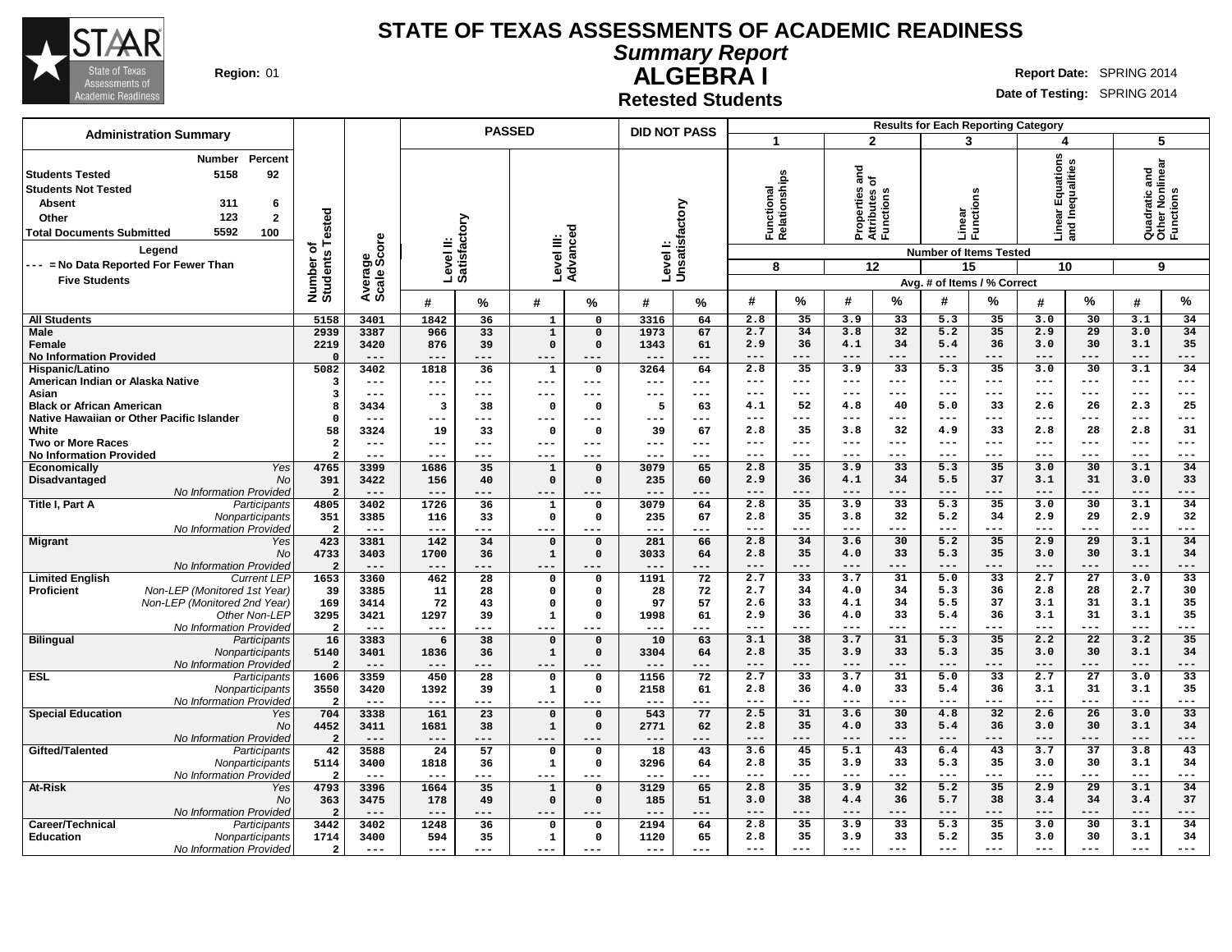

**Summary Report**

**ALGEBRA I Region:** 01 **Report** Date: SPRING 2014

**Date of Testing:** SPRING 2014

**Retested Students**

| <b>Administration Summary</b>                                                                                                                                                                                                                                                             |                                             |                                       |                                             |                                | <b>PASSED</b>                                           |                                                              | <b>DID NOT PASS</b>               |                                          |                                           |                                            |                                                                |                                                 | <b>Results for Each Reporting Category</b>                                              |                                            |                                           |                                                 |                                                    |                                          |
|-------------------------------------------------------------------------------------------------------------------------------------------------------------------------------------------------------------------------------------------------------------------------------------------|---------------------------------------------|---------------------------------------|---------------------------------------------|--------------------------------|---------------------------------------------------------|--------------------------------------------------------------|-----------------------------------|------------------------------------------|-------------------------------------------|--------------------------------------------|----------------------------------------------------------------|-------------------------------------------------|-----------------------------------------------------------------------------------------|--------------------------------------------|-------------------------------------------|-------------------------------------------------|----------------------------------------------------|------------------------------------------|
|                                                                                                                                                                                                                                                                                           |                                             |                                       |                                             |                                |                                                         |                                                              |                                   |                                          | -1                                        |                                            | $\overline{2}$                                                 |                                                 | 3                                                                                       |                                            | 4                                         |                                                 | 5                                                  |                                          |
| Percent<br><b>Number</b><br>5158<br>92<br><b>Students Tested</b><br><b>Students Not Tested</b><br>6<br><b>Absent</b><br>311<br>123<br>$\mathbf{2}$<br>Other<br>5592<br>100<br><b>Total Documents Submitted</b><br>Legend<br>--- = No Data Reported For Fewer Than<br><b>Five Students</b> | Tested<br>৳<br>'n,<br>Number<br>Students    | ige<br>Score<br>Avera<br>Scale        | Level II:<br>Satisfactory                   |                                | Level III:                                              | Advanced                                                     | Level I:<br>Unsatisfactory        |                                          | Functional<br>Relationships<br>8          |                                            | $\frac{1}{2}$<br>Properties<br>Attributes c<br>Functions<br>12 |                                                 | Linear<br>Functio<br><b>Number of Items Tested</b><br>15<br>Avg. # of Items / % Correct | ens                                        | tions<br>띵<br>יים<br>and<br>10            | Inequalities                                    | Quadratic and<br>Other Nonlinear<br>Functions<br>9 |                                          |
|                                                                                                                                                                                                                                                                                           |                                             |                                       | #                                           | %                              | #                                                       | %                                                            | #                                 | %                                        | #                                         | $\%$                                       | #                                                              | %                                               | #                                                                                       | %                                          | #                                         | $\%$                                            | #                                                  | %                                        |
| <b>All Students</b>                                                                                                                                                                                                                                                                       | 5158                                        | 3401                                  | 1842                                        | 36                             | $\mathbf{1}$                                            | $\mathbf 0$                                                  | 3316                              | 64                                       | 2.8                                       | 35                                         | 3.9                                                            | 33                                              | 5.3                                                                                     | 35                                         | 3.0                                       | 30                                              | 3.1                                                | 34                                       |
| <b>Male</b><br><b>Female</b><br><b>No Information Provided</b>                                                                                                                                                                                                                            | 2939<br>2219<br>$\Omega$                    | 3387<br>3420<br>$---$                 | 966<br>876<br>$---$                         | 33<br>39<br>$---$              | $\mathbf 1$<br>$\mathbf 0$<br>$--$                      | $\mathbf 0$<br>$\Omega$<br>$---$                             | 1973<br>1343<br>$---$             | 67<br>61<br>---                          | 2.7<br>2.9<br>$---$                       | 34<br>36<br>---                            | 3.8<br>4.1<br>$---$                                            | 32<br>34<br>---                                 | 5.2<br>5.4<br>$---$                                                                     | 35<br>36<br>$---$                          | 2.9<br>3.0<br>$---$                       | 29<br>30<br>$---$                               | 3.0<br>3.1<br>$---$                                | 34<br>35<br>---                          |
| Hispanic/Latino<br>American Indian or Alaska Native                                                                                                                                                                                                                                       | 5082<br>з                                   | 3402<br>$---$                         | 1818<br>$---$                               | 36<br>$\qquad \qquad - -$      | $\mathbf{1}$<br>$---$                                   | $\mathbf 0$<br>$---$                                         | 3264<br>$---$                     | 64<br>$---$                              | 2.8<br>$\qquad \qquad - -$<br>$---$       | 35<br>$\qquad \qquad - -$<br>$---$         | 3.9<br>$\qquad \qquad - -$<br>$---$                            | $\overline{33}$<br>$\qquad \qquad - -$<br>$---$ | 5.3<br>$\qquad \qquad - -$<br>$- - -$                                                   | $\overline{35}$<br>$---$<br>$---$          | 3.0<br>$\qquad \qquad - -$<br>$---$       | $\overline{30}$<br>$\qquad \qquad - -$<br>$---$ | 3.1<br>$\qquad \qquad - -$<br>$---$                | 34<br>---<br>---                         |
| Asian<br><b>Black or African American</b><br>Native Hawaiian or Other Pacific Islander<br>White                                                                                                                                                                                           | 3<br>8<br>$\Omega$<br>58                    | $---$<br>3434<br>$---$<br>3324        | ---<br>$\overline{\mathbf{3}}$<br>---<br>19 | $---$<br>38<br>$---$<br>33     | $---$<br>0<br>$---$<br>0                                | ---<br>$\Omega$<br>---<br>$\mathbf 0$                        | $---$<br>5<br>$---$<br>39         | ---<br>63<br>$---$<br>67                 | 4.1<br>$- - -$<br>2.8                     | 52<br>$---$<br>35                          | 4.8<br>$---$<br>3.8                                            | 40<br>$- - -$<br>32                             | 5.0<br>$---$<br>4.9                                                                     | 33<br>$---$<br>33                          | 2.6<br>$---$<br>2.8                       | 26<br>$---$<br>28                               | 2.3<br>$---$<br>2.8                                | 25<br>---<br>31                          |
| <b>Two or More Races</b><br><b>No Information Provided</b><br>Yes<br><b>Economically</b>                                                                                                                                                                                                  | $\overline{\mathbf{2}}$<br>2<br>4765        | $---$<br>$- - -$<br>3399              | ---<br>---<br>1686                          | $- - -$<br>$---$<br>35         | $---$<br>$---$<br>$\mathbf{1}$                          | ---<br>---<br>$\mathbf 0$                                    | $---$<br>$---$<br>3079            | ---<br>---<br>65                         | $---$<br>$- - -$<br>2.8                   | $---$<br>$---$<br>35                       | $---$<br>$- - -$<br>3.9                                        | $- - -$<br>$---$<br>$\overline{33}$             | $- - -$<br>$- - -$<br>5.3                                                               | $---$<br>$---$<br>35                       | $---$<br>$- - -$<br>3.0                   | $- - -$<br>$---$<br>30                          | $---$<br>$---$<br>3.1                              | $---$<br>---<br>34                       |
| Disadvantaged<br>No<br>No Information Provided                                                                                                                                                                                                                                            | 391<br>$\overline{2}$                       | 3422<br>$---$                         | 156<br>$---$                                | 40                             | $\mathbf 0$<br>---                                      | $\mathbf 0$                                                  | 235<br>$---$                      | 60<br>---                                | 2.9<br>$- - -$                            | 36<br>---                                  | 4.1<br>$- - -$                                                 | 34<br>---                                       | 5.5<br>$- - -$                                                                          | 37<br>$---$                                | 3.1<br>$- - -$                            | 31<br>---                                       | 3.0<br>$- - -$                                     | 33<br>---                                |
| Title I, Part A<br>Participants<br>Nonparticipants<br>No Information Provideo                                                                                                                                                                                                             | 4805<br>351<br>$\overline{2}$               | 3402<br>3385<br>$- -$                 | 1726<br>116<br>$---$                        | 36<br>33<br>---                | 1<br>0<br>$---$                                         | $\mathbf 0$<br>$\mathbf 0$<br>---                            | 3079<br>235<br>$---$              | 64<br>67<br>---                          | 2.8<br>2.8<br>$---$                       | 35<br>35<br>$---$                          | 3.9<br>3.8<br>$---$                                            | 33<br>32<br>$---$                               | 5.3<br>5.2<br>$---$                                                                     | 35<br>34<br>$---$                          | 3.0<br>2.9<br>$---$                       | 30<br>29<br>$---$                               | 3.1<br>2.9<br>$---$                                | 34<br>32<br>---                          |
| <b>Migrant</b><br>Yes<br><b>No</b><br>No Information Provided                                                                                                                                                                                                                             | 423<br>4733<br>$\overline{2}$               | 3381<br>3403<br>$---$                 | 142<br>1700<br>---                          | 34<br>36<br>---                | $\mathbf 0$<br>$\mathbf 1$<br>---                       | $\mathbf 0$<br>$\mathbf 0$                                   | 281<br>3033<br>$---$              | 66<br>64<br>---                          | 2.8<br>2.8<br>$---$                       | 34<br>35<br>$---$                          | 3.6<br>4.0<br>$---$                                            | 30<br>33<br>---                                 | 5.2<br>5.3<br>$---$                                                                     | 35<br>35<br>---                            | 2.9<br>3.0<br>$---$                       | 29<br>30<br>---                                 | 3.1<br>3.1<br>$---$                                | 34<br>34<br>---                          |
| <b>Limited English</b><br><b>Current LEP</b><br>Non-LEP (Monitored 1st Year)<br><b>Proficient</b><br>Non-LEP (Monitored 2nd Year)<br>Other Non-LEP<br>No Information Provided                                                                                                             | 1653<br>39<br>169<br>3295<br>$\overline{2}$ | 3360<br>3385<br>3414<br>3421<br>$---$ | 462<br>11<br>72<br>1297<br>---              | 28<br>28<br>43<br>39<br>---    | 0<br>$\mathbf 0$<br>$\mathbf 0$<br>$\mathbf{1}$<br>$--$ | $\mathbf 0$<br>$\mathbf 0$<br>$\mathbf 0$<br>$\Omega$<br>--- | 1191<br>28<br>97<br>1998<br>$---$ | $\overline{72}$<br>72<br>57<br>61<br>--- | 2.7<br>2.7<br>2.6<br>2.9<br>$\frac{1}{2}$ | $\overline{33}$<br>34<br>33<br>36<br>$---$ | 3.7<br>4.0<br>4.1<br>4.0<br>$- - -$                            | 31<br>34<br>34<br>33<br>$---$                   | 5.0<br>5.3<br>5.5<br>5.4<br>$- - -$                                                     | $\overline{33}$<br>36<br>37<br>36<br>$---$ | 2.7<br>2.8<br>3.1<br>3.1<br>$\frac{1}{2}$ | $\overline{27}$<br>28<br>31<br>31<br>$---$      | 3.0<br>2.7<br>3.1<br>3.1<br>$\frac{1}{2}$          | $\overline{33}$<br>30<br>35<br>35<br>--- |
| <b>Bilingual</b><br>Participants<br>Nonparticipants<br>No Information Provided                                                                                                                                                                                                            | 16<br>5140<br>$\overline{2}$                | 3383<br>3401<br>$---$                 | 6<br>1836<br>---                            | $\overline{38}$<br>36<br>---   | $\mathbf 0$<br>$\mathbf{1}$<br>$---$                    | $\mathbf 0$<br>$\mathbf 0$                                   | 10<br>3304<br>$---$               | 63<br>64<br>---                          | 3.1<br>2.8<br>$---$                       | 38<br>35<br>$-- -$                         | 3.7<br>3.9<br>$---$                                            | 31<br>33<br>$- - -$                             | 5.3<br>5.3<br>$---$                                                                     | 35<br>35<br>---                            | 2.2<br>3.0<br>$---$                       | $\overline{22}$<br>30<br>---                    | 3.2<br>3.1<br>$---$                                | 35<br>34<br>---                          |
| <b>ESL</b><br>Participants<br>Nonparticipants<br>No Information Provideo                                                                                                                                                                                                                  | 1606<br>3550<br>$\overline{2}$              | 3359<br>3420<br>$\qquad \qquad - -$   | 450<br>1392<br>$---$                        | $\overline{28}$<br>39<br>$---$ | $\Omega$<br>$\mathbf{1}$<br>$---$                       | $\mathbf 0$<br>$\mathbf 0$<br>---                            | 1156<br>2158<br>$---$             | $\overline{72}$<br>61<br>---             | 2.7<br>2.8<br>$\qquad \qquad - -$         | $\overline{33}$<br>36<br>---               | 3.7<br>4.0<br>$\qquad \qquad -$                                | 31<br>33<br>$---$                               | 5.0<br>5.4<br>$\qquad \qquad -$                                                         | $\overline{33}$<br>36<br>---               | 2.7<br>3.1<br>$\qquad \qquad - -$         | $\overline{27}$<br>31<br>---                    | 3.0<br>3.1<br>$\qquad \qquad - -$                  | $\overline{33}$<br>35<br>---             |
| <b>Special Education</b><br>Yes<br>No<br>No Information Provided                                                                                                                                                                                                                          | 704<br>4452<br>$\overline{2}$               | 3338<br>3411<br>$---$                 | 161<br>1681<br>$---$                        | 23<br>38<br>---                | $\mathbf 0$<br>$\mathbf 1$<br>$---$                     | $\mathbf 0$<br>$\mathbf 0$<br>---                            | 543<br>2771<br>$---$              | 77<br>62<br>---                          | 2.5<br>2.8<br>$---$                       | 31<br>35                                   | 3.6<br>4.0<br>$---$                                            | 30<br>33<br>---                                 | 4.8<br>5.4<br>$---$                                                                     | 32<br>36<br>---                            | 2.6<br>3.0<br>$---$                       | 26<br>30<br>---                                 | 3.0<br>3.1<br>$---$                                | 33<br>34<br>---                          |
| Gifted/Talented<br>Participants<br>Nonparticipants<br>No Information Provideo                                                                                                                                                                                                             | 42<br>5114<br>$\overline{a}$                | 3588<br>3400<br>$---$                 | 24<br>1818<br>$---$                         | 57<br>36<br>$---$              | $\mathbf{o}$<br>$\mathbf 1$<br>$--$                     | $\mathbf{o}$<br>$\mathbf 0$<br>---                           | 18<br>3296<br>$---$               | 43<br>64<br>---                          | 3.6<br>2.8<br>$--$                        | 45<br>35<br>---                            | 5.1<br>3.9<br>$--$                                             | 43<br>33<br>---                                 | 6.4<br>5.3<br>$--$                                                                      | 43<br>35<br>---                            | 3.7<br>3.0<br>$---$                       | $\overline{37}$<br>30<br>---                    | 3.8<br>3.1<br>$---$                                | 43<br>34<br>---                          |
| At-Risk<br>Yes<br>No<br>No Information Provided                                                                                                                                                                                                                                           | 4793<br>363<br>$\overline{2}$               | 3396<br>3475<br>$---$                 | 1664<br>178<br>$---$                        | 35<br>49<br>---                | $\mathbf{1}$<br>0<br>$---$                              | $\mathbf 0$<br>$\mathbf 0$<br>---                            | 3129<br>185<br>$---$              | 65<br>51<br>---                          | 2.8<br>3.0<br>$---$                       | 35<br>38                                   | 3.9<br>4.4<br>$---$                                            | 32<br>36                                        | 5.2<br>5.7<br>$---$                                                                     | 35<br>38<br>---                            | 2.9<br>3.4<br>$---$                       | $\overline{29}$<br>34<br>---                    | 3.1<br>3.4<br>$---$                                | 34<br>37<br>---                          |
| Career/Technical<br>Participants<br><b>Education</b><br>Nonparticipants<br>No Information Provided                                                                                                                                                                                        | 3442<br>1714<br>$\overline{a}$              | 3402<br>3400<br>$\qquad \qquad - -$   | 1248<br>594<br>$- - -$                      | 36<br>35<br>$- - -$            | $\Omega$<br>1<br>$- - -$                                | $\Omega$<br>$\Omega$<br>$- - -$                              | 2194<br>1120<br>$- - -$           | 64<br>65<br>$- - -$                      | 2.8<br>2.8<br>$---$                       | 35<br>35<br>---                            | 3.9<br>3.9<br>$---$                                            | 33<br>33<br>---                                 | 5.3<br>5.2<br>$- - -$                                                                   | 35<br>35<br>$---$                          | 3.0<br>3.0<br>$---$                       | 30<br>30<br>$---$                               | 3.1<br>3.1<br>$\qquad \qquad - -$                  | 34<br>34<br>---                          |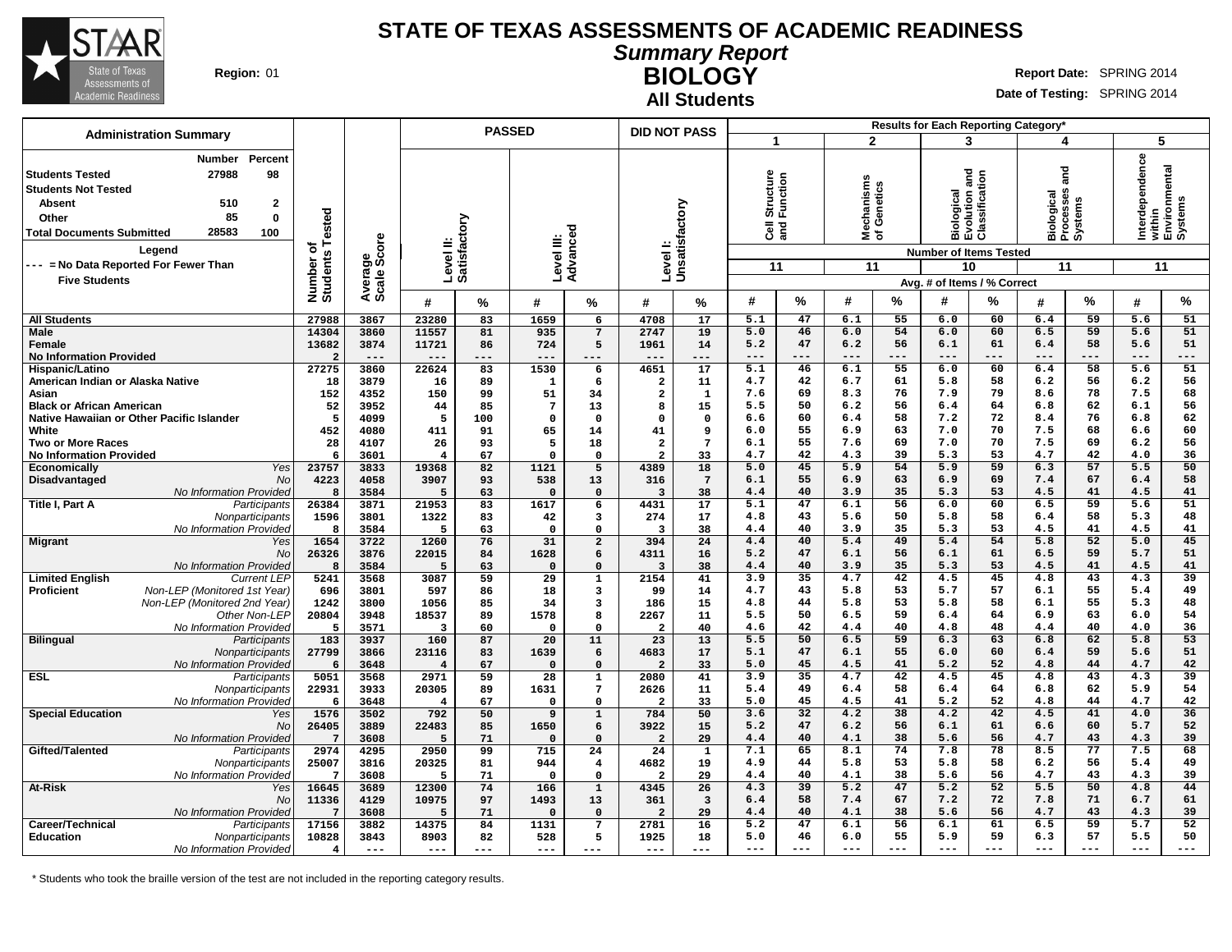

**All Students**

**Summary Report BIOLOGY** Region: 01 **Region:** 01 **Report** Date: SPRING 2014

**Date of Testing:** SPRING 2014

| <b>Administration Summary</b>                                                                                                                                                                                                                                                          |                                      |                        |                           | <b>PASSED</b> |                |                     | <b>DID NOT PASS</b>     |                            |                                       |          |                                      | Results for Each Reporting Category* |                                                            |                                                              |                                                      |                 |                       |                                    |
|----------------------------------------------------------------------------------------------------------------------------------------------------------------------------------------------------------------------------------------------------------------------------------------|--------------------------------------|------------------------|---------------------------|---------------|----------------|---------------------|-------------------------|----------------------------|---------------------------------------|----------|--------------------------------------|--------------------------------------|------------------------------------------------------------|--------------------------------------------------------------|------------------------------------------------------|-----------------|-----------------------|------------------------------------|
|                                                                                                                                                                                                                                                                                        |                                      |                        |                           |               |                |                     |                         |                            | 1                                     |          | $\mathbf{2}$                         |                                      |                                                            | 3                                                            | 4                                                    |                 | 5                     |                                    |
| Percent<br>Number<br>98<br>27988<br><b>Students Tested</b><br><b>Students Not Tested</b><br>510<br>$\mathbf{2}$<br>Absent<br>85<br>$\mathbf 0$<br>Other<br>28583<br><b>Total Documents Submitted</b><br>100<br>Legend<br>--- = No Data Reported For Fewer Than<br><b>Five Students</b> | Tested<br>৳<br>Number of<br>Students | Average<br>Scale Score | Level II:<br>Satisfactory |               | Level III:     | Advanced            |                         | Level I:<br>Unsatisfactory | tructure<br>ទី<br>មិ<br>ទី ខ្លី<br>11 | ction    | echanisms<br>f Genetics<br>≊ঁਠ<br>11 |                                      | and<br>Biological<br>Evolution and<br>Classification<br>10 | <b>Number of Items Tested</b><br>Avg. # of Items / % Correct | 2<br>Sma<br>Biological<br>Processes<br>Systems<br>11 |                 | Interdependence<br>11 | within<br>Environmental<br>Systems |
|                                                                                                                                                                                                                                                                                        |                                      |                        | #                         | %             | #              | %                   | #                       | %                          | #                                     | %        | #                                    | %                                    | #                                                          | %                                                            | #                                                    | %               | $\boldsymbol{\#}$     | %                                  |
| <b>All Students</b>                                                                                                                                                                                                                                                                    | 27988                                | 3867                   | 23280                     | 83            | 1659           | 6                   | 4708                    | 17                         | 5.1                                   | 47       | 6.1                                  | 55                                   | 6.0                                                        | 60                                                           | 6.4                                                  | 59              | 5.6                   | 51                                 |
| <b>Male</b>                                                                                                                                                                                                                                                                            | 14304                                | 3860                   | 11557                     | 81            | 935            | $7\phantom{.0}$     | 2747                    | 19                         | 5.0                                   | 46       | 6.0                                  | 54                                   | 6.0                                                        | 60                                                           | 6.5                                                  | 59              | 5.6                   | 51                                 |
| Female                                                                                                                                                                                                                                                                                 | 13682                                | 3874                   | 11721                     | 86            | 724            | 5                   | 1961                    | 14                         | 5.2                                   | 47       | 6.2                                  | 56                                   | 6.1                                                        | 61                                                           | 6.4                                                  | 58              | 5.6                   | 51                                 |
| <b>No Information Provided</b>                                                                                                                                                                                                                                                         | 2                                    | ---                    |                           |               |                |                     | ---                     | $---$                      |                                       | ---      | $---$                                | $---$                                | $---$                                                      | $---$                                                        | $---$                                                | $---$           | $---$                 | ---                                |
| Hispanic/Latino                                                                                                                                                                                                                                                                        | 27275                                | 3860                   | 22624                     | 83            | 1530           | 6                   | 4651                    | 17                         | 5.1                                   | 46       | 6.1                                  | 55                                   | 6.0                                                        | 60                                                           | 6.4                                                  | 58              | 5.6                   | 51                                 |
| American Indian or Alaska Native                                                                                                                                                                                                                                                       | 18                                   | 3879                   | 16                        | 89            | $\mathbf{1}$   | 6                   | $\overline{a}$          | 11                         | 4.7                                   | 42       | 6.7                                  | 61                                   | 5.8                                                        | 58                                                           | 6.2                                                  | 56              | 6.2                   | 56                                 |
| Asian                                                                                                                                                                                                                                                                                  | 152                                  | 4352                   | 150                       | 99            | 51             | 34                  | $\overline{a}$          | $\mathbf{1}$               | 7.6                                   | 69       | 8.3                                  | 76                                   | 7.9                                                        | 79                                                           | 8.6                                                  | 78              | 7.5                   | 68                                 |
| <b>Black or African American</b>                                                                                                                                                                                                                                                       | 52                                   | 3952                   | 44                        | 85            | $\overline{7}$ | 13                  | 8                       | 15                         | 5.5                                   | 50       | 6.2                                  | 56                                   | 6.4                                                        | 64                                                           | 6.8                                                  | 62              | 6.1                   | 56                                 |
| Native Hawaiian or Other Pacific Islander                                                                                                                                                                                                                                              | 5                                    | 4099                   | -5                        | 100           | $\Omega$       | $\Omega$            | $\Omega$                | $\mathbf 0$                | 6.6                                   | 60       | 6.4                                  | 58                                   | 7.2                                                        | 72                                                           | 8.4                                                  | 76              | 6.8                   | 62                                 |
| White                                                                                                                                                                                                                                                                                  | 452                                  | 4080                   | 411                       | 91            | 65             | 14                  | 41                      | 9                          | 6.0                                   | 55       | 6.9                                  | 63                                   | 7.0                                                        | 70                                                           | 7.5                                                  | 68              | 6.6                   | 60                                 |
| <b>Two or More Races</b>                                                                                                                                                                                                                                                               | 28                                   | 4107                   | 26                        | 93            | 5              | 18                  | $\overline{2}$          | $7\phantom{.0}$            | 6.1                                   | 55       | 7.6                                  | 69                                   | 7.0                                                        | 70                                                           | 7.5                                                  | 69              | 6.2                   | 56                                 |
| <b>No Information Provided</b>                                                                                                                                                                                                                                                         | 6                                    | 3601                   | $\overline{\mathbf{4}}$   | 67            | $\Omega$       | $\Omega$            | $\overline{2}$          | 33                         | 4.7                                   | 42       | 4.3                                  | 39                                   | 5.3                                                        | 53                                                           | 4.7                                                  | 42              | 4.0                   | 36                                 |
| Economically<br>Yes                                                                                                                                                                                                                                                                    | 23757                                | 3833                   | 19368                     | 82            | 1121           | 5                   | 4389                    | 18                         | 5.0                                   | 45       | 5.9                                  | 54                                   | 5.9                                                        | 59                                                           | 6.3                                                  | 57              | 5.5                   | 50                                 |
| Disadvantaged<br><b>No</b>                                                                                                                                                                                                                                                             | 4223                                 | 4058                   | 3907                      | 93            | 538            | 13                  | 316                     | $7\phantom{.0}$            | 6.1                                   | 55<br>40 | 6.9<br>3.9                           | 63<br>35                             | 6.9<br>5.3                                                 | 69<br>53                                                     | 7.4                                                  | 67<br>41        | 6.4<br>4.5            | 58<br>41                           |
| No Information Provided                                                                                                                                                                                                                                                                | 8                                    | 3584                   | 5                         | 63            | $\Omega$       | $\Omega$            | $\overline{\mathbf{3}}$ | 38                         | 4.4<br>5.1                            | 47       | 6.1                                  | 56                                   | 6.0                                                        | 60                                                           | 4.5<br>6.5                                           | 59              | 5.6                   | 51                                 |
| Title I, Part A<br>Participants                                                                                                                                                                                                                                                        | 26384                                | 3871                   | 21953                     | 83            | 1617           | 6                   | 4431                    | 17                         |                                       | 43       |                                      | 50                                   |                                                            |                                                              |                                                      | 58              |                       |                                    |
| Nonparticipants                                                                                                                                                                                                                                                                        | 1596<br>8                            | 3801                   | 1322<br>5                 | 83            | 42<br>$\Omega$ | 3<br>$\Omega$       | 274<br>3                | 17                         | 4.8<br>4.4                            | 40       | 5.6<br>3.9                           | 35                                   | 5.8<br>5.3                                                 | 58<br>53                                                     | 6.4<br>4.5                                           | 41              | 5.3<br>4.5            | 48<br>41                           |
| No Information Provided                                                                                                                                                                                                                                                                | 1654                                 | 3584<br>3722           | 1260                      | 63<br>76      | 31             |                     |                         | 38<br>24                   | 4.4                                   | 40       | 5.4                                  | 49                                   | 5.4                                                        | 54                                                           | 5.8                                                  | 52              | 5.0                   | 45                                 |
| <b>Migrant</b><br>Yes<br><b>No</b>                                                                                                                                                                                                                                                     | 26326                                | 3876                   | 22015                     | 84            | 1628           | $\overline{a}$<br>6 | 394<br>4311             | 16                         | 5.2                                   | 47       | 6.1                                  | 56                                   | 6.1                                                        | 61                                                           | 6.5                                                  | 59              | 5.7                   | 51                                 |
| No Information Provided                                                                                                                                                                                                                                                                | 8                                    | 3584                   | 5                         | 63            | $\mathbf 0$    | $\Omega$            | $\overline{\mathbf{3}}$ | 38                         | 4.4                                   | 40       | 3.9                                  | 35                                   | 5.3                                                        | 53                                                           | 4.5                                                  | 41              | 4.5                   | 41                                 |
| <b>Limited English</b><br><b>Current LEP</b>                                                                                                                                                                                                                                           | 5241                                 | 3568                   | 3087                      | 59            | 29             | $\mathbf{1}$        | 2154                    | 41                         | 3.9                                   | 35       | 4.7                                  | 42                                   | 4.5                                                        | 45                                                           | 4.8                                                  | 43              | 4.3                   | 39                                 |
| Non-LEP (Monitored 1st Year)<br><b>Proficient</b>                                                                                                                                                                                                                                      | 696                                  | 3801                   | 597                       | 86            | 18             | 3                   | 99                      | 14                         | 4.7                                   | 43       | 5.8                                  | 53                                   | 5.7                                                        | 57                                                           | 6.1                                                  | 55              | 5.4                   | 49                                 |
| Non-LEP (Monitored 2nd Year)                                                                                                                                                                                                                                                           | 1242                                 | 3800                   | 1056                      | 85            | 34             | 3                   | 186                     | 15                         | 4.8                                   | 44       | 5.8                                  | 53                                   | 5.8                                                        | 58                                                           | 6.1                                                  | 55              | 5.3                   | 48                                 |
| Other Non-LEP                                                                                                                                                                                                                                                                          | 20804                                | 3948                   | 18537                     | 89            | 1578           | 8                   | 2267                    | 11                         | 5.5                                   | 50       | 6.5                                  | 59                                   | 6.4                                                        | 64                                                           | 6.9                                                  | 63              | 6.0                   | 54                                 |
| No Information Provided                                                                                                                                                                                                                                                                | 5                                    | 3571                   | $\overline{\mathbf{3}}$   | 60            | $\Omega$       | $\Omega$            | $\overline{2}$          | 40                         | 4.6                                   | 42       | 4.4                                  | 40                                   | 4.8                                                        | 48                                                           | 4.4                                                  | 40              | 4.0                   | 36                                 |
| <b>Bilingual</b><br>Participants                                                                                                                                                                                                                                                       | 183                                  | 3937                   | 160                       | 87            | 20             | 11                  | 23                      | 13                         | 5.5                                   | 50       | 6.5                                  | 59                                   | 6.3                                                        | 63                                                           | 6.8                                                  | 62              | 5.8                   | $\overline{53}$                    |
| Nonparticipants                                                                                                                                                                                                                                                                        | 27799                                | 3866                   | 23116                     | 83            | 1639           | 6                   | 4683                    | 17                         | 5.1                                   | 47       | 6.1                                  | 55                                   | 6.0                                                        | 60                                                           | 6.4                                                  | 59              | 5.6                   | 51                                 |
| No Information Provideo                                                                                                                                                                                                                                                                | 6                                    | 3648                   | $\overline{4}$            | 67            | $\Omega$       | $\Omega$            | $\overline{2}$          | 33                         | 5.0                                   | 45       | 4.5                                  | 41                                   | 5.2                                                        | 52                                                           | 4.8                                                  | 44              | 4.7                   | 42                                 |
| <b>ESL</b><br>Participants                                                                                                                                                                                                                                                             | 5051                                 | 3568                   | 2971                      | 59            | 28             | $\mathbf 1$         | 2080                    | 41                         | 3.9                                   | 35       | 4.7                                  | 42                                   | 4.5                                                        | 45                                                           | 4.8                                                  | 43              | 4.3                   | 39                                 |
| Nonparticipants                                                                                                                                                                                                                                                                        | 22931                                | 3933                   | 20305                     | 89            | 1631           | 7                   | 2626                    | 11                         | 5.4                                   | 49       | 6.4                                  | 58                                   | 6.4                                                        | 64                                                           | 6.8                                                  | 62              | 5.9                   | 54                                 |
| No Information Provideo                                                                                                                                                                                                                                                                | 6                                    | 3648                   | $\overline{4}$            | 67            | $\mathsf{o}$   | $\Omega$            | $\overline{2}$          | 33                         | 5.0                                   | 45       | 4.5                                  | 41                                   | 5.2                                                        | 52                                                           | 4.8                                                  | 44              | 4.7                   | 42                                 |
| <b>Special Education</b><br>Yes                                                                                                                                                                                                                                                        | 1576                                 | 3502                   | 792                       | 50            | 9              | $\mathbf 1$         | 784                     | 50                         | 3.6                                   | 32       | 4.2                                  | 38                                   | 4.2                                                        | 42                                                           | 4.5                                                  | 41              | 4.0                   | 36                                 |
| <b>No</b>                                                                                                                                                                                                                                                                              | 26405                                | 3889                   | 22483                     | 85            | 1650           | 6                   | 3922                    | 15                         | 5.2                                   | 47       | 6.2                                  | 56                                   | 6.1                                                        | 61                                                           | 6.6                                                  | 60              | 5.7                   | 52                                 |
| No Information Provided                                                                                                                                                                                                                                                                | 7                                    | 3608                   | 5                         | 71            | $\mathbf 0$    | $\Omega$            | $\overline{a}$          | 29                         | 4.4                                   | 40       | 4.1                                  | 38                                   | 5.6                                                        | 56                                                           | 4.7                                                  | 43              | 4.3                   | 39                                 |
| Gifted/Talented<br>Participants                                                                                                                                                                                                                                                        | 2974                                 | 4295                   | 2950                      | 99            | 715            | 24                  | $\overline{24}$         | 1                          | 7.1                                   | 65       | 8.1                                  | 74                                   | 7.8                                                        | 78                                                           | 8.5                                                  | $\overline{77}$ | 7.5                   | 68                                 |
| <b>Nonparticipants</b>                                                                                                                                                                                                                                                                 | 25007                                | 3816                   | 20325                     | 81            | 944            | 4                   | 4682                    | 19                         | 4.9                                   | 44       | 5.8                                  | 53                                   | 5.8                                                        | 58                                                           | 6.2                                                  | 56              | 5.4                   | 49                                 |
| No Information Provided                                                                                                                                                                                                                                                                | 7                                    | 3608                   | 5                         | 71            | $\Omega$       | $\Omega$            | $\overline{a}$          | 29                         | 4.4                                   | 40       | 4.1                                  | 38                                   | 5.6                                                        | 56                                                           | 4.7                                                  | 43              | 4.3                   | 39                                 |
| At-Risk<br>Yes                                                                                                                                                                                                                                                                         | 16645                                | 3689                   | 12300                     | 74            | 166            | $\mathbf{1}$        | 4345                    | 26                         | 4.3                                   | 39       | $\overline{5.2}$                     | 47                                   | 5.2                                                        | $\overline{52}$                                              | 5.5                                                  | 50              | 4.8                   | 44                                 |
| No                                                                                                                                                                                                                                                                                     | 11336                                | 4129                   | 10975                     | 97            | 1493           | 13                  | 361                     | $\overline{\mathbf{3}}$    | 6.4                                   | 58       | 7.4                                  | 67                                   | 7.2                                                        | 72                                                           | 7.8                                                  | 71              | 6.7                   | 61                                 |
| No Information Provided                                                                                                                                                                                                                                                                | 7                                    | 3608                   | 5                         | 71            | $\mathbf 0$    | $\mathbf 0$         | $\overline{\mathbf{2}}$ | 29                         | 4.4                                   | 40       | 4.1                                  | 38                                   | 5.6                                                        | 56                                                           | 4.7                                                  | 43              | 4.3                   | 39                                 |
| Career/Technical<br>Participants                                                                                                                                                                                                                                                       | 17156                                | 3882                   | 14375                     | 84            | 1131           | $7\phantom{.0}$     | 2781                    | 16                         | 5.2                                   | 47       | 6.1                                  | 56                                   | 6.1                                                        | 61                                                           | 6.5                                                  | 59              | 5.7                   | 52                                 |
| Education<br>Nonparticipants                                                                                                                                                                                                                                                           | 10828                                | 3843                   | 8903                      | 82            | 528            | 5                   | 1925                    | 18                         | 5.0                                   | 46       | 6.0                                  | 55                                   | 5.9                                                        | 59                                                           | 6.3                                                  | 57              | 5.5                   | 50                                 |
| No Information Provided                                                                                                                                                                                                                                                                | 4                                    | $---$                  | $---$                     | ---           | ---            | $---$               | $---$                   | $---$                      | $---$                                 | $---$    | $---$                                | $---$                                | $- - -$                                                    |                                                              | $---$                                                |                 | $---$                 |                                    |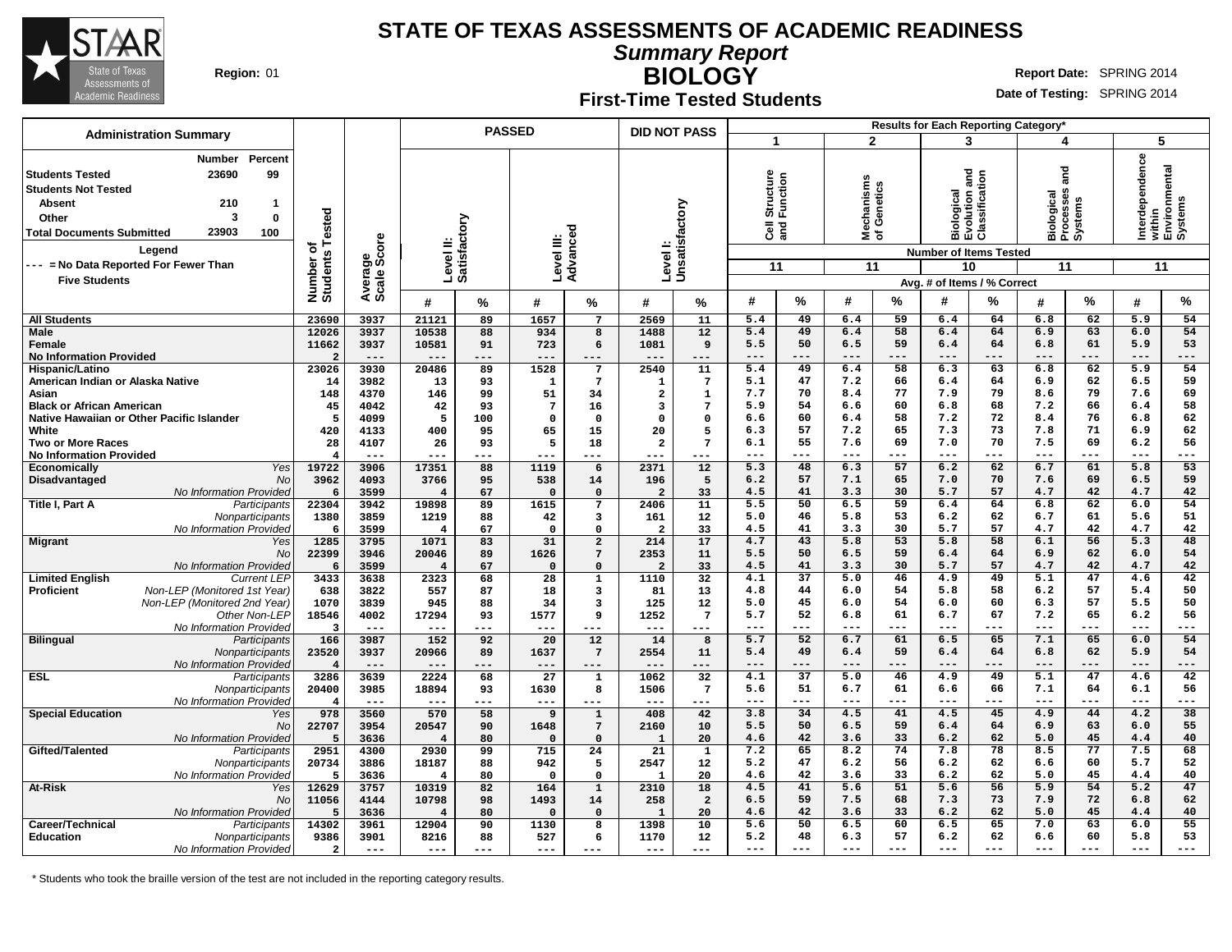

**Summary Report**

**BIOLOGY** Region: 01 **Region:** 01 **Report** Date: SPRING 2014

#### **First-Time Tested Students**

**Date of Testing:** SPRING 2014

|                                                                                                                                                                                                                                                                               |                                          |                                   |                         |                           | <b>PASSED</b>          |                         | <b>DID NOT PASS</b>     |                 |                |                             |                                 |             |                | Results for Each Reporting Category*                                                                                          |                       |                                    |                                                             |           |
|-------------------------------------------------------------------------------------------------------------------------------------------------------------------------------------------------------------------------------------------------------------------------------|------------------------------------------|-----------------------------------|-------------------------|---------------------------|------------------------|-------------------------|-------------------------|-----------------|----------------|-----------------------------|---------------------------------|-------------|----------------|-------------------------------------------------------------------------------------------------------------------------------|-----------------------|------------------------------------|-------------------------------------------------------------|-----------|
| <b>Administration Summary</b>                                                                                                                                                                                                                                                 |                                          |                                   |                         |                           |                        |                         |                         |                 |                | $\mathbf{1}$                | $\overline{2}$                  |             |                | 3                                                                                                                             | 4                     |                                    | 5                                                           |           |
| Percent<br>Number<br>23690<br>99<br>  Students Tested<br><b>Students Not Tested</b><br>210<br><b>Absent</b><br>$\mathbf{1}$<br>3<br>0<br>Other<br>23903<br>100<br><b>Total Documents Submitted</b><br>Legend<br>--- = No Data Reported For Fewer Than<br><b>Five Students</b> | ested<br>۴<br>৳<br>Number of<br>Students | ge<br>Score<br>Average<br>Scale S |                         | Level II:<br>Satisfactory | Level III:<br>Advanceo |                         | Level I:                | Unsatisfactory  | $\overline{3}$ | Structure<br>Function<br>11 | Mechanisms<br>of Genetics<br>11 |             |                | ត<br>ត<br>Biological<br>Evolution and<br>Classification<br><b>Number of Items Tested</b><br>10<br>Avg. # of Items / % Correct | <b>Pue</b><br>ഗ<br>11 | Biological<br>Processes<br>Systems | Interdependence<br>within<br>Environmental<br>Systems<br>11 |           |
|                                                                                                                                                                                                                                                                               |                                          |                                   | #                       | %                         | #                      | %                       | #                       | %               | #              | %                           | #                               | %           | #              | %                                                                                                                             | #                     | %                                  | #                                                           | $\%$      |
| <b>All Students</b>                                                                                                                                                                                                                                                           | 23690                                    | 3937                              | 21121                   | 89                        | 1657                   | $\overline{7}$          | 2569                    | 11              | 5.4            | 49                          | 6.4                             | 59          | 6.4            | 64                                                                                                                            | 6.8                   | 62                                 | 5.9                                                         | 54        |
| <b>Male</b>                                                                                                                                                                                                                                                                   | 12026                                    | 3937                              | 10538                   | 88                        | 934                    | $\overline{\mathbf{8}}$ | 1488                    | 12              | 5.4            | 49                          | 6.4                             | 58          | 6.4            | 64                                                                                                                            | 6.9                   | 63                                 | 6.0                                                         | 54        |
| Female                                                                                                                                                                                                                                                                        | 11662                                    | 3937                              | 10581                   | 91                        | 723                    | 6                       | 1081                    | 9               | 5.5            | 50                          | 6.5                             | 59          | 6.4            | 64                                                                                                                            | 6.8                   | 61                                 | 5.9                                                         | 53        |
| <b>No Information Provided</b>                                                                                                                                                                                                                                                | $\overline{2}$                           | $---$                             | $---$                   | ---                       | $---$                  | ---                     | $---$                   | ---             | $---$          | $---$                       | $---$                           | $---$       | $---$          | $---$                                                                                                                         | $---$                 | $---$                              | $---$                                                       | ---       |
| Hispanic/Latino                                                                                                                                                                                                                                                               | 23026                                    | 3930                              | 20486                   | 89                        | 1528                   | $\overline{7}$          | 2540                    | 11              | 5.4            | 49                          | 6.4                             | 58          | 6.3            | 63                                                                                                                            | 6.8                   | 62                                 | 5.9                                                         | 54        |
| American Indian or Alaska Native                                                                                                                                                                                                                                              | 14                                       | 3982                              | 13                      | 93                        | 1                      | $\overline{7}$          | 1                       | $\overline{7}$  | 5.1            | 47                          | 7.2                             | 66          | 6.4            | 64                                                                                                                            | 6.9                   | 62                                 | 6.5                                                         | 59        |
| Asian                                                                                                                                                                                                                                                                         | 148                                      | 4370                              | 146                     | 99                        | 51                     | 34                      | $\overline{\mathbf{2}}$ | $\mathbf{1}$    | 7.7            | 70                          | 8.4                             | 77          | 7.9            | 79                                                                                                                            | 8.6                   | 79                                 | 7.6                                                         | 69        |
| <b>Black or African American</b>                                                                                                                                                                                                                                              | 45                                       | 4042                              | 42                      | 93                        | $7\phantom{.0}$        | 16                      | 3                       | $7\phantom{.0}$ | 5.9            | 54                          | 6.6                             | 60          | 6.8            | 68                                                                                                                            | 7.2                   | 66                                 | 6.4                                                         | 58        |
| Native Hawaiian or Other Pacific Islander                                                                                                                                                                                                                                     | 5                                        | 4099                              | 5                       | 100                       | $\Omega$               | $\mathbf 0$             | $\mathbf 0$             | $\mathbf 0$     | 6.6            | 60                          | 6.4                             | 58          | 7.2            | 72                                                                                                                            | 8.4                   | 76                                 | 6.8                                                         | 62        |
| White                                                                                                                                                                                                                                                                         | 420                                      | 4133                              | 400                     | 95                        | 65                     | 15                      | 20                      | 5               | 6.3            | 57                          | 7.2                             | 65          | 7.3            | 73                                                                                                                            | 7.8                   | 71                                 | 6.9                                                         | 62        |
| <b>Two or More Races</b>                                                                                                                                                                                                                                                      | 28                                       | 4107                              | 26<br>---               | 93                        | 5                      | 18                      | $\overline{a}$          | 7               | 6.1<br>$- - -$ | 55<br>---                   | 7.6<br>$---$                    | 69<br>$---$ | 7.0<br>$- - -$ | 70<br>$- - -$                                                                                                                 | 7.5<br>$---$          | 69<br>$- - -$                      | 6.2<br>$---$                                                | 56<br>--- |
| <b>No Information Provided</b>                                                                                                                                                                                                                                                | $\overline{\mathbf{4}}$<br>19722         | $- - -$                           | 17351                   | ---                       | $- - -$                | ---<br>6                | $- - -$<br>2371         | ---             | 5.3            | 48                          |                                 | 57          | 6.2            | 62                                                                                                                            | 6.7                   | 61                                 | 5.8                                                         | 53        |
| Yes<br>Economically<br><b>No</b>                                                                                                                                                                                                                                              | 3962                                     | 3906<br>4093                      | 3766                    | 88<br>95                  | 1119<br>538            |                         | 196                     | 12<br>5         | 6.2            | 57                          | 6.3<br>7.1                      | 65          | 7.0            | 70                                                                                                                            | 7.6                   | 69                                 | 6.5                                                         | 59        |
| Disadvantaged<br>No Information Provided                                                                                                                                                                                                                                      | - 6                                      | 3599                              | $\overline{\mathbf{4}}$ | 67                        | $\Omega$               | 14<br>$\mathbf 0$       | $\overline{2}$          | 33              | 4.5            | 41                          | 3.3                             | 30          | 5.7            | 57                                                                                                                            | 4.7                   | 42                                 | 4.7                                                         | 42        |
| Title I, Part A<br>Participants                                                                                                                                                                                                                                               | 22304                                    | 3942                              | 19898                   | 89                        | 1615                   | $7\phantom{.0}$         | 2406                    | 11              | 5.5            | 50                          | 6.5                             | 59          | 6.4            | 64                                                                                                                            | 6.8                   | 62                                 | 6.0                                                         | 54        |
| Nonparticipants                                                                                                                                                                                                                                                               | 1380                                     | 3859                              | 1219                    | 88                        | 42                     | 3                       | 161                     | 12              | 5.0            | 46                          | 5.8                             | 53          | 6.2            | 62                                                                                                                            | 6.7                   | 61                                 | 5.6                                                         | 51        |
| No Information Provided                                                                                                                                                                                                                                                       | 6                                        | 3599                              | $\overline{\mathbf{4}}$ | 67                        | $\mathbf 0$            | $\mathbf 0$             | $\overline{2}$          | 33              | 4.5            | 41                          | 3.3                             | 30          | 5.7            | 57                                                                                                                            | 4.7                   | 42                                 | 4.7                                                         | 42        |
| <b>Migrant</b><br>Yes                                                                                                                                                                                                                                                         | 1285                                     | 3795                              | 1071                    | 83                        | 31                     | $\overline{a}$          | 214                     | 17              | 4.7            | 43                          | 5.8                             | 53          | 5.8            | 58                                                                                                                            | 6.1                   | 56                                 | 5.3                                                         | 48        |
| <b>No</b>                                                                                                                                                                                                                                                                     | 22399                                    | 3946                              | 20046                   | 89                        | 1626                   | $7\phantom{.0}$         | 2353                    | 11              | 5.5            | 50                          | 6.5                             | 59          | 6.4            | 64                                                                                                                            | 6.9                   | 62                                 | 6.0                                                         | 54        |
| No Information Provided                                                                                                                                                                                                                                                       | 6                                        | 3599                              | $\overline{4}$          | 67                        | $\Omega$               | $\Omega$                | $\overline{a}$          | 33              | 4.5            | 41                          | 3.3                             | 30          | 5.7            | 57                                                                                                                            | 4.7                   | 42                                 | 4.7                                                         | 42        |
| <b>Limited English</b><br><b>Current LEP</b>                                                                                                                                                                                                                                  | 3433                                     | 3638                              | 2323                    | 68                        | 28                     | $\bar{1}$               | 1110                    | 32              | 4.1            | 37                          | 5.0                             | 46          | 4.9            | 49                                                                                                                            | 5.1                   | 47                                 | 4.6                                                         | 42        |
| Non-LEP (Monitored 1st Year)<br><b>Proficient</b>                                                                                                                                                                                                                             | 638                                      | 3822                              | 557                     | 87                        | 18                     | 3                       | 81                      | 13              | 4.8            | 44                          | 6.0                             | 54          | 5.8            | 58                                                                                                                            | 6.2                   | 57                                 | 5.4                                                         | 50        |
| Non-LEP (Monitored 2nd Year)                                                                                                                                                                                                                                                  | 1070                                     | 3839                              | 945                     | 88                        | 34                     | $\overline{\mathbf{3}}$ | 125                     | 12              | 5.0            | 45                          | 6.0                             | 54          | 6.0            | 60                                                                                                                            | 6.3                   | 57                                 | 5.5                                                         | 50        |
| Other Non-LEP                                                                                                                                                                                                                                                                 | 18546                                    | 4002                              | 17294                   | 93                        | 1577                   | 9                       | 1252                    | $7\phantom{.0}$ | 5.7            | 52                          | 6.8                             | 61          | 6.7            | 67                                                                                                                            | 7.2                   | 65                                 | 6.2                                                         | 56        |
| No Information Provided                                                                                                                                                                                                                                                       | -3                                       | $---$                             | $---$                   | ---                       | $---$                  | ---                     | $---$                   | $---$           | $---$          | ---                         | ---                             | $---$       | ---            | $---$                                                                                                                         | $---$                 | $- - -$                            | $---$                                                       | ---       |
| <b>Bilingual</b><br>Participants                                                                                                                                                                                                                                              | 166                                      | 3987                              | 152                     | 92                        | 20                     | 12                      | 14                      | 8               | 5.7            | 52                          | 6.7                             | 61          | 6.5            | 65                                                                                                                            | 7.1                   | 65                                 | 6.0                                                         | 54        |
| Nonparticipants                                                                                                                                                                                                                                                               | 23520                                    | 3937                              | 20966                   | 89                        | 1637                   | $7\phantom{.0}$         | 2554                    | 11              | 5.4            | 49                          | 6.4                             | 59          | 6.4            | 64                                                                                                                            | 6.8                   | 62                                 | 5.9                                                         | 54        |
| No Information Provideo                                                                                                                                                                                                                                                       | $\overline{\mathbf{4}}$                  | $---$                             | $---$                   | ---                       | $---$                  | ---                     | $---$                   | ---             | $---$          | ---                         | $--$                            | $---$       | ---            | $---$                                                                                                                         | $---$                 | ---                                | $---$                                                       | ---       |
| <b>ESL</b><br>Participants                                                                                                                                                                                                                                                    | 3286                                     | 3639                              | 2224                    | 68                        | 27                     | $\mathbf{1}$            | 1062                    | 32              | 4.1            | $\overline{37}$             | 5.0                             | 46          | 4.9            | 49                                                                                                                            | 5.1                   | 47                                 | 4.6                                                         | 42        |
| Nonparticipants                                                                                                                                                                                                                                                               | 20400                                    | 3985                              | 18894                   | 93                        | 1630                   | 8                       | 1506                    | $7\phantom{.0}$ | 5.6            | 51                          | 6.7                             | 61          | 6.6            | 66                                                                                                                            | 7.1                   | 64                                 | 6.1                                                         | 56        |
| No Information Provideo                                                                                                                                                                                                                                                       | $\boldsymbol{\Delta}$                    | $---$                             | $---$                   | ---                       | $- - -$                | ---                     | $---$                   | ---             |                | ---                         | ---                             | $- - -$     |                |                                                                                                                               |                       |                                    |                                                             | ---       |
| <b>Special Education</b><br>Yes                                                                                                                                                                                                                                               | 978                                      | 3560                              | 570                     | 58                        | 9                      | $\mathbf{1}$            | 408                     | 42              | 3.8            | 34                          | 4.5                             | 41          | 4.5            | 45                                                                                                                            | 4.9                   | 44                                 | 4.2                                                         | 38        |
| <b>No</b>                                                                                                                                                                                                                                                                     | 22707                                    | 3954                              | 20547                   | 90                        | 1648                   | $\overline{7}$          | 2160                    | 10              | 5.5            | 50                          | 6.5                             | 59          | 6.4            | 64                                                                                                                            | 6.9                   | 63                                 | 6.0                                                         | 55        |
| No Information Provideo                                                                                                                                                                                                                                                       | .5                                       | 3636                              | $\overline{4}$          | 80                        | $\Omega$               | $\Omega$                | $\overline{1}$          | 20              | 4.6            | 42                          | 3.6                             | 33          | 6.2            | 62                                                                                                                            | 5.0                   | 45                                 | 4.4                                                         | 40        |
| Gifted/Talented<br>Participants                                                                                                                                                                                                                                               | 2951                                     | 4300                              | 2930                    | 99                        | 715                    | 24                      | 21                      | $\mathbf{1}$    | 7.2            | 65                          | 8.2                             | 74          | 7.8            | 78                                                                                                                            | 8.5                   | 77                                 | 7.5                                                         | 68        |
| Nonparticipants                                                                                                                                                                                                                                                               | 20734                                    | 3886                              | 18187                   | 88                        | 942                    | 5                       | 2547                    | 12              | 5.2            | 47                          | 6.2                             | 56          | 6.2            | 62                                                                                                                            | 6.6                   | 60                                 | 5.7                                                         | 52        |
| No Information Provided                                                                                                                                                                                                                                                       | -5                                       | 3636                              | $\overline{\mathbf{4}}$ | 80                        | $\Omega$               | $\Omega$                | 1                       | 20              | 4.6            | 42                          | 3.6                             | 33          | 6.2            | 62                                                                                                                            | 5.0                   | 45                                 | 4.4                                                         | 40        |
| At-Risk<br>Yes                                                                                                                                                                                                                                                                | 12629                                    | 3757                              | 10319                   | 82                        | 164                    | $\mathbf{1}$            | 2310                    | 18              | 4.5            | 41                          | 5.6                             | 51          | 5.6            | 56                                                                                                                            | 5.9                   | 54                                 | $\overline{5.2}$                                            | 47        |
| No                                                                                                                                                                                                                                                                            | 11056                                    | 4144                              | 10798                   | 98                        | 1493                   | 14                      | 258                     | $\overline{a}$  | 6.5            | 59<br>42                    | 7.5                             | 68<br>33    | 7.3            | 73                                                                                                                            | 7.9                   | 72<br>45                           | 6.8                                                         | 62        |
| No Information Provideo                                                                                                                                                                                                                                                       | 5                                        | 3636                              | $\overline{\mathbf{4}}$ | 80                        | $\Omega$               | $^{\circ}$              | $\mathbf{1}$            | 20              | 4.6            |                             | 3.6                             |             | 6.2            | 62                                                                                                                            | 5.0                   |                                    | 4.4                                                         | 40        |
| Career/Technical<br>Participants                                                                                                                                                                                                                                              | 14302                                    | 3961                              | 12904                   | 90                        | 1130                   | 8                       | 1398                    | 10              | 5.6            | 50                          | 6.5                             | 60          | 6.5            | 65                                                                                                                            | 7.0                   | 63                                 | 6.0                                                         | 55        |
| <b>Education</b><br>Nonparticipants                                                                                                                                                                                                                                           | 9386                                     | 3901                              | 8216                    | 88                        | 527                    | 6                       | 1170                    | 12              | 5.2<br>$- - -$ | 48<br>---                   | 6.3<br>$---$                    | 57<br>$---$ | 6.2<br>---     | 62<br>$---$                                                                                                                   | 6.6<br>$---$          | 60<br>$---$                        | 5.8<br>$---$                                                | 53<br>--- |
| No Information Provided                                                                                                                                                                                                                                                       | $\overline{2}$                           | $- -$                             | $---$                   | ---                       | ---                    | ---                     | $---$                   | ---             |                |                             |                                 |             |                |                                                                                                                               |                       |                                    |                                                             |           |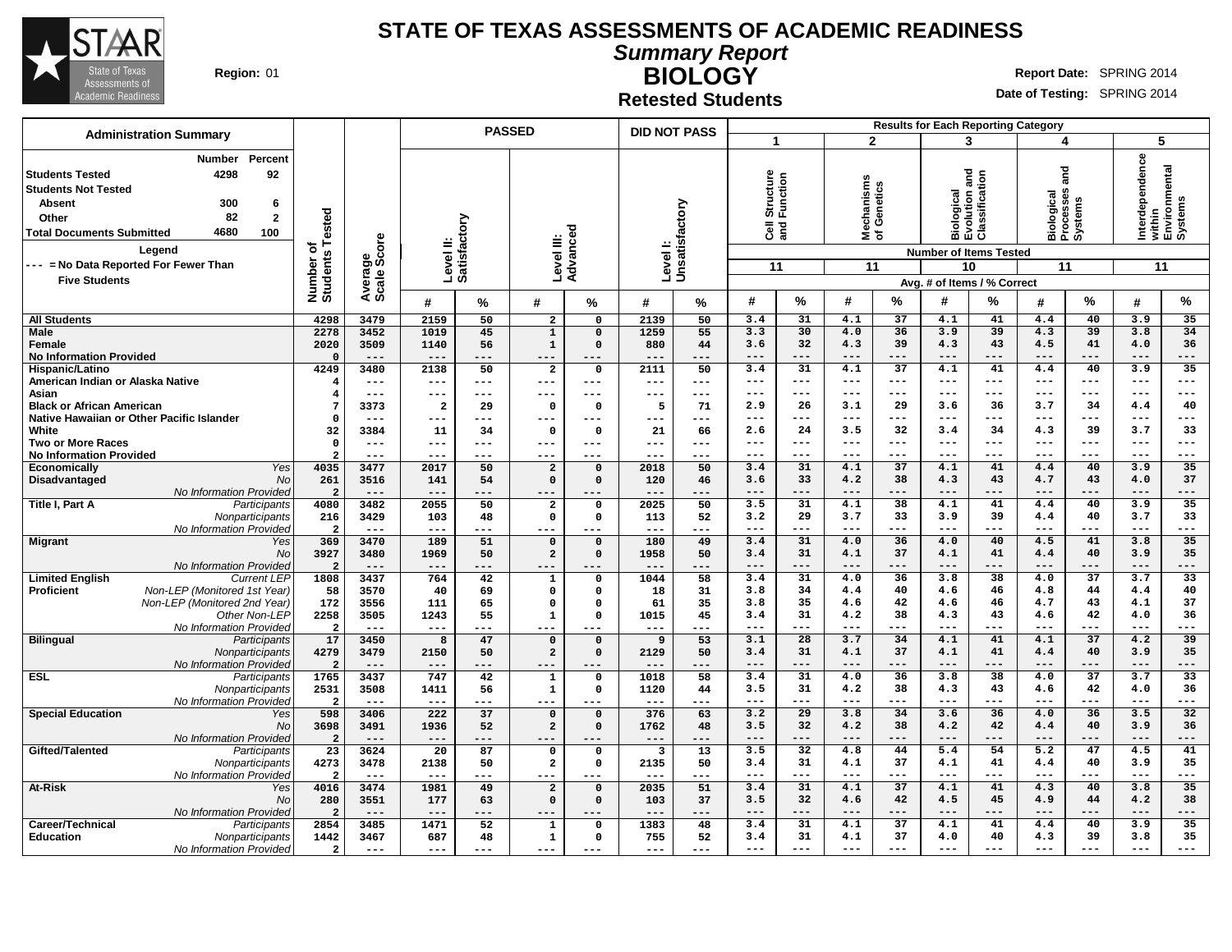

**Summary Report BIOLOGY**

**Region:** 01 **RIGHT REPORT REPORT REPORT OF REPORT OF REPORT OF REPORT OF REPORT OF REPORT OF REPORT OF REPORT OF REPORT OF REPORT OF REPORT OF REPORT OF REPORT OF REPORT OF REPORT OF REPORT OF REPORT OF REPORT OF REPORT O** 

**Date of Testing:** SPRING 2014

**Retested Students**

|                                                                                                                                                                                                                                                                                            |                                 |                         |                         |           | <b>PASSED</b>                    |                      | <b>DID NOT PASS</b>       |             |                                               |                        |                                      |                        |                                                        | <b>Results for Each Reporting Category</b>                         |                                                 |                        |                                                             |                        |
|--------------------------------------------------------------------------------------------------------------------------------------------------------------------------------------------------------------------------------------------------------------------------------------------|---------------------------------|-------------------------|-------------------------|-----------|----------------------------------|----------------------|---------------------------|-------------|-----------------------------------------------|------------------------|--------------------------------------|------------------------|--------------------------------------------------------|--------------------------------------------------------------------|-------------------------------------------------|------------------------|-------------------------------------------------------------|------------------------|
| <b>Administration Summary</b>                                                                                                                                                                                                                                                              |                                 |                         |                         |           |                                  |                      |                           |             | $\overline{\mathbf{1}}$                       |                        | $\overline{2}$                       |                        |                                                        | 3                                                                  | 4                                               |                        | 5                                                           |                        |
| Percent<br><b>Number</b><br>4298<br>92<br><b>Students Tested</b><br><b>Students Not Tested</b><br>300<br>6<br><b>Absent</b><br>82<br>$\overline{2}$<br>Other<br>4680<br>100<br><b>Total Documents Submitted</b><br>Legend<br>--- = No Data Reported For Fewer Than<br><b>Five Students</b> | Number of<br>Students Tested    | ge<br>Score<br>Average: | Level II:<br>Satisfac   | actory    | Level III:                       | Advanced             | Levell:<br>Unsatisfactory |             | Structure<br>Function<br>$\overline{8}$<br>11 |                        | echanisms<br>f Genetics<br>≊້⊼<br>11 |                        | <b>Biological<br/>Evolution and<br/>Classification</b> | <b>Number of Items Tested</b><br>10<br>Avg. # of Items / % Correct | and<br>Biological<br>Processes<br>Systems<br>11 |                        | Interdependence<br>within<br>Environmental<br>Systems<br>11 |                        |
|                                                                                                                                                                                                                                                                                            |                                 |                         | #                       | %         | #                                | %                    | #                         | %           | #                                             | %                      | #                                    | $\%$                   | #                                                      | %                                                                  | #                                               | %                      | #                                                           | %                      |
| <b>All Students</b>                                                                                                                                                                                                                                                                        | 4298                            | 3479                    | 2159                    | 50        | $\overline{2}$                   | 0                    | 2139                      | 50          | 3.4                                           | 31                     | 4.1                                  | 37                     | 4.1                                                    | 41                                                                 | 4.4                                             | 40                     | 3.9                                                         | 35                     |
| Male                                                                                                                                                                                                                                                                                       | 2278                            | 3452                    | 1019                    | 45        | $\mathbf{1}$                     | $\mathbf 0$          | 1259                      | 55          | 3.3                                           | 30                     | 4.0                                  | 36                     | 3.9                                                    | 39                                                                 | 4.3                                             | 39                     | 3.8                                                         | 34                     |
| <b>Female</b>                                                                                                                                                                                                                                                                              | 2020                            | 3509                    | 1140                    | 56        | $\mathbf{1}$                     | $\mathbf 0$          | 880                       | 44          | 3.6                                           | 32                     | 4.3                                  | 39                     | 4.3                                                    | 43                                                                 | 4.5                                             | 41                     | 4.0                                                         | 36                     |
| <b>No Information Provided</b>                                                                                                                                                                                                                                                             | $\Omega$                        | $---$                   | $---$                   | ---       | $---$                            | ---                  | ---                       | ---         | $---$                                         | ---                    | $---$                                | ---                    | $-- -$                                                 | ---                                                                | $---$                                           | ---                    | $---$                                                       | ---                    |
| Hispanic/Latino                                                                                                                                                                                                                                                                            | 4249                            | 3480                    | 2138                    | 50        | $\overline{\mathbf{2}}$          | 0                    | 2111                      | 50          | 3.4                                           | 31                     | 4.1                                  | $\overline{37}$        | 4.1                                                    | 41                                                                 | 4.4                                             | 40                     | 3.9                                                         | 35                     |
| American Indian or Alaska Native                                                                                                                                                                                                                                                           | 4                               | $---$                   | $---$                   | ---       | $---$                            | ---                  | $---$                     | $---$       | $---$                                         | $---$                  | $---$                                | $---$                  | $---$                                                  | $---$                                                              | $---$                                           | $---$                  | $---$                                                       | ---                    |
| Asian                                                                                                                                                                                                                                                                                      | 4                               | ---                     | $---$                   | ---       | $---$                            | ---                  | ---                       | $---$       | $---$                                         | ---                    | $- - -$                              | $- - -$                | $- - -$                                                | ---                                                                | $---$                                           | $---$                  | $---$                                                       | ---                    |
| <b>Black or African American</b>                                                                                                                                                                                                                                                           | 7                               | 3373                    | $\overline{\mathbf{2}}$ | 29        | $\Omega$                         | 0                    | 5                         | 71          | 2.9                                           | 26                     | 3.1                                  | 29                     | 3.6                                                    | 36                                                                 | 3.7                                             | 34                     | 4.4                                                         | 40                     |
| Native Hawaiian or Other Pacific Islander                                                                                                                                                                                                                                                  | $\Omega$                        | $---$                   | ---                     | ---       | $\qquad \qquad - -$              | ---                  | ---                       | $---$       | $- - -$                                       | ---                    | $---$                                | ---                    | $---$                                                  | ---                                                                | $---$                                           | ---                    | $---$                                                       | ---                    |
| White                                                                                                                                                                                                                                                                                      | 32                              | 3384                    | 11                      | 34        | $\mathbf 0$                      | 0                    | 21                        | 66          | 2.6                                           | 24                     | 3.5                                  | 32                     | 3.4                                                    | 34                                                                 | 4.3                                             | 39                     | 3.7                                                         | 33                     |
| <b>Two or More Races</b>                                                                                                                                                                                                                                                                   | $\mathbf 0$                     | $---$                   | $---$                   | ---       | $---$                            | ---                  | ---                       | $--$        | $---$                                         | $---$                  | $---$                                | $---$                  | $- - -$                                                | $---$                                                              | $---$                                           | $---$                  | $---$                                                       | ---                    |
| <b>No Information Provided</b>                                                                                                                                                                                                                                                             |                                 | ---                     | $--$                    | ---       | $--$                             | ---                  | ---                       | ---         | $---$                                         | ---                    | $- - -$                              | ---                    | $- - -$                                                | ---                                                                | $---$                                           | ---                    | $---$                                                       | ---                    |
| Yes<br><b>Economically</b>                                                                                                                                                                                                                                                                 | 4035                            | 3477                    | 2017                    | 50        | $\overline{a}$                   | $\Omega$             | 2018                      | 50          | 3.4                                           | 31                     | 4.1                                  | $\overline{37}$        | 4.1                                                    | 41                                                                 | 4.4                                             | 40                     | 3.9                                                         | 35                     |
| Disadvantaged<br>No                                                                                                                                                                                                                                                                        | 261                             | 3516                    | 141                     | 54        | $\mathbf 0$                      | $\Omega$             | 120                       | 46          | 3.6                                           | 33                     | 4.2                                  | 38                     | 4.3                                                    | 43                                                                 | 4.7                                             | 43                     | 4.0                                                         | 37                     |
| No Information Provided                                                                                                                                                                                                                                                                    | $\overline{2}$                  | $---$                   | $---$                   | ---       | ---                              |                      | ---                       | ---         | $- - -$                                       | ---                    | $- - -$                              | ---                    | $- - -$                                                | ---                                                                | $- - -$                                         | ---                    | $- - -$                                                     | ---                    |
| Title I, Part A<br>Participants                                                                                                                                                                                                                                                            | 4080                            | 3482                    | 2055                    | 50        | $\overline{a}$                   | $\Omega$             | 2025                      | 50          | 3.5                                           | 31                     | 4.1                                  | 38                     | 4.1                                                    | 41                                                                 | 4.4                                             | 40                     | 3.9                                                         | 35                     |
| Nonparticipants                                                                                                                                                                                                                                                                            | 216                             | 3429                    | 103                     | 48        | $\mathbf 0$                      | $\mathbf 0$          | 113                       | 52          | 3.2                                           | 29                     | 3.7                                  | 33                     | 3.9                                                    | 39                                                                 | 4.4                                             | 40                     | 3.7                                                         | 33                     |
| No Information Provided                                                                                                                                                                                                                                                                    | $\overline{a}$                  | $---$                   | $---$                   | ---       | $---$                            | ---                  | $---$                     | ---         | $---$                                         | $---$                  | $---$                                | $---$                  | $- - -$                                                | ---                                                                | $---$                                           | ---                    | $---$                                                       | ---                    |
| <b>Migrant</b><br>Yes                                                                                                                                                                                                                                                                      | 369                             | 3470                    | 189                     | 51        | $\mathbf 0$                      | $\Omega$             | 180                       | 49          | 3.4                                           | 31                     | 4.0                                  | 36                     | 4.0                                                    | 40                                                                 | 4.5                                             | 41                     | 3.8                                                         | 35                     |
| No                                                                                                                                                                                                                                                                                         | 3927                            | 3480                    | 1969                    | 50        | $\overline{a}$                   | $\Omega$             | 1958                      | 50          | 3.4                                           | 31                     | 4.1                                  | 37                     | 4.1                                                    | 41                                                                 | 4.4                                             | 40                     | 3.9                                                         | 35                     |
| No Information Provided                                                                                                                                                                                                                                                                    | $\overline{a}$                  | $---$                   | $---$                   | ---       | $---$                            |                      | $---$                     | $---$       | $---$                                         | $---$                  | $---$                                | ---                    | $---$                                                  | ---                                                                | $---$                                           | ---                    | $---$                                                       | ---                    |
| <b>Limited English</b><br><b>Current LEP</b>                                                                                                                                                                                                                                               | 1808                            | 3437                    | 764                     | 42        | $\mathbf{1}$                     | $\Omega$             | 1044                      | 58          | 3.4                                           | 31                     | 4.0                                  | 36                     | 3.8                                                    | 38                                                                 | 4.0                                             | $\overline{37}$        | 3.7                                                         | $\overline{33}$        |
| Non-LEP (Monitored 1st Year)<br><b>Proficient</b>                                                                                                                                                                                                                                          | 58                              | 3570                    | 40                      | 69        | $\mathbf 0$                      | 0                    | 18                        | 31          | 3.8                                           | 34                     | 4.4                                  | 40                     | 4.6                                                    | 46                                                                 | 4.8                                             | 44                     | 4.4                                                         | 40                     |
| Non-LEP (Monitored 2nd Year)                                                                                                                                                                                                                                                               | 172                             | 3556                    | 111                     | 65        | $\mathbf 0$                      | $\Omega$             | 61                        | 35          | 3.8                                           | 35                     | 4.6                                  | 42                     | 4.6                                                    | 46                                                                 | 4.7                                             | 43                     | 4.1                                                         | 37                     |
| Other Non-LEP                                                                                                                                                                                                                                                                              | 2258                            | 3505                    | 1243                    | 55        | $\mathbf{1}$                     | $\Omega$             | 1015                      | 45          | 3.4                                           | 31                     | 4.2                                  | 38                     | 4.3                                                    | 43                                                                 | 4.6                                             | 42                     | 4.0                                                         | 36                     |
| No Information Provided                                                                                                                                                                                                                                                                    | $\overline{a}$                  | $---$                   | $---$                   | ---       | ---                              | ---                  | $---$                     | ---         | $\qquad \qquad -$                             | $---$                  | $\qquad \qquad - -$                  | $---$                  | $  -$                                                  | ---                                                                | $\frac{1}{2}$                                   | ---                    | $\frac{1}{2}$                                               | ---                    |
| <b>Bilingual</b><br>Participants                                                                                                                                                                                                                                                           | 17                              | 3450                    | 8                       | 47        | $\mathbf 0$                      | $\Omega$             | 9                         | 53          | 3.1                                           | 28                     | 3.7                                  | 34                     | 4.1                                                    | 41                                                                 | 4.1                                             | 37                     | 4.2                                                         | 39                     |
| Nonparticipants                                                                                                                                                                                                                                                                            | 4279                            | 3479                    | 2150                    | 50        | $\overline{a}$                   | $\Omega$             | 2129                      | 50          | 3.4                                           | 31                     | 4.1                                  | 37                     | 4.1                                                    | 41                                                                 | 4.4                                             | 40                     | 3.9                                                         | 35                     |
| No Information Provided                                                                                                                                                                                                                                                                    | $\overline{a}$                  | $---$                   | $---$                   | ---       | ---                              | $\Omega$             | $- - -$                   | ---         | $---$                                         | ---<br>$\overline{31}$ | $---$                                | ---<br>$\overline{36}$ | $---$<br>3.8                                           | ---<br>$\overline{38}$                                             | $---$                                           | ---<br>$\overline{37}$ | $---$<br>3.7                                                | ---<br>$\overline{33}$ |
| <b>ESL</b><br>Participants                                                                                                                                                                                                                                                                 | 1765                            | 3437                    | 747                     | 42        | $\mathbf{1}$                     |                      | 1018                      | 58          | 3.4                                           |                        | 4.0                                  |                        |                                                        |                                                                    | 4.0                                             |                        |                                                             |                        |
| Nonparticipants                                                                                                                                                                                                                                                                            | 2531<br>$\overline{2}$          | 3508<br>$---$           | 1411<br>$---$           | 56<br>--- | $\mathbf{1}$                     | $\Omega$             | 1120<br>$---$             | 44<br>$---$ | 3.5<br>$\frac{1}{2}$                          | 31<br>---              | 4.2<br>$---$                         | 38<br>---              | 4.3<br>$---$                                           | 43<br>---                                                          | 4.6<br>$---$                                    | 42<br>---              | 4.0<br>$---$                                                | 36<br>---              |
| No Information Provided                                                                                                                                                                                                                                                                    |                                 |                         |                         |           | $---$                            | ---                  |                           |             | 3.2                                           | 29                     | 3.8                                  | 34                     | 3.6                                                    | 36                                                                 | 4.0                                             | $\overline{36}$        | 3.5                                                         | 32                     |
| <b>Special Education</b><br>Yes<br><b>No</b>                                                                                                                                                                                                                                               | 598<br>3698                     | 3406<br>3491            | 222<br>1936             | 37<br>52  | $\mathbf 0$<br>$\overline{a}$    | $\Omega$<br>$\Omega$ | 376<br>1762               | 63<br>48    | 3.5                                           | 32                     | 4.2                                  | 38                     | 4.2                                                    | 42                                                                 | 4.4                                             | 40                     | 3.9                                                         | 36                     |
|                                                                                                                                                                                                                                                                                            |                                 | $---$                   |                         |           |                                  |                      |                           |             | $---$                                         | $---$                  | $---$                                | $---$                  | $---$                                                  | ---                                                                | $---$                                           | ---                    | $---$                                                       | ---                    |
| No Information Provided                                                                                                                                                                                                                                                                    | $\overline{a}$<br>23            |                         | $---$                   | ---       | $---$                            |                      | $---$                     | $---$       | 3.5                                           | 32                     |                                      |                        |                                                        | 54                                                                 |                                                 | 47                     |                                                             |                        |
| Gifted/Talented<br>Participants                                                                                                                                                                                                                                                            |                                 | 3624                    | 20                      | 87        | $\mathbf 0$                      | $\mathbf 0$          | 3                         | 13          | 3.4                                           |                        | 4.8                                  | 44<br>37               | 5.4                                                    |                                                                    | 5.2                                             | 40                     | 4.5<br>3.9                                                  | 41<br>35               |
| Nonparticipants                                                                                                                                                                                                                                                                            | 4273<br>$\overline{\mathbf{2}}$ | 3478<br>$---$           | 2138<br>$- - -$         | 50<br>--- | $\overline{\mathbf{2}}$<br>$---$ | $\mathbf 0$          | 2135<br>$---$             | 50<br>$---$ | $\frac{1}{2}$                                 | 31<br>$---$            | 4.1<br>$---$                         | ---                    | 4.1<br>$---$                                           | 41<br>---                                                          | 4.4<br>$---$                                    | ---                    | $---$                                                       | ---                    |
| No Information Provided                                                                                                                                                                                                                                                                    | 4016                            | 3474                    | 1981                    | 49        |                                  | ---<br>$\mathbf 0$   | 2035                      | 51          | 3.4                                           | $\overline{31}$        | 4.1                                  | $\overline{37}$        | 4.1                                                    | 41                                                                 | 4.3                                             | 40                     | 3.8                                                         | $\overline{35}$        |
| At-Risk<br>Yes                                                                                                                                                                                                                                                                             |                                 |                         |                         |           | $\overline{a}$                   |                      |                           |             | 3.5                                           | 32                     | 4.6                                  | 42                     | 4.5                                                    | 45                                                                 | 4.9                                             | 44                     | 4.2                                                         | 38                     |
| No                                                                                                                                                                                                                                                                                         | 280                             | 3551                    | 177                     | 63        | $\mathbf 0$                      | $\mathbf{0}$         | 103                       | 37          | $--$                                          | ---                    | $--$                                 | ---                    | $--$                                                   | ---                                                                | $---$                                           | ---                    | $---$                                                       | ---                    |
| No Information Provided                                                                                                                                                                                                                                                                    | $\overline{2}$                  | $---$                   | $--$                    | ---       |                                  |                      | $---$                     | ---         |                                               | 31                     |                                      | 37                     | 4.1                                                    | 41                                                                 |                                                 |                        | 3.9                                                         | 35                     |
| Career/Technical<br>Participants                                                                                                                                                                                                                                                           | 2854                            | 3485                    | 1471                    | 52        | $\mathbf{1}$                     | $\Omega$             | 1383                      | 48          | 3.4                                           |                        | 4.1                                  |                        |                                                        |                                                                    | 4.4                                             | 40                     |                                                             |                        |
| <b>Education</b><br>Nonparticipants                                                                                                                                                                                                                                                        | 1442                            | 3467                    | 687                     | 48        | $\mathbf{1}$                     | $\Omega$             | 755                       | 52<br>$---$ | 3.4<br>$\frac{1}{2}$                          | 31<br>$---$            | 4.1<br>$---$                         | 37<br>---              | 4.0<br>$---$                                           | 40<br>---                                                          | 4.3<br>$---$                                    | 39<br>---              | 3.8<br>$---$                                                | 35                     |
| No Information Provided                                                                                                                                                                                                                                                                    | $\overline{a}$                  | $---$                   | $---$                   | ---       | $---$                            | ---                  | $---$                     |             |                                               |                        |                                      |                        |                                                        |                                                                    |                                                 |                        |                                                             |                        |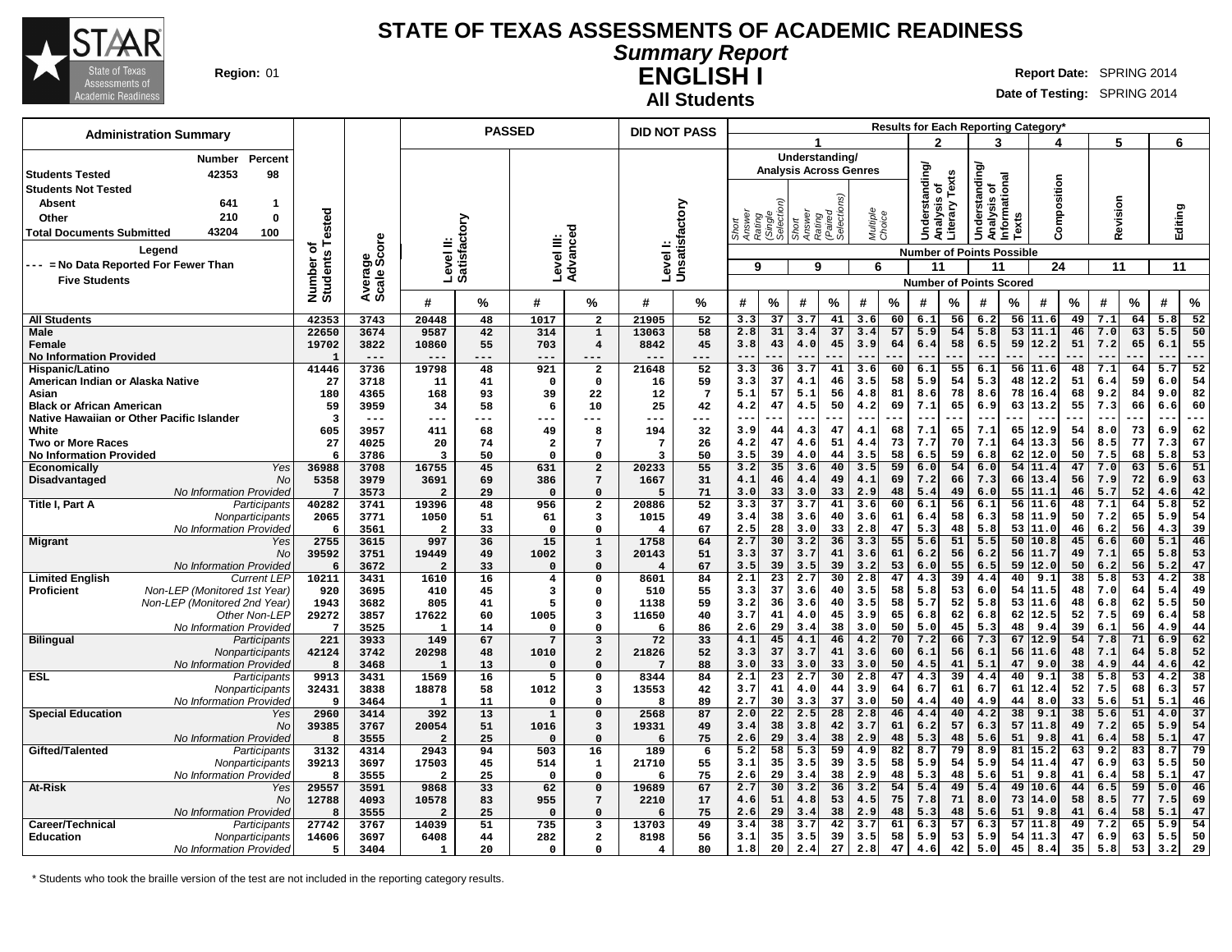

#### **Summary Report ENGLISH I Region:** 01 **Report** Date: SPRING 2014

**Date of Testing:** SPRING 2014

| <b>Administration Summary</b>                     |                      |                        |                           | <b>PASSED</b> |                         |                                  |                         | <b>DID NOT PASS</b> |                  |                    |                           |                               |                    |          |                       |          |                                             |              | <b>Results for Each Reporting Category</b> |          |            |          |             |                 |
|---------------------------------------------------|----------------------|------------------------|---------------------------|---------------|-------------------------|----------------------------------|-------------------------|---------------------|------------------|--------------------|---------------------------|-------------------------------|--------------------|----------|-----------------------|----------|---------------------------------------------|--------------|--------------------------------------------|----------|------------|----------|-------------|-----------------|
|                                                   |                      |                        |                           |               |                         |                                  |                         |                     |                  |                    |                           |                               |                    |          | 2                     |          | 3                                           |              |                                            |          | 5          |          | 6           |                 |
| Number<br>Percent                                 |                      |                        |                           |               |                         |                                  |                         |                     |                  |                    |                           | Understanding/                |                    |          |                       |          |                                             |              |                                            |          |            |          |             |                 |
| 42353<br>98<br><b>Students Tested</b>             |                      |                        |                           |               |                         |                                  |                         |                     |                  |                    |                           | <b>Analysis Across Genres</b> |                    |          | <b>Understanding/</b> | Texts    | derstanding<br>Analysis of<br>Informational |              |                                            |          |            |          |             |                 |
| <b>Students Not Tested</b>                        |                      |                        |                           |               |                         |                                  |                         |                     |                  |                    |                           |                               |                    |          | ō                     |          |                                             |              | Composition                                |          |            |          |             |                 |
| Absent<br>641<br>1                                |                      |                        |                           |               |                         |                                  |                         |                     |                  |                    |                           | (Paired<br>Selections)        |                    |          | alysis                |          |                                             |              |                                            |          | Revision   |          |             |                 |
| 210<br>0<br>Other                                 |                      |                        |                           |               |                         |                                  |                         |                     |                  |                    |                           |                               |                    |          |                       |          |                                             | <b>Texts</b> |                                            |          |            |          |             |                 |
| 43204<br>100<br><b>Total Documents Submitted</b>  | Tested               |                        |                           |               |                         | ъ                                |                         |                     | Answer<br>Rating | (Single<br>Selecti | Answer<br>Rating<br>Short |                               | Multiple<br>Choice |          | ફ                     | Literary | Š                                           |              |                                            |          |            |          | Editing     |                 |
| Legend                                            | ৳                    | Average<br>Scale Score | Level II:<br>Satisfactory |               | Level III:              | Advance                          | Level I:                | Unsatisfactory      |                  |                    |                           |                               |                    |          |                       |          | <b>Number of Points Possible</b>            |              |                                            |          |            |          |             |                 |
| --- = No Data Reported For Fewer Than             | Number o<br>Students |                        |                           |               |                         |                                  |                         |                     | 9                |                    | 9                         |                               | 6                  |          | 11                    |          | 11                                          |              | 24                                         |          | 11         |          | 11          |                 |
| <b>Five Students</b>                              |                      |                        |                           |               |                         |                                  |                         |                     |                  |                    |                           |                               |                    |          |                       |          | <b>Number of Points Scored</b>              |              |                                            |          |            |          |             |                 |
|                                                   |                      |                        |                           |               |                         |                                  |                         |                     |                  |                    |                           |                               |                    |          |                       |          |                                             |              |                                            |          |            |          |             |                 |
|                                                   |                      |                        | #                         | ℅             | #                       | %                                | #                       | %                   | #                | $\%$               | #                         | %                             | #                  | %        | #                     | %        | #                                           | %            | #                                          | $\%$     | #          | %        | #           | $\%$            |
| <b>All Students</b>                               | 42353                | 3743                   | 20448                     | 48            | 1017                    | $\overline{a}$                   | 21905                   | 52                  | 3.3              | 37                 | 3.7                       | 41                            | 3.6                | 60       | 6.1                   | 56       | 6.2                                         |              | 56 11.6                                    | 49       | 7.1        | 64       | 5.8         | $\overline{52}$ |
| <b>Male</b>                                       | 22650                | 3674                   | 9587                      | 42            | 314                     | $\mathbf{1}$                     | 13063                   | 58                  | 2.8              | 31                 | 3.4                       | 37                            | 3.4                | 57       | 5.9                   | 54       | 5.8                                         | 53           | 11.1                                       | 46       | 7.0        | 63       | 5.5         | 50              |
| Female                                            | 19702                | 3822<br>$---$          | 10860<br>$- - -$          | 55<br>$---$   | 703<br>$---$            | $\overline{\mathbf{4}}$          | 8842                    | 45<br>---           | 3.8<br>$- -$     | 43<br>---          | 4.0<br>$- -$              | 45                            | 3.9                | 64       | 6.4<br>$ -$           | 58       | 6.5                                         | 59           | 12.2                                       | 51       | 7.2        | 65       | 6.1<br>$ -$ | 55<br>---       |
| <b>No Information Provided</b><br>Hispanic/Latino | -1<br>41446          | 3736                   | 19798                     | 48            | 921                     | $---$<br>$\overline{\mathbf{2}}$ | 21648                   | 52                  | 3.3              | 36                 | 3.7                       | 41                            | 3.6                | 60       | 6.1                   | 55       | $ -$<br>6.1                                 | 56           | 11.6                                       | 48       | 7.1        | 64       | 5.7         | 52              |
| American Indian or Alaska Native                  | 27                   | 3718                   | 11                        | 41            | $\mathbf{o}$            | 0                                | 16                      | 59                  | 3.3              | 37                 | 4.1                       | 46                            | 3.5                | 58       | 5.9                   | 54       | 5.3                                         | 48           | 12.2                                       | 51       | 6.4        | 59       | 6.0         | 54              |
| Asian                                             | 180                  | 4365                   | 168                       | 93            | 39                      | 22                               | 12                      | $\overline{7}$      | 5.1              | 57                 | 5.1                       | 56                            | 4.8                | 81       | 8.6                   | 78       | 8.6                                         | 78           | 16.4                                       | 68       | 9.2        | 84       | 9.0         | 82              |
| <b>Black or African American</b>                  | 59                   | 3959                   | 34                        | 58            | 6                       | 10                               | 25                      | 42                  | 4.2              | 47                 | 4.5                       | 50                            | 4.2                | 69       | 7.1                   | 65       | 6.9                                         | 63           | 13.2                                       | 55       | 7.3        | 66       | 6.6         | 60              |
| Native Hawaiian or Other Pacific Islander         | $\overline{3}$       | $---$                  | ---                       | $--$          | ---                     | ---                              | $---$                   | ---                 | $- -$            | ---                | $--$                      |                               | --                 |          | $- -$                 | .        | $\overline{\phantom{m}}$                    | .            | $- -$                                      | .        | $- -$      |          | $ -$        | $---$           |
| White                                             | 605                  | 3957                   | 411                       | 68            | 49                      | 8                                | 194                     | 32                  | 3.9              | 44                 | 4.3                       | 47                            | 4.1                | 68       | 7.1                   | 65       | 7.1                                         | 65           | 12.9                                       | 54       | 8.0        | 73       | 6.9         | 62              |
| <b>Two or More Races</b>                          | 27                   | 4025                   | 20                        | 74            | $\overline{\mathbf{2}}$ | 7                                | $7\phantom{.0}$         | 26                  | 4.2              | 47                 | 4.6                       | 51                            | 4.4                | 73       | 7.7                   | 70       | 7.1                                         | 64           | 13.3                                       | 56       | 8.5        | 77       | 7.3         | 67              |
| <b>No Information Provided</b><br>Yes             | 6                    | 3786<br>3708           | -3<br>16755               | 50<br>45      | $\Omega$                | $\Omega$<br>$\overline{a}$       | 3<br>20233              | 50<br>55            | 3.5              | 39<br>35           | 4.0<br>3.6                | 44                            | 3.5                | 58<br>59 | 6.5                   | 59<br>54 | 6.8                                         | 62<br>54     | 12.0<br>11.4                               | 50<br>47 | 7.5<br>7.0 | 68<br>63 | 5.8         | 53<br>51        |
| Economically<br>Disadvantaged<br>No               | 36988<br>5358        | 3979                   | 3691                      | 69            | 631<br>386              | 7                                | 1667                    | 31                  | 3.2<br>4.1       | 46                 | 4.4                       | 40<br>49                      | 3.5<br>4.1         | 69       | 6.0<br>7.2            | 66       | 6.0<br>7.3                                  | 66           | 13.4                                       | 56       | 7.9        | 72       | 5.6<br>6.9  | 63              |
| No Information Provided                           | $\overline{7}$       | 3573                   | $\overline{2}$            | 29            | $\mathbf{0}$            | $\Omega$                         | 5                       | 71                  | 3.0              | 33                 | 3.0                       | 33                            | 2.9                | 48       | 5.4                   | 49       | 6.0                                         | 55           | 11.1                                       | 46       | 5.7        | 52       | 4.6         | 42              |
| Title I, Part A<br>Participants                   | 40282                | 3741                   | 19396                     | 48            | 956                     | $\mathbf{2}$                     | 20886                   | 52                  | 3.3              | 37                 | 3.7                       | 41                            | 3.6                | 60       | 6.1                   | 56       | 6.1                                         | 56           | 11.6                                       | 48       | 7.1        | 64       | 5.8         | 52              |
| Nonparticipants                                   | 2065                 | 3771                   | 1050                      | 51            | 61                      | 3                                | 1015                    | 49                  | 3.4              | 38                 | 3.6                       | 40                            | 3.6                | 61       | 6.4                   | 58       | 6.3                                         | 58           | 11.9                                       | 50       | 7.2        | 65       | 5.9         | 54              |
| No Information Provided                           | 6                    | 3561                   | $\overline{\mathbf{2}}$   | 33            | $\mathbf 0$             | $\Omega$                         | $\overline{\bf 4}$      | 67                  | 2.5              | 28                 | 3.0                       | 33                            | 2.8                | 47       | 5.3                   | 48       | 5.8                                         | 53           | 11.0                                       | 46       | 6.2        | 56       | 4.3         | 39              |
| <b>Migrant</b><br>Yes                             | 2755                 | 3615                   | 997                       | 36            | 15                      | $\mathbf{1}$                     | 1758                    | 64                  | 2.7              | 30                 | 3.2                       | 36                            | 3.3                | 55       | 5.6                   | 51       | 5.5                                         |              | 50110.8                                    | 45       | 6.6        | 60       | 5.1         | 46              |
| No<br>No Information Provideo                     | 39592<br>6           | 3751<br>3672           | 19449<br>$\overline{a}$   | 49<br>33      | 1002<br>$\mathbf 0$     | 3<br>$\mathbf 0$                 | 20143<br>$\overline{4}$ | 51<br>67            | 3.3<br>3.5       | 37<br>39           | 3.7<br>3.5                | 41<br>39                      | 3.6<br>3.2         | 61<br>53 | 6.2<br>6.0            | 56<br>55 | 6.2<br>6.5                                  | 56<br>59     | 11.7<br>12.0                               | 49<br>50 | 7.1<br>6.2 | 65<br>56 | 5.8<br>5.2  | 53<br>47        |
| <b>Limited English</b><br><b>Current LEP</b>      | 10211                | 3431                   | 1610                      | 16            | $\overline{\mathbf{4}}$ | $\mathbf 0$                      | 8601                    | 84                  | 2.1              | 23                 | 2.7                       | 30                            | 2.8                | 47       | 4.3                   | 39       | 4.4                                         | 40           | 9.1                                        | 38       | 5.8        | 53       | 4.2         | 38              |
| Proficient<br>Non-LEP (Monitored 1st Year)        | 920                  | 3695                   | 410                       | 45            | 3                       | 0                                | 510                     | 55                  | 3.3              | 37                 | 3.6                       | 40                            | 3.5                | 58       | 5.8                   | 53       | 6.0                                         | 54           | 11.5                                       | 48       | 7.0        | 64       | 5.4         | 49              |
| Non-LEP (Monitored 2nd Year)                      | 1943                 | 3682                   | 805                       | 41            | 5                       | 0                                | 1138                    | 59                  | 3.2              | 36                 | 3.6                       | 40                            | 3.5                | 58       | 5.7                   | 52       | 5.8                                         | 53           | 11.6                                       | 48       | 6.8        | 62       | 5.5         | 50              |
| Other Non-LEP                                     | 29272                | 3857                   | 17622                     | 60            | 1005                    | 3                                | 11650                   | 40                  | 3.7              | 41                 | 4.0                       | 45                            | 3.9                | 65       | 6.8                   | 62       | 6.8                                         | 62           | 12.5                                       | 52       | 7.5        | 69       | 6.4         | 58              |
| No Information Provided                           | $7\phantom{.0}$      | 3525                   | 1                         | 14            | $\mathbf{o}$            | $\Omega$                         | 6                       | 86                  | 2.6              | 29                 | 3.4                       | 38                            | 3.0                | 50       | 5.0                   | 45       | 5.3                                         | 48           | 9.4                                        | 39       | 6.1        | 56       | 4.9         | 44              |
| <b>Bilingual</b><br>Participants                  | 221                  | 3933                   | 149                       | 67            | $7\phantom{1}$          | 3                                | 72                      | 33                  | 4.1              | 45                 | 4.1                       | 46                            | 4.2                | 70       | 7.2                   | 66       | 7.3                                         | 67           | 12.9                                       | 54       | 7.8        | 71       | 6.9         | 62              |
| Nonparticipants<br>No Information Provided        | 42124<br>8           | 3742<br>3468           | 20298<br>$\mathbf{1}$     | 48<br>13      | 1010<br>$\Omega$        | $\mathbf{2}$<br>$\Omega$         | 21826<br>7              | 52<br>88            | 3.3<br>3.0       | 37<br>33           | 3.7<br>3.0                | 41<br>33                      | 3.6<br>3.0         | 60<br>50 | 6.1<br>4.5            | 56<br>41 | 6.1<br>5.1                                  | 56<br>47     | 11.6<br>9.0                                | 48<br>38 | 7.1<br>4.9 | 64<br>44 | 5.8<br>4.6  | 52<br>42        |
| <b>ESL</b><br>Participants                        | 9913                 | 3431                   | 1569                      | 16            | 5                       | $\mathbf 0$                      | 8344                    | 84                  | 2.1              | 23                 | 2.7                       | 30                            | 2.8                | 47       | 4.3                   | 39       | 4.4                                         | 40           | 9.1                                        | 38       | 5.8        | 53       | 4.2         | 38              |
| Nonparticipants                                   | 32431                | 3838                   | 18878                     | 58            | 1012                    | 3                                | 13553                   | 42                  | 3.7              | 41                 | 4.0                       | 44                            | 3.9                | 64       | 6.7                   | 61       | 6.7                                         | 61           | 12.4                                       | 52       | 7.5        | 68       | 6.3         | 57              |
| No Information Provideo                           | 9                    | 3464                   | 1                         | 11            | $\mathbf 0$             | 0                                | 8                       | 89                  | 2.7              | 30                 | 3.3                       | 37                            | 3.0                | 50       | 4.4                   | 40       | 4.9                                         | 44           | 8.0                                        | 33       | 5.6        | 51       | 5.1         | 46              |
| <b>Special Education</b><br>Yes                   | 2960                 | 3414                   | 392                       | 13            | $\mathbf 1$             | $\mathbf 0$                      | 2568                    | 87                  | 2.0              | 22                 | 2.5                       | 28                            | 2.8                | 46       | 4.4                   | 40       | 4.2                                         | 38           | 9.1                                        | 38       | 5.6        | 51       | 4.0         | 37              |
| No                                                | 39385                | 3767                   | 20054                     | 51            | 1016                    | 3                                | 19331                   | 49                  | 3.4              | 38                 | 3.8                       | 42                            | 3.7                | 61       | 6.2                   | 57       | 6.3                                         | 57           | 11.8                                       | 49       | 7.2        | 65       | 5.9         | 54              |
| No Information Provided                           | 8                    | 3555                   | $\overline{a}$            | 25            | $\mathbf 0$             | $\Omega$                         | 6                       | 75                  | 2.6              | 29                 | 3.4                       | 38                            | 2.9                | 48       | 5.3                   | 48       | 5.6                                         | 51           | 9.8                                        | 41       | 6.4        | 58       | 5.1         | 47              |
| Gifted/Talented<br>Participants                   | 3132<br>39213        | 4314<br>3697           | 2943<br>17503             | 94<br>45      | 503                     | 16                               | 189<br>21710            | 6<br>55             | 5.2<br>3.1       | 58<br>35           | 5.3<br>3.5                | $\overline{59}$<br>39         | 4.9<br>3.5         | 82<br>58 | 8.7                   | 79<br>54 | 8.9<br>5.9                                  | 81<br>54     | 15.2<br>11.4                               | 63<br>47 | 9.2        | 83       | 8.7<br>5.5  | 79              |
| Nonparticipants<br>No Information Provided        | 8                    | 3555                   | $\overline{\mathbf{2}}$   | 25            | 514<br>$\mathbf 0$      | $\mathbf{1}$<br>$\Omega$         | 6                       | 75                  | 2.6              | 29                 | 3.4                       | 38                            | 2.9                | 48       | 5.9<br>5.3            | 48       | 5.6                                         | 51           | 9.8                                        | 41       | 6.9<br>6.4 | 63<br>58 | 5.1         | 50<br>47        |
| <b>At-Risk</b><br>Yes                             | 29557                | 3591                   | 9868                      | 33            | 62                      | $\mathbf 0$                      | 19689                   | 67                  | 2.7              | 30                 | 3.2                       | 36                            | 3.2                | 54       | 5.4                   | 49       | 5.4                                         | 49           | 10.6                                       | 44       | 6.5        | 59       | 5.0         | 46              |
| No                                                | 12788                | 4093                   | 10578                     | 83            | 955                     | 7                                | 2210                    | 17                  | 4.6              | 51                 | 4.8                       | 53                            | 4.5                | 75       | 7.8                   | 71       | 8.0                                         | 73           | 14.0                                       | 58       | 8.5        | 77       | 7.5         | 69              |
| No Information Provideo                           | 8                    | 3555                   | $\overline{2}$            | 25            | $\mathbf{0}$            | $\Omega$                         | 6                       | 75                  | 2.6              | 29                 | 3.4                       | 38                            | 2.9                | 48       | 5.3                   | 48       | 5.6                                         | 51           | 9.8                                        | 41       | 6.4        | 58       | 5.1         | 47              |
| Career/Technical<br>Participants                  | 27742                | 3767                   | 14039                     | 51            | 735                     | 3                                | 13703                   | 49                  | 3.4              | 38                 | 3.7                       | 42                            | 3.7                | 61       | 6.3                   | 57       | 6.3                                         | 57           | 11.8                                       | 49       | 7.2        | 65       | 5.9         | 54              |
| <b>Education</b><br>Nonparticipants               | 14606                | 3697                   | 6408                      | 44            | 282                     | $\mathbf{2}$                     | 8198                    | 56                  | 3.1              | 35                 | 3.5                       | 39                            | 3.5                | 58       | 5.9                   | 53       | 5.9                                         | 54           | 11.3                                       | 47       | 6.9        | 63       | 5.5         | 50              |
| No Information Provided                           | 5                    | 3404                   | 1                         | 20            | $\mathbf 0$             | 0                                | $\overline{\mathbf{4}}$ | 80                  | 1.8              | 20                 | 2.4                       | 27                            | 2.8                | 47       | 4.6                   | 42       | 5.0                                         | 45           | 8.4                                        | 35       | 5.8        | 53       | 3.2         | 29              |

\* Students who took the braille version of the test are not included in the reporting category results.

**All Students**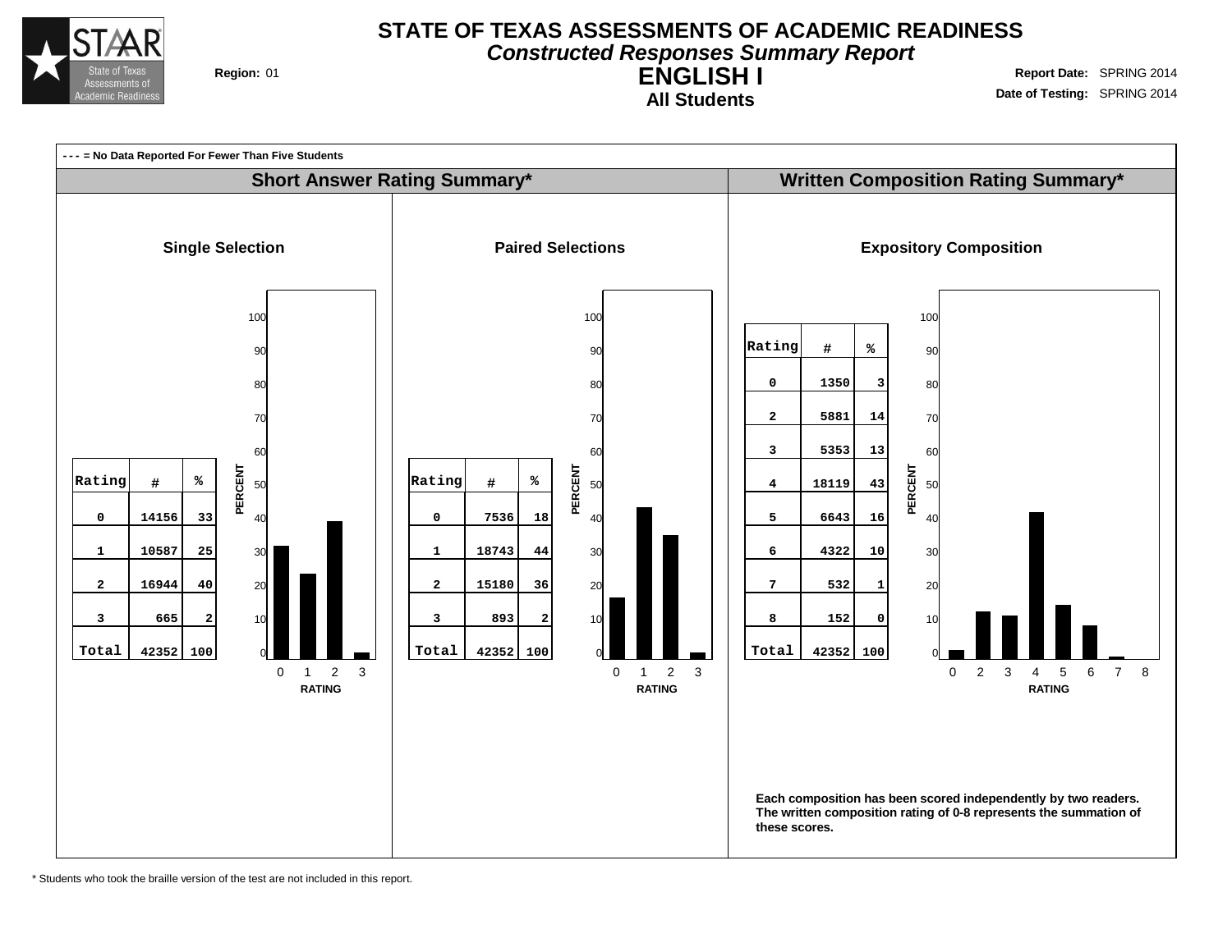

#### **STATE OF TEXAS ASSESSMENTS OF ACADEMIC READINESS Constructed Responses Summary Report**

**ENGLISH I All Students**

**Region:** 01 **Region:** 01 **Report** Date: SPRING 2014 **Date of Testing:** SPRING 2014



\* Students who took the braille version of the test are not included in this report.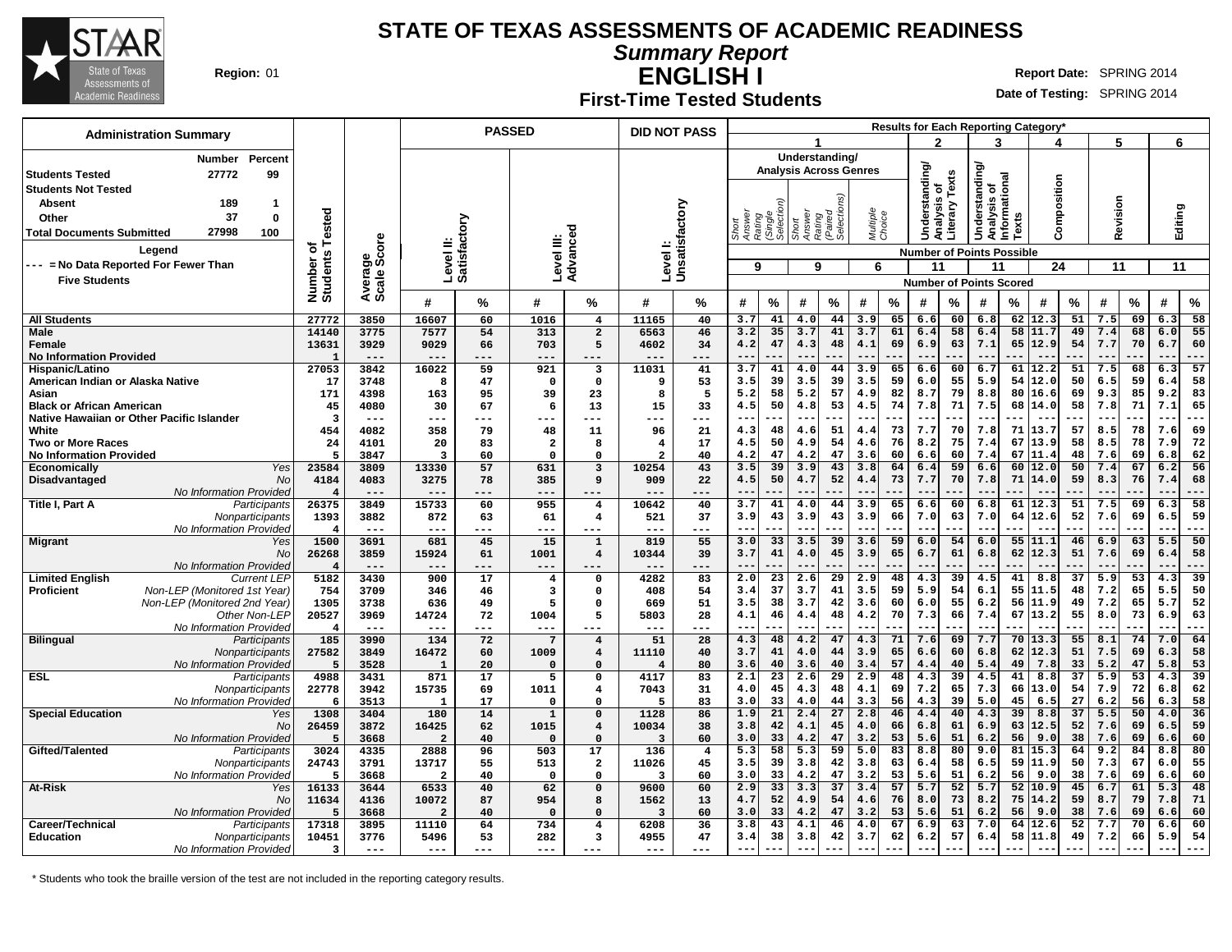

**Summary Report**

**ENGLISH I Region:** 01 **Report** Date: SPRING 2014

#### **Date of Testing:** SPRING 2014

**First-Time Tested Students**

| <b>Administration Summary</b>                               |                         |                             |                                  | <b>PASSED</b> |                     |                                     | <b>DID NOT PASS</b>     |                            |                                                   |                 |                 |                               |                    | Results for Each Reporting Category* |                |                 |                                                |          |               |                       |              |                 |             |                 |
|-------------------------------------------------------------|-------------------------|-----------------------------|----------------------------------|---------------|---------------------|-------------------------------------|-------------------------|----------------------------|---------------------------------------------------|-----------------|-----------------|-------------------------------|--------------------|--------------------------------------|----------------|-----------------|------------------------------------------------|----------|---------------|-----------------------|--------------|-----------------|-------------|-----------------|
|                                                             |                         |                             |                                  |               |                     |                                     |                         |                            |                                                   |                 | 1               |                               |                    |                                      | 2              |                 | 3                                              |          | 4             |                       | 5            |                 | 6           |                 |
| Percent<br>Number                                           |                         |                             |                                  |               |                     |                                     |                         |                            |                                                   |                 |                 | Understanding/                |                    |                                      |                |                 |                                                |          |               |                       |              |                 |             |                 |
| <b>Students Tested</b><br>27772<br>99                       |                         |                             |                                  |               |                     |                                     |                         |                            |                                                   |                 |                 | <b>Analysis Across Genres</b> |                    |                                      | Understanding/ | Texts           | Understanding/<br>Analysis of<br>Informational |          |               |                       |              |                 |             |                 |
| <b>Students Not Tested</b>                                  |                         |                             |                                  |               |                     |                                     |                         |                            |                                                   |                 |                 |                               |                    |                                      | p              |                 |                                                |          | Composition   |                       |              |                 |             |                 |
| 189<br><b>Absent</b><br>$\mathbf 1$                         |                         |                             |                                  |               |                     |                                     |                         |                            |                                                   |                 |                 |                               |                    |                                      | alysis         | Literary        |                                                |          |               |                       | Revision     |                 |             |                 |
| 37<br>$\bf{0}$<br>Other                                     | ested                   |                             |                                  |               |                     |                                     |                         |                            | Short<br>Answer<br>Aating<br>(Single<br>Selection |                 | Short<br>Answer | Rating<br>(Paired<br>Selectio | Multiple<br>Choice |                                      |                |                 |                                                | Texts    |               |                       |              |                 | Editing     |                 |
| 27998<br>100<br><b>Total Documents Submitted</b>            |                         |                             |                                  |               |                     |                                     |                         |                            |                                                   |                 |                 |                               |                    |                                      |                |                 |                                                |          |               |                       |              |                 |             |                 |
| Legend                                                      | ৳<br><b>S</b>           | ge<br>Score                 | Level II:<br>Satisfactory        |               | Level III:          | Advanced                            |                         | Level I:<br>Unsatisfactory |                                                   |                 |                 |                               |                    |                                      |                |                 | <b>Number of Points Possible</b>               |          |               |                       |              |                 |             |                 |
| --- = No Data Reported For Fewer Than                       |                         |                             |                                  |               |                     |                                     |                         |                            | 9                                                 |                 | 9               |                               | 6                  |                                      | 11             |                 | 11                                             |          | 24            |                       | 11           |                 | 11          |                 |
| <b>Five Students</b>                                        | Number<br>Students      | Average                     |                                  |               |                     |                                     |                         |                            |                                                   |                 |                 |                               |                    |                                      |                |                 | <b>Number of Points Scored</b>                 |          |               |                       |              |                 |             |                 |
|                                                             |                         |                             | #                                | %             | #                   | %                                   | #                       | ℅                          | #                                                 | $\%$            | #               | $\%$                          | #                  | %                                    | #              | %               | #                                              | %        | #             | %                     | #            | %               | #           | $\%$            |
| <b>All Students</b>                                         | 27772                   | 3850                        | 16607                            | 60            | 1016                | 4                                   | 11165                   | 40                         | 3.7                                               | 41              | 4.0             | 44                            | 3.9                | 65                                   | 6.6            | 60              | 6.8                                            | 62       | 12.3          | 51                    | 7.5          | 69              | 6.3         | 58              |
| <b>Male</b>                                                 | 14140                   | 3775                        | 7577                             | 54            | 313                 | $\overline{a}$                      | 6563                    | 46                         | 3.2                                               | 35              | 3.7             | 41                            | 3.7                | 61                                   | 6.4            | 58              | 6.4                                            | 58       | 11.7          | 49                    | 7.4          | 68              | 6.0         | 55              |
| Female                                                      | 13631                   | 3929<br>$---$               | 9029<br>$- - -$                  | 66<br>---     | 703<br>$---$        | 5<br>$- - -$                        | 4602<br>$- - -$         | 34<br>---                  | 4.2<br>$-$                                        | 47              | 4.3             | 48                            | 4.1                | 69                                   | 6.9            | 63              | 7.1<br>$ -$                                    | 65       | 12.9          | 54                    | 7.7          | 70              | 6.7<br>$ -$ | 60<br>---       |
| <b>No Information Provided</b><br>Hispanic/Latino           | $\mathbf{1}$<br>27053   | 3842                        | 16022                            | 59            | 921                 | 3                                   | 11031                   | 41                         | 3.7                                               | 41              | 4.0             | 44                            | 3.9                | 65                                   | 6.6            | 60              | 6.7                                            | 61       | 12.2          | 51                    | 7.5          | 68              | 6.3         | 57              |
| American Indian or Alaska Native                            | 17                      | 3748                        | 8                                | 47            | $\mathbf 0$         | 0                                   | 9                       | 53                         | 3.5                                               | 39              | 3.5             | 39                            | 3.5                | 59                                   | 6.0            | 55              | 5.9                                            | 54       | 12.0          | 50                    | 6.5          | 59              | 6.4         | 58              |
| Asian                                                       | 171                     | 4398                        | 163                              | 95            | 39                  | 23                                  | 8                       | 5                          | 5.2                                               | 58              | 5.2             | 57                            | 4.9                | 82                                   | 8.7            | 79              | 8.8                                            | 80       | 16.6          | 69                    | 9.3          | 85              | 9.2         | 83              |
| <b>Black or African American</b>                            | 45                      | 4080                        | 30                               | 67            | 6                   | 13                                  | 15                      | 33                         | 4.5                                               | 50              | 4.8             | 53                            | 4.5                | 74                                   | 7.8            | 71              | 7.5                                            | 68       | 14.0          | 58                    | 7.8          | 71              | 7.1         | 65              |
| Native Hawaiian or Other Pacific Islander<br>White          | 3<br>454                | $\qquad \qquad - -$<br>4082 | ---<br>358                       | $---$<br>79   | ---<br>48           | ---<br>11                           | ---<br>96               | $---$<br>21                | 4.3                                               | 48              | $-$<br>4.6      | 51                            | $-$<br>4.4         | 73                                   | $- -$<br>7.7   | 70              | $-$<br>7.8                                     | 71       | $- -$<br>13.7 | 57                    | 8.5          | 78              | $ -$<br>7.6 | --<br>69        |
| <b>Two or More Races</b>                                    | 24                      | 4101                        | 20                               | 83            | $\overline{a}$      | 8                                   | $\overline{4}$          | 17                         | 4.5                                               | 50              | 4.9             | 54                            | 4.6                | 76                                   | 8.2            | 75              | 7.4                                            | 67       | 13.9          | 58                    | 8.5          | 78              | 7.9         | 72              |
| <b>No Information Provided</b>                              | 5                       | 3847                        | $\overline{\mathbf{3}}$          | 60            | $\Omega$            | $\Omega$                            | $\overline{2}$          | 40                         | 4.2                                               | 47              | 4.2             | 47                            | 3.6                | 60                                   | 6.6            | 60              | 7.4                                            | 67       | 11.4          | 48                    | 7.6          | 69              | 6.8         | 62              |
| Yes<br><b>Economically</b>                                  | 23584                   | 3809                        | 13330                            | 57            | 631                 | 3                                   | 10254                   | 43                         | 3.5                                               | 39              | 3.9             | 43                            | 3.8                | 64                                   | 6.4            | 59              | 6.6                                            | 60       | 12.0          | 50                    | 7.4          | 67              | 6.2         | 56              |
| Disadvantaged<br><b>No</b>                                  | 4184                    | 4083                        | 3275                             | 78            | 385                 | 9                                   | 909                     | 22                         | 4.5                                               | 50              | 4.7             | 52                            | 4.4                | 73                                   | 7.7            | 70              | 7.8                                            | 71       | 14.0          | 59                    | 8.3          | 76              | 7.4         | 68              |
| No Information Provideo<br>Title I, Part A<br>Participants  | $\overline{4}$<br>26375 | $---$<br>3849               | $---$<br>15733                   | ---<br>60     | ---<br>955          | ---<br>$\overline{4}$               | 10642                   | ---<br>40                  | 3.7                                               | 41              | $---$<br>4.0    | 44                            | 3.9                | 65                                   | 6.6            | 60              | 6.8                                            | 61       | 12.3          | 51                    | 7.5          | 69              | 6.3         | ---<br>58       |
| Nonparticipants                                             | 1393                    | 3882                        | 872                              | 63            | 61                  | $\overline{4}$                      | 521                     | 37                         | 3.9                                               | 43              | 3.9             | 43                            | 3.9                | 66                                   | 7.0            | 63              | 7.0                                            | 64       | 12.6          | 52                    | 7.6          | 69              | 6.5         | 59              |
| No Information Provided                                     | $\overline{4}$          | $- - -$                     | $--$                             | .             | ---                 | ---                                 |                         |                            | $- -$                                             | ---             | $--$            | ---                           | $-$                |                                      | $-$            |                 | $-$                                            |          | $- -$         | .                     | $- -$        |                 | $ -$        | ---             |
| <b>Migrant</b><br>Yes                                       | 1500                    | 3691                        | 681                              | 45            | 15                  | $\mathbf{1}$                        | 819                     | 55                         | 3.0                                               | 33              | 3.5             | 39                            | 3.6                | 59                                   | 6.0            | 54              | 6.0                                            | 55       | 11.1          | 46                    | 6.9          | 63              | 5.5         | 50              |
| <b>No</b><br>No Information Provided                        | 26268<br>4              | 3859<br>$---$               | 15924<br>---                     | 61<br>---     | 1001<br>---         | $\overline{4}$                      | 10344                   | 39                         | 3.7<br>$-$                                        | 41              | 4.0<br>--       | 45                            | 3.9                | 65                                   | 6.7            | 61              | 6.8                                            | 62       | 12.3          | 51                    | 7.6          | 69              | 6.4         | 58<br>--        |
| <b>Limited English</b><br><b>Current LEP</b>                | 5182                    | 3430                        | 900                              | 17            | $\overline{4}$      | $\mathbf 0$                         | 4282                    | 83                         | 2.0                                               | $\overline{23}$ | 2.6             | $\overline{29}$               | 2.9                | 48                                   | 4.3            | 39              | 4.5                                            | 41       | 8.8           | 37                    | 5.9          | 53              | 4.3         | $\overline{39}$ |
| Non-LEP (Monitored 1st Year)<br><b>Proficient</b>           | 754                     | 3709                        | 346                              | 46            | 3                   | 0                                   | 408                     | 54                         | 3.4                                               | 37              | 3.7             | 41                            | 3.5                | 59                                   | 5.9            | 54              | 6.1                                            | 55       | 11.5          | 48                    | 7.2          | 65              | 5.5         | 50              |
| Non-LEP (Monitored 2nd Year)                                | 1305                    | 3738                        | 636                              | 49            | 5                   | 0                                   | 669                     | 51                         | 3.5                                               | 38              | 3.7             | 42                            | 3.6                | 60                                   | 6.0            | 55              | 6.2                                            | 56       | او.11         | 49                    | 7.2          | 65              | 5.7         | 52              |
| Other Non-LEP                                               | 20527                   | 3969                        | 14724                            | 72            | 1004                | 5                                   | 5803                    | 28                         | 4.1<br>$-$                                        | 46<br>---       | 4.4<br>$- -$    | 48                            | 4.2<br>$-$         | 70                                   | 7.3<br>$- -$   | 66<br>---       | 7.4<br>$- -$                                   | 67<br>.  | 13.2          | 55<br>---             | 8.0<br>$- -$ | 73              | 6.9<br>$-$  | 63<br>$---$     |
| No Information Provided<br><b>Bilingual</b><br>Participants | -4<br>185               | $--$<br>3990                | ---<br>134                       | ---<br>72     | $---$<br>-7         | ---<br>$\overline{\mathbf{4}}$      | ---<br>51               | ---<br>28                  | 4.3                                               | 48              | 4.2             | 47                            | 4.3                | 71                                   | 7.6            | 69              | 7.7                                            | 70       | $- -$<br>13.3 | 55                    | 8.1          | 74              | 7.0         | 64              |
| Nonparticipants                                             | 27582                   | 3849                        | 16472                            | 60            | 1009                | $\overline{\mathbf{4}}$             | 11110                   | 40                         | 3.7                                               | 41              | 4.0             | 44                            | 3.9                | 65                                   | 6.6            | 60              | 6.8                                            | 62       | 12.3          | 51                    | 7.5          | 69              | 6.3         | 58              |
| No Information Provideo                                     | 5                       | 3528                        | $\mathbf{1}$                     | 20            | $\mathbf 0$         | $\Omega$                            | $\overline{4}$          | 80                         | 3.6                                               | 40              | 3.6             | 40                            | 3.4                | 57                                   | 4.4            | 40              | 5.4                                            | 49       | 7.8           | 33                    | 5.2          | 47              | 5.8         | 53              |
| <b>ESL</b><br>Participants                                  | 4988                    | 3431                        | 871                              | 17            | 5                   | $\Omega$                            | 4117                    | 83                         | 2.1                                               | $\overline{23}$ | 2.6             | $\overline{29}$               | 2.9                | 48                                   | 4.3            | $\overline{39}$ | 4.5                                            | 41       | 8.8           | $\overline{37}$       | 5.9          | $\overline{53}$ | 4.3         | 39              |
| Nonparticipants<br>No Information Provided                  | 22778<br>6              | 3942<br>3513                | 15735<br>$\mathbf{1}$            | 69<br>17      | 1011<br>$\mathbf 0$ | 4<br>$\Omega$                       | 7043<br>5               | 31<br>83                   | 4.0<br>3.0                                        | 45<br>33        | 4.3<br>4.0      | 48<br>44                      | 4.1<br>3.3         | 69<br>56                             | 7.2<br>4.3     | 65<br>39        | 7.3<br>5.0                                     | 66<br>45 | 13.0<br>6.5   | 54<br>27              | 7.9<br>6.2   | 72<br>56        | 6.8<br>6.3  | 62<br>58        |
| <b>Special Education</b><br>Yes                             | 1308                    | 3404                        | 180                              | 14            | $\mathbf{1}$        | $\mathsf{o}\,$                      | 1128                    | 86                         | 1.9                                               | 21              | 2.4             | 27                            | 2.8                | 46                                   | 4.4            | 40              | 4.3                                            | 39       | 8.8           | 37                    | 5.5          | 50              | 4.0         | 36              |
| No                                                          | 26459                   | 3872                        | 16425                            | 62            | 1015                | $\overline{\mathbf{4}}$             | 10034                   | 38                         | 3.8                                               | 42              | 4.1             | 45                            | 4.0                | 66                                   | 6.8            | 61              | 6.9                                            | 63       | 12.5          | 52                    | 7.6          | 69              | 6.5         | 59              |
| No Information Provideo                                     | 5                       | 3668                        | $\overline{a}$                   | 40            | $\mathbf 0$         | $\mathbf 0$                         | $\overline{\mathbf{3}}$ | 60                         | 3.0                                               | 33              | 4.2             | 47                            | 3.2                | 53                                   | 5.6            | 51              | 6.2                                            | 56       | 9.0           | 38                    | 7.6          | 69              | 6.6         | 60              |
| Gifted/Talented<br>Participants                             | 3024                    | 4335                        | 2888                             | 96            | 503                 | 17                                  | 136                     | $\overline{\mathbf{4}}$    | 5.3                                               | 58              | 5.3             | 59                            | 5.0                | 83                                   | 8.8            | 80              | 9.0<br>6.5                                     | 81       | 15.3<br>11.9  | 64                    | 9.2          | 84              | 8.8         | 80              |
| Nonparticipants<br>No Information Provided                  | 24743<br>-5             | 3791<br>3668                | 13717<br>$\overline{\mathbf{2}}$ | 55<br>40      | 513<br>$\mathbf{o}$ | $\overline{\mathbf{2}}$<br>$\Omega$ | 11026<br>3              | 45<br>60                   | 3.5<br>3.0                                        | 39<br>33        | 3.8<br>4.2      | 42<br>47                      | 3.8<br>3.2         | 63<br>53                             | 6.4<br>5.6     | 58<br>51        | 6.2                                            | 59<br>56 | 9.0           | 50<br>38              | 7.3<br>7.6   | 67<br>69        | 6.0<br>6.6  | 55<br>60        |
| At-Risk<br>Yes                                              | 16133                   | 3644                        | 6533                             | 40            | 62                  | $\mathbf 0$                         | 9600                    | 60                         | 2.9                                               | $\overline{33}$ | 3.3             | 37                            | 3.4                | 57                                   | 5.7            | 52              | 5.7                                            | 52       | 10.9          | 45                    | 6.7          | 61              | 5.3         | 48              |
| No                                                          | 11634                   | 4136                        | 10072                            | 87            | 954                 | 8                                   | 1562                    | 13                         | 4.7                                               | 52              | 4.9             | 54                            | 4.6                | 76                                   | 8.0            | 73              | 8.2                                            | 75       | 14.2          | 59                    | 8.7          | 79              | 7.8         | 71              |
| No Information Provided                                     | 5                       | 3668                        | $\overline{a}$                   | 40            | $\Omega$            | $\Omega$                            | $\overline{\mathbf{3}}$ | 60                         | 3.0                                               | 33              | 4.2             | 47                            | 3.2                | 53                                   | 5.6            | 51              | 6.2                                            | 56       | 9.0           | 38                    | 7.6          | 69              | 6.6         | 60              |
| Career/Technical<br>Participants<br><b>Education</b>        | 17318<br>10451          | 3895<br>3776                | 11110<br>5496                    | 64<br>53      | 734<br>282          | 4<br>3                              | 6208<br>4955            | 36<br>47                   | 3.8<br>3.4                                        | 43<br>38        | 4.1<br>3.8      | 46<br>42                      | 4.0<br>3.7         | 67<br>62                             | 6.9<br>6.2     | 63<br>57        | 7.0<br>6.4                                     | 64<br>58 | 12.6<br>11.8  | $\overline{52}$<br>49 | 7.7<br>7.2   | 70<br>66        | 6.6<br>5.9  | 60<br>54        |
| Nonparticipants<br>No Information Provided                  | 3                       | $- - -$                     | $---$                            | ---           | ---                 | $---$                               | ---                     | $- - -$                    | $- -$                                             |                 | $-$             |                               | $-$                |                                      | $ -$           |                 |                                                |          |               |                       | $- -$        |                 |             |                 |

\* Students who took the braille version of the test are not included in the reporting category results.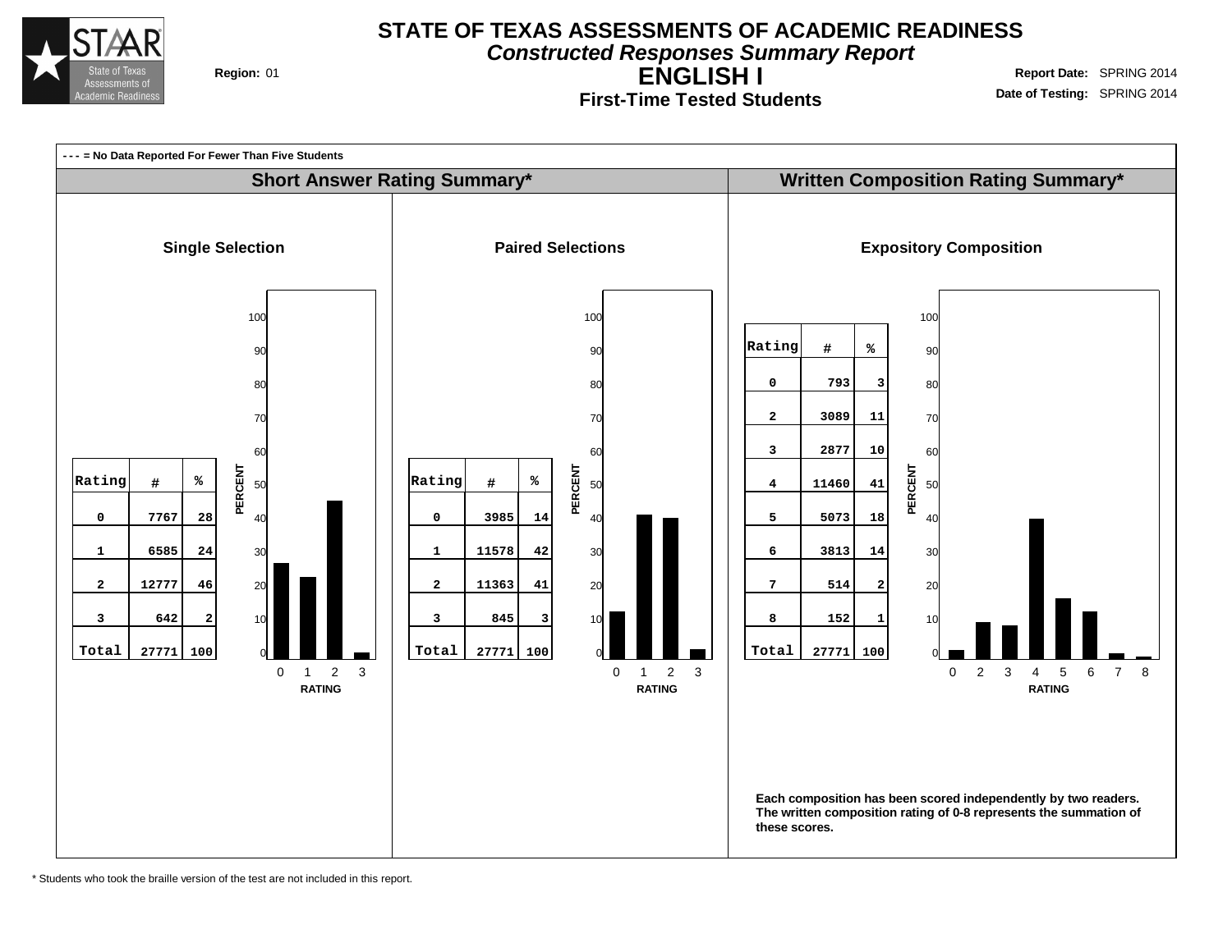

**Constructed Responses Summary Report**

**ENGLISH I First-Time Tested Students**

**Region:** 01 **Region:** 01 **Report** Date: SPRING 2014 **Date of Testing:** SPRING 2014



\* Students who took the braille version of the test are not included in this report.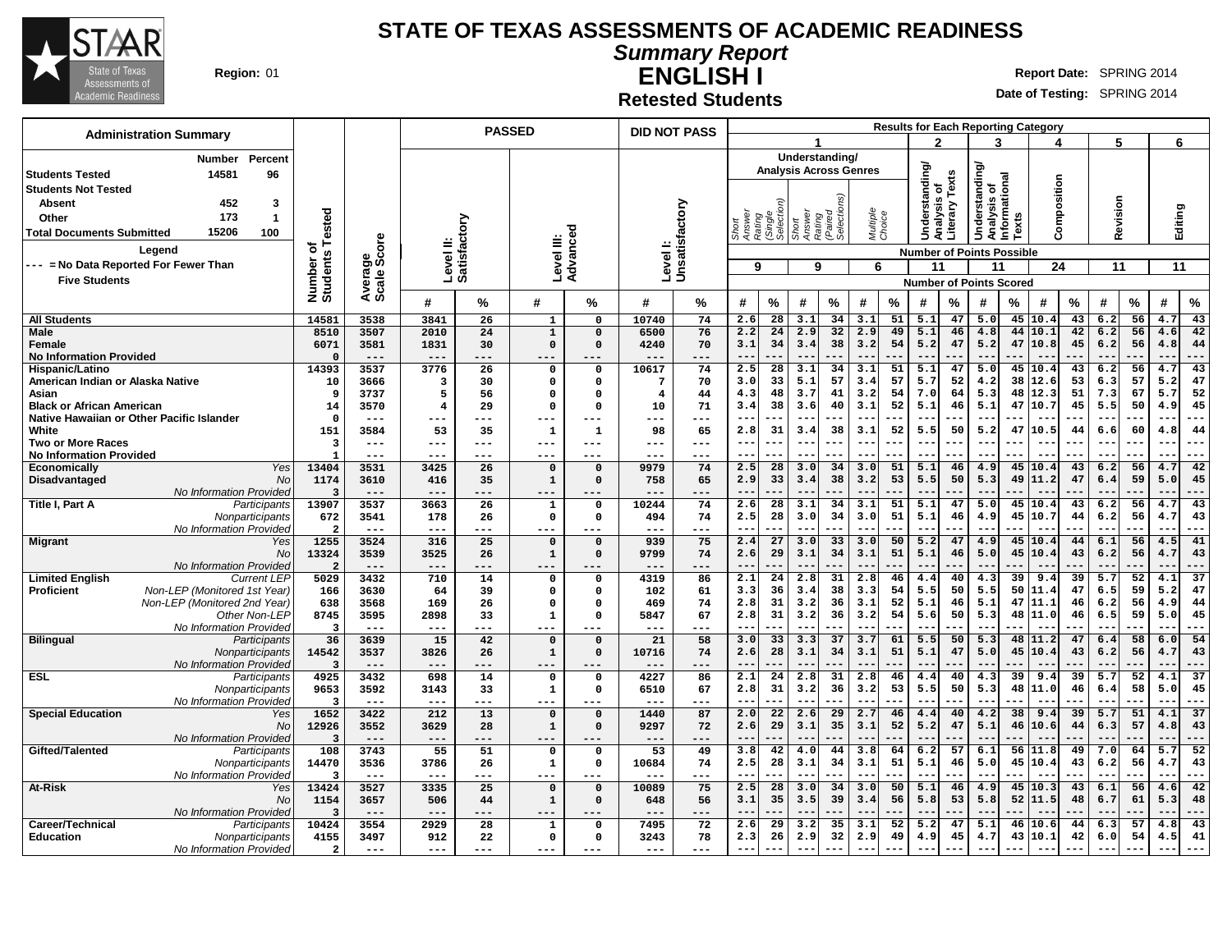

**Summary Report ENGLISH I**

**Region:** 01 **Report Date: SPRING 2014 Report** Date: SPRING 2014

**Retested Students**

| <b>Administration Summary</b>                                                                     |                                 |                     |                           | <b>PASSED</b>   |                            |                       |                 | <b>DID NOT PASS</b>        |                                 |                       |                 |                               |                          |          |                                  |          |                                              |          | <b>Results for Each Reporting Category</b> |          |                         |          |                            |                       |
|---------------------------------------------------------------------------------------------------|---------------------------------|---------------------|---------------------------|-----------------|----------------------------|-----------------------|-----------------|----------------------------|---------------------------------|-----------------------|-----------------|-------------------------------|--------------------------|----------|----------------------------------|----------|----------------------------------------------|----------|--------------------------------------------|----------|-------------------------|----------|----------------------------|-----------------------|
|                                                                                                   |                                 |                     |                           |                 |                            |                       |                 |                            |                                 |                       |                 |                               |                          |          | $\mathbf{c}$                     |          | 3                                            |          |                                            |          | 5                       |          | 6                          |                       |
| Percent<br><b>Number</b>                                                                          |                                 |                     |                           |                 |                            |                       |                 |                            |                                 |                       |                 | Understanding/                |                          |          |                                  |          |                                              |          |                                            |          |                         |          |                            |                       |
| 14581<br><b>Students Tested</b><br>96                                                             |                                 |                     |                           |                 |                            |                       |                 |                            |                                 |                       |                 | <b>Analysis Across Genres</b> |                          |          | Understanding/                   |          | derstanding/<br>Analysis of<br>Informational |          |                                            |          |                         |          |                            |                       |
| <b>Students Not Tested</b>                                                                        |                                 |                     |                           |                 |                            |                       |                 |                            |                                 |                       |                 |                               |                          |          | ৳                                | Texts    |                                              |          | Composition                                |          |                         |          |                            |                       |
| 452<br><b>Absent</b><br>3                                                                         |                                 |                     |                           |                 |                            |                       |                 |                            |                                 |                       |                 |                               |                          |          |                                  |          |                                              |          |                                            |          |                         |          |                            |                       |
| 173<br>$\mathbf{1}$<br>Other                                                                      | Tested                          |                     |                           |                 |                            |                       |                 |                            |                                 | (Single<br>Selectio   | Short<br>Answer | Rating<br>(Paired<br>Selectio | Multiple<br>Choice       |          | alysis                           | Literary |                                              |          |                                            |          | Revision                |          | Editing                    |                       |
| 15206<br>100<br><b>Total Documents Submitted</b>                                                  |                                 |                     |                           |                 |                            |                       |                 |                            | Answer<br>Rating<br>Short       |                       |                 |                               |                          |          | ā                                |          | Š                                            | Texts    |                                            |          |                         |          |                            |                       |
| Legend                                                                                            | ৳                               | ige<br>Score        | Level II:<br>Satisfactory |                 | Level III:                 | Advanced              |                 | Level I:<br>Unsatisfactory |                                 |                       |                 |                               |                          |          |                                  |          |                                              |          |                                            |          |                         |          |                            |                       |
|                                                                                                   |                                 |                     |                           |                 |                            |                       |                 |                            |                                 |                       |                 |                               |                          |          | <b>Number of Points Possible</b> |          |                                              |          |                                            |          |                         |          |                            |                       |
| --- = No Data Reported For Fewer Than                                                             |                                 |                     |                           |                 |                            |                       |                 |                            | 9                               |                       | 9               |                               | 6                        |          | 11                               |          | 11                                           |          | 24                                         |          | 11                      |          | 11                         |                       |
| <b>Five Students</b>                                                                              | Number<br>Students              | Average<br>Scale    |                           |                 |                            |                       |                 |                            |                                 |                       |                 |                               |                          |          | <b>Number of Points Scored</b>   |          |                                              |          |                                            |          |                         |          |                            |                       |
|                                                                                                   |                                 |                     | #                         | %               | #                          | ℅                     | #               | ℅                          | #                               | %                     | #               | %                             | #                        | %        | #                                | %        | #                                            | %        | #                                          | %        | #                       | %        | #                          | $\%$                  |
| <b>All Students</b>                                                                               | 14581                           | 3538                | 3841                      | 26              | 1                          | $\mathbf 0$           | 10740           | 74                         | 2.6                             | 28                    | 3.1             | 34                            | 3.1                      | 51       | 5.1                              | 47       | 5.0                                          | 45       | 10.4                                       | 43       | 6.2                     | 56       | 4.7                        | 43                    |
| <b>Male</b>                                                                                       | 8510                            | 3507                | 2010                      | 24              | $\mathbf{1}$               | $\Omega$              | 6500            | 76                         | 2.2                             | 24                    | 2.9             | 32                            | 2.9                      | 49       | 5.1                              | 46       | 4.8                                          | 44       | 10.1                                       | 42       | 6.2                     | 56       | 4.6                        | 42                    |
| Female                                                                                            | 6071                            | 3581                | 1831                      | 30              | $\Omega$                   | $\mathbf 0$           | 4240            | 70                         | 3.1                             | 34                    | 3.4             | 38                            | 3.2                      | 54       | 5.2                              | 47       | 5.2                                          | 47       | 10.8                                       | 45       | 6.2                     | 56       | 4.8                        | 44                    |
| <b>No Information Provided</b>                                                                    | $\Omega$                        | $- - -$             | $---$                     |                 | ---                        |                       |                 | ---                        | $-$                             |                       |                 |                               |                          |          |                                  |          |                                              |          |                                            |          |                         |          | $\sim$                     | ---                   |
| Hispanic/Latino<br>American Indian or Alaska Native                                               | 14393<br>10                     | 3537<br>3666        | 3776<br>3                 | 26<br>30        | $\mathbf 0$<br>$\mathbf 0$ | 0<br>0                | 10617<br>7      | 74<br>70                   | 2.5<br>3.0                      | 28<br>33              | 3.1<br>5.1      | 34<br>57                      | 3.1<br>3.4               | 51<br>57 | 5.1<br>5.7                       | 47<br>52 | 5.0<br>4.2                                   | 45<br>38 | 10.4<br>12.6                               | 43<br>53 | 6.2<br>6.3              | 56<br>57 | 4.7<br>5.2                 | 43<br>47              |
| Asian                                                                                             | 9                               | 3737                | 5                         | 56              | $\mathbf 0$                | $\mathbf 0$           | $\overline{4}$  | 44                         | 4.3                             | 48                    | 3.7             | 41                            | 3.2                      | 54       | 7.0                              | 64       | 5.3                                          | 48       | 12.3                                       | 51       | 7.3                     | 67       | 5.7                        | 52                    |
| <b>Black or African American</b>                                                                  | 14                              | 3570                | $\overline{4}$            | 29              | $\mathbf 0$                | $\Omega$              | 10              | 71                         | 3.4                             | 38                    | 3.6             | 40                            | 3.1                      | 52       | 5.1                              | 46       | 5.1                                          | 47       | 10.7                                       | 45       | 5.5                     | 50       | 4.9                        | 45                    |
| Native Hawaiian or Other Pacific Islander                                                         | $\Omega$                        | $---$               |                           | ---             | ---                        |                       |                 | ---                        | $- -$                           | ---                   | $- -$           |                               | --                       |          | $- -$                            | ---      | $- -$                                        |          |                                            |          | $- -$                   |          | $- -$                      | $- - -$               |
| White                                                                                             | 151                             | 3584                | 53                        | 35              | 1                          | ${\bf 1}$             | 98              | 65                         | 2.8                             | 31                    | 3.4             | 38                            | 3.1                      | 52       | 5.5                              | 50       | 5.2                                          | 47       | 10.5                                       | 44       | 6.6                     | 60       | 4.8                        | 44                    |
| <b>Two or More Races</b>                                                                          | 3                               | $\frac{1}{2}$       | ---                       | ---             | ---                        | ---                   | ---             | ---                        | $- -$                           | ---                   | ---             | ---                           | $- -$                    |          | $- -$                            | ---      | $- -$                                        | ---      | $- -$                                      | ---      | $- -$                   |          | $- -$                      | $- - -$               |
| <b>No Information Provided</b>                                                                    | $\mathbf{1}$                    | ---                 | ---                       | ---             | ---                        | ---                   | ---             | ---                        | $- -$                           |                       |                 |                               |                          |          |                                  |          |                                              |          |                                            |          |                         |          |                            | ---                   |
| Yes<br><b>Economically</b>                                                                        | 13404                           | 3531                | 3425                      | 26              | $\mathbf 0$                | $\mathbf 0$           | 9979            | 74                         | 2.5                             | 28                    | 3.0             | 34                            | 3.0                      | 51       | 5.1                              | 46       | 4.9                                          | 45       | 10.4                                       | 43       | 6.2                     | 56       | 4.7                        | 42                    |
| Disadvantaged<br>No                                                                               | 1174                            | 3610                | 416                       | 35              | $\mathbf{1}$               | $\mathbf 0$           | 758             | 65                         | 2.9<br>$- -$                    | 33<br>---             | 3.4<br>$- -$    | 38                            | 3.2<br>$ -$              | 53       | 5.5<br>$-$                       | 50       | 5.3<br>$-$                                   | 49       | 11.2<br>$- -$                              | 47       | 6.4<br>$- -$            | 59       | 5.0<br>$-$                 | 45<br>$- - -$         |
| No Information Provided<br>Title I, Part A<br>Participants                                        | 3<br>13907                      | $---$<br>3537       | ---<br>3663               | .<br>26         | ---<br>$\mathbf{1}$        | ---<br>0              | 10244           | .<br>74                    | 2.6                             | 28                    | 3.1             | 34                            | 3.1                      | 51       | 5.1                              | 47       | 5.0                                          | 45       | 10.4                                       | 43       | 6.2                     | 56       | 4.7                        | 43                    |
| Nonparticipants                                                                                   | 672                             | 3541                | 178                       | 26              | $\mathbf 0$                | $\mathsf{o}\,$        | 494             | 74                         | 2.5                             | 28                    | 3.0             | 34                            | 3.0                      | 51       | 5.1                              | 46       | 4.9                                          | 45       | 10.7                                       | 44       | 6.2                     | 56       | 4.7                        | 43                    |
| No Information Provided                                                                           | $\overline{\mathbf{2}}$         | $\qquad \qquad - -$ | $---$                     | ---             | ---                        | ---                   |                 | ---                        | $-$                             |                       |                 |                               |                          |          |                                  |          | $- -$                                        |          |                                            |          |                         |          | $-$                        | ---                   |
| <b>Migrant</b><br>Yes                                                                             | 1255                            | 3524                | 316                       | 25              | $\mathbf 0$                | $\mathsf{o}\,$        | 939             | 75                         | 2.4                             | 27                    | 3.0             | 33                            | 3.0                      | 50       | 5.2                              | 47       | 4.9                                          | 45       | 10.4                                       | 44       | 6.1                     | 56       | 4.5                        | 41                    |
| <b>No</b>                                                                                         | 13324                           | 3539                | 3525                      | 26              | $\mathbf{1}$               | $\Omega$              | 9799            | 74                         | 2.6                             | 29                    | 3.1             | 34                            | 3.1                      | 51       | 5.1                              | 46       | 5.0                                          | 45       | 10.4                                       | 43       | 6.2                     | 56       | 4.7                        | 43                    |
| No Information Provideo                                                                           | $\overline{2}$                  | $---$               | $---$                     | ---             | ---                        | $-- -$                | ---             | ---                        | $-$                             | — — .                 | $-$             |                               | --                       |          |                                  |          | $ -$                                         |          |                                            |          |                         |          | $ -$                       | ---                   |
| <b>Limited English</b><br><b>Current LEP</b><br>Non-LEP (Monitored 1st Year)<br><b>Proficient</b> | 5029                            | 3432                | 710                       | 14<br>39        | $\mathbf 0$                | $\Omega$<br>$\Omega$  | 4319            | 86<br>61                   | 2.1<br>3.3                      | $\overline{24}$<br>36 | 2.8<br>3.4      | 31<br>38                      | 2.8<br>3.3               | 46<br>54 | 4.4<br>5.5                       | 40<br>50 | 4.3<br>5.5                                   | 39<br>50 | 9.4<br>11.4                                | 39<br>47 | $\overline{5.7}$<br>6.5 | 52<br>59 | 4.1<br>5.2                 | $\overline{37}$<br>47 |
| Non-LEP (Monitored 2nd Year)                                                                      | 166<br>638                      | 3630<br>3568        | 64<br>169                 | 26              | $\mathbf 0$<br>$\Omega$    | 0                     | 102<br>469      | 74                         | 2.8                             | 31                    | 3.2             | 36                            | 3.1                      | 52       | 5.1                              | 46       | 5.1                                          | 47       | 11.1                                       | 46       | 6.2                     | 56       | 4.9                        | 44                    |
| Other Non-LEP                                                                                     | 8745                            | 3595                | 2898                      | 33              | $\mathbf{1}$               | $\Omega$              | 5847            | 67                         | 2.8                             | 31                    | 3.2             | 36                            | 3.2                      | 54       | 5.6                              | 50       | 5.3                                          | 48       | 11.0                                       | 46       | 6.5                     | 59       | 5.0                        | 45                    |
| No Information Provided                                                                           | 3                               | $---$               | $---$                     | ---             | ---                        |                       |                 | ---                        | $-$                             |                       |                 |                               |                          |          |                                  |          |                                              |          |                                            |          |                         |          |                            | ---                   |
| <b>Bilingual</b><br>Participants                                                                  | 36                              | 3639                | 15                        | 42              | $\Omega$                   | $\mathsf{o}\,$        | 21              | 58                         | 3.0                             | 33                    | 3.3             | 37                            | 3.7                      | 61       | 5.5                              | 50       | 5.3                                          | 48       | 11.2                                       | 47       | 6.4                     | 58       | 6.0                        | 54                    |
| Nonparticipants                                                                                   | 14542                           | 3537                | 3826                      | 26              | $\mathbf{1}$               | $\mathbf 0$           | 10716           | 74                         | 2.6                             | 28                    | 3.1             | 34                            | 3.1                      | 51       | 5.1                              | 47       | 5.0                                          | 45       | 10.4                                       | 43       | 6.2                     | 56       | 4.7                        | 43                    |
| No Information Provideo                                                                           | $\overline{\mathbf{3}}$         | $---$               | $---$                     | ---             | ---                        | ---                   |                 | ---                        | $-$                             |                       | $-$             |                               |                          |          |                                  |          |                                              |          |                                            |          |                         |          |                            | ---                   |
| <b>ESL</b><br>Participants                                                                        | 4925                            | 3432                | 698                       | 14              | $\mathbf 0$                | 0                     | 4227            | 86                         | 2.1                             | 24                    | 2.8             | 31                            | 2.8                      | 46       | 4.4                              | 40       | 4.3                                          | 39       | 9.4                                        | 39       | 5.7                     | 52       | 4.1                        | $\overline{37}$       |
| Nonparticipants<br>No Information Provided                                                        | 9653<br>$\overline{\mathbf{3}}$ | 3592<br>$---$       | 3143<br>$---$             | 33<br>---       | $\mathbf{1}$<br>---        | $\mathsf{o}\,$<br>--- | 6510            | 67<br>---                  | 2.8<br>$\overline{\phantom{m}}$ | 31                    | 3.2<br>---      | 36                            | 3.2                      | 53       | 5.5                              | 50       | 5.3<br>$- -$                                 | 48       | 11.0                                       | 46       | 6.4                     | 58       | 5.0<br>--                  | 45<br>$---$           |
| <b>Special Education</b><br>Yes                                                                   | 1652                            | 3422                | 212                       | 13              | $\mathbf{o}$               | $\mathbf 0$           | 1440            | 87                         | 2.0                             | $\overline{22}$       | 2.6             | 29                            | 2.7                      | 46       | 4.4                              | 40       | 4.2                                          | 38       | 9.4                                        | 39       | 5.7                     | 51       | 4.1                        | 37                    |
| No                                                                                                | 12926                           | 3552                | 3629                      | 28              | $\mathbf{1}$               | $\Omega$              | 9297            | 72                         | 2.6                             | 29                    | 3.1             | 35                            | 3.1                      | 52       | 5.2                              | 47       | 5.1                                          | 46       | 10.6                                       | 44       | 6.3                     | 57       | 4.8                        | 43                    |
| <b>No Information Provided</b>                                                                    | 3                               | $---$               | ---                       |                 | ---                        |                       |                 |                            | $\overline{\phantom{m}}$        | ---                   | $---$           |                               | --                       |          | $-$                              |          | $- -$                                        |          |                                            | ---      | $- -$                   |          | $ -$                       | ---                   |
| Gifted/Talented<br>Participants                                                                   | 108                             | 3743                | 55                        | 51              | $\mathbf 0$                | $\mathbf 0$           | $\overline{53}$ | 49                         | 3.8                             | 42                    | 4.0             | 44                            | 3.8                      | 64       | 6.2                              | 57       | 6.1                                          | 56       | 11.8                                       | 49       | 7.0                     | 64       | 5.7                        | $\overline{52}$       |
| Nonparticipants                                                                                   | 14470                           | 3536                | 3786                      | 26              | $\mathbf{1}$               | 0                     | 10684           | 74                         | 2.5                             | 28                    | 3.1             | 34                            | 3.1                      | 51       | 5.1                              | 46       | 5.0                                          | 45       | 10.4                                       | 43       | 6.2                     | 56       | 4.7                        | 43                    |
| No Information Provided                                                                           | 3                               | $\qquad \qquad - -$ | $---$                     | ---             | ---                        |                       |                 | ---                        | $\sim$ $\sim$                   |                       | --              |                               |                          |          | $ -$                             |          |                                              |          |                                            |          |                         |          | $\overline{\phantom{a}}$ . | $--$                  |
| At-Risk<br>Yes                                                                                    | 13424                           | 3527                | 3335                      | 25              | $\mathbf 0$                | $\mathsf{o}\,$        | 10089           | 75                         | 2.5                             | $\overline{28}$       | 3.0             | 34                            | 3.0                      | 50       | 5.1                              | 46       | 4.9                                          | 45<br>52 | 10.3                                       | 43<br>48 | 6.1                     | 56       | 4.6                        | 42                    |
| No<br>No Information Provided                                                                     | 1154<br>$\overline{\mathbf{3}}$ | 3657<br>$---$       | 506<br>$---$              | 44<br>---       | $\mathbf{1}$<br>---        | $\mathbf 0$           | 648             | 56                         | 3.1<br>$-$                      | 35                    | 3.5<br>$-$      | 39                            | 3.4                      | 56       | 5.8<br>$-$                       | 53       | 5.8<br>$ -$                                  |          | 11.5                                       |          | 6.7<br>$-$              | 61       | 5.3<br>$- -$               | 48<br>---             |
| Career/Technical<br>Participants                                                                  | 10424                           | 3554                | 2929                      | $\overline{28}$ | $\mathbf{1}$               | 0                     | 7495            | 72                         | 2.6                             | 29                    | 3.2             | 35                            | 3.1                      | 52       | 5.2                              | 47       | 5.1                                          | 46       | 10.6                                       | 44       | 6.3                     | 57       | 4.8                        | 43                    |
| <b>Education</b><br>Nonparticipants                                                               | 4155                            | 3497                | 912                       | 22              | $\mathbf 0$                | 0                     | 3243            | 78                         | 2.3                             | 26                    | 2.9             | 32                            | 2.9                      | 49       | 4.9                              | 45       | 4.7                                          | 43       | 10.1                                       | 42       | 6.0                     | 54       | 4.5                        | 41                    |
| No Information Provided                                                                           | $\overline{a}$                  | $---$               | $---$                     | ---             | ---                        | $---$                 |                 | $- - -$                    | $- -$                           |                       | $-$             | ---                           | $\overline{\phantom{m}}$ | ---      | $- -$                            |          | $\sim$ $\sim$                                |          |                                            | ---      | $- -$                   |          |                            | ---                   |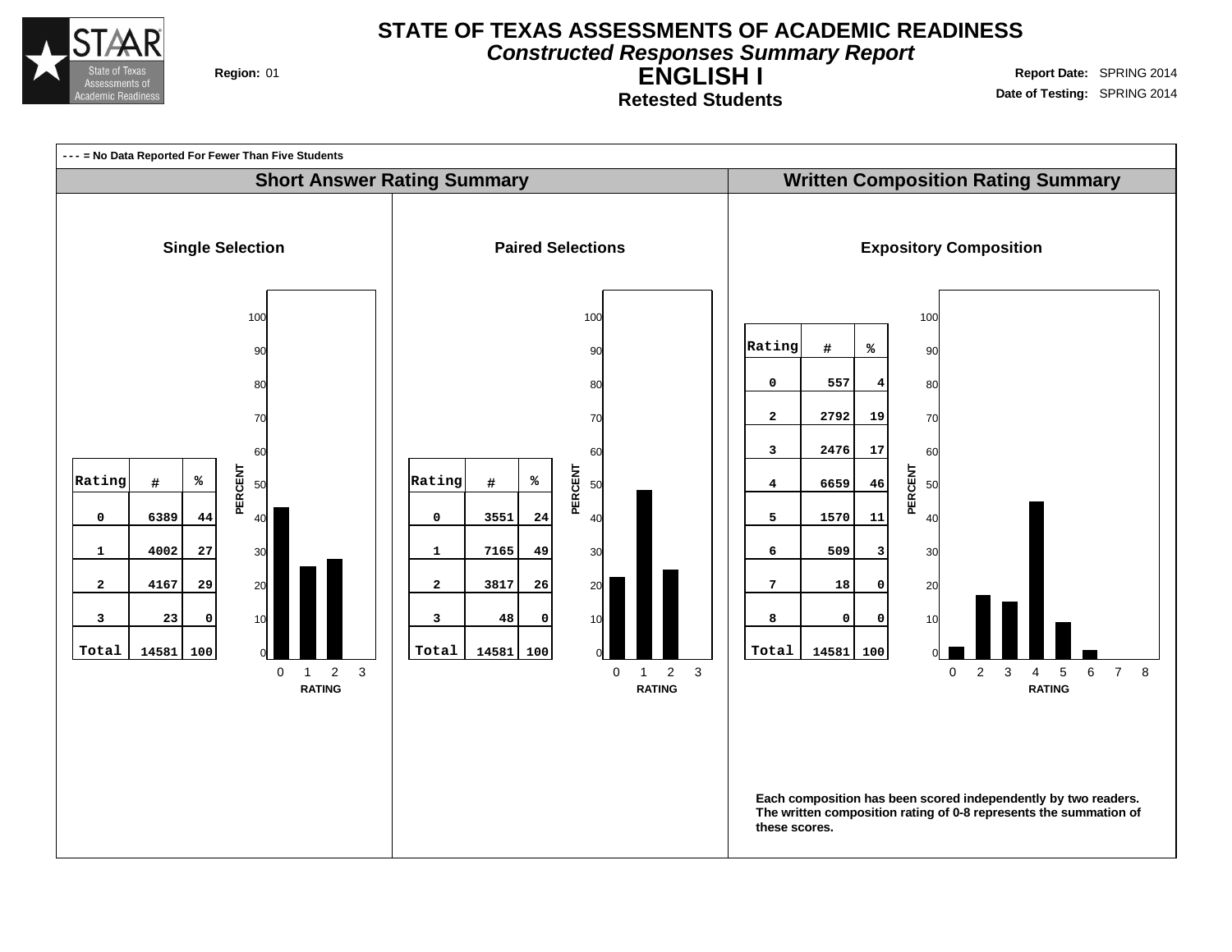

**Constructed Responses Summary Report**

**ENGLISH I Retested Students**

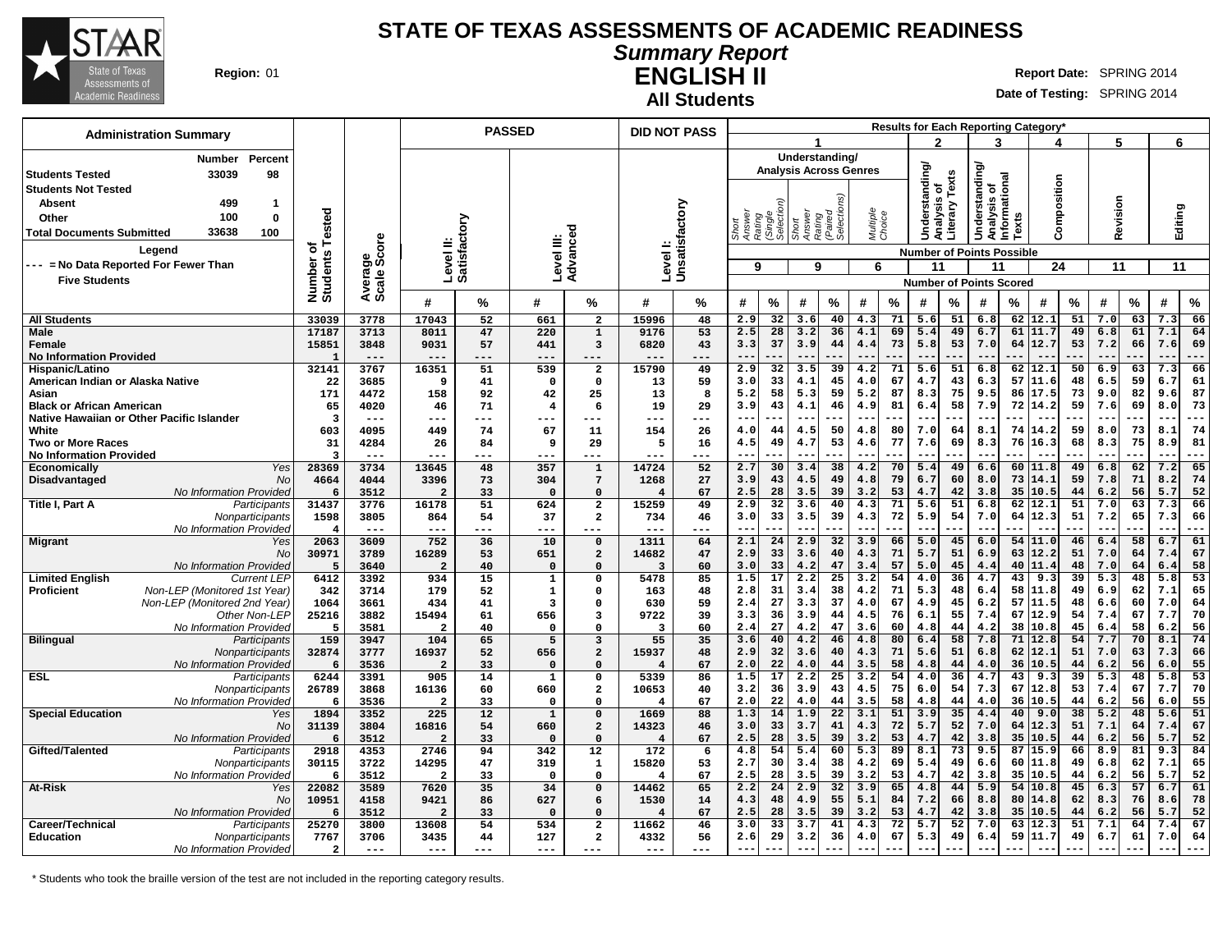

#### **Summary Report ENGLISH II Region:** 01 **Report** Date: SPRING 2014

**All Students**

**Date of Testing:** SPRING 2014

| <b>Administration Summary</b>                              |                                  |                 |                           | <b>PASSED</b> |                         |                                        |                         | <b>DID NOT PASS</b>       |                  |                     |                 |                               |                    |          |                |          |                                              |          | <b>Results for Each Reporting Category</b> |          |            |          |             |             |
|------------------------------------------------------------|----------------------------------|-----------------|---------------------------|---------------|-------------------------|----------------------------------------|-------------------------|---------------------------|------------------|---------------------|-----------------|-------------------------------|--------------------|----------|----------------|----------|----------------------------------------------|----------|--------------------------------------------|----------|------------|----------|-------------|-------------|
|                                                            |                                  |                 |                           |               |                         |                                        |                         |                           |                  |                     |                 |                               |                    |          | 2              |          | 3                                            |          |                                            |          | 5          |          | 6           |             |
| Percent<br>Number                                          |                                  |                 |                           |               |                         |                                        |                         |                           |                  |                     |                 | Understanding/                |                    |          |                |          |                                              |          |                                            |          |            |          |             |             |
| 33039<br>98<br><b>Students Tested</b>                      |                                  |                 |                           |               |                         |                                        |                         |                           |                  |                     |                 | <b>Analysis Across Genres</b> |                    |          | Understanding/ |          | derstanding/<br>Analysis of<br>Informational |          |                                            |          |            |          |             |             |
| <b>Students Not Tested</b>                                 |                                  |                 |                           |               |                         |                                        |                         |                           |                  |                     |                 |                               |                    |          | đ              | Texts    |                                              |          | Composition                                |          |            |          |             |             |
| <b>Absent</b><br>499<br>-1                                 |                                  |                 |                           |               |                         |                                        |                         |                           |                  |                     |                 |                               |                    |          |                |          |                                              |          |                                            |          |            |          |             |             |
| 100<br>$\mathbf{0}$<br>Other                               | Tested                           |                 |                           |               |                         |                                        |                         |                           |                  | (Single<br>Selectio | Short<br>Answer | Rating<br>(Paired<br>Selectio | Multiple<br>Choice |          | alysis         | Literary |                                              |          |                                            |          | Revision   |          | Editing     |             |
| 33638<br>100<br><b>Total Documents Submitted</b>           |                                  |                 |                           |               |                         |                                        |                         |                           | Answer<br>Rating |                     |                 |                               |                    |          | ā              |          | Š                                            | Texts    |                                            |          |            |          |             |             |
| Legend                                                     | ৳                                |                 |                           |               |                         |                                        |                         |                           |                  |                     |                 |                               |                    |          |                |          |                                              |          |                                            |          |            |          |             |             |
| -- = No Data Reported For Fewer Than                       | Number o<br>Students             | ige<br>Score    | Level II:<br>Satisfactory |               | Level III:              | Advanced                               |                         | Levell:<br>Unsatisfactory |                  |                     | 9               |                               |                    |          |                |          | <b>Number of Points Possible</b>             |          |                                            |          |            |          |             |             |
| <b>Five Students</b>                                       |                                  |                 |                           |               |                         |                                        |                         |                           | 9                |                     |                 |                               | 6                  |          | 11             |          | 11                                           |          | 24                                         |          | 11         |          | 11          |             |
|                                                            |                                  | Avera<br>Scale  |                           |               |                         |                                        |                         |                           |                  |                     |                 |                               |                    |          |                |          | <b>Number of Points Scored</b>               |          |                                            |          |            |          |             |             |
|                                                            |                                  |                 | #                         | %             | #                       | %                                      | #                       | ℅                         | #                | %                   | #               | %                             | #                  | $\%$     | #              | %        | #                                            | %        | #                                          | %        | #          | $\%$     | #           | $\%$        |
| <b>All Students</b>                                        | 33039                            | 3778            | 17043                     | 52            | 661                     | $\overline{\mathbf{2}}$                | 15996                   | 48                        | 2.9              | 32                  | 3.6             | 40                            | 4.3                | 71       | 5.6            | 51       | 6.8                                          | 62       | 12.1                                       | 51       | 7.0        | 63       | 7.3         | 66          |
| <b>Male</b>                                                | 17187                            | 3713            | 8011                      | 47            | 220                     | $\mathbf 1$                            | 9176                    | 53                        | 2.5              | 28                  | 3.2             | 36                            | 4.1                | 69       | 5.4            | 49       | 6.7                                          | 61       | 11.7                                       | 49       | 6.8        | 61       | 7.1         | 64          |
| Female                                                     | 15851                            | 3848            | 9031                      | 57            | 441                     | 3                                      | 6820                    | 43                        | 3.3              | 37                  | 3.9             | 44                            | 4.4                | 73       | 5.8            | 53       | 7.0                                          | 64       | 12.7                                       | 53       | 7.2        | 66       | 7.6         | 69          |
| <b>No Information Provided</b><br>Hispanic/Latino          | $\mathbf{1}$<br>32141            | $---$<br>3767   | $---$<br>16351            | ---<br>51     | ---<br>539              | $---$<br>$\overline{\mathbf{2}}$       | 15790                   | ---<br>49                 | $-$<br>2.9       | 32                  | $-$<br>3.5      | 39                            | 4.2                | 71       | 5.6            | 51       | 6.8                                          | 62       | 12.1                                       | 50       | 6.9        | 63       | $ -$<br>7.3 | ---<br>66   |
| American Indian or Alaska Native                           | 22                               | 3685            | 9                         | 41            | $\mathbf 0$             | $\mathsf{o}\,$                         | 13                      | 59                        | 3.0              | 33                  | 4.1             | 45                            | 4.0                | 67       | 4.7            | 43       | 6.3                                          | 57       | 11.6                                       | 48       | 6.5        | 59       | 6.7         | 61          |
| Asian                                                      | 171                              | 4472            | 158                       | 92            | 42                      | 25                                     | 13                      | 8                         | 5.2              | 58                  | 5.3             | 59                            | 5.2                | 87       | 8.3            | 75       | 9.5                                          | 86       | 17.5                                       | 73       | 9.0        | 82       | 9.6         | 87          |
| <b>Black or African American</b>                           | 65                               | 4020            | 46                        | 71            | $\overline{\mathbf{4}}$ | 6                                      | 19                      | 29                        | 3.9              | 43                  | 4.1             | 46                            | 4.9                | 81       | 6.4            | 58       | 7.9                                          | 72       | 14.2                                       | 59       | 7.6        | 69       | 8.0         | 73          |
| Native Hawaiian or Other Pacific Islander                  | 3                                | $- - -$         |                           | ---           | ---                     | ---                                    | ---                     | ---                       | $\sim$ $\sim$    | ---                 | $---$           | ---                           | $- -$              |          | $- -$          | ---      | $- -$                                        | ---      | $- -$                                      | .        | $- -$      |          | $-$         | $---$       |
| White                                                      | 603                              | 4095            | 449                       | 74            | 67                      | 11                                     | 154                     | 26                        | 4.0              | 44                  | 4.5             | 50                            | 4.8                | 80       | 7.0            | 64       | 8.1                                          | 74       | 14.2                                       | 59       | 8.0        | 73       | 8.1         | 74          |
| <b>Two or More Races</b>                                   | 31                               | 4284            | 26                        | 84            | 9                       | 29                                     | 5                       | 16                        | 4.5              | 49                  | 4.7             | 53                            | 4.6                | 77       | 7.6            | 69       | 8.3                                          | 76       | 16.3                                       | 68       | 8.3        | 75       | 8.9         | 81          |
| <b>No Information Provided</b><br>Yes                      | $\overline{\mathbf{3}}$<br>28369 | $- - -$<br>3734 | ---<br>13645              | ---<br>48     | ---<br>357              | ---<br>$\mathbf{1}$                    | ---<br>14724            | ---<br>52                 | $-$<br>2.7       | ---<br>30           | $--$<br>3.4     | 38                            | 4.2                | 70       | 5.4            | 49       | $ -$<br>6.6                                  | 60       | 11.8                                       | 49       | 6.8        | 62       | $ -$<br>7.2 | $- -$<br>65 |
| Economically<br>Disadvantaged<br>No                        | 4664                             | 4044            | 3396                      | 73            | 304                     | $7\phantom{.0}$                        | 1268                    | 27                        | 3.9              | 43                  | 4.5             | 49                            | 4.8                | 79       | 6.7            | 60       | 8.0                                          | 73       | 14.1                                       | 59       | 7.8        | 71       | 8.2         | 74          |
| No Information Provided                                    | 6                                | 3512            | $\overline{2}$            | 33            | $\Omega$                | $\Omega$                               | $\overline{4}$          | 67                        | 2.5              | 28                  | 3.5             | 39                            | 3.2                | 53       | 4.7            | 42       | 3.8                                          | 35       | 10.5                                       | 44       | 6.2        | 56       | 5.7         | 52          |
| Title I, Part A<br>Participants                            | 31437                            | 3776            | 16178                     | 51            | 624                     | $\overline{\mathbf{2}}$                | 15259                   | 49                        | 2.9              | 32                  | 3.6             | 40                            | 4.3                | 71       | 5.6            | 51       | 6.8                                          | 62       | $\overline{1}2.1$                          | 51       | 7.0        | 63       | 7.3         | 66          |
| Nonparticipants                                            | 1598                             | 3805            | 864                       | 54            | 37                      | $\overline{\mathbf{2}}$                | 734                     | 46                        | 3.0              | 33                  | 3.5             | 39                            | 4.3                | 72       | 5.9            | 54       | 7.0                                          | 64       | 12.3                                       | 51       | 7.2        | 65       | 7.3         | 66          |
| No Information Provided                                    | 4                                | $---$           | ---                       | ---           | ---                     | ---                                    | ---                     | ---                       | $-$              |                     |                 |                               |                    |          |                |          |                                              |          |                                            |          |            |          | $ -$        | ---         |
| <b>Migrant</b><br>Yes                                      | 2063                             | 3609            | 752                       | 36            | 10                      | $\Omega$                               | 1311                    | 64                        | 2.1              | 24                  | 2.9             | 32                            | 3.9                | 66       | 5.0            | 45       | 6.0                                          | 54       | 11.0                                       | 46       | 6.4        | 58       | 6.7         | 61          |
| No<br>No Information Provided                              | 30971<br>5                       | 3789<br>3640    | 16289<br>$\overline{2}$   | 53<br>40      | 651<br>$\mathbf 0$      | $\overline{\mathbf{c}}$<br>$\mathbf 0$ | 14682<br>3              | 47<br>60                  | 2.9<br>3.0       | 33<br>33            | 3.6<br>4.2      | 40<br>47                      | 4.3<br>3.4         | 71<br>57 | 5.7<br>5.0     | 51<br>45 | 6.9<br>4.4                                   | 63<br>40 | 12.2<br>11.4                               | 51<br>48 | 7.0<br>7.0 | 64<br>64 | 7.4<br>6.4  | 67<br>58    |
| <b>Limited English</b><br><b>Current LEP</b>               | 6412                             | 3392            | 934                       | 15            | $\mathbf{1}$            | $\mathbf 0$                            | 5478                    | 85                        | 1.5              | 17                  | 2.2             | 25                            | 3.2                | 54       | 4.0            | 36       | 4.7                                          | 43       | 9.3                                        | 39       | 5.3        | 48       | 5.8         | 53          |
| Non-LEP (Monitored 1st Year)<br>Proficient                 | 342                              | 3714            | 179                       | 52            | $\mathbf 1$             | $\mathbf 0$                            | 163                     | 48                        | 2.8              | 31                  | 3.4             | 38                            | 4.2                | 71       | 5.3            | 48       | 6.4                                          | 58       | 11.8                                       | 49       | 6.9        | 62       | 7.1         | 65          |
| Non-LEP (Monitored 2nd Year)                               | 1064                             | 3661            | 434                       | 41            | $\overline{\mathbf{3}}$ | 0                                      | 630                     | 59                        | 2.4              | 27                  | 3.3             | 37                            | 4.0                | 67       | 4.9            | 45       | 6.2                                          | 57       | 11.5                                       | 48       | 6.6        | 60       | 7.0         | 64          |
| Other Non-LEP                                              | 25216                            | 3882            | 15494                     | 61            | 656                     | 3                                      | 9722                    | 39                        | 3.3              | 36                  | 3.9             | 44                            | 4.5                | 76       | 6.1            | 55       | 7.4                                          | 67       | 12.9                                       | 54       | 7.4        | 67       | 7.7         | 70          |
| No Information Provided                                    | 5                                | 3581            | $\overline{2}$            | 40            | $\Omega$                | $\Omega$                               | $\overline{\mathbf{3}}$ | 60                        | 2.4              | 27                  | 4.2             | 47                            | 3.6                | 60       | 4.8            | 44       | 4.2                                          | 38       | 10.8                                       | 45       | 6.4        | 58       | 6.2         | 56          |
| <b>Bilingual</b><br>Participants                           | 159<br>32874                     | 3947<br>3777    | 104<br>16937              | 65<br>52      | 5<br>656                | 3<br>$\overline{a}$                    | 55<br>15937             | 35<br>48                  | 3.6<br>2.9       | 40<br>32            | 4.2<br>3.6      | 46<br>40                      | 4.8<br>4.3         | 80<br>71 | 6.4<br>5.6     | 58<br>51 | 7.8<br>6.8                                   | 71<br>62 | 12.8<br>12.1                               | 54<br>51 | 7.7<br>7.0 | 70<br>63 | 8.1<br>7.3  | 74<br>66    |
| Nonparticipants<br>No Information Provideo                 | 6                                | 3536            | $\overline{2}$            | 33            | $\mathbf 0$             | $\Omega$                               | $\overline{4}$          | 67                        | 2.0              | 22                  | 4.0             | 44                            | 3.5                | 58       | 4.8            | 44       | 4.0                                          | 36       | 10.5                                       | 44       | 6.2        | 56       | 6.0         | 55          |
| <b>ESL</b><br>Participants                                 | 6244                             | 3391            | 905                       | 14            | $\mathbf{1}$            | $\Omega$                               | 5339                    | 86                        | 1.5              | 17                  | 2.2             | 25                            | 3.2                | 54       | 4.0            | 36       | 4.7                                          | 43       | 9.3                                        | 39       | 5.3        | 48       | 5.8         | 53          |
| Nonparticipants                                            | 26789                            | 3868            | 16136                     | 60            | 660                     | $\overline{\mathbf{2}}$                | 10653                   | 40                        | 3.2              | 36                  | 3.9             | 43                            | 4.5                | 75       | 6.0            | 54       | 7.3                                          | 67       | 12.8                                       | 53       | 7.4        | 67       | 7.7         | 70          |
| No Information Provided                                    | 6                                | 3536            | $\overline{a}$            | 33            | $\mathbf 0$             | $\Omega$                               | $\overline{\bf 4}$      | 67                        | 2.0              | 22                  | 4.0             | 44                            | 3.5                | 58       | 4.8            | 44       | 4.0                                          | 36       | 10.5                                       | 44       | 6.2        | 56       | 6.0         | 55          |
| <b>Special Education</b><br>Yes                            | 1894                             | 3352            | 225                       | 12            | $\mathbf{1}$            | $\mathbf 0$                            | 1669                    | 88                        | 1.3              | 14                  | 1.9             | 22                            | 3.1                | 51       | 3.9            | 35       | 4.4                                          | 40       | 9.0                                        | 38       | 5.2        | 48       | 5.6         | 51          |
| No                                                         | 31139                            | 3804            | 16816                     | 54            | 660                     | $\overline{a}$                         | 14323                   | 46                        | 3.0              | 33                  | 3.7             | 41                            | 4.3                | 72       | 5.7            | 52       | 7.0                                          | 64       | 12.3                                       | 51       | 7.1        | 64       | 7.4         | 67          |
| No Information Provided<br>Gifted/Talented<br>Participants | 6<br>2918                        | 3512<br>4353    | $\overline{2}$<br>2746    | 33<br>94      | $\Omega$<br>342         | $\Omega$<br>12                         | $\overline{4}$<br>172   | 67<br>6                   | 2.5<br>4.8       | 28<br>54            | 3.5<br>5.4      | 39<br>60                      | 3.2<br>5.3         | 53<br>89 | 4.7<br>8.1     | 42<br>73 | 3.8<br>9.5                                   | 35<br>87 | 10.5<br>15.9                               | 44<br>66 | 6.2<br>8.9 | 56<br>81 | 5.7<br>9.3  | 52<br>84    |
| Nonparticipants                                            | 30115                            | 3722            | 14295                     | 47            | 319                     | $\mathbf{1}$                           | 15820                   | 53                        | 2.7              | 30                  | 3.4             | 38                            | 4.2                | 69       | 5.4            | 49       | 6.6                                          | 60       | 11.8                                       | 49       | 6.8        | 62       | 7.1         | 65          |
| No Information Provided                                    | 6                                | 3512            | $\overline{2}$            | 33            | $\Omega$                | $\Omega$                               | 4                       | 67                        | 2.5              | 28                  | 3.5             | 39                            | 3.2                | 53       | 4.7            | 42       | 3.8                                          | 35       | 10.5                                       | 44       | 6.2        | 56       | 5.7         | 52          |
| At-Risk<br>Yes                                             | 22082                            | 3589            | 7620                      | 35            | 34                      | $\mathbf 0$                            | 14462                   | 65                        | 2.2              | 24                  | 2.9             | 32                            | 3.9                | 65       | 4.8            | 44       | 5.9                                          | 54       | 10.8                                       | 45       | 6.3        | 57       | 6.7         | 61          |
| No                                                         | 10951                            | 4158            | 9421                      | 86            | 627                     | 6                                      | 1530                    | 14                        | 4.3              | 48                  | 4.9             | 55                            | 5.1                | 84       | 7.2            | 66       | 8.8                                          | 80       | 14.8                                       | 62       | 8.3        | 76       | 8.6         | 78          |
| No Information Provided                                    | 6                                | 3512            | $\overline{2}$            | 33            | $\Omega$                | $\Omega$                               | $\overline{4}$          | 67                        | 2.5              | 28                  | 3.5             | 39                            | 3.2                | 53       | 4.7            | 42       | 3.8                                          | 35       | 10.5                                       | 44       | 6.2        | 56       | 5.7         | 52          |
| Career/Technical<br>Participants                           | 25270                            | 3800            | 13608                     | 54            | 534                     | $\overline{\mathbf{2}}$                | 11662                   | 46                        | 3.0              | 33                  | 3.7             | 41                            | 4.3                | 72       | 5.7            | 52       | 7.0                                          | 63       | 12.3                                       | 51       | 7.1        | 64       | 7.4         | 67          |
| <b>Education</b><br>Nonparticipants                        | 7767                             | 3706            | 3435                      | 44            | 127                     | $\overline{a}$                         | 4332                    | 56                        | 2.6              | 29                  | 3.2             | 36                            | 4.0                | 67       | 5.3            | 49       | 6.4                                          | 59       | 11.7                                       | 49       | 6.7        | 61       | 7.0         | 64          |
| No Information Provided                                    | $\overline{2}$                   | $- - -$         | $---$                     | $---$         | ---                     | $---$                                  | ---                     | ---                       |                  |                     |                 |                               | $\qquad \qquad -$  |          |                |          |                                              |          |                                            |          |            |          |             |             |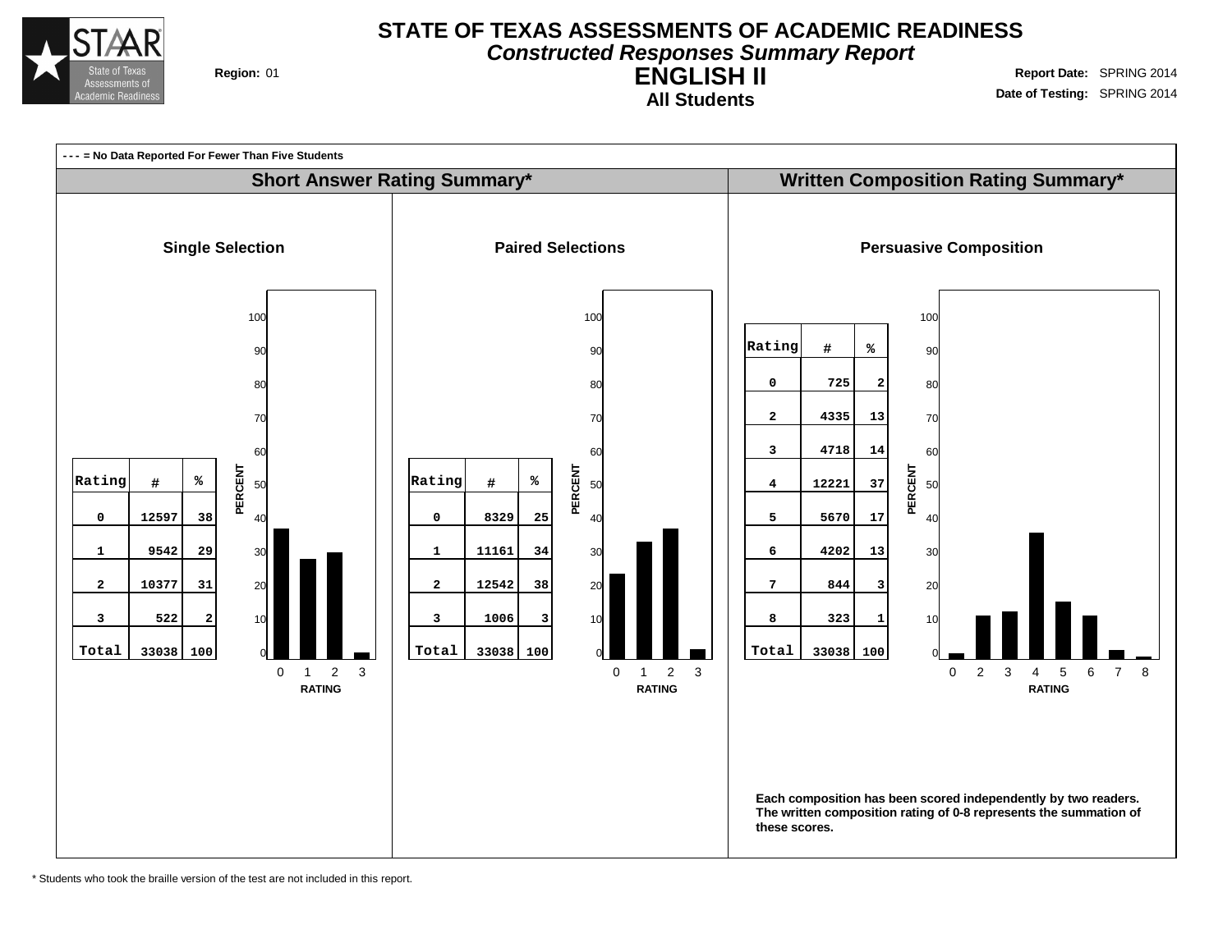

#### **STATE OF TEXAS ASSESSMENTS OF ACADEMIC READINESS Constructed Responses Summary Report**

**All Students**

**ENGLISH II Region:** 01 **Report** Date: SPRING 2014 **Date of Testing:** SPRING 2014



\* Students who took the braille version of the test are not included in this report.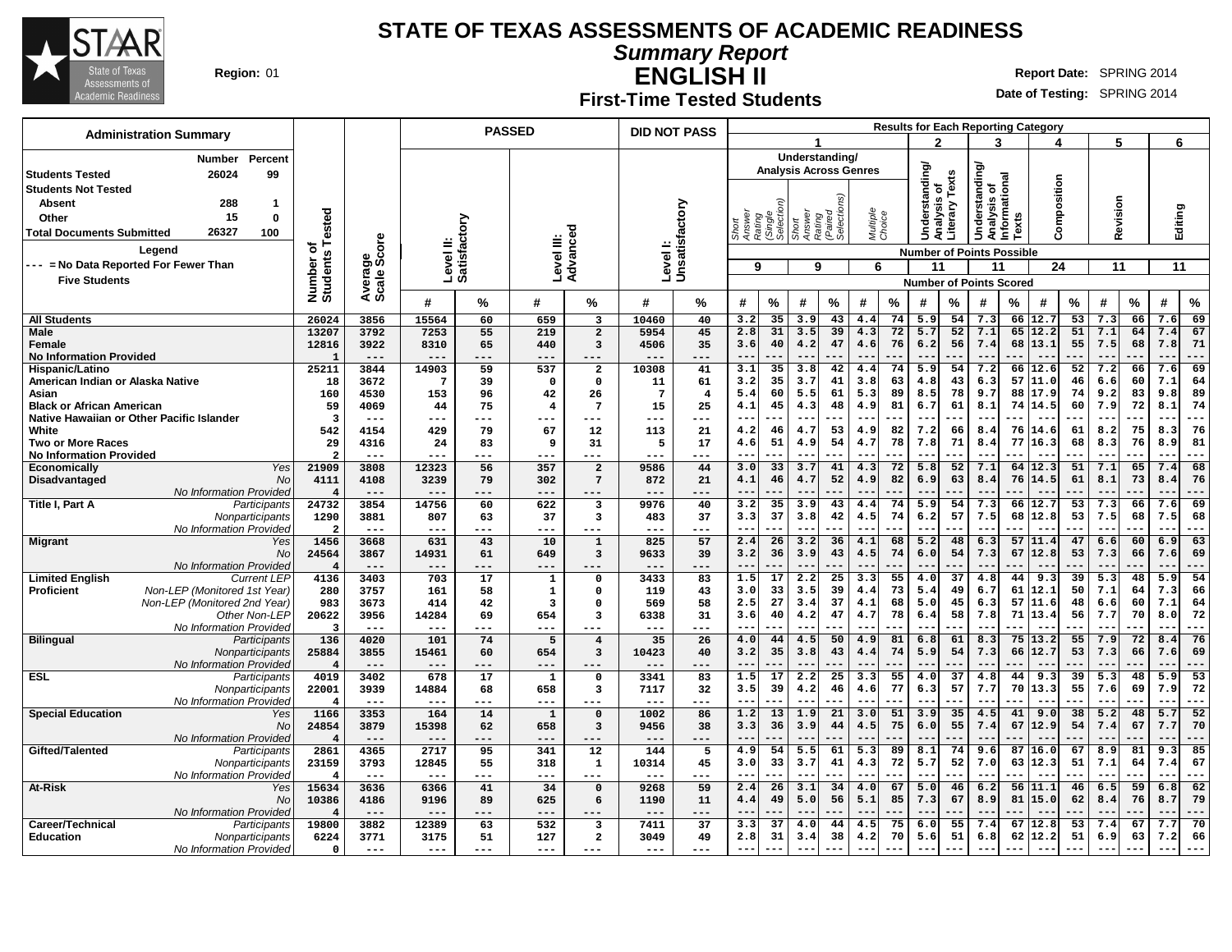

**Summary Report**

**Region:** 01 **Report Date:** SPRING 2014 **Report** Date: SPRING 2014 **Report** Date: SPRING 2014

#### **ENGLISH II First-Time Tested Students**

| <b>Administration Summary</b>                     |                                 |                  |                  |                           | <b>PASSED</b>           |                                     | <b>DID NOT PASS</b>       |                |                                                   |             |                   |                                                 |                    |          |                                  |                      |                                               |          | <b>Results for Each Reporting Category</b> |          |            |          |             |           |
|---------------------------------------------------|---------------------------------|------------------|------------------|---------------------------|-------------------------|-------------------------------------|---------------------------|----------------|---------------------------------------------------|-------------|-------------------|-------------------------------------------------|--------------------|----------|----------------------------------|----------------------|-----------------------------------------------|----------|--------------------------------------------|----------|------------|----------|-------------|-----------|
|                                                   |                                 |                  |                  |                           |                         |                                     |                           |                |                                                   |             |                   |                                                 |                    |          | $\mathbf{c}$                     |                      | 3                                             |          | 4                                          |          | 5          |          | 6           |           |
| Percent<br><b>Number</b>                          |                                 |                  |                  |                           |                         |                                     |                           |                |                                                   |             |                   | Understanding/<br><b>Analysis Across Genres</b> |                    |          |                                  |                      |                                               |          |                                            |          |            |          |             |           |
| 26024<br>99<br><b>Students Tested</b>             |                                 |                  |                  |                           |                         |                                     |                           |                |                                                   |             |                   |                                                 |                    |          | <b>Understanding</b>             | Texts                | Understanding<br>Analysis of<br>Informational |          |                                            |          |            |          |             |           |
| <b>Students Not Tested</b>                        |                                 |                  |                  |                           |                         |                                     |                           |                |                                                   |             |                   | ρS,                                             |                    |          | ৳                                |                      |                                               |          | Composition                                |          |            |          |             |           |
| <b>Absent</b><br>288<br>$\mathbf{1}$              |                                 |                  |                  |                           |                         |                                     |                           |                |                                                   |             |                   |                                                 |                    |          | alysis                           | Analysis<br>Literary |                                               |          |                                            |          | Revision   |          |             |           |
| 15<br>Other<br>$\mathbf 0$                        |                                 |                  |                  |                           |                         |                                     |                           |                |                                                   |             |                   |                                                 |                    |          |                                  |                      |                                               | Texts    |                                            |          |            |          |             |           |
| 26327<br><b>Total Documents Submitted</b><br>100  | Tested                          |                  |                  |                           |                         |                                     |                           |                | Short<br>Answer<br>Rating<br>(Single<br>Selection |             | Short<br>Answer   | Rating<br>(Paired<br>Selection                  | Multiple<br>Choice |          |                                  |                      |                                               |          |                                            |          |            |          | Editing     |           |
| Legend                                            | ٥ť                              | ge<br>Score      |                  | Level II:<br>Satisfactory | Level III:              | Advanced                            | Levell:<br>Unsatisfactory |                |                                                   |             |                   |                                                 |                    |          | <b>Number of Points Possible</b> |                      |                                               |          |                                            |          |            |          |             |           |
| --- = No Data Reported For Fewer Than             |                                 |                  |                  |                           |                         |                                     |                           |                | 9                                                 |             | 9                 |                                                 | 6                  |          | 11                               |                      | 11                                            |          | 24                                         |          | 11         |          | 11          |           |
| <b>Five Students</b>                              |                                 |                  |                  |                           |                         |                                     |                           |                |                                                   |             |                   |                                                 |                    |          | <b>Number of Points Scored</b>   |                      |                                               |          |                                            |          |            |          |             |           |
|                                                   | Number of<br>Students           | Averas<br>Scale: |                  |                           |                         |                                     |                           |                |                                                   |             |                   |                                                 |                    |          |                                  |                      |                                               |          |                                            |          |            |          |             |           |
|                                                   |                                 |                  | #                | %                         | #                       | %                                   | #                         | ℅              | #                                                 | %           | #                 | %                                               | #                  | $\%$     | #                                | $\%$                 | #                                             | %        | #                                          | %        | #          | $\%$     | #           | $\%$      |
| <b>All Students</b>                               | 26024                           | 3856             | 15564            | 60                        | 659                     | 3                                   | 10460                     | 40             | 3.2                                               | 35          | 3.9               | 43                                              | 4.4                | 74       | 5.9                              | 54                   | 7.3                                           | 66       | 12.7                                       | 53       | 7.3        | 66       | 7.6         | 69        |
| Male                                              | 13207                           | 3792             | 7253             | 55                        | 219                     | $\overline{a}$                      | 5954                      | 45             | 2.8                                               | 31<br>40    | 3.5               | 39<br>47                                        | 4.3<br>4.6         | 72<br>76 | 5.7<br>6.2                       | 52<br>56             | 7.1<br>7.4                                    | 65<br>68 | 12.2<br>13.1                               | 51<br>55 | 7.1<br>7.5 | 64<br>68 | 7.4<br>7.8  | 67<br>71  |
| Female<br><b>No Information Provided</b>          | 12816                           | 3922<br>$---$    | 8310<br>$--$     | 65<br>---                 | 440<br>---              | $\overline{\mathbf{3}}$<br>---      | 4506<br>---               | 35             | 3.6                                               |             | 4.2<br>--         |                                                 |                    |          |                                  |                      | $ -$                                          |          |                                            |          |            |          | $ -$        | ---       |
| Hispanic/Latino                                   | 25211                           | 3844             | 14903            | 59                        | 537                     | $\overline{a}$                      | 10308                     | 41             | 3.1                                               | 35          | 3.8               | 42                                              | 4.4                | 74       | 5.9                              | 54                   | 7.2                                           | 66       | 12.6                                       | 52       | 7.2        | 66       | 7.6         | 69        |
| American Indian or Alaska Native                  | 18                              | 3672             | 7                | 39                        | $\mathbf 0$             | $\mathbf 0$                         | 11                        | 61             | 3.2                                               | 35          | 3.7               | 41                                              | 3.8                | 63       | 4.8                              | 43                   | 6.3                                           | 57       | 11.0                                       | 46       | 6.6        | 60       | 7.1         | 64        |
| Asian                                             | 160                             | 4530             | 153              | 96                        | 42                      | 26                                  | $\overline{7}$            | $\overline{4}$ | 5.4                                               | 60          | 5.5               | 61                                              | 5.3                | 89       | 8.5                              | 78                   | 9.7                                           | 88       | 17.9                                       | 74       | 9.2        | 83       | 9.8         | 89        |
| <b>Black or African American</b>                  | 59                              | 4069             | 44               | 75                        | 4                       | $7\phantom{.0}$                     | 15                        | 25             | 4.1                                               | 45          | 4.3               | 48                                              | 4.9                | 81       | 6.7                              | 61                   | 8.1                                           | 74       | 14.5                                       | 60       | 7.9        | 72       | 8.1         | 74        |
| Native Hawaiian or Other Pacific Islander         | $\overline{\mathbf{3}}$         | $---$            | ---              | ---                       | ---                     | ---                                 | ---                       | ---            | $\sim$ $\sim$                                     | ---         | $- -$             | ---                                             | $- -$              |          | $- -$                            | ---                  | $-$                                           | ---      | $- -$                                      |          | $- -$      |          | $-$         | $---$     |
| White<br><b>Two or More Races</b>                 | 542<br>29                       | 4154<br>4316     | 429<br>24        | 79<br>83                  | 67<br>-9                | 12<br>31                            | 113<br>5                  | 21<br>17       | 4.2<br>4.6                                        | 46<br>51    | 4.7<br>4.9        | 53<br>54                                        | 4.9<br>4.7         | 82<br>78 | 7.2<br>7.8                       | 66<br>71             | 8.4<br>8.4                                    | 76<br>77 | 14.6<br>16.3                               | 61<br>68 | 8.2<br>8.3 | 75<br>76 | 8.3<br>8.9  | 76<br>81  |
| <b>No Information Provided</b>                    | $\overline{2}$                  | $- - -$          | ---              | ---                       | ---                     | ---                                 | ---                       | ---            | $ -$                                              | ---         | --                |                                                 |                    |          |                                  |                      | $ -$                                          |          |                                            |          |            |          | $ -$        | ---       |
| Yes<br>Economically                               | 21909                           | 3808             | 12323            | 56                        | 357                     | $\overline{a}$                      | 9586                      | 44             | 3.0                                               | 33          | 3.7               | 41                                              | 4.3                | 72       | 5.8                              | 52                   | 7.1                                           | 64       | 12.3                                       | 51       | 7.1        | 65       | 7.4         | 68        |
| Disadvantaged<br>No                               | 4111                            | 4108             | 3239             | 79                        | 302                     | $7\overline{ }$                     | 872                       | 21             | 4.1                                               | 46          | 4.7               | 52                                              | 4.9                | 82       | 6.9                              | 63                   | 8.4                                           | 76       | 14.5                                       | 61       | 8.1        | 73       | 8.4         | 76        |
| No Information Provided                           | $\overline{4}$                  | $---$            | $---$            | ---                       | ---                     | ---                                 | ---                       | ---            | $- -$                                             | ---         | $- -$             | ---                                             | $- -$              |          | $-$                              | ---                  | $- -$                                         | ---      | $- -$                                      | .        | $- -$      |          | $-$         | ---       |
| Title I, Part A<br>Participants                   | 24732                           | 3854             | 14756            | 60                        | 622                     | 3                                   | 9976                      | 40             | 3.2                                               | 35          | 3.9               | 43                                              | 4.4                | 74       | 5.9                              | 54                   | 7.3                                           | 66       | 12.7                                       | 53       | 7.3        | 66       | 7.6         | 69        |
| Nonparticipants                                   | 1290                            | 3881<br>$---$    | 807<br>$- - -$   | 63<br>$---$               | 37<br>---               | 3<br>---                            | 483<br>---                | 37<br>$- - -$  | 3.3                                               | 37          | 3.8               | 42                                              | 4.5                | 74       | 6.2                              | 57                   | 7.5                                           | 68       | 12.8                                       | 53       | 7.5        | 68       | 7.5         | 68<br>--  |
| No Information Provided<br><b>Migrant</b><br>Yes  | $\overline{\mathbf{2}}$<br>1456 | 3668             | 631              | 43                        | 10                      | $\mathbf 1$                         | 825                       | 57             | 2.4                                               | 26          | 3.2               | 36                                              | 4.1                | 68       | 5.2                              | 48                   | 6.3                                           | 57       | 11.4                                       | 47       | 6.6        | 60       | 6.9         | 63        |
| No                                                | 24564                           | 3867             | 14931            | 61                        | 649                     | $\overline{\mathbf{3}}$             | 9633                      | 39             | 3.2                                               | 36          | 3.9               | 43                                              | 4.5                | 74       | 6.0                              | 54                   | 7.3                                           | 67       | 12.8                                       | 53       | 7.3        | 66       | 7.6         | 69        |
| No Information Provideo                           |                                 | $---$            | $---$            | $---$                     | ---                     | ---                                 | $---$                     | ---            | $-$                                               | $- -$       | $- -$             | .                                               | $- -$              |          | $-$                              |                      | $-$                                           | ---      | $- -$                                      |          | $- -$      |          | $ -$        | ---       |
| <b>Limited English</b><br><b>Current LEF</b>      | 4136                            | 3403             | 703              | 17                        | $\mathbf{1}$            | $\Omega$                            | 3433                      | 83             | 1.5                                               | 17          | 2.2               | 25                                              | 3.3                | 55       | 4.0                              | 37                   | 4.8                                           | 44       | 9.3                                        | 39       | 5.3        | 48       | 5.9         | 54        |
| Non-LEP (Monitored 1st Year)<br><b>Proficient</b> | 280                             | 3757             | 161              | 58                        | $\mathbf{1}$            | $\Omega$                            | 119                       | 43             | 3.0                                               | 33          | 3.5               | 39                                              | 4.4                | 73       | 5.4                              | 49                   | 6.7                                           | 61       | 12.1                                       | 50       | 7.1        | 64       | 7.3         | 66        |
| Non-LEP (Monitored 2nd Year)<br>Other Non-LEP     | 983                             | 3673             | 414              | 42                        | $\overline{\mathbf{3}}$ | $\Omega$<br>$\overline{\mathbf{3}}$ | 569                       | 58             | 2.5                                               | 27<br>40    | 3.4               | 37                                              | 4.1                | 68<br>78 | 5.0                              | 45                   | 6.3                                           | 57<br>71 | 11.6<br>13.4                               | 48<br>56 | 6.6        | 60<br>70 | 7.1         | 64        |
| No Information Provided                           | 20622<br>3                      | 3956<br>$- - -$  | 14284<br>$---$   | 69<br>---                 | 654<br>---              |                                     | 6338<br>---               | 31<br>---      | 3.6                                               | -- <b>-</b> | 4.2<br>--         | 47                                              | 4.7                |          | 6.4                              | 58<br>--             | 7.8<br>--                                     |          |                                            |          | 7.7        |          | 8.0         | 72<br>--- |
| <b>Bilingual</b><br>Participants                  | 136                             | 4020             | 101              | 74                        | 5                       | $\overline{\mathbf{4}}$             | 35                        | 26             | 4.0                                               | 44          | 4.5               | 50                                              | 4.9                | 81       | 6.8                              | 61                   | 8.3                                           | 75       | 13.2                                       | 55       | 7.9        | 72       | 8.4         | 76        |
| Nonparticipants                                   | 25884                           | 3855             | 15461            | 60                        | 654                     | $\overline{\mathbf{3}}$             | 10423                     | 40             | 3.2                                               | 35          | 3.8               | 43                                              | 4.4                | 74       | 5.9                              | 54                   | 7.3                                           | 66       | 12.7                                       | 53       | 7.3        | 66       | 7.6         | 69        |
| No Information Provided                           |                                 | $---$            | $---$            | ---                       | ---                     | $---$                               | ---                       | ---            | $ -$                                              |             | $-$               |                                                 |                    |          |                                  |                      | $ -$                                          |          |                                            |          |            |          | $ -$        | ---       |
| <b>ESL</b><br>Participants                        | 4019                            | 3402             | 678              | 17                        | $\mathbf{1}$            | $\Omega$                            | 3341                      | 83             | 1.5                                               | 17          | 2.2               | 25                                              | 3.3                | 55       | 4.0                              | 37                   | 4.8                                           | 44       | 9.3                                        | 39       | 5.3        | 48       | 5.9         | 53        |
| Nonparticipants<br>No Information Provideo        | 22001<br>$\overline{4}$         | 3939<br>$---$    | 14884<br>$- - -$ | 68<br>---                 | 658<br>---              | 3                                   | 7117<br>---               | 32             | 3.5<br>$-$                                        | 39<br>---   | 4.2<br>$- -$      | 46                                              | 4.6                | 77       | 6.3                              | 57<br>--             | 7.7<br>$-$                                    | 70       | 13.3                                       | 55       | 7.6        | 69       | 7.9<br>$ -$ | 72<br>--- |
| <b>Special Education</b><br>Yes                   | 1166                            | 3353             | 164              | 14                        | $\mathbf 1$             | $\Omega$                            | 1002                      | 86             | 1.2                                               | 13          | 1.9               | 21                                              | 3.0                | 51       | 3.9                              | 35                   | 4.5                                           | 41       | 9.0                                        | 38       | 5.2        | 48       | 5.7         | 52        |
| <b>No</b>                                         | 24854                           | 3879             | 15398            | 62                        | 658                     | $\overline{\mathbf{3}}$             | 9456                      | 38             | 3.3                                               | 36          | 3.9               | 44                                              | 4.5                | 75       | 6.0                              | 55                   | 7.4                                           | 67       | 12.9                                       | 54       | 7.4        | 67       | 7.7         | 70        |
| <b>No Information Provided</b>                    | 4                               | $---$            | $---$            | ---                       | ---                     | $---$                               | $---$                     | ---            | $---$                                             | ---         | $---$             | ---                                             | $- -$              | ---      | $- -$                            | ---                  | $-$                                           |          | $- -$                                      | .        | $- -$      | ---      | $- -$       | ---       |
| Gifted/Talented<br>Participants                   | 2861                            | 4365             | 2717             | 95                        | 341                     | 12                                  | 144                       | 5              | 4.9                                               | 54          | 5.5               | 61                                              | 5.3                | 89       | 8.1                              | 74                   | 9.6                                           | 87       | 16.0                                       | 67       | 8.9        | 81       | 9.3         | 85        |
| Nonparticipants                                   | 23159                           | 3793             | 12845            | 55                        | 318                     | 1                                   | 10314                     | 45             | 3.0                                               | 33          | 3.7               | 41                                              | 4.3                | 72       | 5.7                              | 52                   | 7.0                                           | 63       | 12.3                                       | 51       | 7.1        | 64       | 7.4         | 67        |
| No Information Provided                           | $\overline{4}$<br>15634         | $---$            | $---$            | $---$                     | ---                     | $---$<br>$\mathbf 0$                | ---<br>9268               | $- - -$        | $-$                                               | ---         | --                |                                                 |                    |          | --                               | --                   | $ -$                                          |          |                                            |          |            |          |             | ---       |
| At-Risk<br>Yes<br>No                              | 10386                           | 3636<br>4186     | 6366<br>9196     | 41<br>89                  | 34<br>625               | 6                                   | 1190                      | 59<br>11       | 2.4<br>4.4                                        | 26<br>49    | 3.1<br>5.0        | 34<br>56                                        | 4.0<br>5.1         | 67<br>85 | 5.0<br>7.3                       | 46<br>67             | 6.2<br>8.9                                    | 56<br>81 | 11.1<br>15.0                               | 46<br>62 | 6.5<br>8.4 | 59<br>76 | 6.8<br>8.7  | 62<br>79  |
| No Information Provideo                           |                                 | $---$            | $--$             | ---                       | ---                     | $---$                               | $--$                      | ---            | $-$                                               | --          | $\qquad \qquad -$ |                                                 |                    |          | --                               | --                   | $- -$                                         | ---      | $ -$                                       |          |            |          | $- -$       | ---       |
| Career/Technical<br>Participants                  | 19800                           | 3882             | 12389            | 63                        | 532                     | 3                                   | 7411                      | 37             | 3.3                                               | 37          | 4.0               | 44                                              | 4.5                | 75       | 6.0                              | 55                   | 7.4                                           | 67       | 12.8                                       | 53       | 7.4        | 67       | 7.7         | 70        |
| Education<br>Nonparticipants                      | 6224                            | 3771             | 3175             | 51                        | 127                     | $\mathbf{2}$                        | 3049                      | 49             | 2.8                                               | 31          | 3.4               | 38                                              | 4.2                | 70       | 5.6                              | 51                   | 6.8                                           | 62       | 12.2                                       | 51       | 6.9        | 63       | 7.2         | 66        |
| No Information Provideo                           | $\mathbf 0$                     | $---$            | $---$            | $---$                     | ---                     | $---$                               | $---$                     | $- - -$        |                                                   |             |                   |                                                 |                    |          |                                  |                      |                                               |          |                                            |          |            |          |             |           |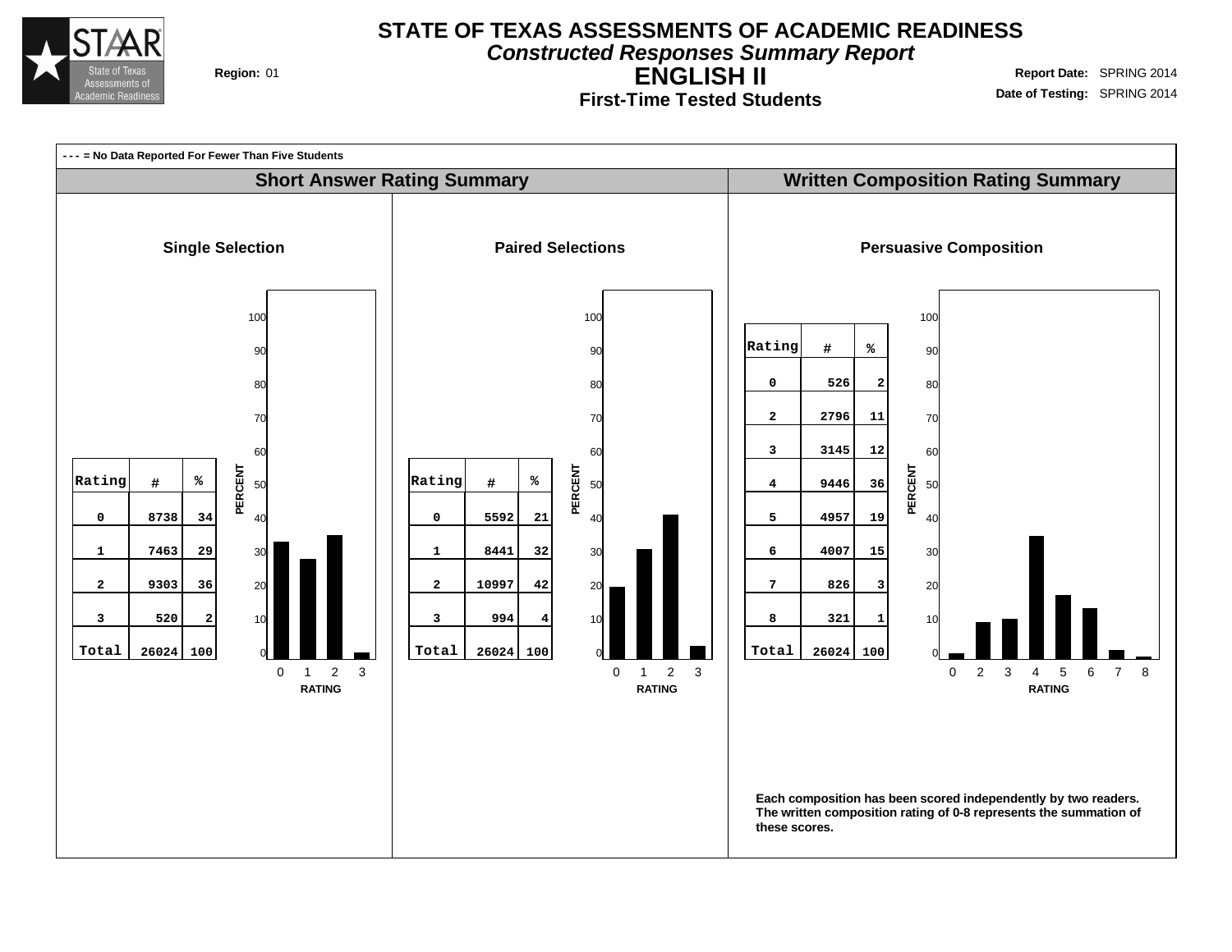

**Constructed Responses Summary Report**

**First-Time Tested Students**

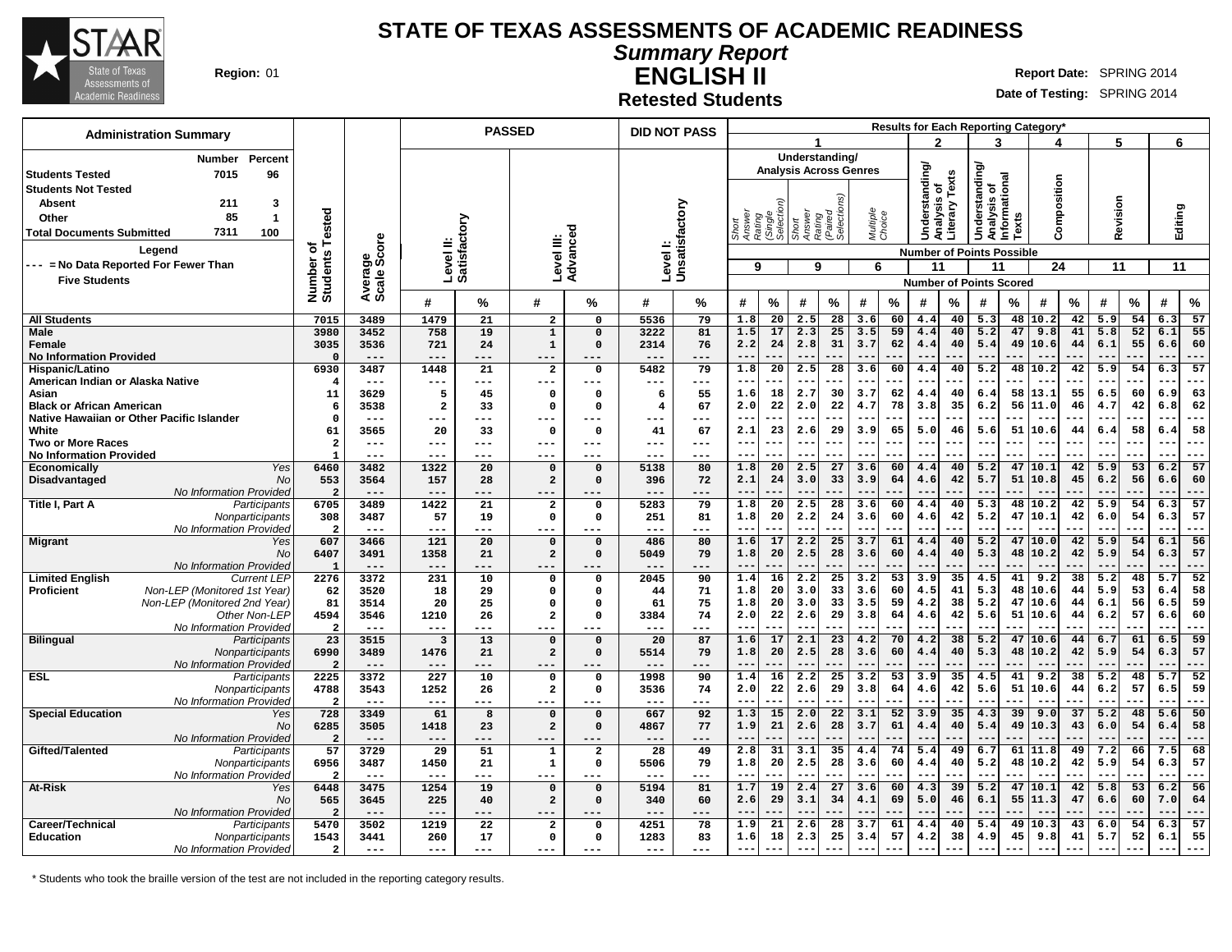

# **Summary Report**

**Retested Students**

**ENGLISH II Region:** 01 **Report** Date: SPRING 2014

**Date of Testing:** SPRING 2014

| <b>Administration Summary</b>                                         |                                    |                  |                              |                 | <b>PASSED</b>                 |                         | <b>DID NOT PASS</b>       |          |                                                   |                          |                                                     |                       | <b>Results for Each Reporting Category</b> |                                  |                        |                                                |          |               |          |                  |                 |             |                 |
|-----------------------------------------------------------------------|------------------------------------|------------------|------------------------------|-----------------|-------------------------------|-------------------------|---------------------------|----------|---------------------------------------------------|--------------------------|-----------------------------------------------------|-----------------------|--------------------------------------------|----------------------------------|------------------------|------------------------------------------------|----------|---------------|----------|------------------|-----------------|-------------|-----------------|
|                                                                       |                                    |                  |                              |                 |                               |                         |                           |          |                                                   |                          |                                                     |                       |                                            | 2                                |                        | 3                                              |          |               |          | 5                |                 | 6           |                 |
| <b>Number</b><br>Percent                                              |                                    |                  |                              |                 |                               |                         |                           |          |                                                   |                          | Understanding/                                      |                       |                                            |                                  |                        |                                                |          |               |          |                  |                 |             |                 |
| 7015<br>96<br><b>Students Tested</b>                                  |                                    |                  |                              |                 |                               |                         |                           |          |                                                   |                          | <b>Analysis Across Genres</b>                       |                       |                                            | Understanding                    | Texts                  | Understanding/<br>Analysis of<br>Informational |          |               |          |                  |                 |             |                 |
| <b>Students Not Tested</b>                                            |                                    |                  |                              |                 |                               |                         |                           |          |                                                   |                          |                                                     |                       |                                            |                                  |                        |                                                |          | Composition   |          |                  |                 |             |                 |
| <b>Absent</b><br>211<br>3                                             |                                    |                  |                              |                 |                               |                         |                           |          |                                                   |                          |                                                     |                       |                                            |                                  |                        |                                                |          |               |          |                  |                 |             |                 |
| 85<br>Other<br>$\overline{\mathbf{1}}$                                |                                    |                  |                              |                 |                               |                         |                           |          |                                                   |                          |                                                     |                       |                                            |                                  |                        |                                                |          |               |          |                  |                 |             |                 |
| 7311<br>100<br><b>Total Documents Submitted</b>                       | Tested                             |                  |                              |                 |                               |                         |                           |          | Short<br>Answer<br>Rating<br>(Single<br>Selection |                          | Short<br>Answer<br>Rating<br>(Paired<br>Selections) |                       | Multiple<br>Choice                         |                                  | Analysis<br>Literary 1 |                                                | Texts    |               |          | Revision         |                 | Editing     |                 |
| Legend                                                                | ৳                                  | ge<br>Score      | Level II:<br>Satisfactory    |                 | Level III:                    | Advanced                | Levell:<br>Unsatisfactory |          |                                                   |                          |                                                     |                       |                                            |                                  |                        |                                                |          |               |          |                  |                 |             |                 |
| --- = No Data Reported For Fewer Than                                 | Number of<br>Students <sup>-</sup> |                  |                              |                 |                               |                         |                           |          |                                                   |                          |                                                     |                       |                                            | <b>Number of Points Possible</b> |                        |                                                |          |               |          |                  |                 |             |                 |
|                                                                       |                                    |                  |                              |                 |                               |                         |                           |          | 9                                                 |                          | 9                                                   |                       | 6                                          | 11                               |                        | 11                                             |          | 24            |          | 11               |                 | 11          |                 |
| <b>Five Students</b>                                                  |                                    | Average<br>Scale |                              |                 |                               |                         |                           |          |                                                   |                          |                                                     |                       |                                            | <b>Number of Points Scored</b>   |                        |                                                |          |               |          |                  |                 |             |                 |
|                                                                       |                                    |                  | #                            | %               | #                             | %                       | #                         | ℅        | #                                                 | %                        | $\#$                                                | %                     | #<br>$\frac{9}{6}$                         | #                                | $\%$                   | #                                              | $\%$     | $\#$          | %        | #                | $\%$            | #           | $\%$            |
| <b>All Students</b>                                                   | 7015                               | 3489             | 1479                         | 21              | $\mathbf{2}$                  | $\mathbf 0$             | 5536                      | 79       | 1.8                                               | 20                       | 2.5                                                 | 28                    | 60<br>3.6                                  | 4.4                              | 40                     | 5.3                                            | 48       | 10.2          | 42       | 5.9              | 54              | 6.3         | 57              |
| <b>Male</b>                                                           | 3980                               | 3452             | 758                          | 19              | $\mathbf{1}$                  | $\Omega$                | 3222                      | 81       | 1.5                                               | 17                       | 2.3                                                 | 25                    | 3.5<br>59                                  | 4.4                              | 40                     | 5.2                                            | 47       | 9.8           | 41       | 5.8              | 52              | 6.1         | 55              |
| Female                                                                | 3035                               | 3536             | 721                          | 24              | $\mathbf{1}$                  | $\Omega$                | 2314                      | 76       | 2.2                                               | 24                       | 2.8                                                 | 31                    | 3.7<br>62                                  | 4.4                              | 40                     | 5.4                                            | 49       | 10.6          | 44       | 6.1              | 55              | 6.6         | 60              |
| <b>No Information Provided</b>                                        | $\Omega$                           | $---$            | $---$                        | ---             | $---$                         |                         | ---                       | ---      | $-$                                               |                          | $-$                                                 |                       |                                            | --                               |                        | $-$                                            |          |               |          |                  |                 |             | ---             |
| Hispanic/Latino                                                       | 6930                               | 3487             | 1448                         | 21              | $\overline{\mathbf{2}}$       | $\Omega$                | 5482                      | 79       | 1.8                                               | 20                       | 2.5                                                 | 28                    | 3.6<br>60                                  | 4.4                              | 40                     | 5.2                                            | 48       | 10.2          | 42       | 5.9              | 54              | 6.3         | 57              |
| American Indian or Alaska Native                                      | $\overline{4}$                     | $---$            | $---$                        | ---             | $---$                         | ---                     | ---                       | $---$    | $- -$                                             | $\overline{\phantom{a}}$ | $-$                                                 |                       | $- -$<br>---                               | --                               |                        | $-$                                            |          | $- -$         | .        | $-$              |                 | $-$         | ---             |
| Asian<br><b>Black or African American</b>                             | 11<br>6                            | 3629<br>3538     | 5<br>$\overline{\mathbf{2}}$ | 45<br>33        | 0<br>$\mathbf{o}$             | $\Omega$<br>$\Omega$    | 6<br>$\overline{4}$       | 55<br>67 | 1.6<br>2.0                                        | 18<br>22                 | 2.7<br>2.0                                          | 30<br>22              | 62<br>3.7<br>4.7<br>78                     | 4.4<br>3.8                       | 40<br>35               | 6.4<br>6.2                                     | 58<br>56 | 13.1<br>11.0  | 55<br>46 | 6.5<br>4.7       | 60<br>42        | 6.9<br>6.8  | 63<br>62        |
| Native Hawaiian or Other Pacific Islander                             | $\Omega$                           | $- - -$          | $--$                         | $---$           | $---$                         | ---                     | ---                       | $---$    | $ -$                                              |                          | $- -$                                               |                       | $- -$                                      |                                  |                        | --                                             |          |               |          |                  |                 |             | ---             |
| White                                                                 | 61                                 | 3565             | 20                           | 33              | $\mathbf{o}$                  | $\Omega$                | 41                        | 67       | 2.1                                               | 23                       | 2.6                                                 | 29                    | 3.9<br>65                                  | 5.0                              | 46                     | 5.6                                            | 51       | 10.6          | 44       | 6.4              | 58              | б.          | 58              |
| <b>Two or More Races</b>                                              | $\overline{a}$                     | $---$            | $---$                        | $---$           | $---$                         | $- - -$                 | ---                       | $- - -$  | $- -$                                             | $\overline{\phantom{a}}$ | --                                                  |                       | $- -$                                      | --                               |                        | $ -$                                           |          |               |          | --               |                 | $ -$        | ---             |
| <b>No Information Provided</b>                                        |                                    | $---$            | $- - -$                      | $---$           | $- - -$                       | ---                     | ---                       | $- - -$  | $- -$                                             |                          | $- -$                                               |                       | $- -$                                      | --                               | --                     | $\sim$ $\sim$                                  | ---      | $- -$         |          | $ -$             |                 | $-$         | $- - -$         |
| Economically<br>Yes                                                   | 6460                               | 3482             | 1322                         | $\overline{20}$ | $\mathbf 0$                   | $\Omega$                | 5138                      | 80       | 1.8                                               | $\overline{20}$          | 2.5                                                 | $\overline{27}$       | 3.6<br>60                                  | 4.4                              | 40                     | $\overline{5.2}$                               | 47       | 10.1          | 42       | 5.9              | $\overline{53}$ | 6.2         | 57              |
| Disadvantaged<br>No                                                   | 553                                | 3564             | 157                          | 28              | $\overline{a}$                | $\Omega$                | 396                       | 72       | 2.1                                               | 24                       | 3.0                                                 | 33                    | 3.9<br>64                                  | 4.6                              | 42                     | 5.7                                            | 51       | 10.8          | 45       | 6.2              | 56              | 6.6         | 60              |
| No Information Provided                                               | $\overline{a}$                     | $---$            | $---$                        | ---             | $--$                          | ---                     | ---                       | ---      |                                                   |                          |                                                     |                       |                                            |                                  |                        | $ -$                                           |          |               |          |                  |                 | $\sim$      | ---             |
| Title I, Part A<br>Participants                                       | 6705<br>308                        | 3489<br>3487     | 1422<br>57                   | 21<br>19        | $\overline{a}$<br>$\mathbf 0$ | $\Omega$<br>$\Omega$    | 5283<br>251               | 79<br>81 | 1.8<br>1.8                                        | 20<br>20                 | 2.5<br>2.2                                          | 28<br>24              | 3.6<br>60<br>3.6<br>60                     | 4.4<br>4.6                       | 40<br>42               | 5.3<br>5.2                                     | 48<br>47 | 10.2<br>10.1  | 42<br>42 | 5.9<br>6.0       | 54<br>54        | 6.3<br>6.3  | 57<br>57        |
| Nonparticipants<br>No Information Provided                            | $\overline{2}$                     | $---$            | $---$                        | ---             | $---$                         | ---                     | ---                       | ---      | $- -$                                             | ---                      | $- -$                                               | ---                   | $- -$<br>---                               | $- -$                            | $-$                    | $-$                                            |          | $- -$         | .        | $- -$            | ---             | $-$         | $---$           |
| <b>Migrant</b><br>Yes                                                 | 607                                | 3466             | 121                          | 20              | $\mathbf 0$                   | $\Omega$                | 486                       | 80       | 1.6                                               | 17                       | 2.2                                                 | 25                    | 3.7<br>61                                  | 4.4                              | 40                     | 5.2                                            | 47       | 10.0          | 42       | 5.9              | 54              | 6.1         | 56              |
| <b>No</b>                                                             | 6407                               | 3491             | 1358                         | 21              | $\overline{a}$                | $\Omega$                | 5049                      | 79       | 1.8                                               | 20                       | 2.5                                                 | 28                    | 60<br>3.6                                  | 4.4                              | 40                     | 5.3                                            | 48       | 10.2          | 42       | 5.9              | 54              | 6.3         | 57              |
| No Information Provided                                               | $\mathbf{1}$                       | $---$            | $---$                        | ---             | ---                           |                         | ---                       | ---      |                                                   |                          | $-$                                                 |                       |                                            |                                  |                        | $-$                                            |          |               |          |                  |                 |             | --              |
| <b>Limited English</b><br><b>Current LEP</b>                          | 2276                               | 3372             | 231                          | 10              | 0                             | $\mathbf 0$             | 2045                      | 90       | 1.4                                               | 16                       | 2.2                                                 | 25                    | $\overline{53}$<br>3.2                     | 3.9                              | 35                     | 4.5                                            | 41       | 9.2           | 38       | 5.2              | 48              | 5.7         | 52              |
| Non-LEP (Monitored 1st Year)<br><b>Proficient</b>                     | 62                                 | 3520             | 18                           | 29              | 0                             | $\Omega$                | 44                        | 71       | 1.8                                               | 20                       | 3.0                                                 | 33                    | 60<br>3.6                                  | 4.5                              | 41                     | 5.3                                            | 48       | 10.6          | 44       | 5.9              | 53              | 6.4         | 58              |
| Non-LEP (Monitored 2nd Year)                                          | 81                                 | 3514             | 20                           | 25              | 0                             | $\Omega$                | 61                        | 75       | 1.8                                               | 20                       | 3.0                                                 | 33<br>29              | 59<br>3.5                                  | 4.2                              | 38                     | 5.2                                            | 47       | 10.6          | 44       | 6.1              | 56              | 6.5         | 59              |
| Other Non-LEP<br>No Information Provided                              | 4594<br>$\overline{2}$             | 3546<br>$---$    | 1210<br>$---$                | 26              | $\overline{\mathbf{2}}$       | $\Omega$                | 3384<br>---               | 74<br>.  | 2.0<br>$--$                                       | 22<br>.                  | 2.6<br>$\sim$ $\sim$                                | .                     | 3.8<br>64<br>$--$<br>---                   | 4.6<br>--                        | 42<br>$-$              | 5.6<br>$-$                                     | 51       | 10.6<br>$- -$ | 44       | 6.2<br>$- -$     | 57              | 6.6<br>$ -$ | 60<br>---       |
| <b>Bilingual</b><br>Participants                                      | 23                                 | 3515             | $\overline{\mathbf{3}}$      | 13              | $\mathbf 0$                   | $\Omega$                | 20                        | 87       | 1.6                                               | 17                       | 2.1                                                 | 23                    | 4.2<br>70                                  | 4.2                              | 38                     | 5.2                                            | 47       | 10.6          | 44       | 6.7              | 61              | 6.5         | $\overline{59}$ |
| Nonparticipants                                                       | 6990                               | 3489             | 1476                         | 21              | $\overline{\mathbf{2}}$       | $\Omega$                | 5514                      | 79       | 1.8                                               | 20                       | 2.5                                                 | 28                    | 3.6<br>60                                  | 4.4                              | 40                     | 5.3                                            | 48       | 10.2          | 42       | 5.9              | 54              | 6.3         | 57              |
| No Information Provided                                               | $\overline{2}$                     | $- - -$          | $---$                        | ---             | $---$                         |                         | ---                       |          |                                                   |                          |                                                     |                       |                                            |                                  |                        |                                                |          |               |          |                  |                 |             |                 |
| <b>ESL</b><br>Participants                                            | 2225                               | 3372             | 227                          | 10              | 0                             | $\Omega$                | 1998                      | 90       | 1.4                                               | 16                       | 2.2                                                 | 25                    | 53<br>3.2                                  | 3.9                              | 35                     | 4.5                                            | 41       | 9.2           | 38       | 5.2              | 48              | 5.7         | 52              |
| Nonparticipants                                                       | 4788                               | 3543             | 1252                         | 26              | $\overline{\mathbf{2}}$       | $\Omega$                | 3536                      | 74       | 2.0                                               | 22                       | 2.6                                                 | 29                    | 64<br>3.8                                  | 4.6                              | 42                     | 5.6                                            | 51       | 10.6          | 44       | 6.2              | 57              | 6.5         | 59              |
| No Information Provided                                               | $\overline{2}$                     | $---$            | $---$                        | ---             | $- -$                         |                         | ---                       | ---      | $-$                                               |                          |                                                     |                       |                                            |                                  |                        | $-$                                            |          |               |          | $\overline{5.2}$ |                 |             |                 |
| <b>Special Education</b><br>Yes<br><b>No</b>                          | 728<br>6285                        | 3349<br>3505     | 61<br>1418                   | 8<br>23         | $\mathbf 0$<br>$\mathbf{2}$   | $\mathbf 0$<br>$\Omega$ | 667<br>4867               | 92<br>77 | 1.3<br>1.9                                        | 15<br>21                 | 2.0<br>2.6                                          | $\overline{22}$<br>28 | 3.1<br>52<br>61<br>3.7                     | 3.9<br>4.4                       | 35<br>40               | 4.3<br>5.4                                     | 39<br>49 | 9.0<br>10.3   | 37<br>43 | 6.0              | 48<br>54        | 5.6<br>6.4  | 50<br>58        |
| No Information Provided                                               | $\overline{2}$                     | $---$            | $---$                        | ---             | $--$                          | ---                     | ---                       | ---      | $-$                                               |                          | $-$                                                 |                       |                                            | --                               |                        | $-$                                            |          | $- -$         |          |                  |                 |             | ---             |
| Gifted/Talented<br>Participants                                       | 57                                 | 3729             | 29                           | 51              | $\mathbf{1}$                  | $\overline{\mathbf{2}}$ | 28                        | 49       | 2.8                                               | 31                       | 3.1                                                 | 35                    | 74<br>4.4                                  | 5.4                              | 49                     | 6.7                                            | 61       | 11.8          | 49       | 7.2              | 66              | 7.5         | 68              |
| Nonparticipants                                                       | 6956                               | 3487             | 1450                         | 21              | $\mathbf 1$                   | $\Omega$                | 5506                      | 79       | 1.8                                               | 20                       | 2.5                                                 | 28                    | 60<br>3.6                                  | 4.4                              | 40                     | 5.2                                            | 48       | 10.2          | 42       | 5.9              | 54              | 6.3         | 57              |
| No Information Provided                                               | $\overline{\mathbf{2}}$            | $---$            | $---$                        | ---             | $- - -$                       | ---                     | ---                       | ---      | $ -$                                              |                          | $- -$                                               |                       | $ -$                                       |                                  |                        | $-$                                            |          | $- -$         |          |                  |                 | $ -$        | $- - -$         |
| At-Risk<br>Yes                                                        | 6448                               | 3475             | 1254                         | 19              | $\mathbf 0$                   | $\Omega$                | 5194                      | 81       | 1.7                                               | 19                       | 2.4                                                 | 27                    | 3.6<br>60                                  | 4.3                              | 39                     | 5.2                                            | 47       | 10.1          | 42       | 5.8              | 53              | 6.2         | 56              |
| No                                                                    | 565                                | 3645             | 225                          | 40              | $\overline{a}$                | $\Omega$                | 340                       | 60       | 2.6                                               | 29                       | 3.1                                                 | 34                    | 4.1<br>69                                  | 5.0                              | 46                     | 6.1                                            | 55       | 11.3          | 47       | 6.6              | 60              | 7.0         | 64              |
| <b>No Information Provided</b>                                        | $\overline{2}$                     | $---$            | $---$                        | ---             | $---$                         | ---                     | ---                       | ---      | $- -$                                             | ---                      | $- -$                                               | ---                   | $- -$<br>---                               | $- -$                            | ---                    | $- -$                                          | ---      | $---$         | ---      | $- -$            | ---             | $-$         | $---$           |
| Career/Technical<br>Participants                                      | 5470                               | 3502             | 1219                         | 22<br>17        | $\overline{a}$<br>$\mathbf 0$ | $\Omega$<br>$\Omega$    | 4251<br>1283              | 78<br>83 | 1.9<br>1.6                                        | 21<br>18                 | 2.6<br>2.3                                          | 28<br>25              | 61<br>3.7<br>57<br>3.4                     | 4.4<br>4.2                       | 40<br>38               | 5.4<br>4.9                                     | 49<br>45 | 10.3<br>9.8   | 43<br>41 | 6.0<br>5.7       | 54<br>52        | 6.3<br>6.1  | 57<br>55        |
| <b>Education</b><br><b>Nonparticipants</b><br>No Information Provided | 1543<br>$\overline{a}$             | 3441<br>$---$    | 260<br>$---$                 | ---             | $---$                         |                         | ---                       | $---$    | $- - -$                                           |                          | $- -$                                               |                       | $- -$<br>---                               | $- -$                            | ---                    | $ -$                                           | ---      | $- - -$       | ---      | $- -$            |                 |             | ---             |
|                                                                       |                                    |                  |                              |                 |                               |                         |                           |          |                                                   |                          |                                                     |                       |                                            |                                  |                        |                                                |          |               |          |                  |                 |             |                 |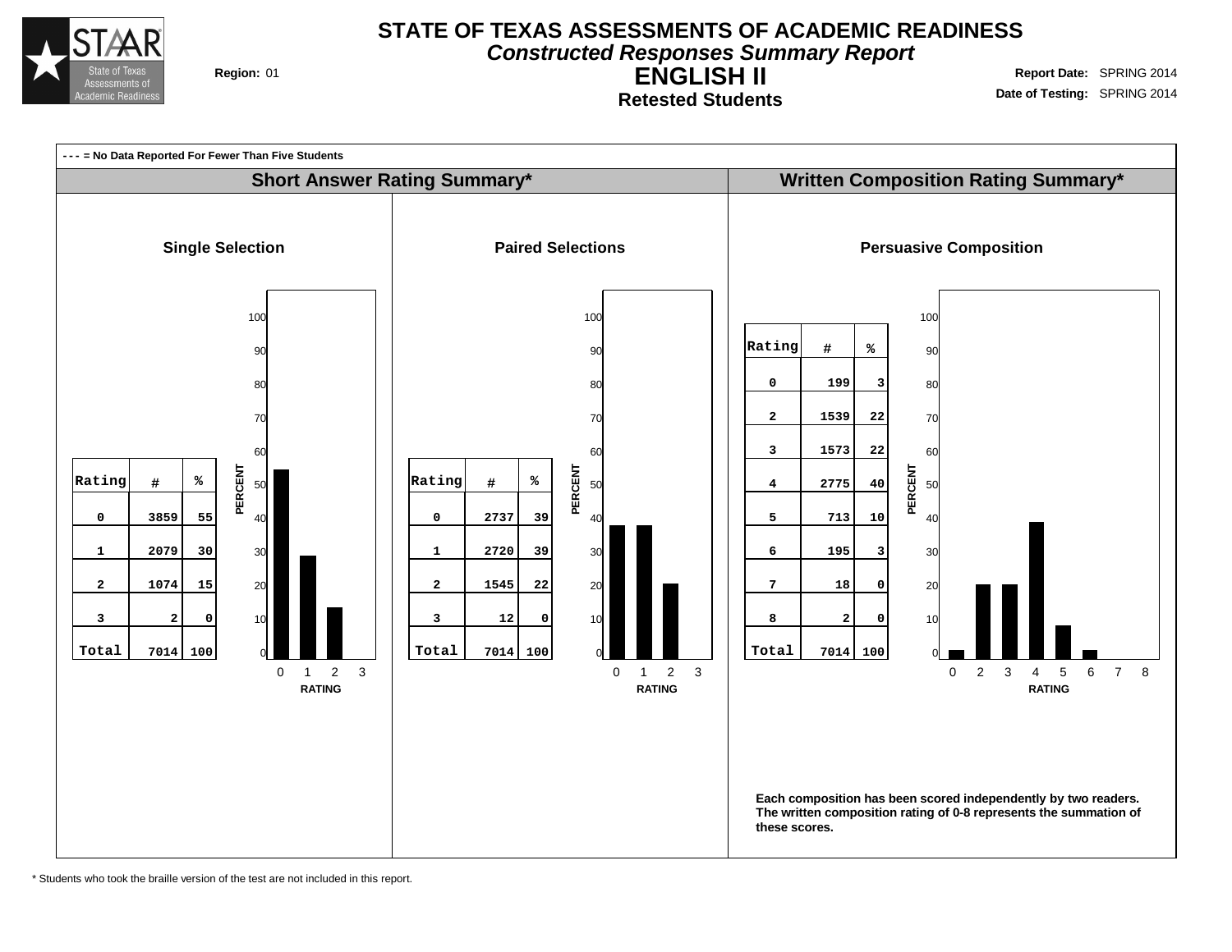

**Constructed Responses Summary Report**

**ENGLISH II Retested Students**

**Region:** 01 **Region:** 01 **Report** Date: SPRING 2014 **Date of Testing:** SPRING 2014



\* Students who took the braille version of the test are not included in this report.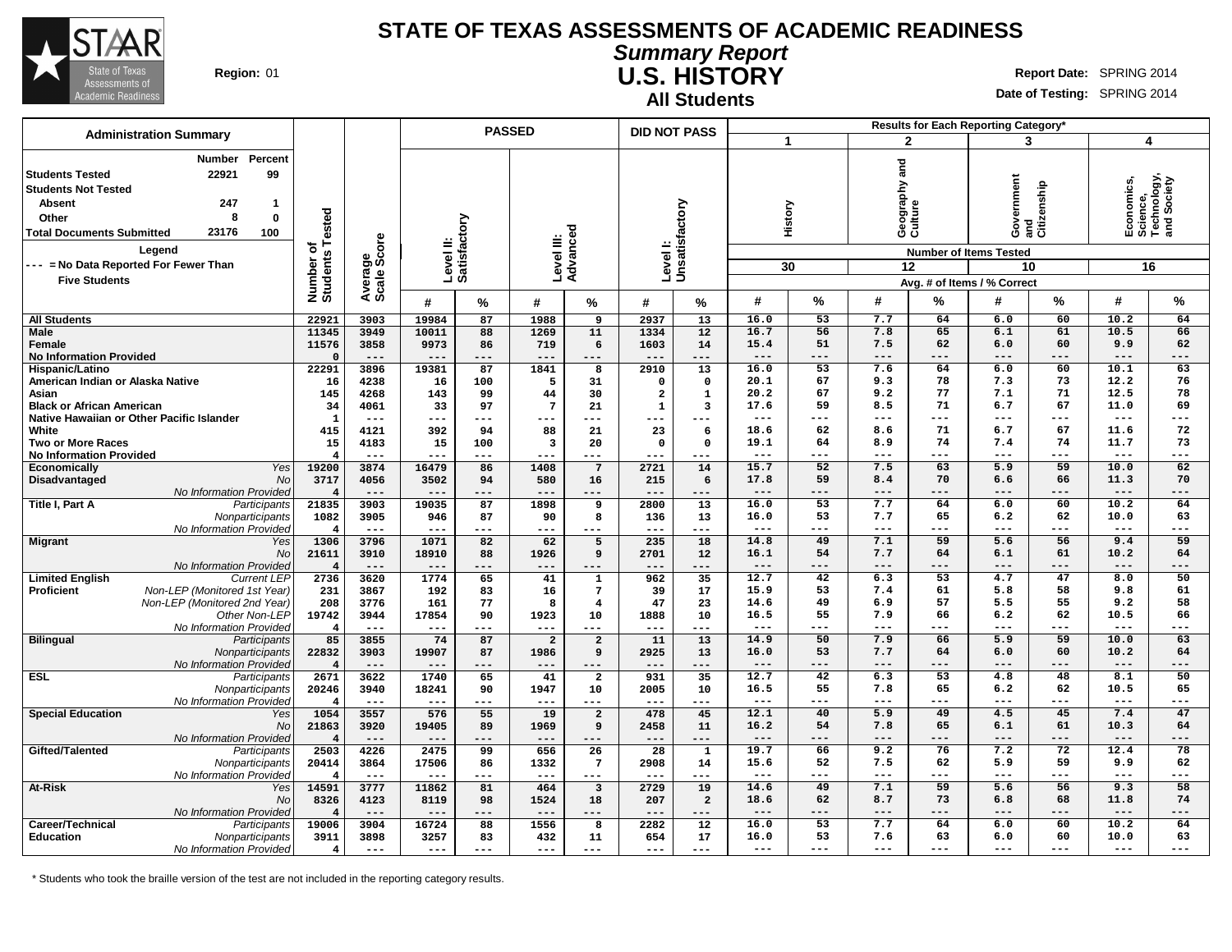

#### **Summary Report U.S. HISTORY Region:** 01 **Report** Date: SPRING 2014

**All Students**

**Date of Testing:** SPRING 2014

|                                                                                                                                                                                     |                                                                                                              |                              |                           |                | <b>PASSED</b>             |                         |                         | <b>DID NOT PASS</b>       |                         |               |                 |                                        |             | Results for Each Reporting Category*                                             |                    |                                                            |                 |
|-------------------------------------------------------------------------------------------------------------------------------------------------------------------------------------|--------------------------------------------------------------------------------------------------------------|------------------------------|---------------------------|----------------|---------------------------|-------------------------|-------------------------|---------------------------|-------------------------|---------------|-----------------|----------------------------------------|-------------|----------------------------------------------------------------------------------|--------------------|------------------------------------------------------------|-----------------|
|                                                                                                                                                                                     | <b>Administration Summary</b>                                                                                |                              |                           |                |                           |                         |                         |                           |                         | $\mathbf{1}$  |                 | $\overline{2}$                         |             | 3                                                                                |                    | 4                                                          |                 |
| <b>Students Tested</b><br><b>Students Not Tested</b><br><b>Absent</b><br>Other<br><b>Total Documents Submitted</b><br>--- = No Data Reported For Fewer Than<br><b>Five Students</b> | Percent<br><b>Number</b><br>22921<br>99<br>247<br>$\mathbf{1}$<br>8<br>$\mathbf 0$<br>23176<br>100<br>Legend | Number of<br>Students Tested | Average<br>Scale Score    |                | Level II:<br>Satisfactory | Level III:<br>Advanced  |                         | Levell:<br>Unsatisfactory |                         |               | History<br>30   | ត<br>ត<br>Geography :<br>Culture<br>12 |             | Government<br><b>Number of Items Tested</b><br>10<br>Avg. # of Items / % Correct | and<br>Citizenship | Economics,<br>Science,<br>Technology,<br>and Society<br>16 |                 |
|                                                                                                                                                                                     |                                                                                                              |                              |                           | #              | $\%$                      | #                       | %                       | #                         | %                       | #             | %               | #                                      | %           | #                                                                                | %                  | #                                                          | %               |
| <b>All Students</b>                                                                                                                                                                 |                                                                                                              | 22921                        | 3903                      | 19984          | 87                        | 1988                    | 9                       | 2937                      | $\overline{13}$         | 16.0          | $\overline{53}$ | 7.7                                    | 64          | 6.0                                                                              | $\overline{60}$    | 10.2                                                       | 64              |
| <b>Male</b>                                                                                                                                                                         |                                                                                                              | 11345                        | 3949                      | 10011          | 88                        | 1269                    | 11                      | 1334                      | 12                      | 16.7          | 56              | 7.8                                    | 65          | 6.1                                                                              | 61                 | 10.5                                                       | 66              |
| Female                                                                                                                                                                              |                                                                                                              | 11576                        | 3858                      | 9973           | 86                        | 719                     | 6                       | 1603                      | 14                      | 15.4          | 51              | 7.5                                    | 62          | 6.0                                                                              | 60                 | 9.9                                                        | 62              |
| <b>No Information Provided</b>                                                                                                                                                      |                                                                                                              | $\Omega$                     | $---$                     | $---$          | ---                       | $---$                   | $---$                   | $---$                     | $---$                   | $---$         | ---             | $---$                                  | $---$       | ---                                                                              | ---                | ---                                                        | $---$           |
| <b>Hispanic/Latino</b>                                                                                                                                                              |                                                                                                              | 22291                        | 3896                      | 19381          | 87                        | 1841                    | 8                       | 2910                      | $\overline{13}$         | 16.0          | 53              | 7.6                                    | 64          | 6.0                                                                              | 60                 | 10.1                                                       | 63              |
| American Indian or Alaska Native                                                                                                                                                    |                                                                                                              | 16                           | 4238                      | 16             | 100                       | 5                       | 31                      | $\mathbf 0$               | $\mathbf 0$             | 20.1          | 67              | 9.3                                    | 78          | 7.3                                                                              | 73                 | 12.2                                                       | 76              |
| Asian                                                                                                                                                                               |                                                                                                              | 145                          | 4268                      | 143            | 99                        | 44                      | 30                      | $\overline{\mathbf{2}}$   | $\mathbf{1}$            | 20.2          | 67              | 9.2                                    | 77          | 7.1                                                                              | 71                 | 12.5                                                       | 78              |
| <b>Black or African American</b>                                                                                                                                                    |                                                                                                              | 34                           | 4061                      | 33             | 97                        | $7\phantom{.0}$         | 21                      | ${\bf 1}$                 | $\overline{\mathbf{3}}$ | 17.6          | 59              | 8.5                                    | 71          | 6.7                                                                              | 67                 | 11.0                                                       | 69              |
|                                                                                                                                                                                     | Native Hawaiian or Other Pacific Islander                                                                    | $\mathbf{1}$                 | $---$                     | $---$          | $---$                     | ---                     | $---$                   | ---                       | $---$                   | $- - -$       | $- - -$         | $---$                                  | $---$       | ---                                                                              | $- - -$            | $---$                                                      | $---$           |
| White                                                                                                                                                                               |                                                                                                              | 415                          | 4121                      | 392            | 94                        | 88                      | 21                      | 23                        | 6                       | 18.6          | 62              | 8.6                                    | 71          | 6.7                                                                              | 67                 | 11.6                                                       | 72              |
| <b>Two or More Races</b>                                                                                                                                                            |                                                                                                              | 15                           | 4183                      | 15             | 100                       | $\overline{\mathbf{3}}$ | 20                      | $\mathbf 0$               | $\mathbf 0$             | 19.1          | 64              | 8.9                                    | 74          | 7.4                                                                              | 74                 | 11.7                                                       | 73              |
| <b>No Information Provided</b>                                                                                                                                                      |                                                                                                              | -4                           | $---$                     | $---$          | ---                       | ---                     | $---$                   | ---                       | $--$                    | $---$         | $---$           | $---$                                  | $---$       | ---                                                                              | $---$              | $---$                                                      | $---$           |
| <b>Economically</b>                                                                                                                                                                 | Yes                                                                                                          | 19200                        | 3874                      | 16479          | 86                        | 1408                    | $7\phantom{.0}$         | 2721                      | 14                      | 15.7          | 52              | 7.5                                    | 63          | 5.9                                                                              | 59                 | 10.0                                                       | 62              |
| Disadvantaged                                                                                                                                                                       | No                                                                                                           | 3717                         | 4056                      | 3502           | 94                        | 580                     | 16                      | 215                       | 6                       | 17.8<br>$---$ | 59<br>$---$     | 8.4<br>$---$                           | 70<br>$---$ | 6.6<br>---                                                                       | 66<br>$- - -$      | 11.3<br>$- - -$                                            | 70<br>$---$     |
|                                                                                                                                                                                     | No Information Provided                                                                                      | $\overline{4}$               | $---$                     | ---            |                           | ---                     | $---$                   | $---$                     | $---$                   | 16.0          | 53              | 7.7                                    | 64          | 6.0                                                                              | 60                 | 10.2                                                       | 64              |
| Title I, Part A                                                                                                                                                                     | Participants                                                                                                 | 21835<br>1082                | 3903                      | 19035          | 87                        | 1898                    | 9<br>8                  | 2800                      | 13                      | 16.0          | 53              | 7.7                                    | 65          | 6.2                                                                              | 62                 | 10.0                                                       | 63              |
|                                                                                                                                                                                     | Nonparticipants<br>No Information Provided                                                                   | $\overline{4}$               | 3905                      | 946<br>$- - -$ | 87<br>---                 | 90                      |                         | 136<br>$---$              | 13                      | $---$         | $---$           | $---$                                  | $---$       | ---                                                                              | $---$              | $---$                                                      | $---$           |
|                                                                                                                                                                                     |                                                                                                              | 1306                         | $\qquad \qquad -$<br>3796 | 1071           | 82                        | ---<br>62               | $---$                   | 235                       | $---$<br>18             | 14.8          | 49              | 7.1                                    | 59          | 5.6                                                                              | 56                 | 9.4                                                        | 59              |
| Migrant                                                                                                                                                                             | Yes<br>No                                                                                                    | 21611                        | 3910                      | 18910          | 88                        | 1926                    | 5<br>9                  | 2701                      | 12                      | 16.1          | 54              | 7.7                                    | 64          | 6.1                                                                              | 61                 | 10.2                                                       | 64              |
|                                                                                                                                                                                     | No Information Provided                                                                                      | $\overline{4}$               | $---$                     | $---$          | ---                       | ---                     | $---$                   | $---$                     | $---$                   | $---$         | $---$           | $---$                                  | $---$       | ---                                                                              | ---                | $---$                                                      | $---$           |
| <b>Limited English</b>                                                                                                                                                              | <b>Current LEP</b>                                                                                           | 2736                         | 3620                      | 1774           | 65                        | 41                      | $\mathbf{1}$            | 962                       | 35                      | 12.7          | 42              | 6.3                                    | 53          | 4.7                                                                              | 47                 | 8.0                                                        | 50              |
| <b>Proficient</b>                                                                                                                                                                   | Non-LEP (Monitored 1st Year)                                                                                 | 231                          | 3867                      | 192            | 83                        | 16                      | $7\phantom{.0}$         | 39                        | 17                      | 15.9          | 53              | 7.4                                    | 61          | 5.8                                                                              | 58                 | 9.8                                                        | 61              |
|                                                                                                                                                                                     | Non-LEP (Monitored 2nd Year)                                                                                 | 208                          | 3776                      | 161            | 77                        | 8                       | $\overline{4}$          | 47                        | 23                      | 14.6          | 49              | 6.9                                    | 57          | 5.5                                                                              | 55                 | 9.2                                                        | 58              |
|                                                                                                                                                                                     | Other Non-LEP                                                                                                | 19742                        | 3944                      | 17854          | 90                        | 1923                    | 10                      | 1888                      | 10                      | 16.5          | 55              | 7.9                                    | 66          | 6.2                                                                              | 62                 | 10.5                                                       | 66              |
|                                                                                                                                                                                     | No Information Provided                                                                                      | $\overline{\mathbf{4}}$      | $---$                     | $---$          | $---$                     | $---$                   | $---$                   | $---$                     | $- - -$                 | $---$         | $---$           | $\qquad \qquad - -$                    | $---$       | ---                                                                              | ---                | $---$                                                      | $---$           |
| <b>Bilingual</b>                                                                                                                                                                    | Participants                                                                                                 | 85                           | 3855                      | 74             | 87                        | $\overline{2}$          | $\overline{2}$          | 11                        | 13                      | 14.9          | 50              | 7.9                                    | 66          | 5.9                                                                              | 59                 | 10.0                                                       | 63              |
|                                                                                                                                                                                     | Nonparticipants                                                                                              | 22832                        | 3903                      | 19907          | 87                        | 1986                    | 9                       | 2925                      | 13                      | 16.0          | 53              | 7.7                                    | 64          | 6.0                                                                              | 60                 | 10.2                                                       | 64              |
|                                                                                                                                                                                     | No Information Provideo                                                                                      | $\overline{\mathbf{4}}$      | $---$                     | $---$          | ---                       |                         | $---$                   | $---$                     | $---$                   | $---$         | $---$           | $---$                                  | $---$       | ---                                                                              | $---$              | $---$                                                      | $---$           |
| ESL                                                                                                                                                                                 | Participants                                                                                                 | 2671                         | 3622                      | 1740           | 65                        | 41                      | $\overline{a}$          | 931                       | $\overline{35}$         | 12.7          | 42              | 6.3                                    | 53          | 4.8                                                                              | 48                 | 8.1                                                        | 50              |
|                                                                                                                                                                                     | Nonparticipants                                                                                              | 20246                        | 3940                      | 18241          | 90                        | 1947                    | 10                      | 2005                      | 10                      | 16.5          | 55              | 7.8                                    | 65          | 6.2                                                                              | 62                 | 10.5                                                       | 65              |
|                                                                                                                                                                                     | No Information Provided                                                                                      | $\overline{4}$               | $---$                     | $---$          | $---$                     | $---$                   | $\qquad \qquad - -$     | $---$                     | $---$                   | $---$         | ---             | ---                                    | $---$       | ---                                                                              | ---                | ---                                                        | $---$           |
| <b>Special Education</b>                                                                                                                                                            | Yes                                                                                                          | 1054                         | 3557                      | 576            | 55                        | 19                      | $\overline{a}$          | 478                       | 45                      | 12.1          | 40              | 5.9                                    | 49          | 4.5                                                                              | 45                 | 7.4                                                        | 47              |
|                                                                                                                                                                                     | No                                                                                                           | 21863                        | 3920                      | 19405          | 89                        | 1969                    | 9                       | 2458                      | 11                      | 16.2          | 54              | 7.8                                    | 65          | 6.1                                                                              | 61                 | 10.3                                                       | 64              |
|                                                                                                                                                                                     | No Information Provided                                                                                      | $\overline{4}$               | $---$                     | $---$          | ---                       | $--$                    | $---$                   | $---$                     | $---$                   | $---$         | $---$           | $---$                                  | $---$       | ---                                                                              | $---$              | $---$                                                      | $---$           |
| Gifted/Talented                                                                                                                                                                     | Participants                                                                                                 | 2503                         | 4226                      | 2475           | 99                        | 656                     | 26                      | 28                        | $\mathbf 1$             | 19.7          | 66              | 9.2                                    | 76          | 7.2                                                                              | 72                 | 12.4                                                       | 78              |
|                                                                                                                                                                                     | Nonparticipants                                                                                              | 20414                        | 3864                      | 17506          | 86                        | 1332                    | $\overline{7}$          | 2908                      | 14                      | 15.6          | 52              | 7.5                                    | 62          | 5.9                                                                              | 59                 | 9.9                                                        | 62              |
|                                                                                                                                                                                     | No Information Provided                                                                                      | $\overline{4}$               | $\qquad \qquad - -$       | $---$          | ---                       | $---$                   | $\frac{1}{2}$           | $---$                     | $---$                   | $---$         | ---             | ---                                    | $---$       | ---                                                                              | ---                | ---                                                        | $---$           |
| <b>At-Risk</b>                                                                                                                                                                      | Yes                                                                                                          | 14591                        | 3777                      | 11862          | 81                        | 464                     | $\overline{\mathbf{3}}$ | 2729                      | 19                      | 14.6          | 49              | 7.1                                    | 59          | 5.6                                                                              | 56                 | 9.3                                                        | $\overline{58}$ |
|                                                                                                                                                                                     | No                                                                                                           | 8326                         | 4123                      | 8119           | 98                        | 1524                    | 18                      | 207                       | $\overline{a}$          | 18.6          | 62              | 8.7                                    | 73          | 6.8                                                                              | 68                 | 11.8                                                       | 74              |
|                                                                                                                                                                                     | No Information Provided                                                                                      | $\overline{\mathbf{4}}$      | $---$                     | $---$          | ---                       | $- - -$                 | $---$                   | $- -$                     | $---$                   | $---$         | $---$           | ---                                    | ---         | ---                                                                              | ---                | $---$                                                      | $---$           |
| Career/Technical                                                                                                                                                                    | Participants                                                                                                 | 19006                        | 3904                      | 16724          | 88                        | 1556                    | 8                       | 2282                      | 12                      | 16.0          | 53              | 7.7                                    | 64          | 6.0                                                                              | 60                 | 10.2                                                       | 64              |
| <b>Education</b>                                                                                                                                                                    | Nonparticipants                                                                                              | 3911                         | 3898                      | 3257           | 83                        | 432                     | 11                      | 654                       | 17                      | 16.0          | 53              | 7.6                                    | 63          | 6.0                                                                              | 60                 | 10.0                                                       | 63              |
|                                                                                                                                                                                     | No Information Provided                                                                                      | $\overline{4}$               | $- -$                     | $---$          | $---$                     | ---                     | $\frac{1}{2}$           | $---$                     | $---$                   | $---$         | ---             | ---                                    | $---$       | ---                                                                              | ---                | ---                                                        | $---$           |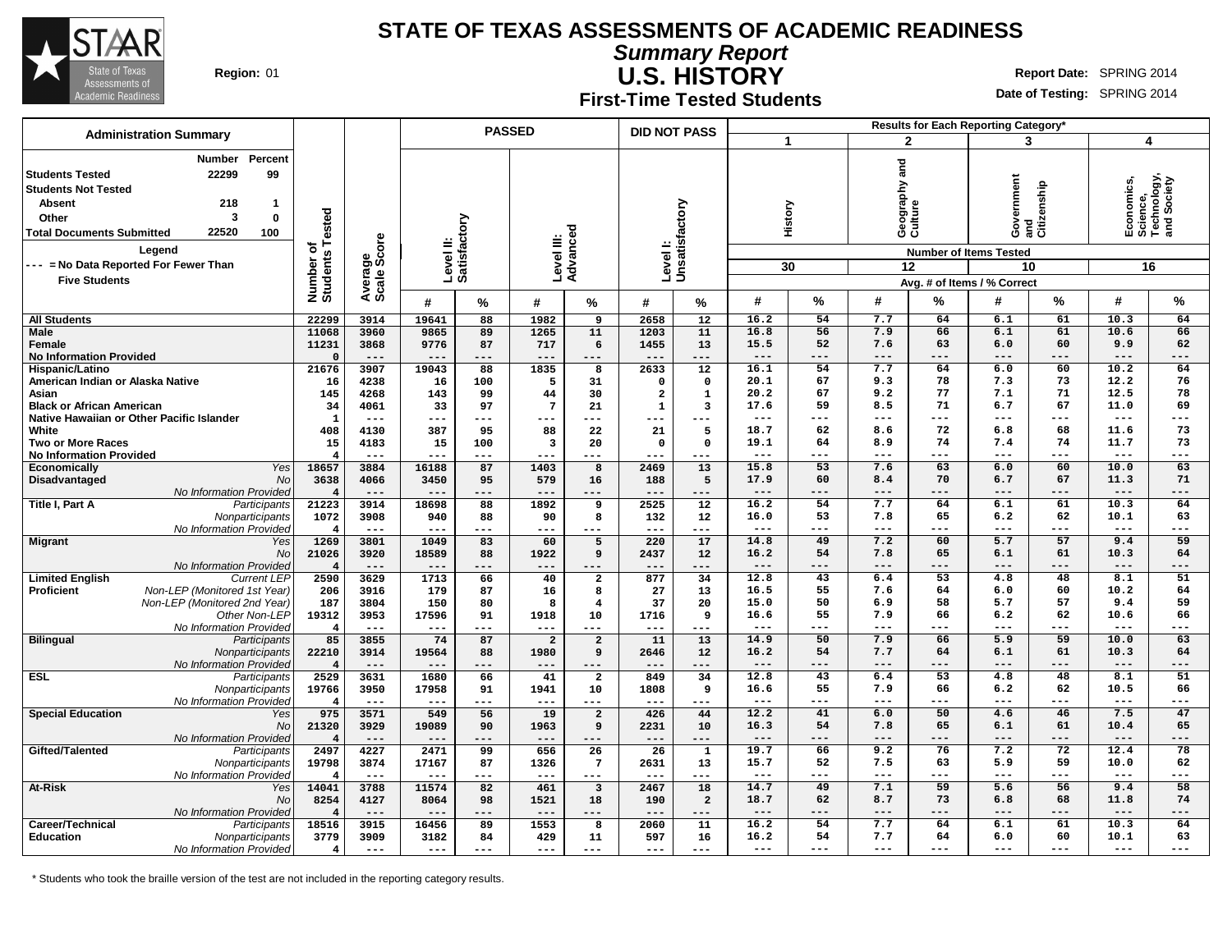

**Summary Report U.S. HISTORY Region:** 01 **Report Date:** SPRING 2014

**First-Time Tested Students**

**Date of Testing:** SPRING 2014

| <b>Administration Summary</b>                                                                                                                                                                                                                                                                |                              |                        |                           | <b>PASSED</b> |                         |                         | <b>DID NOT PASS</b>     |                 |                     |                 |                                     |                 | Results for Each Reporting Category'                                    |         |                                                            |                 |
|----------------------------------------------------------------------------------------------------------------------------------------------------------------------------------------------------------------------------------------------------------------------------------------------|------------------------------|------------------------|---------------------------|---------------|-------------------------|-------------------------|-------------------------|-----------------|---------------------|-----------------|-------------------------------------|-----------------|-------------------------------------------------------------------------|---------|------------------------------------------------------------|-----------------|
|                                                                                                                                                                                                                                                                                              |                              |                        |                           |               |                         |                         |                         |                 | 1                   |                 | $\mathbf{2}$                        |                 | 3                                                                       |         |                                                            | 4               |
| Percent<br>Number<br>22299<br>99<br><b>Students Tested</b><br><b>Students Not Tested</b><br><b>Absent</b><br>218<br>$\mathbf{1}$<br>3<br>$\mathbf 0$<br>Other<br>22520<br>100<br><b>Total Documents Submitted</b><br>Legend<br>--- = No Data Reported For Fewer Than<br><b>Five Students</b> | Number of<br>Students Tested | Average<br>Scale Score | Level II:<br>Satisfactory |               | Level III:<br>Advancec  | ਹ                       | Level I:                | Unsatisfactory  |                     | History<br>30   | and<br>Geography ;<br>Culture<br>12 |                 | Government<br>and<br>Citizenship<br><b>Number of Items Tested</b><br>10 |         | Economics,<br>Science,<br>Technology,<br>and Society<br>16 |                 |
|                                                                                                                                                                                                                                                                                              |                              |                        | #                         | %             | #                       | %                       | #                       | %               | #                   | %               | #                                   | %               | Avg. # of Items / % Correct<br>#                                        | %       | #                                                          | %               |
|                                                                                                                                                                                                                                                                                              |                              |                        |                           |               | 1982                    | $\overline{9}$          |                         | $\overline{12}$ |                     | 54              | 7.7                                 |                 |                                                                         | 61      | 10.3                                                       | 64              |
| <b>All Students</b><br>Male                                                                                                                                                                                                                                                                  | 22299<br>11068               | 3914<br>3960           | 19641<br>9865             | 88<br>89      | 1265                    | 11                      | 2658<br>1203            | 11              | 16.2<br>16.8        | 56              | 7.9                                 | 64<br>66        | 6.1<br>6.1                                                              | 61      | 10.6                                                       | 66              |
| Female                                                                                                                                                                                                                                                                                       | 11231                        | 3868                   | 9776                      | 87            | 717                     | 6                       | 1455                    | 13              | 15.5                | 52              | 7.6                                 | 63              | 6.0                                                                     | 60      | 9.9                                                        | 62              |
| <b>No Information Provided</b>                                                                                                                                                                                                                                                               | $\Omega$                     | $---$                  | $- - -$                   | ---           | $---$                   | ---                     | $---$                   | $---$           | $---$               | ---             | $---$                               | ---             | ---                                                                     | ---     | ---                                                        | ---             |
| Hispanic/Latino                                                                                                                                                                                                                                                                              | 21676                        | 3907                   | 19043                     | 88            | 1835                    | 8                       | 2633                    | $\overline{12}$ | 16.1                | 54              | 7.7                                 | 64              | 6.0                                                                     | 60      | 10.2                                                       | 64              |
| American Indian or Alaska Native                                                                                                                                                                                                                                                             | 16                           | 4238                   | 16                        | 100           | 5                       | 31                      | $\Omega$                | $\Omega$        | 20.1                | 67              | 9.3                                 | 78              | 7.3                                                                     | 73      | 12.2                                                       | 76              |
| Asian                                                                                                                                                                                                                                                                                        | 145                          | 4268                   | 143                       | 99            | 44                      | 30                      | $\overline{\mathbf{2}}$ | ${\bf 1}$       | 20.2                | 67              | 9.2                                 | 77              | 7.1                                                                     | 71      | 12.5                                                       | 78              |
| <b>Black or African American</b>                                                                                                                                                                                                                                                             | 34                           | 4061                   | 33                        | 97            | $7\phantom{.0}$         | 21                      | $\mathbf{1}$            | 3               | 17.6                | 59              | 8.5                                 | 71              | 6.7                                                                     | 67      | 11.0                                                       | 69              |
| Native Hawaiian or Other Pacific Islander                                                                                                                                                                                                                                                    | $\mathbf{1}$                 | $---$                  | $---$                     | $---$         | $---$                   | ---                     | ---                     | $--$            | $---$               | ---             | $---$                               | ---             | ---                                                                     | ---     | $\frac{1}{2}$                                              | ---             |
| White                                                                                                                                                                                                                                                                                        | 408                          | 4130                   | 387                       | 95            | 88                      | 22                      | 21                      | 5               | 18.7                | 62              | 8.6                                 | 72              | 6.8                                                                     | 68      | 11.6                                                       | 73              |
| <b>Two or More Races</b>                                                                                                                                                                                                                                                                     | 15                           | 4183                   | 15                        | 100           | 3                       | 20                      | $\Omega$                | $\Omega$        | 19.1                | 64              | 8.9                                 | 74              | 7.4                                                                     | 74      | 11.7                                                       | 73              |
| <b>No Information Provided</b>                                                                                                                                                                                                                                                               | $\overline{\bf 4}$           | $---$                  | $---$                     | $---$         | $---$                   | ---                     | $---$                   | $--$            | $---$               | ---             | ---                                 | ---             | ---                                                                     | ---     | ---                                                        | ---             |
| Economically<br>Yes                                                                                                                                                                                                                                                                          | 18657                        | 3884                   | 16188                     | 87            | 1403                    | 8                       | 2469                    | 13              | 15.8                | $\overline{53}$ | 7.6                                 | 63              | 6.0                                                                     | 60      | 10.0                                                       | 63              |
| Disadvantaged<br><b>No</b>                                                                                                                                                                                                                                                                   | 3638                         | 4066                   | 3450                      | 95            | 579                     | 16                      | 188                     | 5               | 17.9                | 60              | 8.4                                 | 70              | 6.7                                                                     | 67      | 11.3                                                       | 71              |
| No Information Provided                                                                                                                                                                                                                                                                      | $\overline{4}$               | $---$                  | $--$                      | ---           | $--$                    | ---                     | $---$                   | $- - -$         | $---$               | ---             | ---                                 | ---             | ---                                                                     | ---     | $---$                                                      | ---             |
| Title I, Part A<br>Participants                                                                                                                                                                                                                                                              | 21223                        | 3914                   | 18698                     | 88            | 1892                    | 9                       | 2525                    | 12              | 16.2                | 54              | 7.7                                 | 64              | 6.1                                                                     | 61      | 10.3                                                       | 64              |
| Nonparticipants                                                                                                                                                                                                                                                                              | 1072                         | 3908                   | 940                       | 88            | 90                      | 8                       | 132                     | 12              | 16.0                | 53              | 7.8                                 | 65              | 6.2                                                                     | 62      | 10.1                                                       | 63              |
| No Information Provided                                                                                                                                                                                                                                                                      | $\overline{\bf 4}$           | $---$                  | $---$                     | ---           | $---$                   | ---                     | $---$                   | $---$           | $\qquad \qquad - -$ | ---             | $\qquad \qquad - -$                 | ---             | ---                                                                     | ---     | ---                                                        | ---             |
| <b>Migrant</b><br>Yes                                                                                                                                                                                                                                                                        | 1269                         | 3801                   | 1049                      | 83            | 60                      | 5                       | 220                     | 17              | 14.8                | 49              | 7.2                                 | 60              | 5.7                                                                     | 57      | 9.4                                                        | 59              |
| No                                                                                                                                                                                                                                                                                           | 21026                        | 3920                   | 18589                     | 88            | 1922                    | 9                       | 2437                    | 12              | 16.2                | 54              | 7.8                                 | 65              | 6.1                                                                     | 61      | 10.3                                                       | 64              |
| No Information Provided                                                                                                                                                                                                                                                                      | $\overline{4}$               | $---$                  | $---$                     | ---           | $---$                   | ---                     | $---$                   | $---$           | $---$               | ---             | $---$                               | ---             | ---                                                                     | ---     | $---$                                                      | ---             |
| <b>Limited English</b><br><b>Current LEP</b>                                                                                                                                                                                                                                                 | 2590                         | 3629                   | 1713                      | 66            | 40                      | $\mathbf{2}$            | 877                     | 34              | 12.8                | 43              | 6.4                                 | $\overline{53}$ | 4.8                                                                     | 48      | 8.1                                                        | 51              |
| Proficient<br>Non-LEP (Monitored 1st Year)                                                                                                                                                                                                                                                   | 206                          | 3916                   | 179                       | 87            | 16                      | 8                       | 27                      | 13              | 16.5                | 55              | 7.6                                 | 64              | 6.0                                                                     | 60      | 10.2                                                       | 64              |
| Non-LEP (Monitored 2nd Year)                                                                                                                                                                                                                                                                 | 187                          | 3804                   | 150                       | 80            | 8                       | $\overline{4}$          | 37                      | 20              | 15.0                | 50              | 6.9                                 | 58              | 5.7                                                                     | 57      | 9.4                                                        | 59              |
| Other Non-LEP                                                                                                                                                                                                                                                                                | 19312                        | 3953                   | 17596                     | 91            | 1918                    | 10                      | 1716                    | 9               | 16.6                | 55              | 7.9                                 | 66              | 6.2                                                                     | 62      | 10.6                                                       | 66              |
| No Information Provided                                                                                                                                                                                                                                                                      | $\overline{\mathbf{4}}$      | $---$                  | $---$                     | ---           | $---$                   | ---                     | $---$                   | $- - -$         | $\qquad \qquad -$   | ---             | $- - -$                             | ---             | $---$                                                                   | ---     | $---$                                                      | ---             |
| <b>Bilingual</b><br>Participants                                                                                                                                                                                                                                                             | 85                           | 3855                   | 74                        | 87            | $\overline{\mathbf{2}}$ | $\overline{2}$          | 11                      | 13              | 14.9                | 50              | 7.9                                 | 66              | 5.9                                                                     | 59      | 10.0                                                       | 63              |
| Nonparticipants                                                                                                                                                                                                                                                                              | 22210                        | 3914                   | 19564                     | 88            | 1980                    | 9                       | 2646                    | 12              | 16.2                | 54              | 7.7                                 | 64              | 6.1                                                                     | 61      | 10.3                                                       | 64              |
| No Information Provided                                                                                                                                                                                                                                                                      | $\overline{4}$               | $---$                  | $---$                     | ---           | $---$                   | ---                     | $- - -$                 | $---$           | $---$               | ---             | $---$                               | ---             | ---                                                                     | $- - -$ | $---$                                                      | ---             |
| <b>ESL</b><br>Participants                                                                                                                                                                                                                                                                   | 2529                         | 3631                   | 1680                      | 66            | 41                      | $\overline{2}$          | 849                     | 34              | 12.8                | 43              | 6.4                                 | 53              | 4.8                                                                     | 48      | 8.1                                                        | $\overline{51}$ |
| Nonparticipants                                                                                                                                                                                                                                                                              | 19766                        | 3950                   | 17958                     | 91            | 1941                    | 10                      | 1808                    | 9               | 16.6                | 55              | 7.9                                 | 66              | 6.2                                                                     | 62      | 10.5                                                       | 66              |
| No Information Provided                                                                                                                                                                                                                                                                      | $\overline{4}$               | $- - -$                | $---$                     | ---           | $---$                   | ---                     | $- - -$                 | $--$            | $\qquad \qquad - -$ | ---             | $\qquad \qquad - -$                 | ---             | $---$                                                                   | ---     | ---                                                        | ---             |
| <b>Special Education</b><br>Yes                                                                                                                                                                                                                                                              | 975                          | 3571                   | 549                       | 56            | 19                      | $\overline{a}$          | 426                     | 44              | 12.2                | 41              | 6.0                                 | 50              | 4.6                                                                     | 46      | 7.5                                                        | 47              |
| No                                                                                                                                                                                                                                                                                           | 21320                        | 3929                   | 19089                     | 90            | 1963                    | 9                       | 2231                    | 10              | 16.3                | 54              | 7.8                                 | 65              | 6.1                                                                     | 61      | 10.4                                                       | 65              |
| No Information Provided                                                                                                                                                                                                                                                                      | $\overline{4}$               | $- - -$                | $- -$                     | ---           | $- - -$                 | ---                     | $- - -$                 | ---             | $---$               | ---             | $---$                               | ---             | $---$                                                                   | ---     | $- - -$                                                    | ---             |
| Gifted/Talented<br>Participants                                                                                                                                                                                                                                                              | 2497                         | 4227                   | 2471                      | 99            | 656                     | 26                      | 26                      | 1               | 19.7                | 66              | 9.2                                 | 76              | 7.2                                                                     | 72      | 12.4                                                       | 78              |
| Nonparticipants                                                                                                                                                                                                                                                                              | 19798                        | 3874                   | 17167                     | 87            | 1326                    | $\overline{7}$          | 2631                    | 13              | 15.7                | 52              | 7.5                                 | 63              | 5.9                                                                     | 59      | 10.0                                                       | 62              |
| No Information Provided                                                                                                                                                                                                                                                                      | $\overline{4}$               | $---$                  | $---$                     | ---           | $---$                   | $---$                   | $---$                   | $---$           | $---$               | ---             | $\qquad \qquad - -$                 | ---             | $---$                                                                   | ---     | $---$                                                      | ---             |
| At-Risk<br>Yes                                                                                                                                                                                                                                                                               | 14041                        | 3788                   | 11574                     | 82            | 461                     | $\overline{\mathbf{3}}$ | 2467                    | 18              | 14.7                | 49              | 7.1                                 | 59              | 5.6                                                                     | 56      | 9.4                                                        | 58              |
| No                                                                                                                                                                                                                                                                                           | 8254                         | 4127                   | 8064                      | 98            | 1521                    | 18                      | 190                     | $\mathbf{2}$    | 18.7                | 62              | 8.7                                 | 73              | 6.8                                                                     | 68      | 11.8                                                       | 74              |
| No Information Provided                                                                                                                                                                                                                                                                      | $\overline{4}$               | $---$                  | $---$                     | ---           | $---$                   | ---                     | $---$                   | ---             | $---$               | ---             | $---$                               | ---             | ---                                                                     | ---     | $---$                                                      | ---             |
| Career/Technical<br>Participants                                                                                                                                                                                                                                                             | 18516                        | 3915                   | 16456                     | 89            | 1553                    | 8                       | 2060                    | 11              | 16.2                | 54              | 7.7                                 | 64              | 6.1                                                                     | 61      | 10.3                                                       | 64              |
| <b>Education</b><br>Nonparticipants                                                                                                                                                                                                                                                          | 3779                         | 3909                   | 3182                      | 84            | 429                     | 11                      | 597                     | 16              | 16.2                | 54              | 7.7                                 | 64              | 6.0                                                                     | 60      | 10.1                                                       | 63              |
| No Information Provided                                                                                                                                                                                                                                                                      | $\overline{4}$               | $---$                  | $---$                     | $---$         | $---$                   | ---                     | $- - -$                 | $---$           | $---$               | ---             | $---$                               | ---             | ---                                                                     | ---     | $\frac{1}{2}$                                              | ---             |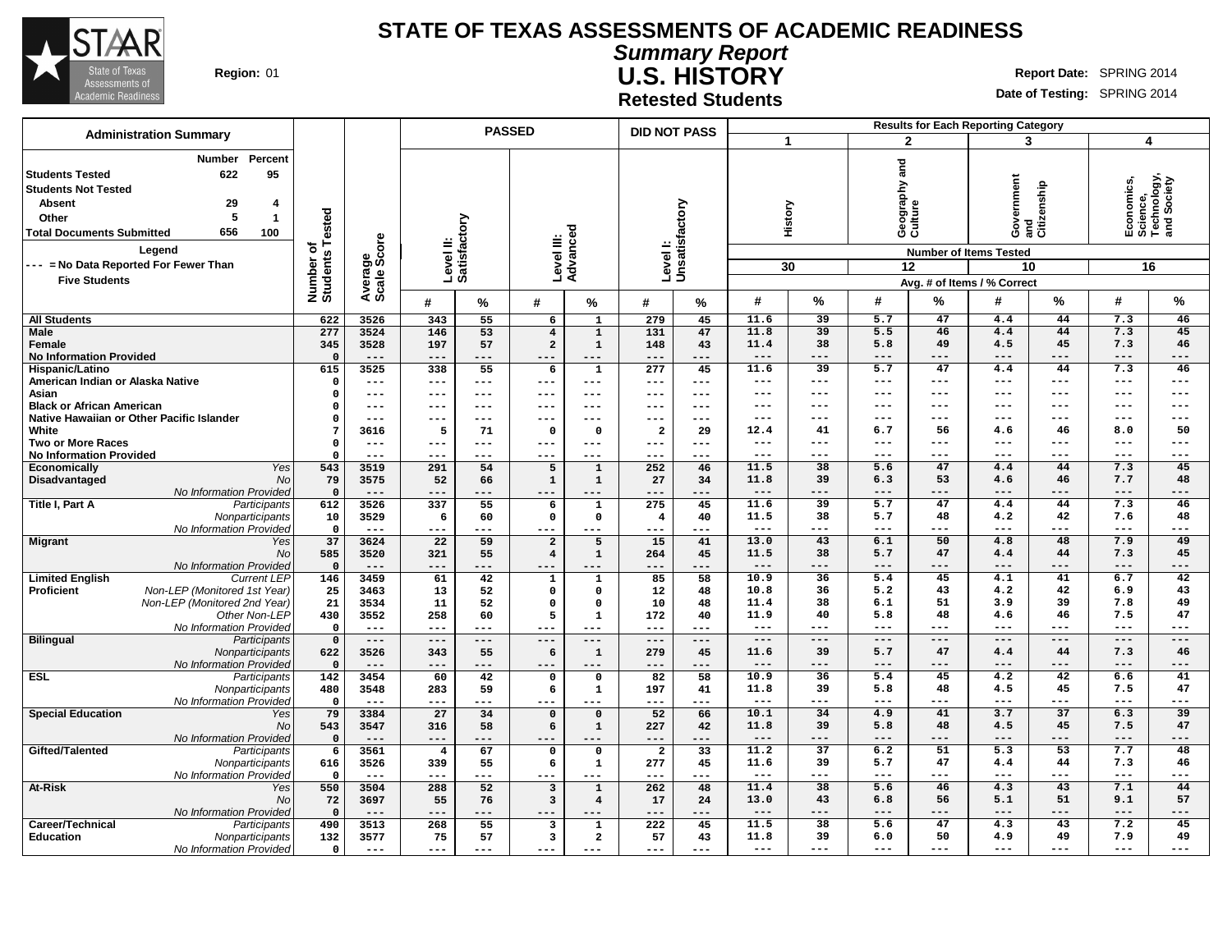

**Summary Report U.S. HISTORY Region:** 01 **Report Date:** SPRING 2014

**Retested Students**

|                                                                                                                                            | <b>Administration Summary</b>                                                                                                     | <b>PASSED</b>                        |                        |                           |             | <b>DID NOT PASS</b>     |                                  |                                    |               |                 |                     | <b>Results for Each Reporting Category</b> |               |                                                                                                                     |                 |                                                            |                 |
|--------------------------------------------------------------------------------------------------------------------------------------------|-----------------------------------------------------------------------------------------------------------------------------------|--------------------------------------|------------------------|---------------------------|-------------|-------------------------|----------------------------------|------------------------------------|---------------|-----------------|---------------------|--------------------------------------------|---------------|---------------------------------------------------------------------------------------------------------------------|-----------------|------------------------------------------------------------|-----------------|
|                                                                                                                                            |                                                                                                                                   |                                      |                        |                           |             |                         |                                  |                                    |               | 1               |                     | $\overline{2}$                             |               | 3                                                                                                                   |                 | 4                                                          |                 |
| <b>Students Tested</b><br><b>Students Not Tested</b><br><b>Absent</b><br>Other<br><b>Total Documents Submitted</b><br><b>Five Students</b> | Percent<br>Number<br>622<br>95<br>29<br>4<br>5<br>$\overline{1}$<br>656<br>100<br>Legend<br>--- = No Data Reported For Fewer Than | Tested<br>৳<br>Number of<br>Students | Average<br>Scale Score | Level II:<br>Satisfactory |             | Level III:              | Advanced                         | Levell:<br>Unsatisfactory          |               | 30              | History             | and<br>Geography a<br>Culture<br>12        |               | overnment<br>Government<br>and<br>Citizenship<br><b>Number of Items Tested</b><br>10<br>Avg. # of Items / % Correct |                 | Economics,<br>Science,<br>Technology,<br>and Society<br>16 |                 |
|                                                                                                                                            |                                                                                                                                   |                                      |                        | #                         | %           | #                       | %                                | #                                  | $\%$          | #               | $\%$                | #                                          | %             | #                                                                                                                   | %               | #                                                          | %               |
| <b>All Students</b>                                                                                                                        |                                                                                                                                   | 622                                  | 3526                   | 343                       | 55          | 6                       | 1                                | 279                                | 45            | 11.6            | 39                  | 5.7                                        | 47            | 4.4                                                                                                                 | 44              | 7.3                                                        | 46              |
| <b>Male</b>                                                                                                                                |                                                                                                                                   | 277                                  | 3524                   | 146                       | 53          | $\overline{\mathbf{4}}$ | $\mathbf 1$                      | 131                                | 47            | 11.8            | 39                  | 5.5                                        | 46            | 4.4                                                                                                                 | 44              | 7.3                                                        | 45              |
| Female                                                                                                                                     |                                                                                                                                   | 345                                  | 3528                   | 197                       | 57          | $\mathbf{2}$            | $\mathbf 1$                      | 148                                | 43            | 11.4            | 38                  | 5.8                                        | 49            | 4.5                                                                                                                 | 45              | 7.3                                                        | 46              |
| <b>No Information Provided</b>                                                                                                             |                                                                                                                                   | $\mathbf{0}$                         | $- - -$                | $---$                     | ---         | ---                     | ---                              | $- - -$                            | ---           | $---$           | $--$                | ---                                        | $- - -$       | ---                                                                                                                 | $- - -$         | $---$                                                      | $---$           |
| Hispanic/Latino                                                                                                                            |                                                                                                                                   | 615                                  | 3525                   | 338                       | 55          | 6                       | 1                                | 277                                | 45            | 11.6            | 39                  | 5.7                                        | 47            | 4.4                                                                                                                 | 44              | 7.3                                                        | 46              |
| American Indian or Alaska Native                                                                                                           |                                                                                                                                   | $\mathbf 0$                          | $---$                  | ---                       | $---$       | ---                     | ---                              | $---$                              | $---$         | $---$           | $---$               | $---$                                      | $---$         | ---                                                                                                                 | $---$           | $---$                                                      | $---$           |
| Asian                                                                                                                                      |                                                                                                                                   | $\Omega$                             | $---$                  | $---$                     | $---$       | ---                     | $\qquad \qquad -$                | ---                                | $---$         | $---$           | $---$               | $---$                                      | $---$         | ---                                                                                                                 | ---             | $---$                                                      | $---$           |
| <b>Black or African American</b>                                                                                                           |                                                                                                                                   | 0                                    | $---$                  | ---                       | $---$       | ---                     | ---                              | ---                                | $---$         | ---             | $--$                | ---                                        | $--$          | ---                                                                                                                 | ---             | ---                                                        | $---$           |
|                                                                                                                                            | Native Hawaiian or Other Pacific Islander                                                                                         | $\mathfrak{g}$<br>7                  | $---$                  | ---                       | ---         | ---                     | ---                              | ---                                | $--$          | ---             | $---$               | ---                                        | $---$         | ---                                                                                                                 | ---             | ---                                                        | $---$           |
| White                                                                                                                                      |                                                                                                                                   | $\Omega$                             | 3616                   | 5<br>---                  | 71<br>$---$ | $\Omega$                | $\Omega$<br>$---$                | $\overline{\mathbf{2}}$<br>$- - -$ | 29<br>$- - -$ | 12.4<br>$- - -$ | 41<br>$---$         | 6.7<br>---                                 | 56<br>$---$   | 4.6<br>---                                                                                                          | 46<br>$- - -$   | 8.0<br>---                                                 | 50<br>$---$     |
| <b>Two or More Races</b><br><b>No Information Provided</b>                                                                                 |                                                                                                                                   | $\Omega$                             | $---$<br>$- - -$       | ---                       | ---         | $---$<br>---            | $- - -$                          | ---                                | $- - -$       | $---$           | $---$               | ---                                        | $---$         | ---                                                                                                                 | $- - -$         | ---                                                        | $---$           |
| Economically                                                                                                                               | Yes                                                                                                                               | 543                                  | 3519                   | 291                       | 54          | 5                       | $\mathbf{1}$                     | 252                                | 46            | 11.5            | 38                  | 5.6                                        | 47            | 4.4                                                                                                                 | 44              | 7.3                                                        | 45              |
| Disadvantaged                                                                                                                              | No                                                                                                                                | 79                                   | 3575                   | 52                        | 66          | $\mathbf{1}$            | $\mathbf{1}$                     | 27                                 | 34            | 11.8            | 39                  | 6.3                                        | 53            | 4.6                                                                                                                 | 46              | 7.7                                                        | 48              |
|                                                                                                                                            | No Information Provided                                                                                                           | $\mathbf 0$                          | $---$                  | ---                       | ---         | ---                     | ---                              | $---$                              | ---           | $---$           | $---$               | ---                                        | $---$         | ---                                                                                                                 | ---             | ---                                                        | $---$           |
| Title I, Part A                                                                                                                            | Participants                                                                                                                      | 612                                  | 3526                   | 337                       | 55          | 6                       | ${\bf 1}$                        | 275                                | 45            | 11.6            | 39                  | 5.7                                        | 47            | 4.4                                                                                                                 | 44              | 7.3                                                        | 46              |
|                                                                                                                                            | Nonparticipants                                                                                                                   | 10                                   | 3529                   | 6                         | 60          | $\mathbf{o}$            | $\mathbf 0$                      | $\overline{\mathbf{4}}$            | 40            | 11.5            | 38                  | 5.7                                        | 48            | 4.2                                                                                                                 | 42              | 7.6                                                        | 48              |
|                                                                                                                                            | No Information Provided                                                                                                           | $\mathbf 0$                          | $- - -$                | ---                       | ---         | ---                     | $- - -$                          | $- - -$                            | $- - -$       | $---$           | $---$               | $---$                                      | $---$         | ---                                                                                                                 | $---$           | $---$                                                      | $---$           |
| <b>Migrant</b>                                                                                                                             | Yes                                                                                                                               | 37                                   | 3624                   | 22                        | 59          | $\overline{a}$          | 5                                | 15                                 | 41            | 13.0            | 43                  | 6.1                                        | 50            | 4.8                                                                                                                 | 48              | 7.9                                                        | 49              |
|                                                                                                                                            | No                                                                                                                                | 585                                  | 3520                   | 321                       | 55          | $\overline{4}$          | $\mathbf 1$                      | 264                                | 45            | 11.5            | 38                  | 5.7                                        | 47            | 4.4                                                                                                                 | 44              | 7.3                                                        | 45              |
|                                                                                                                                            | No Information Provided                                                                                                           | $\Omega$                             | $---$                  | $---$                     | ---         | $---$                   | $---$                            | $---$                              | $---$         | $---$           | $---$               | ---                                        | $---$         | ---                                                                                                                 | ---             | ---                                                        | $---$           |
| <b>Limited English</b>                                                                                                                     | <b>Current LEP</b>                                                                                                                | 146                                  | 3459                   | 61                        | 42          | $\mathbf{1}$            | $\mathbf{1}$                     | 85                                 | 58            | 10.9            | 36                  | 5.4                                        | 45            | 4.1                                                                                                                 | 41              | 6.7                                                        | 42              |
| Proficient                                                                                                                                 | Non-LEP (Monitored 1st Year)                                                                                                      | 25                                   | 3463                   | 13                        | 52          | $\Omega$                | $\Omega$                         | 12                                 | 48            | 10.8            | 36                  | 5.2                                        | 43            | 4.2                                                                                                                 | 42              | 6.9                                                        | 43              |
|                                                                                                                                            | Non-LEP (Monitored 2nd Year)                                                                                                      | 21                                   | 3534                   | 11                        | 52          | $\Omega$                | $\Omega$                         | 10                                 | 48            | 11.4            | 38                  | 6.1                                        | 51<br>48      | 3.9                                                                                                                 | 39              | 7.8                                                        | 49<br>47        |
|                                                                                                                                            | Other Non-LEP                                                                                                                     | 430                                  | 3552                   | 258<br>$---$              | 60<br>$---$ | 5                       | ${\bf 1}$                        | 172                                | 40<br>$---$   | 11.9<br>$---$   | 40<br>$---$         | 5.8<br>$---$                               | $---$         | 4.6<br>---                                                                                                          | 46<br>$- - -$   | 7.5<br>---                                                 | $---$           |
| <b>Bilingual</b>                                                                                                                           | No Information Provided<br>Participants                                                                                           | $\mathbf 0$<br>$\mathbf 0$           | $---$<br>$---$         | $---$                     | $---$       | ---<br>$---$            | $---$<br>$---$                   | $---$<br>$---$                     | $---$         | $---$           | $---$               | ---                                        | $---$         | ---                                                                                                                 | $---$           | ---                                                        | $---$           |
|                                                                                                                                            | Nonparticipants                                                                                                                   | 622                                  | 3526                   | 343                       | 55          | 6                       | $\mathbf 1$                      | 279                                | 45            | 11.6            | 39                  | 5.7                                        | 47            | 4.4                                                                                                                 | 44              | 7.3                                                        | 46              |
|                                                                                                                                            | No Information Provided                                                                                                           | $\Omega$                             | $---$                  | $---$                     | ---         | $---$                   | $---$                            | $- - -$                            | $---$         | $---$           | $---$               | ---                                        | $---$         | ---                                                                                                                 | ---             | ---                                                        | $---$           |
| <b>ESL</b>                                                                                                                                 | Participants                                                                                                                      | 142                                  | 3454                   | 60                        | 42          | $\Omega$                | $\Omega$                         | 82                                 | 58            | 10.9            | 36                  | 5.4                                        | 45            | 4.2                                                                                                                 | 42              | 6.6                                                        | 41              |
|                                                                                                                                            | Nonparticipants                                                                                                                   | 480                                  | 3548                   | 283                       | 59          | 6                       | 1                                | 197                                | 41            | 11.8            | 39                  | 5.8                                        | 48            | 4.5                                                                                                                 | 45              | 7.5                                                        | 47              |
|                                                                                                                                            | No Information Provided                                                                                                           | $\mathbf 0$                          | $---$                  | $---$                     | ---         | ---                     | ---                              | $---$                              | ---           | $---$           | $---$               | ---                                        | $- - -$       | ---                                                                                                                 | $--$            | ---                                                        | $---$           |
| <b>Special Education</b>                                                                                                                   | Yes                                                                                                                               | 79                                   | 3384                   | 27                        | 34          | $\mathbf 0$             | $\mathbf 0$                      | 52                                 | 66            | 10.1            | $\overline{34}$     | 4.9                                        | 41            | 3.7                                                                                                                 | $\overline{37}$ | 6.3                                                        | $\overline{39}$ |
|                                                                                                                                            | <b>No</b>                                                                                                                         | 543                                  | 3547                   | 316                       | 58          | 6                       | $\mathbf 1$                      | 227                                | 42            | 11.8            | 39                  | 5.8                                        | 48            | 4.5                                                                                                                 | 45              | 7.5                                                        | 47              |
|                                                                                                                                            | No Information Provided                                                                                                           | $\Omega$                             | $---$                  | $---$                     | ---         | ---                     | $---$                            | $---$                              | ---           | $---$           | $\qquad \qquad - -$ | ---                                        | $---$         | ---                                                                                                                 | $---$           | ---                                                        | $---$           |
| Gifted/Talented                                                                                                                            | Participants                                                                                                                      | 6                                    | 3561                   | $\overline{\mathbf{4}}$   | 67          | $\Omega$                | $\Omega$                         | $\mathbf{2}$                       | 33            | 11.2            | $\overline{37}$     | 6.2                                        | 51            | 5.3                                                                                                                 | 53              | 7.7                                                        | 48              |
|                                                                                                                                            | Nonparticipants                                                                                                                   | 616                                  | 3526                   | 339                       | 55          | 6                       | 1                                | 277                                | 45            | 11.6            | 39                  | 5.7                                        | 47            | 4.4                                                                                                                 | 44              | 7.3                                                        | 46              |
|                                                                                                                                            | No Information Provided                                                                                                           | $\mathbf 0$                          | $---$                  | $---$                     | ---         | ---                     | $---$                            | $---$                              | $---$         | $---$<br>11.4   | $---$<br>38         | ---                                        | $- - -$<br>46 | ---<br>4.3                                                                                                          | ---<br>43       | ---                                                        | $---$<br>44     |
| At-Risk                                                                                                                                    | Yes<br><b>No</b>                                                                                                                  | 550                                  | 3504                   | 288                       | 52          | 3                       | $\mathbf 1$                      | 262                                | 48            | 13.0            | 43                  | 5.6<br>6.8                                 | 56            | 5.1                                                                                                                 | 51              | 7.1<br>9.1                                                 | 57              |
|                                                                                                                                            | No Information Provided                                                                                                           | 72<br>$\Omega$                       | 3697<br>$---$          | 55<br>---                 | 76<br>---   | 3<br>$---$              | $\overline{\mathbf{4}}$<br>$---$ | 17<br>$- -$                        | 24<br>---     | ---             | ---                 | ---                                        | ---           | ---                                                                                                                 |                 | ---                                                        | ---             |
| Career/Technical                                                                                                                           | Participants                                                                                                                      | 490                                  | 3513                   | 268                       | 55          | 3                       | $\mathbf{1}$                     | 222                                | 45            | 11.5            | 38                  | 5.6                                        | 47            | 4.3                                                                                                                 | 43              | 7.2                                                        | 45              |
| <b>Education</b>                                                                                                                           | Nonparticipants                                                                                                                   | 132                                  | 3577                   | 75                        | 57          | 3                       | $\overline{\mathbf{2}}$          | 57                                 | 43            | 11.8            | 39                  | 6.0                                        | 50            | 4.9                                                                                                                 | 49              | 7.9                                                        | 49              |
|                                                                                                                                            | No Information Provided                                                                                                           | $\mathbf 0$                          | $---$                  | $---$                     | $---$       | ---                     | $---$                            | $---$                              | $---$         | ---             | ---                 | ---                                        | $---$         | ---                                                                                                                 | ---             | ---                                                        | ---             |
|                                                                                                                                            |                                                                                                                                   |                                      |                        |                           |             |                         |                                  |                                    |               |                 |                     |                                            |               |                                                                                                                     |                 |                                                            |                 |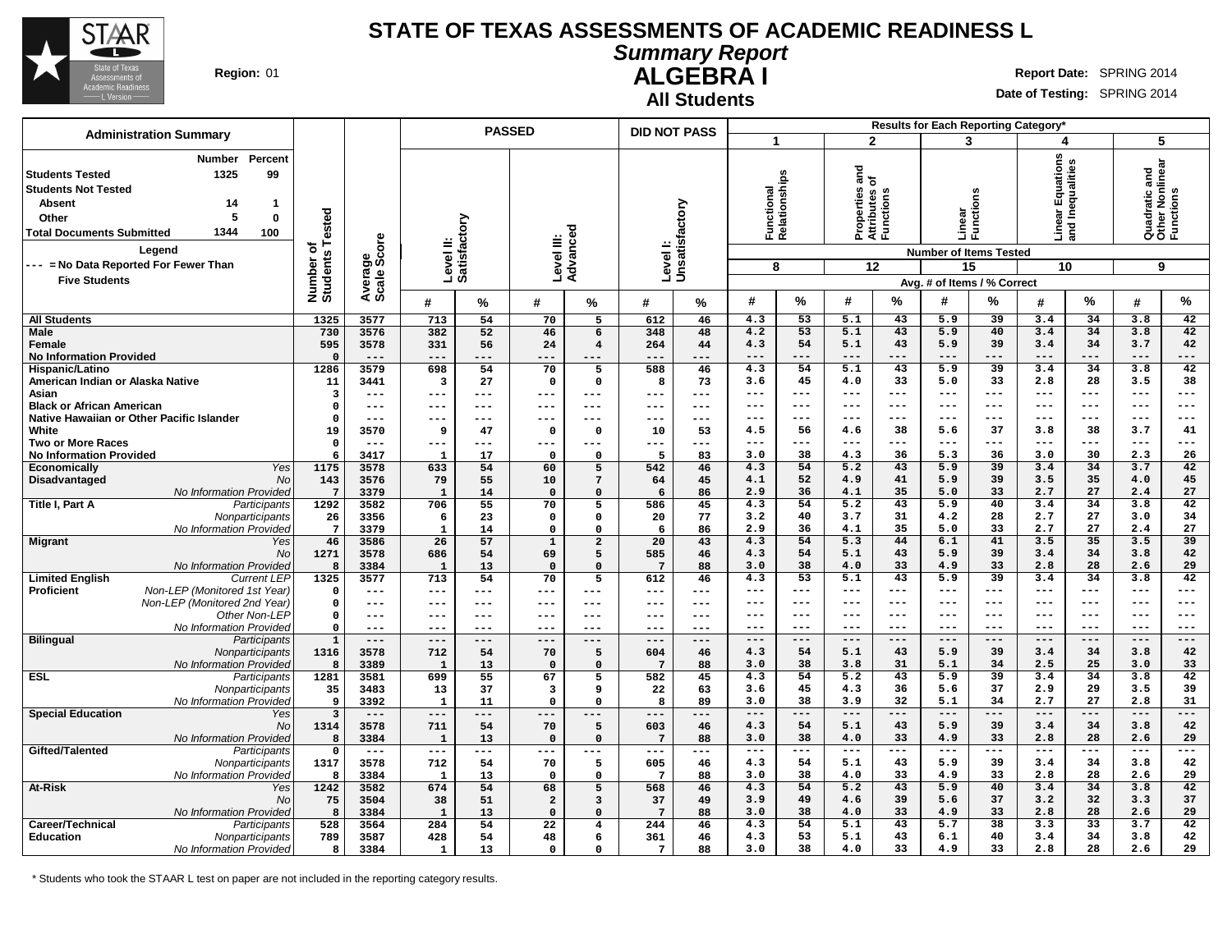

**All Students**

# **Summary Report**

**ALGEBRA I Region:** 01 **Report** Date: SPRING 2014

**Date of Testing:** SPRING 2014

|                                                                                                                                                                                                                                                                                 |                                      |                                 | <b>PASSED</b>          |            |                        |                             | <b>DID NOT PASS</b>        |                          |                                  |                |                                                         |              |                    |                                                                                | Results for Each Reporting Category*                              |                 |                                                    |              |
|---------------------------------------------------------------------------------------------------------------------------------------------------------------------------------------------------------------------------------------------------------------------------------|--------------------------------------|---------------------------------|------------------------|------------|------------------------|-----------------------------|----------------------------|--------------------------|----------------------------------|----------------|---------------------------------------------------------|--------------|--------------------|--------------------------------------------------------------------------------|-------------------------------------------------------------------|-----------------|----------------------------------------------------|--------------|
| <b>Administration Summary</b>                                                                                                                                                                                                                                                   |                                      |                                 |                        |            |                        |                             |                            |                          | $\mathbf{1}$                     |                | $\mathbf{2}$                                            |              | 3                  |                                                                                | 4                                                                 |                 | 5                                                  |              |
| Percent<br>Number<br>1325<br>99<br><b>Students Tested</b><br><b>Students Not Tested</b><br><b>Absent</b><br>14<br>-1<br>5<br>$\mathbf 0$<br>Other<br>1344<br>100<br><b>Total Documents Submitted</b><br>Legend<br>--- = No Data Reported For Fewer Than<br><b>Five Students</b> | Tested<br>৳<br>Number of<br>Students | ge<br>Score<br>Average<br>Scale | Level II:<br>Satisfact | ζiο        | Level III:             | Advanced                    | Level I:<br>Unsatisfactory |                          | Functional<br>Relationships<br>8 |                | ត<br>ត<br>Properties<br>Attributes c<br>Functions<br>12 |              | Linear<br>Functi   | ons<br>ਚ<br><b>Number of Items Tested</b><br>15<br>Avg. # of Items / % Correct | 2<br>ear Equations<br>I Inequalities<br>nea<br>and<br>10          |                 | Quadratic and<br>Other Nonlinear<br>Functions<br>9 |              |
|                                                                                                                                                                                                                                                                                 |                                      |                                 | #                      | %          | #                      | %                           | #                          | %                        | #                                | %              | #                                                       | %            | #                  | $\frac{9}{6}$                                                                  | #                                                                 | $\%$            | #                                                  | %            |
| <b>All Students</b>                                                                                                                                                                                                                                                             | 1325                                 | 3577                            | 713                    | 54         | 70                     | 5                           | 612                        | 46                       | 4.3                              | 53             | 5.1                                                     | 43           | 5.9                | 39                                                                             | 3.4                                                               | 34              | 3.8                                                | 42           |
| <b>Male</b>                                                                                                                                                                                                                                                                     | 730                                  | 3576                            | 382                    | 52         | 46                     | 6                           | 348                        | 48                       | 4.2                              | 53             | 5.1                                                     | 43           | 5.9                | 40                                                                             | 3.4                                                               | 34              | 3.8                                                | 42           |
| Female                                                                                                                                                                                                                                                                          | 595                                  | 3578<br>$---$                   | 331                    | 56<br>---  | 24                     | $\overline{4}$              | 264                        | 44                       | 4.3<br>$---$                     | 54<br>$---$    | 5.1<br>$---$                                            | 43<br>$---$  | 5.9<br>$---$       | 39<br>$---$                                                                    | 3.4<br>$---$                                                      | 34<br>---       | 3.7<br>$---$                                       | 42<br>---    |
| <b>No Information Provided</b><br>Hispanic/Latino                                                                                                                                                                                                                               | $\mathbf 0$<br>1286                  | 3579                            | $---$<br>698           | 54         | ---<br>70              | $- - -$<br>5                | ---<br>588                 | ---<br>46                | 4.3                              | 54             | 5.1                                                     | 43           | $\overline{5.9}$   | $\overline{39}$                                                                | 3.4                                                               | 34              | 3.8                                                | 42           |
| American Indian or Alaska Native                                                                                                                                                                                                                                                | 11                                   | 3441                            | 3                      | 27         | $\mathbf 0$            | 0                           | 8                          | 73                       | 3.6                              | 45             | 4.0                                                     | 33           | 5.0                | 33                                                                             | 2.8                                                               | 28              | 3.5                                                | 38           |
| Asian                                                                                                                                                                                                                                                                           | 3                                    | $---$                           | ---                    | ---        | $---$                  | $---$                       | ---                        | $---$                    | ---                              | $---$          | $--$                                                    | ---          | $--$               | ---                                                                            | $--$                                                              | ---             | $\qquad \qquad - -$                                | ---          |
| <b>Black or African American</b><br>Native Hawaiian or Other Pacific Islander                                                                                                                                                                                                   | $\mathbf 0$<br>$\Omega$              | $---$<br>$---$                  | ---<br>---             | ---<br>--- | $---$<br>$\frac{1}{2}$ | $---$<br>$---$              | ---<br>---                 | $- - -$<br>$\frac{1}{2}$ | ---<br>$---$                     | $---$<br>$---$ | ---<br>$\frac{1}{2}$                                    | ---<br>$---$ | ---<br>$---$       | ---<br>$---$                                                                   | $--$<br>$- - -$                                                   | ---<br>---      | $- - -$<br>$---$                                   | ---<br>---   |
| White                                                                                                                                                                                                                                                                           | 19                                   | 3570                            | 9                      | 47         | $\mathbf{o}$           | $\Omega$                    | 10                         | 53                       | 4.5                              | 56             | 4.6                                                     | 38           | 5.6                | 37                                                                             | 3.8                                                               | 38              | 3.7                                                | 41           |
| <b>Two or More Races</b>                                                                                                                                                                                                                                                        | $\mathbf 0$                          | $---$                           | ---                    | ---        | ---                    | ---                         | ---                        | $\qquad \qquad - -$      | $---$                            | $---$          | $--$                                                    | ---          | $--$               | ---                                                                            | $--$                                                              | ---             | $---$                                              | ---          |
| <b>No Information Provided</b>                                                                                                                                                                                                                                                  | 6                                    | 3417                            | $\mathbf{1}$           | 17         | $\mathbf 0$            | $\Omega$                    | 5                          | 83                       | 3.0                              | 38             | 4.3                                                     | 36           | 5.3                | 36                                                                             | 3.0                                                               | 30              | 2.3                                                | 26           |
| Yes<br>Economically                                                                                                                                                                                                                                                             | 1175                                 | 3578                            | 633                    | 54         | 60                     | 5                           | 542                        | 46                       | 4.3                              | 54             | $\overline{5.2}$                                        | 43           | 5.9                | 39                                                                             | 3.4                                                               | 34              | 3.7                                                | 42           |
| Disadvantaged<br><b>No</b><br>No Information Provided                                                                                                                                                                                                                           | 143<br>$7\phantom{.0}$               | 3576<br>3379                    | 79<br>$\mathbf{1}$     | 55<br>14   | 10<br>$\Omega$         | $7\overline{ }$<br>$\Omega$ | 64<br>6                    | 45<br>86                 | 4.1<br>2.9                       | 52<br>36       | 4.9<br>4.1                                              | 41<br>35     | 5.9<br>5.0         | 39<br>33                                                                       | 3.5<br>2.7                                                        | 35<br>27        | 4.0<br>2.4                                         | 45<br>27     |
| Title I, Part A<br>Participants                                                                                                                                                                                                                                                 | 1292                                 | 3582                            | 706                    | 55         | 70                     | 5                           | 586                        | 45                       | 4.3                              | 54             | 5.2                                                     | 43           | 5.9                | 40                                                                             | 3.4                                                               | 34              | 3.8                                                | 42           |
| Nonparticipants                                                                                                                                                                                                                                                                 | 26                                   | 3356                            | 6                      | 23         | $\mathbf{o}$           | $\Omega$                    | 20                         | 77                       | 3.2                              | 40             | 3.7                                                     | 31           | 4.2                | 28                                                                             | 2.7                                                               | 27              | 3.0                                                | 34           |
| No Information Provided                                                                                                                                                                                                                                                         | $7\phantom{.0}$                      | 3379                            | $\mathbf{1}$           | 14         | $\Omega$               | $\Omega$                    | 6                          | 86                       | 2.9                              | 36             | 4.1                                                     | 35           | 5.0                | 33                                                                             | 2.7                                                               | 27              | 2.4                                                | 27           |
| <b>Migrant</b><br>Yes                                                                                                                                                                                                                                                           | 46                                   | 3586                            | 26                     | 57         | $\mathbf 1$            | $\overline{a}$              | 20                         | 43                       | 4.3                              | 54             | 5.3                                                     | 44           | 6.1                | 41                                                                             | 3.5                                                               | 35              | 3.5                                                | 39           |
| No<br>No Information Provided                                                                                                                                                                                                                                                   | 1271<br>8                            | 3578<br>3384                    | 686<br>$\mathbf{1}$    | 54<br>13   | 69<br>$\mathbf 0$      | 5<br>$\Omega$               | 585<br>$7\phantom{.0}$     | 46<br>88                 | 4.3<br>3.0                       | 54<br>38       | 5.1<br>4.0                                              | 43<br>33     | 5.9<br>4.9         | 39<br>33                                                                       | 3.4<br>2.8                                                        | 34<br>28        | 3.8<br>2.6                                         | 42<br>29     |
| <b>Limited English</b><br><b>Current LEP</b>                                                                                                                                                                                                                                    | 1325                                 | 3577                            | 713                    | 54         | 70                     | $\overline{5}$              | 612                        | 46                       | 4.3                              | 53             | 5.1                                                     | 43           | $\overline{5.9}$   | $\overline{39}$                                                                | 3.4                                                               | 34              | 3.8                                                | 42           |
| Non-LEP (Monitored 1st Year)<br><b>Proficient</b>                                                                                                                                                                                                                               | $\Omega$                             | $---$                           | ---                    | ---        | ---                    | ---                         | ---                        | ---                      | $---$                            | $---$          | $- - -$                                                 | ---          | $- - -$            | $---$                                                                          | $--$                                                              | ---             | $---$                                              | ---          |
| Non-LEP (Monitored 2nd Year)                                                                                                                                                                                                                                                    | $\mathbf 0$                          | $---$                           | ---                    | ---        | $--$                   | $---$                       | ---                        | $---$                    | $---$                            | $---$          | $- - -$                                                 | ---          | $- - -$            | $---$                                                                          | $---$                                                             | $---$           | $---$                                              | ---          |
| Other Non-LEP                                                                                                                                                                                                                                                                   | $\mathsf{o}$                         | $---$                           | ---                    | ---        | $---$                  | $---$                       | ---                        | $\qquad \qquad - -$      | $---$                            | $---$          | $--$                                                    | ---          | $--$               | $--$                                                                           | $---$                                                             | $---$           | $---$                                              | ---          |
| No Information Provided                                                                                                                                                                                                                                                         | $\mathbf 0$                          | $---$<br>$---$                  | $---$<br>$---$         | ---<br>--- | $- - -$<br>$---$       | $- - -$<br>---              | $---$<br>$---$             | $---$<br>$---$           | $---$<br>$---$                   | $---$<br>$---$ | $- - -$<br>$---$                                        | ---<br>$---$ | $- - -$<br>$- - -$ | ---<br>$---$                                                                   | $---$<br>$---$                                                    | $---$<br>$---$  | $---$<br>$---$                                     | $---$<br>--- |
| <b>Bilingual</b><br>Participants<br>Nonparticipants                                                                                                                                                                                                                             | $\mathbf 1$<br>1316                  | 3578                            | 712                    | 54         | 70                     | 5                           | 604                        | 46                       | 4.3                              | 54             | 5.1                                                     | 43           | 5.9                | 39                                                                             | 3.4                                                               | 34              | 3.8                                                | 42           |
| No Information Provided                                                                                                                                                                                                                                                         | 8                                    | 3389                            | $\mathbf{1}$           | 13         | $\mathbf 0$            | $\mathbf 0$                 | $7\phantom{.0}$            | 88                       | 3.0                              | 38             | 3.8                                                     | 31           | 5.1                | 34                                                                             | 2.5                                                               | 25              | 3.0                                                | 33           |
| <b>ESL</b><br>Participants                                                                                                                                                                                                                                                      | 1281                                 | 3581                            | 699                    | 55         | 67                     | 5                           | 582                        | 45                       | 4.3                              | 54             | $\overline{5.2}$                                        | 43           | $\overline{5.9}$   | $\overline{39}$                                                                | 3.4                                                               | 34              | 3.8                                                | 42           |
| Nonparticipants                                                                                                                                                                                                                                                                 | 35                                   | 3483                            | 13                     | 37         | 3                      | 9                           | 22                         | 63                       | 3.6                              | 45             | 4.3                                                     | 36           | 5.6                | 37                                                                             | 2.9                                                               | 29              | 3.5                                                | 39           |
| No Information Provided<br><b>Special Education</b><br>Yes                                                                                                                                                                                                                      | 9<br>$\overline{\mathbf{3}}$         | 3392<br>$---$                   | $\mathbf{1}$<br>$---$  | 11<br>---  | $\Omega$<br>$---$      | $\Omega$<br>$---$           | 8<br>---                   | 89<br>$- - -$            | 3.0<br>$---$                     | 38<br>$---$    | 3.9<br>$---$                                            | 32<br>$---$  | 5.1<br>$---$       | 34<br>$---$                                                                    | 2.7<br>$---$                                                      | 27<br>---       | 2.8<br>$---$                                       | 31<br>---    |
| No                                                                                                                                                                                                                                                                              | 1314                                 | 3578                            | 711                    | 54         | 70                     | 5                           | 603                        | 46                       | 4.3                              | 54             | 5.1                                                     | 43           | 5.9                | 39                                                                             | 3.4                                                               | 34              | 3.8                                                | 42           |
| No Information Provided                                                                                                                                                                                                                                                         | 8                                    | 3384                            | $\mathbf{1}$           | 13         | $\mathbf 0$            | $\mathbf 0$                 | $7\phantom{.0}$            | 88                       | 3.0                              | 38             | 4.0                                                     | 33           | 4.9                | 33                                                                             | 2.8                                                               | 28              | 2.6                                                | 29           |
| Gifted/Talented<br>Participants                                                                                                                                                                                                                                                 | $\mathbf 0$                          | $\qquad \qquad - -$             | ---                    | ---        | ---                    | $---$                       | ---                        | $\frac{1}{2}$            | $---$                            | $---$          | $\frac{1}{2}$                                           | $---$        | $\frac{1}{2}$      | $---$                                                                          | $\hspace{0.05cm} \ldots \hspace{0.05cm}$ $\hspace{0.05cm} \ldots$ | ---             | $\qquad \qquad - -$                                | ---          |
| Nonparticipants                                                                                                                                                                                                                                                                 | 1317                                 | 3578                            | 712                    | 54         | 70                     | 5                           | 605                        | 46                       | 4.3                              | 54             | 5.1                                                     | 43           | 5.9                | 39                                                                             | 3.4                                                               | 34              | 3.8                                                | 42           |
| No Information Provided                                                                                                                                                                                                                                                         | 8                                    | 3384                            | 1                      | 13         | $\Omega$               | $\Omega$                    | $7\phantom{1}$             | 88                       | 3.0                              | 38             | 4.0                                                     | 33           | 4.9                | 33                                                                             | 2.8                                                               | 28              | 2.6                                                | 29           |
| At-Risk<br>Yes<br>No                                                                                                                                                                                                                                                            | 1242<br>75                           | 3582<br>3504                    | 674<br>38              | 54<br>51   | 68<br>$\overline{a}$   | 5<br>3                      | 568<br>37                  | 46<br>49                 | 4.3<br>3.9                       | 54<br>49       | $\overline{5.2}$<br>4.6                                 | 43<br>39     | 5.9<br>5.6         | 40<br>37                                                                       | 3.4<br>3.2                                                        | 34<br>32        | 3.8<br>3.3                                         | 42<br>37     |
| No Information Provided                                                                                                                                                                                                                                                         | 8                                    | 3384                            | $\mathbf{1}$           | 13         | $\mathbf 0$            | $\Omega$                    | $7\phantom{.0}$            | 88                       | 3.0                              | 38             | 4.0                                                     | 33           | 4.9                | 33                                                                             | 2.8                                                               | 28              | 2.6                                                | 29           |
| Career/Technical<br>Participants                                                                                                                                                                                                                                                | 528                                  | 3564                            | 284                    | 54         | 22                     | $\overline{4}$              | 244                        | 46                       | 4.3                              | 54             | 5.1                                                     | 43           | 5.7                | 38                                                                             | 3.3                                                               | $\overline{33}$ | 3.7                                                | 42           |
| <b>Education</b><br>Nonparticipants                                                                                                                                                                                                                                             | 789                                  | 3587                            | 428                    | 54         | 48                     | 6                           | 361                        | 46                       | 4.3                              | 53             | 5.1                                                     | 43           | 6.1                | 40                                                                             | 3.4                                                               | 34              | 3.8                                                | 42           |
| No Information Provided                                                                                                                                                                                                                                                         | 8                                    | 3384                            | $\mathbf{1}$           | 13         | $\mathbf 0$            | 0                           | $7\phantom{.0}$            | 88                       | 3.0                              | 38             | 4.0                                                     | 33           | 4.9                | 33                                                                             | 2.8                                                               | 28              | 2.6                                                | 29           |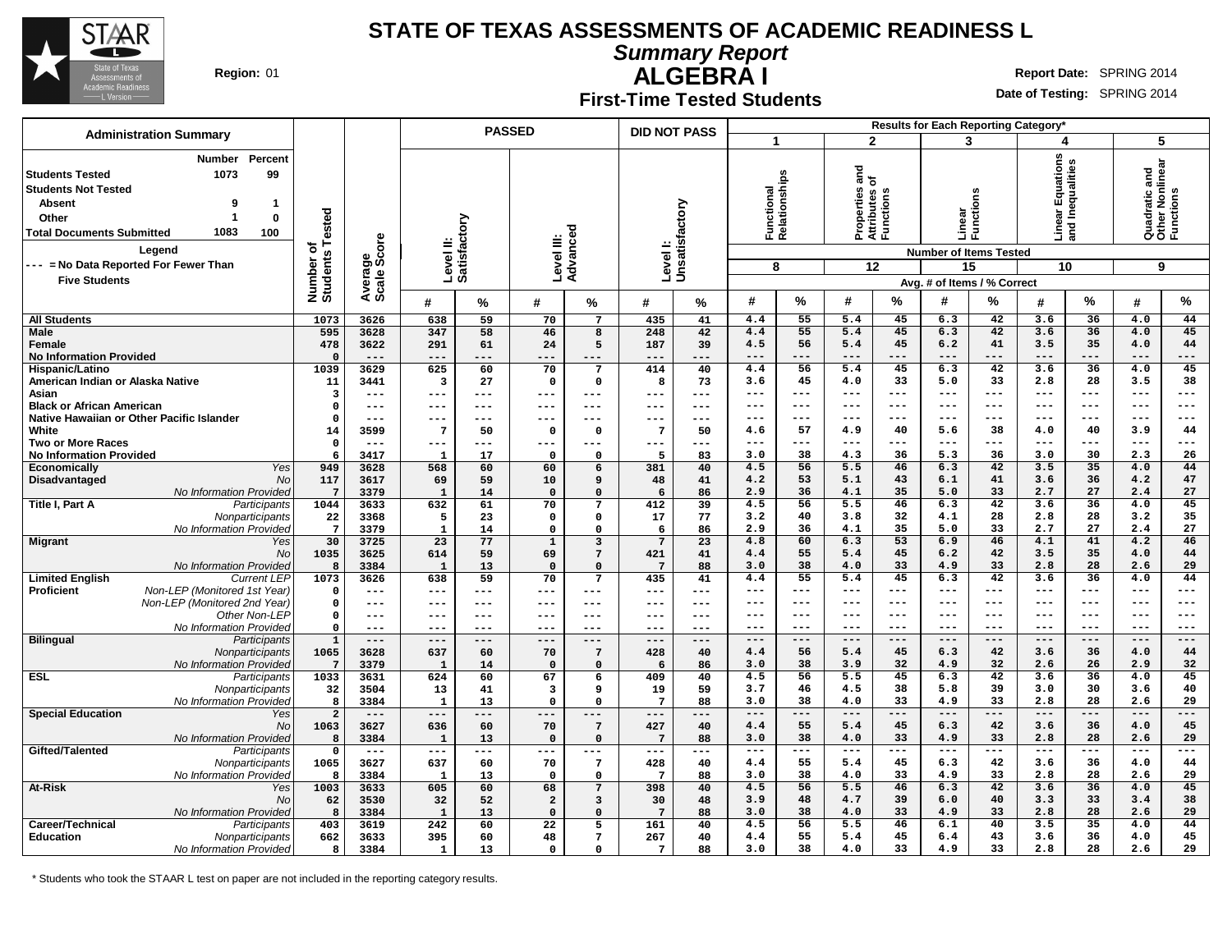

**Summary Report**

**ALGEBRA I Region:** 01 **Report** Date: SPRING 2014

#### **Date of Testing:** SPRING 2014

**First-Time Tested Students**

| <b>PASSED</b><br><b>DID NOT PASS</b><br><b>Administration Summary</b><br>$\overline{2}$<br>5<br>$\blacktriangleleft$<br>3<br>4<br>uations<br>Percent<br>Number<br>Inequalities<br>Quadratic and<br>Other Nonlinear<br>Functions<br>$\frac{1}{6}$<br>99<br>Functional<br>Relationships<br>1073<br><b>Students Tested</b><br><b>Students Not Tested</b><br>Properties<br>Attributes c<br>Functions<br>U)<br>區<br>ction<br>Levell:<br>Unsatisfactory<br><b>Absent</b><br>9<br>$\mathbf 1$<br>Number of<br>Students Tested<br>ಹ<br>Linear<br>Functi<br>1<br>$\bf{0}$<br>Other<br>Level II:<br>Satisfactory<br>$rac{1}{2}$ and<br>Level III:<br>Advanced<br>1083<br><b>Total Documents Submitted</b><br>100<br>Average<br>Scale Score<br>Legend<br><b>Number of Items Tested</b><br>--- = No Data Reported For Fewer Than<br>12<br>15<br>10<br>9<br>8<br><b>Five Students</b><br>Avg. # of Items / % Correct<br>%<br>$\frac{9}{6}$<br>%<br>#<br>%<br>$\%$<br>#<br>#<br>%<br>#<br>%<br>#<br>%<br>#<br>$\boldsymbol{\#}$<br>#<br>42<br>36<br>44<br>3626<br>638<br>$\overline{7}$<br>435<br>4.4<br>55<br>5.4<br>45<br>6.3<br>3.6<br>4.0<br><b>All Students</b><br>1073<br>59<br>70<br>41<br>595<br>3628<br>46<br>248<br>42<br>4.4<br>55<br>5.4<br>45<br>6.3<br>42<br>3.6<br>36<br>4.0<br>45<br><b>Male</b><br>347<br>58<br>8<br>478<br>187<br>4.5<br>56<br>5.4<br>45<br>6.2<br>41<br>3.5<br>35<br>4.0<br>44<br>Female<br>3622<br>291<br>61<br>24<br>5<br>39<br><b>No Information Provided</b><br>$\Omega$<br>$---$<br>$---$<br>$---$<br>$- - -$<br>$---$<br>---<br>---<br>$---$<br>$---$<br>$---$<br>$---$<br>$---$<br>$---$<br>---<br>---<br>$- - -$<br>$---$<br>3629<br>70<br>414<br>45<br>42<br>3.6<br>36<br>45<br>Hispanic/Latino<br>1039<br>625<br>60<br>$\overline{7}$<br>40<br>4.4<br>56<br>5.4<br>6.3<br>4.0<br>33<br>33<br>28<br>38<br>American Indian or Alaska Native<br>11<br>3441<br>$\overline{\mathbf{3}}$<br>27<br>$\mathbf 0$<br>$\mathbf 0$<br>8<br>73<br>3.6<br>45<br>4.0<br>5.0<br>2.8<br>3.5<br>3<br>$\qquad \qquad - -$<br>$---$<br>$---$<br>---<br>Asian<br>---<br>$---$<br>$--$<br>$---$<br>$--$<br>$---$<br>$---$<br>$---$<br>---<br>$- - -$<br>---<br>$---$<br>---<br><b>Black or African American</b><br>$---$<br>$---$<br>$---$<br>$---$<br>---<br>0<br>---<br>$---$<br>---<br>$- - -$<br>$- - -$<br>$- - -$<br>---<br>$- - -$<br>---<br>$---$<br>---<br>$---$<br>Native Hawaiian or Other Pacific Islander<br>0<br>$---$<br>$--$<br>$--$<br>$---$<br>---<br>$---$<br>---<br>$- - -$<br>---<br>$---$<br>---<br>$--$<br>---<br>$-- -$<br>---<br>$--$<br>$- - -$<br>57<br>38<br>40<br>White<br>3599<br>7<br>50<br>-7<br>50<br>4.9<br>40<br>5.6<br>4.0<br>3.9<br>44<br>14<br>$\mathbf 0$<br>4.6<br>$\Omega$<br><b>Two or More Races</b><br>$\mathbf{o}$<br>$---$<br>---<br>$---$<br>$- - -$<br>$- - -$<br>---<br>$---$<br>$---$<br>$---$<br>$---$<br>---<br>---<br>$---$<br>---<br>$---$<br>---<br>---<br>38<br>4.3<br>36<br>5.3<br>36<br>30<br>2.3<br>26<br><b>No Information Provided</b><br>3417<br>17<br>$\Omega$<br>5<br>83<br>3.0<br>3.0<br>6<br>$\mathbf{1}$<br>$\Omega$<br>42<br>35<br>949<br>3628<br>568<br>60<br>381<br>40<br>4.5<br>56<br>5.5<br>46<br>6.3<br>3.5<br>4.0<br>44<br>Economically<br>Yes<br>60<br>6<br>Disadvantaged<br>117<br>3617<br>48<br>4.2<br>53<br>5.1<br>43<br>6.1<br>41<br>3.6<br>36<br>4.2<br>47<br>N <sub>O</sub><br>69<br>59<br>10<br>9<br>41<br>36<br>35<br>33<br>27<br>27<br>No Information Provided<br>2.9<br>4.1<br>5.0<br>2.7<br>2.4<br>$7\phantom{.0}$<br>3379<br>14<br>$\Omega$<br>$\mathbf 0$<br>6<br>86<br>1<br>42<br>4.5<br>56<br>5.5<br>46<br>6.3<br>3.6<br>36<br>4.0<br>45<br>Title I, Part A<br>Participants<br>1044<br>3633<br>632<br>61<br>70<br>412<br>39<br>7<br>35<br>Nonparticipants<br>22<br>77<br>3.2<br>40<br>3.8<br>32<br>4.1<br>28<br>2.8<br>28<br>3.2<br>3368<br>5<br>23<br>0<br>0<br>17<br>35<br>27<br>27<br>No Information Provided<br>$7\phantom{.0}$<br>3379<br>$\mathbf{1}$<br>2.9<br>36<br>4.1<br>5.0<br>33<br>2.7<br>2.4<br>14<br>$\Omega$<br>$\Omega$<br>6<br>86<br>53<br>30<br>23<br>60<br>6.9<br>46<br>4.1<br>41<br>46<br>3725<br>77<br>$\overline{1}$<br>3<br>$7\overline{ }$<br>23<br>4.8<br>6.3<br>4.2<br><b>Migrant</b><br>Yes<br>55<br>45<br>42<br>35<br>N <sub>O</sub><br>1035<br>3625<br>614<br>59<br>69<br>7<br>421<br>41<br>4.4<br>5.4<br>6.2<br>3.5<br>4.0<br>44<br>38<br>33<br>33<br>28<br>29<br>4.0<br>4.9<br>2.8<br>2.6<br>No Information Provided<br>8<br>3384<br>13<br>$\mathbf 0$<br>$\Omega$<br>$7\phantom{.0}$<br>88<br>3.0<br>1<br>1073<br>45<br>6.3<br>42<br>36<br><b>Limited English</b><br>3626<br>638<br>59<br>70<br>$7\phantom{.0}$<br>435<br>4.4<br>55<br>5.4<br>3.6<br>4.0<br>44<br><b>Current LEP</b><br>41 |  |
|--------------------------------------------------------------------------------------------------------------------------------------------------------------------------------------------------------------------------------------------------------------------------------------------------------------------------------------------------------------------------------------------------------------------------------------------------------------------------------------------------------------------------------------------------------------------------------------------------------------------------------------------------------------------------------------------------------------------------------------------------------------------------------------------------------------------------------------------------------------------------------------------------------------------------------------------------------------------------------------------------------------------------------------------------------------------------------------------------------------------------------------------------------------------------------------------------------------------------------------------------------------------------------------------------------------------------------------------------------------------------------------------------------------------------------------------------------------------------------------------------------------------------------------------------------------------------------------------------------------------------------------------------------------------------------------------------------------------------------------------------------------------------------------------------------------------------------------------------------------------------------------------------------------------------------------------------------------------------------------------------------------------------------------------------------------------------------------------------------------------------------------------------------------------------------------------------------------------------------------------------------------------------------------------------------------------------------------------------------------------------------------------------------------------------------------------------------------------------------------------------------------------------------------------------------------------------------------------------------------------------------------------------------------------------------------------------------------------------------------------------------------------------------------------------------------------------------------------------------------------------------------------------------------------------------------------------------------------------------------------------------------------------------------------------------------------------------------------------------------------------------------------------------------------------------------------------------------------------------------------------------------------------------------------------------------------------------------------------------------------------------------------------------------------------------------------------------------------------------------------------------------------------------------------------------------------------------------------------------------------------------------------------------------------------------------------------------------------------------------------------------------------------------------------------------------------------------------------------------------------------------------------------------------------------------------------------------------------------------------------------------------------------------------------------------------------------------------------------------------------------------------------------------------------------------------------------------------------------------------------------------------------------------------------------------------------------------------------------------------------------------------------------------------------------------------------------------------------------------------------------------------------------------------------------------------------------------------------------------------------------------------------------------------------------------------------------------------------------------|--|
|                                                                                                                                                                                                                                                                                                                                                                                                                                                                                                                                                                                                                                                                                                                                                                                                                                                                                                                                                                                                                                                                                                                                                                                                                                                                                                                                                                                                                                                                                                                                                                                                                                                                                                                                                                                                                                                                                                                                                                                                                                                                                                                                                                                                                                                                                                                                                                                                                                                                                                                                                                                                                                                                                                                                                                                                                                                                                                                                                                                                                                                                                                                                                                                                                                                                                                                                                                                                                                                                                                                                                                                                                                                                                                                                                                                                                                                                                                                                                                                                                                                                                                                                                                                                                                                                                                                                                                                                                                                                                                                                                                                                                                                                                                                                |  |
|                                                                                                                                                                                                                                                                                                                                                                                                                                                                                                                                                                                                                                                                                                                                                                                                                                                                                                                                                                                                                                                                                                                                                                                                                                                                                                                                                                                                                                                                                                                                                                                                                                                                                                                                                                                                                                                                                                                                                                                                                                                                                                                                                                                                                                                                                                                                                                                                                                                                                                                                                                                                                                                                                                                                                                                                                                                                                                                                                                                                                                                                                                                                                                                                                                                                                                                                                                                                                                                                                                                                                                                                                                                                                                                                                                                                                                                                                                                                                                                                                                                                                                                                                                                                                                                                                                                                                                                                                                                                                                                                                                                                                                                                                                                                |  |
|                                                                                                                                                                                                                                                                                                                                                                                                                                                                                                                                                                                                                                                                                                                                                                                                                                                                                                                                                                                                                                                                                                                                                                                                                                                                                                                                                                                                                                                                                                                                                                                                                                                                                                                                                                                                                                                                                                                                                                                                                                                                                                                                                                                                                                                                                                                                                                                                                                                                                                                                                                                                                                                                                                                                                                                                                                                                                                                                                                                                                                                                                                                                                                                                                                                                                                                                                                                                                                                                                                                                                                                                                                                                                                                                                                                                                                                                                                                                                                                                                                                                                                                                                                                                                                                                                                                                                                                                                                                                                                                                                                                                                                                                                                                                |  |
|                                                                                                                                                                                                                                                                                                                                                                                                                                                                                                                                                                                                                                                                                                                                                                                                                                                                                                                                                                                                                                                                                                                                                                                                                                                                                                                                                                                                                                                                                                                                                                                                                                                                                                                                                                                                                                                                                                                                                                                                                                                                                                                                                                                                                                                                                                                                                                                                                                                                                                                                                                                                                                                                                                                                                                                                                                                                                                                                                                                                                                                                                                                                                                                                                                                                                                                                                                                                                                                                                                                                                                                                                                                                                                                                                                                                                                                                                                                                                                                                                                                                                                                                                                                                                                                                                                                                                                                                                                                                                                                                                                                                                                                                                                                                |  |
|                                                                                                                                                                                                                                                                                                                                                                                                                                                                                                                                                                                                                                                                                                                                                                                                                                                                                                                                                                                                                                                                                                                                                                                                                                                                                                                                                                                                                                                                                                                                                                                                                                                                                                                                                                                                                                                                                                                                                                                                                                                                                                                                                                                                                                                                                                                                                                                                                                                                                                                                                                                                                                                                                                                                                                                                                                                                                                                                                                                                                                                                                                                                                                                                                                                                                                                                                                                                                                                                                                                                                                                                                                                                                                                                                                                                                                                                                                                                                                                                                                                                                                                                                                                                                                                                                                                                                                                                                                                                                                                                                                                                                                                                                                                                |  |
|                                                                                                                                                                                                                                                                                                                                                                                                                                                                                                                                                                                                                                                                                                                                                                                                                                                                                                                                                                                                                                                                                                                                                                                                                                                                                                                                                                                                                                                                                                                                                                                                                                                                                                                                                                                                                                                                                                                                                                                                                                                                                                                                                                                                                                                                                                                                                                                                                                                                                                                                                                                                                                                                                                                                                                                                                                                                                                                                                                                                                                                                                                                                                                                                                                                                                                                                                                                                                                                                                                                                                                                                                                                                                                                                                                                                                                                                                                                                                                                                                                                                                                                                                                                                                                                                                                                                                                                                                                                                                                                                                                                                                                                                                                                                |  |
|                                                                                                                                                                                                                                                                                                                                                                                                                                                                                                                                                                                                                                                                                                                                                                                                                                                                                                                                                                                                                                                                                                                                                                                                                                                                                                                                                                                                                                                                                                                                                                                                                                                                                                                                                                                                                                                                                                                                                                                                                                                                                                                                                                                                                                                                                                                                                                                                                                                                                                                                                                                                                                                                                                                                                                                                                                                                                                                                                                                                                                                                                                                                                                                                                                                                                                                                                                                                                                                                                                                                                                                                                                                                                                                                                                                                                                                                                                                                                                                                                                                                                                                                                                                                                                                                                                                                                                                                                                                                                                                                                                                                                                                                                                                                |  |
|                                                                                                                                                                                                                                                                                                                                                                                                                                                                                                                                                                                                                                                                                                                                                                                                                                                                                                                                                                                                                                                                                                                                                                                                                                                                                                                                                                                                                                                                                                                                                                                                                                                                                                                                                                                                                                                                                                                                                                                                                                                                                                                                                                                                                                                                                                                                                                                                                                                                                                                                                                                                                                                                                                                                                                                                                                                                                                                                                                                                                                                                                                                                                                                                                                                                                                                                                                                                                                                                                                                                                                                                                                                                                                                                                                                                                                                                                                                                                                                                                                                                                                                                                                                                                                                                                                                                                                                                                                                                                                                                                                                                                                                                                                                                |  |
|                                                                                                                                                                                                                                                                                                                                                                                                                                                                                                                                                                                                                                                                                                                                                                                                                                                                                                                                                                                                                                                                                                                                                                                                                                                                                                                                                                                                                                                                                                                                                                                                                                                                                                                                                                                                                                                                                                                                                                                                                                                                                                                                                                                                                                                                                                                                                                                                                                                                                                                                                                                                                                                                                                                                                                                                                                                                                                                                                                                                                                                                                                                                                                                                                                                                                                                                                                                                                                                                                                                                                                                                                                                                                                                                                                                                                                                                                                                                                                                                                                                                                                                                                                                                                                                                                                                                                                                                                                                                                                                                                                                                                                                                                                                                |  |
|                                                                                                                                                                                                                                                                                                                                                                                                                                                                                                                                                                                                                                                                                                                                                                                                                                                                                                                                                                                                                                                                                                                                                                                                                                                                                                                                                                                                                                                                                                                                                                                                                                                                                                                                                                                                                                                                                                                                                                                                                                                                                                                                                                                                                                                                                                                                                                                                                                                                                                                                                                                                                                                                                                                                                                                                                                                                                                                                                                                                                                                                                                                                                                                                                                                                                                                                                                                                                                                                                                                                                                                                                                                                                                                                                                                                                                                                                                                                                                                                                                                                                                                                                                                                                                                                                                                                                                                                                                                                                                                                                                                                                                                                                                                                |  |
|                                                                                                                                                                                                                                                                                                                                                                                                                                                                                                                                                                                                                                                                                                                                                                                                                                                                                                                                                                                                                                                                                                                                                                                                                                                                                                                                                                                                                                                                                                                                                                                                                                                                                                                                                                                                                                                                                                                                                                                                                                                                                                                                                                                                                                                                                                                                                                                                                                                                                                                                                                                                                                                                                                                                                                                                                                                                                                                                                                                                                                                                                                                                                                                                                                                                                                                                                                                                                                                                                                                                                                                                                                                                                                                                                                                                                                                                                                                                                                                                                                                                                                                                                                                                                                                                                                                                                                                                                                                                                                                                                                                                                                                                                                                                |  |
|                                                                                                                                                                                                                                                                                                                                                                                                                                                                                                                                                                                                                                                                                                                                                                                                                                                                                                                                                                                                                                                                                                                                                                                                                                                                                                                                                                                                                                                                                                                                                                                                                                                                                                                                                                                                                                                                                                                                                                                                                                                                                                                                                                                                                                                                                                                                                                                                                                                                                                                                                                                                                                                                                                                                                                                                                                                                                                                                                                                                                                                                                                                                                                                                                                                                                                                                                                                                                                                                                                                                                                                                                                                                                                                                                                                                                                                                                                                                                                                                                                                                                                                                                                                                                                                                                                                                                                                                                                                                                                                                                                                                                                                                                                                                |  |
|                                                                                                                                                                                                                                                                                                                                                                                                                                                                                                                                                                                                                                                                                                                                                                                                                                                                                                                                                                                                                                                                                                                                                                                                                                                                                                                                                                                                                                                                                                                                                                                                                                                                                                                                                                                                                                                                                                                                                                                                                                                                                                                                                                                                                                                                                                                                                                                                                                                                                                                                                                                                                                                                                                                                                                                                                                                                                                                                                                                                                                                                                                                                                                                                                                                                                                                                                                                                                                                                                                                                                                                                                                                                                                                                                                                                                                                                                                                                                                                                                                                                                                                                                                                                                                                                                                                                                                                                                                                                                                                                                                                                                                                                                                                                |  |
|                                                                                                                                                                                                                                                                                                                                                                                                                                                                                                                                                                                                                                                                                                                                                                                                                                                                                                                                                                                                                                                                                                                                                                                                                                                                                                                                                                                                                                                                                                                                                                                                                                                                                                                                                                                                                                                                                                                                                                                                                                                                                                                                                                                                                                                                                                                                                                                                                                                                                                                                                                                                                                                                                                                                                                                                                                                                                                                                                                                                                                                                                                                                                                                                                                                                                                                                                                                                                                                                                                                                                                                                                                                                                                                                                                                                                                                                                                                                                                                                                                                                                                                                                                                                                                                                                                                                                                                                                                                                                                                                                                                                                                                                                                                                |  |
|                                                                                                                                                                                                                                                                                                                                                                                                                                                                                                                                                                                                                                                                                                                                                                                                                                                                                                                                                                                                                                                                                                                                                                                                                                                                                                                                                                                                                                                                                                                                                                                                                                                                                                                                                                                                                                                                                                                                                                                                                                                                                                                                                                                                                                                                                                                                                                                                                                                                                                                                                                                                                                                                                                                                                                                                                                                                                                                                                                                                                                                                                                                                                                                                                                                                                                                                                                                                                                                                                                                                                                                                                                                                                                                                                                                                                                                                                                                                                                                                                                                                                                                                                                                                                                                                                                                                                                                                                                                                                                                                                                                                                                                                                                                                |  |
|                                                                                                                                                                                                                                                                                                                                                                                                                                                                                                                                                                                                                                                                                                                                                                                                                                                                                                                                                                                                                                                                                                                                                                                                                                                                                                                                                                                                                                                                                                                                                                                                                                                                                                                                                                                                                                                                                                                                                                                                                                                                                                                                                                                                                                                                                                                                                                                                                                                                                                                                                                                                                                                                                                                                                                                                                                                                                                                                                                                                                                                                                                                                                                                                                                                                                                                                                                                                                                                                                                                                                                                                                                                                                                                                                                                                                                                                                                                                                                                                                                                                                                                                                                                                                                                                                                                                                                                                                                                                                                                                                                                                                                                                                                                                |  |
|                                                                                                                                                                                                                                                                                                                                                                                                                                                                                                                                                                                                                                                                                                                                                                                                                                                                                                                                                                                                                                                                                                                                                                                                                                                                                                                                                                                                                                                                                                                                                                                                                                                                                                                                                                                                                                                                                                                                                                                                                                                                                                                                                                                                                                                                                                                                                                                                                                                                                                                                                                                                                                                                                                                                                                                                                                                                                                                                                                                                                                                                                                                                                                                                                                                                                                                                                                                                                                                                                                                                                                                                                                                                                                                                                                                                                                                                                                                                                                                                                                                                                                                                                                                                                                                                                                                                                                                                                                                                                                                                                                                                                                                                                                                                |  |
|                                                                                                                                                                                                                                                                                                                                                                                                                                                                                                                                                                                                                                                                                                                                                                                                                                                                                                                                                                                                                                                                                                                                                                                                                                                                                                                                                                                                                                                                                                                                                                                                                                                                                                                                                                                                                                                                                                                                                                                                                                                                                                                                                                                                                                                                                                                                                                                                                                                                                                                                                                                                                                                                                                                                                                                                                                                                                                                                                                                                                                                                                                                                                                                                                                                                                                                                                                                                                                                                                                                                                                                                                                                                                                                                                                                                                                                                                                                                                                                                                                                                                                                                                                                                                                                                                                                                                                                                                                                                                                                                                                                                                                                                                                                                |  |
|                                                                                                                                                                                                                                                                                                                                                                                                                                                                                                                                                                                                                                                                                                                                                                                                                                                                                                                                                                                                                                                                                                                                                                                                                                                                                                                                                                                                                                                                                                                                                                                                                                                                                                                                                                                                                                                                                                                                                                                                                                                                                                                                                                                                                                                                                                                                                                                                                                                                                                                                                                                                                                                                                                                                                                                                                                                                                                                                                                                                                                                                                                                                                                                                                                                                                                                                                                                                                                                                                                                                                                                                                                                                                                                                                                                                                                                                                                                                                                                                                                                                                                                                                                                                                                                                                                                                                                                                                                                                                                                                                                                                                                                                                                                                |  |
|                                                                                                                                                                                                                                                                                                                                                                                                                                                                                                                                                                                                                                                                                                                                                                                                                                                                                                                                                                                                                                                                                                                                                                                                                                                                                                                                                                                                                                                                                                                                                                                                                                                                                                                                                                                                                                                                                                                                                                                                                                                                                                                                                                                                                                                                                                                                                                                                                                                                                                                                                                                                                                                                                                                                                                                                                                                                                                                                                                                                                                                                                                                                                                                                                                                                                                                                                                                                                                                                                                                                                                                                                                                                                                                                                                                                                                                                                                                                                                                                                                                                                                                                                                                                                                                                                                                                                                                                                                                                                                                                                                                                                                                                                                                                |  |
|                                                                                                                                                                                                                                                                                                                                                                                                                                                                                                                                                                                                                                                                                                                                                                                                                                                                                                                                                                                                                                                                                                                                                                                                                                                                                                                                                                                                                                                                                                                                                                                                                                                                                                                                                                                                                                                                                                                                                                                                                                                                                                                                                                                                                                                                                                                                                                                                                                                                                                                                                                                                                                                                                                                                                                                                                                                                                                                                                                                                                                                                                                                                                                                                                                                                                                                                                                                                                                                                                                                                                                                                                                                                                                                                                                                                                                                                                                                                                                                                                                                                                                                                                                                                                                                                                                                                                                                                                                                                                                                                                                                                                                                                                                                                |  |
|                                                                                                                                                                                                                                                                                                                                                                                                                                                                                                                                                                                                                                                                                                                                                                                                                                                                                                                                                                                                                                                                                                                                                                                                                                                                                                                                                                                                                                                                                                                                                                                                                                                                                                                                                                                                                                                                                                                                                                                                                                                                                                                                                                                                                                                                                                                                                                                                                                                                                                                                                                                                                                                                                                                                                                                                                                                                                                                                                                                                                                                                                                                                                                                                                                                                                                                                                                                                                                                                                                                                                                                                                                                                                                                                                                                                                                                                                                                                                                                                                                                                                                                                                                                                                                                                                                                                                                                                                                                                                                                                                                                                                                                                                                                                |  |
|                                                                                                                                                                                                                                                                                                                                                                                                                                                                                                                                                                                                                                                                                                                                                                                                                                                                                                                                                                                                                                                                                                                                                                                                                                                                                                                                                                                                                                                                                                                                                                                                                                                                                                                                                                                                                                                                                                                                                                                                                                                                                                                                                                                                                                                                                                                                                                                                                                                                                                                                                                                                                                                                                                                                                                                                                                                                                                                                                                                                                                                                                                                                                                                                                                                                                                                                                                                                                                                                                                                                                                                                                                                                                                                                                                                                                                                                                                                                                                                                                                                                                                                                                                                                                                                                                                                                                                                                                                                                                                                                                                                                                                                                                                                                |  |
| Non-LEP (Monitored 1st Year)<br><b>Proficient</b><br>$---$<br>$---$<br>$---$<br>0<br>---<br>---<br>---<br>$--$<br>$---$<br>$---$<br>---<br>---<br>$- - -$<br>$---$<br>---<br>$---$<br>---<br>$---$<br>Non-LEP (Monitored 2nd Year)<br>---<br>$---$<br>$---$<br>$---$<br>$---$<br>$---$<br>$---$<br>$---$<br>$---$<br>---<br>---                                                                                                                                                                                                                                                                                                                                                                                                                                                                                                                                                                                                                                                                                                                                                                                                                                                                                                                                                                                                                                                                                                                                                                                                                                                                                                                                                                                                                                                                                                                                                                                                                                                                                                                                                                                                                                                                                                                                                                                                                                                                                                                                                                                                                                                                                                                                                                                                                                                                                                                                                                                                                                                                                                                                                                                                                                                                                                                                                                                                                                                                                                                                                                                                                                                                                                                                                                                                                                                                                                                                                                                                                                                                                                                                                                                                                                                                                                                                                                                                                                                                                                                                                                                                                                                                                                                                                                                                |  |
| 0<br>$---$<br>---<br>$---$<br>---<br>$-- -$<br>$---$<br>Other Non-LEP<br>0<br>---<br>$---$<br>---<br>$- - -$<br>$- - -$<br>$---$<br>$- - -$<br>---<br>$---$<br>---<br>$- - -$<br>---<br>$---$<br>---<br>$---$<br>$- - -$<br>---                                                                                                                                                                                                                                                                                                                                                                                                                                                                                                                                                                                                                                                                                                                                                                                                                                                                                                                                                                                                                                                                                                                                                                                                                                                                                                                                                                                                                                                                                                                                                                                                                                                                                                                                                                                                                                                                                                                                                                                                                                                                                                                                                                                                                                                                                                                                                                                                                                                                                                                                                                                                                                                                                                                                                                                                                                                                                                                                                                                                                                                                                                                                                                                                                                                                                                                                                                                                                                                                                                                                                                                                                                                                                                                                                                                                                                                                                                                                                                                                                                                                                                                                                                                                                                                                                                                                                                                                                                                                                                |  |
| No Information Provided<br>$\Omega$<br>---<br>---<br>$---$<br>---<br>$---$<br>$---$<br>---<br>$---$<br>---<br>$---$<br>---<br>$---$<br>---<br>---<br>$---$<br>$-- -$<br>---                                                                                                                                                                                                                                                                                                                                                                                                                                                                                                                                                                                                                                                                                                                                                                                                                                                                                                                                                                                                                                                                                                                                                                                                                                                                                                                                                                                                                                                                                                                                                                                                                                                                                                                                                                                                                                                                                                                                                                                                                                                                                                                                                                                                                                                                                                                                                                                                                                                                                                                                                                                                                                                                                                                                                                                                                                                                                                                                                                                                                                                                                                                                                                                                                                                                                                                                                                                                                                                                                                                                                                                                                                                                                                                                                                                                                                                                                                                                                                                                                                                                                                                                                                                                                                                                                                                                                                                                                                                                                                                                                    |  |
| <b>Bilingual</b><br>$\mathbf{1}$<br>Participants<br>$---$<br>$---$<br>$---$<br>$---$<br>$---$<br>$---$<br>$---$<br>$---$<br>$---$<br>---<br>$---$<br>---<br>---<br>$---$<br>---<br>$---$<br>$---$                                                                                                                                                                                                                                                                                                                                                                                                                                                                                                                                                                                                                                                                                                                                                                                                                                                                                                                                                                                                                                                                                                                                                                                                                                                                                                                                                                                                                                                                                                                                                                                                                                                                                                                                                                                                                                                                                                                                                                                                                                                                                                                                                                                                                                                                                                                                                                                                                                                                                                                                                                                                                                                                                                                                                                                                                                                                                                                                                                                                                                                                                                                                                                                                                                                                                                                                                                                                                                                                                                                                                                                                                                                                                                                                                                                                                                                                                                                                                                                                                                                                                                                                                                                                                                                                                                                                                                                                                                                                                                                              |  |
| $\overline{7}$<br>42<br>44<br>Nonparticipants<br>1065<br>3628<br>637<br>70<br>428<br>4.4<br>56<br>5.4<br>45<br>6.3<br>3.6<br>36<br>4.0<br>60<br>40                                                                                                                                                                                                                                                                                                                                                                                                                                                                                                                                                                                                                                                                                                                                                                                                                                                                                                                                                                                                                                                                                                                                                                                                                                                                                                                                                                                                                                                                                                                                                                                                                                                                                                                                                                                                                                                                                                                                                                                                                                                                                                                                                                                                                                                                                                                                                                                                                                                                                                                                                                                                                                                                                                                                                                                                                                                                                                                                                                                                                                                                                                                                                                                                                                                                                                                                                                                                                                                                                                                                                                                                                                                                                                                                                                                                                                                                                                                                                                                                                                                                                                                                                                                                                                                                                                                                                                                                                                                                                                                                                                             |  |
| 38<br>32<br>32<br>26<br>32<br>No Information Provideo<br>$7\phantom{.0}$<br>3379<br>14<br>86<br>3.0<br>3.9<br>4.9<br>2.6<br>2.9<br>$\mathbf{1}$<br>$\Omega$<br>$\Omega$<br>6                                                                                                                                                                                                                                                                                                                                                                                                                                                                                                                                                                                                                                                                                                                                                                                                                                                                                                                                                                                                                                                                                                                                                                                                                                                                                                                                                                                                                                                                                                                                                                                                                                                                                                                                                                                                                                                                                                                                                                                                                                                                                                                                                                                                                                                                                                                                                                                                                                                                                                                                                                                                                                                                                                                                                                                                                                                                                                                                                                                                                                                                                                                                                                                                                                                                                                                                                                                                                                                                                                                                                                                                                                                                                                                                                                                                                                                                                                                                                                                                                                                                                                                                                                                                                                                                                                                                                                                                                                                                                                                                                   |  |
| <b>ESL</b><br>1033<br>5.5<br>6.3<br>42<br>3.6<br>36<br>4.0<br>45<br>3631<br>624<br>60<br>67<br>6<br>409<br>40<br>4.5<br>56<br>45<br>Participants                                                                                                                                                                                                                                                                                                                                                                                                                                                                                                                                                                                                                                                                                                                                                                                                                                                                                                                                                                                                                                                                                                                                                                                                                                                                                                                                                                                                                                                                                                                                                                                                                                                                                                                                                                                                                                                                                                                                                                                                                                                                                                                                                                                                                                                                                                                                                                                                                                                                                                                                                                                                                                                                                                                                                                                                                                                                                                                                                                                                                                                                                                                                                                                                                                                                                                                                                                                                                                                                                                                                                                                                                                                                                                                                                                                                                                                                                                                                                                                                                                                                                                                                                                                                                                                                                                                                                                                                                                                                                                                                                                               |  |
| 38<br>39<br>30<br>40<br>32<br>3504<br>41<br>3<br>59<br>3.7<br>46<br>4.5<br>5.8<br>3.0<br>3.6<br>Nonparticipants<br>13<br>9<br>19<br>38<br>4.0<br>33<br>4.9<br>33<br>2.8<br>28<br>2.6<br>29<br>No Information Provided<br>$\overline{7}$<br>3.0<br>8<br>3384<br>$\mathbf{1}$<br>13<br>$\mathbf 0$<br>88<br>$\Omega$                                                                                                                                                                                                                                                                                                                                                                                                                                                                                                                                                                                                                                                                                                                                                                                                                                                                                                                                                                                                                                                                                                                                                                                                                                                                                                                                                                                                                                                                                                                                                                                                                                                                                                                                                                                                                                                                                                                                                                                                                                                                                                                                                                                                                                                                                                                                                                                                                                                                                                                                                                                                                                                                                                                                                                                                                                                                                                                                                                                                                                                                                                                                                                                                                                                                                                                                                                                                                                                                                                                                                                                                                                                                                                                                                                                                                                                                                                                                                                                                                                                                                                                                                                                                                                                                                                                                                                                                             |  |
| $--$<br>$---$<br>$---$<br>$\frac{1}{1-\frac{1}{1-\frac{1}{1-\frac{1}{1-\frac{1}{1-\frac{1}{1-\frac{1}{1-\frac{1}{1-\frac{1}{1-\frac{1}{1-\frac{1}{1-\frac{1}{1-\frac{1}{1-\frac{1}{1-\frac{1}{1-\frac{1}{1-\frac{1}{1-\frac{1}{1-\frac{1}{1-\frac{1}{1-\frac{1}{1-\frac{1}{1-\frac{1}{1-\frac{1}{1-\frac{1}{1-\frac{1}{1-\frac{1}{1-\frac{1}{1-\frac{1}{1-\frac{1}{1-\frac{1}{1-\frac{1}{1-\frac{1}{1-\frac{1}{1-\frac{1}{1-\frac{1}{1-\frac{1$<br>$---$<br>$\frac{1}{2}$<br>$---$<br>$\frac{1}{2}$<br>---<br><b>Special Education</b><br>$\overline{a}$<br>$---$<br>Yes<br>$\qquad \qquad - -$<br>---<br>$---$<br>$---$<br>---<br>---<br>---                                                                                                                                                                                                                                                                                                                                                                                                                                                                                                                                                                                                                                                                                                                                                                                                                                                                                                                                                                                                                                                                                                                                                                                                                                                                                                                                                                                                                                                                                                                                                                                                                                                                                                                                                                                                                                                                                                                                                                                                                                                                                                                                                                                                                                                                                                                                                                                                                                                                                                                                                                                                                                                                                                                                                                                                                                                                                                                                                                                                                                                                                                                                                                                                                                                                                                                                                                                                                                                                                                                                                                                                                                                                                                                                                                                                                                                                                                                                                                                                                                                                                  |  |
| 42<br>45<br>1063<br>3627<br>70<br>7<br>40<br>55<br>5.4<br>45<br>6.3<br>3.6<br>36<br>4.0<br>No<br>636<br>60<br>427<br>4.4                                                                                                                                                                                                                                                                                                                                                                                                                                                                                                                                                                                                                                                                                                                                                                                                                                                                                                                                                                                                                                                                                                                                                                                                                                                                                                                                                                                                                                                                                                                                                                                                                                                                                                                                                                                                                                                                                                                                                                                                                                                                                                                                                                                                                                                                                                                                                                                                                                                                                                                                                                                                                                                                                                                                                                                                                                                                                                                                                                                                                                                                                                                                                                                                                                                                                                                                                                                                                                                                                                                                                                                                                                                                                                                                                                                                                                                                                                                                                                                                                                                                                                                                                                                                                                                                                                                                                                                                                                                                                                                                                                                                       |  |
| 38<br>33<br>4.9<br>33<br>28<br>29<br>$\overline{7}$<br>88<br>3.0<br>4.0<br>2.8<br>2.6<br>No Information Provided<br>8<br>3384<br>13<br>$\Omega$<br>$\mathbf{1}$<br>$\Omega$                                                                                                                                                                                                                                                                                                                                                                                                                                                                                                                                                                                                                                                                                                                                                                                                                                                                                                                                                                                                                                                                                                                                                                                                                                                                                                                                                                                                                                                                                                                                                                                                                                                                                                                                                                                                                                                                                                                                                                                                                                                                                                                                                                                                                                                                                                                                                                                                                                                                                                                                                                                                                                                                                                                                                                                                                                                                                                                                                                                                                                                                                                                                                                                                                                                                                                                                                                                                                                                                                                                                                                                                                                                                                                                                                                                                                                                                                                                                                                                                                                                                                                                                                                                                                                                                                                                                                                                                                                                                                                                                                    |  |
| Gifted/Talented<br>$\qquad \qquad - -$<br>$---$<br>$---$<br>$---$<br>Participants<br>$\mathbf 0$<br>$---$<br>$---$<br>$---$<br>$---$<br>$---$<br>$---$<br>$\qquad \qquad - -$<br>---<br>---<br>---<br>$\qquad \qquad -$<br>---<br>$\qquad \qquad - -$                                                                                                                                                                                                                                                                                                                                                                                                                                                                                                                                                                                                                                                                                                                                                                                                                                                                                                                                                                                                                                                                                                                                                                                                                                                                                                                                                                                                                                                                                                                                                                                                                                                                                                                                                                                                                                                                                                                                                                                                                                                                                                                                                                                                                                                                                                                                                                                                                                                                                                                                                                                                                                                                                                                                                                                                                                                                                                                                                                                                                                                                                                                                                                                                                                                                                                                                                                                                                                                                                                                                                                                                                                                                                                                                                                                                                                                                                                                                                                                                                                                                                                                                                                                                                                                                                                                                                                                                                                                                          |  |
| 3627<br>55<br>45<br>42<br>36<br>44<br>1065<br>637<br>60<br>70<br>$\overline{7}$<br>428<br>40<br>4.4<br>5.4<br>6.3<br>3.6<br>4.0<br>Nonparticipants                                                                                                                                                                                                                                                                                                                                                                                                                                                                                                                                                                                                                                                                                                                                                                                                                                                                                                                                                                                                                                                                                                                                                                                                                                                                                                                                                                                                                                                                                                                                                                                                                                                                                                                                                                                                                                                                                                                                                                                                                                                                                                                                                                                                                                                                                                                                                                                                                                                                                                                                                                                                                                                                                                                                                                                                                                                                                                                                                                                                                                                                                                                                                                                                                                                                                                                                                                                                                                                                                                                                                                                                                                                                                                                                                                                                                                                                                                                                                                                                                                                                                                                                                                                                                                                                                                                                                                                                                                                                                                                                                                             |  |
| No Information Provided<br>-7<br>38<br>4.0<br>33<br>4.9<br>33<br>2.8<br>28<br>2.6<br>29<br>8<br>3384<br>13<br>$\Omega$<br>88<br>3.0<br>$\mathbf{1}$<br>0                                                                                                                                                                                                                                                                                                                                                                                                                                                                                                                                                                                                                                                                                                                                                                                                                                                                                                                                                                                                                                                                                                                                                                                                                                                                                                                                                                                                                                                                                                                                                                                                                                                                                                                                                                                                                                                                                                                                                                                                                                                                                                                                                                                                                                                                                                                                                                                                                                                                                                                                                                                                                                                                                                                                                                                                                                                                                                                                                                                                                                                                                                                                                                                                                                                                                                                                                                                                                                                                                                                                                                                                                                                                                                                                                                                                                                                                                                                                                                                                                                                                                                                                                                                                                                                                                                                                                                                                                                                                                                                                                                       |  |
| 1003<br>42<br>36<br>At-Risk<br>3633<br>605<br>60<br>68<br>$7\overline{ }$<br>398<br>40<br>4.5<br>56<br>5.5<br>46<br>6.3<br>3.6<br>4.0<br>45<br>Yes                                                                                                                                                                                                                                                                                                                                                                                                                                                                                                                                                                                                                                                                                                                                                                                                                                                                                                                                                                                                                                                                                                                                                                                                                                                                                                                                                                                                                                                                                                                                                                                                                                                                                                                                                                                                                                                                                                                                                                                                                                                                                                                                                                                                                                                                                                                                                                                                                                                                                                                                                                                                                                                                                                                                                                                                                                                                                                                                                                                                                                                                                                                                                                                                                                                                                                                                                                                                                                                                                                                                                                                                                                                                                                                                                                                                                                                                                                                                                                                                                                                                                                                                                                                                                                                                                                                                                                                                                                                                                                                                                                             |  |
| 3.9<br>48<br>4.7<br>39<br>6.0<br>40<br>3.3<br>33<br>3.4<br>38<br>No<br>62<br>3530<br>32<br>52<br>$\overline{a}$<br>3<br>30<br>48<br>38<br>33<br>33<br>28<br>29<br>No Information Provided<br>3.0<br>4.0<br>4.9<br>2.8<br>2.6<br>$\mathbf{1}$<br>13<br>$\Omega$<br>$\overline{7}$<br>88<br>$\Omega$                                                                                                                                                                                                                                                                                                                                                                                                                                                                                                                                                                                                                                                                                                                                                                                                                                                                                                                                                                                                                                                                                                                                                                                                                                                                                                                                                                                                                                                                                                                                                                                                                                                                                                                                                                                                                                                                                                                                                                                                                                                                                                                                                                                                                                                                                                                                                                                                                                                                                                                                                                                                                                                                                                                                                                                                                                                                                                                                                                                                                                                                                                                                                                                                                                                                                                                                                                                                                                                                                                                                                                                                                                                                                                                                                                                                                                                                                                                                                                                                                                                                                                                                                                                                                                                                                                                                                                                                                             |  |
| 3384<br>8<br>Career/Technical<br>35<br>Participants<br>3619<br>242<br>60<br>22<br>5<br>161<br>40<br>4.5<br>56<br>5.5<br>46<br>6.1<br>40<br>3.5<br>4.0<br>44<br>403                                                                                                                                                                                                                                                                                                                                                                                                                                                                                                                                                                                                                                                                                                                                                                                                                                                                                                                                                                                                                                                                                                                                                                                                                                                                                                                                                                                                                                                                                                                                                                                                                                                                                                                                                                                                                                                                                                                                                                                                                                                                                                                                                                                                                                                                                                                                                                                                                                                                                                                                                                                                                                                                                                                                                                                                                                                                                                                                                                                                                                                                                                                                                                                                                                                                                                                                                                                                                                                                                                                                                                                                                                                                                                                                                                                                                                                                                                                                                                                                                                                                                                                                                                                                                                                                                                                                                                                                                                                                                                                                                             |  |
| 36<br>662<br>3633<br>395<br>48<br>$7\phantom{.0}$<br>267<br>40<br>4.4<br>55<br>5.4<br>45<br>6.4<br>43<br>3.6<br>4.0<br>45<br><b>Education</b><br>60<br>Nonparticipants                                                                                                                                                                                                                                                                                                                                                                                                                                                                                                                                                                                                                                                                                                                                                                                                                                                                                                                                                                                                                                                                                                                                                                                                                                                                                                                                                                                                                                                                                                                                                                                                                                                                                                                                                                                                                                                                                                                                                                                                                                                                                                                                                                                                                                                                                                                                                                                                                                                                                                                                                                                                                                                                                                                                                                                                                                                                                                                                                                                                                                                                                                                                                                                                                                                                                                                                                                                                                                                                                                                                                                                                                                                                                                                                                                                                                                                                                                                                                                                                                                                                                                                                                                                                                                                                                                                                                                                                                                                                                                                                                         |  |
| 38<br>33<br>4.9<br>33<br>2.8<br>28<br>29<br>No Information Provided<br>8<br>3384<br>13<br>0<br>$7\phantom{.0}$<br>88<br>3.0<br>4.0<br>2.6<br>1<br>0                                                                                                                                                                                                                                                                                                                                                                                                                                                                                                                                                                                                                                                                                                                                                                                                                                                                                                                                                                                                                                                                                                                                                                                                                                                                                                                                                                                                                                                                                                                                                                                                                                                                                                                                                                                                                                                                                                                                                                                                                                                                                                                                                                                                                                                                                                                                                                                                                                                                                                                                                                                                                                                                                                                                                                                                                                                                                                                                                                                                                                                                                                                                                                                                                                                                                                                                                                                                                                                                                                                                                                                                                                                                                                                                                                                                                                                                                                                                                                                                                                                                                                                                                                                                                                                                                                                                                                                                                                                                                                                                                                            |  |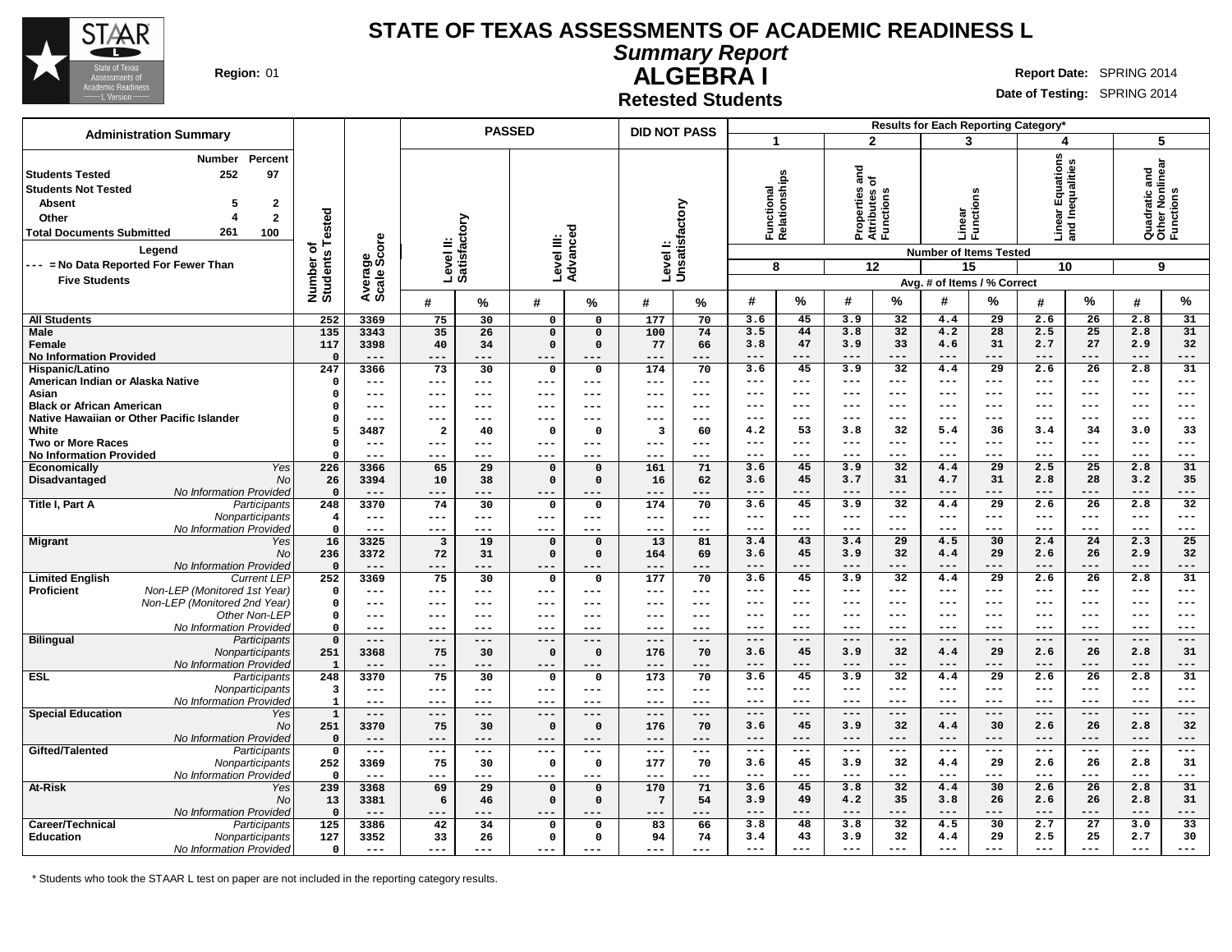

**Administration Summary**

#### **STATE OF TEXAS ASSESSMENTS OF ACADEMIC READINESS L**

**Summary Report**

**PASSED**

**ALGEBRA I Region:** 01 **Report** Date: SPRING 2014

**Date of Testing:** SPRING 2014

**Retested Students**

| <b>DID NOT PASS</b> |   | Results for Each Reporting Category* |  |  |
|---------------------|---|--------------------------------------|--|--|
|                     |   |                                      |  |  |
|                     | œ |                                      |  |  |

| <b>ar Equations</b><br>Inequalities<br>Quadratic and<br>Other Nonlinear<br>Functions<br>and<br>Functional<br>Relationships<br>৳<br><b>Students Not Tested</b><br>Properties<br>Attributes c<br>Functions<br>ens<br>$\mathbf{2}$<br>Unsatisfactory<br><b>Absent</b><br>5<br>Number of<br>Students Tested<br>Linear<br>Functi<br>$\mathbf{2}$<br>Other<br>Satisfactory<br>Dani<br>Dani<br>ю<br>261<br><b>Total Documents Submitted</b><br>100<br>Level III:<br>Advancec<br>Average<br>Scale Score<br>Level II:<br>Level I:<br>Legend<br><b>Number of Items Tested</b><br>--- = No Data Reported For Fewer Than<br>12<br>10<br>9<br>8<br>15<br><b>Five Students</b><br>Avg. # of Items / % Correct<br>%<br>%<br>#<br>%<br>#<br>%<br>#<br>%<br>#<br>#<br>%<br>%<br>#<br>%<br>#<br>#<br>252<br>177<br>45<br>32<br>$\overline{29}$<br>26<br>31<br>3369<br>75<br>30<br>70<br>3.6<br>3.9<br>4.4<br>2.6<br>2.8<br><b>All Students</b><br>$\Omega$<br>$\mathbf{0}$<br>$\overline{31}$<br>44<br>32<br>28<br>25<br>135<br>35<br>26<br>100<br>74<br>3.5<br>4.2<br>2.5<br>2.8<br>Male<br>3343<br>$\mathbf 0$<br>$\mathbf 0$<br>3.8<br>117<br>3398<br>$\mathsf{o}\,$<br>77<br>3.8<br>47<br>3.9<br>33<br>4.6<br>31<br>2.7<br>27<br>2.9<br>32<br>Female<br>40<br>34<br>$\Omega$<br>66<br><b>No Information Provided</b><br>$\Omega$<br>$- - -$<br>$- - -$<br>---<br>$- - -$<br>$- - -$<br>$---$<br>$- - -$<br>$- - -$<br>$---$<br>$- - -$<br>$---$<br>$- - -$<br>---<br>---<br>$- - -$<br>247<br>3.6<br>45<br>32<br>29<br>2.6<br>26<br>2.8<br>31<br>Hispanic/Latino<br>3366<br>73<br>30<br>174<br>70<br>3.9<br>4.4<br>0<br>$\mathbf{o}$<br>American Indian or Alaska Native<br>$\Omega$<br>$---$<br>$---$<br>$---$<br>---<br>$---$<br>$--$<br>$---$<br>$---$<br>$--$<br>$---$<br>---<br>---<br>$--$<br>$---$<br>$---$<br>$---$<br>$---$<br>Asian<br>$---$<br>$---$<br>---<br>$---$<br>---<br>$---$<br>$---$<br>---<br>$\Omega$<br>---<br>---<br>$- - -$<br>$---$<br>---<br>$- - -$<br>$---$<br>$---$<br>---<br><b>Black or African American</b><br>$---$<br>$---$<br>$--$<br>$---$<br>---<br>$\Omega$<br>---<br>---<br>$--$<br>---<br>---<br>---<br>$- - -$<br>$---$<br>$---$<br>$--$<br>$---$<br>$- - -$<br>Native Hawaiian or Other Pacific Islander<br>$\Omega$<br>---<br>$- - -$<br>---<br>---<br>---<br>$--$<br>---<br>$--$<br>---<br>---<br>$---$<br>$- - -$<br>$- - -$<br>---<br>$--$<br>$---$<br>$- - -$<br>33<br>White<br>5<br>3487<br>4.2<br>53<br>32<br>36<br>34<br>$\overline{\mathbf{2}}$<br>0<br>3<br>60<br>3.8<br>5.4<br>3.4<br>3.0<br>40<br>$\mathbf{o}$<br><b>Two or More Races</b><br>$\Omega$<br>$--$<br>$---$<br>---<br>---<br>$--$<br>$---$<br>$---$<br>$---$<br>$--$<br>---<br>$---$<br>---<br>$---$<br>---<br>$---$<br>---<br><b>No Information Provided</b><br>$\Omega$<br>$- -$<br>$--$<br>$--$<br>---<br>---<br>---<br>$--$<br>---<br>$--$<br>$--$<br>---<br>---<br>$---$<br>---<br>---<br>---<br>45<br>32<br>25<br>2.8<br>31<br>Economically<br>Yes<br>226<br>3366<br>65<br>29<br>$\mathbf 0$<br>161<br>71<br>3.6<br>3.9<br>4.4<br>29<br>2.5<br>$\mathbf 0$<br>45<br>3.7<br>31<br>31<br>2.8<br>28<br>3.2<br>35<br>Disadvantaged<br>No<br>26<br>3394<br>38<br>$\mathbf 0$<br>$\Omega$<br>16<br>62<br>3.6<br>4.7<br>10<br>No Information Provided<br>$---$<br>$\Omega$<br>$---$<br>$---$<br>$---$<br>$---$<br>$---$<br>$---$<br>$---$<br>$---$<br>---<br>$---$<br>---<br>---<br>$---$<br>---<br>$---$<br>---<br>Title I, Part A<br>248<br>3.6<br>45<br>3.9<br>32<br>4.4<br>29<br>2.6<br>26<br>2.8<br>32<br>Participants<br>3370<br>74<br>30<br>174<br>70<br>$\mathsf{o}\,$<br>$\mathbf 0$<br>Nonparticipants<br>$---$<br>$---$<br>$---$<br>$---$<br>$---$<br>$---$<br>$---$<br>---<br>$\overline{\mathbf{4}}$<br>$\qquad \qquad - -$<br>$---$<br>$---$<br>---<br>$---$<br>$--$<br>$---$<br>$---$<br>$---$<br>No Information Provided<br>$\Omega$<br>$---$<br>$---$<br>$---$<br>$---$<br>$---$<br>$---$<br>$---$<br>$---$<br>$---$<br>---<br>$---$<br>$---$<br>$---$<br>$---$<br>$---$<br>$---$<br>$- - -$<br>16<br>3325<br>13<br>81<br>43<br>29<br>30<br>2.4<br>24<br>2.3<br>25<br><b>Migrant</b><br>$\overline{\mathbf{3}}$<br>19<br>$\mathbf 0$<br>$\mathbf 0$<br>3.4<br>3.4<br>4.5<br>Yes<br>236<br>$\mathsf{o}\,$<br>3.6<br>45<br>3.9<br>32<br>29<br>2.6<br>26<br>2.9<br>32<br>No<br>3372<br>72<br>31<br>$\Omega$<br>164<br>69<br>4.4<br><b>No Information Provided</b><br>$\Omega$<br>---<br>$---$<br>---<br>$- - -$<br>$- - -$<br>---<br>$---$<br>---<br>$- - -$<br>$- - -$<br>$---$<br>$- - -$<br>---<br>---<br>$---$<br>31<br>252<br>177<br>45<br>32<br>$\overline{29}$<br>26<br>2.8<br><b>Limited English</b><br><b>Current LEP</b><br>3369<br>75<br>30<br>$\mathsf{o}\,$<br>70<br>3.6<br>3.9<br>4.4<br>2.6<br>$\mathbf 0$<br>Non-LEP (Monitored 1st Year)<br><b>Proficient</b><br>$\Omega$<br>---<br>$---$<br>---<br>$---$<br>$--$<br>$---$<br>$--$<br>$--$<br>$---$<br>---<br>---<br>$---$<br>$---$<br>$-- -$<br>$---$<br>$---$<br>$---$<br>Non-LEP (Monitored 2nd Year<br>$\Omega$<br>$---$<br>$---$<br>$---$<br>---<br>$--$<br>---<br>$- - -$<br>---<br>$- - -$<br>$---$<br>---<br>$- - -$<br>$- - -$<br>$- - -$<br>$- - -$<br>$- - -$<br>$- - -$<br>Other Non-LEP<br>$\mathbf 0$<br>---<br>$---$<br>$---$<br>---<br>$--$<br>$--$<br>---<br>$---$<br>---<br>---<br>---<br>$- -$<br>---<br>$--$<br>---<br>$---$<br>---<br>No Information Provided<br>$\Omega$<br>$---$<br>$---$<br>$- - -$<br>$---$<br>$---$<br>$---$<br>$---$<br>$---$<br>$---$<br>---<br>---<br>$---$<br>---<br>$---$<br>$---$<br>$--$<br>---<br><b>Bilingual</b><br>$\mathbf{0}$<br>Participants<br>$---$<br>$---$<br>$---$<br>$---$<br>$---$<br>$---$<br>$---$<br>$---$<br>$---$<br>$---$<br>$---$<br>$---$<br>$---$<br>$---$<br>$---$<br>$---$<br>$---$<br>31<br>Nonparticipants<br>251<br>3368<br>30<br>$\mathbf 0$<br>176<br>3.6<br>45<br>3.9<br>32<br>4.4<br>29<br>2.6<br>26<br>2.8<br>75<br>0<br>70<br>No Information Provided<br>-1<br>$---$<br>$---$<br>---<br>$---$<br>$---$<br>$---$<br>$---$<br>---<br>$- - -$<br>$---$<br>$---$<br>$---$<br>$- - -$<br>$--$<br>$- - -$<br>$---$<br>$---$<br>ESL<br>248<br>3370<br>$\overline{173}$<br>45<br>$\overline{32}$<br>$\overline{29}$<br>26<br>2.8<br>31<br>75<br>30<br>$\mathbf 0$<br>$\mathbf 0$<br>70<br>3.6<br>3.9<br>4.4<br>2.6<br>Participants<br>Nonparticipants<br>3<br>$---$<br>---<br>---<br>$--$<br>$---$<br>$---$<br>$---$<br>$---$<br>$---$<br>---<br>$---$<br>$- - -$<br>$---$<br>---<br>$---$<br>$---$<br>---<br>No Information Provided<br>$\mathbf{1}$<br>---<br>$---$<br>$--$<br>$---$<br>$---$<br>$---$<br>$---$<br>$--$<br>$---$<br>---<br>$---$<br>---<br>$---$<br>---<br>$---$<br>$- - -$<br>$---$ | Number<br>Percent                   |  |  |  |  |  |  |  |  |  |
|----------------------------------------------------------------------------------------------------------------------------------------------------------------------------------------------------------------------------------------------------------------------------------------------------------------------------------------------------------------------------------------------------------------------------------------------------------------------------------------------------------------------------------------------------------------------------------------------------------------------------------------------------------------------------------------------------------------------------------------------------------------------------------------------------------------------------------------------------------------------------------------------------------------------------------------------------------------------------------------------------------------------------------------------------------------------------------------------------------------------------------------------------------------------------------------------------------------------------------------------------------------------------------------------------------------------------------------------------------------------------------------------------------------------------------------------------------------------------------------------------------------------------------------------------------------------------------------------------------------------------------------------------------------------------------------------------------------------------------------------------------------------------------------------------------------------------------------------------------------------------------------------------------------------------------------------------------------------------------------------------------------------------------------------------------------------------------------------------------------------------------------------------------------------------------------------------------------------------------------------------------------------------------------------------------------------------------------------------------------------------------------------------------------------------------------------------------------------------------------------------------------------------------------------------------------------------------------------------------------------------------------------------------------------------------------------------------------------------------------------------------------------------------------------------------------------------------------------------------------------------------------------------------------------------------------------------------------------------------------------------------------------------------------------------------------------------------------------------------------------------------------------------------------------------------------------------------------------------------------------------------------------------------------------------------------------------------------------------------------------------------------------------------------------------------------------------------------------------------------------------------------------------------------------------------------------------------------------------------------------------------------------------------------------------------------------------------------------------------------------------------------------------------------------------------------------------------------------------------------------------------------------------------------------------------------------------------------------------------------------------------------------------------------------------------------------------------------------------------------------------------------------------------------------------------------------------------------------------------------------------------------------------------------------------------------------------------------------------------------------------------------------------------------------------------------------------------------------------------------------------------------------------------------------------------------------------------------------------------------------------------------------------------------------------------------------------------------------------------------------------------------------------------------------------------------------------------------------------------------------------------------------------------------------------------------------------------------------------------------------------------------------------------------------------------------------------------------------------------------------------------------------------------------------------------------------------------------------------------------------------------------------------------------------------------------------------------------------------------------------------------------------------------------------------------------------------------------------------------------------------------------------------------------------------------------------------------------------------------------------------------------------------------------------------------------------------------------------------------------------------------------------------------------------------------------------------------------------------------------------------------------------------------------------------------------------------------------------------------------------------------------------------------------------------------------------------------------------------------------------------------------------------------------------------------------------------------------------------------------------------------------------------------------------------------------------------------------------------------------------------------------------------------------------------------------------------------------------------------------------------------------------------------------------------------------------------------------------------------------------------------------------------------------------|-------------------------------------|--|--|--|--|--|--|--|--|--|
|                                                                                                                                                                                                                                                                                                                                                                                                                                                                                                                                                                                                                                                                                                                                                                                                                                                                                                                                                                                                                                                                                                                                                                                                                                                                                                                                                                                                                                                                                                                                                                                                                                                                                                                                                                                                                                                                                                                                                                                                                                                                                                                                                                                                                                                                                                                                                                                                                                                                                                                                                                                                                                                                                                                                                                                                                                                                                                                                                                                                                                                                                                                                                                                                                                                                                                                                                                                                                                                                                                                                                                                                                                                                                                                                                                                                                                                                                                                                                                                                                                                                                                                                                                                                                                                                                                                                                                                                                                                                                                                                                                                                                                                                                                                                                                                                                                                                                                                                                                                                                                                                                                                                                                                                                                                                                                                                                                                                                                                                                                                                                                                                                                                                                                                                                                                                                                                                                                                                                                                                                                                                                                                                                                                                                                                                                                                                                                                                                                                                                                                                                                                                                                                                      | 252<br>97<br><b>Students Tested</b> |  |  |  |  |  |  |  |  |  |
|                                                                                                                                                                                                                                                                                                                                                                                                                                                                                                                                                                                                                                                                                                                                                                                                                                                                                                                                                                                                                                                                                                                                                                                                                                                                                                                                                                                                                                                                                                                                                                                                                                                                                                                                                                                                                                                                                                                                                                                                                                                                                                                                                                                                                                                                                                                                                                                                                                                                                                                                                                                                                                                                                                                                                                                                                                                                                                                                                                                                                                                                                                                                                                                                                                                                                                                                                                                                                                                                                                                                                                                                                                                                                                                                                                                                                                                                                                                                                                                                                                                                                                                                                                                                                                                                                                                                                                                                                                                                                                                                                                                                                                                                                                                                                                                                                                                                                                                                                                                                                                                                                                                                                                                                                                                                                                                                                                                                                                                                                                                                                                                                                                                                                                                                                                                                                                                                                                                                                                                                                                                                                                                                                                                                                                                                                                                                                                                                                                                                                                                                                                                                                                                                      |                                     |  |  |  |  |  |  |  |  |  |
|                                                                                                                                                                                                                                                                                                                                                                                                                                                                                                                                                                                                                                                                                                                                                                                                                                                                                                                                                                                                                                                                                                                                                                                                                                                                                                                                                                                                                                                                                                                                                                                                                                                                                                                                                                                                                                                                                                                                                                                                                                                                                                                                                                                                                                                                                                                                                                                                                                                                                                                                                                                                                                                                                                                                                                                                                                                                                                                                                                                                                                                                                                                                                                                                                                                                                                                                                                                                                                                                                                                                                                                                                                                                                                                                                                                                                                                                                                                                                                                                                                                                                                                                                                                                                                                                                                                                                                                                                                                                                                                                                                                                                                                                                                                                                                                                                                                                                                                                                                                                                                                                                                                                                                                                                                                                                                                                                                                                                                                                                                                                                                                                                                                                                                                                                                                                                                                                                                                                                                                                                                                                                                                                                                                                                                                                                                                                                                                                                                                                                                                                                                                                                                                                      |                                     |  |  |  |  |  |  |  |  |  |
|                                                                                                                                                                                                                                                                                                                                                                                                                                                                                                                                                                                                                                                                                                                                                                                                                                                                                                                                                                                                                                                                                                                                                                                                                                                                                                                                                                                                                                                                                                                                                                                                                                                                                                                                                                                                                                                                                                                                                                                                                                                                                                                                                                                                                                                                                                                                                                                                                                                                                                                                                                                                                                                                                                                                                                                                                                                                                                                                                                                                                                                                                                                                                                                                                                                                                                                                                                                                                                                                                                                                                                                                                                                                                                                                                                                                                                                                                                                                                                                                                                                                                                                                                                                                                                                                                                                                                                                                                                                                                                                                                                                                                                                                                                                                                                                                                                                                                                                                                                                                                                                                                                                                                                                                                                                                                                                                                                                                                                                                                                                                                                                                                                                                                                                                                                                                                                                                                                                                                                                                                                                                                                                                                                                                                                                                                                                                                                                                                                                                                                                                                                                                                                                                      |                                     |  |  |  |  |  |  |  |  |  |
|                                                                                                                                                                                                                                                                                                                                                                                                                                                                                                                                                                                                                                                                                                                                                                                                                                                                                                                                                                                                                                                                                                                                                                                                                                                                                                                                                                                                                                                                                                                                                                                                                                                                                                                                                                                                                                                                                                                                                                                                                                                                                                                                                                                                                                                                                                                                                                                                                                                                                                                                                                                                                                                                                                                                                                                                                                                                                                                                                                                                                                                                                                                                                                                                                                                                                                                                                                                                                                                                                                                                                                                                                                                                                                                                                                                                                                                                                                                                                                                                                                                                                                                                                                                                                                                                                                                                                                                                                                                                                                                                                                                                                                                                                                                                                                                                                                                                                                                                                                                                                                                                                                                                                                                                                                                                                                                                                                                                                                                                                                                                                                                                                                                                                                                                                                                                                                                                                                                                                                                                                                                                                                                                                                                                                                                                                                                                                                                                                                                                                                                                                                                                                                                                      |                                     |  |  |  |  |  |  |  |  |  |
|                                                                                                                                                                                                                                                                                                                                                                                                                                                                                                                                                                                                                                                                                                                                                                                                                                                                                                                                                                                                                                                                                                                                                                                                                                                                                                                                                                                                                                                                                                                                                                                                                                                                                                                                                                                                                                                                                                                                                                                                                                                                                                                                                                                                                                                                                                                                                                                                                                                                                                                                                                                                                                                                                                                                                                                                                                                                                                                                                                                                                                                                                                                                                                                                                                                                                                                                                                                                                                                                                                                                                                                                                                                                                                                                                                                                                                                                                                                                                                                                                                                                                                                                                                                                                                                                                                                                                                                                                                                                                                                                                                                                                                                                                                                                                                                                                                                                                                                                                                                                                                                                                                                                                                                                                                                                                                                                                                                                                                                                                                                                                                                                                                                                                                                                                                                                                                                                                                                                                                                                                                                                                                                                                                                                                                                                                                                                                                                                                                                                                                                                                                                                                                                                      |                                     |  |  |  |  |  |  |  |  |  |
|                                                                                                                                                                                                                                                                                                                                                                                                                                                                                                                                                                                                                                                                                                                                                                                                                                                                                                                                                                                                                                                                                                                                                                                                                                                                                                                                                                                                                                                                                                                                                                                                                                                                                                                                                                                                                                                                                                                                                                                                                                                                                                                                                                                                                                                                                                                                                                                                                                                                                                                                                                                                                                                                                                                                                                                                                                                                                                                                                                                                                                                                                                                                                                                                                                                                                                                                                                                                                                                                                                                                                                                                                                                                                                                                                                                                                                                                                                                                                                                                                                                                                                                                                                                                                                                                                                                                                                                                                                                                                                                                                                                                                                                                                                                                                                                                                                                                                                                                                                                                                                                                                                                                                                                                                                                                                                                                                                                                                                                                                                                                                                                                                                                                                                                                                                                                                                                                                                                                                                                                                                                                                                                                                                                                                                                                                                                                                                                                                                                                                                                                                                                                                                                                      |                                     |  |  |  |  |  |  |  |  |  |
|                                                                                                                                                                                                                                                                                                                                                                                                                                                                                                                                                                                                                                                                                                                                                                                                                                                                                                                                                                                                                                                                                                                                                                                                                                                                                                                                                                                                                                                                                                                                                                                                                                                                                                                                                                                                                                                                                                                                                                                                                                                                                                                                                                                                                                                                                                                                                                                                                                                                                                                                                                                                                                                                                                                                                                                                                                                                                                                                                                                                                                                                                                                                                                                                                                                                                                                                                                                                                                                                                                                                                                                                                                                                                                                                                                                                                                                                                                                                                                                                                                                                                                                                                                                                                                                                                                                                                                                                                                                                                                                                                                                                                                                                                                                                                                                                                                                                                                                                                                                                                                                                                                                                                                                                                                                                                                                                                                                                                                                                                                                                                                                                                                                                                                                                                                                                                                                                                                                                                                                                                                                                                                                                                                                                                                                                                                                                                                                                                                                                                                                                                                                                                                                                      |                                     |  |  |  |  |  |  |  |  |  |
|                                                                                                                                                                                                                                                                                                                                                                                                                                                                                                                                                                                                                                                                                                                                                                                                                                                                                                                                                                                                                                                                                                                                                                                                                                                                                                                                                                                                                                                                                                                                                                                                                                                                                                                                                                                                                                                                                                                                                                                                                                                                                                                                                                                                                                                                                                                                                                                                                                                                                                                                                                                                                                                                                                                                                                                                                                                                                                                                                                                                                                                                                                                                                                                                                                                                                                                                                                                                                                                                                                                                                                                                                                                                                                                                                                                                                                                                                                                                                                                                                                                                                                                                                                                                                                                                                                                                                                                                                                                                                                                                                                                                                                                                                                                                                                                                                                                                                                                                                                                                                                                                                                                                                                                                                                                                                                                                                                                                                                                                                                                                                                                                                                                                                                                                                                                                                                                                                                                                                                                                                                                                                                                                                                                                                                                                                                                                                                                                                                                                                                                                                                                                                                                                      |                                     |  |  |  |  |  |  |  |  |  |
|                                                                                                                                                                                                                                                                                                                                                                                                                                                                                                                                                                                                                                                                                                                                                                                                                                                                                                                                                                                                                                                                                                                                                                                                                                                                                                                                                                                                                                                                                                                                                                                                                                                                                                                                                                                                                                                                                                                                                                                                                                                                                                                                                                                                                                                                                                                                                                                                                                                                                                                                                                                                                                                                                                                                                                                                                                                                                                                                                                                                                                                                                                                                                                                                                                                                                                                                                                                                                                                                                                                                                                                                                                                                                                                                                                                                                                                                                                                                                                                                                                                                                                                                                                                                                                                                                                                                                                                                                                                                                                                                                                                                                                                                                                                                                                                                                                                                                                                                                                                                                                                                                                                                                                                                                                                                                                                                                                                                                                                                                                                                                                                                                                                                                                                                                                                                                                                                                                                                                                                                                                                                                                                                                                                                                                                                                                                                                                                                                                                                                                                                                                                                                                                                      |                                     |  |  |  |  |  |  |  |  |  |
|                                                                                                                                                                                                                                                                                                                                                                                                                                                                                                                                                                                                                                                                                                                                                                                                                                                                                                                                                                                                                                                                                                                                                                                                                                                                                                                                                                                                                                                                                                                                                                                                                                                                                                                                                                                                                                                                                                                                                                                                                                                                                                                                                                                                                                                                                                                                                                                                                                                                                                                                                                                                                                                                                                                                                                                                                                                                                                                                                                                                                                                                                                                                                                                                                                                                                                                                                                                                                                                                                                                                                                                                                                                                                                                                                                                                                                                                                                                                                                                                                                                                                                                                                                                                                                                                                                                                                                                                                                                                                                                                                                                                                                                                                                                                                                                                                                                                                                                                                                                                                                                                                                                                                                                                                                                                                                                                                                                                                                                                                                                                                                                                                                                                                                                                                                                                                                                                                                                                                                                                                                                                                                                                                                                                                                                                                                                                                                                                                                                                                                                                                                                                                                                                      |                                     |  |  |  |  |  |  |  |  |  |
|                                                                                                                                                                                                                                                                                                                                                                                                                                                                                                                                                                                                                                                                                                                                                                                                                                                                                                                                                                                                                                                                                                                                                                                                                                                                                                                                                                                                                                                                                                                                                                                                                                                                                                                                                                                                                                                                                                                                                                                                                                                                                                                                                                                                                                                                                                                                                                                                                                                                                                                                                                                                                                                                                                                                                                                                                                                                                                                                                                                                                                                                                                                                                                                                                                                                                                                                                                                                                                                                                                                                                                                                                                                                                                                                                                                                                                                                                                                                                                                                                                                                                                                                                                                                                                                                                                                                                                                                                                                                                                                                                                                                                                                                                                                                                                                                                                                                                                                                                                                                                                                                                                                                                                                                                                                                                                                                                                                                                                                                                                                                                                                                                                                                                                                                                                                                                                                                                                                                                                                                                                                                                                                                                                                                                                                                                                                                                                                                                                                                                                                                                                                                                                                                      |                                     |  |  |  |  |  |  |  |  |  |
|                                                                                                                                                                                                                                                                                                                                                                                                                                                                                                                                                                                                                                                                                                                                                                                                                                                                                                                                                                                                                                                                                                                                                                                                                                                                                                                                                                                                                                                                                                                                                                                                                                                                                                                                                                                                                                                                                                                                                                                                                                                                                                                                                                                                                                                                                                                                                                                                                                                                                                                                                                                                                                                                                                                                                                                                                                                                                                                                                                                                                                                                                                                                                                                                                                                                                                                                                                                                                                                                                                                                                                                                                                                                                                                                                                                                                                                                                                                                                                                                                                                                                                                                                                                                                                                                                                                                                                                                                                                                                                                                                                                                                                                                                                                                                                                                                                                                                                                                                                                                                                                                                                                                                                                                                                                                                                                                                                                                                                                                                                                                                                                                                                                                                                                                                                                                                                                                                                                                                                                                                                                                                                                                                                                                                                                                                                                                                                                                                                                                                                                                                                                                                                                                      |                                     |  |  |  |  |  |  |  |  |  |
|                                                                                                                                                                                                                                                                                                                                                                                                                                                                                                                                                                                                                                                                                                                                                                                                                                                                                                                                                                                                                                                                                                                                                                                                                                                                                                                                                                                                                                                                                                                                                                                                                                                                                                                                                                                                                                                                                                                                                                                                                                                                                                                                                                                                                                                                                                                                                                                                                                                                                                                                                                                                                                                                                                                                                                                                                                                                                                                                                                                                                                                                                                                                                                                                                                                                                                                                                                                                                                                                                                                                                                                                                                                                                                                                                                                                                                                                                                                                                                                                                                                                                                                                                                                                                                                                                                                                                                                                                                                                                                                                                                                                                                                                                                                                                                                                                                                                                                                                                                                                                                                                                                                                                                                                                                                                                                                                                                                                                                                                                                                                                                                                                                                                                                                                                                                                                                                                                                                                                                                                                                                                                                                                                                                                                                                                                                                                                                                                                                                                                                                                                                                                                                                                      |                                     |  |  |  |  |  |  |  |  |  |
|                                                                                                                                                                                                                                                                                                                                                                                                                                                                                                                                                                                                                                                                                                                                                                                                                                                                                                                                                                                                                                                                                                                                                                                                                                                                                                                                                                                                                                                                                                                                                                                                                                                                                                                                                                                                                                                                                                                                                                                                                                                                                                                                                                                                                                                                                                                                                                                                                                                                                                                                                                                                                                                                                                                                                                                                                                                                                                                                                                                                                                                                                                                                                                                                                                                                                                                                                                                                                                                                                                                                                                                                                                                                                                                                                                                                                                                                                                                                                                                                                                                                                                                                                                                                                                                                                                                                                                                                                                                                                                                                                                                                                                                                                                                                                                                                                                                                                                                                                                                                                                                                                                                                                                                                                                                                                                                                                                                                                                                                                                                                                                                                                                                                                                                                                                                                                                                                                                                                                                                                                                                                                                                                                                                                                                                                                                                                                                                                                                                                                                                                                                                                                                                                      |                                     |  |  |  |  |  |  |  |  |  |
|                                                                                                                                                                                                                                                                                                                                                                                                                                                                                                                                                                                                                                                                                                                                                                                                                                                                                                                                                                                                                                                                                                                                                                                                                                                                                                                                                                                                                                                                                                                                                                                                                                                                                                                                                                                                                                                                                                                                                                                                                                                                                                                                                                                                                                                                                                                                                                                                                                                                                                                                                                                                                                                                                                                                                                                                                                                                                                                                                                                                                                                                                                                                                                                                                                                                                                                                                                                                                                                                                                                                                                                                                                                                                                                                                                                                                                                                                                                                                                                                                                                                                                                                                                                                                                                                                                                                                                                                                                                                                                                                                                                                                                                                                                                                                                                                                                                                                                                                                                                                                                                                                                                                                                                                                                                                                                                                                                                                                                                                                                                                                                                                                                                                                                                                                                                                                                                                                                                                                                                                                                                                                                                                                                                                                                                                                                                                                                                                                                                                                                                                                                                                                                                                      |                                     |  |  |  |  |  |  |  |  |  |
|                                                                                                                                                                                                                                                                                                                                                                                                                                                                                                                                                                                                                                                                                                                                                                                                                                                                                                                                                                                                                                                                                                                                                                                                                                                                                                                                                                                                                                                                                                                                                                                                                                                                                                                                                                                                                                                                                                                                                                                                                                                                                                                                                                                                                                                                                                                                                                                                                                                                                                                                                                                                                                                                                                                                                                                                                                                                                                                                                                                                                                                                                                                                                                                                                                                                                                                                                                                                                                                                                                                                                                                                                                                                                                                                                                                                                                                                                                                                                                                                                                                                                                                                                                                                                                                                                                                                                                                                                                                                                                                                                                                                                                                                                                                                                                                                                                                                                                                                                                                                                                                                                                                                                                                                                                                                                                                                                                                                                                                                                                                                                                                                                                                                                                                                                                                                                                                                                                                                                                                                                                                                                                                                                                                                                                                                                                                                                                                                                                                                                                                                                                                                                                                                      |                                     |  |  |  |  |  |  |  |  |  |
|                                                                                                                                                                                                                                                                                                                                                                                                                                                                                                                                                                                                                                                                                                                                                                                                                                                                                                                                                                                                                                                                                                                                                                                                                                                                                                                                                                                                                                                                                                                                                                                                                                                                                                                                                                                                                                                                                                                                                                                                                                                                                                                                                                                                                                                                                                                                                                                                                                                                                                                                                                                                                                                                                                                                                                                                                                                                                                                                                                                                                                                                                                                                                                                                                                                                                                                                                                                                                                                                                                                                                                                                                                                                                                                                                                                                                                                                                                                                                                                                                                                                                                                                                                                                                                                                                                                                                                                                                                                                                                                                                                                                                                                                                                                                                                                                                                                                                                                                                                                                                                                                                                                                                                                                                                                                                                                                                                                                                                                                                                                                                                                                                                                                                                                                                                                                                                                                                                                                                                                                                                                                                                                                                                                                                                                                                                                                                                                                                                                                                                                                                                                                                                                                      |                                     |  |  |  |  |  |  |  |  |  |
|                                                                                                                                                                                                                                                                                                                                                                                                                                                                                                                                                                                                                                                                                                                                                                                                                                                                                                                                                                                                                                                                                                                                                                                                                                                                                                                                                                                                                                                                                                                                                                                                                                                                                                                                                                                                                                                                                                                                                                                                                                                                                                                                                                                                                                                                                                                                                                                                                                                                                                                                                                                                                                                                                                                                                                                                                                                                                                                                                                                                                                                                                                                                                                                                                                                                                                                                                                                                                                                                                                                                                                                                                                                                                                                                                                                                                                                                                                                                                                                                                                                                                                                                                                                                                                                                                                                                                                                                                                                                                                                                                                                                                                                                                                                                                                                                                                                                                                                                                                                                                                                                                                                                                                                                                                                                                                                                                                                                                                                                                                                                                                                                                                                                                                                                                                                                                                                                                                                                                                                                                                                                                                                                                                                                                                                                                                                                                                                                                                                                                                                                                                                                                                                                      |                                     |  |  |  |  |  |  |  |  |  |
|                                                                                                                                                                                                                                                                                                                                                                                                                                                                                                                                                                                                                                                                                                                                                                                                                                                                                                                                                                                                                                                                                                                                                                                                                                                                                                                                                                                                                                                                                                                                                                                                                                                                                                                                                                                                                                                                                                                                                                                                                                                                                                                                                                                                                                                                                                                                                                                                                                                                                                                                                                                                                                                                                                                                                                                                                                                                                                                                                                                                                                                                                                                                                                                                                                                                                                                                                                                                                                                                                                                                                                                                                                                                                                                                                                                                                                                                                                                                                                                                                                                                                                                                                                                                                                                                                                                                                                                                                                                                                                                                                                                                                                                                                                                                                                                                                                                                                                                                                                                                                                                                                                                                                                                                                                                                                                                                                                                                                                                                                                                                                                                                                                                                                                                                                                                                                                                                                                                                                                                                                                                                                                                                                                                                                                                                                                                                                                                                                                                                                                                                                                                                                                                                      |                                     |  |  |  |  |  |  |  |  |  |
|                                                                                                                                                                                                                                                                                                                                                                                                                                                                                                                                                                                                                                                                                                                                                                                                                                                                                                                                                                                                                                                                                                                                                                                                                                                                                                                                                                                                                                                                                                                                                                                                                                                                                                                                                                                                                                                                                                                                                                                                                                                                                                                                                                                                                                                                                                                                                                                                                                                                                                                                                                                                                                                                                                                                                                                                                                                                                                                                                                                                                                                                                                                                                                                                                                                                                                                                                                                                                                                                                                                                                                                                                                                                                                                                                                                                                                                                                                                                                                                                                                                                                                                                                                                                                                                                                                                                                                                                                                                                                                                                                                                                                                                                                                                                                                                                                                                                                                                                                                                                                                                                                                                                                                                                                                                                                                                                                                                                                                                                                                                                                                                                                                                                                                                                                                                                                                                                                                                                                                                                                                                                                                                                                                                                                                                                                                                                                                                                                                                                                                                                                                                                                                                                      |                                     |  |  |  |  |  |  |  |  |  |
|                                                                                                                                                                                                                                                                                                                                                                                                                                                                                                                                                                                                                                                                                                                                                                                                                                                                                                                                                                                                                                                                                                                                                                                                                                                                                                                                                                                                                                                                                                                                                                                                                                                                                                                                                                                                                                                                                                                                                                                                                                                                                                                                                                                                                                                                                                                                                                                                                                                                                                                                                                                                                                                                                                                                                                                                                                                                                                                                                                                                                                                                                                                                                                                                                                                                                                                                                                                                                                                                                                                                                                                                                                                                                                                                                                                                                                                                                                                                                                                                                                                                                                                                                                                                                                                                                                                                                                                                                                                                                                                                                                                                                                                                                                                                                                                                                                                                                                                                                                                                                                                                                                                                                                                                                                                                                                                                                                                                                                                                                                                                                                                                                                                                                                                                                                                                                                                                                                                                                                                                                                                                                                                                                                                                                                                                                                                                                                                                                                                                                                                                                                                                                                                                      |                                     |  |  |  |  |  |  |  |  |  |
|                                                                                                                                                                                                                                                                                                                                                                                                                                                                                                                                                                                                                                                                                                                                                                                                                                                                                                                                                                                                                                                                                                                                                                                                                                                                                                                                                                                                                                                                                                                                                                                                                                                                                                                                                                                                                                                                                                                                                                                                                                                                                                                                                                                                                                                                                                                                                                                                                                                                                                                                                                                                                                                                                                                                                                                                                                                                                                                                                                                                                                                                                                                                                                                                                                                                                                                                                                                                                                                                                                                                                                                                                                                                                                                                                                                                                                                                                                                                                                                                                                                                                                                                                                                                                                                                                                                                                                                                                                                                                                                                                                                                                                                                                                                                                                                                                                                                                                                                                                                                                                                                                                                                                                                                                                                                                                                                                                                                                                                                                                                                                                                                                                                                                                                                                                                                                                                                                                                                                                                                                                                                                                                                                                                                                                                                                                                                                                                                                                                                                                                                                                                                                                                                      |                                     |  |  |  |  |  |  |  |  |  |
|                                                                                                                                                                                                                                                                                                                                                                                                                                                                                                                                                                                                                                                                                                                                                                                                                                                                                                                                                                                                                                                                                                                                                                                                                                                                                                                                                                                                                                                                                                                                                                                                                                                                                                                                                                                                                                                                                                                                                                                                                                                                                                                                                                                                                                                                                                                                                                                                                                                                                                                                                                                                                                                                                                                                                                                                                                                                                                                                                                                                                                                                                                                                                                                                                                                                                                                                                                                                                                                                                                                                                                                                                                                                                                                                                                                                                                                                                                                                                                                                                                                                                                                                                                                                                                                                                                                                                                                                                                                                                                                                                                                                                                                                                                                                                                                                                                                                                                                                                                                                                                                                                                                                                                                                                                                                                                                                                                                                                                                                                                                                                                                                                                                                                                                                                                                                                                                                                                                                                                                                                                                                                                                                                                                                                                                                                                                                                                                                                                                                                                                                                                                                                                                                      |                                     |  |  |  |  |  |  |  |  |  |
|                                                                                                                                                                                                                                                                                                                                                                                                                                                                                                                                                                                                                                                                                                                                                                                                                                                                                                                                                                                                                                                                                                                                                                                                                                                                                                                                                                                                                                                                                                                                                                                                                                                                                                                                                                                                                                                                                                                                                                                                                                                                                                                                                                                                                                                                                                                                                                                                                                                                                                                                                                                                                                                                                                                                                                                                                                                                                                                                                                                                                                                                                                                                                                                                                                                                                                                                                                                                                                                                                                                                                                                                                                                                                                                                                                                                                                                                                                                                                                                                                                                                                                                                                                                                                                                                                                                                                                                                                                                                                                                                                                                                                                                                                                                                                                                                                                                                                                                                                                                                                                                                                                                                                                                                                                                                                                                                                                                                                                                                                                                                                                                                                                                                                                                                                                                                                                                                                                                                                                                                                                                                                                                                                                                                                                                                                                                                                                                                                                                                                                                                                                                                                                                                      |                                     |  |  |  |  |  |  |  |  |  |
|                                                                                                                                                                                                                                                                                                                                                                                                                                                                                                                                                                                                                                                                                                                                                                                                                                                                                                                                                                                                                                                                                                                                                                                                                                                                                                                                                                                                                                                                                                                                                                                                                                                                                                                                                                                                                                                                                                                                                                                                                                                                                                                                                                                                                                                                                                                                                                                                                                                                                                                                                                                                                                                                                                                                                                                                                                                                                                                                                                                                                                                                                                                                                                                                                                                                                                                                                                                                                                                                                                                                                                                                                                                                                                                                                                                                                                                                                                                                                                                                                                                                                                                                                                                                                                                                                                                                                                                                                                                                                                                                                                                                                                                                                                                                                                                                                                                                                                                                                                                                                                                                                                                                                                                                                                                                                                                                                                                                                                                                                                                                                                                                                                                                                                                                                                                                                                                                                                                                                                                                                                                                                                                                                                                                                                                                                                                                                                                                                                                                                                                                                                                                                                                                      |                                     |  |  |  |  |  |  |  |  |  |
|                                                                                                                                                                                                                                                                                                                                                                                                                                                                                                                                                                                                                                                                                                                                                                                                                                                                                                                                                                                                                                                                                                                                                                                                                                                                                                                                                                                                                                                                                                                                                                                                                                                                                                                                                                                                                                                                                                                                                                                                                                                                                                                                                                                                                                                                                                                                                                                                                                                                                                                                                                                                                                                                                                                                                                                                                                                                                                                                                                                                                                                                                                                                                                                                                                                                                                                                                                                                                                                                                                                                                                                                                                                                                                                                                                                                                                                                                                                                                                                                                                                                                                                                                                                                                                                                                                                                                                                                                                                                                                                                                                                                                                                                                                                                                                                                                                                                                                                                                                                                                                                                                                                                                                                                                                                                                                                                                                                                                                                                                                                                                                                                                                                                                                                                                                                                                                                                                                                                                                                                                                                                                                                                                                                                                                                                                                                                                                                                                                                                                                                                                                                                                                                                      |                                     |  |  |  |  |  |  |  |  |  |
|                                                                                                                                                                                                                                                                                                                                                                                                                                                                                                                                                                                                                                                                                                                                                                                                                                                                                                                                                                                                                                                                                                                                                                                                                                                                                                                                                                                                                                                                                                                                                                                                                                                                                                                                                                                                                                                                                                                                                                                                                                                                                                                                                                                                                                                                                                                                                                                                                                                                                                                                                                                                                                                                                                                                                                                                                                                                                                                                                                                                                                                                                                                                                                                                                                                                                                                                                                                                                                                                                                                                                                                                                                                                                                                                                                                                                                                                                                                                                                                                                                                                                                                                                                                                                                                                                                                                                                                                                                                                                                                                                                                                                                                                                                                                                                                                                                                                                                                                                                                                                                                                                                                                                                                                                                                                                                                                                                                                                                                                                                                                                                                                                                                                                                                                                                                                                                                                                                                                                                                                                                                                                                                                                                                                                                                                                                                                                                                                                                                                                                                                                                                                                                                                      |                                     |  |  |  |  |  |  |  |  |  |
|                                                                                                                                                                                                                                                                                                                                                                                                                                                                                                                                                                                                                                                                                                                                                                                                                                                                                                                                                                                                                                                                                                                                                                                                                                                                                                                                                                                                                                                                                                                                                                                                                                                                                                                                                                                                                                                                                                                                                                                                                                                                                                                                                                                                                                                                                                                                                                                                                                                                                                                                                                                                                                                                                                                                                                                                                                                                                                                                                                                                                                                                                                                                                                                                                                                                                                                                                                                                                                                                                                                                                                                                                                                                                                                                                                                                                                                                                                                                                                                                                                                                                                                                                                                                                                                                                                                                                                                                                                                                                                                                                                                                                                                                                                                                                                                                                                                                                                                                                                                                                                                                                                                                                                                                                                                                                                                                                                                                                                                                                                                                                                                                                                                                                                                                                                                                                                                                                                                                                                                                                                                                                                                                                                                                                                                                                                                                                                                                                                                                                                                                                                                                                                                                      |                                     |  |  |  |  |  |  |  |  |  |
|                                                                                                                                                                                                                                                                                                                                                                                                                                                                                                                                                                                                                                                                                                                                                                                                                                                                                                                                                                                                                                                                                                                                                                                                                                                                                                                                                                                                                                                                                                                                                                                                                                                                                                                                                                                                                                                                                                                                                                                                                                                                                                                                                                                                                                                                                                                                                                                                                                                                                                                                                                                                                                                                                                                                                                                                                                                                                                                                                                                                                                                                                                                                                                                                                                                                                                                                                                                                                                                                                                                                                                                                                                                                                                                                                                                                                                                                                                                                                                                                                                                                                                                                                                                                                                                                                                                                                                                                                                                                                                                                                                                                                                                                                                                                                                                                                                                                                                                                                                                                                                                                                                                                                                                                                                                                                                                                                                                                                                                                                                                                                                                                                                                                                                                                                                                                                                                                                                                                                                                                                                                                                                                                                                                                                                                                                                                                                                                                                                                                                                                                                                                                                                                                      |                                     |  |  |  |  |  |  |  |  |  |
|                                                                                                                                                                                                                                                                                                                                                                                                                                                                                                                                                                                                                                                                                                                                                                                                                                                                                                                                                                                                                                                                                                                                                                                                                                                                                                                                                                                                                                                                                                                                                                                                                                                                                                                                                                                                                                                                                                                                                                                                                                                                                                                                                                                                                                                                                                                                                                                                                                                                                                                                                                                                                                                                                                                                                                                                                                                                                                                                                                                                                                                                                                                                                                                                                                                                                                                                                                                                                                                                                                                                                                                                                                                                                                                                                                                                                                                                                                                                                                                                                                                                                                                                                                                                                                                                                                                                                                                                                                                                                                                                                                                                                                                                                                                                                                                                                                                                                                                                                                                                                                                                                                                                                                                                                                                                                                                                                                                                                                                                                                                                                                                                                                                                                                                                                                                                                                                                                                                                                                                                                                                                                                                                                                                                                                                                                                                                                                                                                                                                                                                                                                                                                                                                      |                                     |  |  |  |  |  |  |  |  |  |
|                                                                                                                                                                                                                                                                                                                                                                                                                                                                                                                                                                                                                                                                                                                                                                                                                                                                                                                                                                                                                                                                                                                                                                                                                                                                                                                                                                                                                                                                                                                                                                                                                                                                                                                                                                                                                                                                                                                                                                                                                                                                                                                                                                                                                                                                                                                                                                                                                                                                                                                                                                                                                                                                                                                                                                                                                                                                                                                                                                                                                                                                                                                                                                                                                                                                                                                                                                                                                                                                                                                                                                                                                                                                                                                                                                                                                                                                                                                                                                                                                                                                                                                                                                                                                                                                                                                                                                                                                                                                                                                                                                                                                                                                                                                                                                                                                                                                                                                                                                                                                                                                                                                                                                                                                                                                                                                                                                                                                                                                                                                                                                                                                                                                                                                                                                                                                                                                                                                                                                                                                                                                                                                                                                                                                                                                                                                                                                                                                                                                                                                                                                                                                                                                      |                                     |  |  |  |  |  |  |  |  |  |
|                                                                                                                                                                                                                                                                                                                                                                                                                                                                                                                                                                                                                                                                                                                                                                                                                                                                                                                                                                                                                                                                                                                                                                                                                                                                                                                                                                                                                                                                                                                                                                                                                                                                                                                                                                                                                                                                                                                                                                                                                                                                                                                                                                                                                                                                                                                                                                                                                                                                                                                                                                                                                                                                                                                                                                                                                                                                                                                                                                                                                                                                                                                                                                                                                                                                                                                                                                                                                                                                                                                                                                                                                                                                                                                                                                                                                                                                                                                                                                                                                                                                                                                                                                                                                                                                                                                                                                                                                                                                                                                                                                                                                                                                                                                                                                                                                                                                                                                                                                                                                                                                                                                                                                                                                                                                                                                                                                                                                                                                                                                                                                                                                                                                                                                                                                                                                                                                                                                                                                                                                                                                                                                                                                                                                                                                                                                                                                                                                                                                                                                                                                                                                                                                      |                                     |  |  |  |  |  |  |  |  |  |
|                                                                                                                                                                                                                                                                                                                                                                                                                                                                                                                                                                                                                                                                                                                                                                                                                                                                                                                                                                                                                                                                                                                                                                                                                                                                                                                                                                                                                                                                                                                                                                                                                                                                                                                                                                                                                                                                                                                                                                                                                                                                                                                                                                                                                                                                                                                                                                                                                                                                                                                                                                                                                                                                                                                                                                                                                                                                                                                                                                                                                                                                                                                                                                                                                                                                                                                                                                                                                                                                                                                                                                                                                                                                                                                                                                                                                                                                                                                                                                                                                                                                                                                                                                                                                                                                                                                                                                                                                                                                                                                                                                                                                                                                                                                                                                                                                                                                                                                                                                                                                                                                                                                                                                                                                                                                                                                                                                                                                                                                                                                                                                                                                                                                                                                                                                                                                                                                                                                                                                                                                                                                                                                                                                                                                                                                                                                                                                                                                                                                                                                                                                                                                                                                      |                                     |  |  |  |  |  |  |  |  |  |
|                                                                                                                                                                                                                                                                                                                                                                                                                                                                                                                                                                                                                                                                                                                                                                                                                                                                                                                                                                                                                                                                                                                                                                                                                                                                                                                                                                                                                                                                                                                                                                                                                                                                                                                                                                                                                                                                                                                                                                                                                                                                                                                                                                                                                                                                                                                                                                                                                                                                                                                                                                                                                                                                                                                                                                                                                                                                                                                                                                                                                                                                                                                                                                                                                                                                                                                                                                                                                                                                                                                                                                                                                                                                                                                                                                                                                                                                                                                                                                                                                                                                                                                                                                                                                                                                                                                                                                                                                                                                                                                                                                                                                                                                                                                                                                                                                                                                                                                                                                                                                                                                                                                                                                                                                                                                                                                                                                                                                                                                                                                                                                                                                                                                                                                                                                                                                                                                                                                                                                                                                                                                                                                                                                                                                                                                                                                                                                                                                                                                                                                                                                                                                                                                      |                                     |  |  |  |  |  |  |  |  |  |
|                                                                                                                                                                                                                                                                                                                                                                                                                                                                                                                                                                                                                                                                                                                                                                                                                                                                                                                                                                                                                                                                                                                                                                                                                                                                                                                                                                                                                                                                                                                                                                                                                                                                                                                                                                                                                                                                                                                                                                                                                                                                                                                                                                                                                                                                                                                                                                                                                                                                                                                                                                                                                                                                                                                                                                                                                                                                                                                                                                                                                                                                                                                                                                                                                                                                                                                                                                                                                                                                                                                                                                                                                                                                                                                                                                                                                                                                                                                                                                                                                                                                                                                                                                                                                                                                                                                                                                                                                                                                                                                                                                                                                                                                                                                                                                                                                                                                                                                                                                                                                                                                                                                                                                                                                                                                                                                                                                                                                                                                                                                                                                                                                                                                                                                                                                                                                                                                                                                                                                                                                                                                                                                                                                                                                                                                                                                                                                                                                                                                                                                                                                                                                                                                      |                                     |  |  |  |  |  |  |  |  |  |
|                                                                                                                                                                                                                                                                                                                                                                                                                                                                                                                                                                                                                                                                                                                                                                                                                                                                                                                                                                                                                                                                                                                                                                                                                                                                                                                                                                                                                                                                                                                                                                                                                                                                                                                                                                                                                                                                                                                                                                                                                                                                                                                                                                                                                                                                                                                                                                                                                                                                                                                                                                                                                                                                                                                                                                                                                                                                                                                                                                                                                                                                                                                                                                                                                                                                                                                                                                                                                                                                                                                                                                                                                                                                                                                                                                                                                                                                                                                                                                                                                                                                                                                                                                                                                                                                                                                                                                                                                                                                                                                                                                                                                                                                                                                                                                                                                                                                                                                                                                                                                                                                                                                                                                                                                                                                                                                                                                                                                                                                                                                                                                                                                                                                                                                                                                                                                                                                                                                                                                                                                                                                                                                                                                                                                                                                                                                                                                                                                                                                                                                                                                                                                                                                      |                                     |  |  |  |  |  |  |  |  |  |
|                                                                                                                                                                                                                                                                                                                                                                                                                                                                                                                                                                                                                                                                                                                                                                                                                                                                                                                                                                                                                                                                                                                                                                                                                                                                                                                                                                                                                                                                                                                                                                                                                                                                                                                                                                                                                                                                                                                                                                                                                                                                                                                                                                                                                                                                                                                                                                                                                                                                                                                                                                                                                                                                                                                                                                                                                                                                                                                                                                                                                                                                                                                                                                                                                                                                                                                                                                                                                                                                                                                                                                                                                                                                                                                                                                                                                                                                                                                                                                                                                                                                                                                                                                                                                                                                                                                                                                                                                                                                                                                                                                                                                                                                                                                                                                                                                                                                                                                                                                                                                                                                                                                                                                                                                                                                                                                                                                                                                                                                                                                                                                                                                                                                                                                                                                                                                                                                                                                                                                                                                                                                                                                                                                                                                                                                                                                                                                                                                                                                                                                                                                                                                                                                      |                                     |  |  |  |  |  |  |  |  |  |
| Yes<br>$\mathbf 1$<br>$---$<br>$\qquad \qquad - -$<br>$\qquad \qquad - -$<br>$---$<br>$- -$<br>$---$<br>$\qquad \qquad - -$<br>$\qquad \qquad - -$<br>$---$<br>$\qquad \qquad - -$<br>$---$<br>$---$<br>$\frac{1}{2}$<br>$---$<br>$---$<br>$---$<br>$---$                                                                                                                                                                                                                                                                                                                                                                                                                                                                                                                                                                                                                                                                                                                                                                                                                                                                                                                                                                                                                                                                                                                                                                                                                                                                                                                                                                                                                                                                                                                                                                                                                                                                                                                                                                                                                                                                                                                                                                                                                                                                                                                                                                                                                                                                                                                                                                                                                                                                                                                                                                                                                                                                                                                                                                                                                                                                                                                                                                                                                                                                                                                                                                                                                                                                                                                                                                                                                                                                                                                                                                                                                                                                                                                                                                                                                                                                                                                                                                                                                                                                                                                                                                                                                                                                                                                                                                                                                                                                                                                                                                                                                                                                                                                                                                                                                                                                                                                                                                                                                                                                                                                                                                                                                                                                                                                                                                                                                                                                                                                                                                                                                                                                                                                                                                                                                                                                                                                                                                                                                                                                                                                                                                                                                                                                                                                                                                                                            | <b>Special Education</b>            |  |  |  |  |  |  |  |  |  |
| No<br>32<br>26<br>32<br>251<br>3370<br>75<br>$\mathbf 0$<br>176<br>70<br>3.6<br>45<br>3.9<br>4.4<br>30<br>2.6<br>2.8<br>30<br>$\mathbf{o}$                                                                                                                                                                                                                                                                                                                                                                                                                                                                                                                                                                                                                                                                                                                                                                                                                                                                                                                                                                                                                                                                                                                                                                                                                                                                                                                                                                                                                                                                                                                                                                                                                                                                                                                                                                                                                                                                                                                                                                                                                                                                                                                                                                                                                                                                                                                                                                                                                                                                                                                                                                                                                                                                                                                                                                                                                                                                                                                                                                                                                                                                                                                                                                                                                                                                                                                                                                                                                                                                                                                                                                                                                                                                                                                                                                                                                                                                                                                                                                                                                                                                                                                                                                                                                                                                                                                                                                                                                                                                                                                                                                                                                                                                                                                                                                                                                                                                                                                                                                                                                                                                                                                                                                                                                                                                                                                                                                                                                                                                                                                                                                                                                                                                                                                                                                                                                                                                                                                                                                                                                                                                                                                                                                                                                                                                                                                                                                                                                                                                                                                           |                                     |  |  |  |  |  |  |  |  |  |
| No Information Provided<br>$\mathbf{o}$<br>$---$<br>$---$<br>$---$<br>$---$<br>$---$<br>$---$<br>$---$<br>$---$<br>$---$<br>---<br>$---$<br>$---$<br>$---$<br>$---$<br>$---$<br>$---$<br>$--$                                                                                                                                                                                                                                                                                                                                                                                                                                                                                                                                                                                                                                                                                                                                                                                                                                                                                                                                                                                                                                                                                                                                                                                                                                                                                                                                                                                                                                                                                                                                                                                                                                                                                                                                                                                                                                                                                                                                                                                                                                                                                                                                                                                                                                                                                                                                                                                                                                                                                                                                                                                                                                                                                                                                                                                                                                                                                                                                                                                                                                                                                                                                                                                                                                                                                                                                                                                                                                                                                                                                                                                                                                                                                                                                                                                                                                                                                                                                                                                                                                                                                                                                                                                                                                                                                                                                                                                                                                                                                                                                                                                                                                                                                                                                                                                                                                                                                                                                                                                                                                                                                                                                                                                                                                                                                                                                                                                                                                                                                                                                                                                                                                                                                                                                                                                                                                                                                                                                                                                                                                                                                                                                                                                                                                                                                                                                                                                                                                                                        |                                     |  |  |  |  |  |  |  |  |  |
| Gifted/Talented<br>Participants<br>$- - -$<br>$- - -$<br>$- - -$<br>$- - -$<br>$\frac{1}{2}$<br>$---$<br>$---$<br>---<br>$\mathbf 0$<br>$---$<br>$\frac{1}{2}$<br>$---$<br>$---$<br>$---$<br>$---$<br>$---$<br>$---$<br>$---$                                                                                                                                                                                                                                                                                                                                                                                                                                                                                                                                                                                                                                                                                                                                                                                                                                                                                                                                                                                                                                                                                                                                                                                                                                                                                                                                                                                                                                                                                                                                                                                                                                                                                                                                                                                                                                                                                                                                                                                                                                                                                                                                                                                                                                                                                                                                                                                                                                                                                                                                                                                                                                                                                                                                                                                                                                                                                                                                                                                                                                                                                                                                                                                                                                                                                                                                                                                                                                                                                                                                                                                                                                                                                                                                                                                                                                                                                                                                                                                                                                                                                                                                                                                                                                                                                                                                                                                                                                                                                                                                                                                                                                                                                                                                                                                                                                                                                                                                                                                                                                                                                                                                                                                                                                                                                                                                                                                                                                                                                                                                                                                                                                                                                                                                                                                                                                                                                                                                                                                                                                                                                                                                                                                                                                                                                                                                                                                                                                        |                                     |  |  |  |  |  |  |  |  |  |
| 31<br>252<br>177<br>45<br>3.9<br>32<br>29<br>26<br>2.8<br>3369<br>75<br>30<br>0<br>$\mathbf 0$<br>70<br>3.6<br>4.4<br>2.6<br>Nonparticipants                                                                                                                                                                                                                                                                                                                                                                                                                                                                                                                                                                                                                                                                                                                                                                                                                                                                                                                                                                                                                                                                                                                                                                                                                                                                                                                                                                                                                                                                                                                                                                                                                                                                                                                                                                                                                                                                                                                                                                                                                                                                                                                                                                                                                                                                                                                                                                                                                                                                                                                                                                                                                                                                                                                                                                                                                                                                                                                                                                                                                                                                                                                                                                                                                                                                                                                                                                                                                                                                                                                                                                                                                                                                                                                                                                                                                                                                                                                                                                                                                                                                                                                                                                                                                                                                                                                                                                                                                                                                                                                                                                                                                                                                                                                                                                                                                                                                                                                                                                                                                                                                                                                                                                                                                                                                                                                                                                                                                                                                                                                                                                                                                                                                                                                                                                                                                                                                                                                                                                                                                                                                                                                                                                                                                                                                                                                                                                                                                                                                                                                         |                                     |  |  |  |  |  |  |  |  |  |
| No Information Provided<br>$\Omega$<br>$---$<br>$---$<br>$---$<br>---<br>$---$<br>---<br>$---$<br>---<br>$--$<br>---<br>$- - -$<br>31<br>32<br>3.6<br>3.8<br>30                                                                                                                                                                                                                                                                                                                                                                                                                                                                                                                                                                                                                                                                                                                                                                                                                                                                                                                                                                                                                                                                                                                                                                                                                                                                                                                                                                                                                                                                                                                                                                                                                                                                                                                                                                                                                                                                                                                                                                                                                                                                                                                                                                                                                                                                                                                                                                                                                                                                                                                                                                                                                                                                                                                                                                                                                                                                                                                                                                                                                                                                                                                                                                                                                                                                                                                                                                                                                                                                                                                                                                                                                                                                                                                                                                                                                                                                                                                                                                                                                                                                                                                                                                                                                                                                                                                                                                                                                                                                                                                                                                                                                                                                                                                                                                                                                                                                                                                                                                                                                                                                                                                                                                                                                                                                                                                                                                                                                                                                                                                                                                                                                                                                                                                                                                                                                                                                                                                                                                                                                                                                                                                                                                                                                                                                                                                                                                                                                                                                                                      |                                     |  |  |  |  |  |  |  |  |  |
| 239<br>At-Risk<br>3368<br>69<br>29<br>170<br>71<br>45<br>4.4<br>2.6<br>26<br>2.8<br>Yes<br>$\mathbf 0$<br>$\mathbf 0$<br>3.9<br>49<br>4.2<br>35<br>26<br>26<br>2.8<br>31<br>No<br>13<br>$\mathsf{o}\,$<br>54<br>3.8<br>2.6<br>3381<br>6<br>46<br>$\Omega$<br>$7\phantom{.0}$                                                                                                                                                                                                                                                                                                                                                                                                                                                                                                                                                                                                                                                                                                                                                                                                                                                                                                                                                                                                                                                                                                                                                                                                                                                                                                                                                                                                                                                                                                                                                                                                                                                                                                                                                                                                                                                                                                                                                                                                                                                                                                                                                                                                                                                                                                                                                                                                                                                                                                                                                                                                                                                                                                                                                                                                                                                                                                                                                                                                                                                                                                                                                                                                                                                                                                                                                                                                                                                                                                                                                                                                                                                                                                                                                                                                                                                                                                                                                                                                                                                                                                                                                                                                                                                                                                                                                                                                                                                                                                                                                                                                                                                                                                                                                                                                                                                                                                                                                                                                                                                                                                                                                                                                                                                                                                                                                                                                                                                                                                                                                                                                                                                                                                                                                                                                                                                                                                                                                                                                                                                                                                                                                                                                                                                                                                                                                                                         |                                     |  |  |  |  |  |  |  |  |  |
| <b>No Information Provided</b><br>$\Omega$<br>$---$<br>$---$<br>---<br>---<br>$---$<br>---<br>$- - -$<br>$- - -$<br>$- - -$<br>$--$<br>---<br>$---$<br>$- -$                                                                                                                                                                                                                                                                                                                                                                                                                                                                                                                                                                                                                                                                                                                                                                                                                                                                                                                                                                                                                                                                                                                                                                                                                                                                                                                                                                                                                                                                                                                                                                                                                                                                                                                                                                                                                                                                                                                                                                                                                                                                                                                                                                                                                                                                                                                                                                                                                                                                                                                                                                                                                                                                                                                                                                                                                                                                                                                                                                                                                                                                                                                                                                                                                                                                                                                                                                                                                                                                                                                                                                                                                                                                                                                                                                                                                                                                                                                                                                                                                                                                                                                                                                                                                                                                                                                                                                                                                                                                                                                                                                                                                                                                                                                                                                                                                                                                                                                                                                                                                                                                                                                                                                                                                                                                                                                                                                                                                                                                                                                                                                                                                                                                                                                                                                                                                                                                                                                                                                                                                                                                                                                                                                                                                                                                                                                                                                                                                                                                                                         |                                     |  |  |  |  |  |  |  |  |  |
| Career/Technical<br>33<br>Participants<br>125<br>3386<br>34<br>83<br>48<br>32<br>30<br>2.7<br>27<br>3.0<br>42<br>$\mathbf 0$<br>66<br>3.8<br>3.8<br>4.5<br>$\mathbf 0$                                                                                                                                                                                                                                                                                                                                                                                                                                                                                                                                                                                                                                                                                                                                                                                                                                                                                                                                                                                                                                                                                                                                                                                                                                                                                                                                                                                                                                                                                                                                                                                                                                                                                                                                                                                                                                                                                                                                                                                                                                                                                                                                                                                                                                                                                                                                                                                                                                                                                                                                                                                                                                                                                                                                                                                                                                                                                                                                                                                                                                                                                                                                                                                                                                                                                                                                                                                                                                                                                                                                                                                                                                                                                                                                                                                                                                                                                                                                                                                                                                                                                                                                                                                                                                                                                                                                                                                                                                                                                                                                                                                                                                                                                                                                                                                                                                                                                                                                                                                                                                                                                                                                                                                                                                                                                                                                                                                                                                                                                                                                                                                                                                                                                                                                                                                                                                                                                                                                                                                                                                                                                                                                                                                                                                                                                                                                                                                                                                                                                               |                                     |  |  |  |  |  |  |  |  |  |
| 127<br>43<br>32<br>25<br>2.7<br>30<br><b>Education</b><br>Nonparticipants<br>3352<br>33<br>26<br>0<br>$\mathbf 0$<br>94<br>74<br>3.4<br>3.9<br>4.4<br>29<br>2.5                                                                                                                                                                                                                                                                                                                                                                                                                                                                                                                                                                                                                                                                                                                                                                                                                                                                                                                                                                                                                                                                                                                                                                                                                                                                                                                                                                                                                                                                                                                                                                                                                                                                                                                                                                                                                                                                                                                                                                                                                                                                                                                                                                                                                                                                                                                                                                                                                                                                                                                                                                                                                                                                                                                                                                                                                                                                                                                                                                                                                                                                                                                                                                                                                                                                                                                                                                                                                                                                                                                                                                                                                                                                                                                                                                                                                                                                                                                                                                                                                                                                                                                                                                                                                                                                                                                                                                                                                                                                                                                                                                                                                                                                                                                                                                                                                                                                                                                                                                                                                                                                                                                                                                                                                                                                                                                                                                                                                                                                                                                                                                                                                                                                                                                                                                                                                                                                                                                                                                                                                                                                                                                                                                                                                                                                                                                                                                                                                                                                                                      |                                     |  |  |  |  |  |  |  |  |  |
| No Information Provided<br>$\Omega$<br>$---$<br>$---$<br>$---$<br>$---$<br>---<br>$---$<br>$---$<br>$---$<br>---<br>$---$<br>$---$<br>---<br>$---$<br>$---$<br>---<br>$---$<br>---                                                                                                                                                                                                                                                                                                                                                                                                                                                                                                                                                                                                                                                                                                                                                                                                                                                                                                                                                                                                                                                                                                                                                                                                                                                                                                                                                                                                                                                                                                                                                                                                                                                                                                                                                                                                                                                                                                                                                                                                                                                                                                                                                                                                                                                                                                                                                                                                                                                                                                                                                                                                                                                                                                                                                                                                                                                                                                                                                                                                                                                                                                                                                                                                                                                                                                                                                                                                                                                                                                                                                                                                                                                                                                                                                                                                                                                                                                                                                                                                                                                                                                                                                                                                                                                                                                                                                                                                                                                                                                                                                                                                                                                                                                                                                                                                                                                                                                                                                                                                                                                                                                                                                                                                                                                                                                                                                                                                                                                                                                                                                                                                                                                                                                                                                                                                                                                                                                                                                                                                                                                                                                                                                                                                                                                                                                                                                                                                                                                                                   |                                     |  |  |  |  |  |  |  |  |  |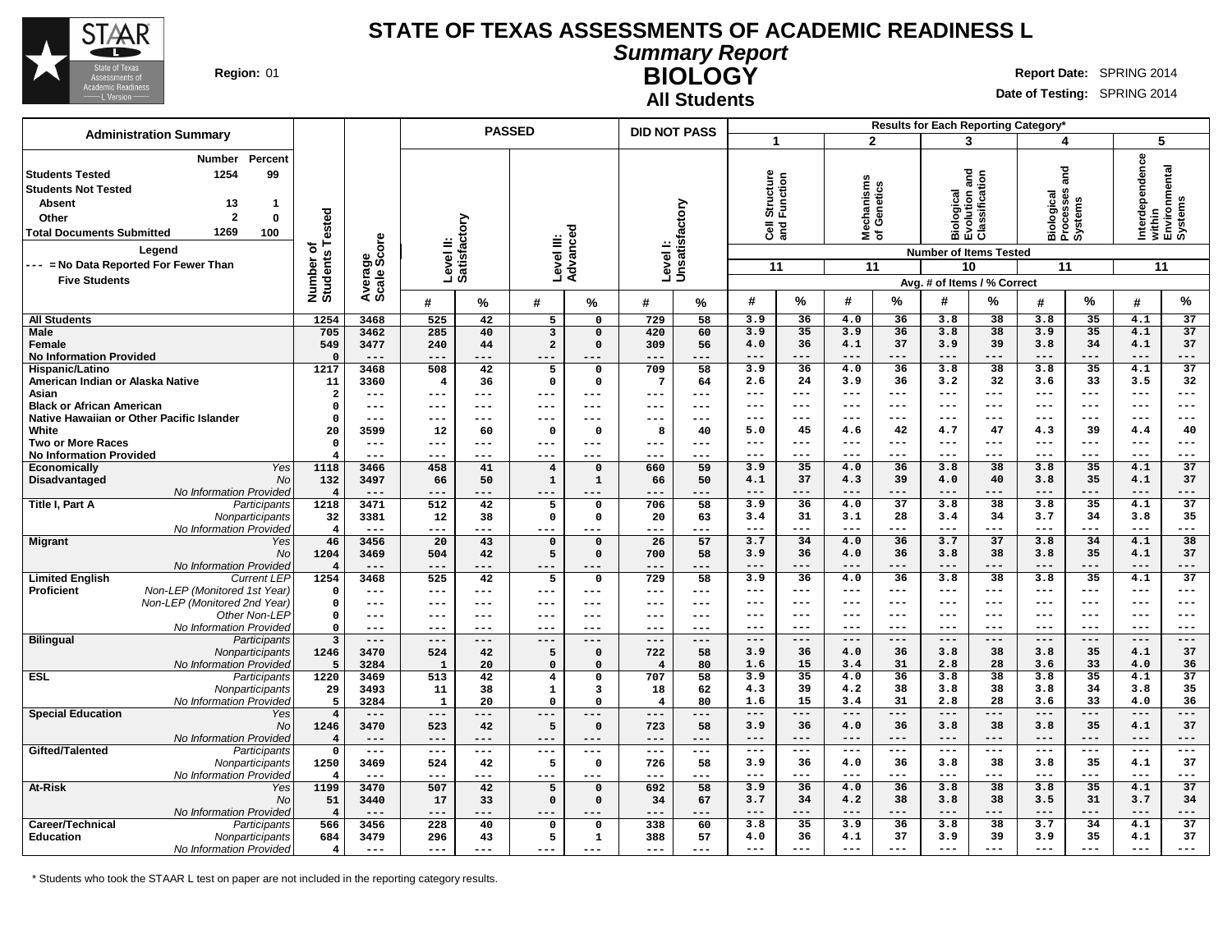

**All Students**

**Summary Report BIOLOGY** Region: 01 **Region:** 01 **Report** Date: SPRING 2014

**Date of Testing:** SPRING 2014

|                                                                                                                                                                                                                                                                                                               |                                      | <b>PASSED</b>                   |                           |               |                                        |                            | <b>DID NOT PASS</b>       |                     |                                               |                |                                        | Results for Each Reporting Category* |                                                              |                                                              |                                                               |                            |                              |                                    |
|---------------------------------------------------------------------------------------------------------------------------------------------------------------------------------------------------------------------------------------------------------------------------------------------------------------|--------------------------------------|---------------------------------|---------------------------|---------------|----------------------------------------|----------------------------|---------------------------|---------------------|-----------------------------------------------|----------------|----------------------------------------|--------------------------------------|--------------------------------------------------------------|--------------------------------------------------------------|---------------------------------------------------------------|----------------------------|------------------------------|------------------------------------|
| <b>Administration Summary</b>                                                                                                                                                                                                                                                                                 |                                      |                                 |                           |               |                                        |                            |                           |                     | 1                                             |                | $\overline{2}$                         |                                      | 3                                                            |                                                              | 4                                                             |                            | 5                            |                                    |
| <b>Number</b><br>Percent<br>1254<br>99<br><b>Students Tested</b><br><b>Students Not Tested</b><br><b>Absent</b><br>13<br>$\mathbf{1}$<br>$\overline{2}$<br>$\mathbf 0$<br>Other<br>1269<br><b>Total Documents Submitted</b><br>100<br>Legend<br>--- = No Data Reported For Fewer Than<br><b>Five Students</b> | Tested<br>৳<br>Number of<br>Students | ige<br>Score<br>Averag<br>Scale | Level II:<br>Satisfactory |               | Level III:                             | ъ<br>Advance               | Levell:<br>Unsatisfactory |                     | Structure<br>Function<br>$\overline{3}$<br>11 |                | lechanisms<br>f Genetics<br>হঁ ১<br>11 |                                      | <b>Biological<br/>Evolution and<br/>Classification</b><br>10 | <b>Number of Items Tested</b><br>Avg. # of Items / % Correct | and<br><b>Ses</b><br>Biological<br>Processes<br>Systems<br>11 |                            | Interdependence<br>11        | within<br>Environmental<br>Systems |
|                                                                                                                                                                                                                                                                                                               |                                      |                                 | #                         | $\frac{0}{0}$ | #                                      | %                          | #                         | %                   | #                                             | $\%$           | #                                      | $\%$                                 | #                                                            | %                                                            | #                                                             | %                          | #                            | $\%$                               |
| <b>All Students</b>                                                                                                                                                                                                                                                                                           | 1254                                 | 3468                            | 525                       | 42            | 5                                      | 0                          | 729                       | 58                  | 3.9                                           | 36             | 4.0                                    | 36                                   | 3.8                                                          | 38                                                           | 3.8                                                           | 35                         | 4.1                          | 37                                 |
| <b>Male</b>                                                                                                                                                                                                                                                                                                   | 705                                  | 3462                            | 285                       | 40            | $\mathbf{3}$                           | $\Omega$                   | 420                       | 60                  | 3.9                                           | 35             | 3.9                                    | 36                                   | 3.8                                                          | 38                                                           | 3.9                                                           | 35                         | 4.1                          | $\overline{37}$                    |
| Female                                                                                                                                                                                                                                                                                                        | 549                                  | 3477                            | 240                       | 44            | $\mathbf{2}$                           | $\Omega$                   | 309                       | 56                  | 4.0                                           | 36             | 4.1                                    | 37                                   | 3.9                                                          | 39                                                           | 3.8                                                           | 34                         | 4.1                          | 37                                 |
| <b>No Information Provided</b>                                                                                                                                                                                                                                                                                | $\Omega$<br>1217                     | $---$<br>3468                   | $---$                     | ---           | ---                                    | $---$                      | ---<br>709                | ---<br>58           | $---$<br>3.9                                  | $---$<br>36    | $---$<br>4.0                           | $---$<br>36                          | $---$<br>3.8                                                 | $---$<br>38                                                  | $---$<br>3.8                                                  | ---<br>$\overline{35}$     | $---$<br>4.1                 | ---<br>37                          |
| Hispanic/Latino<br>American Indian or Alaska Native                                                                                                                                                                                                                                                           | 11                                   | 3360                            | 508<br>$\overline{4}$     | 42<br>36      | 5<br>$\mathsf{o}$                      | $\mathbf 0$<br>$\mathbf 0$ | $7\phantom{.0}$           | 64                  | 2.6                                           | 24             | 3.9                                    | 36                                   | 3.2                                                          | 32                                                           | 3.6                                                           | 33                         | 3.5                          | 32                                 |
| Asian                                                                                                                                                                                                                                                                                                         | $\overline{2}$                       | $---$                           | ---                       | ---           | $---$                                  | $---$                      | ---                       | $\frac{1}{2}$       | $\qquad \qquad - -$                           | $---$          | $\qquad \qquad -$                      | $---$                                | $\qquad \qquad - -$                                          | $---$                                                        | $---$                                                         | ---                        | $\qquad \qquad - -$          | ---                                |
| <b>Black or African American</b>                                                                                                                                                                                                                                                                              | $\Omega$                             | $---$                           | ---                       | ---           | $-- -$                                 | $---$                      | ---                       | $--$                | $---$                                         | ---            | $--$                                   | ---                                  | $--$                                                         | ---                                                          | $---$                                                         | ---                        | $---$                        | ---                                |
| Native Hawaiian or Other Pacific Islander                                                                                                                                                                                                                                                                     | $\Omega$                             | $---$                           | ---                       | ---           | $---$                                  | ---                        | ---                       | $---$               | $---$                                         | ---            | $--$                                   | ---                                  | $--$                                                         | $---$                                                        | $--$                                                          | ---                        | $---$                        | ---                                |
| White                                                                                                                                                                                                                                                                                                         | 20                                   | 3599                            | 12                        | 60            | $\mathbf 0$                            | $\Omega$                   | 8                         | 40                  | 5.0                                           | 45             | 4.6                                    | 42                                   | 4.7                                                          | 47                                                           | 4.3                                                           | 39                         | 4.4                          | 40                                 |
| <b>Two or More Races</b><br><b>No Information Provided</b>                                                                                                                                                                                                                                                    | $\mathbf 0$<br>4                     | $---$<br>$---$                  | ---<br>---                | ---           | $---$<br>$--$                          | $---$<br>---               | ---<br>---                | $---$<br>---        | $---$<br>$---$                                | $---$<br>$---$ | $---$<br>$---$                         | $---$<br>$---$                       | $\qquad \qquad - -$<br>$- - -$                               | $---$<br>$---$                                               | $---$<br>$\frac{1}{2}$                                        | $\qquad \qquad - -$<br>--- | $\qquad \qquad - -$<br>$---$ | ---<br>---                         |
| Yes<br><b>Economically</b>                                                                                                                                                                                                                                                                                    | 1118                                 | 3466                            | 458                       | 41            | $\overline{4}$                         | $\Omega$                   | 660                       | 59                  | 3.9                                           | 35             | 4.0                                    | 36                                   | 3.8                                                          | $\overline{38}$                                              | 3.8                                                           | 35                         | 4.1                          | 37                                 |
| Disadvantaged<br>No                                                                                                                                                                                                                                                                                           | 132                                  | 3497                            | 66                        | 50            | $\mathbf 1$                            | 1                          | 66                        | 50                  | 4.1                                           | 37             | 4.3                                    | 39                                   | 4.0                                                          | 40                                                           | 3.8                                                           | 35                         | 4.1                          | 37                                 |
| No Information Provideo                                                                                                                                                                                                                                                                                       | $\overline{4}$                       | $---$                           | $---$                     | ---           | $---$                                  | ---                        | ---                       | ---                 | $---$                                         | $---$          | $- - -$                                | $---$                                | $- - -$                                                      | $---$                                                        | $---$                                                         | ---                        | $---$                        | ---                                |
| Title I, Part A<br>Participants                                                                                                                                                                                                                                                                               | 1218                                 | 3471                            | $\overline{512}$          | 42            | 5                                      | $\mathbf 0$                | 706                       | 58                  | 3.9                                           | 36             | 4.0                                    | 37                                   | 3.8                                                          | 38                                                           | 3.8                                                           | 35                         | 4.1                          | 37                                 |
| Nonparticipants                                                                                                                                                                                                                                                                                               | 32                                   | 3381                            | 12                        | 38            | $\mathbf 0$                            | $\mathbf{o}$               | 20                        | 63                  | 3.4<br>$- - -$                                | 31<br>---      | 3.1<br>$- - -$                         | 28<br>---                            | 3.4<br>$- - -$                                               | 34<br>$---$                                                  | 3.7<br>$---$                                                  | 34<br>---                  | 3.8<br>$---$                 | 35<br>---                          |
| No Information Provideo<br><b>Migrant</b><br>Yes                                                                                                                                                                                                                                                              | $\overline{4}$<br>46                 | $---$<br>3456                   | ---<br>20                 | .<br>43       | ---<br>$\mathbf 0$                     | ---<br>$\mathbf 0$         | ---<br>26                 | ---<br>57           | 3.7                                           | 34             | 4.0                                    | 36                                   | 3.7                                                          | 37                                                           | 3.8                                                           | 34                         | 4.1                          | 38                                 |
| <b>No</b>                                                                                                                                                                                                                                                                                                     | 1204                                 | 3469                            | 504                       | 42            | 5                                      | $\mathbf 0$                | 700                       | 58                  | 3.9                                           | 36             | 4.0                                    | 36                                   | 3.8                                                          | 38                                                           | 3.8                                                           | 35                         | 4.1                          | 37                                 |
| No Information Provideo                                                                                                                                                                                                                                                                                       | $\overline{4}$                       | $---$                           | $---$                     | ---           | ---                                    | ---                        | ---                       | ---                 | $---$                                         | $---$          | $- - -$                                | $---$                                | $---$                                                        | $---$                                                        | $---$                                                         | ---                        | $---$                        | ---                                |
| <b>Limited English</b><br><b>Current LEP</b>                                                                                                                                                                                                                                                                  | 1254                                 | 3468                            | 525                       | 42            | 5                                      | 0                          | 729                       | 58                  | 3.9                                           | 36             | 4.0                                    | 36                                   | 3.8                                                          | 38                                                           | 3.8                                                           | $\overline{35}$            | 4.1                          | $\overline{37}$                    |
| Non-LEP (Monitored 1st Year)<br>Proficient<br>Non-LEP (Monitored 2nd Year)                                                                                                                                                                                                                                    | 0                                    | $---$<br>$---$                  | $---$                     | ---           | $---$<br>$---$                         | $---$                      | $---$<br>---              | $---$<br>$---$      | $---$<br>$---$                                | ---<br>---     | $---$<br>$---$                         | ---<br>$---$                         | $- - -$<br>$---$                                             | $---$<br>$---$                                               | $---$<br>$---$                                                | $---$<br>$---$             | $\qquad \qquad - -$<br>$---$ | ---<br>$- - -$                     |
| Other Non-LEP                                                                                                                                                                                                                                                                                                 | $\mathbf 0$<br>0                     | $---$                           | ---<br>$---$              | ---<br>---    | $---$                                  | $---$<br>$---$             | ---                       | $\qquad \qquad - -$ | $---$                                         | ---            | $--$                                   | $--$                                 | $--$                                                         | $---$                                                        | $--$                                                          | $---$                      | $---$                        | ---                                |
| No Information Provideo                                                                                                                                                                                                                                                                                       | $\Omega$                             | $---$                           | $---$                     | ---           | $---$                                  | $---$                      | ---                       | $-- -$              | $---$                                         | $---$          | $---$                                  | $---$                                | $---$                                                        | $---$                                                        | $---$                                                         | $---$                      | $---$                        | $---$                              |
| <b>Bilingual</b><br>Participants                                                                                                                                                                                                                                                                              | $\overline{\mathbf{3}}$              | $---$                           | $---$                     | ---           | $---$                                  | $---$                      | ---                       | $\qquad \qquad - -$ | $---$                                         | $---$          | $---$                                  | $---$                                | $---$                                                        | $---$                                                        | $---$                                                         | $---$                      | $---$                        | $---$                              |
| Nonparticipants                                                                                                                                                                                                                                                                                               | 1246                                 | 3470                            | 524                       | 42            | 5                                      | $\mathbf 0$                | 722                       | 58                  | 3.9                                           | 36             | 4.0                                    | 36                                   | 3.8                                                          | 38                                                           | 3.8                                                           | 35                         | 4.1                          | 37                                 |
| No Information Provided<br><b>ESL</b><br>Participants                                                                                                                                                                                                                                                         | 5<br>1220                            | 3284<br>3469                    | $\mathbf{1}$<br>513       | 20<br>42      | $\mathbf 0$<br>$\overline{\mathbf{4}}$ | $\Omega$<br>0              | $\overline{4}$<br>707     | 80<br>58            | 1.6<br>3.9                                    | 15<br>35       | 3.4<br>4.0                             | 31<br>36                             | 2.8<br>3.8                                                   | 28<br>38                                                     | 3.6<br>3.8                                                    | 33<br>$\overline{35}$      | 4.0<br>4.1                   | 36<br>37                           |
| Nonparticipants                                                                                                                                                                                                                                                                                               | 29                                   | 3493                            | 11                        | 38            | $\mathbf{1}$                           | 3                          | 18                        | 62                  | 4.3                                           | 39             | 4.2                                    | 38                                   | 3.8                                                          | 38                                                           | 3.8                                                           | 34                         | 3.8                          | 35                                 |
| No Information Provideo                                                                                                                                                                                                                                                                                       | 5                                    | 3284                            | $\mathbf{1}$              | 20            | $\mathbf 0$                            | $\Omega$                   | $\overline{4}$            | 80                  | 1.6                                           | 15             | 3.4                                    | 31                                   | 2.8                                                          | 28                                                           | 3.6                                                           | 33                         | 4.0                          | 36                                 |
| <b>Special Education</b><br>Yes                                                                                                                                                                                                                                                                               | $\overline{4}$                       | $---$                           | $---$                     | ---           | $---$                                  | $---$                      | ---                       | $---$               | $---$                                         | $---$          | $---$                                  | $---$                                | $---$                                                        | $---$                                                        | $---$                                                         | ---                        | $---$                        | ---                                |
| No                                                                                                                                                                                                                                                                                                            | 1246                                 | 3470                            | 523                       | 42            | 5                                      | $\mathbf 0$                | 723                       | 58                  | 3.9                                           | 36             | 4.0                                    | 36                                   | 3.8                                                          | 38                                                           | 3.8                                                           | 35                         | 4.1                          | 37                                 |
| No Information Provideo                                                                                                                                                                                                                                                                                       | $\overline{4}$                       | $---$                           | $---$                     | ---           | $---$                                  | $- - -$                    | $---$                     | $---$               | $---$                                         | $---$          | $---$                                  | $---$                                | $---$                                                        | $---$                                                        | $---$                                                         | ---                        | $---$                        | ---                                |
| Gifted/Talented<br>Participants<br>Nonparticipants                                                                                                                                                                                                                                                            | $\mathbf 0$<br>1250                  | $---$<br>3469                   | $---$<br>524              | ---<br>42     | $---$<br>5                             | $---$<br>$\mathbf{o}$      | ---<br>726                | $---$<br>58         | $---$<br>3.9                                  | ---<br>36      | $---$<br>4.0                           | ---<br>36                            | $--$<br>3.8                                                  | $---$<br>38                                                  | $---$<br>3.8                                                  | ---<br>35                  | $---$<br>4.1                 | ---<br>37                          |
| No Information Provided                                                                                                                                                                                                                                                                                       | $\overline{4}$                       | $---$                           | $---$                     | ---           | $---$                                  | $---$                      | ---                       | $---$               | $---$                                         | $---$          | $---$                                  | $---$                                | $---$                                                        | $---$                                                        | $---$                                                         | ---                        | $---$                        | ---                                |
| <b>At-Risk</b><br>Yes                                                                                                                                                                                                                                                                                         | 1199                                 | 3470                            | 507                       | 42            | 5                                      | $\Omega$                   | 692                       | 58                  | 3.9                                           | 36             | 4.0                                    | 36                                   | 3.8                                                          | 38                                                           | 3.8                                                           | 35                         | 4.1                          | $\overline{37}$                    |
| <b>No</b>                                                                                                                                                                                                                                                                                                     | 51                                   | 3440                            | 17                        | 33            | $\mathsf{o}\,$                         | $\mathbf 0$                | 34                        | 67                  | 3.7                                           | 34             | 4.2                                    | 38                                   | 3.8                                                          | 38                                                           | 3.5                                                           | 31                         | 3.7                          | 34                                 |
| No Information Provided                                                                                                                                                                                                                                                                                       | $\overline{4}$                       | $- - -$                         | ---                       | ---           |                                        |                            | ---                       | ---                 | $--$                                          | ---            | $--$                                   | ---                                  | $--$                                                         | ---                                                          | $---$                                                         | ---                        | $---$                        | ---                                |
| Career/Technical<br>Participants<br>Education<br>Nonparticipants                                                                                                                                                                                                                                              | 566<br>684                           | 3456<br>3479                    | 228<br>296                | 40<br>43      | 0<br>5                                 | 0<br>1                     | 338<br>388                | 60<br>57            | 3.8<br>4.0                                    | 35<br>36       | 3.9<br>4.1                             | 36<br>37                             | 3.8<br>3.9                                                   | 38<br>39                                                     | 3.7<br>3.9                                                    | 34<br>35                   | 4.1<br>4.1                   | 37<br>37                           |
| No Information Provided                                                                                                                                                                                                                                                                                       | $\overline{\mathbf{4}}$              | $---$                           | $- - -$                   | ---           | $---$                                  | $---$                      | ---                       | $---$               | $---$                                         | $---$          | $---$                                  | $---$                                | $---$                                                        | $---$                                                        | $---$                                                         | ---                        | $---$                        |                                    |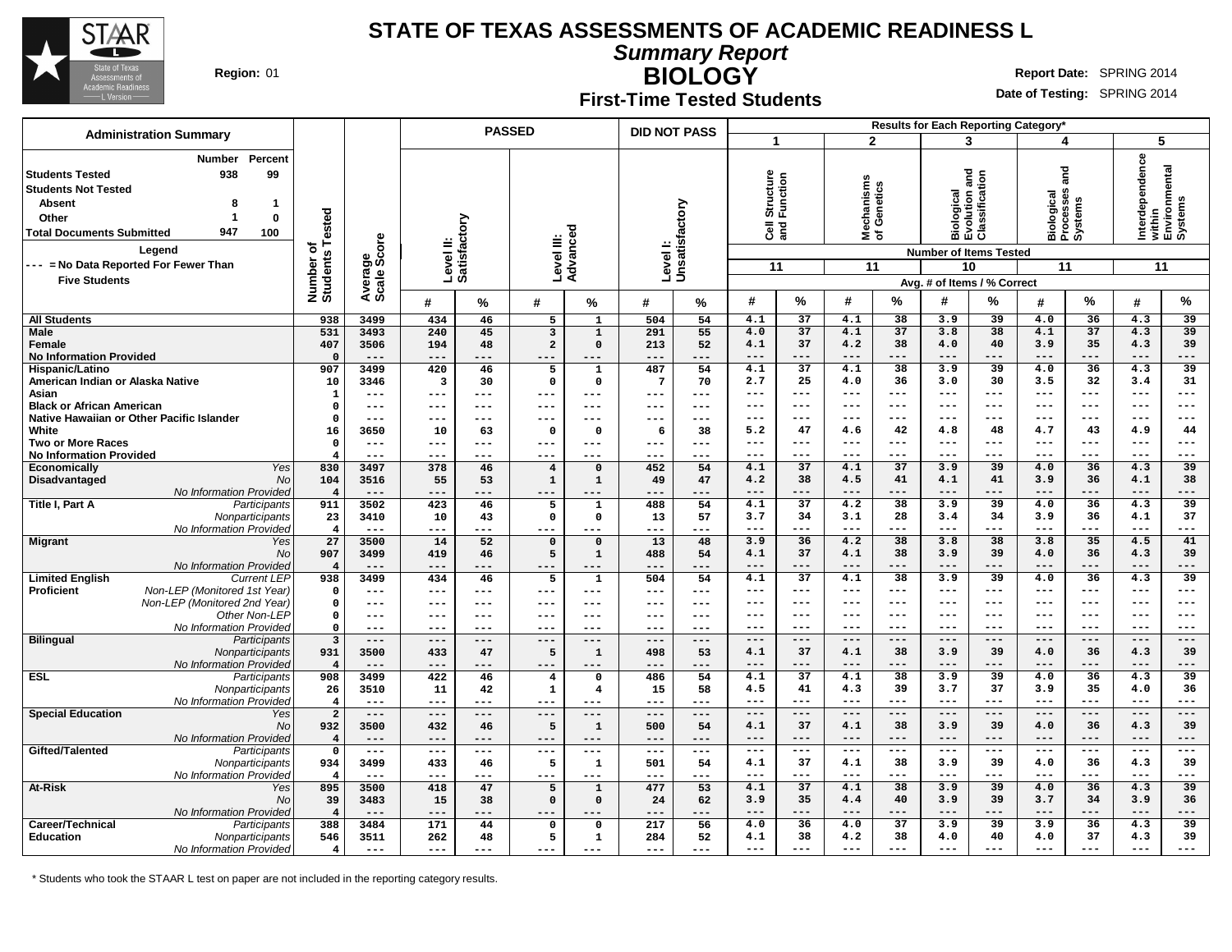

**Summary Report**

Τ

**BIOLOGY** Region: 01 **Region:** 01 **Report** Date: SPRING 2014

#### **Date of Testing:** SPRING 2014

**First-Time Tested Students**

 $\top$ 

|                                                                                                                                                                                                                                                                                       |                                |                                                         |              |                           | <b>PASSED</b>           |                       | <b>DID NOT PASS</b>     |                                                         |                                                               |                       |                                 |                | Results for Each Reporting Category*                                      |                                               |                                                       |                       |                                                             |                       |
|---------------------------------------------------------------------------------------------------------------------------------------------------------------------------------------------------------------------------------------------------------------------------------------|--------------------------------|---------------------------------------------------------|--------------|---------------------------|-------------------------|-----------------------|-------------------------|---------------------------------------------------------|---------------------------------------------------------------|-----------------------|---------------------------------|----------------|---------------------------------------------------------------------------|-----------------------------------------------|-------------------------------------------------------|-----------------------|-------------------------------------------------------------|-----------------------|
| <b>Administration Summary</b>                                                                                                                                                                                                                                                         |                                |                                                         |              |                           |                         |                       |                         |                                                         | $\blacktriangleleft$                                          |                       |                                 | $\overline{2}$ | 3                                                                         |                                               | 4                                                     |                       | 5                                                           |                       |
| Percent<br>Number<br><b>Students Tested</b><br>938<br>99<br><b>Students Not Tested</b><br><b>Absent</b><br>8<br>$\mathbf 1$<br>$\mathbf 0$<br>Other<br>1<br>947<br><b>Total Documents Submitted</b><br>100<br>Legend<br>--- = No Data Reported For Fewer Than<br><b>Five Students</b> | Number of<br>Students Tested   | Average<br>Scale Score                                  |              | Level II:<br>Satisfactory | Level III:              | τ<br>Advance          | Level I:                | Unsatisfactory                                          | cture<br><b>Structure</b><br>Function<br>$\overline{3}$<br>11 |                       | Mechanisms<br>of Genetics<br>11 |                | and<br><b>Number of Items Tested</b><br>10<br>Avg. # of Items / % Correct | Biological<br>Evolution and<br>Classification | ng<br>ang<br>Biological<br>Processes<br>Systems<br>11 |                       | Interdependence<br>within<br>Environmental<br>Systems<br>11 |                       |
|                                                                                                                                                                                                                                                                                       |                                |                                                         | #            | %                         | #                       | %                     | #                       | %                                                       | #                                                             | %                     | #                               | %              | #                                                                         | %                                             | #                                                     | %                     | #                                                           | %                     |
| <b>All Students</b>                                                                                                                                                                                                                                                                   | 938                            | 3499                                                    | 434          | 46                        | 5                       | $\mathbf{1}$          | 504                     | 54                                                      | 4.1                                                           | 37                    | 4.1                             | 38             | 3.9                                                                       | 39                                            | 4.0                                                   | 36                    | 4.3                                                         | 39                    |
| <b>Male</b>                                                                                                                                                                                                                                                                           | 531                            | 3493                                                    | 240          | 45                        | 3                       | $\mathbf{1}$          | 291                     | 55                                                      | 4.0                                                           | 37                    | 4.1                             | 37             | 3.8                                                                       | $\overline{38}$                               | 4.1                                                   | 37                    | 4.3                                                         | 39                    |
| Female                                                                                                                                                                                                                                                                                | 407                            | 3506                                                    | 194          | 48                        | $\mathbf{2}$            | $\mathbf{0}$          | 213                     | 52                                                      | 4.1                                                           | 37                    | 4.2                             | 38             | 4.0                                                                       | 40                                            | 3.9                                                   | 35                    | 4.3                                                         | 39                    |
| <b>No Information Provided</b>                                                                                                                                                                                                                                                        | $\Omega$                       | $---$                                                   | $---$        | ---                       | ---                     | ---                   | $---$                   | ---                                                     | ---                                                           | $---$                 | $---$                           | $---$          | $---$                                                                     | $---$                                         | $---$                                                 | $---$                 | $---$                                                       | ---                   |
| Hispanic/Latino                                                                                                                                                                                                                                                                       | 907                            | 3499                                                    | 420          | 46                        | 5                       | 1                     | 487                     | 54                                                      | 4.1                                                           | $\overline{37}$<br>25 | 4.1                             | 38             | 3.9                                                                       | $\overline{39}$<br>30                         | 4.0                                                   | $\overline{36}$<br>32 | 4.3                                                         | $\overline{39}$<br>31 |
| American Indian or Alaska Native<br>Asian                                                                                                                                                                                                                                             | 10<br>$\mathbf{1}$             | 3346<br>$\frac{1}{2}$                                   | 3<br>---     | 30<br>$---$               | 0<br>---                | $\mathbf 0$<br>$---$  | $\overline{7}$<br>$---$ | 70<br>$---$                                             | 2.7<br>---                                                    | $---$                 | 4.0<br>$---$                    | 36<br>$---$    | 3.0<br>$- - -$                                                            | $\qquad \qquad - -$                           | 3.5<br>$- - -$                                        | $---$                 | 3.4<br>$\qquad \qquad - -$                                  | ---                   |
| <b>Black or African American</b>                                                                                                                                                                                                                                                      | $\mathsf{o}\,$                 | $---$                                                   | ---          | $---$                     | ---                     | $---$                 | ---                     | $---$                                                   | ---                                                           | $---$                 | ---                             | $---$          | ---                                                                       | $---$                                         | $---$                                                 | $---$                 | $---$                                                       | ---                   |
| Native Hawaiian or Other Pacific Islander                                                                                                                                                                                                                                             | $\mathbf{0}$                   | $--$                                                    | ---          | $---$                     | ---                     | $\qquad \qquad -$     | $--$                    | $---$                                                   | ---                                                           | $---$                 | ---                             | $---$          | $---$                                                                     | $---$                                         | $---$                                                 | $---$                 | $---$                                                       | ---                   |
| White                                                                                                                                                                                                                                                                                 | 16                             | 3650                                                    | 10           | 63                        | $\mathbf 0$             | $\Omega$              | 6                       | 38                                                      | 5.2                                                           | 47                    | 4.6                             | 42             | 4.8                                                                       | 48                                            | 4.7                                                   | 43                    | 4.9                                                         | 44                    |
| <b>Two or More Races</b>                                                                                                                                                                                                                                                              | $\mathbf 0$                    | $---$                                                   | $---$        | $---$                     | ---                     | $---$                 | $---$                   | $---$                                                   | ---                                                           | ---                   | ---                             | $---$          | $- - -$                                                                   | $---$                                         | $---$                                                 | $--$                  | $---$                                                       | ---                   |
| <b>No Information Provided</b>                                                                                                                                                                                                                                                        | $\overline{4}$                 | $- -$                                                   | $--$         |                           | ---                     | ---                   | $--$                    | ---                                                     | ---                                                           | ---                   | ---                             | $---$          | ---                                                                       | $---$                                         | $---$                                                 | $---$                 | $---$                                                       | ---                   |
| <b>Yes</b><br><b>Economically</b>                                                                                                                                                                                                                                                     | 830                            | 3497                                                    | 378          | 46                        | $\overline{\mathbf{4}}$ | $\mathbf 0$           | 452                     | 54                                                      | 4.1                                                           | 37                    | 4.1                             | 37             | 3.9                                                                       | 39                                            | 4.0                                                   | 36                    | 4.3                                                         | $\overline{39}$       |
| Disadvantaged<br><b>No</b>                                                                                                                                                                                                                                                            | 104                            | 3516                                                    | 55           | 53                        | $\mathbf 1$             | $\mathbf{1}$          | 49                      | 47                                                      | 4.2                                                           | 38                    | 4.5                             | 41             | 4.1                                                                       | 41                                            | 3.9                                                   | 36                    | 4.1                                                         | 38                    |
| No Information Provided                                                                                                                                                                                                                                                               | $\overline{\mathbf{4}}$        | $---$                                                   | $---$        | ---                       | ---                     | ---                   | ---                     | $---$                                                   | ---                                                           | $---$                 | ---                             | $---$          | $- - -$                                                                   | $---$                                         | $- - -$                                               | $---$                 | $---$                                                       | ---                   |
| Title I, Part A<br>Participants                                                                                                                                                                                                                                                       | 911                            | 3502                                                    | 423          | 46                        | 5                       | 1                     | 488                     | 54                                                      | 4.1<br>3.7                                                    | 37                    | 4.2                             | 38<br>28       | 3.9                                                                       | 39<br>34                                      | 4.0                                                   | 36                    | 4.3                                                         | 39<br>37              |
| Nonparticipants<br>No Information Provided                                                                                                                                                                                                                                            | 23<br>$\overline{\mathbf{4}}$  | 3410<br>$---$                                           | 10<br>---    | 43<br>---                 | 0<br>---                | $\mathbf 0$<br>---    | 13<br>$---$             | 57<br>---                                               | ---                                                           | 34<br>$---$           | 3.1<br>$---$                    | $---$          | 3.4<br>$---$                                                              | $---$                                         | 3.9<br>$---$                                          | 36<br>$---$           | 4.1<br>$---$                                                | ---                   |
| <b>Migrant</b><br>Yes                                                                                                                                                                                                                                                                 | 27                             | 3500                                                    | 14           | $\overline{52}$           | $\mathbf 0$             | $\mathbf 0$           | $\overline{13}$         | 48                                                      | 3.9                                                           | 36                    | 4.2                             | 38             | 3.8                                                                       | 38                                            | 3.8                                                   | 35                    | 4.5                                                         | 41                    |
| <b>No</b>                                                                                                                                                                                                                                                                             | 907                            | 3499                                                    | 419          | 46                        | 5                       | $\mathbf{1}$          | 488                     | 54                                                      | 4.1                                                           | 37                    | 4.1                             | 38             | 3.9                                                                       | 39                                            | 4.0                                                   | 36                    | 4.3                                                         | 39                    |
| No Information Provided                                                                                                                                                                                                                                                               | $\overline{4}$                 | $---$                                                   | $---$        | ---                       | ---                     | ---                   | $---$                   | ---                                                     | ---                                                           | $---$                 | ---                             | $- - -$        | $- - -$                                                                   | $---$                                         | $- - -$                                               | $---$                 | $---$                                                       | ---                   |
| <b>Limited English</b><br><b>Current LEP</b>                                                                                                                                                                                                                                          | 938                            | 3499                                                    | 434          | 46                        | 5                       | $\mathbf{1}$          | 504                     | 54                                                      | 4.1                                                           | 37                    | 4.1                             | 38             | 3.9                                                                       | $\overline{39}$                               | 4.0                                                   | 36                    | 4.3                                                         | 39                    |
| Non-LEP (Monitored 1st Year)<br><b>Proficient</b>                                                                                                                                                                                                                                     | $\mathbf 0$                    | $---$                                                   | ---          | ---                       | ---                     | ---                   | $---$                   | $---$                                                   | ---                                                           | $---$                 | $---$                           | $---$          | $- - -$                                                                   | $---$                                         | $---$                                                 | $--$                  | $---$                                                       | ---                   |
| Non-LEP (Monitored 2nd Year)                                                                                                                                                                                                                                                          | $\mathbf 0$                    | $---$                                                   | $--$         | $---$                     | ---                     | $---$                 | $---$                   | $---$                                                   | ---                                                           | $---$                 | $---$                           | $---$          | $- - -$                                                                   | $---$                                         | $---$                                                 | $---$                 | $---$                                                       | ---                   |
| Other Non-LEP                                                                                                                                                                                                                                                                         | $\Omega$                       | $---$                                                   | ---          | ---                       | ---                     | $---$                 | $---$                   | $---$                                                   | ---                                                           | $---$                 | ---                             | $---$          | $- - -$                                                                   | $---$                                         | $---$                                                 | $- - -$               | $---$                                                       | $- - -$               |
| No Information Provided                                                                                                                                                                                                                                                               | $\Omega$                       | $---$                                                   | ---          | ---                       | ---                     | ---                   | $---$                   | ---                                                     | $- - -$                                                       | $- - -$               | $- - -$                         | $- - -$        | $- - -$                                                                   | $- - -$<br>$- - -$                            | $- - -$                                               | $- - -$<br>$- - -$    | $- - -$<br>$- - -$                                          | ---<br>$- - -$        |
| <b>Bilingual</b><br>Participants                                                                                                                                                                                                                                                      | 3                              | $\hspace{0.05cm} - \hspace{0.05cm} - \hspace{0.05cm} -$ | $---$        | $---$                     | $---$                   | $---$                 | ---                     | $\hspace{0.05cm} - \hspace{0.05cm} - \hspace{0.05cm} -$ | $- - -$                                                       | $- - -$<br>37         | $- - -$                         | $- - -$        | $- - -$                                                                   |                                               | $- - -$                                               |                       |                                                             | 39                    |
| Nonparticipants<br>No Information Provided                                                                                                                                                                                                                                            | 931<br>$\overline{\mathbf{4}}$ | 3500<br>$- - -$                                         | 433<br>$---$ | 47<br>---                 | 5<br>---                | $\mathbf{1}$<br>---   | 498<br>$---$            | 53<br>---                                               | 4.1<br>---                                                    | ---                   | 4.1<br>---                      | 38<br>$- - -$  | 3.9<br>$- - -$                                                            | 39<br>$---$                                   | 4.0<br>$- - -$                                        | 36<br>$---$           | 4.3<br>$---$                                                | ---                   |
| <b>ESL</b><br>Participants                                                                                                                                                                                                                                                            | 908                            | 3499                                                    | 422          | 46                        | 4                       | $\mathbf 0$           | 486                     | 54                                                      | 4.1                                                           | 37                    | 4.1                             | 38             | 3.9                                                                       | $\overline{39}$                               | 4.0                                                   | 36                    | 4.3                                                         | $\overline{39}$       |
| Nonparticipants                                                                                                                                                                                                                                                                       | 26                             | 3510                                                    | 11           | 42                        | $\mathbf{1}$            | $\overline{4}$        | 15                      | 58                                                      | 4.5                                                           | 41                    | 4.3                             | 39             | 3.7                                                                       | 37                                            | 3.9                                                   | 35                    | 4.0                                                         | 36                    |
| No Information Provided                                                                                                                                                                                                                                                               | $\overline{\mathbf{4}}$        | $---$                                                   | ---          | $---$                     | ---                     | $---$                 | $---$                   | $---$                                                   | ---                                                           | $- - -$               | $- - -$                         | $- - -$        | $- - -$                                                                   | $- - -$                                       | $  -$                                                 | $- - -$               | $- - -$                                                     | ---                   |
| <b>Special Education</b><br>Yes                                                                                                                                                                                                                                                       | $\overline{\mathbf{2}}$        | $\hspace{0.05cm} - \hspace{0.05cm} - \hspace{0.05cm} -$ | ---          | $---$                     | ---                     | $---$                 | ---                     | $\qquad \qquad - -$                                     | ---                                                           | $-- -$                | $---$                           | $---$          | $---$                                                                     | $---$                                         | $---$                                                 | $---$                 | $---$                                                       | ---                   |
| <b>No</b>                                                                                                                                                                                                                                                                             | 932                            | 3500                                                    | 432          | 46                        | 5                       | $\mathbf{1}$          | 500                     | 54                                                      | 4.1                                                           | 37                    | 4.1                             | 38             | 3.9                                                                       | 39                                            | 4.0                                                   | 36                    | 4.3                                                         | 39                    |
| No Information Provided                                                                                                                                                                                                                                                               | $\overline{\mathbf{4}}$        | $---$                                                   | $---$        | ---                       | ---                     | ---                   | $---$                   | ---                                                     | ---                                                           | $- - -$               | $- - -$                         | $- - -$        | $- - -$                                                                   | $- - -$                                       | $- - -$                                               | $- - -$               | $- - -$                                                     | ---                   |
| Gifted/Talented<br>Participants                                                                                                                                                                                                                                                       | $\mathbf 0$                    | $---$                                                   | ---          | $---$                     | ---                     | $- - -$               | $---$                   | $--$                                                    | ---                                                           | $---$                 | $---$                           | $---$          | $- - -$                                                                   | $---$                                         | $---$                                                 | $---$                 | $---$                                                       | ---                   |
| Nonparticipants                                                                                                                                                                                                                                                                       | 934                            | 3499                                                    | 433          | 46                        | 5                       | 1                     | 501                     | 54                                                      | 4.1                                                           | 37                    | 4.1                             | 38             | 3.9<br>$- - -$                                                            | 39<br>$---$                                   | 4.0<br>$- - -$                                        | 36                    | 4.3                                                         | 39<br>---             |
| No Information Provided<br>At-Risk                                                                                                                                                                                                                                                    | $\overline{\mathbf{4}}$<br>895 | $---$<br>3500                                           | ---<br>418   | ---<br>47                 | ---<br>5                | $---$<br>$\mathbf{1}$ | $---$<br>477            | $---$<br>53                                             | $---$<br>4.1                                                  | $---$<br>37           | $--$<br>4.1                     | $---$<br>38    | 3.9                                                                       | 39                                            | 4.0                                                   | $--$<br>36            | $---$<br>4.3                                                | $\overline{39}$       |
| Yes<br><b>No</b>                                                                                                                                                                                                                                                                      | 39                             | 3483                                                    | 15           | 38                        | $\mathbf 0$             | $\mathbf 0$           | 24                      | 62                                                      | 3.9                                                           | 35                    | 4.4                             | 40             | 3.9                                                                       | 39                                            | 3.7                                                   | 34                    | 3.9                                                         | 36                    |
| No Information Provided                                                                                                                                                                                                                                                               | $\overline{\mathbf{4}}$        | $- - -$                                                 | ---          | ---                       | ---                     |                       | ---                     | ---                                                     | ---                                                           | ---                   | ---                             | $---$          | $---$                                                                     | $---$                                         | $---$                                                 | $---$                 | $---$                                                       | ---                   |
| Career/Technical<br>Participants                                                                                                                                                                                                                                                      | 388                            | 3484                                                    | 171          | 44                        | 0                       | $\mathbf 0$           | 217                     | 56                                                      | 4.0                                                           | 36                    | 4.0                             | 37             | 3.9                                                                       | 39                                            | 3.9                                                   | 36                    | 4.3                                                         | 39                    |
| Education<br>Nonparticipants                                                                                                                                                                                                                                                          | 546                            | 3511                                                    | 262          | 48                        | 5                       | 1                     | 284                     | 52                                                      | 4.1                                                           | 38                    | 4.2                             | 38             | 4.0                                                                       | 40                                            | 4.0                                                   | 37                    | 4.3                                                         | 39                    |
| No Information Provided                                                                                                                                                                                                                                                               | $\overline{\mathbf{4}}$        | $---$                                                   | ---          | $---$                     | ---                     | $---$                 | $---$                   | $---$                                                   | ---                                                           | $---$                 | $---$                           | $---$          | $- - -$                                                                   | $---$                                         | $- - -$                                               | $---$                 | $---$                                                       | ---                   |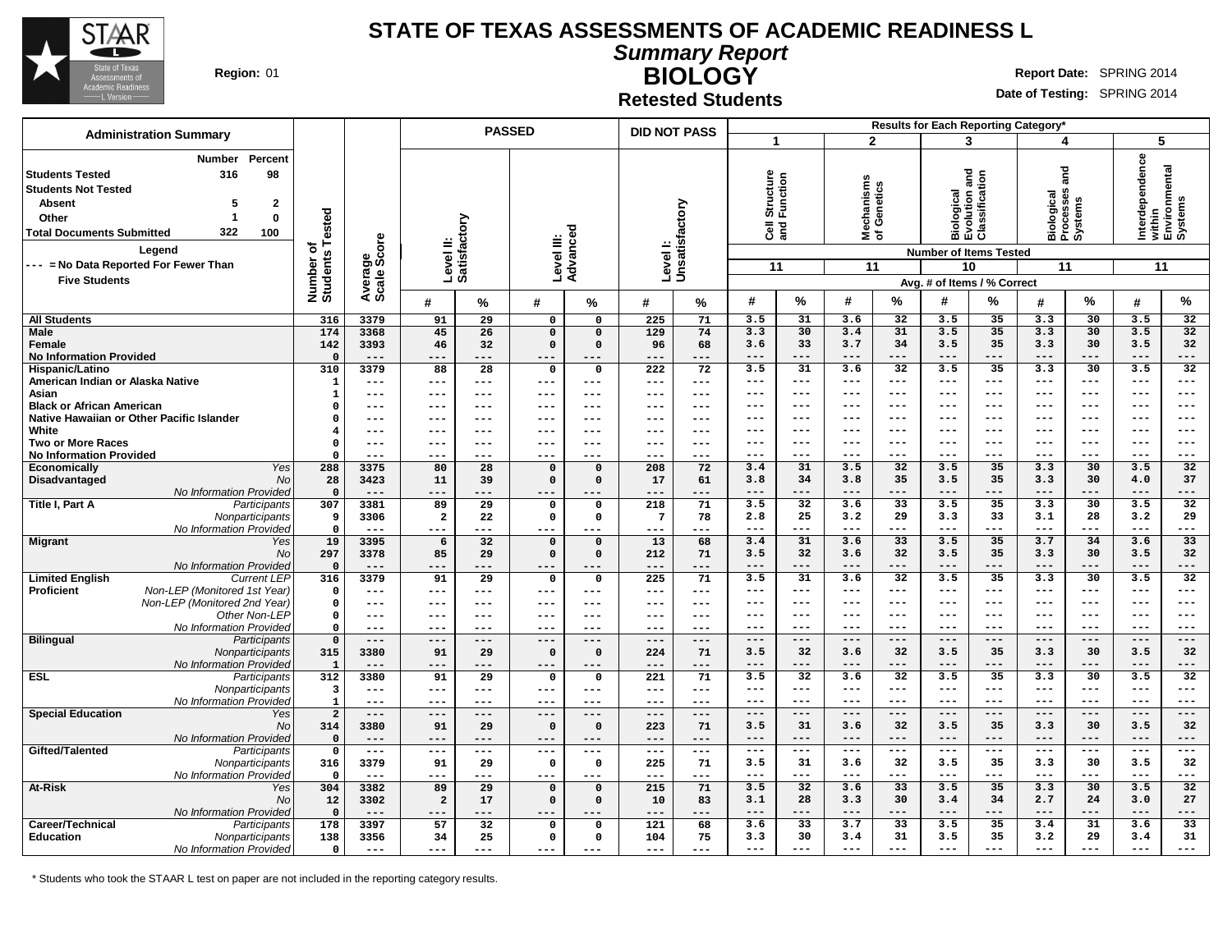

**Summary Report**

**Region:** 01 **RIGHT REPORT REPORT REPORT OF REPORT OF REPORT OF REPORT OF REPORT OF REPORT OF REPORT OF REPORT OF REPORT OF REPORT OF REPORT OF REPORT OF REPORT OF REPORT OF REPORT OF REPORT OF REPORT OF REPORT OF REPORT O** 

**BIOLOGY Retested Students**

**Date of Testing:** SPRING 2014

|                                                                                                                                                                                     | <b>Administration Summary</b>                                                               |                              |                        | <b>PASSED</b><br><b>DID NOT PASS</b> |                           |                      |                   |                           |                     |                                        |                     |                                 |                 | Results for Each Reporting Category*                               |                                               |                        |                                    |                       |                                    |
|-------------------------------------------------------------------------------------------------------------------------------------------------------------------------------------|---------------------------------------------------------------------------------------------|------------------------------|------------------------|--------------------------------------|---------------------------|----------------------|-------------------|---------------------------|---------------------|----------------------------------------|---------------------|---------------------------------|-----------------|--------------------------------------------------------------------|-----------------------------------------------|------------------------|------------------------------------|-----------------------|------------------------------------|
|                                                                                                                                                                                     |                                                                                             |                              |                        |                                      |                           |                      |                   |                           |                     |                                        |                     |                                 | $\overline{2}$  |                                                                    | 3                                             | 4                      |                                    | 5                     |                                    |
| <b>Students Tested</b><br><b>Students Not Tested</b><br><b>Absent</b><br>Other<br><b>Total Documents Submitted</b><br>--- = No Data Reported For Fewer Than<br><b>Five Students</b> | Percent<br>Number<br>98<br>316<br>$\mathbf{2}$<br>$\mathbf 0$<br>-1<br>322<br>100<br>Legend | Number of<br>Students Tested | Average<br>Scale Score |                                      | Level II:<br>Satisfactory | Level III:           | ਠ<br>ance<br>Adv. | Levell:<br>Unsatisfactory |                     | Structure<br>Function<br>ទី ខ្លី<br>11 |                     | Mechanisms<br>of Genetics<br>11 |                 | <b>Number of Items Tested</b><br>10<br>Avg. # of Items / % Correct | Biological<br>Evolution and<br>Classification | ក្ត<br>11              | Biological<br>Processes<br>Systems | Interdependence<br>11 | within<br>Environmental<br>Systems |
|                                                                                                                                                                                     |                                                                                             |                              |                        | #                                    | %                         | #                    | %                 | #                         | %                   | #                                      | %                   | #                               | %               | #                                                                  | %                                             | #                      | %                                  | #                     | %                                  |
| <b>All Students</b>                                                                                                                                                                 |                                                                                             | 316                          | 3379                   | 91                                   | $\overline{29}$           | $\overline{0}$       | $\overline{0}$    | $\overline{225}$          | 71                  | 3.5                                    | 31                  | 3.6                             | $\overline{32}$ | 3.5                                                                | 35                                            | 3.3                    | 30                                 | 3.5                   | $\overline{32}$                    |
| <b>Male</b>                                                                                                                                                                         |                                                                                             | 174                          | 3368                   | 45                                   | 26                        | $\mathbf 0$          | $\Omega$          | 129                       | 74                  | 3.3                                    | 30                  | 3.4                             | 31              | 3.5                                                                | 35                                            | 3.3                    | 30                                 | 3.5                   | 32                                 |
| Female                                                                                                                                                                              |                                                                                             | 142                          | 3393                   | 46                                   | 32                        | $\mathbf 0$          | $\Omega$          | 96                        | 68                  | 3.6                                    | 33                  | 3.7                             | 34              | 3.5                                                                | 35                                            | 3.3                    | 30                                 | 3.5                   | 32                                 |
| <b>No Information Provided</b>                                                                                                                                                      |                                                                                             | $\Omega$                     | $---$                  | $---$                                | ---                       | $---$                | ---               | ---                       | ---                 | $---$                                  | $---$               | ---                             | $---$           | $---$                                                              | ---                                           | $---$                  | $---$                              | $---$                 | ---                                |
| Hispanic/Latino                                                                                                                                                                     |                                                                                             | 310                          | 3379                   | 88                                   | 28                        | $\mathbf 0$          | $\mathbf 0$       | 222                       | 72                  | 3.5                                    | 31                  | 3.6                             | 32              | 3.5                                                                | 35                                            | 3.3                    | 30                                 | 3.5                   | 32                                 |
| American Indian or Alaska Native                                                                                                                                                    |                                                                                             | $\mathbf{1}$                 | ---                    | $---$                                | $---$                     | $\qquad \qquad - -$  | ---               | $---$                     | $\qquad \qquad - -$ | $---$                                  | $\qquad \qquad - -$ | ---                             | $---$           | $--$                                                               | $---$                                         | $\qquad \qquad - -$    | $---$                              | $---$                 | ---                                |
| Asian                                                                                                                                                                               |                                                                                             | $\mathbf{1}$                 | ---                    | $- - -$                              | $---$                     | $- - -$              | ---               | $---$                     | $---$               | ---                                    | $---$               | ---                             | ---             | ---                                                                | $---$                                         | ---                    | $---$                              | $---$                 | ---                                |
| <b>Black or African American</b>                                                                                                                                                    |                                                                                             | $\Omega$                     | ---                    | $--$                                 | $---$                     | $---$                | $---$             | $---$                     | $--$                | ---                                    | $---$               | ---                             | $---$           | ---                                                                | $---$                                         | ---                    | $--$                               | $---$                 | ---                                |
|                                                                                                                                                                                     | Native Hawaiian or Other Pacific Islander                                                   | $\Omega$                     | ---                    | $- - -$                              | $---$                     | $--$                 | ---<br>$---$      | $- - -$                   | $--$                | ---                                    | $---$               | ---<br>---                      | $--$            | ---                                                                | $-- -$                                        | ---                    | ---                                | $- - -$               | ---                                |
| White<br><b>Two or More Races</b>                                                                                                                                                   |                                                                                             | $\overline{4}$<br>$\Omega$   | ---<br>$---$           | $- - -$<br>$- - -$                   | $---$<br>---              | $--$<br>$--$         | ---               | $---$<br>$---$            | $---$<br>$--$       | ---<br>---                             | $---$<br>$---$      | ---                             | $---$<br>$---$  | ---<br>---                                                         | $---$<br>$---$                                | $---$<br>---           | $---$<br>$- - -$                   | $---$<br>$---$        | ---<br>---                         |
| <b>No Information Provided</b>                                                                                                                                                      |                                                                                             | $\Omega$                     | $---$                  | ---                                  | ---                       | $---$                | ---               | $---$                     | $--$                | ---                                    | $---$               | ---                             | $---$           | ---                                                                | $---$                                         | ---                    | $- - -$                            | $---$                 | ---                                |
| Economically                                                                                                                                                                        | Yes                                                                                         | 288                          | 3375                   | 80                                   | 28                        | $\mathbf 0$          | $\mathbf 0$       | 208                       | 72                  | 3.4                                    | 31                  | 3.5                             | 32              | 3.5                                                                | 35                                            | 3.3                    | 30                                 | 3.5                   | 32                                 |
| Disadvantaged                                                                                                                                                                       | <b>No</b>                                                                                   | 28                           | 3423                   | 11                                   | 39                        | $\mathbf 0$          | $\Omega$          | 17                        | 61                  | 3.8                                    | 34                  | 3.8                             | 35              | 3.5                                                                | 35                                            | 3.3                    | 30                                 | 4.0                   | 37                                 |
|                                                                                                                                                                                     | No Information Provided                                                                     | $\mathbf{0}$                 | $- - -$                | $- - -$                              |                           |                      |                   |                           | ---                 | $---$                                  | ---                 | ---                             | $---$           | ---                                                                | ---                                           | $---$                  | $---$                              | $---$                 | ---                                |
| Title I, Part A                                                                                                                                                                     | Participants                                                                                | 307                          | 3381                   | 89                                   | 29                        | $\mathsf{o}\,$       | $\mathbf 0$       | 218                       | 71                  | 3.5                                    | 32                  | 3.6                             | 33              | 3.5                                                                | 35                                            | 3.3                    | 30                                 | 3.5                   | 32                                 |
|                                                                                                                                                                                     | Nonparticipants                                                                             | 9                            | 3306                   | $\overline{a}$                       | 22                        | $\mathsf{o}$         | 0                 | $7\phantom{.0}$           | 78                  | 2.8                                    | 25                  | 3.2                             | 29              | 3.3                                                                | 33                                            | 3.1                    | 28                                 | 3.2                   | 29                                 |
|                                                                                                                                                                                     | No Information Provided                                                                     | $\Omega$                     | $---$                  | $---$                                | ---                       | $---$                | $---$             | $---$                     | $---$               | $---$                                  | $---$               | ---                             | $---$           | $---$                                                              | $---$                                         | $---$                  | $---$                              | $---$                 | ---                                |
| <b>Migrant</b>                                                                                                                                                                      | Yes                                                                                         | 19                           | 3395                   | 6                                    | 32                        | $\mathbf 0$          | $\Omega$          | 13                        | 68                  | 3.4                                    | 31                  | 3.6                             | 33              | 3.5                                                                | 35                                            | 3.7                    | 34                                 | 3.6                   | 33                                 |
|                                                                                                                                                                                     | No                                                                                          | 297                          | 3378                   | 85                                   | 29                        | $\mathbf 0$          | $\mathbf 0$       | 212                       | 71                  | 3.5                                    | 32                  | 3.6                             | 32              | 3.5                                                                | 35                                            | 3.3                    | 30                                 | 3.5                   | 32                                 |
|                                                                                                                                                                                     | No Information Provided                                                                     | $\Omega$                     | $---$                  | $- - -$                              | ---                       | $- - -$              | $- - -$           | $---$                     | ---                 | $---$                                  | $---$               | $---$                           | $---$           | $---$                                                              | $---$                                         | $---$                  | $---$                              | $---$                 | ---                                |
| <b>Limited English</b>                                                                                                                                                              | <b>Current LEP</b>                                                                          | 316                          | 3379                   | 91                                   | 29                        | $\mathbf 0$          | $\mathbf 0$       | 225                       | 71                  | 3.5                                    | 31                  | 3.6                             | $\overline{32}$ | 3.5                                                                | 35                                            | 3.3                    | 30                                 | 3.5                   | 32                                 |
| <b>Proficient</b>                                                                                                                                                                   | Non-LEP (Monitored 1st Year)                                                                | $\mathbf{o}$                 | $---$                  | $---$                                | $---$                     | $---$                | $---$             | $---$                     | $- - -$             | $---$                                  | $---$               | ---                             | $---$           | $---$                                                              | $---$                                         | $---$                  | $---$                              | $---$                 | ---                                |
|                                                                                                                                                                                     | Non-LEP (Monitored 2nd Year)                                                                | $\mathbf 0$                  | $---$                  | $- - -$                              | $---$                     | $---$                | $---$             | $---$                     | $- - -$             | $---$                                  | $- - -$             | ---                             | $---$           | $--$                                                               | $---$                                         | $---$                  | $---$                              | $---$                 | ---                                |
|                                                                                                                                                                                     | Other Non-LEP                                                                               | $\Omega$                     | $---$                  | $- - -$                              | $---$                     | $--$                 | $---$             | $---$                     | $---$               | ---                                    | $---$               | ---                             | $---$           | ---                                                                | $---$                                         | $---$                  | $- - -$                            | $--$                  | ---                                |
|                                                                                                                                                                                     | No Information Provided                                                                     | $\mathbf 0$<br>$\Omega$      | $---$<br>$---$         | $---$<br>$---$                       | ---<br>$---$              | $---$                | $---$<br>$---$    | $---$<br>$---$            | $- - -$<br>$---$    | $---$<br>$---$                         | $- - -$<br>$---$    | $---$<br>$---$                  | $---$<br>$---$  | $--$<br>$---$                                                      | $---$<br>$---$                                | $\frac{1}{2}$<br>$---$ | $---$<br>$---$                     | $---$<br>$---$        | ---<br>---                         |
| <b>Bilingual</b>                                                                                                                                                                    | Participants                                                                                | 315                          | 3380                   | 91                                   | 29                        | $---$<br>$\mathbf 0$ | $\mathbf 0$       | 224                       | 71                  | 3.5                                    | 32                  | 3.6                             | 32              | 3.5                                                                | 35                                            | 3.3                    | 30                                 | 3.5                   | 32                                 |
|                                                                                                                                                                                     | Nonparticipants<br>No Information Provided                                                  | $\mathbf{1}$                 | $---$                  | $- - -$                              | ---                       | $---$                | $---$             | $---$                     | $---$               | $---$                                  | $---$               | ---                             | $---$           | $---$                                                              | $---$                                         | $---$                  | $---$                              | $---$                 | ---                                |
| <b>ESL</b>                                                                                                                                                                          | Participants                                                                                | 312                          | 3380                   | 91                                   | $\overline{29}$           | $\mathbf 0$          | $\mathbf 0$       | 221                       | 71                  | 3.5                                    | $\overline{32}$     | 3.6                             | $\overline{32}$ | 3.5                                                                | 35                                            | 3.3                    | 30                                 | 3.5                   | 32                                 |
|                                                                                                                                                                                     | Nonparticipants                                                                             | 3                            | $---$                  | $- - -$                              | $---$                     | $---$                | $---$             | $---$                     | $---$               | $--$                                   | $---$               | $--$                            | $---$           | $--$                                                               | $---$                                         | $---$                  | $--$                               | $---$                 | ---                                |
|                                                                                                                                                                                     | No Information Provided                                                                     | $\mathbf{1}$                 | $---$                  | $- - -$                              | $- - -$                   | $---$                | $---$             | $---$                     | $- - -$             | $---$                                  | $- -$               | ---                             | $---$           | $--$                                                               | $---$                                         | $---$                  | $--$                               | $\qquad \qquad - -$   | ---                                |
| <b>Special Education</b>                                                                                                                                                            | Yes                                                                                         | $\overline{2}$               | $---$                  | $---$                                | ---                       | $---$                | ---               | $---$                     | ---                 | $---$                                  | $---$               | $---$                           | $---$           | $---$                                                              | $---$                                         | $---$                  | $---$                              | $---$                 | ---                                |
|                                                                                                                                                                                     | <b>No</b>                                                                                   | 314                          | 3380                   | 91                                   | 29                        | $\mathbf 0$          | $\Omega$          | 223                       | 71                  | 3.5                                    | 31                  | 3.6                             | 32              | 3.5                                                                | 35                                            | 3.3                    | 30                                 | 3.5                   | 32                                 |
|                                                                                                                                                                                     | No Information Provided                                                                     | $\Omega$                     | $- - -$                | ---                                  | $- - -$                   | $- - -$              | ---               | $- - -$                   | ---                 | $- - -$                                | $- - -$             | ---                             | $- - -$         | $- - -$                                                            | $- - -$                                       | $- - -$                | $- - -$                            | $- - -$               | ---                                |
| Gifted/Talented                                                                                                                                                                     | Participants                                                                                | $\mathbf 0$                  | $---$                  | ---                                  | ---                       | $--$                 | ---               | $---$                     | $--$                | $---$                                  | $---$               | ---                             | $---$           | $---$                                                              | $---$                                         | $---$                  | $---$                              | $---$                 | ---                                |
|                                                                                                                                                                                     | Nonparticipants                                                                             | 316                          | 3379                   | 91                                   | 29                        | $\mathsf{o}$         | $\mathbf 0$       | 225                       | 71                  | 3.5                                    | 31                  | 3.6                             | 32              | 3.5                                                                | 35                                            | 3.3                    | 30                                 | 3.5                   | 32                                 |
|                                                                                                                                                                                     | No Information Provided                                                                     | $\mathbf 0$                  | $---$                  | $---$                                | ---                       | $---$                | $---$             | $---$                     | $---$               | $---$                                  | $---$               | $---$                           | $---$           | $--$                                                               | $---$                                         | $---$                  | $---$                              | $---$                 | ---                                |
| At-Risk                                                                                                                                                                             | Yes                                                                                         | 304                          | 3382                   | 89                                   | $\overline{29}$           | $\mathbf 0$          | $\mathbf 0$       | 215                       | 71                  | 3.5                                    | 32                  | 3.6                             | 33              | 3.5                                                                | 35                                            | 3.3                    | 30                                 | 3.5                   | 32                                 |
|                                                                                                                                                                                     | No                                                                                          | 12                           | 3302                   | $\overline{a}$                       | 17                        | $\mathbf 0$          | $\mathsf{o}\,$    | 10                        | 83                  | 3.1                                    | 28                  | 3.3                             | 30              | 3.4                                                                | 34                                            | 2.7                    | 24                                 | 3.0                   | 27                                 |
|                                                                                                                                                                                     | No Information Provided                                                                     | $\mathbf{0}$                 | $---$                  |                                      | ---                       | ---                  | ---               | ---                       | ---                 | $---$                                  | $---$               | ---                             | $---$           | $---$                                                              | $---$                                         | $---$                  | $---$                              | $---$                 | ---                                |
| Career/Technical                                                                                                                                                                    | Participants                                                                                | 178                          | 3397                   | 57                                   | 32                        | $\mathbf 0$          | $\Omega$          | 121                       | 68                  | 3.6                                    | 33                  | 3.7                             | 33              | 3.5                                                                | 35                                            | 3.4                    | 31                                 | 3.6                   | 33                                 |
| <b>Education</b>                                                                                                                                                                    | Nonparticipants                                                                             | 138                          | 3356                   | 34                                   | 25                        | $\mathsf{o}$         | 0                 | 104                       | 75                  | 3.3                                    | 30                  | 3.4                             | 31              | 3.5                                                                | 35                                            | 3.2                    | 29                                 | 3.4                   | 31                                 |
|                                                                                                                                                                                     | No Information Provided                                                                     | $\mathbf 0$                  | $---$                  | ---                                  | ---                       | $---$                | $- - -$           | $---$                     | ---                 | $---$                                  | $---$               | $---$                           | $---$           | $---$                                                              | $---$                                         | $---$                  | $---$                              | $---$                 | ---                                |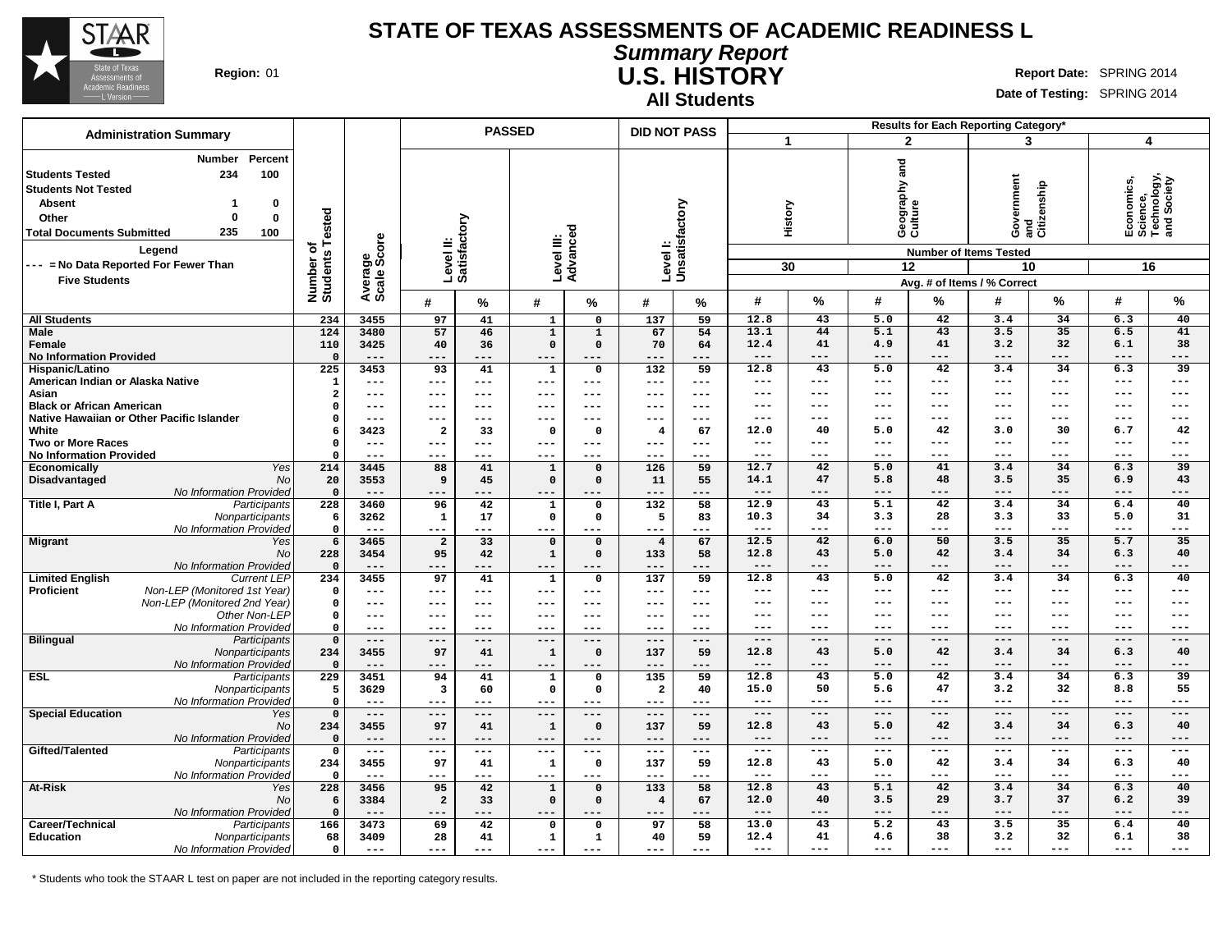

**Summary Report U.S. HISTORY Region:** 01 **Report Date:** SPRING 2014

**All Students**

**Date of Testing:** SPRING 2014

| <b>Administration Summary</b>                                                                                                                                                                                                                                             |                              |                        | <b>PASSED</b>             |           |                             | <b>DID NOT PASS</b> |                           |                     |                     |               |              | Results for Each Reporting Category* |                                                                                                                     |            |                                                            |                          |
|---------------------------------------------------------------------------------------------------------------------------------------------------------------------------------------------------------------------------------------------------------------------------|------------------------------|------------------------|---------------------------|-----------|-----------------------------|---------------------|---------------------------|---------------------|---------------------|---------------|--------------|--------------------------------------|---------------------------------------------------------------------------------------------------------------------|------------|------------------------------------------------------------|--------------------------|
|                                                                                                                                                                                                                                                                           |                              |                        |                           |           |                             |                     |                           |                     | 1                   |               |              | $\overline{2}$                       | 3                                                                                                                   |            | 4                                                          |                          |
| Percent<br>Number<br>234<br>100<br><b>Students Tested</b><br><b>Students Not Tested</b><br><b>Absent</b><br>0<br>1<br>$\bf{0}$<br>Other<br>0<br>235<br><b>Total Documents Submitted</b><br>100<br>Legend<br>--- = No Data Reported For Fewer Than<br><b>Five Students</b> | Number of<br>Students Tested | Average<br>Scale Score | Level II:<br>Satisfactory |           | Level III:<br>Advanced      |                     | Levell:<br>Unsatisfactory |                     |                     | History<br>30 | and          | Geography :<br>Culture<br>12         | overnment<br>Government<br>and<br>Citizenship<br><b>Number of Items Tested</b><br>10<br>Avg. # of Items / % Correct |            | Economics,<br>Science,<br>Technology,<br>and Society<br>16 |                          |
|                                                                                                                                                                                                                                                                           |                              |                        | #                         | %         | #                           | %                   | #                         | %                   | #                   | $\%$          | #            | %                                    | #                                                                                                                   | %          | #                                                          | %                        |
| <b>All Students</b>                                                                                                                                                                                                                                                       | 234                          | 3455                   | 97                        | 41        | $\mathbf{1}$                | $\mathbf 0$         | 137                       | 59                  | 12.8                | 43            | 5.0          | 42                                   | 3.4                                                                                                                 | 34         | 6.3                                                        | 40                       |
| Male                                                                                                                                                                                                                                                                      | 124                          | 3480                   | 57                        | 46        | $\mathbf 1$                 | $\mathbf{1}$        | 67                        | 54                  | 13.1                | 44            | 5.1          | 43                                   | 3.5                                                                                                                 | 35         | 6.5                                                        | 41                       |
| Female                                                                                                                                                                                                                                                                    | 110                          | 3425                   | 40                        | 36        | $\mathbf 0$                 | $\Omega$            | 70                        | 64                  | 12.4                | 41            | 4.9          | 41                                   | 3.2                                                                                                                 | 32         | 6.1                                                        | 38                       |
| <b>No Information Provided</b>                                                                                                                                                                                                                                            | $\Omega$                     | $---$                  | ---                       | ---       | $---$                       |                     | ---                       | ---                 | $---$               | ---           | ---          | ---                                  | ---                                                                                                                 | ---        | ---                                                        | $---$                    |
| Hispanic/Latino                                                                                                                                                                                                                                                           | 225                          | 3453                   | 93                        | 41        | 1                           | $\mathbf 0$         | 132                       | 59                  | 12.8                | 43            | 5.0          | 42                                   | 3.4                                                                                                                 | 34         | 6.3                                                        | $\overline{39}$          |
| American Indian or Alaska Native                                                                                                                                                                                                                                          | $\mathbf{1}$                 | ---                    | $---$                     | ---       | $---$                       | $\qquad \qquad - -$ | $---$                     | $---$               | $---$               | ---           | $---$        | ---                                  | ---                                                                                                                 | ---        | ---                                                        | $---$                    |
| Asian                                                                                                                                                                                                                                                                     | $\overline{\mathbf{2}}$      | ---                    | $---$                     | ---       | $---$                       | ---                 | ---                       | $---$               | ---                 | ---           | ---          | ---                                  | ---                                                                                                                 | ---        | ---                                                        | $---$                    |
| <b>Black or African American</b>                                                                                                                                                                                                                                          | $\Omega$                     | ---                    | $---$                     | ---       | ---                         | ---                 | ---                       | $---$               | ---                 | ---           | ---          | ---                                  | ---                                                                                                                 | ---        | ---                                                        | $---$                    |
| Native Hawaiian or Other Pacific Islander                                                                                                                                                                                                                                 | $\Omega$                     | ---                    | $--$                      | ---       | $---$                       | ---                 | ---                       | ---                 | ---                 | ---           | ---          | ---                                  | ---                                                                                                                 | ---        | ---                                                        | $---$                    |
| White                                                                                                                                                                                                                                                                     | 6                            | 3423                   | $\overline{\mathbf{2}}$   | 33        | $\mathbf 0$                 | $\Omega$            | $\overline{4}$            | 67                  | 12.0                | 40            | 5.0          | 42                                   | 3.0                                                                                                                 | 30         | 6.7                                                        | 42                       |
| <b>Two or More Races</b>                                                                                                                                                                                                                                                  | $\Omega$<br>$\Omega$         | $---$                  | $---$                     | ---       | $---$                       | $---$               | $---$                     | $\frac{1}{2}$       | $---$               | ---           | $---$        | ---                                  | ---<br>---                                                                                                          | ---<br>--- | ---                                                        | $---$                    |
| <b>No Information Provided</b><br><b>Yes</b>                                                                                                                                                                                                                              | 214                          | ---<br>3445            | $---$<br>88               | ---<br>41 | $---$                       | ---<br>$\mathbf 0$  | ---<br>126                | $- - -$<br>59       | $---$<br>12.7       | ---<br>42     | ---<br>5.0   | ---<br>41                            | 3.4                                                                                                                 | 34         | ---<br>6.3                                                 | $---$<br>$\overline{39}$ |
| Economically<br>Disadvantaged                                                                                                                                                                                                                                             | <b>No</b><br>20              | 3553                   | 9                         | 45        | $\mathbf 1$<br>$\mathbf{0}$ | $\Omega$            | 11                        | 55                  | 14.1                | 47            | 5.8          | 48                                   | 3.5                                                                                                                 | 35         | 6.9                                                        | 43                       |
| No Information Provided                                                                                                                                                                                                                                                   | $\mathbf 0$                  | $---$                  | $---$                     | ---       | ---                         | ---                 | $---$                     | $---$               | $-- -$              | ---           | $---$        | ---                                  | ---                                                                                                                 | ---        | ---                                                        | $---$                    |
| Title I, Part A<br>Participants                                                                                                                                                                                                                                           | 228                          | 3460                   | 96                        | 42        | $\mathbf 1$                 | $\mathbf 0$         | 132                       | 58                  | 12.9                | 43            | 5.1          | 42                                   | 3.4                                                                                                                 | 34         | 6.4                                                        | 40                       |
| Nonparticipants                                                                                                                                                                                                                                                           | 6                            | 3262                   | 1                         | 17        | $\mathbf 0$                 | 0                   | 5                         | 83                  | 10.3                | 34            | 3.3          | 28                                   | 3.3                                                                                                                 | 33         | 5.0                                                        | 31                       |
| No Information Provided                                                                                                                                                                                                                                                   | $\Omega$                     | $---$                  | $---$                     | ---       | ---                         | ---                 | ---                       | $---$               | $\qquad \qquad - -$ | ---           | ---          | ---                                  | ---                                                                                                                 | ---        | ---                                                        | $---$                    |
| <b>Migrant</b><br>Yes                                                                                                                                                                                                                                                     | 6                            | 3465                   | $\overline{a}$            | 33        | $\Omega$                    | $\Omega$            | $\overline{4}$            | 67                  | 12.5                | 42            | 6.0          | 50                                   | 3.5                                                                                                                 | 35         | 5.7                                                        | 35                       |
|                                                                                                                                                                                                                                                                           | No<br>228                    | 3454                   | 95                        | 42        | $\mathbf 1$                 | $\mathbf 0$         | 133                       | 58                  | 12.8                | 43            | 5.0          | 42                                   | 3.4                                                                                                                 | 34         | 6.3                                                        | 40                       |
| No Information Provided                                                                                                                                                                                                                                                   | $\mathbf 0$                  | $---$                  | $---$                     | ---       | $---$                       | ---                 | $---$                     | $---$               | $---$               | ---           | $---$        | ---                                  | ---                                                                                                                 | ---        | ---                                                        | $---$                    |
| <b>Limited English</b><br><b>Current LEP</b>                                                                                                                                                                                                                              | 234                          | 3455                   | 97                        | 41        | 1                           | $\mathbf 0$         | 137                       | 59                  | 12.8                | 43            | 5.0          | 42                                   | 3.4                                                                                                                 | 34         | 6.3                                                        | 40                       |
| Non-LEP (Monitored 1st Year)<br><b>Proficient</b>                                                                                                                                                                                                                         | $\mathbf 0$                  | ---                    | $---$                     | ---       | $---$                       | $---$               | $---$                     | $- - -$             | $---$               | ---           | $---$        | ---                                  | ---                                                                                                                 | ---        | ---                                                        | $---$                    |
| Non-LEP (Monitored 2nd Year)                                                                                                                                                                                                                                              | $\mathbf 0$                  | ---                    | $---$                     | $---$     | $---$                       | $---$               | ---                       | $- - -$             | $---$               | ---           | ---          | ---                                  | ---                                                                                                                 | ---        | ---                                                        | $---$                    |
| Other Non-LEP                                                                                                                                                                                                                                                             | $\mathbf 0$                  | ---                    | $---$                     | $--$      | $--$                        | ---                 | ---                       | $---$               | ---                 | ---           | ---          | ---                                  | ---                                                                                                                 | ---        | ---                                                        | $---$                    |
| No Information Provided                                                                                                                                                                                                                                                   | $\mathbf{o}$                 | $---$                  | $---$                     | ---       | $---$                       | $--$                | ---                       | $--$                | ---                 | ---           | ---          | ---                                  | ---                                                                                                                 | ---        | ---                                                        | $---$                    |
| <b>Bilingual</b><br>Participants                                                                                                                                                                                                                                          | $\Omega$                     | $---$                  | $\qquad \qquad - -$       | $---$     | $---$                       | $---$               | $---$                     | $---$               | $---$               | $---$         | $---$        | $---$                                | $---$                                                                                                               | ---        | $---$                                                      | $---$                    |
| Nonparticipants                                                                                                                                                                                                                                                           | 234<br>$\Omega$              | 3455<br>$---$          | 97<br>$---$               | 41<br>--- | $\mathbf 1$<br>$---$        | $\Omega$            | 137<br>$---$              | 59<br>$---$         | 12.8<br>$---$       | 43<br>---     | 5.0<br>$---$ | 42<br>---                            | 3.4<br>---                                                                                                          | 34<br>---  | 6.3<br>---                                                 | 40<br>$---$              |
| No Information Provided<br><b>ESL</b><br>Participants                                                                                                                                                                                                                     | 229                          | 3451                   | 94                        | 41        | $\mathbf{1}$                | 0                   | 135                       | 59                  | 12.8                | 43            | 5.0          | 42                                   | 3.4                                                                                                                 | 34         | 6.3                                                        | $\overline{39}$          |
| Nonparticipants                                                                                                                                                                                                                                                           | 5                            | 3629                   | 3                         | 60        | $\mathbf 0$                 | 0                   | $\overline{\mathbf{2}}$   | 40                  | 15.0                | 50            | 5.6          | 47                                   | 3.2                                                                                                                 | 32         | 8.8                                                        | 55                       |
| No Information Provided                                                                                                                                                                                                                                                   | $\mathbf 0$                  | $---$                  | $---$                     | ---       | $---$                       | $---$               | $---$                     | $---$               | $---$               | ---           | ---          | ---                                  | ---                                                                                                                 | ---        | ---                                                        | $---$                    |
| <b>Special Education</b><br>Yes                                                                                                                                                                                                                                           | $\Omega$                     | $---$                  | $---$                     | $-- -$    | $---$                       | $---$               | $---$                     | $\qquad \qquad - -$ | $---$               | ---           | $---$        | ---                                  | $---$                                                                                                               | ---        | ---                                                        | $---$                    |
| No                                                                                                                                                                                                                                                                        | 234                          | 3455                   | 97                        | 41        | $\mathbf 1$                 | $\mathbf 0$         | 137                       | 59                  | 12.8                | 43            | 5.0          | 42                                   | 3.4                                                                                                                 | 34         | 6.3                                                        | 40                       |
| No Information Provided                                                                                                                                                                                                                                                   | $\mathbf 0$                  | $---$                  | $---$                     | ---       | $---$                       | $--$                | $---$                     | $---$               | $-- -$              | ---           | ---          | ---                                  | ---                                                                                                                 | ---        | ---                                                        | $---$                    |
| Gifted/Talented<br>Participants                                                                                                                                                                                                                                           | $\Omega$                     | $---$                  | $---$                     | ---       | $---$                       | $---$               | $---$                     | $- - -$             | $\qquad \qquad - -$ | ---           | $---$        | ---                                  | $---$                                                                                                               | ---        | $---$                                                      | $---$                    |
| Nonparticipants                                                                                                                                                                                                                                                           | 234                          | 3455                   | 97                        | 41        | $\mathbf 1$                 | 0                   | 137                       | 59                  | 12.8                | 43            | 5.0          | 42                                   | 3.4                                                                                                                 | 34         | 6.3                                                        | 40                       |
| No Information Provided                                                                                                                                                                                                                                                   | $\Omega$                     | $---$                  | $---$                     | ---       | $---$                       | $---$               | ---                       | $---$               | ---                 | ---           | ---          | ---                                  | ---                                                                                                                 | ---        | ---                                                        | $---$                    |
| At-Risk<br>Yes                                                                                                                                                                                                                                                            | 228                          | 3456                   | 95                        | 42        | $\mathbf 1$                 | $\mathbf 0$         | 133                       | 58                  | 12.8                | 43            | 5.1          | 42                                   | 3.4                                                                                                                 | 34         | 6.3                                                        | 40                       |
|                                                                                                                                                                                                                                                                           | No<br>6                      | 3384                   | $\overline{\mathbf{2}}$   | 33        | $\mathbf 0$                 | $\mathbf 0$         | $\overline{\mathbf{4}}$   | 67                  | 12.0                | 40            | 3.5          | 29                                   | 3.7                                                                                                                 | 37         | 6.2                                                        | 39                       |
| No Information Provided                                                                                                                                                                                                                                                   | $\Omega$                     | $---$                  |                           | ---       | ---                         |                     | ---                       | ---                 | $---$               | ---           | ---          | ---                                  | ---                                                                                                                 | ---        | ---                                                        | $---$                    |
| Career/Technical<br>Participants                                                                                                                                                                                                                                          | 166                          | 3473                   | 69                        | 42        | $\mathbf{o}$                | $\mathbf 0$         | 97                        | 58                  | 13.0                | 43            | 5.2          | 43                                   | 3.5                                                                                                                 | 35         | 6.4                                                        | 40                       |
| Education<br>Nonparticipants                                                                                                                                                                                                                                              | 68                           | 3409                   | 28                        | 41        | 1                           | $\mathbf 1$         | 40                        | 59                  | 12.4<br>$---$       | 41<br>---     | 4.6<br>---   | 38<br>---                            | 3.2<br>---                                                                                                          | 32<br>---  | 6.1<br>---                                                 | 38<br>---                |
| No Information Provided                                                                                                                                                                                                                                                   | $\mathsf{o}$                 | $---$                  | $---$                     | ---       | $---$                       | $---$               | ---                       | $---$               |                     |               |              |                                      |                                                                                                                     |            |                                                            |                          |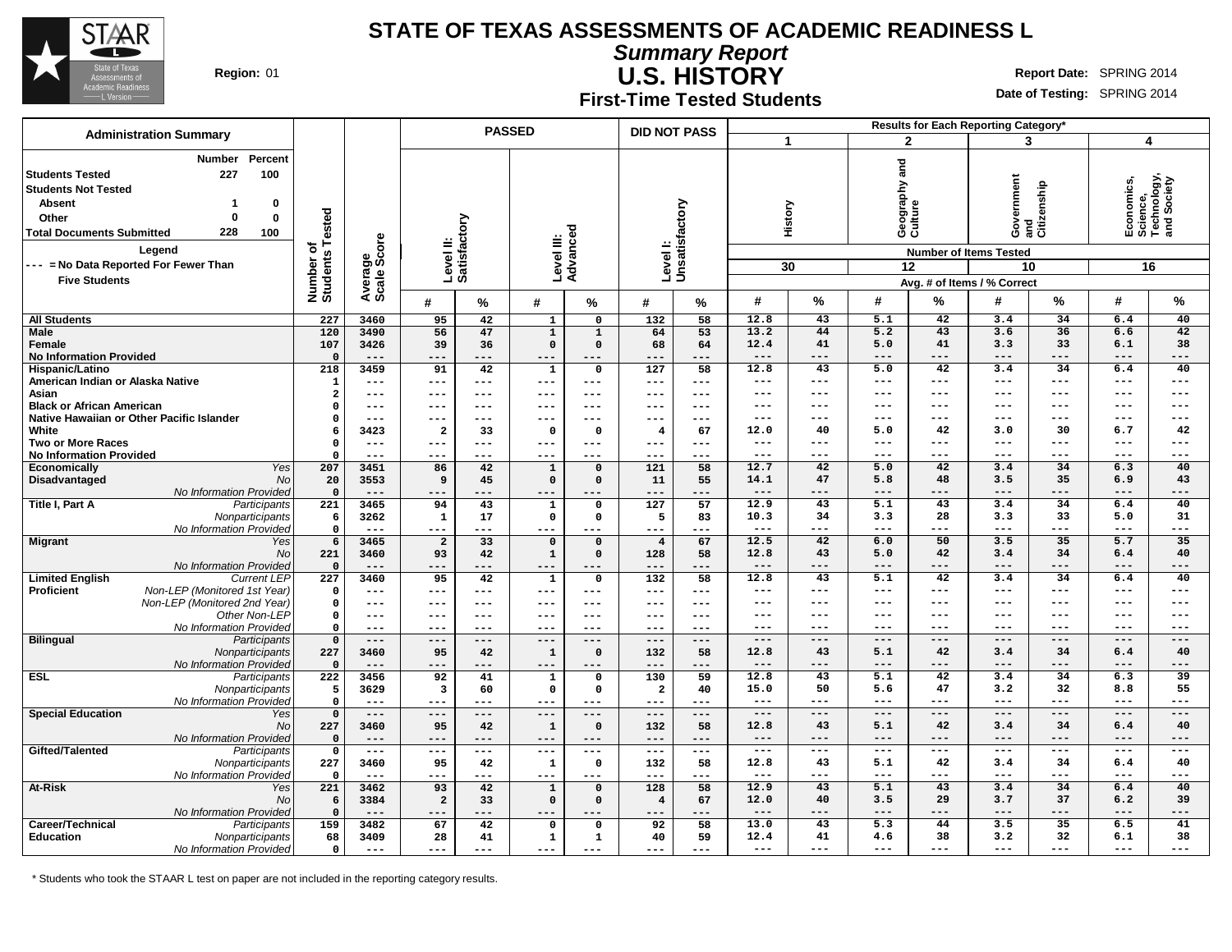

**At-Risk** 

#### **STATE OF TEXAS ASSESSMENTS OF ACADEMIC READINESS L**

**Summary Report**

**DID NOT PASS**

**U.S. HISTORY Region:** 01 **Report** Date: SPRING 2014

**--- --- --- --- --- --- --- --- 12.8 43 5.1 42 3.4 34 6.4 40 --- --- --- --- --- --- --- --- 12.9 43 5.1 43 3.4 34 6.4 40 12.0 40 3.5 29 3.7 37 6.2 39 --- --- --- --- --- --- --- --- 13.0 43 5.3 44 3.5 35 6.5 41 12.4 41 4.6 38 3.2 32 6.1 38 --- --- --- --- --- --- --- ---**

**Results for Each Reporting Category\* 1 2 3 4**

**Date of Testing:** SPRING 2014

**First-Time Tested Students**

|                                  | Number<br>гегсен                          |                            |                |                     |                        |                     |              |                  |                           |                     |         |         |                        |                               |                                  |         |                                                      |
|----------------------------------|-------------------------------------------|----------------------------|----------------|---------------------|------------------------|---------------------|--------------|------------------|---------------------------|---------------------|---------|---------|------------------------|-------------------------------|----------------------------------|---------|------------------------------------------------------|
| <b>Students Tested</b>           | 227<br>100                                |                            |                |                     |                        |                     |              |                  |                           |                     |         | and     |                        |                               |                                  |         |                                                      |
| <b>Students Not Tested</b>       |                                           |                            |                |                     |                        |                     |              |                  |                           |                     |         |         |                        |                               |                                  |         |                                                      |
| Absent                           | 0                                         |                            |                |                     |                        |                     |              |                  |                           |                     |         |         |                        |                               | qidana:                          |         |                                                      |
| Other                            | $\mathbf{0}$<br>$\mathbf{0}$              | ested                      |                |                     |                        |                     |              |                  |                           |                     | History |         | Geography ;<br>Culture |                               | Government<br>and<br>Citizenship |         | Economics,<br>Science,<br>Technology,<br>and Society |
| <b>Total Documents Submitted</b> | 228<br>100                                |                            |                |                     |                        |                     | ਠ            |                  |                           |                     |         |         |                        |                               |                                  |         |                                                      |
|                                  |                                           | ⊢                          |                |                     | actory                 |                     |              |                  |                           |                     |         |         |                        |                               |                                  |         |                                                      |
|                                  | Legend                                    | ㅎ<br>Number of<br>Students | ge<br>Score    |                     | Level II:<br>Satisfact | Level III:          | Advance      |                  | Levell:<br>Unsatisfactory |                     |         |         |                        | <b>Number of Items Tested</b> |                                  |         |                                                      |
|                                  | --- = No Data Reported For Fewer Than     |                            |                |                     |                        |                     |              |                  |                           |                     | 30      |         | 12                     |                               | 10                               |         | 16                                                   |
| <b>Five Students</b>             |                                           |                            | Avera<br>Scale |                     |                        |                     |              |                  |                           |                     |         |         |                        | Avg. # of Items / % Correct   |                                  |         |                                                      |
|                                  |                                           |                            |                |                     |                        |                     |              |                  |                           |                     |         |         |                        |                               |                                  |         |                                                      |
|                                  |                                           |                            |                | #                   | %                      | #                   | ℅            | #                | %                         | #                   | %       | #       | %                      | #                             | %                                | #       | $\%$                                                 |
| <b>All Students</b>              |                                           | 227                        | 3460           | 95                  | 42                     | $\mathbf{1}$        | $\mathbf 0$  | 132              | 58                        | 12.8                | 43      | 5.1     | 42                     | 3.4                           | 34                               | 6.4     | 40                                                   |
| <b>Male</b>                      |                                           | 120                        | 3490           | 56                  | 47                     | $\overline{1}$      | $\mathbf{1}$ | 64               | 53                        | 13.2                | 44      | 5.2     | 43                     | 3.6                           | 36                               | 6.6     | 42                                                   |
| Female                           |                                           | 107                        | 3426           | 39                  | 36                     | $\mathbf 0$         | $\mathbf{0}$ | 68               | 64                        | 12.4                | 41      | 5.0     | 41                     | 3.3                           | 33                               | 6.1     | 38                                                   |
| <b>No Information Provided</b>   |                                           | $\Omega$                   | $---$          | $---$               | $---$                  | $---$               | ---          | $- - -$          | $- - -$                   | $---$               | $---$   | $---$   | $---$                  | $---$                         | $---$                            | $---$   | $---$                                                |
| Hispanic/Latino                  |                                           | 218                        | 3459           | 91                  | 42                     | $\mathbf{1}$        | $\Omega$     | 127              | 58                        | 12.8                | 43      | 5.0     | 42                     | 3.4                           | 34                               | 6.4     | 40                                                   |
| American Indian or Alaska Native |                                           | $\mathbf{1}$               | $---$          | $---$               | ---                    | $\qquad \qquad - -$ | ---          | ---              | $---$                     | $\qquad \qquad - -$ | $---$   | $---$   | $- - -$                | $- - -$                       | $- - -$                          | $---$   | $---$                                                |
| Asian                            |                                           | $\overline{a}$             | $---$          | $---$               | ---                    | $---$               | $---$        | $---$            | $---$                     | $---$               | $---$   | $- - -$ | $\frac{1}{2}$          | $---$                         | $- - -$                          | $---$   | $---$                                                |
| <b>Black or African American</b> |                                           | $\Omega$                   | $--$           | $---$               | ---                    | $--$                | ---          | ---              | ---                       | $---$               | $---$   | $---$   | $---$                  | $\qquad \qquad -$             | ---                              | $---$   | $---$                                                |
|                                  | Native Hawaiian or Other Pacific Islander | $\Omega$                   | $---$          | ---                 | ---                    | $---$               | ---          | ---              | ---                       | $- - -$             | $---$   | $- - -$ | $---$                  | $---$                         | $- - -$                          | $---$   | $---$                                                |
| White                            |                                           | 6                          | 3423           | $\overline{a}$      | 33                     | $\mathbf 0$         | $\Omega$     | -4               | 67                        | 12.0                | 40      | 5.0     | 42                     | 3.0                           | 30                               | 6.7     | 42                                                   |
| <b>Two or More Races</b>         |                                           | $\Omega$                   | $---$          | ---                 | ---                    | $-- -$              | ---          | ---              | $--$                      | $\qquad \qquad - -$ | $---$   | $- - -$ | $---$                  | $- - -$                       | $- - -$                          | $---$   | $---$                                                |
| <b>No Information Provided</b>   |                                           | $\Omega$                   | $---$          | $\qquad \qquad -$   | ---                    | ---                 | ---          | ---              | $---$                     | $\qquad \qquad - -$ | $---$   | $- - -$ | $\qquad \qquad -$      | $---$                         | $- - -$                          | $---$   | $---$                                                |
| Economically                     | Yes                                       | 207                        | 3451           | 86                  | 42                     | $\mathbf{1}$        | $\mathbf{0}$ | 121              | 58                        | 12.7                | 42      | 5.0     | 42                     | 3.4                           | 34                               | 6.3     | 40                                                   |
| Disadvantaged                    | No                                        | 20                         | 3553           | 9                   | 45                     | $\mathbf 0$         | $\Omega$     | 11               | 55                        | 14.1                | 47      | 5.8     | 48                     | 3.5                           | 35                               | 6.9     | 43                                                   |
|                                  | No Information Provided                   | $\Omega$                   | $---$          | $---$               | ---                    | $---$               | ---          | $-- -$           | ---                       | $---$               | $---$   | $---$   | $---$                  | $---$                         | $---$                            | $---$   | $---$                                                |
| Title I, Part A                  | Participants                              | 221                        | 3465           | 94                  | 43                     | $\mathbf{1}$        | 0            | 127              | 57                        | 12.9                | 43      | 5.1     | 43                     | 3.4                           | 34                               | 6.4     | 40                                                   |
|                                  | Nonparticipants                           | 6                          | 3262           | $\mathbf{1}$        | 17                     | $\mathbf 0$         | $\mathbf{0}$ | 5                | 83                        | 10.3                | 34      | 3.3     | 28                     | 3.3                           | 33                               | 5.0     | 31                                                   |
|                                  | No Information Provided                   | $\mathbf 0$                | $- - -$        | $\qquad \qquad - -$ | ---                    | $\qquad \qquad - -$ | $---$        | $---$            | $---$                     | $\frac{1}{2}$       | $---$   | $---$   | $\frac{1}{2}$          | $\frac{1}{2}$                 | $\frac{1}{2}$                    | $---$   | $---$                                                |
| <b>Migrant</b>                   | Yes                                       | 6                          | 3465           | $\overline{2}$      | 33                     | $\mathbf 0$         | $\mathbf 0$  | $\overline{4}$   | 67                        | 12.5                | 42      | 6.0     | 50                     | 3.5                           | 35                               | 5.7     | 35                                                   |
|                                  | No                                        | 221                        | 3460           | 93                  | 42                     | $\mathbf{1}$        | $\Omega$     | 128              | 58                        | 12.8                | 43      | 5.0     | 42                     | 3.4                           | 34                               | 6.4     | 40                                                   |
|                                  | No Information Provided                   | $\mathbf 0$                | $---$          | $---$               | ---                    | $---$               | ---          | $---$            | $---$                     | $---$               | $---$   | $---$   | $- - -$                | $---$                         | $---$                            | $---$   | $---$                                                |
| <b>Limited English</b>           | <b>Current LEP</b>                        | $\overline{227}$           | 3460           | 95                  | 42                     | $\mathbf{1}$        | $\mathbf{0}$ | $\overline{132}$ | 58                        | 12.8                | 43      | 5.1     | 42                     | 3.4                           | 34                               | 6.4     | 40                                                   |
| Proficient                       | Non-LEP (Monitored 1st Year)              | $\Omega$                   | $---$          | $- - -$             | ---                    | $---$               | ---          | $---$            | $---$                     | $---$               | $---$   | $---$   | $---$                  | $---$                         | $---$                            | ---     | $---$                                                |
|                                  | Non-LEP (Monitored 2nd Year)              | $\mathbf 0$                | $---$          | $---$               | ---                    | ---                 | ---          | ---              | ---                       | $---$               | $--$    | ---     | $---$                  | $---$                         |                                  | $---$   | $---$                                                |
|                                  | Other Non-LEP                             | $\mathbf 0$                | $---$          | $---$               | ---                    | $---$               | ---          | ---              | ---                       | $--$                | $--$    | $- - -$ | $---$                  | $-- -$                        | $- - -$                          | $---$   | ---                                                  |
|                                  | No Information Provided                   | $\Omega$                   | $---$          | ---                 | ---                    | ---                 | ---          | ---              | ---                       | $- - -$             | $- - -$ | $- - -$ | $---$                  | $- - -$                       | $- - -$                          | $- - -$ | $---$                                                |
| <b>Bilingual</b>                 | Participants                              | $\mathbf{o}$               | $---$          | $---$               | ---                    | ---                 | ---          | $---$            | $---$                     | $---$               | $---$   | $---$   | $---$                  | $---$                         | $- - -$                          | $---$   | $---$                                                |
|                                  | Nonparticipants                           | 227                        | 3460           | 95                  | 42                     | $\mathbf 1$         | $\Omega$     | 132              | 58                        | 12.8                | 43      | 5.1     | 42                     | 3.4                           | 34                               | 6.4     | 40                                                   |
|                                  | No Information Provided                   | $\Omega$                   | $---$          | $---$               | $---$                  | $---$               | $---$        | $---$            | $---$                     | $---$               | $---$   | $---$   | $---$                  | $---$                         | ---                              | $---$   | $---$                                                |
| <b>ESL</b>                       | Participants                              | 222                        | 3456           | 92                  | 41                     | $\mathbf{1}$        | $\mathbf{o}$ | 130              | 59                        | 12.8                | 43      | 5.1     | 42                     | 3.4                           | $\overline{34}$                  | 6.3     | $\overline{39}$                                      |
|                                  | Nonparticipants                           | 5                          | 3629           | 3                   | 60                     | $\mathbf 0$         | $^{\circ}$   | $\overline{a}$   | 40                        | 15.0                | 50      | 5.6     | 47                     | 3.2                           | 32                               | 8.8     | 55                                                   |
|                                  | No Information Provided                   | $\Omega$                   | $---$          | $\qquad \qquad - -$ | ---                    | $---$               | ---          | $---$            | $---$                     | $- - -$             | $---$   | $- - -$ | $- - -$                | $---$                         | $- - -$                          | $- - -$ | $- - -$                                              |
| <b>Special Education</b>         | Yes                                       | $\mathbf 0$                | $---$          | $---$               | ---                    | $---$               | $---$        | $---$            | $---$                     | $---$               | $---$   | $---$   | $- - -$                | $---$                         | $---$                            | $---$   | $---$                                                |
|                                  | No                                        | 227                        | 3460           | 95                  | 42                     | $\mathbf 1$         | $\Omega$     | 132              | 58                        | 12.8                | 43      | 5.1     | 42                     | 3.4                           | 34                               | 6.4     | 40                                                   |
|                                  | No Information Provided                   | $\Omega$                   | $---$          | ---                 | ---                    | $---$               | ---          | ---              | $---$                     | $---$               | $---$   | $---$   | $- - -$                | $---$                         | $- - -$                          | $---$   | $---$                                                |
| Gifted/Talented                  | Participants                              | $\mathbf 0$                | $---$          | $---$               | ---                    | $---$               | ---          | ---              | $---$                     | $\qquad \qquad - -$ | $---$   | $---$   | $- - -$                | $---$                         | $---$                            | ---     | $---$                                                |

 **--- --- --- --- --- --- --- 3460 95 42 1 0 132 58 --- --- --- --- --- --- --- 3462 93 42 1 0 128 58 3384 2 33 0 0 4 67 --- --- --- --- --- --- --- 3482 67 42 0 0 92 58 3409 28 41 1 1 40 59 --- --- --- --- --- --- ---**

\* Students who took the STAAR L test on paper are not included in the reporting category results.

No

**Administration Summary PASSED**

**Number Percent**

**Nonparticipants** No Information Provided<br>Yes

No Information Provided

No Information Provided

**Career/Technical** Participants **Education** Nonparticipants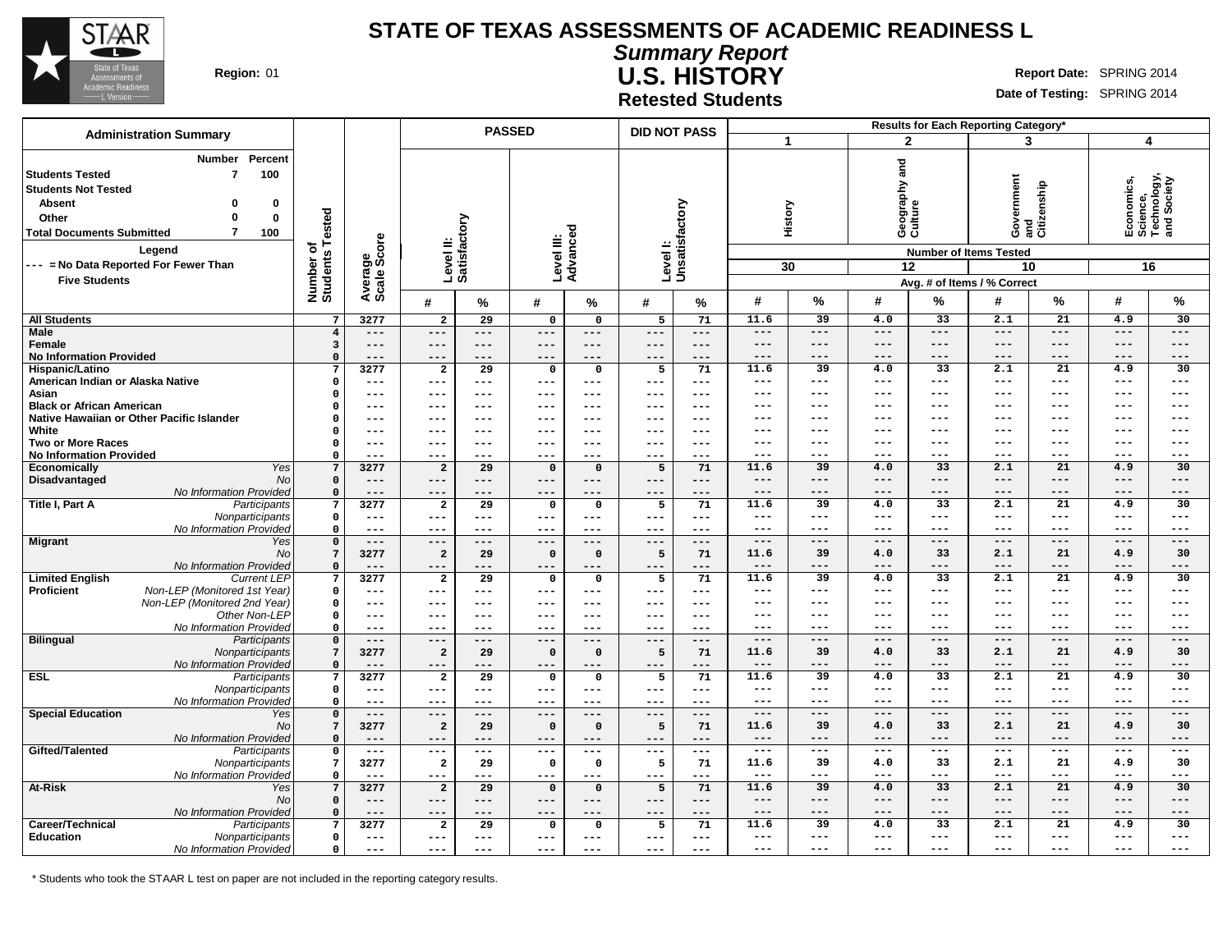

**Summary Report U.S. HISTORY Region:** 01 **Report** Date: SPRING 2014

**Date of Testing:** SPRING 2014

**Retested Students**

|                                                                                                                                                                                                                                                                                                                  |                                   |                                                                   |                                  | <b>PASSED</b> |                        |                      | <b>DID NOT PASS</b> |                     |                              |                          |                                                         |                  | Results for Each Reporting Category*                                                                   |                        |                                                            |                 |
|------------------------------------------------------------------------------------------------------------------------------------------------------------------------------------------------------------------------------------------------------------------------------------------------------------------|-----------------------------------|-------------------------------------------------------------------|----------------------------------|---------------|------------------------|----------------------|---------------------|---------------------|------------------------------|--------------------------|---------------------------------------------------------|------------------|--------------------------------------------------------------------------------------------------------|------------------------|------------------------------------------------------------|-----------------|
| <b>Administration Summary</b>                                                                                                                                                                                                                                                                                    |                                   |                                                                   |                                  |               |                        |                      |                     |                     | 1                            |                          | $\overline{2}$                                          |                  | 3                                                                                                      |                        | $\overline{\mathbf{4}}$                                    |                 |
| Number<br>Percent<br><b>Students Tested</b><br>$\overline{7}$<br>100<br><b>Students Not Tested</b><br><b>Absent</b><br>$\Omega$<br>0<br>$\bf{0}$<br>$\mathbf 0$<br>Other<br>$\overline{7}$<br><b>Total Documents Submitted</b><br>100<br>Legend<br>--- = No Data Reported For Fewer Than<br><b>Five Students</b> | Number of<br>Students Tested      | ige<br>Score<br>Avera<br>Scale                                    | Level II:<br>Satisfactory        |               | Level III:<br>Advancec | τ                    | Level I:            | Unsatisfactory      |                              | History<br>30            | and<br>Geography a<br>Culture<br>12                     |                  | Government<br>and<br>Citizenship<br><b>Number of Items Tested</b><br>10<br>Avg. # of Items / % Correct |                        | Economics,<br>Science,<br>Technology,<br>and Society<br>16 |                 |
|                                                                                                                                                                                                                                                                                                                  |                                   |                                                                   | #                                | $\%$          | #                      | %                    | #                   | %                   | #                            | %                        | #                                                       | %                | #                                                                                                      | %                      | #                                                          | %               |
| <b>All Students</b>                                                                                                                                                                                                                                                                                              | $7\phantom{.0}$                   | 3277                                                              | $\overline{a}$                   | 29            | 0                      | $\mathbf 0$          | 5                   | 71                  | 11.6                         | 39                       | 4.0                                                     | 33               | 2.1                                                                                                    | 21                     | 4.9                                                        | 30              |
| <b>Male</b>                                                                                                                                                                                                                                                                                                      | $\overline{4}$                    | $---$                                                             | $---$                            | $- - -$       | $---$                  | $---$                | $---$               | $\qquad \qquad - -$ | $---$                        | $---$                    | $\hspace{0.05cm} - \hspace{0.05cm} - \hspace{0.05cm} -$ | $---$            | $\qquad \qquad - -$                                                                                    | $---$                  | $\hspace{0.05cm}$ - $\hspace{0.05cm}$ - $\hspace{0.05cm}$  | $-- -$          |
| Female                                                                                                                                                                                                                                                                                                           | $\overline{\mathbf{3}}$           | $---$                                                             | ---                              | $---$         | $---$                  | $---$                | $---$               | $---$               | $\qquad \qquad - -$          | $---$                    | $---$                                                   | ---              | $---$                                                                                                  | ---                    | ---                                                        | $-- -$          |
| <b>No Information Provided</b>                                                                                                                                                                                                                                                                                   | $\mathbf 0$<br>7                  | $---$<br>3277                                                     | $---$<br>$\overline{2}$          | $---$<br>29   | $---$<br>$\mathbf 0$   | $---$<br>$\mathbf 0$ | $---$               | $---$<br>71         | $-- -$<br>11.6               | $---$<br>$\overline{39}$ | $---$<br>4.0                                            | ---<br>33        | ---<br>$\overline{2.1}$                                                                                | ---<br>$\overline{21}$ | $---$<br>4.9                                               | ---<br>30       |
| Hispanic/Latino<br>American Indian or Alaska Native                                                                                                                                                                                                                                                              | $\mathbf 0$                       | $---$                                                             | $---$                            | $---$         | $---$                  | $---$                | 5<br>$---$          | ---                 | $---$                        | $---$                    | $---$                                                   | ---              | ---                                                                                                    | ---                    | $---$                                                      | ---             |
| Asian                                                                                                                                                                                                                                                                                                            | $\Omega$                          | $---$                                                             | ---                              | $---$         | $---$                  | $---$                | $---$               | $---$               | $\qquad \qquad -$            | $---$                    | $\qquad \qquad - -$                                     | ---              | ---                                                                                                    | ---                    | $---$                                                      | ---             |
| <b>Black or African American</b>                                                                                                                                                                                                                                                                                 | $\Omega$                          | $---$                                                             | $-- -$                           | $---$         | ---                    | $---$                | $--$                | $---$               | ---                          | ---                      | $---$                                                   | ---              | ---                                                                                                    | ---                    | ---                                                        | ---             |
| Native Hawaiian or Other Pacific Islander                                                                                                                                                                                                                                                                        | $\Omega$                          | $---$                                                             | $---$                            | $---$         | $---$                  | $---$                | $---$               | $---$               | $---$                        | $---$                    | $---$                                                   | ---              | ---                                                                                                    | ---                    | $---$                                                      | ---             |
| White                                                                                                                                                                                                                                                                                                            | $\Omega$                          | $---$                                                             | $---$                            | $- - -$       | ---                    | $---$                | $---$               | $--$                | ---                          | $--$                     | $---$                                                   | ---              | ---                                                                                                    | ---                    | ---                                                        | ---             |
| <b>Two or More Races</b>                                                                                                                                                                                                                                                                                         | $\mathbf{o}$                      | $---$                                                             | ---                              | $---$         | ---                    | $---$                | $---$               | $--$                | $\qquad \qquad - -$<br>$---$ | ---<br>$---$             | $- - -$<br>$- - -$                                      | ---<br>$---$     | ---<br>---                                                                                             | ---<br>---             | $---$<br>$---$                                             | ---             |
| <b>No Information Provided</b><br><b>Yes</b><br>Economically                                                                                                                                                                                                                                                     | $\mathbf 0$<br>$7\phantom{.0}$    | $---$<br>3277                                                     | $--$<br>$\overline{\mathbf{2}}$  | $---$<br>29   | $---$<br>$\mathbf 0$   | ---<br>$\mathbf 0$   | $---$<br>5          | ---<br>71           | 11.6                         | 39                       | 4.0                                                     | 33               | 2.1                                                                                                    | 21                     | 4.9                                                        | ---<br>30       |
| Disadvantaged<br><b>No</b>                                                                                                                                                                                                                                                                                       | $\mathbf{o}$                      | $---$                                                             | $---$                            | $---$         | $---$                  | $---$                | $---$               | ---                 | $---$                        | $---$                    | $---$                                                   | ---              | $---$                                                                                                  | ---                    | $---$                                                      | ---             |
| No Information Provided                                                                                                                                                                                                                                                                                          | $\mathbf 0$                       | $---$                                                             | $---$                            | $---$         | $---$                  | ---                  | $---$               | ---                 | $---$                        | $---$                    | $---$                                                   | ---              | $---$                                                                                                  | ---                    | $- - -$                                                    | ---             |
| Title I, Part A<br>Participants                                                                                                                                                                                                                                                                                  | $\overline{7}$                    | 3277                                                              | $\overline{\mathbf{2}}$          | 29            | 0                      | 0                    | 5                   | 71                  | 11.6                         | 39                       | 4.0                                                     | 33               | 2.1                                                                                                    | 21                     | 4.9                                                        | 30              |
| Nonparticipants                                                                                                                                                                                                                                                                                                  | $\mathbf 0$                       | $---$                                                             | $---$                            | $---$         | $---$                  | $\qquad \qquad - -$  | $\qquad \qquad - -$ | $- - -$             | $\qquad \qquad -$            | $---$                    | $\qquad \qquad - -$                                     | ---              | $---$                                                                                                  | ---                    | $---$                                                      | ---             |
| No Information Provided                                                                                                                                                                                                                                                                                          | $\mathbf 0$                       | $---$                                                             | ---                              |               | ---                    | ---                  | ---                 | ---                 | $---$<br>$---$               | $---$                    | $\qquad \qquad - -$                                     | ---              | $\cdots$<br>$- - -$                                                                                    | ---                    | $---$                                                      | ---             |
| <b>Migrant</b><br>Yes<br><b>No</b>                                                                                                                                                                                                                                                                               | $\mathsf{o}\,$<br>$7\overline{ }$ | $---$<br>3277                                                     | $---$<br>$\overline{\mathbf{2}}$ | $---$<br>29   | $---$<br>$\mathbf 0$   | $---$<br>$\mathbf 0$ | $---$<br>5          | $---$<br>71         | 11.6                         | $---$<br>39              | $---$<br>4.0                                            | $---$<br>33      | 2.1                                                                                                    | ---<br>21              | $---$<br>4.9                                               | ---<br>30       |
| No Information Provided                                                                                                                                                                                                                                                                                          | $\mathsf{o}\,$                    | $---$                                                             |                                  | ---           | $---$                  | $---$                | ---                 | ---                 | $---$                        | ---                      | $---$                                                   | ---              | ---                                                                                                    | ---                    | ---                                                        | ---             |
| <b>Limited English</b><br><b>Current LEP</b>                                                                                                                                                                                                                                                                     | $\overline{7}$                    | 3277                                                              | $\overline{2}$                   | 29            | 0                      | $\mathbf 0$          | 5                   | 71                  | 11.6                         | 39                       | 4.0                                                     | $\overline{33}$  | 2.1                                                                                                    | $\overline{21}$        | 4.9                                                        | 30              |
| Non-LEP (Monitored 1st Year)<br><b>Proficient</b>                                                                                                                                                                                                                                                                | $\mathbf 0$                       | $---$                                                             | ---                              | ---           | $---$                  | ---                  | ---                 | ---                 | $---$                        | $---$                    | $---$                                                   | $---$            | $---$                                                                                                  | ---                    | $---$                                                      | ---             |
| Non-LEP (Monitored 2nd Year)                                                                                                                                                                                                                                                                                     | $\mathbf 0$                       | $---$                                                             | $--$                             | $---$         | $---$                  | $---$                | $---$               | ---                 | $---$                        | $---$                    | $---$                                                   | $---$            | $---$                                                                                                  | ---                    | $---$                                                      | ---             |
| Other Non-LEP                                                                                                                                                                                                                                                                                                    | $\mathbf 0$                       | $---$                                                             | ---                              | $---$         | $---$                  | $---$                | $---$               | $---$               | $---$                        | $---$                    | $--$                                                    | $---$            | $---$                                                                                                  | ---                    | ---                                                        | ---             |
| No Information Provided                                                                                                                                                                                                                                                                                          | $\Omega$<br>$\mathsf{o}\,$        | $---$<br>$---$                                                    | $- - -$                          | $- - -$       | $---$<br>$---$         | $---$                | $---$<br>$---$      | $---$<br>$---$      | $---$<br>$---$               | $---$<br>$- - -$         | $---$<br>$- - -$                                        | $---$<br>$- - -$ | $---$<br>$- - -$                                                                                       | ---<br>$- - -$         | $---$<br>$- - -$                                           | ---<br>$- - -$  |
| <b>Bilingual</b><br>Participants<br>Nonparticipants                                                                                                                                                                                                                                                              | $7\phantom{.0}$                   | 3277                                                              | $---$<br>$\overline{\mathbf{2}}$ | $---$<br>29   | $\mathbf 0$            | $---$<br>$\mathbf 0$ | 5                   | 71                  | 11.6                         | 39                       | 4.0                                                     | 33               | 2.1                                                                                                    | 21                     | 4.9                                                        | 30              |
| No Information Provided                                                                                                                                                                                                                                                                                          | $\mathbf 0$                       | $---$                                                             | ---                              | ---           | ---                    | $-- -$               | ---                 | ---                 | $---$                        | $---$                    | $---$                                                   | ---              | $---$                                                                                                  | ---                    | $---$                                                      | ---             |
| <b>ESL</b><br>Participants                                                                                                                                                                                                                                                                                       | $7\phantom{.0}$                   | 3277                                                              | $\overline{a}$                   | 29            | 0                      | $\mathbf 0$          | 5                   | 71                  | 11.6                         | $\overline{39}$          | 4.0                                                     | $\overline{33}$  | 2.1                                                                                                    | $\overline{21}$        | 4.9                                                        | $\overline{30}$ |
| Nonparticipants                                                                                                                                                                                                                                                                                                  | $\mathbf 0$                       | $---$                                                             | $---$                            | $---$         | ---                    | $---$                | $---$               | $---$               | $---$                        | $---$                    | $---$                                                   | $---$            | $---$                                                                                                  | ---                    | $---$                                                      | ---             |
| No Information Provided                                                                                                                                                                                                                                                                                          | $\mathbf 0$                       | $---$                                                             | ---                              | ---           | $---$                  | ---                  | $---$               | ---                 | $---$                        | $---$                    | $---$                                                   | $---$            | $---$                                                                                                  | ---                    | $---$                                                      | ---             |
| <b>Special Education</b><br>Yes<br><b>No</b>                                                                                                                                                                                                                                                                     | $\mathsf{o}\,$<br>$7\overline{ }$ | $\hspace{0.05cm}$ - $\hspace{0.05cm}$ - $\hspace{0.05cm}$<br>3277 | $---$<br>$\overline{\mathbf{2}}$ | $---$<br>29   | $---$<br>$\mathbf 0$   | $---$<br>$\mathbf 0$ | $---$<br>5          | $---$<br>71         | $---$<br>11.6                | $---$<br>39              | $---$<br>4.0                                            | $---$<br>33      | $---$<br>2.1                                                                                           | ---<br>21              | $---$<br>4.9                                               | ---<br>30       |
| No Information Provided                                                                                                                                                                                                                                                                                          | $\mathbf 0$                       | $- - -$                                                           | ---                              | ---           | ---                    |                      |                     | ---                 | $---$                        | $---$                    | $---$                                                   | ---              | $---$                                                                                                  | ---                    | $---$                                                      | ---             |
| Gifted/Talented<br>Participants                                                                                                                                                                                                                                                                                  | 0                                 | $---$                                                             | $---$                            | $---$         | $---$                  | $---$                | $---$               | ---                 | $---$                        | $---$                    | $---$                                                   | $---$            | $---$                                                                                                  | ---                    | $---$                                                      | ---             |
| Nonparticipants                                                                                                                                                                                                                                                                                                  | $7\phantom{.0}$                   | 3277                                                              | $\overline{\mathbf{2}}$          | 29            | $\mathbf 0$            | 0                    | 5                   | 71                  | 11.6                         | 39                       | 4.0                                                     | 33               | 2.1                                                                                                    | 21                     | 4.9                                                        | 30              |
| No Information Provided                                                                                                                                                                                                                                                                                          | $\mathbf 0$                       | $---$                                                             | $---$                            | $---$         | $---$                  | $---$                | $---$               | $---$               | $\qquad \qquad -$            | $---$                    | $---$                                                   | ---              | $---$                                                                                                  | ---                    | $---$                                                      | ---             |
| At-Risk<br>Yes                                                                                                                                                                                                                                                                                                   | $\overline{7}$                    | 3277                                                              | $\overline{a}$                   | 29            | $\mathbf 0$            | $\mathbf 0$          | 5                   | 71                  | 11.6                         | 39                       | 4.0                                                     | 33               | 2.1                                                                                                    | 21                     | 4.9                                                        | 30              |
| <b>No</b>                                                                                                                                                                                                                                                                                                        | $\mathbf 0$                       | $---$                                                             | $---$<br>---                     | $---$<br>---  | $---$                  | $---$                | $---$               | $---$               | $---$<br>$---$               | $---$<br>$---$           | $---$<br>$---$                                          | ---<br>---       | $---$<br>---                                                                                           | ---<br>---             | $---$<br>$---$                                             | ---<br>---      |
| No Information Provided<br>Career/Technical<br>Participants                                                                                                                                                                                                                                                      | $\mathbf 0$<br>7                  | $---$<br>3277                                                     | $\overline{\mathbf{2}}$          | 29            | ---<br>0               | ---<br>$\mathbf 0$   | ---<br>5            | ---<br>71           | 11.6                         | 39                       | 4.0                                                     | 33               | 2.1                                                                                                    | 21                     | 4.9                                                        | 30              |
| <b>Education</b><br>Nonparticipants                                                                                                                                                                                                                                                                              | $\mathbf 0$                       | $---$                                                             | $---$                            | $---$         | ---                    | $---$                | $\qquad \qquad - -$ | $---$               | $---$                        | $---$                    | $- - -$                                                 | $---$            | $---$                                                                                                  | $---$                  | $---$                                                      | ---             |
| No Information Provided                                                                                                                                                                                                                                                                                          | $\mathbf{o}$                      | $---$                                                             | $---$                            | $---$         | $---$                  | $---$                | $---$               | $---$               | $---$                        | $---$                    | $- - -$                                                 | $---$            | $---$                                                                                                  | $---$                  | $---$                                                      | ---             |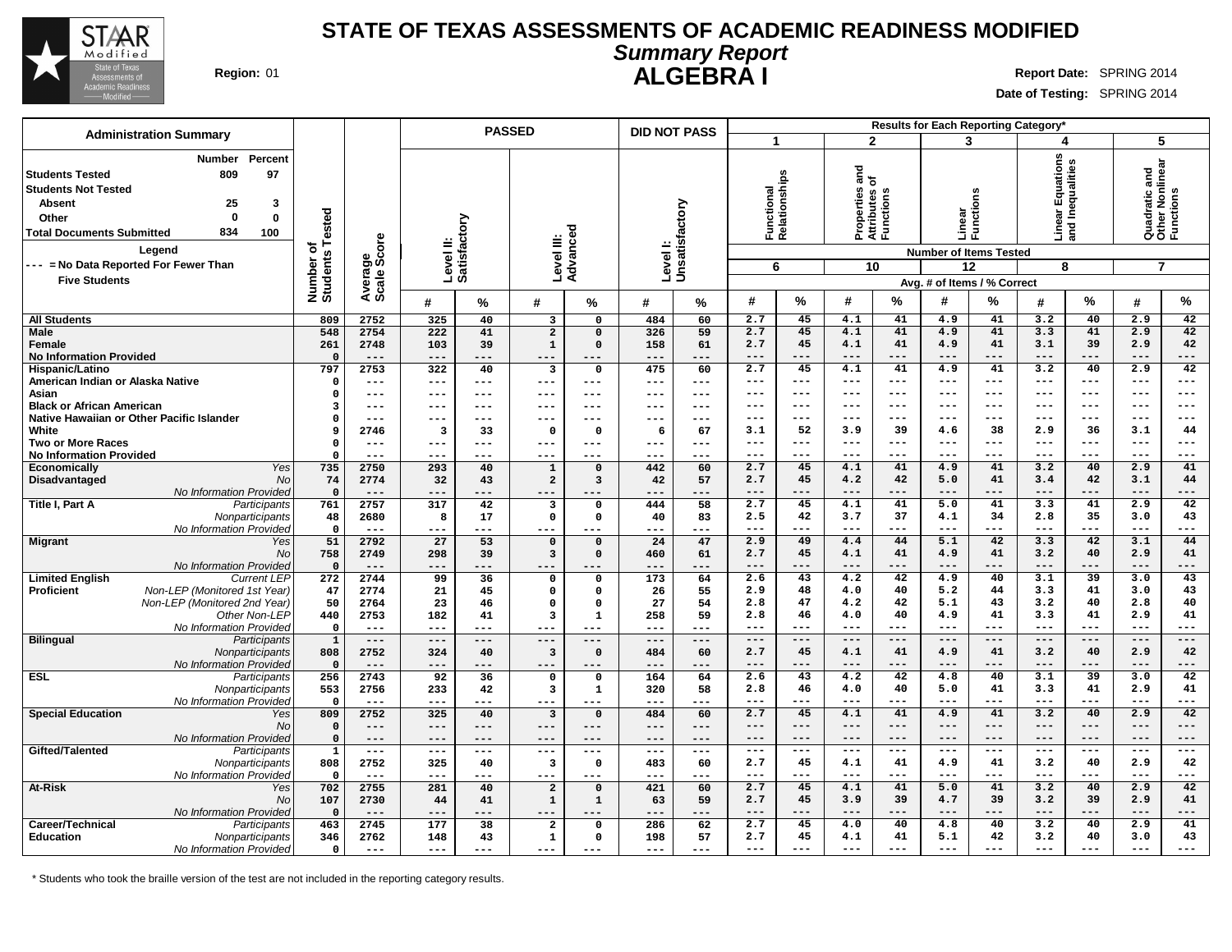

#### **STATE OF TEXAS ASSESSMENTS OF ACADEMIC READINESS MODIFIED Summary Report ALGEBRA I Region:** 01 **Report** Date: SPRING 2014

**Date of Testing:** SPRING 2014

|                                                                                                                                                                                                                                                                                     |                                      |                          |                        | <b>PASSED</b> |                                        |                         | <b>DID NOT PASS</b>       |                     |                    |                            |                                                        |                |                     | Results for Each Reporting Category*                                      |                                                   |                 |                                                                 |              |
|-------------------------------------------------------------------------------------------------------------------------------------------------------------------------------------------------------------------------------------------------------------------------------------|--------------------------------------|--------------------------|------------------------|---------------|----------------------------------------|-------------------------|---------------------------|---------------------|--------------------|----------------------------|--------------------------------------------------------|----------------|---------------------|---------------------------------------------------------------------------|---------------------------------------------------|-----------------|-----------------------------------------------------------------|--------------|
| <b>Administration Summary</b>                                                                                                                                                                                                                                                       |                                      |                          |                        |               |                                        |                         |                           |                     | $\mathbf{1}$       |                            | $\overline{2}$                                         |                | 3                   |                                                                           | 4                                                 |                 | 5                                                               |              |
| Percent<br>Number<br>809<br>97<br><b>Students Tested</b><br><b>Students Not Tested</b><br>25<br>3<br><b>Absent</b><br>$\Omega$<br>$\mathbf 0$<br>Other<br>834<br>100<br><b>Total Documents Submitted</b><br>Legend<br>--- = No Data Reported For Fewer Than<br><b>Five Students</b> | Tested<br>৳<br>Number of<br>Students | ige<br>Score<br>Average: | Level II:<br>Satisfact | factory       | Level III:                             | ъ<br>Advance            | Levell:<br>Unsatisfactory |                     | 6                  | Function<br> Relationships | ъ<br>ᄛᇢ<br>Properties<br>Attributes<br>Functions<br>10 |                | Linear<br>Functi    | ons<br><b>Number of Items Tested</b><br>12<br>Avg. # of Items / % Correct | ions<br>ear Equation.⊾<br>⊺Inequalities<br>⊐<br>8 | and             | Quadratic and<br>Other Nonlinear<br>Functions<br>$\overline{7}$ |              |
|                                                                                                                                                                                                                                                                                     |                                      |                          | #                      | %             | #                                      | %                       | #                         | %                   | #                  | $\%$                       | #                                                      | %              | #                   | $\%$                                                                      | #                                                 | $\%$            | #                                                               | %            |
| <b>All Students</b>                                                                                                                                                                                                                                                                 | 809                                  | 2752                     | 325                    | 40            | 3                                      | 0                       | 484                       | 60                  | 2.7                | 45                         | 4.1                                                    | 41             | 4.9                 | 41                                                                        | 3.2                                               | 40              | 2.9                                                             | 42           |
| Male                                                                                                                                                                                                                                                                                | 548                                  | 2754                     | 222                    | 41            | $\overline{a}$                         | $\mathbf 0$             | 326                       | 59                  | 2.7                | 45                         | 4.1                                                    | 41             | 4.9                 | 41                                                                        | 3.3                                               | 41              | 2.9                                                             | 42           |
| Female                                                                                                                                                                                                                                                                              | 261                                  | 2748                     | 103                    | 39            | $\mathbf{1}$                           | $\Omega$                | 158                       | 61                  | 2.7                | 45                         | 4.1                                                    | 41             | 4.9                 | 41                                                                        | 3.1                                               | 39              | 2.9                                                             | 42           |
| <b>No Information Provided</b><br>Hispanic/Latino                                                                                                                                                                                                                                   | $\Omega$<br>797                      | $---$<br>2753            | $---$<br>322           | ---<br>40     | $---$<br>$\overline{\mathbf{3}}$       | $---$<br>$\mathbf 0$    | ---<br>475                | ---<br>60           | $---$<br>2.7       | ---<br>45                  | $---$<br>4.1                                           | ---<br>41      | $--$<br>4.9         | $---$<br>41                                                               | $---$<br>3.2                                      | ---<br>40       | $---$<br>2.9                                                    | ---<br>42    |
| American Indian or Alaska Native                                                                                                                                                                                                                                                    | $\Omega$                             | $---$                    | ---                    | ---           | $---$                                  | $---$                   | ---                       | ---                 | $---$              | $---$                      | $- - -$                                                | $---$          | $\qquad \qquad - -$ | $---$                                                                     | $---$                                             | ---             | $\qquad \qquad - -$                                             | ---          |
| Asian                                                                                                                                                                                                                                                                               | $\Omega$                             | $---$                    | ---                    | ---           | $\qquad \qquad - -$                    | $---$                   | ---                       | $\qquad \qquad - -$ | $---$              | ---                        | $---$                                                  | ---            | $---$               | $---$                                                                     | $---$                                             | $---$           | $- -$                                                           | ---          |
| <b>Black or African American</b>                                                                                                                                                                                                                                                    | 3                                    | $--$                     | ---                    | ---           | $--$                                   | $---$                   | ---                       | ---                 | $- - -$            | ---                        | $- - -$                                                | ---            | $- - -$             | $---$                                                                     | $- - -$                                           | $- - -$         | $- - -$                                                         | ---          |
| Native Hawaiian or Other Pacific Islander                                                                                                                                                                                                                                           | $\Omega$                             | $---$                    | ---                    | ---           | $---$                                  | $---$                   | ---                       | $---$               | $---$              | $---$                      | $---$                                                  | $---$          | $\qquad \qquad - -$ | $---$                                                                     | $---$                                             | $---$           | $\qquad \qquad - -$                                             | ---          |
| White                                                                                                                                                                                                                                                                               | 9                                    | 2746                     | 3                      | 33            | $\mathbf{o}$                           | $\mathbf{o}$            | - 6                       | 67                  | 3.1                | 52                         | 3.9                                                    | 39             | 4.6                 | 38                                                                        | 2.9                                               | 36              | 3.1                                                             | 44           |
| <b>Two or More Races</b><br><b>No Information Provided</b>                                                                                                                                                                                                                          | 0<br>$\Omega$                        | $---$<br>$---$           | ---<br>---             | ---<br>---    | $---$<br>$--$                          | $---$<br>---            | ---<br>---                | $---$<br>---        | $- - -$<br>$- - -$ | ---<br>---                 | $- - -$<br>$- - -$                                     | ---<br>---     | $- - -$<br>$- - -$  | $---$<br>$---$                                                            | $---$<br>$- - -$                                  | $--$<br>---     | $---$<br>$---$                                                  | ---<br>---   |
| Economically<br>Yes                                                                                                                                                                                                                                                                 | 735                                  | 2750                     | 293                    | 40            | $\mathbf 1$                            | $\Omega$                | 442                       | 60                  | 2.7                | 45                         | 4.1                                                    | 41             | 4.9                 | 41                                                                        | 3.2                                               | 40              | 2.9                                                             | 41           |
| Disadvantaged<br>No                                                                                                                                                                                                                                                                 | 74                                   | 2774                     | 32                     | 43            | $\overline{a}$                         | 3                       | 42                        | 57                  | 2.7                | 45                         | 4.2                                                    | 42             | 5.0                 | 41                                                                        | 3.4                                               | 42              | 3.1                                                             | 44           |
| No Information Provideo                                                                                                                                                                                                                                                             | $\mathbf{0}$                         | $---$                    |                        | ---           |                                        |                         | ---                       | ---                 | $- - -$            | $---$                      | $- - -$                                                | $---$          | $- - -$             | $---$                                                                     | $---$                                             | ---             | $---$                                                           | ---          |
| Title I, Part A<br>Participants                                                                                                                                                                                                                                                     | 761                                  | 2757                     | 317                    | 42            | $\overline{\mathbf{3}}$                | 0                       | 444                       | 58                  | 2.7                | 45                         | 4.1                                                    | 41             | 5.0                 | 41                                                                        | 3.3                                               | 41              | 2.9                                                             | 42           |
| Nonparticipants                                                                                                                                                                                                                                                                     | 48                                   | 2680                     | 8                      | 17            | $\mathbf 0$                            | $\mathbf 0$             | 40                        | 83                  | 2.5                | 42                         | 3.7                                                    | 37             | 4.1                 | 34                                                                        | 2.8                                               | 35              | 3.0                                                             | 43           |
| No Information Provideo                                                                                                                                                                                                                                                             | $\mathbf 0$                          | $---$                    | $---$                  | ---           | $---$                                  | $---$                   | ---                       | $---$               | $---$              | $---$                      | $- - -$                                                | $---$          | $- - -$             | $---$                                                                     | $- - -$                                           | ---             | $\frac{1}{2}$                                                   | ---          |
| <b>Migrant</b><br>Yes<br><b>No</b>                                                                                                                                                                                                                                                  | 51<br>758                            | 2792<br>2749             | 27<br>298              | 53<br>39      | $\mathbf 0$<br>$\overline{\mathbf{3}}$ | $\Omega$<br>$\mathbf 0$ | 24<br>460                 | 47<br>61            | 2.9<br>2.7         | 49<br>45                   | 4.4<br>4.1                                             | 44<br>41       | 5.1<br>4.9          | 42<br>41                                                                  | 3.3<br>3.2                                        | 42<br>40        | 3.1<br>2.9                                                      | 44<br>41     |
| No Information Provided                                                                                                                                                                                                                                                             | $\mathbf{0}$                         | $---$                    | $---$                  | ---           | $- - -$                                | ---                     | ---                       | ---                 | $---$              | $---$                      | $---$                                                  | $---$          | $---$               | $---$                                                                     | $---$                                             | ---             | $---$                                                           | ---          |
| <b>Limited English</b><br><b>Current LEP</b>                                                                                                                                                                                                                                        | 272                                  | 2744                     | 99                     | 36            | $\mathsf{o}\,$                         | 0                       | 173                       | 64                  | 2.6                | 43                         | $\overline{4.2}$                                       | 42             | 4.9                 | 40                                                                        | 3.1                                               | $\overline{39}$ | 3.0                                                             | 43           |
| Non-LEP (Monitored 1st Year)<br>Proficient                                                                                                                                                                                                                                          | 47                                   | 2774                     | 21                     | 45            | $\mathsf{o}\,$                         | 0                       | 26                        | 55                  | 2.9                | 48                         | 4.0                                                    | 40             | 5.2                 | 44                                                                        | 3.3                                               | 41              | 3.0                                                             | 43           |
| Non-LEP (Monitored 2nd Year)                                                                                                                                                                                                                                                        | 50                                   | 2764                     | 23                     | 46            | $\mathbf 0$                            | $\mathbf 0$             | 27                        | 54                  | 2.8                | 47                         | 4.2                                                    | 42             | 5.1                 | 43                                                                        | 3.2                                               | 40              | 2.8                                                             | 40           |
| Other Non-LEP                                                                                                                                                                                                                                                                       | 440                                  | 2753                     | 182                    | 41            | $\overline{\mathbf{3}}$                | 1                       | 258                       | 59                  | 2.8                | 46                         | 4.0                                                    | 40             | 4.9                 | 41                                                                        | 3.3                                               | 41              | 2.9                                                             | 41           |
| No Information Provideo                                                                                                                                                                                                                                                             | $\mathbf 0$                          | $---$<br>$---$           | $---$<br>$---$         | $---$<br>---  | $---$                                  | $---$                   | $---$<br>$---$            | $---$<br>$---$      | $---$<br>$---$     | ---<br>$---$               | $---$<br>$---$                                         | $---$<br>$---$ | $---$<br>$---$      | $---$<br>$---$                                                            | $---$<br>$---$                                    | ---<br>$---$    | $---$<br>$---$                                                  | ---<br>---   |
| <b>Bilingual</b><br>Participants<br>Nonparticipants                                                                                                                                                                                                                                 | $\mathbf{1}$<br>808                  | 2752                     | 324                    | 40            | $---$<br>$\overline{\mathbf{3}}$       | $---$<br>$\mathbf 0$    | 484                       | 60                  | 2.7                | 45                         | 4.1                                                    | 41             | 4.9                 | 41                                                                        | 3.2                                               | 40              | 2.9                                                             | 42           |
| No Information Provideo                                                                                                                                                                                                                                                             | $\Omega$                             | $---$                    | $---$                  | ---           | $--$                                   | $---$                   | ---                       | ---                 | $---$              | $---$                      | $---$                                                  | $---$          | $---$               | $---$                                                                     | $---$                                             | ---             | $---$                                                           | ---          |
| <b>ESL</b><br>Participants                                                                                                                                                                                                                                                          | 256                                  | 2743                     | 92                     | 36            | $\Omega$                               | 0                       | 164                       | 64                  | 2.6                | 43                         | 4.2                                                    | 42             | 4.8                 | 40                                                                        | 3.1                                               | $\overline{39}$ | 3.0                                                             | 42           |
| Nonparticipants                                                                                                                                                                                                                                                                     | 553                                  | 2756                     | 233                    | 42            | $\overline{\mathbf{3}}$                | 1                       | 320                       | 58                  | 2.8                | 46                         | 4.0                                                    | 40             | 5.0                 | 41                                                                        | 3.3                                               | 41              | 2.9                                                             | 41           |
| No Information Provideo                                                                                                                                                                                                                                                             | $\mathbf 0$                          | $---$                    | $---$                  | ---           | $---$                                  | ---                     | ---                       | $---$               | $- - -$            | ---                        | $- - -$                                                | ---            | $- - -$             | $---$                                                                     | $---$                                             | ---             | $---$                                                           | ---          |
| <b>Special Education</b><br>Yes                                                                                                                                                                                                                                                     | 809                                  | 2752                     | 325                    | 40            | $\overline{\mathbf{3}}$                | $\mathbf 0$             | 484                       | 60                  | 2.7                | 45                         | 4.1                                                    | 41             | 4.9                 | 41                                                                        | 3.2                                               | 40              | 2.9                                                             | 42           |
| No<br>No Information Provided                                                                                                                                                                                                                                                       | $\mathbf 0$<br>$\mathbf 0$           | $---$<br>$---$           | $---$<br>$---$         | ---<br>---    | $---$<br>$---$                         | $---$<br>$---$          | ---<br>---                | $---$<br>$---$      | $---$<br>$---$     | ---<br>$---$               | $---$<br>$---$                                         | ---<br>$---$   | $---$<br>$---$      | $---$<br>$---$                                                            | $---$<br>$---$                                    | ---<br>$---$    | $---$<br>$---$                                                  | ---<br>$---$ |
| Gifted/Talented<br>Participants                                                                                                                                                                                                                                                     | $\mathbf{1}$                         | $\frac{1}{2}$            | $---$                  | ---           | $---$                                  | $---$                   | $---$                     | $\qquad \qquad - -$ | $---$              | $---$                      | $- - -$                                                | $---$          | $- - -$             | $---$                                                                     | $---$                                             | $---$           | $---$                                                           | $---$        |
| Nonparticipants                                                                                                                                                                                                                                                                     | 808                                  | 2752                     | 325                    | 40            | 3                                      | $\mathbf{o}$            | 483                       | 60                  | 2.7                | 45                         | 4.1                                                    | 41             | 4.9                 | 41                                                                        | 3.2                                               | 40              | 2.9                                                             | 42           |
| No Information Provided                                                                                                                                                                                                                                                             | $\mathbf 0$                          | $---$                    | $---$                  | ---           | $---$                                  | $---$                   | ---                       | $- - -$             | $- - -$            | ---                        | $--$                                                   | ---            | $--$                | $---$                                                                     | $---$                                             | ---             | $---$                                                           | ---          |
| <b>At-Risk</b><br>Yes                                                                                                                                                                                                                                                               | 702                                  | 2755                     | 281                    | 40            | $\overline{a}$                         | $\mathbf 0$             | 421                       | 60                  | 2.7                | 45                         | 4.1                                                    | 41             | 5.0                 | 41                                                                        | 3.2                                               | 40              | 2.9                                                             | 42           |
| No                                                                                                                                                                                                                                                                                  | 107                                  | 2730                     | 44                     | 41            | $\mathbf{1}$                           | 1                       | 63                        | 59                  | 2.7                | 45                         | 3.9                                                    | 39             | 4.7                 | 39                                                                        | 3.2                                               | 39              | 2.9                                                             | 41           |
| No Information Provided                                                                                                                                                                                                                                                             | $\Omega$                             | $---$                    | $---$                  | ---           | $---$                                  | $---$                   | ---                       | ---                 | $---$              | $---$                      | $---$                                                  | $---$          | $---$               | $---$                                                                     | $---$                                             | ---             | $---$                                                           | ---          |
| Career/Technical<br>Participants<br><b>Education</b>                                                                                                                                                                                                                                | 463<br>346                           | 2745<br>2762             | 177<br>148             | 38<br>43      | $\overline{\mathbf{2}}$<br>1           | $\Omega$<br>$\Omega$    | 286<br>198                | 62<br>57            | 2.7<br>2.7         | 45<br>45                   | 4.0<br>4.1                                             | 40<br>41       | 4.8<br>5.1          | 40<br>42                                                                  | 3.2<br>3.2                                        | 40<br>40        | 2.9<br>3.0                                                      | 41<br>43     |
| Nonparticipants<br>No Information Provideo                                                                                                                                                                                                                                          | $\mathbf 0$                          | $---$                    | $- - -$                | ---           | $---$                                  | $- - -$                 | $- - -$                   | $- - -$             | $---$              |                            | $---$                                                  |                | $---$               |                                                                           |                                                   |                 |                                                                 |              |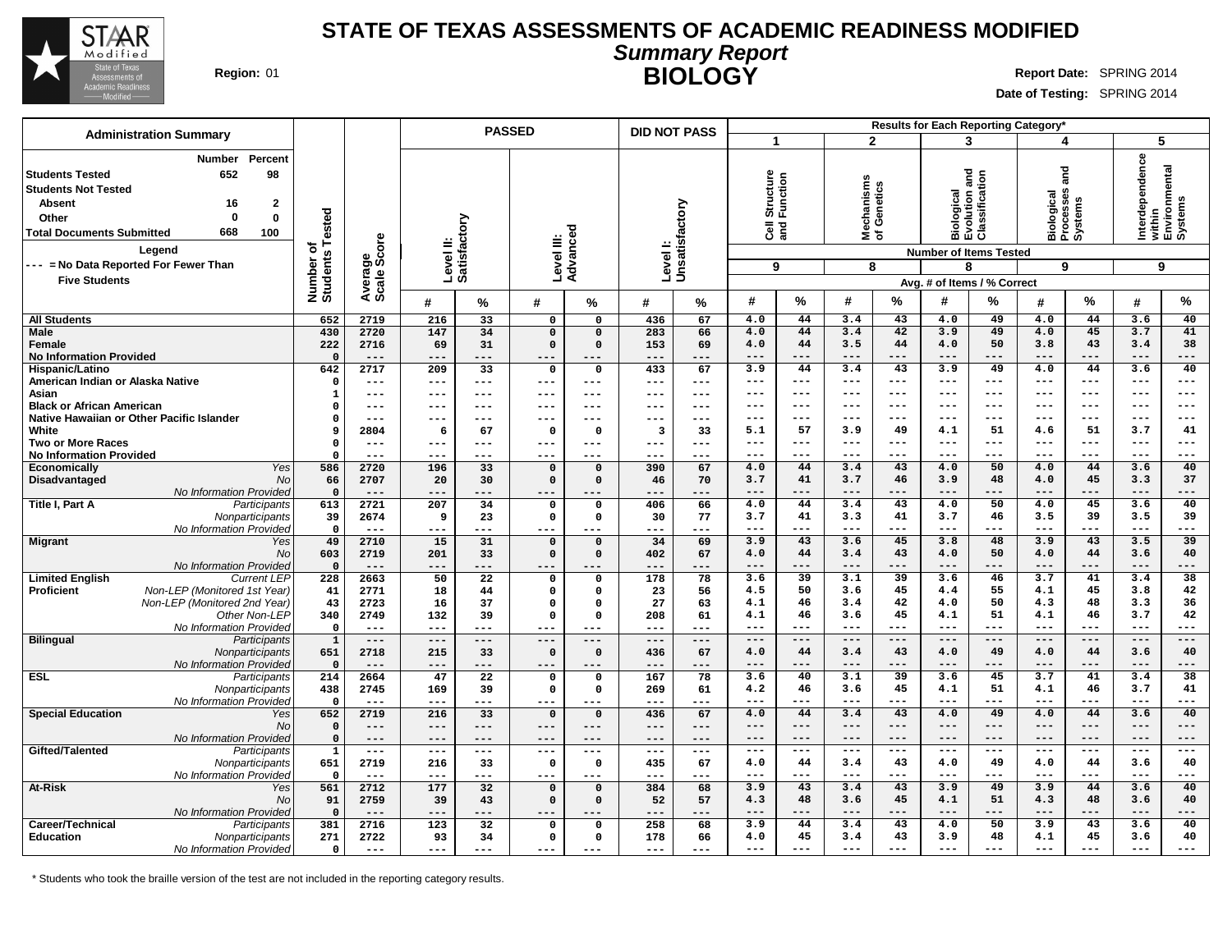

#### **STATE OF TEXAS ASSESSMENTS OF ACADEMIC READINESS MODIFIED Summary Report BIOLOGY** Region: 01 **Region:** 01 **Report** Date: SPRING 2014

**Date of Testing:** SPRING 2014

|                                                                                                                                                                                                                                                                                                 |                                                    |                                                |                                       |                                                 | <b>PASSED</b>                                                           |                                              | <b>DID NOT PASS</b>                    |                                      |                                                          |                                                 |                                                 |                                                 |                                                             | Results for Each Reporting Category*                         |                                                |                                                    |                                                            |                                    |
|-------------------------------------------------------------------------------------------------------------------------------------------------------------------------------------------------------------------------------------------------------------------------------------------------|----------------------------------------------------|------------------------------------------------|---------------------------------------|-------------------------------------------------|-------------------------------------------------------------------------|----------------------------------------------|----------------------------------------|--------------------------------------|----------------------------------------------------------|-------------------------------------------------|-------------------------------------------------|-------------------------------------------------|-------------------------------------------------------------|--------------------------------------------------------------|------------------------------------------------|----------------------------------------------------|------------------------------------------------------------|------------------------------------|
| <b>Administration Summary</b>                                                                                                                                                                                                                                                                   |                                                    |                                                |                                       |                                                 |                                                                         |                                              |                                        |                                      | 1                                                        |                                                 | $\overline{2}$                                  |                                                 | 3                                                           |                                                              | 4                                              |                                                    | 5                                                          |                                    |
| Percent<br>Number<br><b>Students Tested</b><br>652<br>98<br><b>Students Not Tested</b><br><b>Absent</b><br>16<br>$\mathbf{2}$<br>$\Omega$<br>$\mathbf{0}$<br>Other<br>668<br>100<br><b>Total Documents Submitted</b><br>Legend<br>--- = No Data Reported For Fewer Than<br><b>Five Students</b> | Tested<br>৳<br>Number of<br>Students               | ige<br>Score<br>Avera<br>Scale                 | Level II:<br>Satisfactory             |                                                 | Level III:                                                              | Advance                                      | Levell:<br>Unsatisfactory              |                                      | Structure<br>Function<br>$\overline{3}$<br>9             |                                                 | hanisms<br>lechanisms<br>f Genetics<br>을 준<br>8 |                                                 | <b>Biological<br/>Evolution and<br/>Classification</b><br>8 | <b>Number of Items Tested</b><br>Avg. # of Items / % Correct | and<br>Biological<br>Processes<br>Systems<br>9 |                                                    | Interdependence<br>within<br>Environmental<br>Systems<br>9 |                                    |
|                                                                                                                                                                                                                                                                                                 |                                                    |                                                | #                                     | %                                               | #                                                                       | %                                            | #                                      | %                                    | #                                                        | %                                               | #                                               | %                                               | #                                                           | $\%$                                                         | #                                              | %                                                  | #                                                          | $\%$                               |
| <b>All Students</b>                                                                                                                                                                                                                                                                             | 652                                                | 2719                                           | 216                                   | $\overline{33}$                                 | $\mathbf{o}$                                                            | 0                                            | 436                                    | 67                                   | 4.0                                                      | 44                                              | 3.4                                             | 43                                              | 4.0                                                         | 49                                                           | 4.0                                            | 44                                                 | 3.6                                                        | 40                                 |
| <b>Male</b><br>Female<br><b>No Information Provided</b>                                                                                                                                                                                                                                         | 430<br>222<br>$\Omega$                             | 2720<br>2716<br>$---$                          | 147<br>69<br>$---$                    | 34<br>31<br>---                                 | $\overline{0}$<br>$\Omega$<br>$---$                                     | $\Omega$<br>$\Omega$<br>---                  | 283<br>153<br>---                      | 66<br>69<br>---                      | 4.0<br>4.0<br>$- - -$                                    | 44<br>44<br>---                                 | 3.4<br>3.5<br>$- - -$                           | 42<br>44<br>---                                 | 3.9<br>4.0<br>$--$                                          | 49<br>50<br>---                                              | 4.0<br>3.8<br>$---$                            | 45<br>43<br>---                                    | 3.7<br>3.4<br>$---$                                        | 41<br>38<br>---                    |
| Hispanic/Latino<br>American Indian or Alaska Native                                                                                                                                                                                                                                             | 642<br>$^{\circ}$                                  | 2717<br>$---$                                  | 209<br>$---$                          | 33<br>---                                       | $\mathsf{o}$<br>$---$                                                   | $\mathbf 0$<br>---                           | 433<br>$---$                           | 67<br>$-- -$                         | 3.9<br>$---$                                             | 44<br>---                                       | 3.4<br>$- - -$                                  | 43<br>$---$                                     | 3.9<br>$- - -$                                              | 49<br>$---$                                                  | 4.0<br>$---$                                   | 44<br>$---$                                        | 3.6<br>$---$                                               | 40<br>$---$                        |
| Asian<br><b>Black or African American</b><br>Native Hawaiian or Other Pacific Islander                                                                                                                                                                                                          | 1<br>$\Omega$<br>$\Omega$                          | ---<br>---<br>$---$                            | ---<br>---                            | ---<br>---<br>---                               | $\qquad \qquad - -$<br>$---$<br>$- - -$                                 | ---<br>---<br>---                            | $---$<br>---<br>---                    | $---$<br>---<br>---                  | $---$<br>---<br>$---$                                    | ---<br>---<br>$---$                             | $- - -$<br>$--$<br>$---$                        | $---$<br>$---$<br>$---$                         | $- - -$<br>$--$<br>$---$                                    | $---$<br>$---$<br>$---$                                      | $---$<br>$---$<br>$---$                        | $---$<br>$---$<br>$---$                            | $\qquad \qquad - -$<br>$---$<br>$---$                      | $- - -$<br>---<br>$- - -$          |
| White<br><b>Two or More Races</b>                                                                                                                                                                                                                                                               | 9<br>$\mathbf 0$                                   | 2804<br>$---$                                  | 6<br>$---$                            | 67<br>---                                       | $\mathbf{o}$<br>$---$                                                   | 0<br>---                                     | 3<br>$---$                             | 33<br>$- - -$                        | 5.1<br>$---$                                             | 57<br>$---$                                     | 3.9<br>$- - -$                                  | 49<br>$---$                                     | 4.1<br>$- - -$                                              | 51<br>$---$                                                  | 4.6<br>$---$                                   | 51<br>$---$                                        | 3.7<br>$---$                                               | 41<br>---                          |
| <b>No Information Provided</b><br>Economically<br>Yes                                                                                                                                                                                                                                           | $\Omega$<br>586                                    | $---$<br>2720                                  | $---$<br>196                          | ---<br>33                                       | $- - -$<br>$\mathbf 0$                                                  | ---<br>$\Omega$                              | $---$<br>390                           | $---$<br>67                          | $\qquad \qquad -$<br>4.0                                 | ---<br>44                                       | $--$<br>3.4                                     | ---<br>43                                       | $--$<br>4.0                                                 | ---<br>50                                                    | $---$<br>4.0                                   | $---$<br>44                                        | $\qquad \qquad -$<br>3.6                                   | ---<br>40                          |
| Disadvantaged<br>No<br>No Information Provided                                                                                                                                                                                                                                                  | 66<br>$\mathbf 0$                                  | 2707<br>$---$                                  | 20                                    | 30<br>---                                       | $\mathbf 0$<br>$---$                                                    | $\Omega$                                     | 46<br>---                              | 70<br>---                            | 3.7<br>$---$                                             | 41<br>$---$                                     | 3.7<br>$---$                                    | 46<br>$---$                                     | 3.9<br>$---$                                                | 48<br>---                                                    | 4.0<br>$---$                                   | 45<br>---                                          | 3.3<br>$---$                                               | 37<br>---                          |
| Title I, Part A<br>Participants<br>Nonparticipants<br>No Information Provided                                                                                                                                                                                                                   | 613<br>39<br>$\mathbf 0$                           | 2721<br>2674<br>$---$                          | 207<br>9<br>$---$                     | 34<br>23<br>---                                 | $\mathbf 0$<br>$\mathbf 0$<br>$---$                                     | $\Omega$<br>$\mathbf 0$<br>---               | 406<br>30<br>---                       | 66<br>77<br>$---$                    | 4.0<br>3.7<br>$---$                                      | 44<br>41<br>$---$                               | 3.4<br>3.3<br>$---$                             | 43<br>41<br>$---$                               | 4.0<br>3.7<br>$---$                                         | 50<br>46<br>---                                              | 4.0<br>3.5<br>$---$                            | 45<br>39<br>---                                    | 3.6<br>3.5<br>$---$                                        | 40<br>39<br>---                    |
| <b>Migrant</b><br>Yes<br><b>No</b>                                                                                                                                                                                                                                                              | 49<br>603                                          | 2710<br>2719                                   | 15<br>201                             | 31<br>33                                        | $\mathbf 0$<br>$\mathbf 0$                                              | $\Omega$<br>$\Omega$                         | 34<br>402                              | 69<br>67                             | 3.9<br>4.0                                               | 43<br>44                                        | 3.6<br>3.4                                      | 45<br>43                                        | 3.8<br>4.0                                                  | 48<br>50                                                     | 3.9<br>4.0                                     | 43<br>44                                           | 3.5<br>3.6                                                 | 39<br>40                           |
| No Information Provided<br><b>Limited English</b><br><b>Current LEP</b><br>Non-LEP (Monitored 1st Year)<br><b>Proficient</b><br>Non-LEP (Monitored 2nd Year)<br>Other Non-LEP<br>No Information Provided                                                                                        | $\Omega$<br>228<br>41<br>43<br>340<br>$\mathbf{o}$ | $---$<br>2663<br>2771<br>2723<br>2749<br>$---$ | ---<br>50<br>18<br>16<br>132<br>$---$ | ---<br>$\overline{22}$<br>44<br>37<br>39<br>--- | $---$<br>$\mathbf 0$<br>$\mathbf 0$<br>$\mathbf 0$<br>$\Omega$<br>$---$ | $\Omega$<br>$\Omega$<br>$\Omega$<br>$\Omega$ | ---<br>178<br>23<br>27<br>208<br>$---$ | ---<br>78<br>56<br>63<br>61<br>$---$ | $---$<br>3.6<br>4.5<br>4.1<br>4.1<br>$\qquad \qquad - -$ | ---<br>$\overline{39}$<br>50<br>46<br>46<br>--- | $--$<br>3.1<br>3.6<br>3.4<br>3.6<br>$---$       | ---<br>$\overline{39}$<br>45<br>42<br>45<br>--- | $--$<br>3.6<br>4.4<br>4.0<br>4.1<br>$\qquad \qquad - -$     | ---<br>46<br>55<br>50<br>51<br>---                           | $---$<br>3.7<br>4.1<br>4.3<br>4.1<br>$---$     | ---<br>41<br>45<br>48<br>46<br>$\qquad \qquad - -$ | $---$<br>3.4<br>3.8<br>3.3<br>3.7<br>$\qquad \qquad - -$   | ---<br>38<br>42<br>36<br>42<br>--- |
| <b>Bilingual</b><br>Participants<br>Nonparticipants<br>No Information Provided                                                                                                                                                                                                                  | $\mathbf{1}$<br>651<br>$\Omega$                    | $---$<br>2718<br>$---$                         | $---$<br>215<br>$---$                 | ---<br>33<br>---                                | $---$<br>$\Omega$<br>$---$                                              | ---<br>$\Omega$<br>---                       | $---$<br>436<br>---                    | $---$<br>67<br>---                   | $---$<br>4.0<br>$---$                                    | $---$<br>44<br>$---$                            | $---$<br>3.4<br>$---$                           | $---$<br>43<br>---                              | $---$<br>4.0<br>$---$                                       | $---$<br>49<br>---                                           | $---$<br>4.0<br>$---$                          | $---$<br>44<br>---                                 | $---$<br>3.6<br>$---$                                      | ---<br>40<br>---                   |
| <b>ESL</b><br>Participants<br>Nonparticipants<br>No Information Provided                                                                                                                                                                                                                        | 214<br>438<br>$\Omega$                             | 2664<br>2745<br>---                            | 47<br>169<br>---                      | $\overline{22}$<br>39<br>---                    | $\mathbf 0$<br>$\mathbf 0$<br>---                                       | $\mathbf 0$<br>0                             | 167<br>269<br>---                      | 78<br>61<br>---                      | 3.6<br>4.2<br>$---$                                      | 40<br>46<br>---                                 | 3.1<br>3.6<br>$- - -$                           | $\overline{39}$<br>45<br>---                    | 3.6<br>4.1<br>$- - -$                                       | 45<br>51<br>---                                              | 3.7<br>4.1<br>$---$                            | 41<br>46<br>---                                    | 3.4<br>3.7<br>$---$                                        | 38<br>41<br>---                    |
| <b>Special Education</b><br>Yes<br>No<br>No Information Provided                                                                                                                                                                                                                                | 652<br>$\mathbf 0$<br>$\mathbf{o}$                 | 2719<br>$---$<br>$---$                         | 216<br>$---$<br>$---$                 | 33<br>---<br>---                                | $\mathbf 0$<br>$---$<br>$---$                                           | $\Omega$<br>---<br>---                       | 436<br>$---$<br>$---$                  | 67<br>$---$<br>$---$                 | 4.0<br>$---$<br>$---$                                    | 44<br>---<br>$---$                              | 3.4<br>$---$<br>$---$                           | 43<br>$- - -$<br>$---$                          | 4.0<br>$- - -$<br>$---$                                     | 49<br>---<br>$---$                                           | 4.0<br>$---$<br>$---$                          | 44<br>$---$<br>$---$                               | 3.6<br>$---$<br>$---$                                      | 40<br>---<br>$---$                 |
| Gifted/Talented<br>Participants<br>Nonparticipants<br>No Information Provided                                                                                                                                                                                                                   | $\mathbf{1}$<br>651<br>$\mathbf 0$                 | $\qquad \qquad - -$<br>2719<br>$---$           | $---$<br>216<br>$---$                 | $---$<br>33<br>---                              | $---$<br>$\mathbf 0$<br>$---$                                           | ---<br>$\mathbf 0$<br>---                    | $---$<br>435<br>$---$                  | $---$<br>67<br>$---$                 | $- - -$<br>4.0<br>$\frac{1}{2}$                          | $---$<br>44<br>---                              | $- - -$<br>3.4<br>$---$                         | $---$<br>43<br>---                              | $- - -$<br>4.0<br>$- - -$                                   | $---$<br>49<br>---                                           | $---$<br>4.0<br>$---$                          | $---$<br>44<br>---                                 | $---$<br>3.6<br>$- - -$                                    | $---$<br>40<br>---                 |
| At-Risk<br>Yes<br>No<br>No Information Provided                                                                                                                                                                                                                                                 | 561<br>91<br>$\Omega$                              | 2712<br>2759<br>$---$                          | 177<br>39<br>$---$                    | 32<br>43<br>---                                 | $\mathbf 0$<br>$\mathbf 0$<br>$---$                                     | $\mathbf 0$<br>$\mathbf 0$<br>---            | 384<br>52<br>---                       | 68<br>57<br>$---$                    | 3.9<br>4.3<br>$---$                                      | 43<br>48<br>---                                 | 3.4<br>3.6<br>$---$                             | 43<br>45<br>$---$                               | 3.9<br>4.1<br>$---$                                         | 49<br>51<br>---                                              | 3.9<br>4.3<br>$---$                            | 44<br>48<br>---                                    | 3.6<br>3.6<br>$---$                                        | 40<br>40<br>---                    |
| Career/Technical<br>Participants<br><b>Education</b><br>Nonparticipants<br>No Information Provided                                                                                                                                                                                              | 381<br>271<br>$\mathbf 0$                          | 2716<br>2722<br>$\frac{1}{2}$                  | 123<br>93<br>$---$                    | 32<br>34<br>---                                 | $\mathsf{o}$<br>$\mathbf 0$<br>$---$                                    | $\Omega$<br>$\Omega$<br>---                  | 258<br>178<br>$- - -$                  | 68<br>66<br>$---$                    | 3.9<br>4.0<br>$---$                                      | 44<br>45                                        | 3.4<br>3.4                                      | 43<br>43                                        | 4.0<br>3.9                                                  | 50<br>48                                                     | 3.9<br>4.1                                     | 43<br>45                                           | 3.6<br>3.6                                                 | 40<br>40                           |

\* Students who took the braille version of the test are not included in the reporting category results.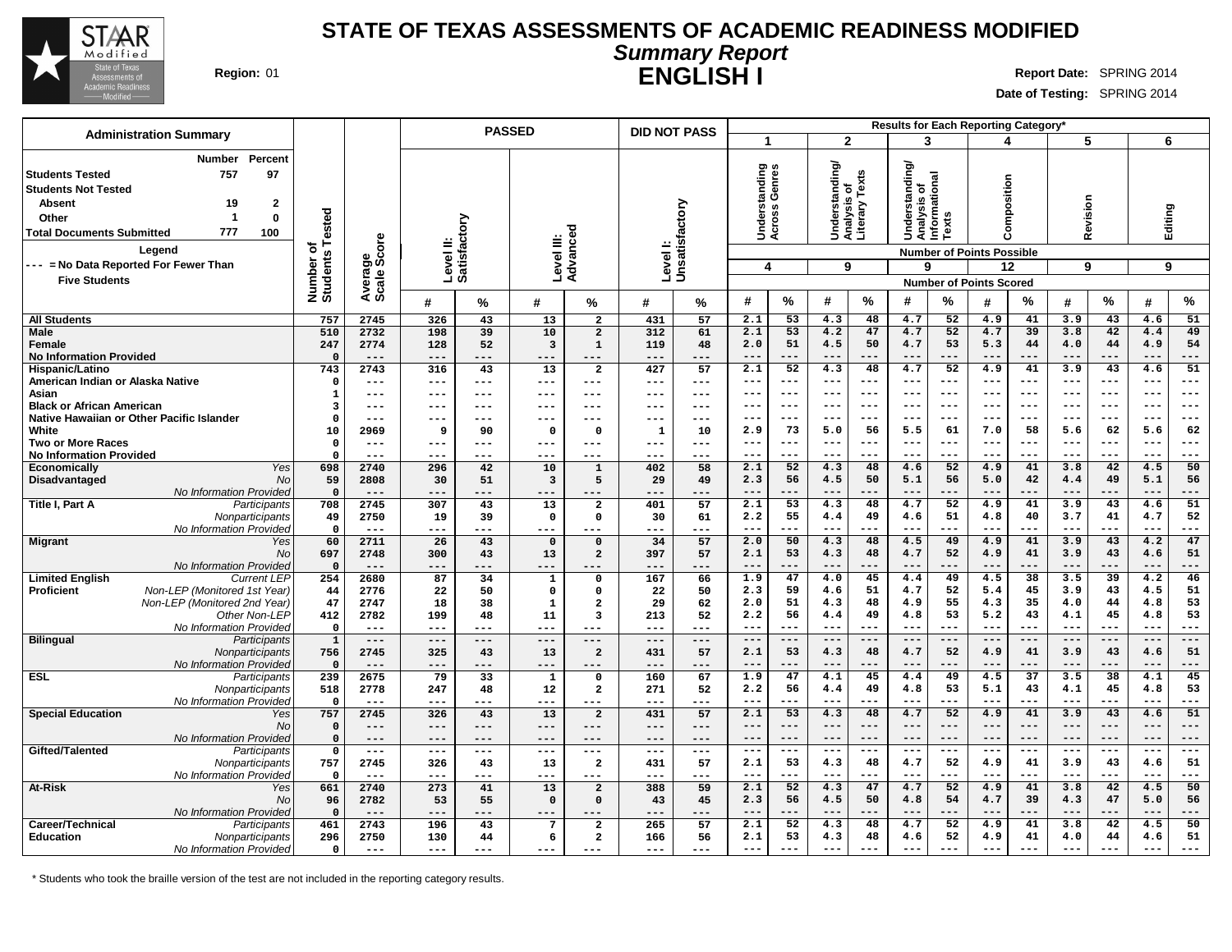

#### **STATE OF TEXAS ASSESSMENTS OF ACADEMIC READINESS MODIFIED Summary Report ENGLISH I Region:** 01 **Report** Date: SPRING 2014

**Date of Testing:** SPRING 2014

| $\mathbf{2}$<br>6<br>3<br>5<br>-1<br>4<br>Percent<br>Number<br>anding<br>tanding/<br>tanding<br>Genres<br>Analysis of<br>Literary Texts<br>757<br>97<br>Analysis of<br>Informational<br>Composition<br>Revision<br>$\overline{2}$<br>Unsatisfactory<br><b>Absent</b><br>19<br>苆<br>ъ<br>ī.<br>Across<br>Editing<br>Number of<br>Students Tested<br>Under<br>ᇰ<br>ត<br><b>Texts</b><br>$\mathbf 0$<br>-1<br>Other<br>ctory<br>š<br>É<br>Advanced<br>777<br>100<br>ge<br>Score<br>Level III:<br>≝<br>Level I:<br>Ø.<br>Legend<br><b>Number of Points Possible</b><br>Level<br><b>Satisfa</b><br>9<br>9<br>4<br>9<br>9<br>12<br>Avera<br>Scale<br><b>Five Students</b><br><b>Number of Points Scored</b><br>$\%$<br>%<br>$\%$<br>$\%$<br>$\%$<br>#<br>%<br>#<br>#<br>#<br>%<br>#<br>%<br>#<br>%<br>#<br>#<br>#<br>431<br>2.1<br>53<br>48<br>4.7<br>52<br>41<br>3.9<br>43<br>51<br><b>All Students</b><br>757<br>2745<br>326<br>43<br>13<br>$\overline{\mathbf{2}}$<br>57<br>4.3<br>4.9<br>4.6<br>510<br>2732<br>39<br>10<br>2.1<br>53<br>4.2<br>47<br>4.7<br>52<br>39<br>3.8<br>42<br>49<br>198<br>$\overline{a}$<br>312<br>61<br>4.7<br>4.4<br>51<br>50<br>53<br>5.3<br>44<br>44<br>4.9<br>54<br>247<br>2774<br>128<br>52<br>$\overline{\mathbf{3}}$<br>$\mathbf 1$<br>119<br>48<br>2.0<br>4.5<br>4.7<br>4.0<br>Female<br><b>No Information Provided</b><br>$\Omega$<br>$---$<br>---<br>$---$<br>---<br>$---$<br>$---$<br>$---$<br>---<br>$---$<br>$--$<br>$---$<br>---<br>$- - -$<br>$- - -$<br>---<br>$- - -$<br>---<br>$---$<br>2.1<br>52<br>4.3<br>4.7<br>52<br>41<br>3.9<br>43<br>51<br>743<br>2743<br>316<br>43<br>13<br>$\overline{\mathbf{2}}$<br>427<br>57<br>48<br>4.9<br>4.6<br>Hispanic/Latino<br>American Indian or Alaska Native<br>$--$<br>$---$<br>$---$<br>$---$<br>$--$<br>$---$<br>---<br>$---$<br>$---$<br>---<br>$---$<br>$\Omega$<br>$---$<br>---<br>$---$<br>---<br>$\qquad \qquad - -$<br>---<br>$---$<br>---<br>$---$<br>$---$<br>$\frac{1}{2}$<br>$---$<br>$\frac{1}{2}$<br>$---$<br>$---$<br>$---$<br>Asian<br>$--$<br>---<br>---<br>$--$<br>1<br>---<br>$---$<br>---<br>$---$<br>---<br>$---$<br>---<br><b>Black or African American</b><br>$---$<br>$---$<br>3<br>$- -$<br>---<br>$--$<br>$- - -$<br>$--$<br>$--$<br>$- - -$<br>---<br>$- - -$<br>---<br>$---$<br>---<br>Native Hawaiian or Other Pacific Islander<br>$---$<br>$\Omega$<br>$---$<br>$---$<br>$---$<br>$---$<br>$---$<br>---<br>$---$<br>$---$<br>$--$<br>---<br>---<br>$---$<br>---<br>$---$<br>---<br>$---$<br>---<br>$---$<br>73<br>56<br>61<br>58<br>62<br>62<br>White<br>10<br>2.9<br>5.0<br>5.5<br>7.0<br>5.6<br>5.6<br>2969<br>9<br>90<br>$\mathbf 0$<br>$\mathbf{1}$<br>10<br>$\mathbf{o}$<br><b>Two or More Races</b><br>$\Omega$<br>$---$<br>---<br>$--$<br>---<br>$--$<br>$--$<br>$--$<br>$--$<br>$--$<br>$---$<br>$---$<br>---<br>$---$<br>---<br>$---$<br>$\Omega$<br>$---$<br>---<br>$\frac{1}{2}$<br>---<br>$---$<br>$- -$<br>---<br>---<br>$--$<br>---<br>$- -$<br>---<br>---<br>4.3<br>10<br>2.1<br>52<br>48<br>4.6<br>52<br>4.9<br>41<br>3.8<br>42<br>4.5<br>50<br>Yes<br>698<br>2740<br>296<br>42<br>$\mathbf{1}$<br>402<br>58<br>Economically<br>42<br>49<br>56<br>50<br>5.1<br>56<br>56<br>59<br>2808<br>2.3<br>4.5<br>5.0<br>4.4<br>5.1<br>Disadvantaged<br>No<br>30<br>51<br>3<br>5<br>29<br>49<br>No Information Provided<br>$\Omega$<br>$---$<br>$- - -$<br>$---$<br>$---$<br>$---$<br>$---$<br>$---$<br>$---$<br>---<br>$- - -$<br>$- - -$<br>$---$<br>---<br>---<br>$---$<br>---<br>$---$<br>---<br>---<br>53<br>48<br>52<br>41<br>43<br>51<br>Title I, Part A<br>13<br>57<br>2.1<br>4.3<br>4.7<br>4.9<br>3.9<br>4.6<br>Participants<br>708<br>2745<br>307<br>43<br>$\overline{\mathbf{2}}$<br>401<br>4.7<br>55<br>51<br>3.7<br>41<br>52<br>Nonparticipants<br>61<br>2.2<br>4.4<br>49<br>4.6<br>4.8<br>40<br>49<br>2750<br>19<br>39<br>$\mathbf 0$<br>$\mathbf 0$<br>30<br>No Information Provided<br>$\Omega$<br>$---$<br>---<br>$---$<br>---<br>$---$<br>$---$<br>$---$<br>$---$<br>$---$<br>$---$<br>$---$<br>$---$<br>$---$<br>---<br>---<br>$--$<br>---<br>---<br>---<br>43<br>57<br>50<br>4.3<br>48<br>41<br>43<br>4.2<br>47<br>60<br>2711<br>26<br>34<br>2.0<br>4.5<br>49<br>4.9<br>3.9<br>Yes<br>$\mathbf{o}$<br>$\mathbf{0}$<br>53<br>52<br>41<br>43<br>51<br>697<br>43<br>13<br>$\overline{a}$<br>57<br>2.1<br>4.3<br>48<br>4.7<br>4.9<br>3.9<br>4.6<br>No<br>2748<br>300<br>397<br>No Information Provideo<br>$\mathbf 0$<br>$---$<br>$---$<br>---<br>---<br>$---$<br>---<br>---<br>---<br>$---$<br>$---$<br>$---$<br>$---$<br>$- - -$<br>$---$<br>$---$<br>$---$<br>254<br>2680<br>167<br>1.9<br>47<br>4.0<br>45<br>4.4<br>49<br>4.5<br>38<br>3.5<br>39<br>4.2<br>46<br><b>Limited English</b><br><b>Current LEP</b><br>87<br>34<br>$\mathbf 0$<br>66<br>1<br>Non-LEP (Monitored 1st Year)<br>2.3<br>59<br>51<br>4.7<br>52<br>5.4<br>45<br>3.9<br>43<br>4.5<br>51<br><b>Proficient</b><br>2776<br>50<br>4.6<br>44<br>22<br>0<br>$\mathbf 0$<br>22<br>50<br>51<br>48<br>55<br>35<br>44<br>53<br>Non-LEP (Monitored 2nd Year)<br>2.0<br>4.3<br>4.9<br>4.3<br>4.0<br>4.8<br>47<br>2747<br>18<br>38<br>$\overline{a}$<br>29<br>62<br>1<br>2.2<br>56<br>53<br>5.2<br>43<br>45<br>4.8<br>53<br>Other Non-LEF<br>4.4<br>49<br>4.8<br>4.1<br>412<br>2782<br>199<br>11<br>52<br>48<br>$\overline{\mathbf{3}}$<br>213<br>No Information Provideo<br>$\mathbf 0$<br>$- - -$<br>$---$<br>$---$<br>$---$<br>$---$<br>$---$<br>$---$<br>$---$<br>$---$<br>$---$<br>$---$<br>$---$<br>$---$<br>$---$<br>---<br>$---$<br>---<br>$---$<br>---<br><b>Bilingual</b><br>$\mathbf 1$<br>$---$<br>$---$<br>Participants<br>$---$<br>$---$<br>$---$<br>$---$<br>$---$<br>$---$<br>$---$<br>$---$<br>$---$<br>$---$<br>$---$<br>$---$<br>---<br>$---$<br>---<br>$---$<br>$---$<br>756<br>2745<br>43<br>13<br>$\overline{a}$<br>431<br>57<br>2.1<br>53<br>4.3<br>48<br>4.7<br>52<br>4.9<br>41<br>3.9<br>43<br>4.6<br>51<br>Nonparticipants<br>325<br>No Information Provided<br>$\mathbf 0$<br>$---$<br>$---$<br>$---$<br>$---$<br>---<br>$---$<br>---<br>$---$<br>$---$<br>$---$<br>$---$<br>$---$<br>$---$<br>$---$<br>---<br>$---$<br>---<br>$---$<br>---<br>$\overline{37}$<br>38<br><b>ESL</b><br>239<br>2675<br>79<br>33<br>160<br>67<br>1.9<br>47<br>4.1<br>45<br>4.4<br>49<br>4.5<br>3.5<br>4.1<br>45<br>Participants<br>$\mathbf 0$<br>1<br>2.2<br>56<br>49<br>53<br>5.1<br>43<br>45<br>4.8<br>53<br>Nonparticipants<br>518<br>2778<br>247<br>48<br>12<br>$\overline{\mathbf{2}}$<br>271<br>52<br>4.4<br>4.8<br>4.1<br>No Information Provideo<br>$---$<br>$---$<br>$---$<br>$---$<br>$--$<br>$- - -$<br>$--$<br>$---$<br>$---$<br>---<br>$---$<br>$\mathbf 0$<br>---<br>$---$<br>---<br>$---$<br>$---$<br>---<br>$---$<br>$---$<br>53<br>52<br>51<br>2.1<br>4.3<br>48<br>41<br>43<br><b>Special Education</b><br>757<br>326<br>13<br>431<br>57<br>4.7<br>4.9<br>3.9<br>4.6<br>Yes<br>2745<br>43<br>$\overline{a}$<br>No<br>$\mathbf 0$<br>$---$<br>$---$<br>$---$<br>$---$<br>$---$<br>$---$<br>$---$<br>$---$<br>$---$<br>$---$<br>$---$<br>---<br>---<br>---<br>$---$<br>$---$<br>$---$<br>$---$<br>$---$<br>No Information Provided<br>$\mathbf 0$<br>$---$<br>$---$<br>$---$<br>$---$<br>$---$<br>$---$<br>$---$<br>$---$<br>$---$<br>$---$<br>$---$<br>$- - -$<br>$- - -$<br>$---$<br>---<br>---<br>---<br>---<br>$---$<br>Gifted/Talented<br>$\frac{1}{2}$<br>$\frac{1}{2}$<br>$---$<br>$\frac{1}{2}$<br>$\qquad \qquad - -$<br>$---$<br>$---$<br>$---$<br>$---$<br>Participants<br>$\mathbf 0$<br>$---$<br>$---$<br>$---$<br>$\frac{1}{2}$<br>$---$<br>$---$<br>---<br>$---$<br>$---$<br>$--$ |                                                                                                                                   |     |      |     | <b>PASSED</b> |    |                | <b>DID NOT PASS</b> |    |     |    |     |    | Results for Each Reporting Category* |    |     |    |     |    |     |    |
|------------------------------------------------------------------------------------------------------------------------------------------------------------------------------------------------------------------------------------------------------------------------------------------------------------------------------------------------------------------------------------------------------------------------------------------------------------------------------------------------------------------------------------------------------------------------------------------------------------------------------------------------------------------------------------------------------------------------------------------------------------------------------------------------------------------------------------------------------------------------------------------------------------------------------------------------------------------------------------------------------------------------------------------------------------------------------------------------------------------------------------------------------------------------------------------------------------------------------------------------------------------------------------------------------------------------------------------------------------------------------------------------------------------------------------------------------------------------------------------------------------------------------------------------------------------------------------------------------------------------------------------------------------------------------------------------------------------------------------------------------------------------------------------------------------------------------------------------------------------------------------------------------------------------------------------------------------------------------------------------------------------------------------------------------------------------------------------------------------------------------------------------------------------------------------------------------------------------------------------------------------------------------------------------------------------------------------------------------------------------------------------------------------------------------------------------------------------------------------------------------------------------------------------------------------------------------------------------------------------------------------------------------------------------------------------------------------------------------------------------------------------------------------------------------------------------------------------------------------------------------------------------------------------------------------------------------------------------------------------------------------------------------------------------------------------------------------------------------------------------------------------------------------------------------------------------------------------------------------------------------------------------------------------------------------------------------------------------------------------------------------------------------------------------------------------------------------------------------------------------------------------------------------------------------------------------------------------------------------------------------------------------------------------------------------------------------------------------------------------------------------------------------------------------------------------------------------------------------------------------------------------------------------------------------------------------------------------------------------------------------------------------------------------------------------------------------------------------------------------------------------------------------------------------------------------------------------------------------------------------------------------------------------------------------------------------------------------------------------------------------------------------------------------------------------------------------------------------------------------------------------------------------------------------------------------------------------------------------------------------------------------------------------------------------------------------------------------------------------------------------------------------------------------------------------------------------------------------------------------------------------------------------------------------------------------------------------------------------------------------------------------------------------------------------------------------------------------------------------------------------------------------------------------------------------------------------------------------------------------------------------------------------------------------------------------------------------------------------------------------------------------------------------------------------------------------------------------------------------------------------------------------------------------------------------------------------------------------------------------------------------------------------------------------------------------------------------------------------------------------------------------------------------------------------------------------------------------------------------------------------------------------------------------------------------------------------------------------------------------------------------------------------------------------------------------------------------------------------------------------------------------------------------------------------------------------------------------------------------------------------------------------------------------------------------------------------------------------------------------------------------------------------------------------------------------------------------------------------------------------------------------------------------------------------------------------------------------------------------------------------------------------------------------------------------------------------------------------------------------------------------------------------------------------------------------------------------------------------------------------------------------------------------------------------------------------------------------------------------------------------------------------------------------------------------------------------------------------------------------------------------------------------------------------------------------------------------------------------------------------------------------------------------------------------------------------------------------------------------------------------------------------------------------------------------------------------------------------------------------------------------------------------------------------------------------------------------------------------------------------|-----------------------------------------------------------------------------------------------------------------------------------|-----|------|-----|---------------|----|----------------|---------------------|----|-----|----|-----|----|--------------------------------------|----|-----|----|-----|----|-----|----|
|                                                                                                                                                                                                                                                                                                                                                                                                                                                                                                                                                                                                                                                                                                                                                                                                                                                                                                                                                                                                                                                                                                                                                                                                                                                                                                                                                                                                                                                                                                                                                                                                                                                                                                                                                                                                                                                                                                                                                                                                                                                                                                                                                                                                                                                                                                                                                                                                                                                                                                                                                                                                                                                                                                                                                                                                                                                                                                                                                                                                                                                                                                                                                                                                                                                                                                                                                                                                                                                                                                                                                                                                                                                                                                                                                                                                                                                                                                                                                                                                                                                                                                                                                                                                                                                                                                                                                                                                                                                                                                                                                                                                                                                                                                                                                                                                                                                                                                                                                                                                                                                                                                                                                                                                                                                                                                                                                                                                                                                                                                                                                                                                                                                                                                                                                                                                                                                                                                                                                                                                                                                                                                                                                                                                                                                                                                                                                                                                                                                                                                                                                                                                                                                                                                                                                                                                                                                                                                                                                                                                                                                                                                                                                                                                                                                                                                                                                                                                                                                                                                                                                                                                                        | <b>Administration Summary</b>                                                                                                     |     |      |     |               |    |                |                     |    |     |    |     |    |                                      |    |     |    |     |    |     |    |
|                                                                                                                                                                                                                                                                                                                                                                                                                                                                                                                                                                                                                                                                                                                                                                                                                                                                                                                                                                                                                                                                                                                                                                                                                                                                                                                                                                                                                                                                                                                                                                                                                                                                                                                                                                                                                                                                                                                                                                                                                                                                                                                                                                                                                                                                                                                                                                                                                                                                                                                                                                                                                                                                                                                                                                                                                                                                                                                                                                                                                                                                                                                                                                                                                                                                                                                                                                                                                                                                                                                                                                                                                                                                                                                                                                                                                                                                                                                                                                                                                                                                                                                                                                                                                                                                                                                                                                                                                                                                                                                                                                                                                                                                                                                                                                                                                                                                                                                                                                                                                                                                                                                                                                                                                                                                                                                                                                                                                                                                                                                                                                                                                                                                                                                                                                                                                                                                                                                                                                                                                                                                                                                                                                                                                                                                                                                                                                                                                                                                                                                                                                                                                                                                                                                                                                                                                                                                                                                                                                                                                                                                                                                                                                                                                                                                                                                                                                                                                                                                                                                                                                                                                        | <b>Students Tested</b><br><b>Students Not Tested</b><br><b>Total Documents Submitted</b><br>--- = No Data Reported For Fewer Than |     |      |     |               |    |                |                     |    |     |    |     |    |                                      |    |     |    |     |    |     |    |
|                                                                                                                                                                                                                                                                                                                                                                                                                                                                                                                                                                                                                                                                                                                                                                                                                                                                                                                                                                                                                                                                                                                                                                                                                                                                                                                                                                                                                                                                                                                                                                                                                                                                                                                                                                                                                                                                                                                                                                                                                                                                                                                                                                                                                                                                                                                                                                                                                                                                                                                                                                                                                                                                                                                                                                                                                                                                                                                                                                                                                                                                                                                                                                                                                                                                                                                                                                                                                                                                                                                                                                                                                                                                                                                                                                                                                                                                                                                                                                                                                                                                                                                                                                                                                                                                                                                                                                                                                                                                                                                                                                                                                                                                                                                                                                                                                                                                                                                                                                                                                                                                                                                                                                                                                                                                                                                                                                                                                                                                                                                                                                                                                                                                                                                                                                                                                                                                                                                                                                                                                                                                                                                                                                                                                                                                                                                                                                                                                                                                                                                                                                                                                                                                                                                                                                                                                                                                                                                                                                                                                                                                                                                                                                                                                                                                                                                                                                                                                                                                                                                                                                                                                        |                                                                                                                                   |     |      |     |               |    |                |                     |    |     |    |     |    |                                      |    |     |    |     |    |     |    |
|                                                                                                                                                                                                                                                                                                                                                                                                                                                                                                                                                                                                                                                                                                                                                                                                                                                                                                                                                                                                                                                                                                                                                                                                                                                                                                                                                                                                                                                                                                                                                                                                                                                                                                                                                                                                                                                                                                                                                                                                                                                                                                                                                                                                                                                                                                                                                                                                                                                                                                                                                                                                                                                                                                                                                                                                                                                                                                                                                                                                                                                                                                                                                                                                                                                                                                                                                                                                                                                                                                                                                                                                                                                                                                                                                                                                                                                                                                                                                                                                                                                                                                                                                                                                                                                                                                                                                                                                                                                                                                                                                                                                                                                                                                                                                                                                                                                                                                                                                                                                                                                                                                                                                                                                                                                                                                                                                                                                                                                                                                                                                                                                                                                                                                                                                                                                                                                                                                                                                                                                                                                                                                                                                                                                                                                                                                                                                                                                                                                                                                                                                                                                                                                                                                                                                                                                                                                                                                                                                                                                                                                                                                                                                                                                                                                                                                                                                                                                                                                                                                                                                                                                                        |                                                                                                                                   |     |      |     |               |    |                |                     |    |     |    |     |    |                                      |    |     |    |     |    |     |    |
|                                                                                                                                                                                                                                                                                                                                                                                                                                                                                                                                                                                                                                                                                                                                                                                                                                                                                                                                                                                                                                                                                                                                                                                                                                                                                                                                                                                                                                                                                                                                                                                                                                                                                                                                                                                                                                                                                                                                                                                                                                                                                                                                                                                                                                                                                                                                                                                                                                                                                                                                                                                                                                                                                                                                                                                                                                                                                                                                                                                                                                                                                                                                                                                                                                                                                                                                                                                                                                                                                                                                                                                                                                                                                                                                                                                                                                                                                                                                                                                                                                                                                                                                                                                                                                                                                                                                                                                                                                                                                                                                                                                                                                                                                                                                                                                                                                                                                                                                                                                                                                                                                                                                                                                                                                                                                                                                                                                                                                                                                                                                                                                                                                                                                                                                                                                                                                                                                                                                                                                                                                                                                                                                                                                                                                                                                                                                                                                                                                                                                                                                                                                                                                                                                                                                                                                                                                                                                                                                                                                                                                                                                                                                                                                                                                                                                                                                                                                                                                                                                                                                                                                                                        | <b>Male</b>                                                                                                                       |     |      |     |               |    |                |                     |    |     |    |     |    |                                      |    |     |    |     |    |     |    |
|                                                                                                                                                                                                                                                                                                                                                                                                                                                                                                                                                                                                                                                                                                                                                                                                                                                                                                                                                                                                                                                                                                                                                                                                                                                                                                                                                                                                                                                                                                                                                                                                                                                                                                                                                                                                                                                                                                                                                                                                                                                                                                                                                                                                                                                                                                                                                                                                                                                                                                                                                                                                                                                                                                                                                                                                                                                                                                                                                                                                                                                                                                                                                                                                                                                                                                                                                                                                                                                                                                                                                                                                                                                                                                                                                                                                                                                                                                                                                                                                                                                                                                                                                                                                                                                                                                                                                                                                                                                                                                                                                                                                                                                                                                                                                                                                                                                                                                                                                                                                                                                                                                                                                                                                                                                                                                                                                                                                                                                                                                                                                                                                                                                                                                                                                                                                                                                                                                                                                                                                                                                                                                                                                                                                                                                                                                                                                                                                                                                                                                                                                                                                                                                                                                                                                                                                                                                                                                                                                                                                                                                                                                                                                                                                                                                                                                                                                                                                                                                                                                                                                                                                                        |                                                                                                                                   |     |      |     |               |    |                |                     |    |     |    |     |    |                                      |    |     |    |     |    |     |    |
|                                                                                                                                                                                                                                                                                                                                                                                                                                                                                                                                                                                                                                                                                                                                                                                                                                                                                                                                                                                                                                                                                                                                                                                                                                                                                                                                                                                                                                                                                                                                                                                                                                                                                                                                                                                                                                                                                                                                                                                                                                                                                                                                                                                                                                                                                                                                                                                                                                                                                                                                                                                                                                                                                                                                                                                                                                                                                                                                                                                                                                                                                                                                                                                                                                                                                                                                                                                                                                                                                                                                                                                                                                                                                                                                                                                                                                                                                                                                                                                                                                                                                                                                                                                                                                                                                                                                                                                                                                                                                                                                                                                                                                                                                                                                                                                                                                                                                                                                                                                                                                                                                                                                                                                                                                                                                                                                                                                                                                                                                                                                                                                                                                                                                                                                                                                                                                                                                                                                                                                                                                                                                                                                                                                                                                                                                                                                                                                                                                                                                                                                                                                                                                                                                                                                                                                                                                                                                                                                                                                                                                                                                                                                                                                                                                                                                                                                                                                                                                                                                                                                                                                                                        |                                                                                                                                   |     |      |     |               |    |                |                     |    |     |    |     |    |                                      |    |     |    |     |    |     |    |
|                                                                                                                                                                                                                                                                                                                                                                                                                                                                                                                                                                                                                                                                                                                                                                                                                                                                                                                                                                                                                                                                                                                                                                                                                                                                                                                                                                                                                                                                                                                                                                                                                                                                                                                                                                                                                                                                                                                                                                                                                                                                                                                                                                                                                                                                                                                                                                                                                                                                                                                                                                                                                                                                                                                                                                                                                                                                                                                                                                                                                                                                                                                                                                                                                                                                                                                                                                                                                                                                                                                                                                                                                                                                                                                                                                                                                                                                                                                                                                                                                                                                                                                                                                                                                                                                                                                                                                                                                                                                                                                                                                                                                                                                                                                                                                                                                                                                                                                                                                                                                                                                                                                                                                                                                                                                                                                                                                                                                                                                                                                                                                                                                                                                                                                                                                                                                                                                                                                                                                                                                                                                                                                                                                                                                                                                                                                                                                                                                                                                                                                                                                                                                                                                                                                                                                                                                                                                                                                                                                                                                                                                                                                                                                                                                                                                                                                                                                                                                                                                                                                                                                                                                        |                                                                                                                                   |     |      |     |               |    |                |                     |    |     |    |     |    |                                      |    |     |    |     |    |     |    |
|                                                                                                                                                                                                                                                                                                                                                                                                                                                                                                                                                                                                                                                                                                                                                                                                                                                                                                                                                                                                                                                                                                                                                                                                                                                                                                                                                                                                                                                                                                                                                                                                                                                                                                                                                                                                                                                                                                                                                                                                                                                                                                                                                                                                                                                                                                                                                                                                                                                                                                                                                                                                                                                                                                                                                                                                                                                                                                                                                                                                                                                                                                                                                                                                                                                                                                                                                                                                                                                                                                                                                                                                                                                                                                                                                                                                                                                                                                                                                                                                                                                                                                                                                                                                                                                                                                                                                                                                                                                                                                                                                                                                                                                                                                                                                                                                                                                                                                                                                                                                                                                                                                                                                                                                                                                                                                                                                                                                                                                                                                                                                                                                                                                                                                                                                                                                                                                                                                                                                                                                                                                                                                                                                                                                                                                                                                                                                                                                                                                                                                                                                                                                                                                                                                                                                                                                                                                                                                                                                                                                                                                                                                                                                                                                                                                                                                                                                                                                                                                                                                                                                                                                                        |                                                                                                                                   |     |      |     |               |    |                |                     |    |     |    |     |    |                                      |    |     |    |     |    |     |    |
|                                                                                                                                                                                                                                                                                                                                                                                                                                                                                                                                                                                                                                                                                                                                                                                                                                                                                                                                                                                                                                                                                                                                                                                                                                                                                                                                                                                                                                                                                                                                                                                                                                                                                                                                                                                                                                                                                                                                                                                                                                                                                                                                                                                                                                                                                                                                                                                                                                                                                                                                                                                                                                                                                                                                                                                                                                                                                                                                                                                                                                                                                                                                                                                                                                                                                                                                                                                                                                                                                                                                                                                                                                                                                                                                                                                                                                                                                                                                                                                                                                                                                                                                                                                                                                                                                                                                                                                                                                                                                                                                                                                                                                                                                                                                                                                                                                                                                                                                                                                                                                                                                                                                                                                                                                                                                                                                                                                                                                                                                                                                                                                                                                                                                                                                                                                                                                                                                                                                                                                                                                                                                                                                                                                                                                                                                                                                                                                                                                                                                                                                                                                                                                                                                                                                                                                                                                                                                                                                                                                                                                                                                                                                                                                                                                                                                                                                                                                                                                                                                                                                                                                                                        |                                                                                                                                   |     |      |     |               |    |                |                     |    |     |    |     |    |                                      |    |     |    |     |    |     |    |
|                                                                                                                                                                                                                                                                                                                                                                                                                                                                                                                                                                                                                                                                                                                                                                                                                                                                                                                                                                                                                                                                                                                                                                                                                                                                                                                                                                                                                                                                                                                                                                                                                                                                                                                                                                                                                                                                                                                                                                                                                                                                                                                                                                                                                                                                                                                                                                                                                                                                                                                                                                                                                                                                                                                                                                                                                                                                                                                                                                                                                                                                                                                                                                                                                                                                                                                                                                                                                                                                                                                                                                                                                                                                                                                                                                                                                                                                                                                                                                                                                                                                                                                                                                                                                                                                                                                                                                                                                                                                                                                                                                                                                                                                                                                                                                                                                                                                                                                                                                                                                                                                                                                                                                                                                                                                                                                                                                                                                                                                                                                                                                                                                                                                                                                                                                                                                                                                                                                                                                                                                                                                                                                                                                                                                                                                                                                                                                                                                                                                                                                                                                                                                                                                                                                                                                                                                                                                                                                                                                                                                                                                                                                                                                                                                                                                                                                                                                                                                                                                                                                                                                                                                        |                                                                                                                                   |     |      |     |               |    |                |                     |    |     |    |     |    |                                      |    |     |    |     |    |     |    |
|                                                                                                                                                                                                                                                                                                                                                                                                                                                                                                                                                                                                                                                                                                                                                                                                                                                                                                                                                                                                                                                                                                                                                                                                                                                                                                                                                                                                                                                                                                                                                                                                                                                                                                                                                                                                                                                                                                                                                                                                                                                                                                                                                                                                                                                                                                                                                                                                                                                                                                                                                                                                                                                                                                                                                                                                                                                                                                                                                                                                                                                                                                                                                                                                                                                                                                                                                                                                                                                                                                                                                                                                                                                                                                                                                                                                                                                                                                                                                                                                                                                                                                                                                                                                                                                                                                                                                                                                                                                                                                                                                                                                                                                                                                                                                                                                                                                                                                                                                                                                                                                                                                                                                                                                                                                                                                                                                                                                                                                                                                                                                                                                                                                                                                                                                                                                                                                                                                                                                                                                                                                                                                                                                                                                                                                                                                                                                                                                                                                                                                                                                                                                                                                                                                                                                                                                                                                                                                                                                                                                                                                                                                                                                                                                                                                                                                                                                                                                                                                                                                                                                                                                                        |                                                                                                                                   |     |      |     |               |    |                |                     |    |     |    |     |    |                                      |    |     |    |     |    |     |    |
|                                                                                                                                                                                                                                                                                                                                                                                                                                                                                                                                                                                                                                                                                                                                                                                                                                                                                                                                                                                                                                                                                                                                                                                                                                                                                                                                                                                                                                                                                                                                                                                                                                                                                                                                                                                                                                                                                                                                                                                                                                                                                                                                                                                                                                                                                                                                                                                                                                                                                                                                                                                                                                                                                                                                                                                                                                                                                                                                                                                                                                                                                                                                                                                                                                                                                                                                                                                                                                                                                                                                                                                                                                                                                                                                                                                                                                                                                                                                                                                                                                                                                                                                                                                                                                                                                                                                                                                                                                                                                                                                                                                                                                                                                                                                                                                                                                                                                                                                                                                                                                                                                                                                                                                                                                                                                                                                                                                                                                                                                                                                                                                                                                                                                                                                                                                                                                                                                                                                                                                                                                                                                                                                                                                                                                                                                                                                                                                                                                                                                                                                                                                                                                                                                                                                                                                                                                                                                                                                                                                                                                                                                                                                                                                                                                                                                                                                                                                                                                                                                                                                                                                                                        | <b>No Information Provided</b>                                                                                                    |     |      |     |               |    |                |                     |    |     |    |     |    |                                      |    |     |    |     |    |     |    |
|                                                                                                                                                                                                                                                                                                                                                                                                                                                                                                                                                                                                                                                                                                                                                                                                                                                                                                                                                                                                                                                                                                                                                                                                                                                                                                                                                                                                                                                                                                                                                                                                                                                                                                                                                                                                                                                                                                                                                                                                                                                                                                                                                                                                                                                                                                                                                                                                                                                                                                                                                                                                                                                                                                                                                                                                                                                                                                                                                                                                                                                                                                                                                                                                                                                                                                                                                                                                                                                                                                                                                                                                                                                                                                                                                                                                                                                                                                                                                                                                                                                                                                                                                                                                                                                                                                                                                                                                                                                                                                                                                                                                                                                                                                                                                                                                                                                                                                                                                                                                                                                                                                                                                                                                                                                                                                                                                                                                                                                                                                                                                                                                                                                                                                                                                                                                                                                                                                                                                                                                                                                                                                                                                                                                                                                                                                                                                                                                                                                                                                                                                                                                                                                                                                                                                                                                                                                                                                                                                                                                                                                                                                                                                                                                                                                                                                                                                                                                                                                                                                                                                                                                                        |                                                                                                                                   |     |      |     |               |    |                |                     |    |     |    |     |    |                                      |    |     |    |     |    |     |    |
|                                                                                                                                                                                                                                                                                                                                                                                                                                                                                                                                                                                                                                                                                                                                                                                                                                                                                                                                                                                                                                                                                                                                                                                                                                                                                                                                                                                                                                                                                                                                                                                                                                                                                                                                                                                                                                                                                                                                                                                                                                                                                                                                                                                                                                                                                                                                                                                                                                                                                                                                                                                                                                                                                                                                                                                                                                                                                                                                                                                                                                                                                                                                                                                                                                                                                                                                                                                                                                                                                                                                                                                                                                                                                                                                                                                                                                                                                                                                                                                                                                                                                                                                                                                                                                                                                                                                                                                                                                                                                                                                                                                                                                                                                                                                                                                                                                                                                                                                                                                                                                                                                                                                                                                                                                                                                                                                                                                                                                                                                                                                                                                                                                                                                                                                                                                                                                                                                                                                                                                                                                                                                                                                                                                                                                                                                                                                                                                                                                                                                                                                                                                                                                                                                                                                                                                                                                                                                                                                                                                                                                                                                                                                                                                                                                                                                                                                                                                                                                                                                                                                                                                                                        |                                                                                                                                   |     |      |     |               |    |                |                     |    |     |    |     |    |                                      |    |     |    |     |    |     |    |
|                                                                                                                                                                                                                                                                                                                                                                                                                                                                                                                                                                                                                                                                                                                                                                                                                                                                                                                                                                                                                                                                                                                                                                                                                                                                                                                                                                                                                                                                                                                                                                                                                                                                                                                                                                                                                                                                                                                                                                                                                                                                                                                                                                                                                                                                                                                                                                                                                                                                                                                                                                                                                                                                                                                                                                                                                                                                                                                                                                                                                                                                                                                                                                                                                                                                                                                                                                                                                                                                                                                                                                                                                                                                                                                                                                                                                                                                                                                                                                                                                                                                                                                                                                                                                                                                                                                                                                                                                                                                                                                                                                                                                                                                                                                                                                                                                                                                                                                                                                                                                                                                                                                                                                                                                                                                                                                                                                                                                                                                                                                                                                                                                                                                                                                                                                                                                                                                                                                                                                                                                                                                                                                                                                                                                                                                                                                                                                                                                                                                                                                                                                                                                                                                                                                                                                                                                                                                                                                                                                                                                                                                                                                                                                                                                                                                                                                                                                                                                                                                                                                                                                                                                        |                                                                                                                                   |     |      |     |               |    |                |                     |    |     |    |     |    |                                      |    |     |    |     |    |     |    |
|                                                                                                                                                                                                                                                                                                                                                                                                                                                                                                                                                                                                                                                                                                                                                                                                                                                                                                                                                                                                                                                                                                                                                                                                                                                                                                                                                                                                                                                                                                                                                                                                                                                                                                                                                                                                                                                                                                                                                                                                                                                                                                                                                                                                                                                                                                                                                                                                                                                                                                                                                                                                                                                                                                                                                                                                                                                                                                                                                                                                                                                                                                                                                                                                                                                                                                                                                                                                                                                                                                                                                                                                                                                                                                                                                                                                                                                                                                                                                                                                                                                                                                                                                                                                                                                                                                                                                                                                                                                                                                                                                                                                                                                                                                                                                                                                                                                                                                                                                                                                                                                                                                                                                                                                                                                                                                                                                                                                                                                                                                                                                                                                                                                                                                                                                                                                                                                                                                                                                                                                                                                                                                                                                                                                                                                                                                                                                                                                                                                                                                                                                                                                                                                                                                                                                                                                                                                                                                                                                                                                                                                                                                                                                                                                                                                                                                                                                                                                                                                                                                                                                                                                                        |                                                                                                                                   |     |      |     |               |    |                |                     |    |     |    |     |    |                                      |    |     |    |     |    |     |    |
|                                                                                                                                                                                                                                                                                                                                                                                                                                                                                                                                                                                                                                                                                                                                                                                                                                                                                                                                                                                                                                                                                                                                                                                                                                                                                                                                                                                                                                                                                                                                                                                                                                                                                                                                                                                                                                                                                                                                                                                                                                                                                                                                                                                                                                                                                                                                                                                                                                                                                                                                                                                                                                                                                                                                                                                                                                                                                                                                                                                                                                                                                                                                                                                                                                                                                                                                                                                                                                                                                                                                                                                                                                                                                                                                                                                                                                                                                                                                                                                                                                                                                                                                                                                                                                                                                                                                                                                                                                                                                                                                                                                                                                                                                                                                                                                                                                                                                                                                                                                                                                                                                                                                                                                                                                                                                                                                                                                                                                                                                                                                                                                                                                                                                                                                                                                                                                                                                                                                                                                                                                                                                                                                                                                                                                                                                                                                                                                                                                                                                                                                                                                                                                                                                                                                                                                                                                                                                                                                                                                                                                                                                                                                                                                                                                                                                                                                                                                                                                                                                                                                                                                                                        |                                                                                                                                   |     |      |     |               |    |                |                     |    |     |    |     |    |                                      |    |     |    |     |    |     |    |
|                                                                                                                                                                                                                                                                                                                                                                                                                                                                                                                                                                                                                                                                                                                                                                                                                                                                                                                                                                                                                                                                                                                                                                                                                                                                                                                                                                                                                                                                                                                                                                                                                                                                                                                                                                                                                                                                                                                                                                                                                                                                                                                                                                                                                                                                                                                                                                                                                                                                                                                                                                                                                                                                                                                                                                                                                                                                                                                                                                                                                                                                                                                                                                                                                                                                                                                                                                                                                                                                                                                                                                                                                                                                                                                                                                                                                                                                                                                                                                                                                                                                                                                                                                                                                                                                                                                                                                                                                                                                                                                                                                                                                                                                                                                                                                                                                                                                                                                                                                                                                                                                                                                                                                                                                                                                                                                                                                                                                                                                                                                                                                                                                                                                                                                                                                                                                                                                                                                                                                                                                                                                                                                                                                                                                                                                                                                                                                                                                                                                                                                                                                                                                                                                                                                                                                                                                                                                                                                                                                                                                                                                                                                                                                                                                                                                                                                                                                                                                                                                                                                                                                                                                        | <b>Migrant</b>                                                                                                                    |     |      |     |               |    |                |                     |    |     |    |     |    |                                      |    |     |    |     |    |     |    |
|                                                                                                                                                                                                                                                                                                                                                                                                                                                                                                                                                                                                                                                                                                                                                                                                                                                                                                                                                                                                                                                                                                                                                                                                                                                                                                                                                                                                                                                                                                                                                                                                                                                                                                                                                                                                                                                                                                                                                                                                                                                                                                                                                                                                                                                                                                                                                                                                                                                                                                                                                                                                                                                                                                                                                                                                                                                                                                                                                                                                                                                                                                                                                                                                                                                                                                                                                                                                                                                                                                                                                                                                                                                                                                                                                                                                                                                                                                                                                                                                                                                                                                                                                                                                                                                                                                                                                                                                                                                                                                                                                                                                                                                                                                                                                                                                                                                                                                                                                                                                                                                                                                                                                                                                                                                                                                                                                                                                                                                                                                                                                                                                                                                                                                                                                                                                                                                                                                                                                                                                                                                                                                                                                                                                                                                                                                                                                                                                                                                                                                                                                                                                                                                                                                                                                                                                                                                                                                                                                                                                                                                                                                                                                                                                                                                                                                                                                                                                                                                                                                                                                                                                                        |                                                                                                                                   |     |      |     |               |    |                |                     |    |     |    |     |    |                                      |    |     |    |     |    |     |    |
|                                                                                                                                                                                                                                                                                                                                                                                                                                                                                                                                                                                                                                                                                                                                                                                                                                                                                                                                                                                                                                                                                                                                                                                                                                                                                                                                                                                                                                                                                                                                                                                                                                                                                                                                                                                                                                                                                                                                                                                                                                                                                                                                                                                                                                                                                                                                                                                                                                                                                                                                                                                                                                                                                                                                                                                                                                                                                                                                                                                                                                                                                                                                                                                                                                                                                                                                                                                                                                                                                                                                                                                                                                                                                                                                                                                                                                                                                                                                                                                                                                                                                                                                                                                                                                                                                                                                                                                                                                                                                                                                                                                                                                                                                                                                                                                                                                                                                                                                                                                                                                                                                                                                                                                                                                                                                                                                                                                                                                                                                                                                                                                                                                                                                                                                                                                                                                                                                                                                                                                                                                                                                                                                                                                                                                                                                                                                                                                                                                                                                                                                                                                                                                                                                                                                                                                                                                                                                                                                                                                                                                                                                                                                                                                                                                                                                                                                                                                                                                                                                                                                                                                                                        |                                                                                                                                   |     |      |     |               |    |                |                     |    |     |    |     |    |                                      |    |     |    |     |    |     |    |
|                                                                                                                                                                                                                                                                                                                                                                                                                                                                                                                                                                                                                                                                                                                                                                                                                                                                                                                                                                                                                                                                                                                                                                                                                                                                                                                                                                                                                                                                                                                                                                                                                                                                                                                                                                                                                                                                                                                                                                                                                                                                                                                                                                                                                                                                                                                                                                                                                                                                                                                                                                                                                                                                                                                                                                                                                                                                                                                                                                                                                                                                                                                                                                                                                                                                                                                                                                                                                                                                                                                                                                                                                                                                                                                                                                                                                                                                                                                                                                                                                                                                                                                                                                                                                                                                                                                                                                                                                                                                                                                                                                                                                                                                                                                                                                                                                                                                                                                                                                                                                                                                                                                                                                                                                                                                                                                                                                                                                                                                                                                                                                                                                                                                                                                                                                                                                                                                                                                                                                                                                                                                                                                                                                                                                                                                                                                                                                                                                                                                                                                                                                                                                                                                                                                                                                                                                                                                                                                                                                                                                                                                                                                                                                                                                                                                                                                                                                                                                                                                                                                                                                                                                        |                                                                                                                                   |     |      |     |               |    |                |                     |    |     |    |     |    |                                      |    |     |    |     |    |     |    |
|                                                                                                                                                                                                                                                                                                                                                                                                                                                                                                                                                                                                                                                                                                                                                                                                                                                                                                                                                                                                                                                                                                                                                                                                                                                                                                                                                                                                                                                                                                                                                                                                                                                                                                                                                                                                                                                                                                                                                                                                                                                                                                                                                                                                                                                                                                                                                                                                                                                                                                                                                                                                                                                                                                                                                                                                                                                                                                                                                                                                                                                                                                                                                                                                                                                                                                                                                                                                                                                                                                                                                                                                                                                                                                                                                                                                                                                                                                                                                                                                                                                                                                                                                                                                                                                                                                                                                                                                                                                                                                                                                                                                                                                                                                                                                                                                                                                                                                                                                                                                                                                                                                                                                                                                                                                                                                                                                                                                                                                                                                                                                                                                                                                                                                                                                                                                                                                                                                                                                                                                                                                                                                                                                                                                                                                                                                                                                                                                                                                                                                                                                                                                                                                                                                                                                                                                                                                                                                                                                                                                                                                                                                                                                                                                                                                                                                                                                                                                                                                                                                                                                                                                                        |                                                                                                                                   |     |      |     |               |    |                |                     |    |     |    |     |    |                                      |    |     |    |     |    |     |    |
|                                                                                                                                                                                                                                                                                                                                                                                                                                                                                                                                                                                                                                                                                                                                                                                                                                                                                                                                                                                                                                                                                                                                                                                                                                                                                                                                                                                                                                                                                                                                                                                                                                                                                                                                                                                                                                                                                                                                                                                                                                                                                                                                                                                                                                                                                                                                                                                                                                                                                                                                                                                                                                                                                                                                                                                                                                                                                                                                                                                                                                                                                                                                                                                                                                                                                                                                                                                                                                                                                                                                                                                                                                                                                                                                                                                                                                                                                                                                                                                                                                                                                                                                                                                                                                                                                                                                                                                                                                                                                                                                                                                                                                                                                                                                                                                                                                                                                                                                                                                                                                                                                                                                                                                                                                                                                                                                                                                                                                                                                                                                                                                                                                                                                                                                                                                                                                                                                                                                                                                                                                                                                                                                                                                                                                                                                                                                                                                                                                                                                                                                                                                                                                                                                                                                                                                                                                                                                                                                                                                                                                                                                                                                                                                                                                                                                                                                                                                                                                                                                                                                                                                                                        |                                                                                                                                   |     |      |     |               |    |                |                     |    |     |    |     |    |                                      |    |     |    |     |    |     |    |
|                                                                                                                                                                                                                                                                                                                                                                                                                                                                                                                                                                                                                                                                                                                                                                                                                                                                                                                                                                                                                                                                                                                                                                                                                                                                                                                                                                                                                                                                                                                                                                                                                                                                                                                                                                                                                                                                                                                                                                                                                                                                                                                                                                                                                                                                                                                                                                                                                                                                                                                                                                                                                                                                                                                                                                                                                                                                                                                                                                                                                                                                                                                                                                                                                                                                                                                                                                                                                                                                                                                                                                                                                                                                                                                                                                                                                                                                                                                                                                                                                                                                                                                                                                                                                                                                                                                                                                                                                                                                                                                                                                                                                                                                                                                                                                                                                                                                                                                                                                                                                                                                                                                                                                                                                                                                                                                                                                                                                                                                                                                                                                                                                                                                                                                                                                                                                                                                                                                                                                                                                                                                                                                                                                                                                                                                                                                                                                                                                                                                                                                                                                                                                                                                                                                                                                                                                                                                                                                                                                                                                                                                                                                                                                                                                                                                                                                                                                                                                                                                                                                                                                                                                        |                                                                                                                                   |     |      |     |               |    |                |                     |    |     |    |     |    |                                      |    |     |    |     |    |     |    |
|                                                                                                                                                                                                                                                                                                                                                                                                                                                                                                                                                                                                                                                                                                                                                                                                                                                                                                                                                                                                                                                                                                                                                                                                                                                                                                                                                                                                                                                                                                                                                                                                                                                                                                                                                                                                                                                                                                                                                                                                                                                                                                                                                                                                                                                                                                                                                                                                                                                                                                                                                                                                                                                                                                                                                                                                                                                                                                                                                                                                                                                                                                                                                                                                                                                                                                                                                                                                                                                                                                                                                                                                                                                                                                                                                                                                                                                                                                                                                                                                                                                                                                                                                                                                                                                                                                                                                                                                                                                                                                                                                                                                                                                                                                                                                                                                                                                                                                                                                                                                                                                                                                                                                                                                                                                                                                                                                                                                                                                                                                                                                                                                                                                                                                                                                                                                                                                                                                                                                                                                                                                                                                                                                                                                                                                                                                                                                                                                                                                                                                                                                                                                                                                                                                                                                                                                                                                                                                                                                                                                                                                                                                                                                                                                                                                                                                                                                                                                                                                                                                                                                                                                                        |                                                                                                                                   |     |      |     |               |    |                |                     |    |     |    |     |    |                                      |    |     |    |     |    |     |    |
|                                                                                                                                                                                                                                                                                                                                                                                                                                                                                                                                                                                                                                                                                                                                                                                                                                                                                                                                                                                                                                                                                                                                                                                                                                                                                                                                                                                                                                                                                                                                                                                                                                                                                                                                                                                                                                                                                                                                                                                                                                                                                                                                                                                                                                                                                                                                                                                                                                                                                                                                                                                                                                                                                                                                                                                                                                                                                                                                                                                                                                                                                                                                                                                                                                                                                                                                                                                                                                                                                                                                                                                                                                                                                                                                                                                                                                                                                                                                                                                                                                                                                                                                                                                                                                                                                                                                                                                                                                                                                                                                                                                                                                                                                                                                                                                                                                                                                                                                                                                                                                                                                                                                                                                                                                                                                                                                                                                                                                                                                                                                                                                                                                                                                                                                                                                                                                                                                                                                                                                                                                                                                                                                                                                                                                                                                                                                                                                                                                                                                                                                                                                                                                                                                                                                                                                                                                                                                                                                                                                                                                                                                                                                                                                                                                                                                                                                                                                                                                                                                                                                                                                                                        |                                                                                                                                   |     |      |     |               |    |                |                     |    |     |    |     |    |                                      |    |     |    |     |    |     |    |
|                                                                                                                                                                                                                                                                                                                                                                                                                                                                                                                                                                                                                                                                                                                                                                                                                                                                                                                                                                                                                                                                                                                                                                                                                                                                                                                                                                                                                                                                                                                                                                                                                                                                                                                                                                                                                                                                                                                                                                                                                                                                                                                                                                                                                                                                                                                                                                                                                                                                                                                                                                                                                                                                                                                                                                                                                                                                                                                                                                                                                                                                                                                                                                                                                                                                                                                                                                                                                                                                                                                                                                                                                                                                                                                                                                                                                                                                                                                                                                                                                                                                                                                                                                                                                                                                                                                                                                                                                                                                                                                                                                                                                                                                                                                                                                                                                                                                                                                                                                                                                                                                                                                                                                                                                                                                                                                                                                                                                                                                                                                                                                                                                                                                                                                                                                                                                                                                                                                                                                                                                                                                                                                                                                                                                                                                                                                                                                                                                                                                                                                                                                                                                                                                                                                                                                                                                                                                                                                                                                                                                                                                                                                                                                                                                                                                                                                                                                                                                                                                                                                                                                                                                        |                                                                                                                                   |     |      |     |               |    |                |                     |    |     |    |     |    |                                      |    |     |    |     |    |     |    |
|                                                                                                                                                                                                                                                                                                                                                                                                                                                                                                                                                                                                                                                                                                                                                                                                                                                                                                                                                                                                                                                                                                                                                                                                                                                                                                                                                                                                                                                                                                                                                                                                                                                                                                                                                                                                                                                                                                                                                                                                                                                                                                                                                                                                                                                                                                                                                                                                                                                                                                                                                                                                                                                                                                                                                                                                                                                                                                                                                                                                                                                                                                                                                                                                                                                                                                                                                                                                                                                                                                                                                                                                                                                                                                                                                                                                                                                                                                                                                                                                                                                                                                                                                                                                                                                                                                                                                                                                                                                                                                                                                                                                                                                                                                                                                                                                                                                                                                                                                                                                                                                                                                                                                                                                                                                                                                                                                                                                                                                                                                                                                                                                                                                                                                                                                                                                                                                                                                                                                                                                                                                                                                                                                                                                                                                                                                                                                                                                                                                                                                                                                                                                                                                                                                                                                                                                                                                                                                                                                                                                                                                                                                                                                                                                                                                                                                                                                                                                                                                                                                                                                                                                                        |                                                                                                                                   |     |      |     |               |    |                |                     |    |     |    |     |    |                                      |    |     |    |     |    |     |    |
|                                                                                                                                                                                                                                                                                                                                                                                                                                                                                                                                                                                                                                                                                                                                                                                                                                                                                                                                                                                                                                                                                                                                                                                                                                                                                                                                                                                                                                                                                                                                                                                                                                                                                                                                                                                                                                                                                                                                                                                                                                                                                                                                                                                                                                                                                                                                                                                                                                                                                                                                                                                                                                                                                                                                                                                                                                                                                                                                                                                                                                                                                                                                                                                                                                                                                                                                                                                                                                                                                                                                                                                                                                                                                                                                                                                                                                                                                                                                                                                                                                                                                                                                                                                                                                                                                                                                                                                                                                                                                                                                                                                                                                                                                                                                                                                                                                                                                                                                                                                                                                                                                                                                                                                                                                                                                                                                                                                                                                                                                                                                                                                                                                                                                                                                                                                                                                                                                                                                                                                                                                                                                                                                                                                                                                                                                                                                                                                                                                                                                                                                                                                                                                                                                                                                                                                                                                                                                                                                                                                                                                                                                                                                                                                                                                                                                                                                                                                                                                                                                                                                                                                                                        |                                                                                                                                   |     |      |     |               |    |                |                     |    |     |    |     |    |                                      |    |     |    |     |    |     |    |
|                                                                                                                                                                                                                                                                                                                                                                                                                                                                                                                                                                                                                                                                                                                                                                                                                                                                                                                                                                                                                                                                                                                                                                                                                                                                                                                                                                                                                                                                                                                                                                                                                                                                                                                                                                                                                                                                                                                                                                                                                                                                                                                                                                                                                                                                                                                                                                                                                                                                                                                                                                                                                                                                                                                                                                                                                                                                                                                                                                                                                                                                                                                                                                                                                                                                                                                                                                                                                                                                                                                                                                                                                                                                                                                                                                                                                                                                                                                                                                                                                                                                                                                                                                                                                                                                                                                                                                                                                                                                                                                                                                                                                                                                                                                                                                                                                                                                                                                                                                                                                                                                                                                                                                                                                                                                                                                                                                                                                                                                                                                                                                                                                                                                                                                                                                                                                                                                                                                                                                                                                                                                                                                                                                                                                                                                                                                                                                                                                                                                                                                                                                                                                                                                                                                                                                                                                                                                                                                                                                                                                                                                                                                                                                                                                                                                                                                                                                                                                                                                                                                                                                                                                        |                                                                                                                                   |     |      |     |               |    |                |                     |    |     |    |     |    |                                      |    |     |    |     |    |     |    |
|                                                                                                                                                                                                                                                                                                                                                                                                                                                                                                                                                                                                                                                                                                                                                                                                                                                                                                                                                                                                                                                                                                                                                                                                                                                                                                                                                                                                                                                                                                                                                                                                                                                                                                                                                                                                                                                                                                                                                                                                                                                                                                                                                                                                                                                                                                                                                                                                                                                                                                                                                                                                                                                                                                                                                                                                                                                                                                                                                                                                                                                                                                                                                                                                                                                                                                                                                                                                                                                                                                                                                                                                                                                                                                                                                                                                                                                                                                                                                                                                                                                                                                                                                                                                                                                                                                                                                                                                                                                                                                                                                                                                                                                                                                                                                                                                                                                                                                                                                                                                                                                                                                                                                                                                                                                                                                                                                                                                                                                                                                                                                                                                                                                                                                                                                                                                                                                                                                                                                                                                                                                                                                                                                                                                                                                                                                                                                                                                                                                                                                                                                                                                                                                                                                                                                                                                                                                                                                                                                                                                                                                                                                                                                                                                                                                                                                                                                                                                                                                                                                                                                                                                                        |                                                                                                                                   |     |      |     |               |    |                |                     |    |     |    |     |    |                                      |    |     |    |     |    |     |    |
|                                                                                                                                                                                                                                                                                                                                                                                                                                                                                                                                                                                                                                                                                                                                                                                                                                                                                                                                                                                                                                                                                                                                                                                                                                                                                                                                                                                                                                                                                                                                                                                                                                                                                                                                                                                                                                                                                                                                                                                                                                                                                                                                                                                                                                                                                                                                                                                                                                                                                                                                                                                                                                                                                                                                                                                                                                                                                                                                                                                                                                                                                                                                                                                                                                                                                                                                                                                                                                                                                                                                                                                                                                                                                                                                                                                                                                                                                                                                                                                                                                                                                                                                                                                                                                                                                                                                                                                                                                                                                                                                                                                                                                                                                                                                                                                                                                                                                                                                                                                                                                                                                                                                                                                                                                                                                                                                                                                                                                                                                                                                                                                                                                                                                                                                                                                                                                                                                                                                                                                                                                                                                                                                                                                                                                                                                                                                                                                                                                                                                                                                                                                                                                                                                                                                                                                                                                                                                                                                                                                                                                                                                                                                                                                                                                                                                                                                                                                                                                                                                                                                                                                                                        |                                                                                                                                   |     |      |     |               |    |                |                     |    |     |    |     |    |                                      |    |     |    |     |    |     |    |
| $---$<br>---<br>$---$<br>$---$<br>---<br>---<br>---<br>$--$<br>---<br>---<br>$--$<br>---<br>$---$                                                                                                                                                                                                                                                                                                                                                                                                                                                                                                                                                                                                                                                                                                                                                                                                                                                                                                                                                                                                                                                                                                                                                                                                                                                                                                                                                                                                                                                                                                                                                                                                                                                                                                                                                                                                                                                                                                                                                                                                                                                                                                                                                                                                                                                                                                                                                                                                                                                                                                                                                                                                                                                                                                                                                                                                                                                                                                                                                                                                                                                                                                                                                                                                                                                                                                                                                                                                                                                                                                                                                                                                                                                                                                                                                                                                                                                                                                                                                                                                                                                                                                                                                                                                                                                                                                                                                                                                                                                                                                                                                                                                                                                                                                                                                                                                                                                                                                                                                                                                                                                                                                                                                                                                                                                                                                                                                                                                                                                                                                                                                                                                                                                                                                                                                                                                                                                                                                                                                                                                                                                                                                                                                                                                                                                                                                                                                                                                                                                                                                                                                                                                                                                                                                                                                                                                                                                                                                                                                                                                                                                                                                                                                                                                                                                                                                                                                                                                                                                                                                                      | Nonparticipants                                                                                                                   | 757 | 2745 | 326 | 43            | 13 | $\overline{a}$ | 431                 | 57 | 2.1 | 53 | 4.3 | 48 | 4.7                                  | 52 | 4.9 | 41 | 3.9 | 43 | 4.6 | 51 |
| No Information Provided<br>$\Omega$<br>$---$<br>---<br>52<br>41<br>50<br>661<br>13<br>388<br>2.1<br>4.3<br>47<br>52<br>3.8<br>42<br>4.5<br>2740<br>273<br>41<br>$\overline{\mathbf{2}}$<br>59<br>4.7<br>4.9<br>Yes                                                                                                                                                                                                                                                                                                                                                                                                                                                                                                                                                                                                                                                                                                                                                                                                                                                                                                                                                                                                                                                                                                                                                                                                                                                                                                                                                                                                                                                                                                                                                                                                                                                                                                                                                                                                                                                                                                                                                                                                                                                                                                                                                                                                                                                                                                                                                                                                                                                                                                                                                                                                                                                                                                                                                                                                                                                                                                                                                                                                                                                                                                                                                                                                                                                                                                                                                                                                                                                                                                                                                                                                                                                                                                                                                                                                                                                                                                                                                                                                                                                                                                                                                                                                                                                                                                                                                                                                                                                                                                                                                                                                                                                                                                                                                                                                                                                                                                                                                                                                                                                                                                                                                                                                                                                                                                                                                                                                                                                                                                                                                                                                                                                                                                                                                                                                                                                                                                                                                                                                                                                                                                                                                                                                                                                                                                                                                                                                                                                                                                                                                                                                                                                                                                                                                                                                                                                                                                                                                                                                                                                                                                                                                                                                                                                                                                                                                                                                     | At-Risk                                                                                                                           |     |      |     |               |    |                |                     |    |     |    |     |    |                                      |    |     |    |     |    |     |    |
| 56<br>50<br>54<br>4.7<br>39<br>4.3<br>47<br>5.0<br>56<br>No<br>96<br>53<br>55<br>2.3<br>4.5<br>4.8<br>2782<br>$\Omega$<br>$\Omega$<br>43<br>45                                                                                                                                                                                                                                                                                                                                                                                                                                                                                                                                                                                                                                                                                                                                                                                                                                                                                                                                                                                                                                                                                                                                                                                                                                                                                                                                                                                                                                                                                                                                                                                                                                                                                                                                                                                                                                                                                                                                                                                                                                                                                                                                                                                                                                                                                                                                                                                                                                                                                                                                                                                                                                                                                                                                                                                                                                                                                                                                                                                                                                                                                                                                                                                                                                                                                                                                                                                                                                                                                                                                                                                                                                                                                                                                                                                                                                                                                                                                                                                                                                                                                                                                                                                                                                                                                                                                                                                                                                                                                                                                                                                                                                                                                                                                                                                                                                                                                                                                                                                                                                                                                                                                                                                                                                                                                                                                                                                                                                                                                                                                                                                                                                                                                                                                                                                                                                                                                                                                                                                                                                                                                                                                                                                                                                                                                                                                                                                                                                                                                                                                                                                                                                                                                                                                                                                                                                                                                                                                                                                                                                                                                                                                                                                                                                                                                                                                                                                                                                                                         |                                                                                                                                   |     |      |     |               |    |                |                     |    |     |    |     |    |                                      |    |     |    |     |    |     |    |
| No Information Provided<br>$---$<br>---<br>$---$<br>$---$<br>$---$<br>$---$<br>$\Omega$<br>$---$<br>$---$<br>$---$<br>---<br>$--$<br>$---$<br>$---$<br>$---$<br>---<br>---<br>---<br>$---$                                                                                                                                                                                                                                                                                                                                                                                                                                                                                                                                                                                                                                                                                                                                                                                                                                                                                                                                                                                                                                                                                                                                                                                                                                                                                                                                                                                                                                                                                                                                                                                                                                                                                                                                                                                                                                                                                                                                                                                                                                                                                                                                                                                                                                                                                                                                                                                                                                                                                                                                                                                                                                                                                                                                                                                                                                                                                                                                                                                                                                                                                                                                                                                                                                                                                                                                                                                                                                                                                                                                                                                                                                                                                                                                                                                                                                                                                                                                                                                                                                                                                                                                                                                                                                                                                                                                                                                                                                                                                                                                                                                                                                                                                                                                                                                                                                                                                                                                                                                                                                                                                                                                                                                                                                                                                                                                                                                                                                                                                                                                                                                                                                                                                                                                                                                                                                                                                                                                                                                                                                                                                                                                                                                                                                                                                                                                                                                                                                                                                                                                                                                                                                                                                                                                                                                                                                                                                                                                                                                                                                                                                                                                                                                                                                                                                                                                                                                                                             |                                                                                                                                   |     |      |     |               |    |                |                     |    |     |    |     |    |                                      |    |     |    |     |    |     |    |
| 57<br>$\overline{2.1}$<br>52<br>4.3<br>48<br>4.7<br>52<br>4.9<br>41<br>3.8<br>42<br>4.5<br>50<br>461<br>2743<br>196<br>43<br>$\overline{a}$<br>265<br>Participants<br>7                                                                                                                                                                                                                                                                                                                                                                                                                                                                                                                                                                                                                                                                                                                                                                                                                                                                                                                                                                                                                                                                                                                                                                                                                                                                                                                                                                                                                                                                                                                                                                                                                                                                                                                                                                                                                                                                                                                                                                                                                                                                                                                                                                                                                                                                                                                                                                                                                                                                                                                                                                                                                                                                                                                                                                                                                                                                                                                                                                                                                                                                                                                                                                                                                                                                                                                                                                                                                                                                                                                                                                                                                                                                                                                                                                                                                                                                                                                                                                                                                                                                                                                                                                                                                                                                                                                                                                                                                                                                                                                                                                                                                                                                                                                                                                                                                                                                                                                                                                                                                                                                                                                                                                                                                                                                                                                                                                                                                                                                                                                                                                                                                                                                                                                                                                                                                                                                                                                                                                                                                                                                                                                                                                                                                                                                                                                                                                                                                                                                                                                                                                                                                                                                                                                                                                                                                                                                                                                                                                                                                                                                                                                                                                                                                                                                                                                                                                                                                                                | Career/Technical                                                                                                                  |     |      |     |               |    |                |                     |    |     |    |     |    |                                      |    |     |    |     |    |     |    |
| 53<br>52<br>41<br>44<br>51<br>2.1<br>4.3<br>48<br>4.9<br>4.0<br>4.6<br><b>Education</b><br>296<br>2750<br>130<br>44<br>6<br>$\overline{\mathbf{2}}$<br>166<br>56<br>4.6<br>Nonparticipants<br>No Information Provided<br>$\mathbf 0$<br>$- - -$<br>$- - -$<br>$---$<br>$---$<br>$- - -$<br>$---$<br>$---$<br>$---$<br>$---$<br>$---$<br>---<br>$---$<br>---<br>$--$<br>---<br>---<br>$--$<br>---<br>$---$                                                                                                                                                                                                                                                                                                                                                                                                                                                                                                                                                                                                                                                                                                                                                                                                                                                                                                                                                                                                                                                                                                                                                                                                                                                                                                                                                                                                                                                                                                                                                                                                                                                                                                                                                                                                                                                                                                                                                                                                                                                                                                                                                                                                                                                                                                                                                                                                                                                                                                                                                                                                                                                                                                                                                                                                                                                                                                                                                                                                                                                                                                                                                                                                                                                                                                                                                                                                                                                                                                                                                                                                                                                                                                                                                                                                                                                                                                                                                                                                                                                                                                                                                                                                                                                                                                                                                                                                                                                                                                                                                                                                                                                                                                                                                                                                                                                                                                                                                                                                                                                                                                                                                                                                                                                                                                                                                                                                                                                                                                                                                                                                                                                                                                                                                                                                                                                                                                                                                                                                                                                                                                                                                                                                                                                                                                                                                                                                                                                                                                                                                                                                                                                                                                                                                                                                                                                                                                                                                                                                                                                                                                                                                                                                              |                                                                                                                                   |     |      |     |               |    |                |                     |    |     |    |     |    |                                      |    |     |    |     |    |     |    |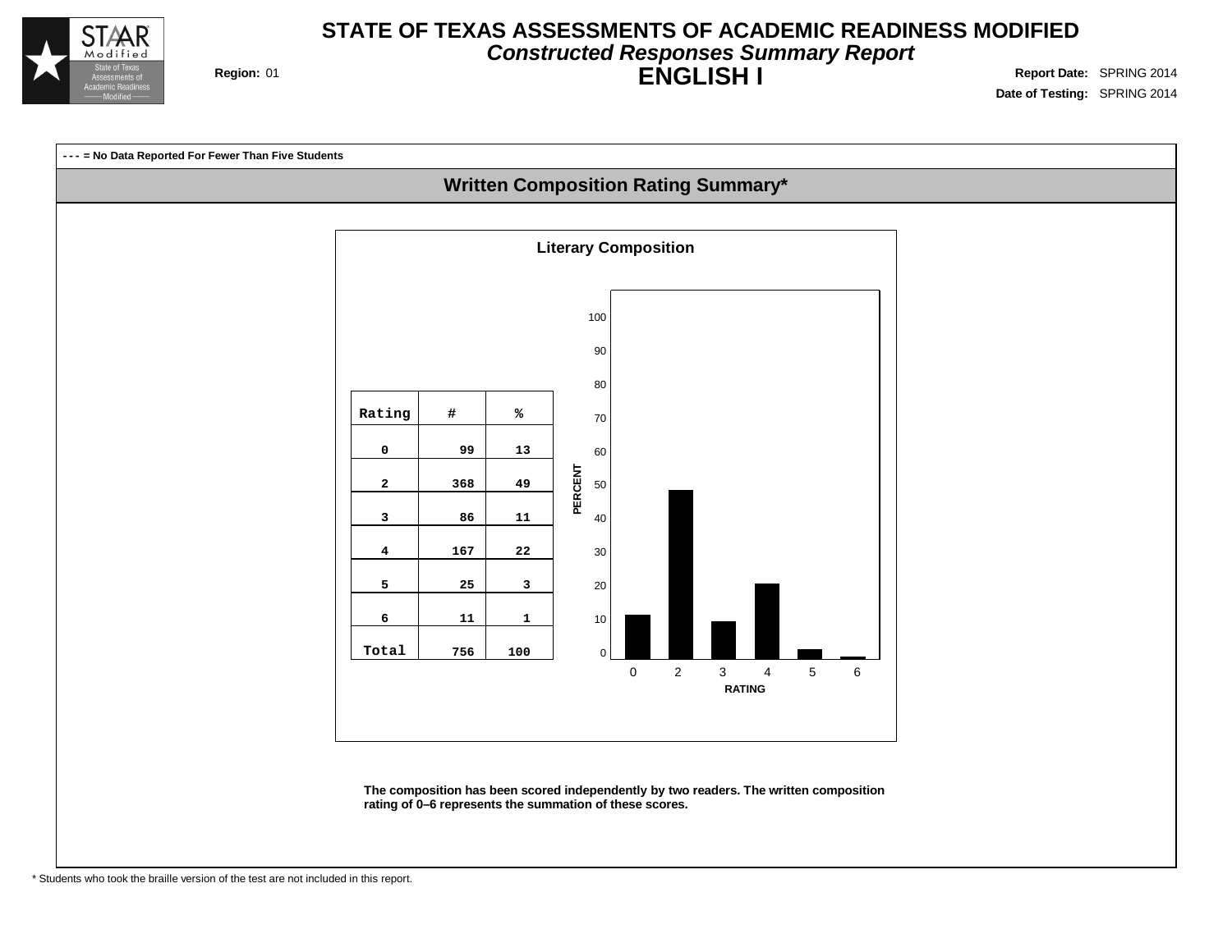

#### **STATE OF TEXAS ASSESSMENTS OF ACADEMIC READINESS MODIFIED Constructed Responses Summary Report ENGLISH I Region:** 01 **Report** Date: SPRING 2014

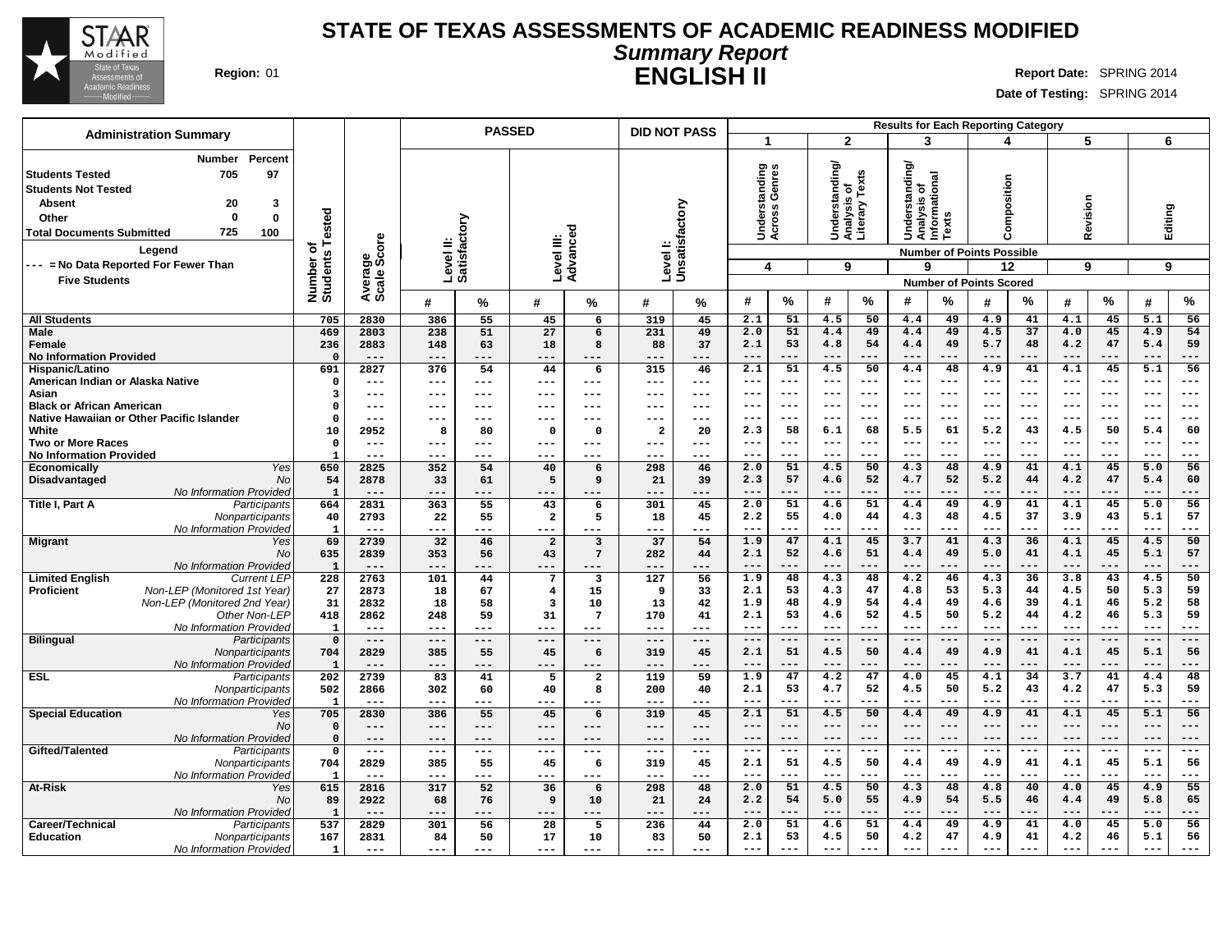

#### **STATE OF TEXAS ASSESSMENTS OF ACADEMIC READINESS MODIFIED Summary Report ENGLISH II Region:** 01 **Report** Date: SPRING 2014

|                                                                                                                                                                                                                                                                                            |                                      |                                |                | <b>PASSED</b>    |                                            |                               | <b>DID NOT PASS</b>  |                           |                                                       |                  |                                   |                                 | <b>Results for Each Reporting Category</b>                              |                     |                                                                                         |                 |                |                  |                |                  |
|--------------------------------------------------------------------------------------------------------------------------------------------------------------------------------------------------------------------------------------------------------------------------------------------|--------------------------------------|--------------------------------|----------------|------------------|--------------------------------------------|-------------------------------|----------------------|---------------------------|-------------------------------------------------------|------------------|-----------------------------------|---------------------------------|-------------------------------------------------------------------------|---------------------|-----------------------------------------------------------------------------------------|-----------------|----------------|------------------|----------------|------------------|
| <b>Administration Summary</b>                                                                                                                                                                                                                                                              |                                      |                                |                |                  |                                            |                               |                      |                           |                                                       |                  | $\mathbf{2}$                      |                                 | 3                                                                       |                     | 4                                                                                       |                 | 5              |                  | 6              |                  |
| <b>Number</b><br>Percent<br>705<br>97<br><b>Students Tested</b><br><b>Students Not Tested</b><br><b>Absent</b><br>20<br>3<br>$\Omega$<br>$\mathbf 0$<br>Other<br>725<br>100<br><b>Total Documents Submitted</b><br>Legend<br>--- = No Data Reported For Fewer Than<br><b>Five Students</b> | Tested<br>৳<br>Number of<br>Students | ige<br>Score<br>Avera<br>Scale | Level II:      | actory<br>Satisf | Level III:                                 | ਠ<br>Advance                  |                      | Levell:<br>Unsatisfactory | tanding<br>Genres<br>Under<br>$\overline{\mathbf{4}}$ | Across           | tanding<br>৳<br>T.<br>ō<br>š<br>9 | Texts<br>Analysis<br>Literary T | ∖gui<br>Analysis of<br>Informational<br>ipus<br>ang<br>ō<br>ᅙ<br>Š<br>9 | exts                | Composition<br><b>Number of Points Possible</b><br>12<br><b>Number of Points Scored</b> |                 | Revision<br>9  |                  | Editing<br>9   |                  |
|                                                                                                                                                                                                                                                                                            |                                      |                                | #              | %                | #                                          | %                             | #                    | %                         | #                                                     | $\%$             | #                                 | $\%$                            | #                                                                       | ℅                   | Н                                                                                       | %               | #              | %                | #              | %                |
| <b>All Students</b>                                                                                                                                                                                                                                                                        | 705                                  | 2830                           | 386            | 55               | 45                                         | 6                             | 319                  | 45                        | 2.1                                                   | 51               | 4.5                               | 50                              | 4.4                                                                     | 49                  | 4.9                                                                                     | 41              | 4.1            | 45               | 5.1            | 56               |
| Male                                                                                                                                                                                                                                                                                       | 469                                  | 2803                           | 238            | 51               | 27                                         | 6                             | 231                  | 49                        | 2.0                                                   | $\overline{51}$  | 4.4                               | 49                              | 4.4                                                                     | 49                  | 4.5                                                                                     | $\overline{37}$ | 4.0            | 45               | 4.9            | 54               |
| Female<br><b>No Information Provided</b>                                                                                                                                                                                                                                                   | 236<br>$\Omega$                      | 2883<br>$---$                  | 148<br>$---$   | 63<br>---        | 18<br>$---$                                | 8<br>---                      | 88<br>---            | 37<br>---                 | 2.1<br>$---$                                          | 53<br>---        | 4.8<br>$---$                      | 54<br>$---$                     | 4.4<br>$---$                                                            | 49<br>$---$         | 5.7<br>---                                                                              | 48<br>$---$     | 4.2<br>$---$   | 47<br>$---$      | 5.4<br>$---$   | 59<br>$---$      |
| Hispanic/Latino                                                                                                                                                                                                                                                                            | 691                                  | 2827                           | 376            | 54               | 44                                         | 6                             | 315                  | 46                        | $\overline{2.1}$                                      | 51               | 4.5                               | 50                              | 4.4                                                                     | 48                  | 4.9                                                                                     | 41              | 4.1            | 45               | 5.1            | 56               |
| American Indian or Alaska Native                                                                                                                                                                                                                                                           | $\mathbf{o}$                         | $---$                          | $--$           | ---              | $--$                                       | ---                           | $---$                | ---                       | $--$                                                  | $---$            | ---                               | $--$                            | $--$                                                                    | $-- -$              | ---                                                                                     | $--$            | ---            | $---$            | ---            | $---$            |
| Asian<br><b>Black or African American</b>                                                                                                                                                                                                                                                  | 3<br>$\Omega$                        | ---<br>---                     | $---$<br>---   | ---<br>---       | $---$<br>$--$                              | ---<br>---                    | $---$<br>$---$       | ---<br>---                | $---$<br>$- - -$                                      | $---$<br>$- - -$ | $---$<br>$- - -$                  | $--$<br>$---$                   | $--$<br>$- - -$                                                         | $--$<br>$- - -$     | ---<br>---                                                                              | $--$<br>$- - -$ | ---<br>---     | $--$<br>$---$    | ---<br>---     | $---$<br>$---$   |
| Native Hawaiian or Other Pacific Islander                                                                                                                                                                                                                                                  | $\Omega$                             | ---                            | ---            | ---              | $---$                                      | ---                           | $---$                | ---                       | ---                                                   |                  | ---                               | $---$                           | $---$                                                                   | ---                 | ---                                                                                     | $--$            |                | $---$            | ---            | $---$            |
| White                                                                                                                                                                                                                                                                                      | 10                                   | 2952                           | 8              | 80               | $\Omega$                                   | $\mathbf 0$                   | $\mathbf{2}$         | 20                        | 2.3                                                   | 58               | 6.1                               | 68                              | 5.5                                                                     | 61                  | 5.2                                                                                     | 43              | 4.5            | 50               | 5.4            | 60               |
| <b>Two or More Races</b>                                                                                                                                                                                                                                                                   | $\mathbf{o}$                         | $---$                          | ---            | ---              | $---$                                      | ---                           | ---                  | ---                       | $--$                                                  | $---$            | $---$                             | $--$<br>$- - -$                 | $---$                                                                   | $---$               | ---                                                                                     | $---$           | ---            | $---$<br>$- - -$ | ---            | $---$<br>$- - -$ |
| <b>No Information Provided</b><br>Yes<br>Economically                                                                                                                                                                                                                                      | 650                                  | ---<br>2825                    | 352            | 54               | $---$<br>40                                | ---<br>6                      | ---<br>298           | ---<br>46                 | $- - -$<br>2.0                                        | $- - -$<br>51    | $- - -$<br>4.5                    | 50                              | $- - -$<br>4.3                                                          | $- - -$<br>48       | ---<br>4.9                                                                              | $---$<br>41     | ---<br>4.1     | 45               | $- - -$<br>5.0 | 56               |
| Disadvantaged<br>No                                                                                                                                                                                                                                                                        | 54                                   | 2878                           | 33             | 61               | 5                                          | 9                             | 21                   | 39                        | 2.3                                                   | 57               | 4.6                               | 52                              | 4.7                                                                     | 52                  | 5.2                                                                                     | 44              | 4.2            | 47               | 5.4            | 60               |
| No Information Provideo                                                                                                                                                                                                                                                                    | $\mathbf{1}$                         | ---                            |                |                  | ---                                        |                               | ---                  | ---                       | $- - -$                                               | ---              | $- - -$                           | $---$                           | $- - -$                                                                 |                     |                                                                                         | $- - -$         |                | $- -$            |                | $--$             |
| Title I, Part A<br>Participants                                                                                                                                                                                                                                                            | 664                                  | 2831                           | 363            | 55               | 43                                         | 6                             | 301                  | 45                        | 2.0                                                   | 51               | 4.6                               | 51                              | 4.4                                                                     | 49                  | 4.9                                                                                     | 41              | 4.1            | 45               | 5.0            | 56               |
| Nonparticipants<br>No Information Provided                                                                                                                                                                                                                                                 | 40<br>$\mathbf{1}$                   | 2793<br>$---$                  | 22<br>---      | 55<br>---        | $\overline{\mathbf{2}}$<br>$---$           | 5<br>---                      | 18<br>---            | 45<br>---                 | 2.2<br>$---$                                          | 55<br>---        | 4.0<br>$---$                      | 44<br>---                       | 4.3<br>$---$                                                            | 48<br>$- - -$       | 4.5<br>$---$                                                                            | 37<br>$- - -$   | 3.9<br>---     | 43<br>$---$      | 5.1<br>---     | 57<br>$---$      |
| <b>Migrant</b><br>Yes                                                                                                                                                                                                                                                                      | 69                                   | 2739                           | 32             | 46               | $\overline{a}$                             | $\overline{\mathbf{3}}$       | 37                   | 54                        | 1.9                                                   | 47               | 4.1                               | 45                              | 3.7                                                                     | 41                  | 4.3                                                                                     | 36              | 4.1            | 45               | 4.5            | 50               |
| No                                                                                                                                                                                                                                                                                         | 635                                  | 2839                           | 353            | 56               | 43                                         | $7\phantom{.0}$               | 282                  | 44                        | 2.1                                                   | 52               | 4.6                               | 51                              | 4.4                                                                     | 49                  | 5.0                                                                                     | 41              | 4.1            | 45               | 5.1            | 57               |
| No Information Provideo                                                                                                                                                                                                                                                                    | $\mathbf{1}$                         | $---$                          |                | ---              | $---$                                      |                               | ---                  | ---                       | $- - -$                                               | ---              | $- - -$<br>4.3                    | $- - -$                         | $- - -$<br>4.2                                                          | $- - -$             | ---                                                                                     | $---$<br>36     | $- - -$<br>3.8 | $- - -$<br>43    | $- - -$<br>4.5 | $---$<br>50      |
| <b>Limited English</b><br><b>Current LEP</b><br>Non-LEP (Monitored 1st Year)<br>Proficient                                                                                                                                                                                                 | 228<br>27                            | 2763<br>2873                   | 101<br>18      | 44<br>67         | $7\phantom{.0}$<br>$\overline{\mathbf{4}}$ | $\overline{\mathbf{3}}$<br>15 | 127<br>9             | 56<br>33                  | 1.9<br>2.1                                            | 48<br>53         | 4.3                               | 48<br>47                        | 4.8                                                                     | 46<br>53            | 4.3<br>5.3                                                                              | 44              | 4.5            | 50               | 5.3            | 59               |
| Non-LEP (Monitored 2nd Year)                                                                                                                                                                                                                                                               | 31                                   | 2832                           | 18             | 58               | 3                                          | 10                            | 13                   | 42                        | 1.9                                                   | 48               | 4.9                               | 54                              | 4.4                                                                     | 49                  | 4.6                                                                                     | 39              | 4.1            | 46               | 5.2            | 58               |
| Other Non-LEP                                                                                                                                                                                                                                                                              | 418                                  | 2862                           | 248            | 59               | 31                                         | $7\phantom{.0}$               | 170                  | 41                        | 2.1                                                   | 53               | 4.6                               | 52                              | 4.5                                                                     | 50                  | 5.2                                                                                     | 44              | 4.2            | 46               | 5.3            | 59               |
| No Information Provideo                                                                                                                                                                                                                                                                    | $\mathbf{1}$                         | $---$<br>$---$                 | $---$<br>$---$ | ---<br>$- - -$   | $- - -$                                    | $---$<br>$---$                | $---$<br>$---$       | $---$<br>$---$            | $---$<br>$---$                                        | $---$<br>$---$   | $---$<br>$---$                    | $---$<br>$---$                  | $---$<br>$---$                                                          | $- - -$<br>$---$    | ---<br>$---$                                                                            | $---$<br>$---$  | $---$<br>$---$ | $---$<br>$---$   | $---$<br>$---$ | $---$<br>$---$   |
| <b>Bilingual</b><br>Participants<br>Nonparticipants                                                                                                                                                                                                                                        | $\mathbf 0$<br>704                   | 2829                           | 385            | 55               | $---$<br>45                                | 6                             | 319                  | 45                        | 2.1                                                   | 51               | 4.5                               | 50                              | 4.4                                                                     | 49                  | 4.9                                                                                     | 41              | 4.1            | 45               | 5.1            | 56               |
| No Information Provided                                                                                                                                                                                                                                                                    | 1                                    | $---$                          | $- - -$        | ---              | $- - -$                                    |                               | ---                  | ---                       | $---$                                                 | ---              | $---$                             | ---                             | $- - -$                                                                 | $---$               | ---                                                                                     | ---             | ---            | $---$            | $--$           | $---$            |
| <b>ESL</b><br>Participants                                                                                                                                                                                                                                                                 | 202                                  | 2739                           | 83             | 41               | 5                                          | $\overline{a}$                | 119                  | 59                        | 1.9                                                   | 47               | 4.2                               | 47                              | 4.0                                                                     | 45                  | 4.1                                                                                     | 34              | 3.7            | 41               | 4.4            | 48               |
| Nonparticipants                                                                                                                                                                                                                                                                            | 502<br>$\mathbf{1}$                  | 2866                           | 302            | 60               | 40                                         | 8                             | 200                  | 40                        | 2.1<br>$--$                                           | 53<br>$---$      | 4.7<br>$--$                       | 52<br>$---$                     | 4.5<br>$---$                                                            | 50<br>$---$         | 5.2                                                                                     | 43<br>$---$     | 4.2<br>$---$   | 47<br>$---$      | 5.3<br>---     | 59<br>$---$      |
| No Information Provideo<br><b>Special Education</b><br>Yes                                                                                                                                                                                                                                 | 705                                  | $- - -$<br>2830                | $--$<br>386    | ---<br>55        | $- - -$<br>45                              | $---$<br>6                    | $---$<br>319         | ---<br>45                 | 2.1                                                   | 51               | 4.5                               | 50                              | 4.4                                                                     | 49                  | 4.9                                                                                     | 41              | 4.1            | 45               | 5.1            | 56               |
| No                                                                                                                                                                                                                                                                                         | $\mathbf 0$                          | $---$                          | $---$          | ---              | $---$                                      | $---$                         | $---$                | ---                       | $---$                                                 | $---$            | $---$                             | $---$                           | $---$                                                                   | $---$               | $---$                                                                                   | $---$           | $---$          | $---$            | $---$          | $---$            |
| No Information Provided                                                                                                                                                                                                                                                                    | $\mathbf 0$                          | $---$                          | $---$          | ---              | $---$                                      | $---$                         | $---$                | ---                       | $---$                                                 | $- -$            |                                   | $--$                            |                                                                         | $--$                |                                                                                         | $---$           |                | $---$            |                | ---              |
| Gifted/Talented<br>Participants                                                                                                                                                                                                                                                            | $\mathbf 0$<br>704                   | $\qquad \qquad - -$<br>2829    | $---$<br>385   | ---<br>55        | $---$<br>45                                | $---$<br>6                    | $\frac{1}{2}$<br>319 | $---$<br>45               | $---$<br>2.1                                          | $---$<br>51      | $---$<br>4.5                      | $\frac{1}{2}$<br>50             | $---$<br>4.4                                                            | $\frac{1}{2}$<br>49 | $---$<br>4.9                                                                            | $---$<br>41     | $---$<br>4.1   | $---$<br>45      | $---$<br>5.1   | $---$<br>56      |
| Nonparticipants<br>No Information Provideo                                                                                                                                                                                                                                                 | 1                                    | $---$                          | $---$          | ---              | $---$                                      | ---                           | $---$                | ---                       |                                                       | ---              | ---                               | ---                             | $--$                                                                    |                     | ---                                                                                     | ---             |                | $--$             | ---            | ---              |
| <b>At-Risk</b><br>Yes                                                                                                                                                                                                                                                                      | 615                                  | 2816                           | 317            | 52               | 36                                         | 6                             | 298                  | 48                        | 2.0                                                   | 51               | 4.5                               | 50                              | 4.3                                                                     | 48                  | 4.8                                                                                     | 40              | 4.0            | 45               | 4.9            | 55               |
| No                                                                                                                                                                                                                                                                                         | 89                                   | 2922                           | 68             | 76               | 9                                          | 10                            | 21                   | 24                        | 2.2                                                   | 54               | 5.0                               | 55                              | 4.9                                                                     | 54                  | 5.5                                                                                     | 46              | 4.4            | 49               | 5.8            | 65               |
| No Information Provideo<br>Career/Technical<br>Participants                                                                                                                                                                                                                                | $\mathbf{1}$<br>537                  | $---$<br>2829                  | $---$          | ---<br>56        | $- - -$<br>28                              | ---<br>5                      | ---<br>236           | ---<br>44                 | $---$<br>2.0                                          | ---<br>51        | $---$<br>4.6                      | $---$<br>51                     | $- - -$<br>4.4                                                          | $---$<br>49         | ---<br>4.9                                                                              | $---$<br>41     | $- - -$<br>4.0 | $---$<br>45      | $--$<br>5.0    | $---$<br>56      |
| <b>Education</b><br>Nonparticipants                                                                                                                                                                                                                                                        | 167                                  | 2831                           | 301<br>84      | 50               | 17                                         | 10                            | 83                   | 50                        | 2.1                                                   | 53               | 4.5                               | 50                              | 4.2                                                                     | 47                  | 4.9                                                                                     | 41              | 4.2            | 46               | 5.1            | 56               |
| No Information Provided                                                                                                                                                                                                                                                                    | $\mathbf{1}$                         | $---$                          | $---$          | ---              | $---$                                      | ---                           | $---$                | ---                       | $--$                                                  | $- - -$          | $---$                             |                                 | $---$                                                                   | $---$               | ---                                                                                     | $---$           | $---$          | $---$            | $---$          | $---$            |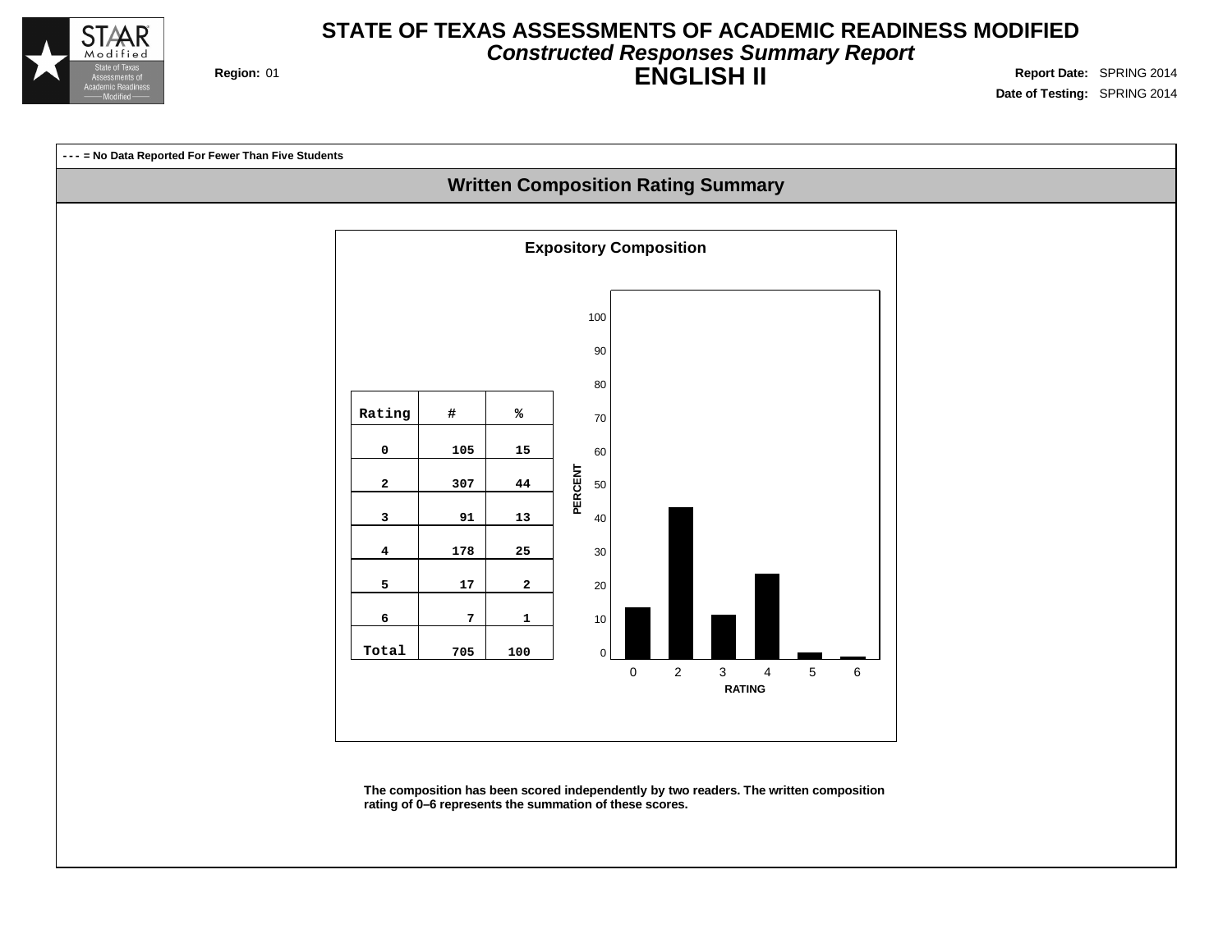

#### **STATE OF TEXAS ASSESSMENTS OF ACADEMIC READINESS MODIFIED Constructed Responses Summary Report ENGLISH II Region:** 01 **Report** Date: SPRING 2014

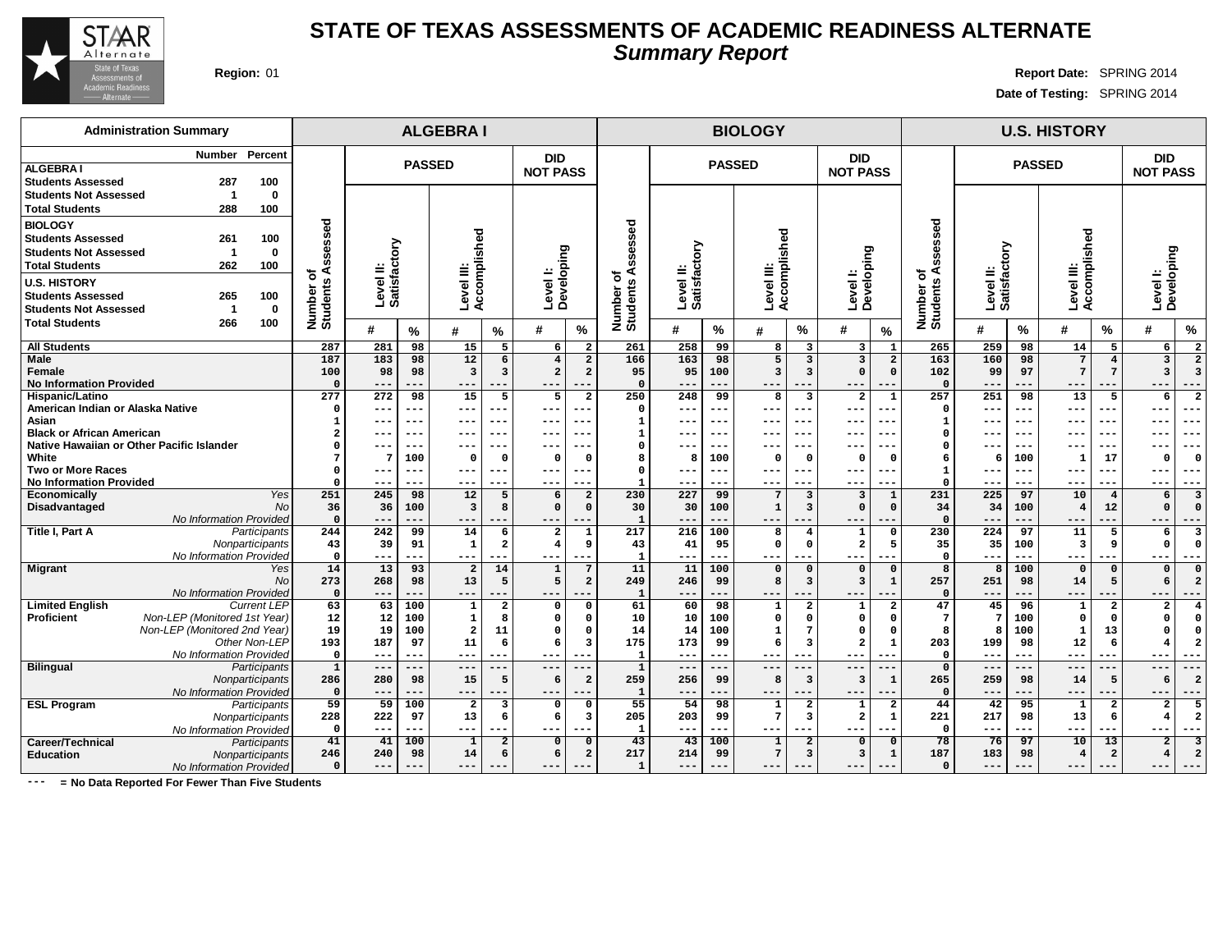

#### **STATE OF TEXAS ASSESSMENTS OF ACADEMIC READINESS ALTERNATE Summary Report**

 **--- --- --- --- --- --- 54 98 1 2 1 2 203 99 7 3 2 1 --- --- --- --- --- --- 43 100 1 2 0 0 214 99 7 3 3 1 --- --- --- --- --- ---**

**Region:** 01 **Report Date:** SPRING 2014 **Date of Testing:** SPRING 2014

> **--- --- --- --- --- --- 42 95 1 2 2 5 217 98 13 6 4 2 --- --- --- --- --- --- 76 97 10 13 2 3 183 98 4 2 4 2 --- --- --- --- --- ---**

**DID NOT PASS**

**Level I: Developing**

#### **Administration Summary Number Percent ALGEBRA I Students Assessed 287 100 Students Not Assessed 1 0 Total Students 288 100 BIOLOGY Students Assessed 261 100 Students Not Assessed 1 0 Total Students 262 100 U.S. HISTORY Students Assessed 265 100 Students Not Assessed 1 0 Total Students 266 100 ALGEBRA I BIOLOGY U.S. HISTORY PASSED DID NOT PASS PASSED DID NOT PASS PASSED Number of Students Assessed Level II: Satisfactory Level III: Accomplished Level I: Developing Number of Students Assessed Level II: Satisfactory Level III: Accomplished Level I: Developing Number of Students Assessed Level II: Satisfactory Level III: Accomplished # % # % # % # % # % # % # % # % # % All Students Male Female No Information Provided Hispanic/Latino American Indian or Alaska Native Asian Black or African American Native Hawaiian or Other Pacific Islander White Two or More Races No Information Provided Economically** Yes **Disadvantaged** No No Information Provided **Title I, Part A** Participants **Nonparticipants** No Information Provided **Migrant** Yes **No No Information Provided**<br>Current LEP Limited **English**<br>Proficient **Proficient** Non-LEP (Monitored 1st Year) Non-LEP (Monitored 2nd Year) Other Non-LEP No Information Provided **Bilingual** Participants **Nonparticipants 287 281 98 15 5 6 2 187 183 98 12 6 4 2 100 98 98 3 3 2 2 0 --- --- --- --- --- --- 277 272 98 15 5 5 2 0 --- --- --- --- --- --- 1 --- --- --- --- --- --- 2 --- --- --- --- --- --- 0 --- --- --- --- --- --- 7 7 100 0 0 0 0 0 --- --- --- --- --- --- 0 --- --- --- --- --- --- 251 245 98 12 5 6 2 36 36 100 3 8 0 0 0 --- --- --- --- --- --- 244 242 99 14 6 2 1 43 39 91 1 2 4 9 0 --- --- --- --- --- --- 14 13 93 2 14 1 7 273 268 98 13 5 5 2 0 --- --- --- --- --- --- 63 63 100 1 2 0 0 12 12 100 1 8 0 0 19 19 100 2 11 0 0 193 187 97 11 6 6 3 0 --- --- --- --- --- --- 1 --- --- --- --- --- --- 286 280 98 15 5 6 2 261 258 99 8 3 3 1 166 163 98 5 3 3 2 95 95 100 3 3 0 0 0 --- --- --- --- --- --- 250 248 99 8 3 2 1 0 --- --- --- --- --- --- 1 --- --- --- --- --- --- 1 --- --- --- --- --- --- 0 --- --- --- --- --- --- 8 8 100 0 0 0 0 0 --- --- --- --- --- --- 1 --- --- --- --- --- --- 230 227 99 7 3 3 1 30 30 100 1 3 0 0 1 --- --- --- --- --- --- 217 216 100 8 4 1 0 43 41 95 0 0 2 5 1 --- --- --- --- --- --- 11 11 100 0 0 0 0 249 246 99 8 3 3 1 1 --- --- --- --- --- --- 61 60 98 1 2 1 2 10 10 100 0 0 0 0 14 14 100 1 7 0 0 175 173 99 6 3 2 1 1 --- --- --- --- --- --- 1 --- --- --- --- --- --- 259 256 99 8 3 3 1 265 259 98 14 5 6 2 163 160 98 7 4 3 2 102 99 97 7 7 3 3 0 --- --- --- --- --- --- 257 251 98 13 5 6 2 0 --- --- --- --- --- --- 1 --- --- --- --- --- --- 0 --- --- --- --- --- --- 0 --- --- --- --- --- --- 6 6 100 1 17 0 0 1 --- --- --- --- --- --- 0 --- --- --- --- --- --- 231 225 97 10 4 6 3 34 34 100 4 12 0 0 0 --- --- --- --- --- --- 230 224 97 11 5 6 3 35 35 100 3 9 0 0 0 --- --- --- --- --- --- 8 8 100 0 0 0 0 257 251 98 14 5 6 2 0 --- --- --- --- --- --- 47 45 96 1 2 2 4 7 7 100 0 0 0 0 8 8 100 1 13 0 0 203 199 98 12 6 4 2 0 --- --- --- --- --- --- 0 --- --- --- --- --- --- 265 259 98 14 5 6 2**

 **--- --- --- --- --- --- 59 100 2 3 0 0 222 97 13 6 6 3 --- --- --- --- --- --- 41 100 1 2 0 0 240 98 14 6 6 2 --- --- --- --- --- ---**

**--- = No Data Reported For Fewer Than Five Students**

**Career/Technical** Participants<br> **Education** Monparticipants

**ESL** Program

No Information Provided<br>Participants

**Nonparticipants No Information Provided** 

**Education** Nonparticipants No Information Provided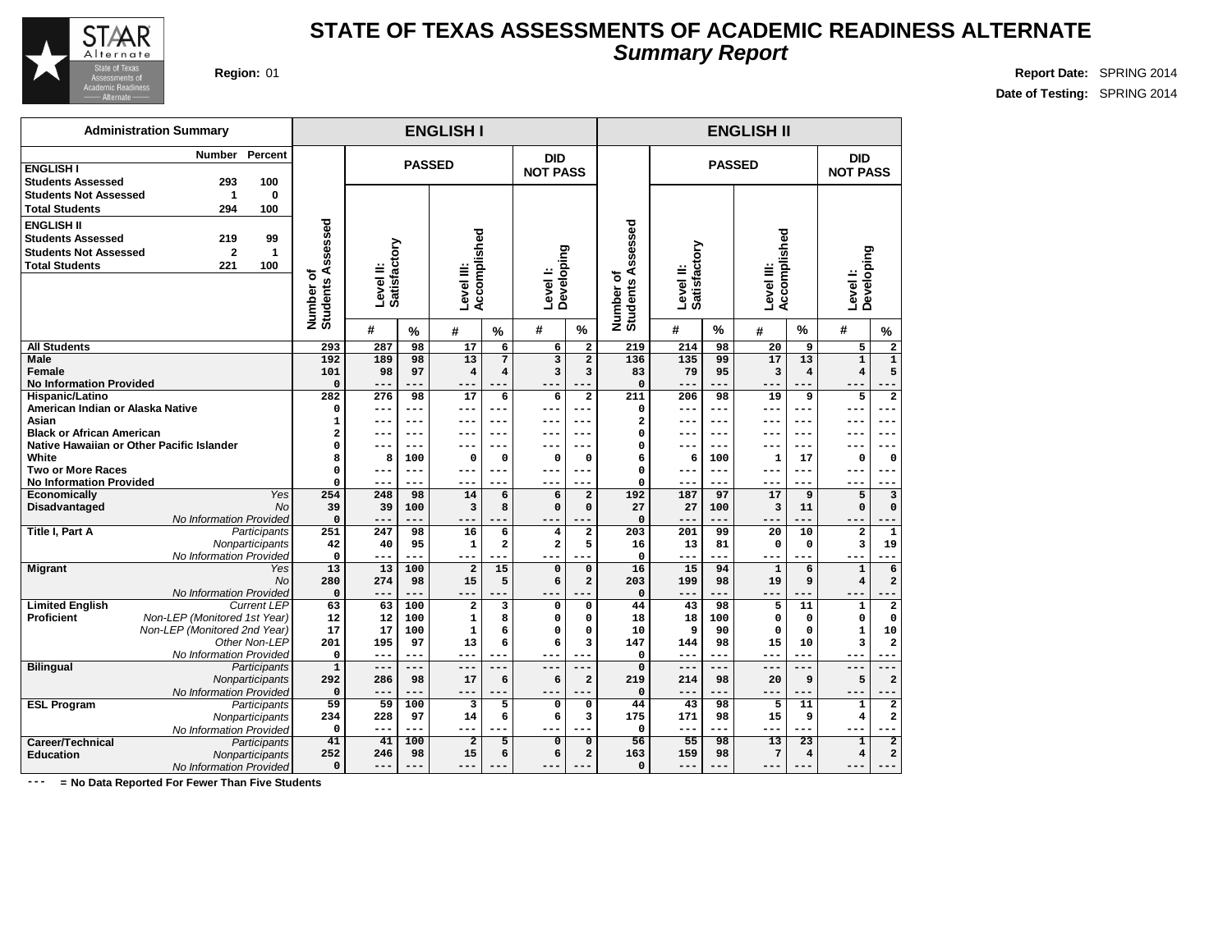

#### **STATE OF TEXAS ASSESSMENTS OF ACADEMIC READINESS ALTERNATE Summary Report**

**Region:** 01 **Report Date:** SPRING 2014 **Date of Testing:** SPRING 2014

| <b>Region: 01</b> |  |
|-------------------|--|
|                   |  |

|                                  | <b>Administration Summary</b>             |                    |                                |                           |               | <b>ENGLISH I</b>           |                         |                        |                               |                                |                           |               | <b>ENGLISH II</b>          |                |                         |                             |
|----------------------------------|-------------------------------------------|--------------------|--------------------------------|---------------------------|---------------|----------------------------|-------------------------|------------------------|-------------------------------|--------------------------------|---------------------------|---------------|----------------------------|----------------|-------------------------|-----------------------------|
|                                  | <b>Number</b>                             | Percent            |                                |                           |               |                            |                         | <b>DID</b>             |                               |                                |                           |               |                            |                | <b>DID</b>              |                             |
| <b>ENGLISH I</b>                 |                                           |                    |                                |                           |               | <b>PASSED</b>              |                         | <b>NOT PASS</b>        |                               |                                |                           | <b>PASSED</b> |                            |                | <b>NOT PASS</b>         |                             |
| <b>Students Assessed</b>         | 293                                       | 100                |                                |                           |               |                            |                         |                        |                               |                                |                           |               |                            |                |                         |                             |
| <b>Students Not Assessed</b>     | 1                                         | 0                  |                                |                           |               |                            |                         |                        |                               |                                |                           |               |                            |                |                         |                             |
| <b>Total Students</b>            | 294                                       | 100                |                                |                           |               |                            |                         |                        |                               |                                |                           |               |                            |                |                         |                             |
| <b>ENGLISH II</b>                |                                           |                    |                                |                           |               |                            |                         |                        |                               |                                |                           |               |                            |                |                         |                             |
| <b>Students Assessed</b>         | 219                                       | 99                 |                                |                           |               |                            |                         |                        |                               |                                |                           |               |                            |                |                         |                             |
| <b>Students Not Assessed</b>     | $\overline{2}$                            | $\mathbf{1}$       |                                |                           |               |                            |                         |                        |                               |                                |                           |               |                            |                |                         |                             |
| <b>Total Students</b>            |                                           | 100                |                                |                           |               |                            |                         |                        |                               |                                |                           |               |                            |                |                         |                             |
|                                  | 221                                       |                    |                                |                           |               |                            |                         |                        |                               |                                |                           |               |                            |                |                         |                             |
|                                  |                                           |                    | Number of<br>Students Assessed | Satisfactory<br>Level II: |               | Accomplished<br>Level III: |                         | Developing<br>Level I: |                               |                                | Satisfactory<br>Level II: |               | Accomplished<br>Level III: |                | Developing<br>Level I:  |                             |
|                                  |                                           |                    |                                |                           |               |                            |                         |                        |                               |                                |                           |               |                            |                |                         |                             |
|                                  |                                           |                    |                                |                           |               |                            |                         |                        |                               |                                |                           |               |                            |                |                         |                             |
|                                  |                                           |                    |                                | #                         | $\frac{0}{2}$ | #                          | $\%$                    | #                      | $\%$                          | Number of<br>Students Assessed | #                         | $\frac{0}{0}$ | #                          | $\%$           | #                       | $\frac{9}{6}$               |
| <b>All Students</b>              |                                           |                    | 293                            | 287                       | 98            | 17                         | 6                       | 6                      | $\overline{\mathbf{2}}$       | 219                            | 214                       | 98            | 20                         | 9              | 5                       | $\mathbf 2$                 |
| <b>Male</b>                      |                                           |                    | 192                            | 189                       | 98            | 13                         | $\overline{7}$          | 3                      | $\overline{\mathbf{2}}$       | 136                            | 135                       | 99            | 17                         | 13             | $\mathbf{1}$            | $\overline{1}$              |
| Female                           |                                           |                    | 101                            | 98                        | 97            | $\overline{\mathbf{4}}$    | $\overline{\mathbf{4}}$ | 3                      | 3                             | 83                             | 79                        | 95            | 3                          | $\overline{4}$ | $\overline{\mathbf{4}}$ | 5                           |
| <b>No Information Provided</b>   |                                           |                    | $\mathbf 0$                    | $---$                     |               | ---                        |                         |                        |                               | $\mathbf 0$                    | ---                       |               |                            |                | --                      |                             |
| Hispanic/Latino                  |                                           |                    | 282                            | 276                       | 98            | 17                         | $\overline{6}$          | 6                      | $\overline{\mathbf{2}}$       | 211                            | 206                       | 98            | 19                         | 9              | 5                       | $\overline{\mathbf{2}}$     |
| American Indian or Alaska Native |                                           |                    | 0                              | $- -$                     |               |                            | ---                     | --                     | ---                           | 0                              | --                        |               | $--$                       |                |                         | ---                         |
| Asian                            |                                           |                    | $\mathbf{1}$                   | $- - -$                   | ---           | ---                        | $---$                   | ---                    | ---                           | $\overline{\mathbf{2}}$        | $- - -$                   | ---           | ---                        | $- - -$        | ---                     | $---$                       |
| <b>Black or African American</b> |                                           |                    | $\overline{a}$                 | ---                       | ---           | ---                        | $---$                   | ---                    | ---                           | 0                              | $- - -$                   | ---           | $---$                      | $- - -$        | ---                     | $---$                       |
|                                  | Native Hawaiian or Other Pacific Islander |                    | $\mathbf 0$                    | $- - -$                   | ---           | ---                        | $---$                   | --                     | ---                           | $\Omega$                       | $- - -$                   | $- - -$       | ---                        | $- - -$        | ---                     | $---$                       |
| White                            |                                           |                    | R                              | 8                         | 100           | 0                          | $\Omega$                | $\mathbf 0$            | 0                             | 6                              | 6                         | 100           | $\mathbf 1$                | 17             | 0                       | $\mathbf 0$                 |
| <b>Two or More Races</b>         |                                           |                    | 0                              |                           | ---           | ---                        | $---$                   | --                     | ---                           | 0                              |                           | ---           |                            | $- - -$        | ---                     | --                          |
| <b>No Information Provided</b>   |                                           | Yes                | $\mathbf 0$                    | $- - -$                   | ---           | $---$                      | $- - -$                 | ---                    | ---                           | 0                              | $- - -$                   | ---           | $- - -$                    | ---            | ---                     | $- - -$                     |
| Economically                     |                                           | <b>No</b>          | 254<br>39                      | 248<br>39                 | 98            | 14                         | 6<br>8                  | 6<br>0                 | $\overline{a}$<br>$\mathbf 0$ | 192<br>27                      | 187<br>27                 | 97            | 17                         | 9              | 5<br>$\mathbf 0$        | $\mathbf{3}$<br>$\mathbf 0$ |
| <b>Disadvantaged</b>             | No Information Provided                   |                    | $\mathbf 0$                    | $- -$                     | 100           | 3<br>---                   |                         | $ -$                   |                               | $\mathbf 0$                    | $---$                     | 100           | 3<br>$- - -$               | 11             | $ -$                    |                             |
| <b>Title I, Part A</b>           |                                           | Participants       | 251                            | 247                       | 98            | 16                         | 6                       | 4                      | $\overline{\mathbf{2}}$       | 203                            | 201                       | 99            | 20                         | 10             | $\overline{\mathbf{2}}$ | $\mathbf 1$                 |
|                                  |                                           | Nonparticipants    | 42                             | 40                        | 95            | $\mathbf{1}$               | $\overline{a}$          | 2                      | 5                             | 16                             | 13                        | 81            | $\mathbf 0$                | $\Omega$       | 3                       | 19                          |
|                                  | No Information Provided                   |                    | $\mathbf{0}$                   | $---$                     | ---           | ---                        |                         | ---                    | ---                           | $\mathbf 0$                    | ---                       |               | $---$                      |                | $---$                   |                             |
| <b>Migrant</b>                   |                                           | Yes                | 13                             | 13                        | 100           | $\overline{2}$             | 15                      | $\mathbf 0$            | $\mathbf 0$                   | 16                             | 15                        | 94            | $\mathbf{1}$               | 6              | $\mathbf{1}$            | $\overline{6}$              |
|                                  |                                           | No                 | 280                            | 274                       | 98            | 15                         | 5                       | 6                      | $\overline{a}$                | 203                            | 199                       | 98            | 19                         | 9              | $\overline{\bf 4}$      | $\overline{\mathbf{c}}$     |
|                                  | No Information Provided                   |                    | $\mathbf 0$                    | $---$                     | ---           | ---                        | $-$                     |                        |                               | $\mathbf 0$                    | ---                       |               |                            |                |                         |                             |
| <b>Limited English</b>           |                                           | <b>Current LEP</b> | 63                             | 63                        | 100           | $\overline{\mathbf{2}}$    | $\overline{\mathbf{3}}$ | 0                      | $\Omega$                      | 44                             | 43                        | 98            | 5                          | 11             | $\mathbf{1}$            | $\overline{2}$              |
| <b>Proficient</b>                | Non-LEP (Monitored 1st Year)              |                    | 12                             | 12                        | 100           | $\mathbf 1$                | 8                       | 0                      | 0                             | 18                             | 18                        | 100           | $\mathsf{o}\,$             | $\Omega$       | $\mathbf 0$             | $\mathbf 0$                 |
|                                  | Non-LEP (Monitored 2nd Year)              |                    | 17                             | 17                        | 100           | $\mathbf 1$                | 6                       | 0                      | $\mathbf 0$                   | 10                             | 9                         | 90            | $\mathbf 0$                | $\mathbf 0$    | $\mathbf{1}$            | 10                          |
|                                  |                                           | Other Non-LEP      | 201                            | 195                       | 97            | 13                         | 6                       | 6                      | $\overline{\mathbf{3}}$       | 147                            | 144                       | 98            | 15                         | 10             | 3                       | 2                           |
|                                  | No Information Provided                   |                    | 0                              |                           | ---           | ---                        |                         |                        |                               | $\mathbf 0$                    | $- - -$                   |               |                            |                |                         |                             |
| <b>Bilingual</b>                 |                                           | Participants       | $\mathbf{1}$                   | $---$                     | ---           | ---                        |                         | $- -$                  | ---                           | $\mathbf 0$                    | $---$                     | $- - -$       | $---$                      |                | $---$                   |                             |
|                                  |                                           | Nonparticipants    | 292                            | 286                       | 98            | 17                         | 6                       | 6                      | $\mathbf 2$                   | 219                            | 214                       | 98            | 20                         | 9              | 5                       | $\overline{\mathbf{c}}$     |
|                                  | No Information Provided                   |                    | $\mathbf 0$                    |                           | ---           | ---                        | $---$                   |                        |                               | $\Omega$                       | ---                       |               | ---                        |                |                         |                             |
| <b>ESL Program</b>               |                                           | Participants       | 59                             | 59                        | 100           | 3                          | 5                       | 0                      | $\mathbf 0$                   | 44                             | 43                        | 98            | 5                          | 11             | $\mathbf{1}$            | $\overline{2}$              |
|                                  |                                           | Nonparticipants    | 234                            | 228                       | 97            | 14                         | 6                       | 6                      | з                             | 175                            | 171                       | 98            | 15                         | 9              | 4                       | $\overline{\mathbf{2}}$     |
|                                  | No Information Provided                   |                    | 0                              | $- - -$                   | ---           | ---                        | .                       | $ -$                   | ٠.                            | $\Omega$                       | $- - -$                   | ---           | $---$                      |                | ---                     |                             |
| Career/Technical                 |                                           | Participants       | 41                             | 41                        | 100           | $\overline{2}$             | 5                       | $\overline{0}$         | $\overline{0}$                | 56                             | 55                        | 98            | 13                         | 23             | $\mathbf{1}$            | $\overline{\mathbf{2}}$     |
| <b>Education</b>                 |                                           | Nonparticipants    | 252                            | 246                       | 98            | 15                         | 6                       | 6                      | $\overline{a}$                | 163                            | 159                       | 98            | $7\phantom{.0}$            | $\overline{4}$ | $\overline{\mathbf{4}}$ | $\overline{\mathbf{c}}$     |
|                                  | No Information Provided                   |                    | $\mathbf 0$                    | $- - -$                   | ---           | ---                        |                         | --                     | ---                           | $\mathbf 0$                    | $- - -$                   | ---           | $---$                      |                | $--$                    | ---                         |

**--- = No Data Reported For Fewer Than Five Students**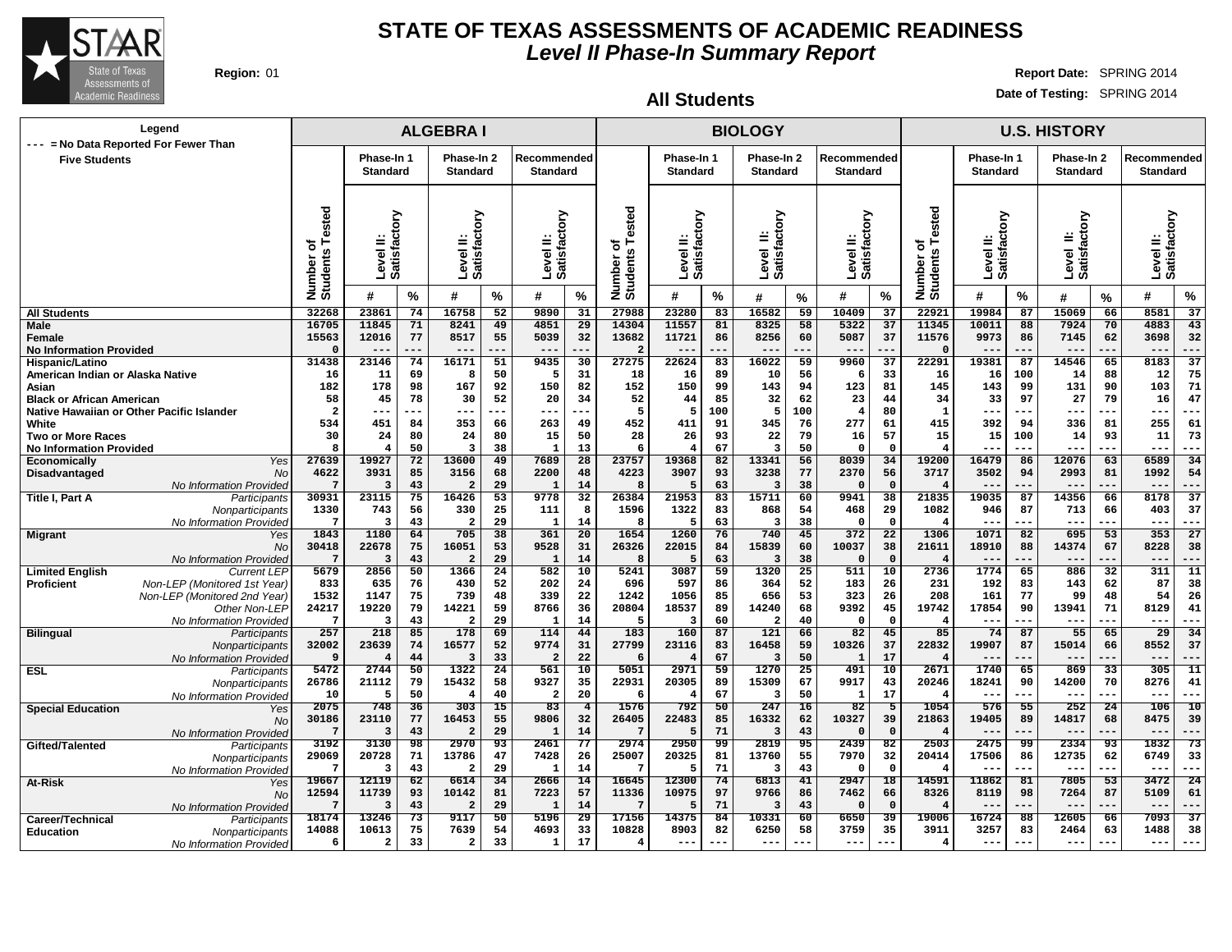

## **Region:** 01 **Report Date:** SPRING 2014

**Date of Testing:** SPRING 2014

**All Students**

| --- = No Data Reported For Fewer Than                                                            | Legend                                                                                                                         |                                      |                                           |                             | <b>ALGEBRAI</b>                                                    |                            |                                  |                             |                                           |                                    |                            | <b>BIOLOGY</b>                                |                            |                                       |                                       |                                          |                                      |                             | <b>U.S. HISTORY</b>               |                             |                                    |                                   |
|--------------------------------------------------------------------------------------------------|--------------------------------------------------------------------------------------------------------------------------------|--------------------------------------|-------------------------------------------|-----------------------------|--------------------------------------------------------------------|----------------------------|----------------------------------|-----------------------------|-------------------------------------------|------------------------------------|----------------------------|-----------------------------------------------|----------------------------|---------------------------------------|---------------------------------------|------------------------------------------|--------------------------------------|-----------------------------|-----------------------------------|-----------------------------|------------------------------------|-----------------------------------|
| <b>Five Students</b>                                                                             |                                                                                                                                |                                      | Phase-In 1<br><b>Standard</b>             |                             | Phase-In 2<br><b>Standard</b>                                      |                            | Recommended<br><b>Standard</b>   |                             |                                           | Phase-In 1<br>Standard             |                            | Phase-In 2<br><b>Standard</b>                 |                            | Recommended<br><b>Standard</b>        |                                       |                                          | Phase-In 1<br><b>Standard</b>        |                             | Phase-In 2<br><b>Standard</b>     |                             | Recommended<br><b>Standard</b>     |                                   |
|                                                                                                  |                                                                                                                                | Number of<br>Students Tested         | Level II:<br>Satisfactory                 |                             | Level II:<br>Satisfactory                                          |                            | ζıο<br>Level II:<br>Satisfacto   |                             | Number of<br>Students Tested              | Level II:<br>Satisfactory          |                            | Level II:<br>Satisfactory                     |                            | Level II:<br>Satisfactory             |                                       | Number of<br>Students Tested             | Level II:<br>Satisfactory            |                             | Level II:<br>Satisfactory         |                             | δ<br>Level II:<br>Satisfacto       |                                   |
|                                                                                                  |                                                                                                                                |                                      | #                                         | %                           | #                                                                  | %                          | #                                | %                           |                                           | #                                  | %                          | #                                             | $\%$                       | #                                     | $\%$                                  |                                          | #                                    | %                           | #                                 | %                           | #                                  | %                                 |
| <b>All Students</b>                                                                              |                                                                                                                                | 32268                                | 23861                                     | 74                          | 16758                                                              | 52                         | 9890                             | 31                          | 27988                                     | 23280                              | 83                         | 16582                                         | 59                         | 10409                                 | 37                                    | 22921                                    | 19984                                | 87                          | 15069                             | 66                          | 8581                               | 37                                |
| Male<br>Female<br><b>No Information Provided</b>                                                 |                                                                                                                                | 16705<br>15563                       | 11845<br>12016<br>$--$                    | 71<br>77<br>.               | 8241<br>8517<br>$---$                                              | 49<br>55<br>---            | 4851<br>5039<br>$---$            | 29<br>32<br>---             | 14304<br>13682<br>$\overline{2}$          | 11557<br>11721<br>$--$             | 81<br>86<br>---            | 8325<br>8256<br>$---$                         | 58<br>60<br>---            | 5322<br>5087<br>$---$                 | 37<br>37<br>$- -$                     | 11345<br>11576<br>$\Omega$               | 10011<br>9973<br>$---$               | 88<br>86<br>---             | 7924<br>7145<br>$---$             | 70<br>62<br>---             | 4883<br>3698<br>$---$              | 43<br>32<br>---                   |
| Hispanic/Latino<br>American Indian or Alaska Native<br>Asian<br><b>Black or African American</b> |                                                                                                                                | 31438<br>16<br>182<br>58             | 23146<br>11<br>178<br>45                  | 74<br>69<br>98<br>78        | 16171<br>я<br>167<br>30                                            | 51<br>50<br>92<br>52       | 9435<br>-5<br>150<br>20          | 30<br>31<br>82<br>34        | 27275<br>18<br>152<br>52                  | 22624<br>16<br>150<br>44           | 83<br>89<br>99<br>85       | 16022<br>10<br>143<br>32                      | 59<br>56<br>94<br>62       | 9960<br>6<br>123<br>23                | 37<br>33<br>81<br>44                  | 22291<br>16<br>145<br>34                 | 19381<br>16<br>143<br>33             | 87<br>100<br>99<br>97       | 14546<br>14<br>131<br>27          | 65<br>88<br>90<br>79        | 8183<br>12<br>103<br>16            | $\overline{37}$<br>75<br>71<br>47 |
| Native Hawaiian or Other Pacific Islander<br>White<br><b>Two or More Races</b>                   |                                                                                                                                | $\overline{\mathbf{2}}$<br>534<br>30 | $- -$<br>451<br>24                        | ---<br>84<br>80             | $--$<br>353<br>24                                                  | ---<br>66<br>80            | $---$<br>263<br>15               | $--$<br>49<br>50            | 5<br>452<br>28                            | 5<br>411<br>26                     | 100<br>91<br>93            | 5<br>345<br>22                                | 100<br>76<br>79            | $\overline{4}$<br>277<br>16           | 80<br>61<br>57                        | 1<br>415<br>15                           | $--$<br>392<br>15                    | ---<br>94<br>100            | $---$<br>336<br>14                | ---<br>81<br>93             | ---<br>255<br>11                   | ---<br>61<br>73                   |
| <b>No Information Provided</b><br>Economically<br>Disadvantaged                                  | Yes<br><b>No</b>                                                                                                               | 8<br>27639<br>4622                   | $\overline{4}$<br>19927<br>3931           | 50<br>72<br>85              | $\overline{\mathbf{3}}$<br>13600<br>3156                           | 38<br>49<br>68             | -1<br>7689<br>2200               | 13<br>28<br>48              | 6<br>23757<br>4223                        | 19368<br>3907                      | 67<br>82<br>93             | $\overline{\mathbf{3}}$<br>13341<br>3238      | 50<br>56<br>77             | $\Omega$<br>8039<br>2370              | $\Omega$<br>34<br>56                  | $\overline{\mathbf{4}}$<br>19200<br>3717 | $- - -$<br>16479<br>3502             | $---$<br>86<br>94           | $---$<br>12076<br>2993            | ---<br>63<br>81             | $---$<br>6589<br>1992              | $- - -$<br>34<br>54               |
| <b>Title I, Part A</b>                                                                           | No Information Provideo<br>Participants<br>Nonparticipants<br>No Information Provideo                                          | 30931<br>1330<br>7                   | 3<br>23115<br>743<br>3                    | 43<br>75<br>56<br>43        | $\overline{\mathbf{2}}$<br>16426<br>330<br>$\overline{\mathbf{2}}$ | 29<br>53<br>25<br>29       | - 1<br>9778<br>111<br>- 1        | 14<br>32<br>8<br>14         | 8<br>26384<br>1596<br>8                   | 5<br>21953<br>1322                 | 63<br>83<br>83<br>63       | 3<br>15711<br>868<br>3                        | 38<br>60<br>54<br>38       | $\Omega$<br>9941<br>468<br>∩          | $\mathbf 0$<br>38<br>29<br>$\Omega$   | 21835<br>1082<br>$\overline{4}$          | 19035<br>946<br>$- -$                | 87<br>87<br>---             | 14356<br>713<br>$- - -$           | 66<br>66<br>---             | 8178<br>403<br>$- - -$             | 37<br>37<br>$- - -$               |
| <b>Migrant</b>                                                                                   | Yes<br>No<br>No Information Provided                                                                                           | 1843<br>30418                        | 1180<br>22678<br>3                        | 64<br>75<br>43              | 705<br>16051                                                       | 38<br>53<br>29             | 361<br>9528<br>- 1               | 20<br>31<br>14              | 1654<br>26326                             | 1260<br>22015                      | 76<br>84<br>63             | 740<br>15839                                  | 45<br>60<br>38             | 372<br>10037                          | $\overline{22}$<br>38<br>$\mathbf{o}$ | 1306<br>21611                            | 1071<br>18910                        | 82<br>88                    | 695<br>14374                      | 53<br>67                    | 353<br>8228<br>---                 | 27<br>38<br>---                   |
| <b>Limited English</b><br><b>Proficient</b>                                                      | <b>Current LEP</b><br>Non-LEP (Monitored 1st Year)<br>Non-LEP (Monitored 2nd Year)<br>Other Non-LEP<br>No Information Provideo | 5679<br>833<br>1532<br>24217<br>-7   | 2856<br>635<br>1147<br>19220<br>3         | 50<br>76<br>75<br>79<br>43  | 1366<br>430<br>739<br>14221<br>$\overline{2}$                      | 24<br>52<br>48<br>59<br>29 | 582<br>202<br>339<br>8766<br>- 1 | 10<br>24<br>22<br>36<br>14  | 5241<br>696<br>1242<br>20804<br>5         | 3087<br>597<br>1056<br>18537<br>-3 | 59<br>86<br>85<br>89<br>60 | 1320<br>364<br>656<br>14240<br>$\overline{2}$ | 25<br>52<br>53<br>68<br>40 | 511<br>183<br>323<br>9392<br>$\Omega$ | 10<br>26<br>26<br>45<br>$\mathbf 0$   | 2736<br>231<br>208<br>19742<br>4         | 1774<br>192<br>161<br>17854<br>$- -$ | 65<br>83<br>77<br>90<br>--- | 886<br>143<br>99<br>13941<br>$--$ | 32<br>62<br>48<br>71<br>--- | 311<br>87<br>54<br>8129<br>$- - -$ | 11<br>38<br>26<br>41<br>---       |
| <b>Bilingual</b>                                                                                 | Participants<br>Nonparticipants<br>No Information Provided                                                                     | 257<br>32002<br>9                    | 218<br>23639<br>4                         | 85<br>74<br>44              | 178<br>16577<br>-3                                                 | 69<br>52<br>33             | 114<br>9774                      | 44<br>31<br>22              | 183<br>27799                              | 160<br>23116                       | 87<br>83<br>67             | 121<br>16458<br>3                             | 66<br>59<br>50             | 82<br>10326                           | 45<br>37<br>17                        | 85<br>22832                              | 74<br>19907                          | 87<br>87                    | 55<br>15014<br>$--$               | 65<br>66                    | $\overline{29}$<br>8552<br>---     | 34<br>37<br>---                   |
| <b>ESL</b>                                                                                       | Participants<br>Nonparticipants<br>No Information Provideo                                                                     | 5472<br>26786<br>10                  | 2744<br>21112<br>5                        | 50<br>79<br>50              | 1322<br>15432                                                      | 24<br>58<br>40             | 561<br>9327<br>$\overline{2}$    | 10<br>35<br>20              | 5051<br>22931<br>6                        | 2971<br>20305                      | 59<br>89<br>67             | 1270<br>15309<br>$\overline{\mathbf{3}}$      | 25<br>67<br>50             | 491<br>9917<br>-1                     | 10<br>43<br>17                        | 2671<br>20246<br>$\overline{4}$          | 1740<br>18241<br>$-$                 | 65<br>90                    | 869<br>14200<br>---               | 33<br>70                    | 305<br>8276<br>$---$               | $\overline{11}$<br>41<br>---      |
| <b>Special Education</b>                                                                         | Yes<br>No<br>No Information Provided                                                                                           | 2075<br>30186                        | 748<br>23110<br>3                         | 36<br>77<br>43              | 303<br>16453                                                       | 15<br>55<br>29             | 83<br>9806<br>-1                 | $\overline{4}$<br>32<br>14  | 1576<br>26405                             | 792<br>22483                       | 50<br>85<br>71             | 247<br>16332<br>3                             | 16<br>62<br>43             | 82<br>10327                           | 5<br>39<br>$\Omega$                   | 1054<br>21863<br>4                       | 576<br>19405<br>$---$                | 55<br>89<br>---             | 252<br>14817<br>$---$             | 24<br>68                    | 106<br>8475<br>$---$               | 10<br>39<br>---                   |
| Gifted/Talented                                                                                  | Participants<br>Nonparticipants<br>No Information Provideo                                                                     | 3192<br>29069                        | 3130<br>20728<br>3                        | $\overline{98}$<br>71<br>43 | 2970<br>13786<br>$\overline{2}$                                    | 93<br>47<br>29             | 2461<br>7428<br>-1               | 77<br>26<br>14              | 2974<br>25007<br>7                        | 2950<br>20325<br>5                 | 99<br>81<br>71             | 2819<br>13760<br>3                            | 95<br>55<br>43             | 2439<br>7970<br>$\Omega$              | 82<br>32<br>$\Omega$                  | 2503<br>20414                            | 2475<br>17506<br>$- - -$             | -99<br>86<br>---            | 2334<br>12735<br>$--$             | 93<br>62<br>---             | 1832<br>6749<br>$- - -$            | 73<br>33<br>---                   |
| At-Risk                                                                                          | Yes<br><b>No</b><br>No Information Provided                                                                                    | 19667<br>12594                       | 12119<br>11739<br>$\overline{3}$          | $\overline{62}$<br>93<br>43 | 6614<br>10142<br>$\overline{2}$                                    | 34<br>81<br>29             | 2666<br>7223<br>-1               | $\overline{14}$<br>57<br>14 | 16645<br>11336<br>7                       | 12300<br>10975<br>5                | 74<br>97<br>71             | 6813<br>9766<br>3                             | 41<br>86<br>43             | 2947<br>7462<br>$\Omega$              | $\overline{18}$<br>66<br>$\Omega$     | 14591<br>8326<br>$\overline{\mathbf{4}}$ | 11862<br>8119<br>$---$               | 81<br>98<br>---             | 7805<br>7264<br>$---$             | 53<br>87<br>---             | 3472<br>5109<br>$--$               | $\overline{24}$<br>61<br>$---$    |
| Career/Technical<br><b>Education</b>                                                             | Participants<br>Nonparticipants<br>No Information Provided                                                                     | 18174<br>14088<br>6                  | 13246<br>10613<br>$\overline{\mathbf{2}}$ | 73<br>75<br>33              | 9117<br>7639<br>$\overline{a}$                                     | 50<br>54<br>33             | 5196<br>4693<br>1                | 29<br>33<br>17              | 17156<br>10828<br>$\overline{\mathbf{4}}$ | 14375<br>8903<br>$--$              | 84<br>82                   | 10331<br>6250<br>$--$                         | 60<br>58                   | 6650<br>3759<br>$---$                 | 39<br>35<br>$- -$                     | 19006<br>3911<br>$\overline{\mathbf{4}}$ | 16724<br>3257<br>$--$                | 88<br>83                    | 12605<br>2464<br>$--$             | 66<br>63                    | 7093<br>1488<br>$- - -$            | $\overline{37}$<br>38<br>---      |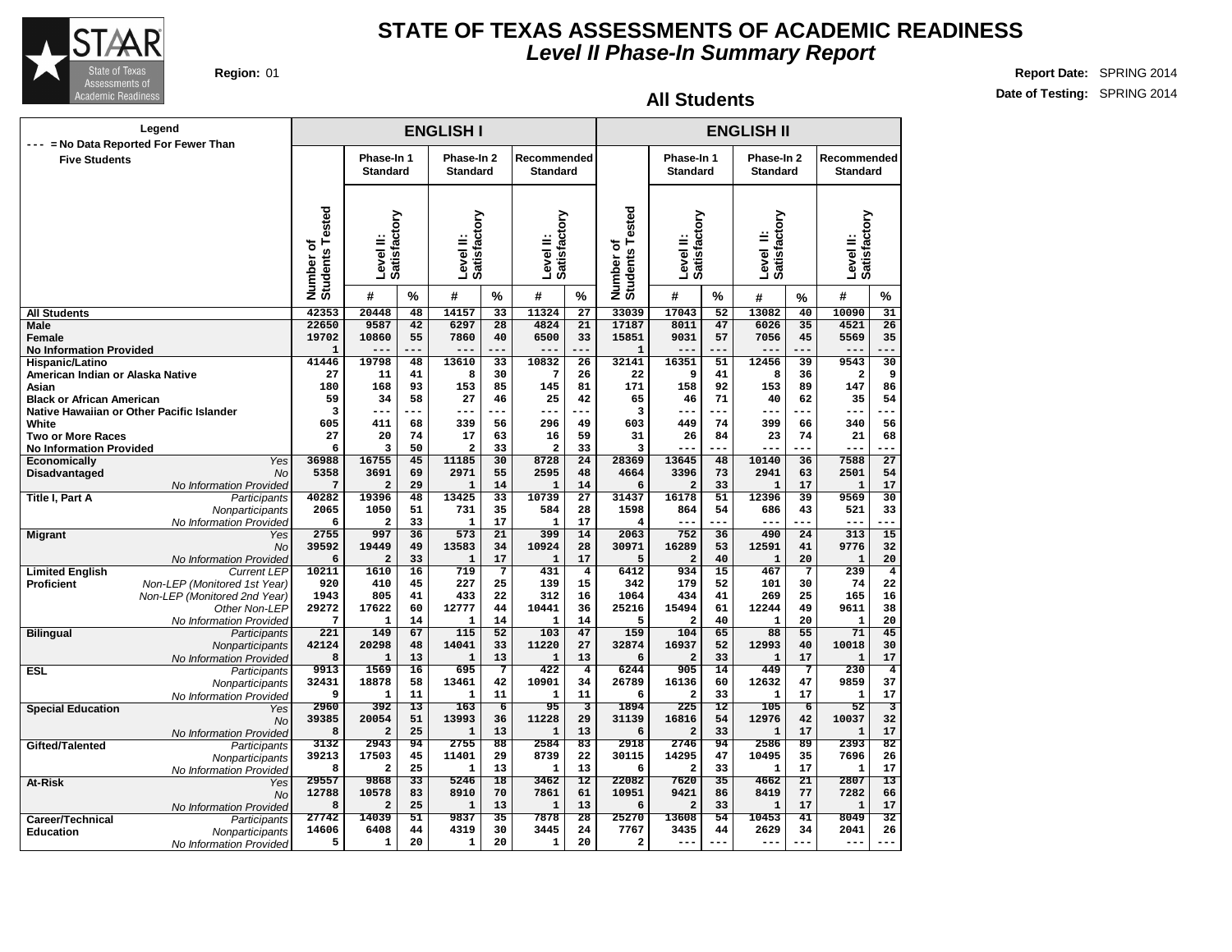

#### **All Students**

| $---$                                     | Legend<br>= No Data Reported For Fewer Than |                              |                               |                 | <b>ENGLISH I</b>              |                 |                                |                         |                              |                               |                 | <b>ENGLISH II</b>             |                 |                                  |                         |
|-------------------------------------------|---------------------------------------------|------------------------------|-------------------------------|-----------------|-------------------------------|-----------------|--------------------------------|-------------------------|------------------------------|-------------------------------|-----------------|-------------------------------|-----------------|----------------------------------|-------------------------|
| <b>Five Students</b>                      |                                             |                              | Phase-In 1<br><b>Standard</b> |                 | Phase-In 2<br><b>Standard</b> |                 | Recommended<br><b>Standard</b> |                         |                              | Phase-In 1<br><b>Standard</b> |                 | Phase-In 2<br><b>Standard</b> |                 | Recommended<br><b>Standard</b>   |                         |
|                                           |                                             | Number of<br>Students Tested | Satisfactory<br>Level II:     |                 | Satisfactory<br>Level II:     |                 | Satisfactory<br>Level II:      |                         | Number of<br>Students Tested | Satisfactory<br>Level II:     |                 | Satisfactory<br>Level II:     |                 | <b>Satisfactory</b><br>Level II: |                         |
|                                           |                                             |                              | #                             | %               | #                             | $\frac{9}{6}$   | #                              | %                       |                              | #                             | $\%$            | #                             | %               | #                                | %                       |
| <b>All Students</b>                       |                                             | 42353                        | 20448                         | 48              | 14157                         | $\overline{33}$ | 11324                          | $\overline{27}$         | 33039                        | 17043                         | $\overline{52}$ | 13082                         | 40              | 10090                            | $\overline{31}$         |
| Male                                      |                                             | 22650                        | 9587                          | 42              | 6297                          | 28              | 4824                           | 21                      | 17187                        | 8011                          | 47              | 6026                          | 35              | 4521                             | $\overline{26}$         |
| <b>Female</b>                             |                                             | 19702                        | 10860                         | 55              | 7860                          | 40              | 6500                           | 33                      | 15851                        | 9031                          | 57              | 7056                          | 45              | 5569                             | 35                      |
| <b>No Information Provided</b>            |                                             | $\mathbf{1}$                 | $---$                         | ---             | $---$                         | ---             | $---$                          | ---                     | $\mathbf{1}$                 | $---$                         | ---             | $---$                         | $---$           | $---$                            |                         |
| Hispanic/Latino                           |                                             | 41446                        | 19798                         | 48              | 13610                         | 33              | 10832                          | $\overline{26}$         | 32141                        | 16351                         | 51              | 12456                         | 39              | 9543                             | 30                      |
| American Indian or Alaska Native          |                                             | 27<br>180                    | 11<br>168                     | 41<br>93        | 8<br>153                      | 30<br>85        | 7<br>145                       | 26<br>81                | 22<br>171                    | 9<br>158                      | 41<br>92        | 8<br>153                      | 36<br>89        | $\overline{\mathbf{2}}$<br>147   | 9<br>86                 |
| Asian<br><b>Black or African American</b> |                                             | 59                           | 34                            | 58              | 27                            | 46              | 25                             | 42                      | 65                           | 46                            | 71              | 40                            | 62              | 35                               | 54                      |
|                                           | Native Hawaiian or Other Pacific Islander   | 3                            | ---                           | ---             | ---                           | ---             | ---                            | ---                     | 3                            | ---                           | ---             | ---                           |                 | ---                              |                         |
| White                                     |                                             | 605                          | 411                           | 68              | 339                           | 56              | 296                            | 49                      | 603                          | 449                           | 74              | 399                           | 66              | 340                              | 56                      |
| <b>Two or More Races</b>                  |                                             | 27                           | 20                            | 74              | 17                            | 63              | 16                             | 59                      | 31                           | 26                            | 84              | 23                            | 74              | 21                               | 68                      |
| <b>No Information Provided</b>            |                                             | 6                            | 3                             | 50              | $\mathbf{z}$                  | 33              | $\overline{a}$                 | 33                      | $\overline{\mathbf{3}}$      |                               | ---             | ---                           | ---             | ---                              |                         |
| Economically                              | Yes                                         | 36988                        | 16755                         | 45              | 11185                         | 30              | 8728                           | 24                      | 28369                        | 13645                         | 48              | 10140                         | 36              | 7588                             | $\overline{27}$         |
| Disadvantaged                             | No                                          | 5358                         | 3691                          | 69              | 2971                          | 55              | 2595                           | 48                      | 4664                         | 3396                          | 73              | 2941                          | 63              | 2501                             | 54                      |
|                                           | No Information Provided                     | 7                            | $\overline{a}$                | 29              | $\mathbf{1}$                  | 14              | $\mathbf{1}$                   | 14                      | 6                            | $\overline{a}$                | 33              | $\mathbf{1}$                  | 17              | $\mathbf{1}$                     | 17                      |
| Title I, Part A                           | Participants                                | 40282<br>2065                | 19396<br>1050                 | 48<br>51        | 13425<br>731                  | 33<br>35        | 10739<br>584                   | 27<br>28                | 31437<br>1598                | 16178<br>864                  | 51<br>54        | 12396<br>686                  | 39<br>43        | 9569<br>521                      | 30<br>33                |
|                                           | Nonparticipants<br>No Information Provided  | 6                            | $\overline{a}$                | 33              | $\mathbf{1}$                  | 17              | $\mathbf{1}$                   | 17                      | 4                            | $---$                         | ---             | ---                           | ---             | $- - -$                          |                         |
| <b>Migrant</b>                            | Yes                                         | 2755                         | 997                           | 36              | 573                           | $\overline{21}$ | 399                            | 14                      | 2063                         | 752                           | 36              | 490                           | $\overline{24}$ | 313                              | 15                      |
|                                           | <b>No</b>                                   | 39592                        | 19449                         | 49              | 13583                         | 34              | 10924                          | 28                      | 30971                        | 16289                         | 53              | 12591                         | 41              | 9776                             | 32                      |
|                                           | No Information Provided                     | 6                            | $\overline{a}$                | 33              | $\mathbf{1}$                  | 17              | 1                              | 17                      | 5                            | $\overline{a}$                | 40              | $\mathbf{1}$                  | 20              | $\mathbf{1}$                     | 20                      |
| <b>Limited English</b>                    | <b>Current LEP</b>                          | 10211                        | 1610                          | 16              | 719                           | $7\phantom{.0}$ | 431                            | $\overline{\mathbf{4}}$ | 6412                         | 934                           | 15              | 467                           | $7\phantom{.0}$ | 239                              | $\overline{\mathbf{4}}$ |
| <b>Proficient</b>                         | Non-LEP (Monitored 1st Year)                | 920                          | 410                           | 45              | 227                           | 25              | 139                            | 15                      | 342                          | 179                           | 52              | 101                           | 30              | 74                               | 22                      |
|                                           | Non-LEP (Monitored 2nd Year)                | 1943                         | 805                           | 41              | 433                           | 22              | 312                            | 16                      | 1064                         | 434                           | 41              | 269                           | 25              | 165                              | 16                      |
|                                           | Other Non-LEP                               | 29272                        | 17622                         | 60              | 12777                         | 44              | 10441                          | 36                      | 25216                        | 15494                         | 61              | 12244                         | 49              | 9611                             | 38                      |
|                                           | No Information Provided                     | 7<br>221                     | 1                             | 14              | $\mathbf{1}$                  | 14              | 1                              | 14                      | 5<br>159                     | $\overline{a}$                | 40              | $\mathbf{1}$                  | 20              | $\mathbf{1}$<br>71               | 20                      |
| <b>Bilingual</b>                          | Participants<br>Nonparticipants             | 42124                        | 149<br>20298                  | 67<br>48        | 115<br>14041                  | 52<br>33        | 103<br>11220                   | 47<br>27                | 32874                        | 104<br>16937                  | 65<br>52        | 88<br>12993                   | 55<br>40        | 10018                            | 45<br>30                |
|                                           | No Information Provided                     | 8                            | $\mathbf{1}$                  | 13              | $\mathbf{1}$                  | 13              | $\mathbf{1}$                   | 13                      | 6                            | $\overline{a}$                | 33              | $\mathbf 1$                   | 17              | $\mathbf{1}$                     | 17                      |
| <b>ESL</b>                                | Participants                                | 9913                         | 1569                          | $\overline{16}$ | 695                           | 7               | 422                            | $\overline{4}$          | 6244                         | 905                           | $\overline{14}$ | 449                           | 7               | 230                              | $\overline{4}$          |
|                                           | Nonparticipants                             | 32431                        | 18878                         | 58              | 13461                         | 42              | 10901                          | 34                      | 26789                        | 16136                         | 60              | 12632                         | 47              | 9859                             | 37                      |
|                                           | No Information Provided                     | 9                            | $\mathbf{1}$                  | 11              | $\mathbf{1}$                  | 11              | $\mathbf{1}$                   | 11                      | 6                            | $\overline{a}$                | 33              | $\mathbf{1}$                  | 17              | $\mathbf{1}$                     | 17                      |
| <b>Special Education</b>                  | Yes                                         | 2960                         | 392                           | $\overline{13}$ | 163                           | $\overline{6}$  | 95                             | $\overline{\mathbf{3}}$ | 1894                         | 225                           | $\overline{12}$ | 105                           | $\overline{6}$  | 52                               | 3                       |
|                                           | <b>No</b>                                   | 39385                        | 20054                         | 51              | 13993                         | 36              | 11228                          | 29                      | 31139                        | 16816                         | 54              | 12976                         | 42              | 10037                            | 32                      |
|                                           | No Information Provided                     | 8                            | $\overline{a}$                | 25              | $\mathbf{1}$                  | 13              | $\mathbf{1}$                   | 13                      | 6                            | $\overline{a}$                | 33              | $\mathbf{1}$                  | 17              | $\mathbf{1}$                     | 17                      |
| Gifted/Talented                           | Participants                                | 3132<br>39213                | 2943<br>17503                 | 94<br>45        | 2755<br>11401                 | 88<br>29        | 2584<br>8739                   | 83<br>22                | 2918<br>30115                | 2746<br>14295                 | 94<br>47        | 2586<br>10495                 | 89<br>35        | 2393<br>7696                     | 82<br>26                |
|                                           | Nonparticipants<br>No Information Provided  | 8                            | $\mathbf{2}$                  | 25              | 1                             | 13              | 1                              | 13                      | 6                            | $\overline{a}$                | 33              | 1                             | 17              | 1                                | 17                      |
| At-Risk                                   | Yes                                         | 29557                        | 9868                          | $\overline{33}$ | 5246                          | $\overline{18}$ | 3462                           | $\overline{12}$         | 22082                        | 7620                          | $\overline{35}$ | 4662                          | $\overline{21}$ | 2807                             | $\overline{13}$         |
|                                           | <b>No</b>                                   | 12788                        | 10578                         | 83              | 8910                          | 70              | 7861                           | 61                      | 10951                        | 9421                          | 86              | 8419                          | 77              | 7282                             | 66                      |
|                                           | No Information Provided                     | 8                            | $\mathbf{2}$                  | 25              | $\mathbf{1}$                  | 13              | 1                              | 13                      | 6                            | $\overline{a}$                | 33              | $\mathbf{1}$                  | 17              | $\mathbf{1}$                     | 17                      |
| Career/Technical                          | Participants                                | 27742                        | 14039                         | $\overline{51}$ | 9837                          | 35              | 7878                           | 28                      | 25270                        | 13608                         | 54              | 10453                         | 41              | 8049                             | $\overline{32}$         |
| <b>Education</b>                          | Nonparticipants                             | 14606                        | 6408                          | 44              | 4319                          | 30              | 3445                           | 24                      | 7767                         | 3435                          | 44              | 2629                          | 34              | 2041                             | 26                      |
|                                           | No Information Provided                     | 5                            | 1                             | 20              | 1                             | 20              | $\mathbf{1}$                   | 20                      | 2                            | ---                           |                 | $- -$                         |                 | ---                              |                         |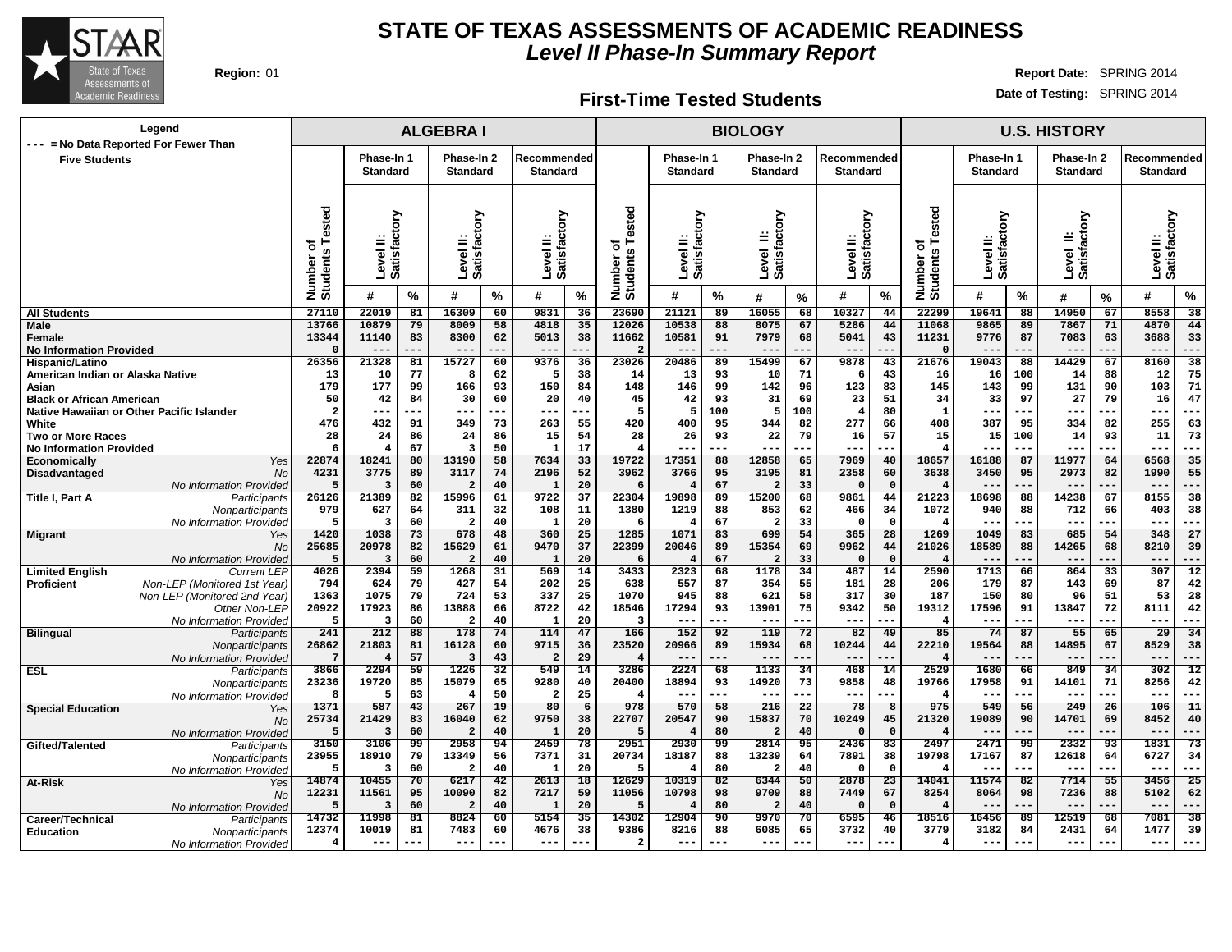

#### **First-Time Tested Students**

| Legend                                                        |                                      |                                    |          | <b>ALGEBRAI</b>                 |                       |                                |                       |                                    |                               |          | <b>BIOLOGY</b>                |                       |                                 |                       |                                      |                               |          | <b>U.S. HISTORY</b>           |                       |                                |                         |
|---------------------------------------------------------------|--------------------------------------|------------------------------------|----------|---------------------------------|-----------------------|--------------------------------|-----------------------|------------------------------------|-------------------------------|----------|-------------------------------|-----------------------|---------------------------------|-----------------------|--------------------------------------|-------------------------------|----------|-------------------------------|-----------------------|--------------------------------|-------------------------|
| --- = No Data Reported For Fewer Than<br><b>Five Students</b> |                                      | Phase-In 1<br><b>Standard</b>      |          | Phase-In 2<br>Standard          |                       | Recommended<br><b>Standard</b> |                       |                                    | Phase-In 1<br><b>Standard</b> |          | Phase-In 2<br><b>Standard</b> |                       | Recommended<br><b>Standard</b>  |                       |                                      | Phase-In 1<br><b>Standard</b> |          | Phase-In 2<br><b>Standard</b> |                       | Recommended<br><b>Standard</b> |                         |
|                                                               |                                      |                                    |          |                                 |                       |                                |                       |                                    |                               |          |                               |                       |                                 |                       |                                      |                               |          |                               |                       |                                |                         |
|                                                               | Tested<br>৳<br>Number of<br>Students | Οю<br>ಡ<br>Level<br><b>Satisfa</b> |          | actory<br>≝<br>Level<br>Satisfa |                       | Satisfactory<br>Level II:      |                       | ested<br>৳<br>Number o<br>Students | Level II:<br>Satisfactory     |          | Level II:<br>Satisfactory     |                       | actory<br>≝<br>Level<br>Satisfa |                       | Tested<br>ъ<br>Number of<br>Students | Level II:<br>Satisfactory     |          | Level II:<br>Satisfactory     |                       | Level II:<br>Satisfactory      |                         |
|                                                               |                                      | #                                  | $\%$     | #                               | %                     | #                              | %                     |                                    | #                             | %        | #                             | $\%$                  | #                               | %                     |                                      | #                             | %        | #                             | %                     | #                              | $\%$                    |
| <b>All Students</b>                                           | 27110                                | 22019                              | 81       | 16309                           | 60                    | 9831                           | 36                    | 23690                              | 21121                         | 89       | 16055                         | 68                    | 10327                           | 44                    | 22299                                | 19641                         | 88       | 14950                         | 67                    | 8558                           | 38                      |
| <b>Male</b><br>Female                                         | 13766<br>13344                       | 10879<br>11140                     | 79<br>83 | 8009<br>8300                    | 58<br>62              | 4818<br>5013                   | 35<br>38              | 12026<br>11662                     | 10538<br>10581                | 88<br>91 | 8075<br>7979                  | 67<br>68              | 5286<br>5041                    | 44<br>43              | 11068<br>11231                       | 9865<br>9776                  | 89<br>87 | 7867<br>7083                  | 71<br>63              | 4870<br>3688                   | 44<br>33                |
| <b>No Information Provided</b>                                | 0                                    | $--$                               | ---      | $---$                           |                       | $---$                          |                       | $\overline{2}$                     | $--$                          |          | $- -$                         | ---                   | $---$                           | --                    | $\Omega$                             |                               |          | $- -$                         |                       | $--$                           | ---                     |
| Hispanic/Latino                                               | 26356                                | 21328                              | 81       | 15727                           | 60                    | 9376                           | 36                    | 23026                              | 20486                         | 89       | 15499                         | 67                    | 9878                            | 43                    | 21676                                | 19043                         | 88       | 14429                         | 67                    | 8160                           | 38                      |
| American Indian or Alaska Native                              | 13                                   | 10                                 | 77       | 8                               | 62                    | -5                             | 38                    | 14                                 | 13                            | 93       | 10                            | 71                    | 6                               | 43                    | 16                                   | 16                            | 100      | 14                            | 88                    | 12                             | 75                      |
| Asian<br><b>Black or African American</b>                     | 179<br>50                            | 177<br>42                          | 99<br>84 | 166<br>30                       | 93<br>60              | 150<br>20                      | 84<br>40              | 148<br>45                          | 146<br>42                     | 99<br>93 | 142<br>31                     | 96<br>69              | 123<br>23                       | 83<br>51              | 145<br>34                            | 143<br>33                     | 99<br>97 | 131<br>27                     | 90<br>79              | 103<br>16                      | 71<br>47                |
| Native Hawaiian or Other Pacific Islander                     | $\overline{a}$                       | $--$                               |          | ---                             | ---                   | ---                            |                       | 5                                  | 5                             | 100      | 5                             | 100                   | 4                               | 80                    | 1                                    | ---                           | ---      | $- - -$                       | .                     | $--$                           | ---                     |
| White                                                         | 476                                  | 432                                | 91       | 349                             | 73                    | 263                            | 55                    | 420                                | 400                           | 95       | 344                           | 82                    | 277                             | 66                    | 408                                  | 387                           | 95       | 334                           | 82                    | 255                            | 63                      |
| <b>Two or More Races</b>                                      | 28                                   | 24                                 | 86       | 24                              | 86                    | 15                             | 54                    | 28                                 | 26                            | 93       | 22                            | 79                    | 16                              | 57                    | 15                                   | 15                            | 100      | 14                            | 93                    | 11                             | 73                      |
| <b>No Information Provided</b>                                | 6                                    | $\overline{4}$                     | 67       | 3                               | 50                    | $\mathbf{1}$                   | 17                    |                                    |                               |          | ---                           | ---                   | ---                             | ---                   | $\overline{4}$                       | --                            |          | ---                           |                       | $--$                           | ---                     |
| Yes<br><b>Economically</b>                                    | 22874                                | 18241<br>3775                      | 80       | 13190                           | 58                    | 7634                           | 33                    | 19722                              | 17351<br>3766                 | 88       | 12858                         | 65<br>81              | 7969<br>2358                    | 40                    | 18657                                | 16188                         | 87       | 11977<br>2973                 | 64                    | 6568<br>1990                   | 35<br>55                |
| Disadvantaged<br>No<br>No Information Provideo                | 4231<br>5                            | 3                                  | 89<br>60 | 3117<br>$\overline{a}$          | 74<br>40              | 2196<br>$\mathbf{1}$           | 52<br>20              | 3962                               |                               | 95<br>67 | 3195<br>2                     | 33                    | $\Omega$                        | 60<br>$\mathbf 0$     | 3638<br>$\overline{4}$               | 3450                          | 95       | $--$                          | 82                    | $---$                          | ---                     |
| Title I, Part A<br>Participants                               | 26126                                | 21389                              | 82       | 15996                           | 61                    | 9722                           | 37                    | 22304                              | 19898                         | 89       | 15200                         | 68                    | 9861                            | 44                    | 21223                                | 18698                         | 88       | 14238                         | 67                    | 8155                           | 38                      |
| Nonparticipants                                               | 979                                  | 627                                | 64       | 311                             | 32                    | 108                            | 11                    | 1380                               | 1219                          | 88       | 853                           | 62                    | 466                             | 34                    | 1072                                 | 940                           | 88       | 712                           | 66                    | 403                            | 38                      |
| No Information Provideo                                       | 5                                    | 3                                  | 60       | $\overline{a}$                  | 40                    | $\mathbf{1}$                   | 20                    | 6                                  |                               | 67       | 2                             | 33                    | $\Omega$                        | $\mathbf 0$           | -4                                   | ---                           | ---      | $---$                         |                       | $---$                          | $--$                    |
| <b>Migrant</b><br>Yes                                         | 1420                                 | 1038                               | 73       | 678                             | 48                    | 360                            | 25                    | 1285                               | 1071                          | 83       | 699                           | $\overline{54}$       | 365                             | 28                    | 1269                                 | 1049                          | 83       | 685                           | 54                    | 348                            | 27                      |
| No<br>No Information Provideo                                 | 25685<br>-5                          | 20978<br>-3                        | 82<br>60 | 15629<br>$\overline{2}$         | 61<br>40              | 9470<br>$\mathbf{1}$           | 37<br>20              | 22399<br>-6                        | 20046                         | 89<br>67 | 15354<br>2                    | 69<br>33              | 9962<br>$\Omega$                | 44<br>$\Omega$        | 21026<br>$\overline{4}$              | 18589                         | 88       | 14265<br>---                  | 68                    | 8210<br>$---$                  | 39<br>---               |
| <b>Limited English</b><br><b>Current LEF</b>                  | 4026                                 | 2394                               | 59       | 1268                            | 31                    | 569                            | 14                    | 3433                               | 2323                          | 68       | 1178                          | 34                    | 487                             | 14                    | 2590                                 | 1713                          | 66       | 864                           | $\overline{33}$       | 307                            | $\overline{12}$         |
| Non-LEP (Monitored 1st Year)<br><b>Proficient</b>             | 794                                  | 624                                | 79       | 427                             | 54                    | 202                            | 25                    | 638                                | 557                           | 87       | 354                           | 55                    | 181                             | 28                    | 206                                  | 179                           | 87       | 143                           | 69                    | 87                             | 42                      |
| Non-LEP (Monitored 2nd Year)                                  | 1363                                 | 1075                               | 79       | 724                             | 53                    | 337                            | 25                    | 1070                               | 945                           | 88       | 621                           | 58                    | 317                             | 30                    | 187                                  | 150                           | 80       | 96                            | 51                    | 53                             | 28                      |
| Other Non-LEP                                                 | 20922                                | 17923                              | 86       | 13888                           | 66                    | 8722                           | 42                    | 18546                              | 17294                         | 93       | 13901                         | 75                    | 9342                            | 50                    | 19312                                | 17596                         | 91       | 13847                         | 72                    | 8111                           | 42                      |
| No Information Provideo<br><b>Bilingual</b><br>Participants   | 5<br>241                             | з<br>212                           | 60<br>88 | $\overline{a}$<br>178           | 40<br>74              | $\mathbf{1}$<br>114            | 20<br>47              | 3<br>166                           | ---<br>152                    | 92       | $--$<br>119                   | ---<br>72             | ---<br>82                       | --<br>49              | 85                                   | ---<br>74                     | 87       | --<br>55                      | 65                    | $--$<br>29                     | ---<br>34               |
| Nonparticipants                                               | 26862                                | 21803                              | 81       | 16128                           | 60                    | 9715                           | 36                    | 23520                              | 20966                         | 89       | 15934                         | 68                    | 10244                           | 44                    | 22210                                | 19564                         | 88       | 14895                         | 67                    | 8529                           | 38                      |
| No Information Provideo                                       | $7\phantom{.0}$                      | $\overline{4}$                     | 57       | $\overline{3}$                  | 43                    | $\overline{\mathbf{2}}$        | 29                    | $\overline{4}$                     |                               |          |                               |                       | $- -$                           |                       |                                      |                               |          |                               |                       | $- -$                          |                         |
| <b>ESL</b><br>Participants                                    | 3866                                 | 2294                               | 59       | 1226                            | 32                    | 549                            | 14                    | 3286                               | 2224                          | 68       | 1133                          | 34                    | 468                             | 14                    | 2529                                 | 1680                          | 66       | 849                           | 34                    | 302                            | $\overline{12}$         |
| Nonparticipants                                               | 23236                                | 19720                              | 85       | 15079                           | 65                    | 9280                           | 40                    | 20400                              | 18894                         | 93       | 14920                         | 73                    | 9858                            | 48                    | 19766                                | 17958                         | 91       | 14101                         | 71                    | 8256                           | 42                      |
| No Information Provided                                       | 8<br>1371                            | 5<br>587                           | 63<br>43 | $\overline{\bf 4}$<br>267       | 50<br>19              | $\overline{a}$<br>80           | 25<br>6               | -4<br>978                          | $- -$<br>570                  | <br>58   | $--$<br>216                   | ---<br>22             | $- -$<br>78                     | --<br>-8              | $\overline{4}$<br>975                | --<br>549                     | 56       | $--$<br>249                   | 26                    | $--$<br>106                    | $--$<br>$\overline{11}$ |
| <b>Special Education</b><br>Yes<br>No                         | 25734                                | 21429                              | 83       | 16040                           | 62                    | 9750                           | 38                    | 22707                              | 20547                         | 90       | 15837                         | 70                    | 10249                           | 45                    | 21320                                | 19089                         | 90       | 14701                         | 69                    | 8452                           | 40                      |
| No Information Provideo                                       | 5                                    | в                                  | 60       | $\overline{2}$                  | 40                    | 1                              | 20                    | -5                                 |                               | 80       | $\overline{2}$                | 40                    | $\Omega$                        | $\Omega$              | $\overline{4}$                       |                               |          | ---                           |                       | $- -$                          | ---                     |
| Gifted/Talented<br>Participants                               | 3150                                 | 3106                               | 99       | 2958                            | 94                    | 2459                           | 78                    | 2951                               | 2930                          | 99       | 2814                          | 95                    | 2436                            | 83                    | 2497                                 | 2471                          | 99       | 2332                          | 93                    | 1831                           | 73                      |
| Nonparticipants                                               | 23955                                | 18910                              | 79       | 13349                           | 56                    | 7371                           | 31                    | 20734                              | 18187                         | 88       | 13239                         | 64                    | 7891                            | 38                    | 19798                                | 17167                         | 87       | 12618                         | 64                    | 6727                           | 34                      |
| No Information Provided                                       | 5                                    | з                                  | 60       | $\overline{a}$                  | 40                    | 1                              | 20                    | -5                                 |                               | 80       | 2                             | 40                    | 0                               | $\Omega$              | 4                                    | $- - -$                       | ---      | $- - -$                       | ---                   | $- - -$                        | ---                     |
| At-Risk<br>Yes                                                | 14874<br>12231                       | 10455<br>11561                     | 70<br>95 | 6217<br>10090                   | $\overline{42}$<br>82 | 2613<br>7217                   | $\overline{18}$<br>59 | 12629<br>11056                     | 10319<br>10798                | 82<br>98 | 6344<br>9709                  | $\overline{50}$<br>88 | 2878<br>7449                    | $\overline{23}$<br>67 | 14041<br>8254                        | 11574<br>8064                 | 82<br>98 | 7714<br>7236                  | $\overline{55}$<br>88 | 3456<br>5102                   | 25<br>62                |
| No<br>No Information Provideo                                 | 5                                    | 3                                  | 60       | $\overline{a}$                  | 40                    | 1                              | 20                    | -5                                 |                               | 80       | $\overline{2}$                | 40                    | $\Omega$                        | $\Omega$              | 4                                    |                               |          |                               |                       |                                |                         |
| Career/Technical<br>Participants                              | 14732                                | 11998                              | 81       | 8824                            | 60                    | 5154                           | 35                    | 14302                              | 12904                         | 90       | 9970                          | 70                    | 6595                            | 46                    | 18516                                | 16456                         | 89       | 12519                         | 68                    | 7081                           | 38                      |
| <b>Education</b><br>Nonparticipants                           | 12374                                | 10019                              | 81       | 7483                            | 60                    | 4676                           | 38                    | 9386                               | 8216                          | 88       | 6085                          | 65                    | 3732                            | 40                    | 3779                                 | 3182                          | 84       | 2431                          | 64                    | 1477                           | 39                      |
| No Information Provided                                       | 4                                    | $---$                              | ---      | $---$                           | ---                   | $- - -$                        | ---                   | $\overline{a}$                     | $---$                         | $---$    | $---$                         | $--$                  | $---$                           | $---$                 | $\overline{4}$                       | $---$                         | ---      | $---$                         | $---$                 | $---$                          | ---                     |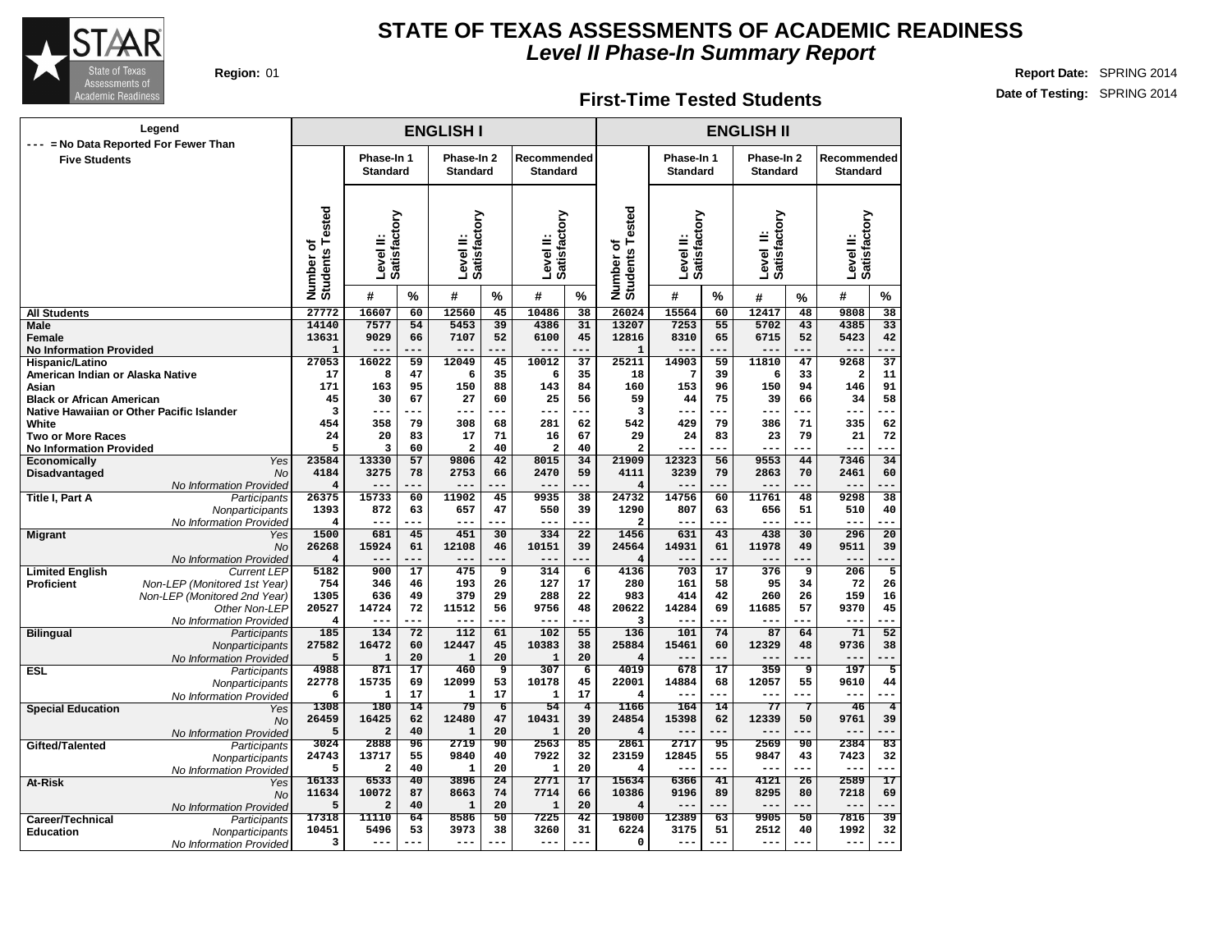

#### **First-Time Tested Students**

|                                                     | Legend                                        |                                       |                               |                 | <b>ENGLISH I</b>              |                      |                                |                      |                              |                               |                 | <b>ENGLISH II</b>             |                 |                                 |                      |
|-----------------------------------------------------|-----------------------------------------------|---------------------------------------|-------------------------------|-----------------|-------------------------------|----------------------|--------------------------------|----------------------|------------------------------|-------------------------------|-----------------|-------------------------------|-----------------|---------------------------------|----------------------|
| <b>Five Students</b>                                | = No Data Reported For Fewer Than             |                                       | Phase-In 1<br><b>Standard</b> |                 | Phase-In 2<br><b>Standard</b> |                      | Recommended<br><b>Standard</b> |                      |                              | Phase-In 1<br><b>Standard</b> |                 | Phase-In 2<br><b>Standard</b> |                 | Recommended<br><b>Standard</b>  |                      |
|                                                     |                                               | <b>Students Tested</b><br>৳<br>Number | Satisfactory<br>Level II:     |                 | Level II:<br>Satisfactory     |                      | Level II:<br>Satisfactory      |                      | Number of<br>Students Tested | Level II:<br>Satisfactory     |                 | Level II:<br>Satisfactory     |                 | Level II:<br>Satisfactory       |                      |
|                                                     |                                               |                                       | #                             | %               | #                             | %                    | #                              | $\%$                 |                              | #                             | %               | #                             | %               | #                               | %                    |
| <b>All Students</b>                                 |                                               | 27772                                 | 16607                         | 60              | 12560                         | 45                   | 10486                          | 38                   | 26024                        | 15564                         | 60              | 12417                         | 48              | 9808                            | $\overline{38}$      |
| Male                                                |                                               | 14140                                 | 7577                          | 54              | 5453                          | 39                   | 4386                           | 31                   | 13207                        | 7253                          | 55              | 5702                          | 43              | 4385                            | 33                   |
| <b>Female</b>                                       |                                               | 13631                                 | 9029                          | 66              | 7107                          | 52                   | 6100                           | 45                   | 12816                        | 8310                          | 65              | 6715                          | 52              | 5423                            | 42                   |
| <b>No Information Provided</b>                      |                                               | $\mathbf{1}$                          |                               |                 |                               |                      |                                | ---                  | 1                            |                               |                 |                               |                 | $- - -$                         | $\overline{37}$      |
| Hispanic/Latino<br>American Indian or Alaska Native |                                               | 27053<br>17                           | 16022<br>8                    | 59<br>47        | 12049<br>6                    | 45<br>35             | 10012<br>6                     | 37<br>35             | 25211<br>18                  | 14903<br>7                    | 59<br>39        | 11810<br>6                    | 47<br>33        | 9268<br>$\overline{\mathbf{2}}$ | 11                   |
| Asian                                               |                                               | 171                                   | 163                           | 95              | 150                           | 88                   | 143                            | 84                   | 160                          | 153                           | 96              | 150                           | 94              | 146                             | 91                   |
| <b>Black or African American</b>                    |                                               | 45                                    | 30                            | 67              | 27                            | 60                   | 25                             | 56                   | 59                           | 44                            | 75              | 39                            | 66              | 34                              | 58                   |
|                                                     | Native Hawaiian or Other Pacific Islander     | $\overline{3}$                        | ---                           |                 | $---$                         |                      | ---                            | ---                  | 3                            | $- - -$                       | ---             | $---$                         |                 | ---                             |                      |
| White                                               |                                               | 454                                   | 358                           | 79              | 308                           | 68                   | 281                            | 62                   | 542                          | 429                           | 79              | 386                           | 71              | 335                             | 62                   |
| <b>Two or More Races</b>                            |                                               | 24                                    | 20                            | 83              | 17                            | 71                   | 16                             | 67                   | 29                           | 24                            | 83              | 23                            | 79              | 21                              | 72                   |
| <b>No Information Provided</b>                      |                                               | 5                                     | 3                             | 60              | $\overline{a}$                | 40                   | $\overline{a}$                 | 40                   | $\overline{a}$               | ---                           | ---             |                               |                 | ---                             | ---                  |
| <b>Economically</b>                                 | Yes                                           | 23584                                 | 13330                         | 57              | 9806                          | $\overline{42}$      | 8015                           | 34                   | 21909                        | 12323                         | 56              | 9553                          | 44              | 7346                            | 34                   |
| Disadvantaged                                       | <b>No</b>                                     | 4184                                  | 3275                          | 78              | 2753                          | 66                   | 2470                           | 59                   | 4111                         | 3239                          | 79              | 2863                          | 70              | 2461                            | 60                   |
|                                                     | No Information Provided                       | $\overline{4}$                        | ---                           |                 | ---                           | ---                  | $---$                          | ---                  | 4                            | $---$                         | ---             | $---$                         | ---             | $---$                           |                      |
| <b>Title I, Part A</b>                              | Participants                                  | 26375                                 | 15733                         | 60              | 11902                         | 45                   | 9935                           | 38                   | 24732                        | 14756                         | 60              | 11761                         | 48              | 9298                            | 38                   |
|                                                     | Nonparticipants                               | 1393                                  | 872                           | 63              | 657                           | 47                   | 550                            | 39                   | 1290                         | 807                           | 63              | 656                           | 51              | 510                             | 40                   |
|                                                     | No Information Provided                       | $\overline{4}$                        | $---$                         | ---             | $---$                         | ---                  | $---$                          | ---                  | $\overline{a}$               | $---$                         | ---             | $---$                         | ---             | ---                             | ---                  |
| <b>Migrant</b>                                      | Yes                                           | 1500                                  | 681                           | 45              | 451                           | 30                   | 334                            | $\overline{22}$      | 1456                         | 631                           | 43              | 438                           | 30              | 296                             | $\overline{20}$      |
|                                                     | <b>No</b>                                     | 26268<br>$\overline{4}$               | 15924<br>---                  | 61              | 12108<br>$---$                | 46                   | 10151<br>$---$                 | 39<br>---            | 24564<br>4                   | 14931<br>$---$                | 61              | 11978                         | 49              | 9511<br>$---$                   | 39                   |
| <b>Limited English</b>                              | No Information Provided<br><b>Current LEP</b> | 5182                                  | 900                           | $\overline{17}$ | 475                           | $\overline{9}$       | 314                            | $\overline{6}$       | 4136                         | 703                           | 17              | 376                           | $\overline{9}$  | 206                             | $\overline{5}$       |
| Proficient                                          | Non-LEP (Monitored 1st Year)                  | 754                                   | 346                           | 46              | 193                           | 26                   | 127                            | 17                   | 280                          | 161                           | 58              | 95                            | 34              | 72                              | 26                   |
|                                                     | Non-LEP (Monitored 2nd Year)                  | 1305                                  | 636                           | 49              | 379                           | 29                   | 288                            | 22                   | 983                          | 414                           | 42              | 260                           | 26              | 159                             | 16                   |
|                                                     | Other Non-LEP                                 | 20527                                 | 14724                         | 72              | 11512                         | 56                   | 9756                           | 48                   | 20622                        | 14284                         | 69              | 11685                         | 57              | 9370                            | 45                   |
|                                                     | No Information Provided                       | 4                                     |                               |                 | $---$                         |                      | $---$                          |                      | 3                            |                               | ---             | $---$                         |                 | ---                             |                      |
| <b>Bilingual</b>                                    | Participants                                  | 185                                   | 134                           | $\overline{72}$ | 112                           | 61                   | 102                            | 55                   | 136                          | 101                           | 74              | 87                            | 64              | 71                              | $\overline{52}$      |
|                                                     | Nonparticipants                               | 27582                                 | 16472                         | 60              | 12447                         | 45                   | 10383                          | 38                   | 25884                        | 15461                         | 60              | 12329                         | 48              | 9736                            | 38                   |
|                                                     | No Information Provided                       | 5                                     | ${\bf 1}$                     | 20              | $\mathbf{1}$                  | 20                   | $\mathbf 1$                    | 20                   | 4                            |                               |                 |                               |                 | ---                             |                      |
| <b>ESL</b>                                          | Participants                                  | 4988                                  | 871                           | $\overline{17}$ | 460                           | 9                    | 307                            | $\overline{6}$       | 4019                         | 678                           | 17              | 359                           | 9               | 197                             | 5                    |
|                                                     | Nonparticipants                               | 22778                                 | 15735                         | 69              | 12099                         | 53                   | 10178                          | 45                   | 22001                        | 14884                         | 68              | 12057                         | 55              | 9610                            | 44                   |
|                                                     | No Information Provided                       | 6                                     | $\mathbf{1}$                  | 17              | $\mathbf{1}$                  | 17                   | 1                              | 17                   | 4                            | $---$                         | ---             | $---$                         | ---             | $- - -$                         |                      |
| <b>Special Education</b>                            | Yes                                           | 1308<br>26459                         | 180<br>16425                  | 14<br>62        | 79<br>12480                   | $\overline{6}$<br>47 | 54<br>10431                    | $\overline{4}$<br>39 | 1166<br>24854                | 164<br>15398                  | 14<br>62        | 77<br>12339                   | 7<br>50         | 46<br>9761                      | $\overline{4}$<br>39 |
|                                                     | <b>No</b>                                     | 5                                     | $\overline{a}$                | 40              | $\mathbf{1}$                  | 20                   | $\mathbf{1}$                   | 20                   | 4                            |                               |                 |                               |                 |                                 |                      |
| Gifted/Talented                                     | No Information Provided<br>Participants       | 3024                                  | 2888                          | 96              | 2719                          | 90                   | 2563                           | 85                   | 2861                         | 2717                          | 95              | 2569                          | 90              | 2384                            | 83                   |
|                                                     | Nonparticipants                               | 24743                                 | 13717                         | 55              | 9840                          | 40                   | 7922                           | 32                   | 23159                        | 12845                         | 55              | 9847                          | 43              | 7423                            | 32                   |
|                                                     | No Information Provided                       | 5                                     | $\mathbf{z}$                  | 40              | $\mathbf{1}$                  | 20                   | $\mathbf{1}$                   | 20                   | 4                            | $- - -$                       | ---             | ---                           | ---             | $- - -$                         | ---                  |
| At-Risk                                             | Yes                                           | 16133                                 | 6533                          | $\overline{40}$ | 3896                          | $\overline{24}$      | 2771                           | $\overline{17}$      | 15634                        | 6366                          | $\overline{41}$ | 4121                          | $\overline{26}$ | 2589                            | $\overline{17}$      |
|                                                     | <b>No</b>                                     | 11634                                 | 10072                         | 87              | 8663                          | 74                   | 7714                           | 66                   | 10386                        | 9196                          | 89              | 8295                          | 80              | 7218                            | 69                   |
|                                                     | No Information Provided                       | 5                                     | $\overline{a}$                | 40              | $\mathbf{1}$                  | 20                   | $\mathbf{1}$                   | 20                   | 4                            | $---$                         | ---             | $---$                         | $---$           | $---$                           | ---                  |
| Career/Technical                                    | Participants                                  | 17318                                 | 11110                         | 64              | 8586                          | 50                   | 7225                           | 42                   | 19800                        | 12389                         | 63              | 9905                          | 50              | 7816                            | 39                   |
| <b>Education</b>                                    | Nonparticipants                               | 10451                                 | 5496                          | 53              | 3973                          | 38                   | 3260                           | 31                   | 6224                         | 3175                          | 51              | 2512                          | 40              | 1992                            | 32                   |
|                                                     | No Information Provided                       | 3                                     | ---                           |                 | $---$                         |                      | $- -$                          | ---                  | 0                            |                               |                 |                               |                 | $- - -$                         |                      |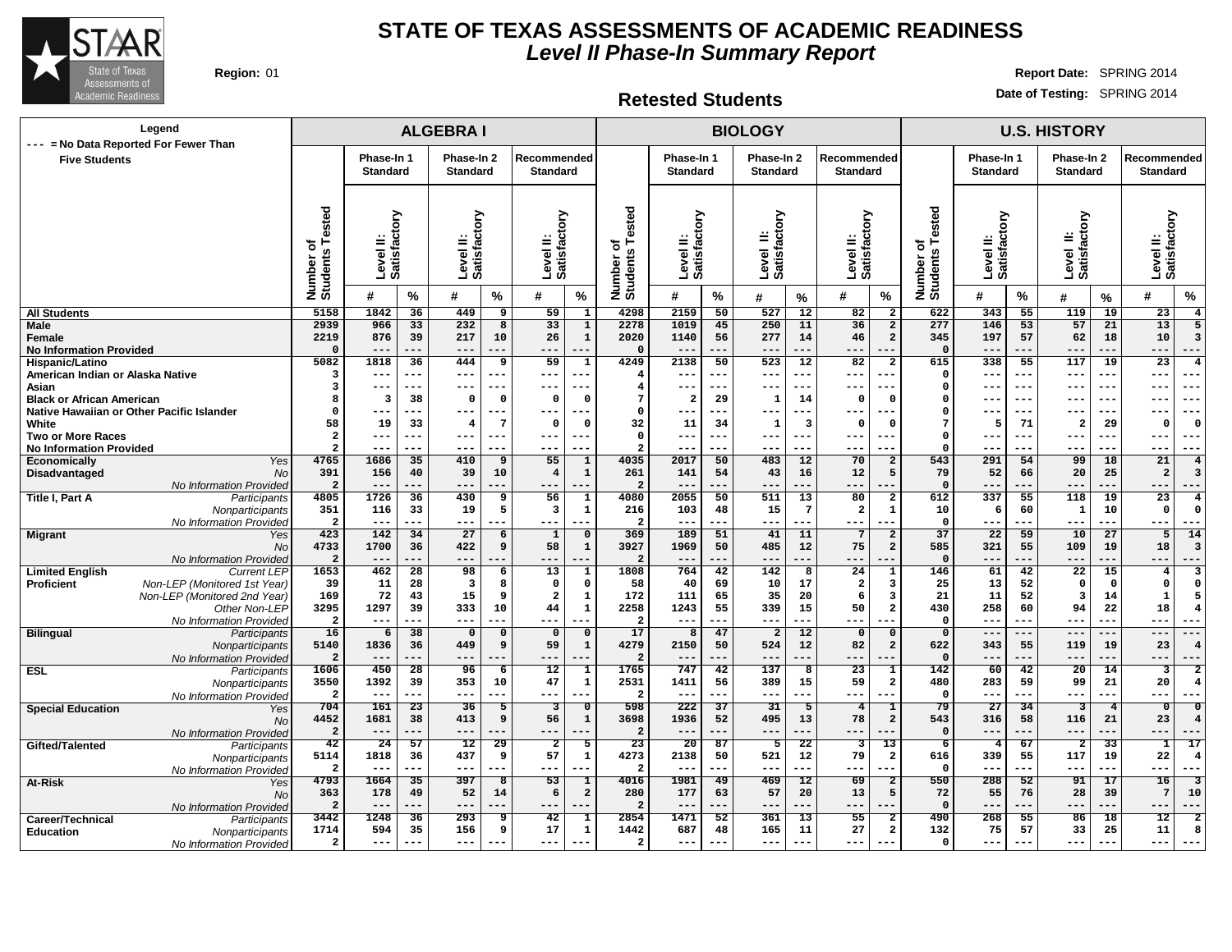

#### **STATE OF TEXAS ASSESSMENTS OF ACADEMIC READINESS Level II Phase-In Summary Report**

**Region:** 01 **Report Date:** SPRING 2014 **Date of Testing:** SPRING 2014

#### **Retested Students**

|        |            | <b>U.S. HISTORY</b> |                        |
|--------|------------|---------------------|------------------------|
| l hehi | Phase-In 1 |                     | Phase-In 2 Recommended |

| Legend                                                                        |                                 |                                |                 | <b>ALGEBRAI</b>                  |                                                                                                                                                                                                                                                                                                                                                  |                                 |                               |                         |                                  |                 | <b>BIOLOGY</b>            |                 |                           |                                  | <b>U.S. HISTORY</b>          |                           |                 |                           |                 |                                                    |  |
|-------------------------------------------------------------------------------|---------------------------------|--------------------------------|-----------------|----------------------------------|--------------------------------------------------------------------------------------------------------------------------------------------------------------------------------------------------------------------------------------------------------------------------------------------------------------------------------------------------|---------------------------------|-------------------------------|-------------------------|----------------------------------|-----------------|---------------------------|-----------------|---------------------------|----------------------------------|------------------------------|---------------------------|-----------------|---------------------------|-----------------|----------------------------------------------------|--|
| --- = No Data Reported For Fewer Than<br><b>Five Students</b>                 |                                 | Phase-In 1                     |                 |                                  | Phase-In 2                                                                                                                                                                                                                                                                                                                                       | Recommended                     |                               |                         | Phase-In 1                       |                 | Phase-In 2                |                 | Recommended               |                                  |                              | Phase-In 1                |                 | Phase-In 2                |                 | Recommended                                        |  |
|                                                                               |                                 | <b>Standard</b>                |                 |                                  |                                                                                                                                                                                                                                                                                                                                                  | <b>Standard</b>                 |                               |                         | <b>Standard</b>                  |                 | <b>Standard</b>           |                 | <b>Standard</b>           |                                  |                              | <b>Standard</b>           |                 | <b>Standard</b>           |                 | <b>Standard</b>                                    |  |
|                                                                               |                                 |                                |                 |                                  |                                                                                                                                                                                                                                                                                                                                                  |                                 |                               | ested                   |                                  |                 |                           |                 |                           |                                  |                              |                           |                 |                           |                 |                                                    |  |
|                                                                               | Number of<br>Students Tested    | Level II:<br>Satisfactory      |                 | ≝                                | <b>Standard</b><br>factory<br>Level<br>Satisfa<br>$\%$<br>#<br>449<br>$\overline{9}$<br>232<br>8<br>217<br>10<br>$- -$<br>---<br>444<br>9<br>$---$<br>---<br>$---$<br>$\Omega$<br>$^{\circ}$<br>$-- -$<br>---<br>7<br>$\overline{4}$<br>$---$<br>$- - -$<br>$- -$<br>---<br>410<br>9<br>39<br>10<br>$---$<br>---<br>430<br>9<br>19<br>5<br>$---$ |                                 | Level II:<br>Satisfactory     |                         | Level II:<br>Satisfactory        |                 | Level II:<br>Satisfactory |                 | Level II:<br>Satisfactory |                                  | Number of<br>Students Tested | Level II:<br>Satisfactory |                 | Level II:<br>Satisfactory |                 | Level II:<br>Satisfactory                          |  |
|                                                                               |                                 | #                              | %               |                                  |                                                                                                                                                                                                                                                                                                                                                  | #                               | %                             | Number of<br>Students   | #                                | %               | #                         | %               | #                         | $\%$                             |                              | #                         | $\%$            | #                         | %               | $\%$<br>#                                          |  |
| <b>All Students</b>                                                           | 5158                            | 1842                           | 36              |                                  |                                                                                                                                                                                                                                                                                                                                                  | 59                              | $\overline{\mathbf{1}}$       | 4298                    | 2159                             | 50              | 527                       | 12              | 82                        | $\overline{2}$                   | 622                          | 343                       | $\overline{55}$ | 119                       | 19              | 23<br>$\overline{4}$                               |  |
| Male<br>Female                                                                | 2939<br>2219                    | 966<br>876                     | 33<br>39        |                                  |                                                                                                                                                                                                                                                                                                                                                  | 33<br>26                        | $\overline{1}$<br>$\mathbf 1$ | 2278<br>2020            | 1019<br>1140                     | 45<br>56        | 250<br>277                | 11<br>14        | 36<br>46                  | $\overline{a}$<br>$\overline{a}$ | 277<br>345                   | 146<br>197                | 53<br>57        | 57<br>62                  | 21<br>18        | 13<br>5<br>10<br>3                                 |  |
| <b>No Information Provided</b>                                                | $\Omega$                        | ---                            | ---             |                                  |                                                                                                                                                                                                                                                                                                                                                  | ---                             |                               | $\Omega$                | $- -$                            | ---             | $- -$                     | ---             | $- -$                     |                                  | $\Omega$                     |                           | ---             | ---                       |                 | $- - -$<br>---                                     |  |
| Hispanic/Latino                                                               | 5082                            | 1818                           | 36              |                                  |                                                                                                                                                                                                                                                                                                                                                  | 59                              | $\mathbf{1}$                  | 4249                    | 2138                             | 50              | 523                       | $\overline{12}$ | 82                        | $\overline{2}$                   | 615                          | 338                       | 55              | 117                       | 19              | $\overline{23}$<br>$\overline{4}$                  |  |
| American Indian or Alaska Native                                              | 3                               | ---                            | ---             |                                  |                                                                                                                                                                                                                                                                                                                                                  | $\qquad \qquad - -$             |                               | 4                       | $---$                            | ---             | $--$                      | ---             | $---$                     |                                  | $\Omega$                     | ---                       | ---             | $---$                     | ---             | $--$<br>---                                        |  |
| Asian                                                                         | 3<br>8                          | ---                            | ---             |                                  |                                                                                                                                                                                                                                                                                                                                                  | $\qquad \qquad - -$<br>$\Omega$ | $\mathbf 0$                   | $\overline{4}$<br>7     | $---$<br>$\overline{\mathbf{2}}$ | ---<br>29       | $- - -$                   | ---             | ---<br>$\mathbf 0$        | $\Omega$                         | $\Omega$<br>$\Omega$         | $- - -$                   | ---<br>---      | $---$<br>$--$             | $- - -$         | $--$<br>$- -$<br>---                               |  |
| <b>Black or African American</b><br>Native Hawaiian or Other Pacific Islander | $\Omega$                        | $\overline{\mathbf{3}}$<br>--- | 38<br>---       |                                  |                                                                                                                                                                                                                                                                                                                                                  | $---$                           |                               | $\Omega$                | $---$                            | ---             | $\mathbf{1}$<br>$--$      | 14<br>---       | ---                       | ---                              | $\Omega$                     | ---                       | ---             | $---$                     | ---             | $--$<br>$--$                                       |  |
| White                                                                         | 58                              | 19                             | 33              |                                  |                                                                                                                                                                                                                                                                                                                                                  | $\Omega$                        | $\mathbf 0$                   | 32                      | 11                               | 34              | $\mathbf{1}$              | 3               | $\Omega$                  | $\Omega$                         | 7                            | 5                         | 71              | $\overline{2}$            | 29              | $\Omega$<br>$\Omega$                               |  |
| <b>Two or More Races</b>                                                      | $\overline{\mathbf{2}}$         | ---                            | ---             |                                  |                                                                                                                                                                                                                                                                                                                                                  | $---$                           | ---                           | $^{\circ}$              | $\frac{1}{2}$                    | $---$           | $- - -$                   | ---             | $- - -$                   | $- -$                            | $\Omega$                     | $- - -$                   | ---             | $---$                     | $---$           | $- - -$<br>$- -$                                   |  |
| <b>No Information Provided</b>                                                | $\overline{a}$                  | ---                            | ---             |                                  |                                                                                                                                                                                                                                                                                                                                                  | $- - -$                         |                               | $\overline{a}$          | $- - -$                          | ---             | $- -$                     | ---             | $- -$                     |                                  | $\Omega$                     |                           | ---             | ---                       | ---             | $- - -$<br>---                                     |  |
| Yes<br>Economically                                                           | 4765                            | 1686                           | 35              |                                  |                                                                                                                                                                                                                                                                                                                                                  | 55                              | $\mathbf{1}$                  | 4035                    | 2017                             | 50              | 483                       | 12              | 70                        | $\overline{a}$                   | 543                          | 291                       | 54              | 99                        | 18              | 21<br>$\overline{4}$                               |  |
| Disadvantaged<br><b>No</b><br>No Information Provided                         | 391<br>$\overline{a}$           | 156<br>$---$                   | 40<br>---       |                                  |                                                                                                                                                                                                                                                                                                                                                  | $\overline{4}$<br>$---$         | $\mathbf{1}$<br>---           | 261<br>$\overline{2}$   | 141<br>$---$                     | 54<br>---       | 43<br>$---$               | 16<br>$---$     | 12<br>$---$               | 5<br>---                         | 79<br>$\Omega$               | 52<br>---                 | 66<br>---       | 20<br>$---$               | 25<br>---       | $\overline{a}$<br>$\overline{3}$<br>$---$<br>$---$ |  |
| Title I, Part A<br>Participants                                               | 4805                            | 1726                           | 36              |                                  |                                                                                                                                                                                                                                                                                                                                                  | 56                              | 1                             | 4080                    | 2055                             | 50              | 511                       | 13              | 80                        | $\overline{a}$                   | 612                          | 337                       | 55              | 118                       | 19              | 23<br>$\overline{4}$                               |  |
| Nonparticipants                                                               | 351                             | 116                            | 33              |                                  |                                                                                                                                                                                                                                                                                                                                                  | 3                               | 1                             | 216                     | 103                              | 48              | 15                        | $7\phantom{.0}$ | $\overline{\mathbf{2}}$   | $\mathbf{1}$                     | 10                           | 6                         | 60              | 1                         | 10              | $^{\circ}$<br>$\Omega$                             |  |
| No Information Provided                                                       | $\overline{\mathbf{2}}$         | $---$                          | ---             |                                  |                                                                                                                                                                                                                                                                                                                                                  | $---$                           |                               | $\overline{\mathbf{2}}$ | $---$                            |                 | $- -$                     | ---             | ---                       |                                  | $\mathbf 0$                  | ---                       | ---             | $- - -$                   | ---             | $- - -$                                            |  |
| <b>Migrant</b><br>Yes<br><b>No</b>                                            | 423<br>4733                     | 142<br>1700                    | 34<br>36        | 27<br>422                        | 6<br>9                                                                                                                                                                                                                                                                                                                                           | 1<br>58                         | $\Omega$<br>$\mathbf 1$       | 369<br>3927             | 189<br>1969                      | 51<br>50        | 41<br>485                 | 11<br>12        | $\overline{7}$<br>75      | $\overline{a}$<br>$\overline{a}$ | 37<br>585                    | 22<br>321                 | 59<br>55        | 10<br>109                 | 27<br>19        | 5<br>14<br>18<br>$\overline{3}$                    |  |
| No Information Provided                                                       | $\overline{2}$                  | $---$                          | ---             | $---$                            |                                                                                                                                                                                                                                                                                                                                                  | $---$                           |                               | $\boldsymbol{2}$        | $---$                            | ---             | $--$                      | ---             | $--$                      |                                  | $\Omega$                     | ---                       | ---             | $---$                     | ---             | $---$<br>---                                       |  |
| <b>Limited English</b><br><b>Current LEP</b>                                  | 1653                            | 462                            | 28              | 98                               | 6                                                                                                                                                                                                                                                                                                                                                | 13                              | $\mathbf{1}$                  | 1808                    | 764                              | 42              | 142                       | 8               | 24                        | $\mathbf{1}$                     | 146                          | 61                        | 42              | 22                        | 15              | 3<br>4                                             |  |
| Non-LEP (Monitored 1st Year)<br><b>Proficient</b>                             | 39                              | 11                             | 28              | $\overline{\mathbf{3}}$          | 8                                                                                                                                                                                                                                                                                                                                                | $\Omega$                        | $\mathbf 0$                   | 58                      | 40                               | 69              | 10                        | 17              | $\overline{\mathbf{2}}$   | $\overline{\mathbf{3}}$          | 25                           | 13                        | 52              | $\Omega$                  | $\mathbf 0$     | $\Omega$<br>$\Omega$                               |  |
| Non-LEP (Monitored 2nd Year)                                                  | 169                             | 72                             | 43              | 15                               | 9                                                                                                                                                                                                                                                                                                                                                | $\overline{\mathbf{2}}$         | $\mathbf 1$                   | 172                     | 111                              | 65              | 35                        | 20              | 6                         | 3                                | 21                           | 11                        | 52              | $\overline{\mathbf{3}}$   | 14              | 1<br>.5                                            |  |
| Other Non-LEP                                                                 | 3295                            | 1297                           | 39<br>---       | 333                              | 10<br>---                                                                                                                                                                                                                                                                                                                                        | 44                              | $\mathbf{1}$<br>---           | 2258<br>$\overline{2}$  | 1243                             | 55<br>---       | 339                       | 15<br>---       | 50                        | $\overline{a}$                   | 430<br>$\Omega$              | 258<br>---                | 60<br>---       | 94                        | 22<br>---       | 18<br>-4<br>$--$<br>$- -$                          |  |
| No Information Provided<br><b>Bilingual</b><br>Participants                   | $\overline{a}$<br>16            | $---$<br>6                     | 38              | $---$<br>$\overline{\mathbf{0}}$ | $\Omega$                                                                                                                                                                                                                                                                                                                                         | $---$<br>$\Omega$               | $\mathbf 0$                   | 17                      | $---$<br>8                       | 47              | $---$<br>$\overline{2}$   | 12              | ---<br>$\Omega$           | $\mathbf 0$                      | $\mathbf 0$                  | ---                       | $---$           | $---$<br>$\frac{1}{2}$    | $---$           | $---$<br>$---$                                     |  |
| Nonparticipants                                                               | 5140                            | 1836                           | 36              | 449                              | 9                                                                                                                                                                                                                                                                                                                                                | 59                              | $\mathbf 1$                   | 4279                    | 2150                             | 50              | 524                       | 12              | 82                        | $\overline{a}$                   | 622                          | 343                       | 55              | 119                       | 19              | 23                                                 |  |
| No Information Provideo                                                       | $\overline{2}$                  | $---$                          | ---             | $--$                             |                                                                                                                                                                                                                                                                                                                                                  | ---                             |                               | $\overline{\mathbf{2}}$ |                                  |                 | $---$                     | ---             | $--$                      |                                  | $\Omega$                     |                           | ---             | ---                       | ---             | $--$<br>---                                        |  |
| <b>ESL</b><br>Participants                                                    | 1606                            | 450                            | 28              | 96                               | 6                                                                                                                                                                                                                                                                                                                                                | 12                              | $\mathbf{1}$                  | 1765                    | 747                              | 42              | 137                       | 8               | 23                        | 1                                | 142                          | 60                        | 42              | 20                        | 14              | 3<br>$\overline{2}$                                |  |
| Nonparticipants                                                               | 3550<br>$\overline{\mathbf{2}}$ | 1392<br>$---$                  | 39<br>---       | 353<br>$---$                     | 10<br>---                                                                                                                                                                                                                                                                                                                                        | 47<br>$---$                     | 1                             | 2531<br>$\overline{2}$  | 1411<br>$---$                    | 56              | 389<br>$--$               | 15<br>$---$     | 59<br>$--$                | $\overline{a}$                   | 480<br>- 0                   | 283<br>---                | 59<br>---       | 99<br>$---$               | 21<br>---       | 20<br>4<br>$--$                                    |  |
| No Information Provided<br><b>Special Education</b><br>Yes                    | 704                             | 161                            | $\overline{23}$ | $\overline{36}$                  | 5                                                                                                                                                                                                                                                                                                                                                | 3                               | $\overline{0}$                | 598                     | 222                              | 37              | 31                        | 5               | 4                         | 1                                | 79                           | $\overline{27}$           | 34              | 3                         | $\overline{4}$  | $\overline{0}$<br>$\Omega$                         |  |
| <b>No</b>                                                                     | 4452                            | 1681                           | 38              | 413                              | 9                                                                                                                                                                                                                                                                                                                                                | 56                              | $\mathbf{1}$                  | 3698                    | 1936                             | 52              | 495                       | 13              | 78                        | $\overline{a}$                   | 543                          | 316                       | 58              | 116                       | 21              | 23<br>4                                            |  |
| No Information Provideo                                                       | $\overline{a}$                  | ---                            | ---             | $- -$                            |                                                                                                                                                                                                                                                                                                                                                  | ---                             |                               | $\overline{a}$          | $--$                             |                 | $---$                     |                 |                           |                                  | $\mathbf 0$                  |                           |                 | ---                       |                 | ---                                                |  |
| Gifted/Talented<br>Participants                                               | 42                              | 24                             | 57              | $\overline{12}$                  | 29                                                                                                                                                                                                                                                                                                                                               | $\overline{a}$                  | 5                             | $\overline{23}$         | $\overline{20}$                  | 87              | 5                         | 22              | 3                         | 13                               | 6                            | $\overline{4}$            | 67              | $\overline{2}$            | $\overline{33}$ | $\overline{17}$<br>1                               |  |
| Nonparticipants                                                               | 5114<br>$\overline{a}$          | 1818<br>$---$                  | 36<br>---       | 437<br>$\qquad \qquad - -$       | 9<br>---                                                                                                                                                                                                                                                                                                                                         | 57<br>$\qquad \qquad - -$       | $\mathbf 1$<br>$-$            | 4273<br>$\overline{2}$  | 2138<br>$---$                    | 50<br>---       | 521<br>$---$              | 12<br>---       | 79<br>$---$               | $\overline{a}$<br>---            | 616<br>$\mathbf{o}$          | 339<br>---                | 55<br>---       | 117<br>$---$              | 19<br>---       | 22<br>$\overline{4}$<br>$---$<br>$--$              |  |
| No Information Provideo<br>At-Risk<br>Yes                                     | 4793                            | 1664                           | $\overline{35}$ | 397                              | 8                                                                                                                                                                                                                                                                                                                                                | 53                              | $\mathbf{1}$                  | 4016                    | 1981                             | 49              | 469                       | 12              | 69                        | $\overline{2}$                   | 550                          | 288                       | $\overline{52}$ | $\overline{91}$           | 17              | 16<br>$\overline{\mathbf{3}}$                      |  |
| <b>No</b>                                                                     | 363                             | 178                            | 49              | 52                               | 14                                                                                                                                                                                                                                                                                                                                               | 6                               | $\mathbf{2}$                  | 280                     | 177                              | 63              | 57                        | 20              | 13                        | 5                                | 72                           | 55                        | 76              | 28                        | 39              | $7\phantom{.0}$<br>10                              |  |
| No Information Provideo                                                       | $\overline{a}$                  | ---                            | ---             | $---$                            | ---                                                                                                                                                                                                                                                                                                                                              | $---$                           |                               | $\overline{2}$          | $---$                            | ---             | $---$                     | ---             | ---                       | $-- -$                           | $\mathbf 0$                  | ---                       | ---             | ---                       | ---             | ---<br>$--$                                        |  |
| Career/Technical<br>Participants                                              | 3442                            | 1248                           | 36              | 293                              | 9                                                                                                                                                                                                                                                                                                                                                | 42                              | 1                             | 2854                    | 1471                             | $\overline{52}$ | 361                       | 13              | 55                        | 2                                | 490                          | 268                       | 55              | 86                        | 18              | $12 \$<br>$\overline{2}$                           |  |
| <b>Education</b><br>Nonparticipants                                           | 1714                            | 594                            | 35              | 156                              | 9                                                                                                                                                                                                                                                                                                                                                | 17                              | 1                             | 1442                    | 687                              | 48              | 165                       | 11              | 27                        | $\overline{a}$                   | 132                          | 75                        | 57              | 33                        | 25              | 11<br>8                                            |  |
| No Information Provided                                                       | $\overline{a}$                  | $---$                          | ---             | $---$                            | $---$                                                                                                                                                                                                                                                                                                                                            | $---$                           |                               | $\overline{\mathbf{2}}$ | $- - -$                          | $---$           | $---$                     | $---$           | $- - -$                   | ---                              | $\mathbf 0$                  | $- - -$                   | ---             | $---$                     | $---$           | $---$<br>$---$                                     |  |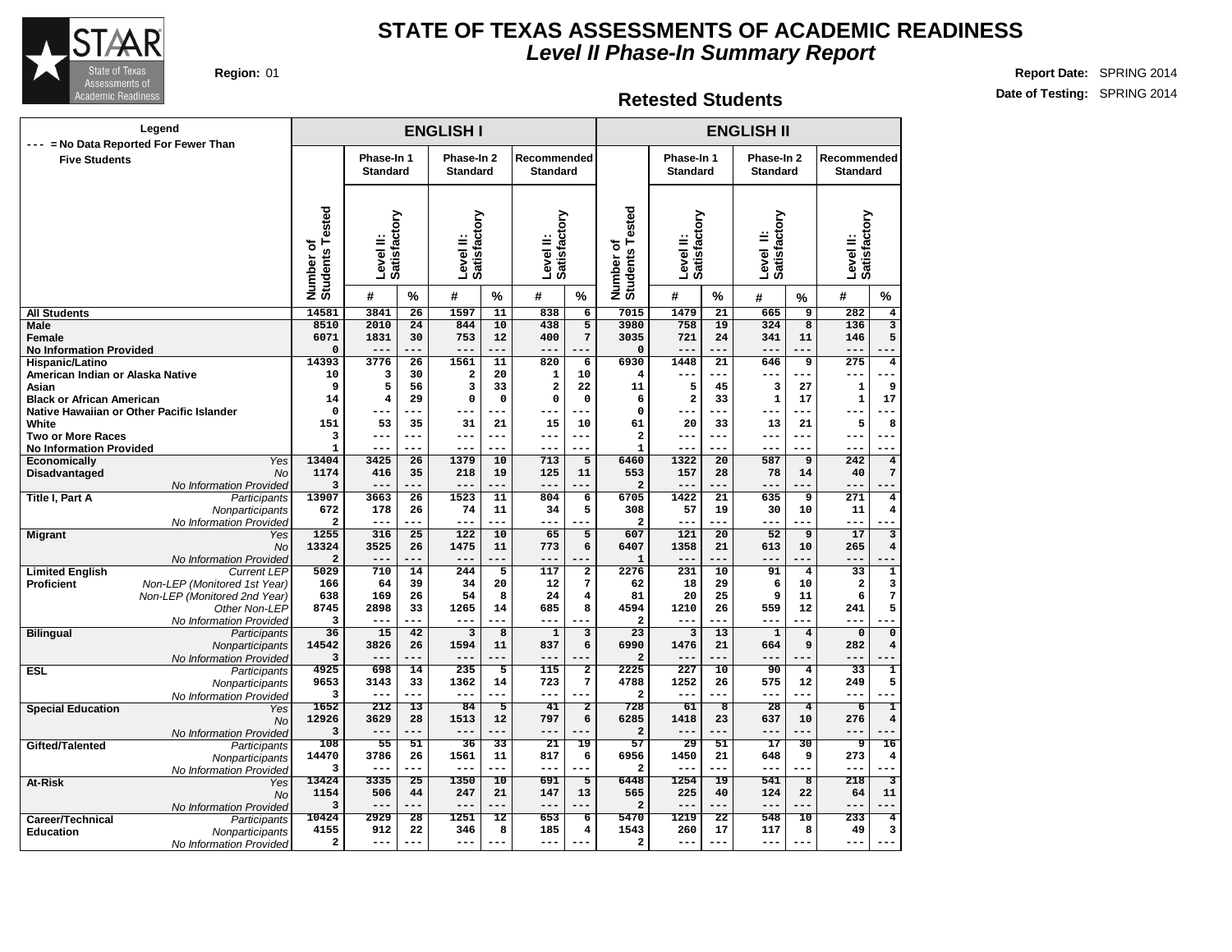

## **Retested Students**

| Legend                                                        |                                           |                               |                           |                               | <b>ENGLISH I</b>           |                                |                           | <b>ENGLISH II</b>       |                                 |                               |                               |                           |                                |                           |                           |  |  |
|---------------------------------------------------------------|-------------------------------------------|-------------------------------|---------------------------|-------------------------------|----------------------------|--------------------------------|---------------------------|-------------------------|---------------------------------|-------------------------------|-------------------------------|---------------------------|--------------------------------|---------------------------|---------------------------|--|--|
| --- = No Data Reported For Fewer Than<br><b>Five Students</b> |                                           | Phase-In 1<br><b>Standard</b> |                           | Phase-In 2<br><b>Standard</b> |                            | Recommended<br><b>Standard</b> |                           |                         | Phase-In 1<br><b>Standard</b>   |                               | Phase-In 2<br><b>Standard</b> |                           | Recommended<br><b>Standard</b> |                           |                           |  |  |
|                                                               |                                           |                               |                           |                               |                            |                                |                           |                         |                                 |                               |                               |                           |                                |                           |                           |  |  |
|                                                               |                                           | Number of<br>Students Tested  | Satisfactory<br>Level II: |                               | Level II:<br>Satisfactory  |                                | Satisfactory<br>Level II: |                         | Number of<br>Students Tested    | Level II:<br>Satisfactory     |                               | Level II:<br>Satisfactory |                                | Level II:<br>Satisfactory |                           |  |  |
|                                                               |                                           |                               | #                         | %                             | #                          | %                              | #                         | %                       |                                 | #                             | %                             | #                         | %                              | #                         | %                         |  |  |
| <b>All Students</b>                                           |                                           | 14581                         | 3841                      | $\overline{26}$               | 1597                       | $\overline{11}$                | 838                       | 6                       | 7015                            | 1479                          | $\overline{21}$               | 665                       | $\overline{9}$                 | 282                       | 4                         |  |  |
| <b>Male</b>                                                   |                                           | 8510                          | 2010                      | 24                            | 844                        | 10                             | 438                       | $\overline{5}$          | 3980                            | 758                           | 19                            | 324                       | $\overline{8}$                 | 136                       | $\overline{\mathbf{3}}$   |  |  |
| <b>Female</b>                                                 |                                           | 6071                          | 1831                      | 30                            | 753                        | 12                             | 400                       | $\overline{7}$          | 3035                            | 721                           | 24                            | 341                       | 11                             | 146                       | 5                         |  |  |
| <b>No Information Provided</b>                                |                                           | $\mathbf 0$                   | $- - -$                   | $- -$                         |                            |                                |                           | ---                     | $\mathbf 0$                     | ---                           |                               | $- - -$                   |                                |                           |                           |  |  |
| Hispanic/Latino                                               |                                           | 14393                         | 3776                      | $\overline{26}$               | 1561                       | $\overline{11}$                | 820                       | 6                       | 6930                            | 1448                          | $\overline{21}$               | 646                       | 9                              | 275                       | $\overline{4}$            |  |  |
| American Indian or Alaska Native                              |                                           | 10                            | 3                         | 30                            | $\overline{a}$             | 20                             | $\mathbf{1}$              | 10                      | 4                               | ---                           | $---$                         | $---$                     | $---$                          | ---                       | $---$                     |  |  |
| Asian                                                         |                                           | 9                             | 5                         | 56                            | $\overline{3}$<br>$\Omega$ | 33                             | $\overline{\mathbf{2}}$   | 22                      | 11                              | 5                             | 45                            | 3                         | 27                             | $\mathbf 1$               | 9                         |  |  |
| <b>Black or African American</b>                              | Native Hawaiian or Other Pacific Islander | 14<br>$\mathbf 0$             | 4                         | 29<br>---                     |                            | $\mathbf 0$<br>---             | $\mathbf 0$<br>---        | $\mathbf 0$<br>---      | 6<br>$\mathbf 0$                | $\overline{\mathbf{2}}$<br>-- | 33                            | $\mathbf{1}$<br>---       | 17                             | ${\bf 1}$<br>--           | 17                        |  |  |
| White                                                         |                                           | 151                           | 53                        | 35                            | 31                         | 21                             | 15                        | 10                      | 61                              | 20                            | 33                            | 13                        | 21                             | 5                         | 8                         |  |  |
| <b>Two or More Races</b>                                      |                                           | 3                             | --                        | ---                           | ---                        | ---                            | $---$                     | ---                     | $\overline{a}$                  | ---                           |                               | --                        |                                | --                        | $\overline{\phantom{a}}$  |  |  |
| <b>No Information Provided</b>                                |                                           | $\mathbf{1}$                  |                           | ---                           | $---$                      | ---                            | $---$                     | ---                     | $\mathbf{1}$                    | ---                           | $---$                         |                           | ---                            |                           |                           |  |  |
| Economically                                                  | Yes                                       | 13404                         | 3425                      | 26                            | 1379                       | 10                             | 713                       | 5                       | 6460                            | 1322                          | 20                            | 587                       | 9                              | 242                       | $\overline{4}$            |  |  |
| <b>Disadvantaged</b>                                          | <b>No</b>                                 | 1174                          | 416                       | 35                            | 218                        | 19                             | 125                       | 11                      | 553                             | 157                           | 28                            | 78                        | 14                             | 40                        | 7                         |  |  |
|                                                               | No Information Provided                   | 3                             | $--$                      |                               | $---$                      | $-1$                           | $---$                     |                         | $\mathbf 2$                     | ---                           |                               | $ -$                      |                                | $ -$                      |                           |  |  |
| <b>Title I, Part A</b>                                        | Participants                              | 13907                         | 3663                      | $\overline{26}$               | 1523                       | 11                             | 804                       | $\overline{6}$          | 6705                            | 1422                          | $\overline{21}$               | 635                       | 9                              | $\overline{271}$          | $\overline{\bf 4}$        |  |  |
|                                                               | Nonparticipants                           | 672                           | 178                       | 26                            | 74                         | 11                             | 34                        | 5                       | 308                             | 57                            | 19                            | 30                        | 10                             | 11                        | 4                         |  |  |
|                                                               | No Information Provided                   | $\overline{a}$<br>1255        | 316                       | 25                            | $---$<br>122               | 10                             | 65                        | 5                       | $\overline{\mathbf{2}}$<br>607  | ---<br>121                    | 20                            | ---<br>52                 | 9                              | ---<br>17                 | $\overline{\mathbf{3}}$   |  |  |
| <b>Migrant</b>                                                | Yes<br><b>No</b>                          | 13324                         | 3525                      | 26                            | 1475                       | 11                             | 773                       | 6                       | 6407                            | 1358                          | 21                            | 613                       | 10                             | 265                       | $\overline{\mathbf{4}}$   |  |  |
|                                                               | No Information Provided                   | $\overline{a}$                | $-$ -                     | $- - -$                       | ---                        |                                | $---$                     |                         | $\mathbf{1}$                    |                               |                               | ---                       |                                | ---                       |                           |  |  |
| <b>Limited English</b>                                        | <b>Current LEP</b>                        | 5029                          | 710                       | 14                            | 244                        | $\overline{5}$                 | 117                       | $\overline{2}$          | 2276                            | 231                           | 10                            | 91                        | $\overline{4}$                 | $\overline{33}$           | $\overline{1}$            |  |  |
| <b>Proficient</b>                                             | Non-LEP (Monitored 1st Year)              | 166                           | 64                        | 39                            | 34                         | 20                             | 12                        | 7                       | 62                              | 18                            | 29                            | 6                         | 10                             | $\mathbf 2$               | 3                         |  |  |
|                                                               | Non-LEP (Monitored 2nd Year)              | 638                           | 169                       | 26                            | 54                         | 8                              | 24                        | $\overline{\mathbf{4}}$ | 81                              | 20                            | 25                            | 9                         | 11                             | 6                         | 7                         |  |  |
|                                                               | Other Non-LEP                             | 8745                          | 2898                      | 33                            | 1265                       | 14                             | 685                       | 8                       | 4594                            | 1210                          | 26                            | 559                       | 12                             | 241                       | 5                         |  |  |
|                                                               | No Information Provided                   | 3                             | ---                       | $- - -$                       | ---                        |                                | $---$                     | ---                     | $\overline{a}$                  | ---                           | ---                           | $- - -$                   |                                | ---                       |                           |  |  |
| <b>Bilingual</b>                                              | Participants                              | 36                            | 15                        | $\overline{42}$               | $\overline{\mathbf{3}}$    | $\overline{8}$                 | $\overline{1}$            | $\overline{\mathbf{3}}$ | $\overline{23}$                 | $\overline{\mathbf{3}}$       | $\overline{13}$               | $\overline{1}$            | $\overline{4}$                 | $\overline{0}$            | $\overline{\mathfrak{o}}$ |  |  |
|                                                               | Nonparticipants                           | 14542<br>3                    | 3826                      | 26<br>.                       | 1594<br>$- -$              | 11<br>.                        | 837<br>$- - -$            | 6                       | 6990<br>$\overline{\mathbf{c}}$ | 1476<br>---                   | 21                            | 664<br>---                | 9                              | 282<br>---                | $\overline{\mathbf{4}}$   |  |  |
| <b>ESL</b>                                                    | No Information Provided<br>Participants   | 4925                          | 698                       | 14                            | 235                        | $\overline{5}$                 | $\overline{115}$          | $\overline{2}$          | 2225                            | $\overline{227}$              | $\overline{10}$               | $\overline{90}$           | $\overline{\mathbf{4}}$        | $\overline{33}$           | $\overline{1}$            |  |  |
|                                                               | Nonparticipants                           | 9653                          | 3143                      | 33                            | 1362                       | 14                             | 723                       | 7                       | 4788                            | 1252                          | 26                            | 575                       | 12                             | 249                       | 5                         |  |  |
|                                                               | No Information Provided                   | 3                             | ---                       | ---                           | $---$                      | ---                            | $---$                     | ---                     | $\overline{\mathbf{2}}$         | $---$                         | $---$                         | $---$                     | $- - -$                        | ---                       |                           |  |  |
| <b>Special Education</b>                                      | Yes                                       | 1652                          | 212                       | 13                            | 84                         | $\overline{5}$                 | 41                        | $\overline{2}$          | 728                             | 61                            | $\overline{\mathbf{8}}$       | 28                        | $\overline{4}$                 | $\overline{6}$            | T                         |  |  |
|                                                               | <b>No</b>                                 | 12926                         | 3629                      | 28                            | 1513                       | 12                             | 797                       | 6                       | 6285                            | 1418                          | 23                            | 637                       | 10                             | 276                       | $\overline{\mathbf{4}}$   |  |  |
|                                                               | No Information Provided                   | 3                             | ---                       |                               | $---$                      | ---                            | $---$                     |                         | $\overline{a}$                  | ---                           |                               | ---                       |                                | ---                       |                           |  |  |
| Gifted/Talented                                               | Participants                              | 108                           | 55                        | 51                            | 36                         | 33                             | 21                        | 19                      | 57                              | 29                            | 51                            | $\overline{17}$           | 30                             | 9                         | 16                        |  |  |
|                                                               | Nonparticipants                           | 14470                         | 3786                      | 26<br>---                     | 1561                       | 11<br>---                      | 817                       | 6                       | 6956                            | 1450                          | 21<br>---                     | 648                       | 9<br>$- - -$                   | 273                       | 4<br>٠.                   |  |  |
|                                                               | No Information Provided                   | 3<br>13424                    | ---<br>3335               | $\overline{25}$               | $---$<br>1350              | $\overline{10}$                | $---$<br>691              | ---<br>5                | $\overline{\mathbf{2}}$<br>6448 | ---<br>1254                   | $\overline{19}$               | ---<br>541                | $\overline{\mathbf{8}}$        | ---<br>218                | $\overline{\mathbf{3}}$   |  |  |
| At-Risk                                                       | Yes<br><b>No</b>                          | 1154                          | 506                       | 44                            | 247                        | 21                             | 147                       | 13                      | 565                             | 225                           | 40                            | 124                       | 22                             | 64                        | 11                        |  |  |
|                                                               | No Information Provided                   | 3                             | ---                       | ---                           | $---$                      | ---                            | $---$                     | ---                     | $\overline{a}$                  | ---                           | $---$                         | $---$                     | $---$                          | ---                       | ---                       |  |  |
| Career/Technical                                              | Participants                              | 10424                         | 2929                      | $\overline{28}$               | 1251                       | 12                             | 653                       | 6                       | 5470                            | 1219                          | $\overline{22}$               | 548                       | 10                             | 233                       | $\overline{4}$            |  |  |
| <b>Education</b>                                              | Nonparticipants                           | 4155                          | 912                       | 22                            | 346                        | 8                              | 185                       | 4                       | 1543                            | 260                           | 17                            | 117                       | 8                              | 49                        | 3                         |  |  |
|                                                               | No Information Provided                   | $\overline{\mathbf{2}}$       | ---                       |                               | ---                        |                                | $- - -$                   |                         | $\overline{\mathbf{2}}$         | ---                           |                               | $-$                       |                                | --                        |                           |  |  |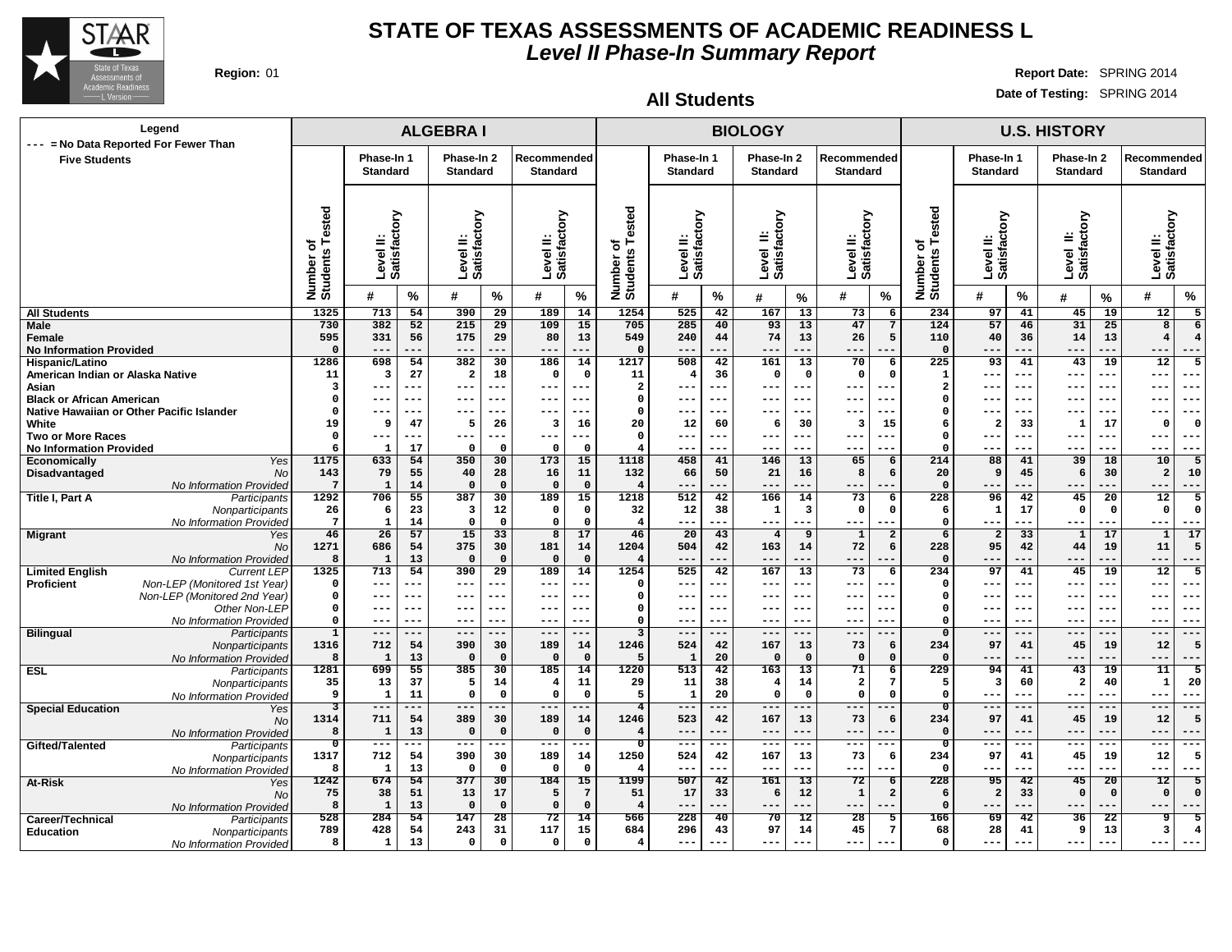

**Region:** 01 **Report Date:** SPRING 2014 **Date of Testing:** SPRING 2014

| Legend<br>--- = No Data Reported For Fewer Than                                   |                              |                                    |                 | <b>ALGEBRAI</b>                  |                        |                                |                   |                                           |                               |                 | <b>BIOLOGY</b>                |                               |                                             |                                                | <b>U.S. HISTORY</b>           |                 |                               |                          |                                                                      |  |  |  |
|-----------------------------------------------------------------------------------|------------------------------|------------------------------------|-----------------|----------------------------------|------------------------|--------------------------------|-------------------|-------------------------------------------|-------------------------------|-----------------|-------------------------------|-------------------------------|---------------------------------------------|------------------------------------------------|-------------------------------|-----------------|-------------------------------|--------------------------|----------------------------------------------------------------------|--|--|--|
| <b>Five Students</b>                                                              |                              | Phase-In 1<br><b>Standard</b>      |                 | Phase-In 2<br><b>Standard</b>    |                        | Recommended<br><b>Standard</b> |                   |                                           | Phase-In 1<br><b>Standard</b> |                 | Phase-In 2<br><b>Standard</b> |                               | Recommended<br><b>Standard</b>              |                                                | Phase-In 1<br><b>Standard</b> |                 | Phase-In 2<br><b>Standard</b> |                          | Recommended<br><b>Standard</b>                                       |  |  |  |
|                                                                                   |                              |                                    |                 |                                  |                        |                                |                   |                                           |                               |                 |                               |                               |                                             |                                                |                               |                 |                               |                          |                                                                      |  |  |  |
|                                                                                   | Number of<br>Students Tested | δ<br>್ಲಿಕ<br>≝<br>Level<br>Satisfa |                 | factory<br>≝<br>Level<br>Satisfa |                        | Level II:<br>Satisfactory      |                   | ested<br>৳<br>Number o<br>Students        | Level II:<br>Satisfactory     |                 | Level II:<br>Satisfactory     |                               | Level II:<br>Satisfactory                   | Number of<br>Students Tested                   | Level II:<br>Satisfactory     |                 | Level II:<br>Satisfactory     |                          | factory<br>Level II:<br>Satisfact                                    |  |  |  |
|                                                                                   |                              | #                                  | %               | #                                | $\%$                   | #                              | $\%$              |                                           | #                             | %               | #                             | %                             | %<br>#                                      |                                                | #                             | %               | #                             | %                        | $\%$<br>#                                                            |  |  |  |
| <b>All Students</b>                                                               | 1325                         | 713                                | 54              | 390                              | $\overline{29}$        | 189                            | 14                | 1254                                      | 525                           | 42              | 167                           | 13                            | 73                                          | 234<br>6                                       | 97                            | 41              | 45                            | 19                       | 12<br>5                                                              |  |  |  |
| Male<br>Female<br><b>No Information Provided</b>                                  | 730<br>595<br>$\Omega$       | 382<br>331<br>$---$                | 52<br>56<br>--- | 215<br>175<br>$---$              | 29<br>29<br>---        | 109<br>80<br>$---$             | 15<br>13<br>.     | 705<br>549<br>$\Omega$                    | 285<br>240<br>$---$           | 40<br>44<br>--- | 93<br>74<br>$---$             | 13<br>13<br>$---$             | 47<br>26<br>$---$                           | 124<br>$7\overline{ }$<br>5<br>110<br>$\Omega$ | 57<br>40<br>---               | 46<br>36<br>--- | 31<br>14<br>$---$             | 25<br>13<br>---          | 8<br>6<br>$\overline{4}$<br>$\overline{\mathbf{4}}$<br>$---$<br>$--$ |  |  |  |
| Hispanic/Latino                                                                   | 1286                         | 698                                | 54              | 382                              | 30                     | 186                            | 14                | 1217                                      | 508                           | 42              | 161                           | 13                            | 70                                          | 6<br>225                                       | 93                            | 41              | 43                            | 19                       | 12<br>5                                                              |  |  |  |
| American Indian or Alaska Native                                                  | 11                           | 3                                  | 27              | $\overline{\mathbf{2}}$          | 18                     | $\mathbf 0$                    | $\mathbf 0$       | 11                                        | $\overline{4}$                | 36              | $\mathbf 0$                   | $\mathbf{o}$                  | 0                                           | $\mathbf 0$<br>$\mathbf{1}$                    | ---                           | ---             | $- - -$                       | $- - -$                  | $---$<br>$- -$                                                       |  |  |  |
| Asian                                                                             | 3                            | $---$                              | ---             | $---$                            | ---                    | $---$                          | ---               | $\overline{a}$                            | $- - -$                       | ---             | $- - -$                       | ---                           | ---<br>$- -$                                | $\overline{2}$                                 | ---                           | $- -$           | $- - -$                       | $- -$                    | $- - -$<br>$- -$                                                     |  |  |  |
| <b>Black or African American</b>                                                  | $\mathbf 0$                  | $--$                               | ---             | ---                              | $- -$                  | $---$                          |                   | $\mathbf{0}$                              | $--$                          | ---             | $--$                          | ---                           | --<br>---                                   | O                                              |                               | ---             | $- - -$                       | $- -$                    | $- - -$<br>$- -$                                                     |  |  |  |
| Native Hawaiian or Other Pacific Islander                                         | $\mathbf 0$                  | $---$                              | ---             | ---                              | ---                    | $---$                          | ---               | $\mathbf{0}$                              | $- - -$                       | ---             | $- - -$                       | ---                           | $- -$<br>---                                | $\Omega$                                       | ---                           | ---             | $- - -$<br>$\mathbf{1}$       | $- - -$                  | $- - -$<br>$- -$<br>$\Omega$                                         |  |  |  |
| White<br><b>Two or More Races</b>                                                 | 19<br>$\mathbf 0$            | 9<br>$---$                         | 47<br>---       | 5<br>$---$                       | 26                     | 3<br>$---$                     | 16<br>.           | 20<br>$\Omega$                            | 12<br>$---$                   | 60<br>---       | 6<br>$---$                    | 30<br>---                     | $\overline{\mathbf{3}}$<br>15<br>---<br>--- | 6<br>$\Omega$                                  | $\overline{\mathbf{2}}$       | 33<br>---       | $- - -$                       | 17<br>$--$               | $\Omega$<br>$---$<br>$--$                                            |  |  |  |
| <b>No Information Provided</b>                                                    | 6                            | $\mathbf{1}$                       | 17              | $\mathbf{o}$                     | $\Omega$               | $\Omega$                       | $\Omega$          | 4                                         | ---                           | ---             | ---                           | ---                           | ---                                         | $\Omega$                                       | ---                           | ---             | ---                           | ---                      | $---$<br>$--$                                                        |  |  |  |
| Economically<br>Yes                                                               | 1175                         | 633                                | 54              | 350                              | 30                     | 173                            | 15                | 1118                                      | 458                           | 41              | 146                           | 13                            | 65                                          | 214<br>6                                       | 88                            | 41              | 39                            | 18                       | 10<br>5                                                              |  |  |  |
| Disadvantaged<br>No                                                               | 143                          | 79                                 | 55              | 40                               | 28                     | 16                             | 11                | 132                                       | 66                            | 50              | 21                            | 16                            | 8                                           | 6<br>20                                        | 9                             | 45              | 6                             | 30                       | $\overline{a}$<br>10                                                 |  |  |  |
| No Information Provided                                                           | $7\phantom{.0}$              | $\mathbf{1}$                       | 14              | $\mathbf 0$                      | $\mathbf 0$            | $\Omega$                       | $\mathbf 0$       | $\overline{4}$                            | $---$                         | ---             | $---$                         | ---                           | ---                                         | $\mathbf 0$                                    |                               | ---             | ---                           | ---                      | $---$<br>---                                                         |  |  |  |
| <b>Title I, Part A</b><br>Participants                                            | 1292<br>26                   | 706<br>6                           | 55<br>23        | 387<br>3                         | 30<br>12               | 189<br>$\mathbf 0$             | 15<br>$\mathbf 0$ | 1218<br>32                                | 512<br>12                     | 42<br>38        | 166<br>$\mathbf{1}$           | 14<br>$\overline{\mathbf{3}}$ | 73<br>$\mathbf 0$                           | 228<br>6<br>$\mathbf 0$<br>6                   | 96<br>$\mathbf{1}$            | 42<br>17        | 45<br>$\mathbf{o}$            | 20<br>$\mathbf 0$        | 12<br>$\overline{5}$<br>$\mathbf 0$<br>$\Omega$                      |  |  |  |
| Nonparticipants<br>No Information Provided                                        | $7\phantom{.0}$              | $\mathbf{1}$                       | 14              | $\mathsf{o}\,$                   | $\mathbf 0$            | $\mathbf 0$                    | $\mathbf 0$       | $\overline{\mathbf{4}}$                   | $- - -$                       | $---$           | $- - -$                       | $---$                         | $---$<br>$---$                              | $\Omega$                                       | ---                           | ---             | $---$                         | $---$                    | $---$<br>$---$                                                       |  |  |  |
| <b>Migrant</b><br>Yes                                                             | 46                           | 26                                 | 57              | 15                               | 33                     | $\overline{8}$                 | 17                | 46                                        | 20                            | 43              | $\overline{4}$                | $\overline{9}$                | 1                                           | $\overline{\mathbf{2}}$<br>6                   | $\overline{\mathbf{2}}$       | 33              | $\mathbf{1}$                  | 17                       | 17<br>$\mathbf{1}$                                                   |  |  |  |
| No                                                                                | 1271                         | 686                                | 54              | 375                              | 30                     | 181                            | 14                | 1204                                      | 504                           | 42              | 163                           | 14                            | 72                                          | 228<br>6                                       | 95                            | 42              | 44                            | 19                       | 11<br>5                                                              |  |  |  |
| No Information Provided                                                           | 8                            | $\mathbf{1}$                       | 13              | $\mathsf{o}$                     | $\mathbf{o}$           | $\Omega$                       | $\mathbf 0$       | $\overline{4}$                            | $- -$                         |                 | $---$                         | ---                           | $---$<br>---                                | $\mathbf{0}$                                   |                               |                 | ---                           |                          | $---$<br>$---$                                                       |  |  |  |
| <b>Limited English</b><br><b>Current LEP</b>                                      | 1325                         | 713<br>---                         | 54<br>---       | 390<br>---                       | $\overline{29}$<br>--- | 189<br>$---$                   | 14<br>---         | 1254                                      | 525<br>$--$                   | 42<br>---       | 167                           | $\overline{13}$<br>---        | 73<br>$- - -$                               | $\overline{6}$<br>234<br>$\Omega$              | 97                            | 41              | 45<br>---                     | $\overline{19}$<br>$- -$ | $\overline{12}$<br>$\overline{5}$<br>$- -$                           |  |  |  |
| Non-LEP (Monitored 1st Year)<br><b>Proficient</b><br>Non-LEP (Monitored 2nd Year) | 0<br>0                       | $---$                              | ---             | $---$                            | $---$                  | $---$                          | ---               | $\mathbf{o}$<br>$\mathbf{o}$              | $---$                         | $---$           | $---$<br>$- - -$              | $--$                          | ---<br>$--$                                 | $\Omega$                                       | ---                           | ---             | $---$                         | $--$                     | $- - -$<br>---                                                       |  |  |  |
| Other Non-LEP                                                                     | 0                            | $--$                               | ---             | ---                              |                        | $--$                           |                   | $\Omega$                                  | $- -$                         |                 | $--$                          | ---                           |                                             | $\Omega$                                       |                               |                 |                               |                          | $- -$<br>$- -$                                                       |  |  |  |
| No Information Provided                                                           | $\mathbf 0$                  | $---$                              | ---             | ---                              | ---                    | $---$                          | .                 | $\mathbf 0$                               | $--$                          | ---             | $--$                          | ---                           | $- - -$<br>---                              | $\Omega$                                       | ---                           | ---             | $--$                          | $- -$                    | ---<br>$--$                                                          |  |  |  |
| <b>Bilingual</b><br>Participants                                                  | $\overline{1}$               | ---                                | ---             | $---$                            | ---                    | $---$                          | ---               | 3                                         | $---$                         | ---             | $---$                         | ---                           | ---                                         | $\mathbf{0}$                                   | ---                           | ---             | $---$                         | ---                      | $---$<br>$---$                                                       |  |  |  |
| Nonparticipants                                                                   | 1316                         | 712                                | 54              | 390                              | 30<br>$\Omega$         | 189<br>$\Omega$                | 14<br>$\Omega$    | 1246                                      | 524                           | 42              | 167                           | 13                            | 73                                          | 234<br>6<br>$\Omega$                           | 97<br>---                     | 41              | 45<br>---                     | 19                       | 12<br>5<br>$- -$                                                     |  |  |  |
| No Information Provided<br><b>ESL</b><br>Participants                             | 8<br>1281                    | $\mathbf{1}$<br>699                | 13<br>55        | $\mathbf{o}$<br>385              | 30                     | 185                            | 14                | 5<br>1220                                 | $\mathbf 1$<br>513            | 20<br>42        | $\mathbf 0$<br>163            | $\overline{\mathbf{0}}$<br>13 | $\mathbf 0$<br>71                           | $\mathbf 0$<br>229<br>6                        | 94                            | 41              | 43                            | 19                       | $- - -$<br>11<br>5                                                   |  |  |  |
| Nonparticipants                                                                   | 35                           | 13                                 | 37              | 5                                | 14                     | $\overline{4}$                 | 11                | 29                                        | 11                            | 38              | $\overline{4}$                | 14                            | $\overline{\mathbf{2}}$                     | 7<br>5                                         | 3                             | 60              | $\overline{\mathbf{2}}$       | 40                       | 20<br>1                                                              |  |  |  |
| No Information Provideo                                                           | 9                            | 1                                  | 11              | $\mathsf{o}$                     | $\Omega$               | $\mathbf 0$                    | $\mathbf 0$       | -5                                        | 1                             | 20              | $\Omega$                      | $\mathbf 0$                   | 0                                           | $\mathsf{o}$<br>$\Omega$                       | ---                           | ---             | $---$                         | ---                      | $- -$<br>$- - -$                                                     |  |  |  |
| <b>Special Education</b><br>Yes                                                   | 3                            | $---$                              | ---             | $---$                            | ---                    | $---$                          | ---               | $\overline{4}$                            | $---$                         | ---             | $---$                         | $---$                         | $---$<br>---                                | $\overline{0}$                                 | $---$                         | ---             | $---$                         | ---                      | ---<br>$---$                                                         |  |  |  |
| No                                                                                | 1314                         | 711                                | 54              | 389                              | 30<br>$\Omega$         | 189<br>$\Omega$                | 14                | 1246                                      | 523<br>$---$                  | 42              | 167                           | 13<br>$---$                   | 73<br>$---$                                 | 234<br>6<br>$\Omega$                           | 97                            | 41              | 45                            | 19                       | 12<br>5                                                              |  |  |  |
| No Information Provided                                                           | 8<br>$\overline{\mathbf{0}}$ | $\mathbf{1}$<br>$---$              | 13<br>---       | $\Omega$<br>$---$                | ---                    | $-- -$                         | $\mathbf 0$<br>.  | $\overline{4}$<br>$\overline{\mathbf{0}}$ | $--$                          | ---<br>---      | $---$<br>$--$                 | ---                           | ---<br>$- -$                                | $\overline{\mathbf{o}}$                        | ---<br>---                    | ---             | $---$<br>$--$                 | ---<br>---               | $---$<br>$- -$<br>$---$<br>$---$                                     |  |  |  |
| Gifted/Talented<br>Participants<br>Nonparticipants                                | 1317                         | 712                                | 54              | 390                              | 30                     | 189                            | 14                | 1250                                      | 524                           | 42              | 167                           | 13                            | 73                                          | 234<br>6                                       | 97                            | 41              | 45                            | 19                       | 12<br>5                                                              |  |  |  |
| No Information Provided                                                           | 8                            | $\mathbf{1}$                       | 13              | $\mathbf 0$                      | $\Omega$               | $\Omega$                       | $\mathbf 0$       | -4                                        | $---$                         | ---             | $--$                          | ---                           | ---                                         | $\Omega$                                       | ---                           | ---             | $---$                         | ---                      | $---$<br>$---$                                                       |  |  |  |
| At-Risk<br>Yes                                                                    | 1242                         | 674                                | $\overline{54}$ | 377                              | $\overline{30}$        | 184                            | $\overline{15}$   | 1199                                      | 507                           | $\overline{42}$ | 161                           | $\overline{13}$               | 72                                          | 228<br>$\overline{6}$                          | 95                            | 42              | 45                            | $\overline{20}$          | $\overline{12}$<br>$\overline{5}$                                    |  |  |  |
| <b>No</b>                                                                         | 75                           | 38                                 | 51              | 13                               | 17                     | 5                              | $7\phantom{.0}$   | 51                                        | 17                            | 33              | 6                             | 12                            | $\mathbf 1$                                 | $\overline{a}$<br>6                            | $\overline{a}$                | 33              | $\Omega$                      | $\mathbf{0}$             | $\mathbf 0$<br>$\Omega$                                              |  |  |  |
| No Information Provided                                                           | 8                            | 1                                  | 13              | $\mathbf 0$<br>147               | $\Omega$               | $\Omega$                       | $\Omega$          | $\overline{4}$                            | $---$<br>228                  | ---<br>40       | ---<br>70                     | ---                           | $---$<br>---                                | $\Omega$                                       | ---                           | ---             | ---                           | ---                      | $---$<br>---                                                         |  |  |  |
| Career/Technical<br>Participants<br><b>Education</b>                              | 528<br>789                   | 284<br>428                         | 54<br>54        | 243                              | 28<br>31               | 72<br>117                      | 14<br>15          | 566<br>684                                | 296                           | 43              | 97                            | 12<br>14                      | $\overline{28}$<br>45                       | 166<br>5<br>$7\overline{ }$<br>68              | 69<br>28                      | 42<br>41        | 36<br>9                       | 22<br>13                 | 9<br>5<br>3<br>4                                                     |  |  |  |
| Nonparticipants<br>No Information Provided                                        | 8                            | $\mathbf{1}$                       | 13              | $\mathbf{o}$                     | $\mathbf{0}$           | $\mathbf 0$                    | $\mathbf{0}$      | $\overline{4}$                            | $---$                         | ---             | $---$                         |                               | $---$                                       | $^{\circ}$                                     | ---                           |                 | $---$                         | ---                      | $--$                                                                 |  |  |  |

**All Students**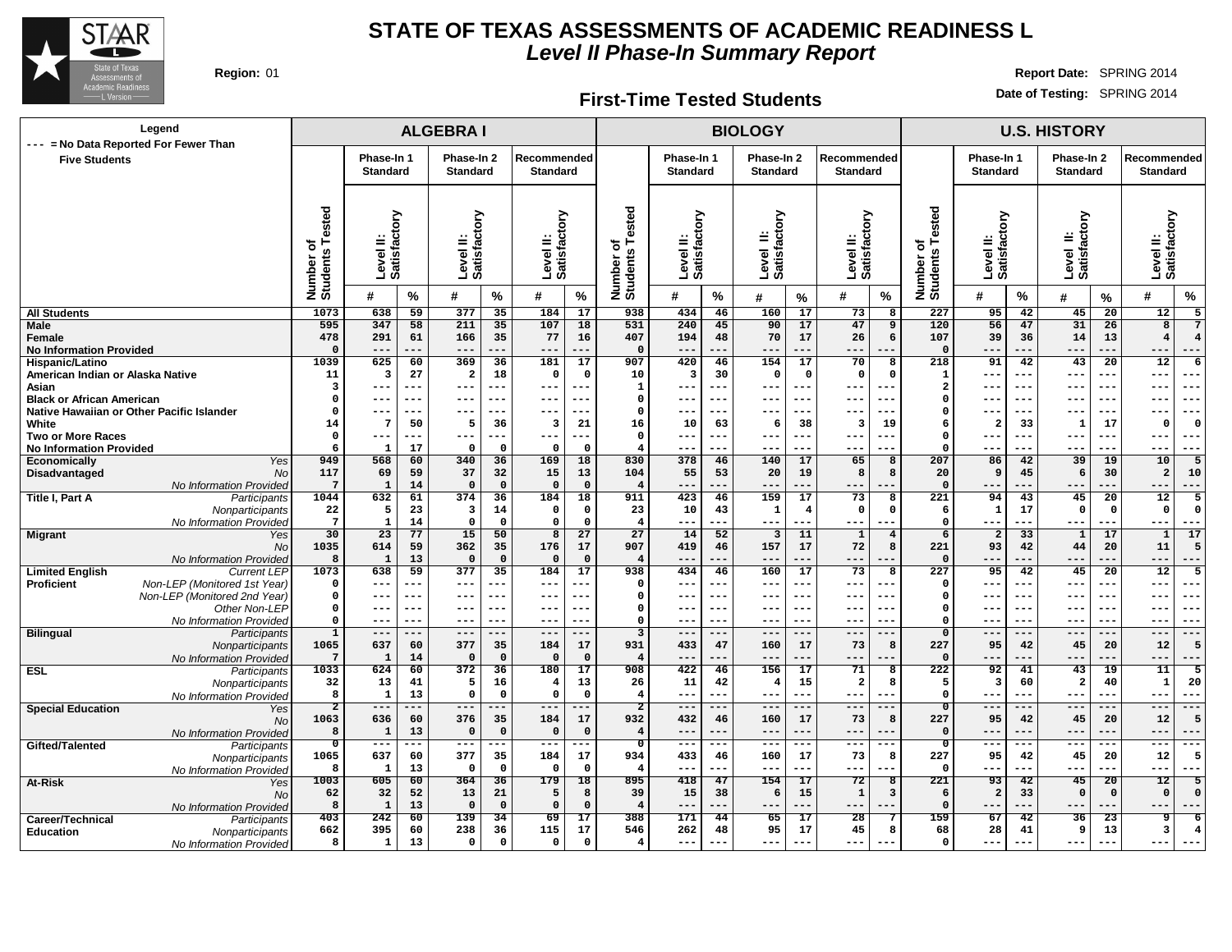

**Region:** 01 **Report Date:** SPRING 2014 **Date of Testing:** SPRING 2014

#### **ALGEBRA I BIOLOGY U.S. HISTORY Phase-In 1 Standard Phase-In 2 Standard Recommended Standard Phase-In 1 Standard Phase-In 2 Standard Recommended Standard Phase-In 1 Standard Phase-In 2 Standard Recommended Standard Level II: Satisfactory Level II: Satisfactory Level II: Satisfactory Number of Students Tested Level II: Satisfactory Level II: Satisfactory Level II: Satisfactory Number of Students Tested Level II: Satisfactory Level II: Satisfactory Level II: Satisfactory Number of Students Tested # % # % # % # % # % # % # % # % # % All Students Male Female No Information Provided Hispanic/Latino American Indian or Alaska Native Asian Black or African American Native Hawaiian or Other Pacific Islander White Two or More Races No Information Provided Economically** Yes **Disadvantaged** No No Information Provided **Title I, Part A** Participants **Nonparticipants** No Information Provided **Migrant** Yes No No Information Provided **Limited English** Current LEP 1073 **Proficient Non-LEP** (Monitored 1st Year) Non-LEP (Monitored 2nd Year) Other Non-LEP No Information Provided **Bilingual** Participants **Nonparticipants** No Information Provided **ESL** Participants **Nonparticipants** No Information Provided **Special Education** Yes No No Information Provided **Gifted/Talented Nonparticipants** No Information Provided **At-Risk** Yes No No Information Provided **Career/Technical** Participants<br> **Education** Monparticipants **Education** Nonparticipants No Information Provided **638 59 377 35 184 17 347 58 211 35 107 18 291 61 166 35 77 16 --- --- --- --- --- --- 625 60 369 36 181 17 3 27 2 18 0 0 --- --- --- --- --- --- --- --- --- --- --- --- --- --- --- --- --- --- 7 50 5 36 3 21 --- --- --- --- --- --- 1 17 0 0 0 0 568 60 340 36 169 18 69 59 37 32 15 13 1 14 0 0 0 0 632 61 374 36 184 18 5 23 3 14 0 0 1 14 0 0 0 0 23 77 15 50 8 27 614 59 362 35 176 17 1 13 0 0 0 0 638 59 377 35 184 17 --- --- --- --- --- --- --- --- --- --- --- --- --- --- --- --- --- --- --- --- --- --- --- --- --- --- --- --- --- --- 637 60 377 35 184 17 1 14 0 0 0 0 624 60 372 36 180 17 13 41 5 16 4 13 1 13 0 0 0 0 --- --- --- --- --- --- 636 60 376 35 184 17 1 13 0 0 0 0 --- --- --- --- --- --- 637 60 377 35 184 17 1 13 0 0 0 0 605 60 364 36 179 18 32 52 13 21 5 8 1 13 0 0 0 0 242 60 139 34 69 17 395 60 238 36 115 17 1 13 0 0 0 0 434 46 160 17 73 8 240 45 90 17 47 9 194 48 70 17 26 6 --- --- --- --- --- --- 420 46 154 17 70 8 3 30 0 0 0 0 --- --- --- --- --- --- --- --- --- --- --- --- --- --- --- --- --- --- 10 63 6 38 3 19 --- --- --- --- --- --- --- --- --- --- --- --- 378 46 140 17 65 8 55 53 20 19 8 8 --- --- --- --- --- --- 423 46 159 17 73 8 10 43 1 4 0 0 --- --- --- --- --- --- 14 52 3 11 1 4 419 46 157 17 72 8 --- --- --- --- --- --- 434 46 160 17 73 8 --- --- --- --- --- --- --- --- --- --- --- --- --- --- --- --- --- --- --- --- --- --- --- --- --- --- --- --- --- --- 433 47 160 17 73 8 --- --- --- --- --- --- 422 46 156 17 71 8 11 42 4 15 2 8 --- --- --- --- --- --- --- --- --- --- --- --- 432 46 160 17 73 8 --- --- --- --- --- --- --- --- --- --- --- --- 433 46 160 17 73 8 --- --- --- --- --- --- 418 47 154 17 72 8 15 38 6 15 1 3 --- --- --- --- --- --- 171 44 65 17 28 7 262 48 95 17 45 8 --- --- --- --- --- --- 95 42 45 20 12 5 56 47 31 26 8 7 39 36 14 13 4 4 --- --- --- --- --- --- 91 42 43 20 12 6 --- --- --- --- --- --- --- --- --- --- --- --- --- --- --- --- --- --- --- --- --- --- --- --- 2 33 1 17 0 0 --- --- --- --- --- --- --- --- --- --- --- --- 86 42 39 19 10 5 9 45 6 30 2 10 --- --- --- --- --- --- 94 43 45 20 12 5 1 17 0 0 0 0 --- --- --- --- --- --- 2 33 1 17 1 17 93 42 44 20 11 5 --- --- --- --- --- --- 95 42 45 20 12 5 --- --- --- --- --- --- --- --- --- --- --- --- --- --- --- --- --- --- --- --- --- --- --- --- --- --- --- --- --- --- 95 42 45 20 12 5 --- --- --- --- --- --- 92 41 43 19 11 5 3 60 2 40 1 20 --- --- --- --- --- --- --- --- --- --- --- --- 95 42 45 20 12 5 --- --- --- --- --- --- --- --- --- --- --- --- 95 42 45 20 12 5 --- --- --- --- --- --- 93 42 45 20 12 5 2 33 0 0 0 0 --- --- --- --- --- --- 67 42 36 23 9 6 28 41 9 13 3 4 --- --- --- --- --- --- Legend --- = No Data Reported For Fewer Than Five Students**

**First-Time Tested Students**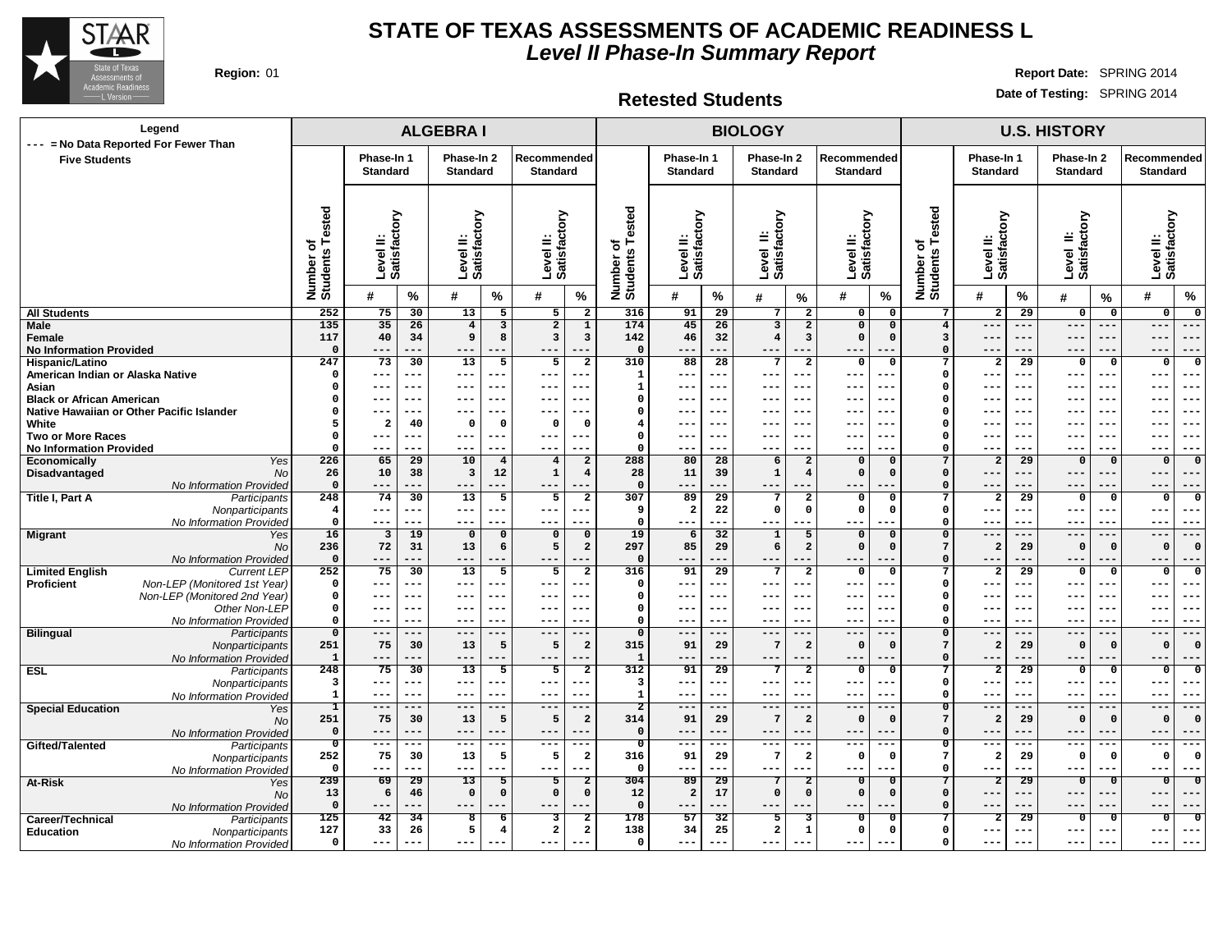

**Region:** 01 **Report Date:** SPRING 2014

**Retested Students**

| Legend                                                                                     |                                        |                           |                 | <b>ALGEBRAI</b>           |                 |                              |                                           |                                           |                               |                 | <b>BIOLOGY</b>                 |                                |                                 |                                                          | <b>U.S. HISTORY</b>       |                 |                                  |                         |                                                        |  |  |  |
|--------------------------------------------------------------------------------------------|----------------------------------------|---------------------------|-----------------|---------------------------|-----------------|------------------------------|-------------------------------------------|-------------------------------------------|-------------------------------|-----------------|--------------------------------|--------------------------------|---------------------------------|----------------------------------------------------------|---------------------------|-----------------|----------------------------------|-------------------------|--------------------------------------------------------|--|--|--|
| --- = No Data Reported For Fewer Than<br><b>Five Students</b>                              |                                        | Phase-In 1                |                 | Phase-In 2                |                 | Recommended                  |                                           |                                           | Phase-In 1                    |                 | Phase-In 2                     |                                | Recommended                     |                                                          | Phase-In 1                |                 | Phase-In 2                       |                         | Recommended                                            |  |  |  |
|                                                                                            |                                        | <b>Standard</b>           |                 | <b>Standard</b>           |                 | Standard                     |                                           |                                           | <b>Standard</b>               |                 | <b>Standard</b>                |                                | <b>Standard</b>                 |                                                          | <b>Standard</b>           |                 | <b>Standard</b>                  |                         | <b>Standard</b>                                        |  |  |  |
|                                                                                            |                                        |                           |                 |                           |                 |                              |                                           |                                           |                               |                 |                                |                                |                                 |                                                          |                           |                 |                                  |                         |                                                        |  |  |  |
|                                                                                            | Tested<br>৳<br>Number of<br>Students   | Level II:<br>Satisfactory |                 | Level II:<br>Satisfactory |                 | Level II:<br>Satisfactory    |                                           | Tested<br>৳<br>Number of<br>Students      | Level II:<br>Satisfactory     |                 | Level II:<br>Satisfactory      |                                | Level II:<br>Satisfactory       | Number of<br>Students Tested                             | Level II:<br>Satisfactory |                 | Level II:<br>Satisfactory        |                         | factory<br>Level II:<br>Satisfact                      |  |  |  |
|                                                                                            |                                        | #                         | $\%$            | #                         | $\%$            | #                            | %                                         |                                           | #                             | %               | #                              | %                              | %<br>#                          |                                                          | #                         | %               | #                                | %                       | $\frac{9}{6}$<br>#                                     |  |  |  |
| <b>All Students</b>                                                                        | 252                                    | 75                        | 30              | 13                        | $5\overline{5}$ | $5\overline{)}$              | $\overline{\mathbf{2}}$                   | 316                                       | 91                            | 29              | 7                              | $\overline{2}$                 | 0                               | 0<br>7                                                   | $\overline{2}$            | 29              | $\overline{\mathbf{0}}$          | $\mathbf{o}$            | $\mathbf 0$<br>$\mathbf 0$                             |  |  |  |
| <b>Male</b>                                                                                | 135                                    | 35                        | 26              | $\overline{4}$            | 3               | $\overline{2}$               | $\overline{1}$                            | 174                                       | 45                            | 26              | 3                              | $\overline{a}$                 | $\overline{\mathbf{0}}$         | $\mathbf 0$<br>$\overline{4}$                            | $- - -$                   | ---             | $---$                            | ---                     | $---$<br>$---$                                         |  |  |  |
| Female<br><b>No Information Provided</b>                                                   | 117<br>$\mathbf{o}$                    | 40<br>---                 | 34<br>---       | 9<br>$- - -$              | 8<br>---        | 3<br>$- - -$                 | $\mathbf{3}$                              | 142<br>$\mathsf{o}\,$                     | 46<br>$- - -$                 | 32<br>---       | $\overline{4}$<br>$---$        | $\overline{\mathbf{3}}$<br>--- | $\mathsf{o}\,$<br>$- -$         | $\mathsf{o}\,$<br>$\overline{\mathbf{3}}$<br>$\mathbf 0$ | ---                       | ---<br>---      | $- - -$<br>$- - -$               | $- -$<br>---            | $- - -$<br>$- -$<br>$- - -$<br>$- - -$                 |  |  |  |
| Hispanic/Latino                                                                            | 247                                    | 73                        | 30              | 13                        | 5               | 5                            | $\overline{a}$                            | 310                                       | 88                            | 28              | 7                              | $\overline{\mathbf{2}}$        | 0                               | $\mathbf 0$<br>$\overline{7}$                            | $\overline{\mathbf{2}}$   | 29              | $\mathbf 0$                      | $\mathbf{o}$            | 0<br>$\mathbf{o}$                                      |  |  |  |
| American Indian or Alaska Native                                                           | $\mathbf 0$                            | ---                       | ---             | $---$                     | ---             | $\qquad \qquad - -$          | $ -$                                      | $\mathbf{1}$                              | $---$                         | ---             | $---$                          | ---                            | ---<br>$- -$                    | $\mathbf 0$                                              | ---                       | ---             | $---$                            | $- - -$                 | $--$<br>$- -$                                          |  |  |  |
| Asian                                                                                      | 0                                      | ---                       | ---             | $- - -$                   | $- -$           | $---$                        |                                           | $\mathbf{1}$                              | $- - -$                       | ---             | $- - -$                        | ---                            | ---                             | $\Omega$                                                 |                           | $- -$           | $- - -$                          |                         | $- -$<br>$- - -$                                       |  |  |  |
| <b>Black or African American</b>                                                           | 0                                      | ---                       | ---             | $---$                     | $- - -$         | $---$                        |                                           | 0                                         | $---$                         | $- - -$         | $--$                           | ---                            | $ -$<br>---                     | $\mathbf 0$                                              |                           | $--$            | $--$                             | $--$                    | $- -$<br>---                                           |  |  |  |
| Native Hawaiian or Other Pacific Islander<br>White                                         | 0<br>5                                 | ---<br>$\overline{2}$     | ---<br>40       | $- -$<br>$\mathbf 0$      | $- -$<br>0      | $--$<br>$\mathbf 0$          | $\Omega$                                  | $\mathsf{o}\,$<br>$\overline{\mathbf{4}}$ | $---$<br>$---$                | ---<br>$- - -$  | $- - -$<br>$--$                | ---<br>---                     | $- -$<br>$- -$<br>---           | $\Omega$<br>$\Omega$                                     |                           | ---<br>---      | $- - -$<br>$--$                  | $- - -$<br>$--$         | $- -$<br>$--$<br>$- -$<br>$--$                         |  |  |  |
| Two or More Races                                                                          | 0                                      | ---                       | ---             | $--$                      | $---$           | $---$                        |                                           | $\mathbf 0$                               | $--$                          |                 | ---                            | ---                            |                                 | $\Omega$                                                 |                           |                 |                                  |                         | --<br>---                                              |  |  |  |
| <b>No Information Provided</b>                                                             | $\Omega$                               | ---                       | ---             | ---                       | $---$           | $---$                        |                                           | $\Omega$                                  | $---$                         | ---             | $--$                           | $---$                          | $- -$<br>$--$                   | $\Omega$                                                 | ---                       | ---             | ---                              | $---$                   | $---$<br>$--$                                          |  |  |  |
| Yes<br>Economically                                                                        | 226                                    | 65                        | 29              | 10                        | $\overline{4}$  | $\overline{4}$               | $\overline{2}$                            | 288                                       | 80                            | 28              | 6                              | $\overline{a}$                 | $\Omega$                        | 7<br>$\Omega$                                            | $\overline{a}$            | $\overline{29}$ | $\Omega$                         | $\mathbf 0$             | $\Omega$<br>$\Omega$                                   |  |  |  |
| Disadvantaged<br><b>No</b>                                                                 | 26                                     | 10                        | 38              | 3                         | 12              | $\mathbf 1$                  | $\overline{4}$                            | 28                                        | 11                            | 39              | $\mathbf{1}$                   | $\overline{4}$                 | $\mathbf 0$                     | $\Omega$<br>$\Omega$                                     | ---                       | ---             | ---                              | $---$                   | $---$                                                  |  |  |  |
| No Information Provided                                                                    | $\mathbf{o}$                           | ---<br>74                 | ---<br>30       | $---$<br>13               | ---             | $---$<br>5                   |                                           | $\mathbf{o}$<br>307                       | $---$                         | ---<br>29       | $---$                          | ---<br>$\overline{2}$          |                                 | $\Omega$<br>$\overline{7}$                               | --                        | ---<br>29       | $---$                            | ---                     | $---$<br>$---$<br>$\mathbf{0}$                         |  |  |  |
| Title I, Part A<br>Participants<br>Nonparticipants                                         | 248<br>$\overline{4}$                  | $---$                     | ---             | $---$                     | 5<br>---        | $\qquad \qquad - -$          | $\overline{2}$                            | 9                                         | 89<br>$\overline{\mathbf{2}}$ | 22              | $7\phantom{.0}$<br>$\mathbf 0$ | $\mathbf{0}$                   | $\Omega$<br>$\mathsf{o}\,$      | $\Omega$<br>$\mathbf 0$<br>$\Omega$                      | $\overline{2}$<br>---     | ---             | $\overline{0}$<br>$---$          | $\mathbf 0$<br>---      | $\mathbf 0$<br>$--$<br>$- -$                           |  |  |  |
| No Information Provided                                                                    | $\mathsf{o}\,$                         | ---                       | ---             | $---$                     | ---             | $---$                        |                                           | $\mathbf 0$                               | $---$                         | ---             | $--$                           |                                |                                 | $\Omega$                                                 | ---                       | ---             | $---$                            | $- -$                   | $--$<br>$- -$                                          |  |  |  |
| <b>Migrant</b><br>Yes                                                                      | 16                                     | $\overline{\mathbf{3}}$   | 19              | $\Omega$                  | $\Omega$        | $\Omega$                     | $\mathbf 0$                               | 19                                        | 6                             | 32              | 1                              | 5                              | $\Omega$                        | $\Omega$<br>$\Omega$                                     | ---                       | ---             | $---$                            | ---                     | $---$<br>$---$                                         |  |  |  |
| No                                                                                         | 236                                    | 72                        | 31              | 13                        | 6               | 5                            | $\mathbf{2}$                              | 297                                       | 85                            | 29              | 6                              | $\overline{2}$                 | $\mathsf{o}\,$                  | $\Omega$<br>7                                            | $\overline{a}$            | 29              | $\Omega$                         | $\Omega$                | $\Omega$<br>$\Omega$                                   |  |  |  |
| No Information Provided                                                                    | $\mathbf{o}$                           | ---                       | ---             | $--$                      |                 | $---$                        |                                           | $\Omega$                                  | ---                           |                 | $---$                          | ---                            |                                 | $\Omega$                                                 |                           |                 | $---$                            |                         | $- -$<br>$- -$                                         |  |  |  |
| <b>Limited English</b><br><b>Current LEP</b><br>Non-LEP (Monitored 1st Year)<br>Proficient | 252<br>$\mathbf 0$                     | 75<br>---                 | 30<br>---       | 13<br>$---$               | 5<br>---        | 5<br>$---$                   | $\mathbf{2}$                              | 316<br>$\Omega$                           | 91<br>$---$                   | 29<br>---       | 7<br>$--$                      | $\overline{\mathbf{2}}$<br>--- | $\Omega$<br>---<br>--           | $\Omega$<br>7<br>$\Omega$                                | $\overline{a}$<br>---     | 29<br>---       | $\Omega$<br>$--$                 | $\Omega$<br>$- - -$     | $^{\circ}$<br>$\Omega$<br>$--$<br>---                  |  |  |  |
| Non-LEP (Monitored 2nd Year)                                                               | $\mathbf{o}$                           | $---$                     | ---             | $---$                     | $---$           | $\qquad \qquad - -$          | $--$                                      | $\Omega$                                  | $\qquad \qquad - -$           | $-- -$          | $--$                           | ---                            | $- -$<br>---                    | $\Omega$                                                 | $--$                      | $---$           | $---$                            | $---$                   | $--$<br>$--$                                           |  |  |  |
| Other Non-LEP                                                                              | 0                                      | ---                       | ---             | $-- -$                    | $- - -$         | $---$                        |                                           | $\Omega$                                  | $---$                         | ---             | $--$                           | ---                            | $- -$<br>---                    | $\Omega$                                                 | ---                       | ---             | $---$                            | $- - -$                 | $--$<br>$--$                                           |  |  |  |
| No Information Provided                                                                    | $\Omega$                               | $---$                     | ---             | $---$                     | $--$            | $\qquad \qquad - -$          | ---                                       | $\Omega$                                  | $\qquad \qquad - -$           | $- - -$         | $--$                           | ---                            | $--$<br>$- -$                   | $\Omega$                                                 | ---                       | ---             | $---$                            | $- - -$                 | $- - -$<br>$--$                                        |  |  |  |
| <b>Bilingual</b><br>Participants                                                           | $\mathbf{o}$                           | $---$                     | ---             | $---$                     | ---             | $---$                        | ---                                       | $\Omega$                                  | $\qquad \qquad - -$           | ---             | $---$                          | $---$                          | $---$<br>$- -$                  | $\Omega$                                                 | ---                       | ---             | $---$                            | ---                     | $---$<br>$---$                                         |  |  |  |
| Nonparticipants                                                                            | 251                                    | 75<br>---                 | 30<br>---       | 13<br>$---$               | 5               | 5<br>$---$                   | $\overline{a}$                            | 315                                       | 91<br>$---$                   | 29<br>---       | $7\phantom{.0}$                | $\overline{\mathbf{2}}$        | $\Omega$<br>$- -$               | $\Omega$<br>$7\phantom{.0}$<br>$\Omega$                  | $\overline{a}$<br>---     | 29<br>---       | $\Omega$                         | $\mathbf{0}$<br>---     | $\Omega$<br>$\Omega$                                   |  |  |  |
| No Information Provideo<br><b>ESL</b><br>Participants                                      | 1<br>248                               | 75                        | 30              | 13                        | ---<br>5        | 5                            | $\overline{a}$                            | $\mathbf 1$<br>312                        | 91                            | 29              | $- - -$<br>7                   | ---<br>$\overline{2}$          | $- -$<br>$\Omega$               | $\overline{0}$<br>7                                      | $\overline{a}$            | 29              | $- - -$<br>$\overline{0}$        | $\Omega$                | $--$<br>$- -$<br>$\Omega$<br>$\Omega$                  |  |  |  |
| Nonparticipants                                                                            | 3                                      | ---                       | ---             | $---$                     | ---             | $---$                        |                                           | 3                                         | $---$                         | $- - -$         | $---$                          | ---                            | $- - -$<br>--                   | $\mathbf 0$                                              | $--$                      | ---             | $- - -$                          | $- - -$                 | $- - -$<br>---                                         |  |  |  |
| No Information Provided                                                                    | 1                                      | $---$                     | ---             | $- - -$                   | $- - -$         | $---$                        |                                           | $\mathbf{1}$                              | $- - -$                       | $- - -$         | $- - -$                        | ---                            | $- -$<br>$- - -$                | $\Omega$                                                 | $- - -$                   | $- - -$         | $- - -$                          | $- - -$                 | $- -$<br>$- - -$                                       |  |  |  |
| <b>Special Education</b><br>Yes                                                            | ┒                                      | $---$                     | ---             | $---$                     | $---$           | $---$                        |                                           | $\overline{2}$                            | $---$                         | ---             | $---$                          | $---$                          | $---$                           | $\overline{0}$                                           | $--$                      | ---             | $---$                            | ---                     | ---<br>$---$                                           |  |  |  |
| <b>No</b>                                                                                  | 251                                    | 75                        | 30              | 13                        | 5               | 5                            | $\overline{a}$                            | 314                                       | 91                            | 29              | $7\phantom{.0}$                | $\overline{a}$                 | $\mathbf 0$                     | 7<br>$\Omega$                                            | $\overline{a}$            | 29              | $\mathbf{0}$                     | $\mathbf{0}$            | $\Omega$<br>$\Omega$                                   |  |  |  |
| No Information Provided                                                                    | $\mathbf 0$<br>$\overline{\mathbf{0}}$ | ---<br>$--$               | ---<br>---      | $---$<br>$- - -$          | ---<br>$--$     | $- - -$<br>$---$             | ---                                       | $\mathbf 0$<br>$\overline{\mathbf{o}}$    | $---$<br>$--$                 | ---<br>---      | $--$<br>$---$                  | ---<br>---                     | $- -$<br>--<br>$- - -$<br>$- -$ | $\Omega$<br>$\mathbf 0$                                  | ---<br>$--$               | $---$           | $- - -$<br>$---$                 | ---<br>$---$            | $--$<br>$- -$<br>$---$<br>$- - -$                      |  |  |  |
| Gifted/Talented<br>Participants<br>Nonparticipants                                         | 252                                    | 75                        | 30              | 13                        | 5               | 5                            | $\overline{\mathbf{2}}$                   | 316                                       | 91                            | 29              | -7                             | $\overline{\mathbf{2}}$        | $\mathbf 0$                     | 7<br>$\Omega$                                            | $\overline{a}$            | 29              | $\Omega$                         | $\mathbf 0$             | $\mathbf{o}$<br>$\Omega$                               |  |  |  |
| No Information Provideo                                                                    | $\mathbf 0$                            | ---                       | ---             | $---$                     | ---             | $---$                        | $ -$                                      | $\mathbf{o}$                              | $---$                         | ---             | $---$                          | ---                            | ---<br>---                      | $\Omega$                                                 | ---                       | ---             | $--$                             | $---$                   | $---$<br>$--$                                          |  |  |  |
| At-Risk<br>Yes                                                                             | 239                                    | 69                        | $\overline{29}$ | $\overline{13}$           | 5               | $5\overline{}$               | $\overline{2}$                            | 304                                       | 89                            | $\overline{29}$ | $\overline{7}$                 | $\overline{2}$                 | $\Omega$                        | 0                                                        | $\overline{2}$            | $\overline{29}$ | $\overline{\mathbf{o}}$          | $\overline{\mathbf{0}}$ | $\overline{0}$<br>$\overline{\mathbf{0}}$              |  |  |  |
| <b>No</b>                                                                                  | 13                                     | 6                         | 46              | $\mathbf 0$               | $\Omega$        | $\Omega$                     | $\mathsf{o}\,$                            | 12                                        | $\overline{a}$                | 17              | $\mathbf 0$                    | $\Omega$                       | $\mathbf 0$                     | $\mathbf 0$<br>$\Omega$                                  | ---                       | ---             | $---$                            | $---$                   | $---$<br>$- -$                                         |  |  |  |
| No Information Provided                                                                    | $\mathbf 0$                            | ---                       | ---             | $---$                     |                 | $---$                        |                                           | $\mathbf{o}$                              | $---$                         | ---             | $--$                           | ---                            | ---                             | $\Omega$                                                 | ---                       | ---             | $--$                             |                         | ---<br>$---$                                           |  |  |  |
| Career/Technical<br>Participants                                                           | 125<br>127                             | 42<br>33                  | 34<br>26        | 8<br>5                    | -6<br>4         | 3<br>$\overline{\mathbf{2}}$ | $\overline{\mathbf{2}}$<br>$\overline{a}$ | 178<br>138                                | 57<br>34                      | 32<br>25        | 5<br>$\overline{a}$            | з<br>-1                        | 0<br>$\mathsf{o}\,$             | 0<br>$\mathbf 0$<br>$\Omega$                             | 2<br>---                  | 29<br>$---$     | $\overline{\mathbf{o}}$<br>$---$ | $\Omega$<br>$--$        | $\overline{\mathbf{o}}$<br>$\mathbf 0$<br>$--$<br>$--$ |  |  |  |
| <b>Education</b><br>Nonparticipants<br>No Information Provided                             | $\mathbf 0$                            | ---                       | ---             | $---$                     | ---             | $\qquad \qquad - -$          |                                           | $\Omega$                                  | $\qquad \qquad - -$           | ---             | $---$                          | ---                            | $---$                           | $\mathbf 0$                                              |                           |                 | $---$                            | ---                     | $---$<br>---                                           |  |  |  |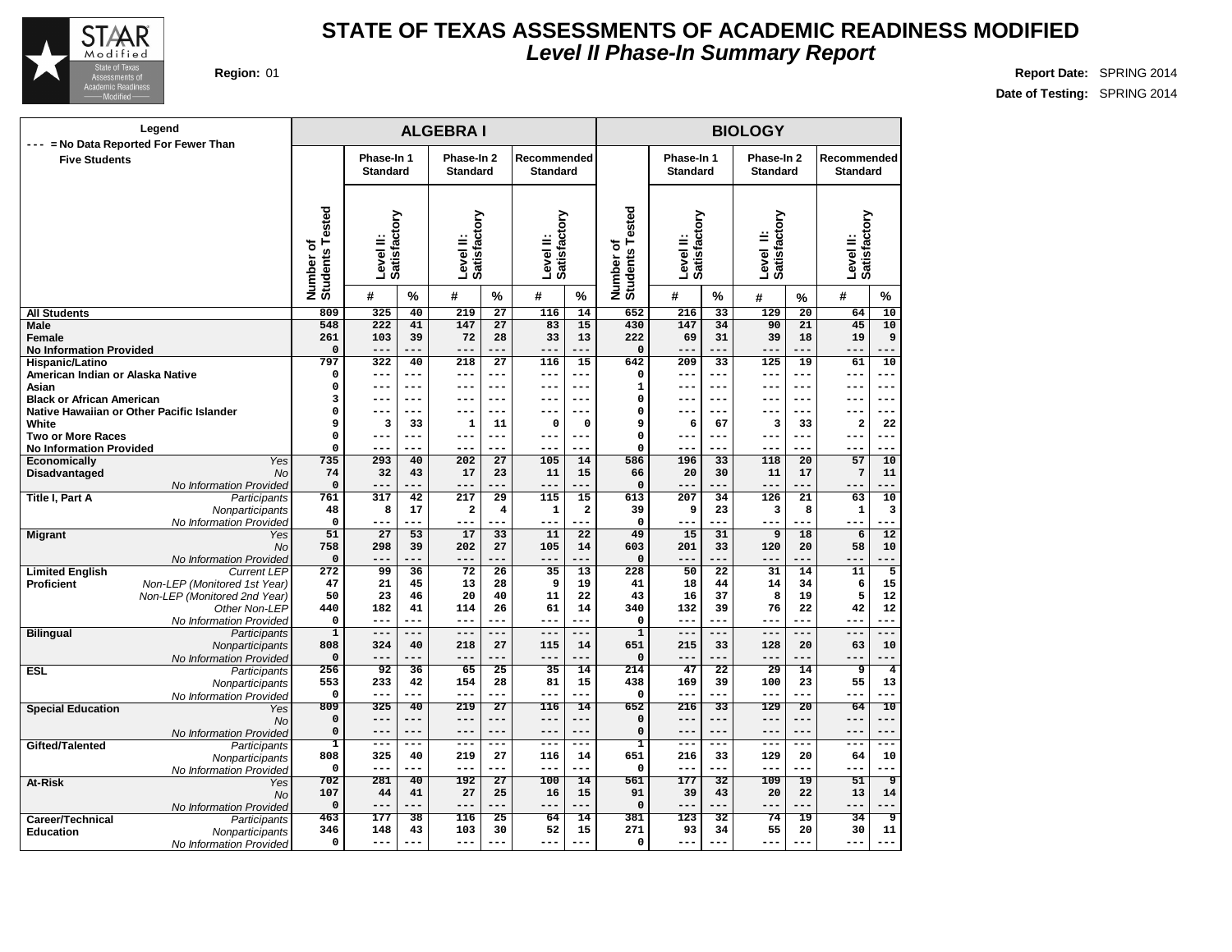

| Phase-In 1<br>Phase-In 2<br>Recommended<br>Phase-In 1<br>Phase-In 2<br>Recommended<br><b>Five Students</b><br><b>Standard</b><br><b>Standard</b><br><b>Standard</b><br><b>Standard</b><br><b>Standard</b><br><b>Standard</b><br>sted<br>Number of<br>Students Tested<br>Satisfactory<br>Satisfactory<br>Level II:<br>Satisfactory<br>Satisfactory<br>Level II:<br>Satisfactory<br>Satisfactory<br>قة<br>Level II:<br>Level II:<br>Level II:<br>Level II:<br>Number of<br>Students Te<br>#<br>%<br>%<br>%<br>%<br>#<br>#<br>#<br>%<br>#<br>#<br>%<br>325<br>$\overline{27}$<br>129<br>809<br>40<br>219<br>116<br>14<br>652<br>216<br>33<br>20<br>64<br>10<br><b>All Students</b><br>548<br>222<br>41<br>147<br>27<br>83<br>15<br>430<br>147<br>34<br>90<br>21<br>45<br>10<br>Male<br>9<br>Female<br>261<br>103<br>39<br>72<br>28<br>33<br>13<br>222<br>69<br>31<br>39<br>18<br>19<br><b>No Information Provided</b><br>0<br>0<br>$---$<br>$---$<br>$---$<br>---<br>---<br>---<br>$---$<br>---<br>797<br>322<br>$\overline{27}$<br>$\overline{33}$<br>$\overline{125}$<br>61<br>$\overline{10}$<br>Hispanic/Latino<br>40<br>218<br>116<br>15<br>642<br>209<br>19<br>American Indian or Alaska Native<br>0<br>0<br>---<br>$---$<br>---<br>---<br>$---$<br>$---$<br>$---$<br>---<br>---<br>$---$<br>---<br>---<br>0<br>Asian<br>$\mathbf{1}$<br>---<br>$---$<br>$---$<br>$---$<br>$---$<br>---<br>---<br>$- - -$<br>---<br>---<br>$---$<br>---<br>3<br><b>Black or African American</b><br>0<br>$---$<br>---<br>---<br>$---$<br>---<br>---<br>$- - -$<br>---<br>---<br>$---$<br>---<br>$---$<br>0<br>Native Hawaiian or Other Pacific Islander<br>O<br>$---$<br>$---$<br>$---$<br>---<br>---<br>$---$<br>---<br>$- -$<br>---<br>---<br>$- - -$<br>---<br>9<br>33<br>$\mathbf 0$<br>67<br>33<br>$\overline{\mathbf{2}}$<br>22<br>White<br>3<br>11<br>0<br>9<br>6<br>3<br>1<br>0<br><b>Two or More Races</b><br>$\mathbf 0$<br>---<br>$---$<br>$---$<br>$---$<br>$---$<br>$---$<br>---<br>---<br>$- - -$<br>$---$<br>$- - -$<br>$---$<br>0<br><b>No Information Provided</b><br>0<br>---<br>---<br>---<br>---<br>---<br>---<br>---<br>---<br>Economically<br>Yes<br>735<br>40<br>202<br>$\overline{27}$<br>105<br>586<br>$\overline{33}$<br>57<br>10<br>293<br>14<br>196<br>118<br>20<br>74<br>Disadvantaged<br><b>No</b><br>32<br>43<br>17<br>23<br>11<br>15<br>66<br>20<br>11<br>17<br>$\overline{7}$<br>11<br>30<br>No Information Provided<br>$\mathbf 0$<br>$\mathbf 0$<br>$---$<br>$- - -$<br>$---$<br>---<br>---<br>---<br>$- - -$<br>---<br>---<br>$- - -$<br>$---$<br><b>Title I, Part A</b><br>761<br>317<br>42<br>217<br>$\overline{29}$<br>115<br>15<br>613<br>207<br>34<br>126<br>21<br>63<br>10<br>Participants<br>9<br>23<br>3<br>48<br>8<br>17<br>$\overline{\mathbf{2}}$<br>$\overline{4}$<br>$\overline{a}$<br>39<br>3<br>8<br>$\mathbf{1}$<br>Nonparticipants<br>$\mathbf{1}$<br>No Information Provided<br>0<br>$\mathbf 0$<br>$---$<br>---<br>$---$<br>---<br>---<br>$- - -$<br>---<br>$---$<br>---<br>---<br>---<br>$\overline{51}$<br>$\overline{49}$<br>$\overline{12}$<br>$\overline{27}$<br>53<br>17<br>33<br>11<br>$\overline{22}$<br>15<br>31<br>$\overline{9}$<br>18<br><b>Migrant</b><br>6<br>Yes<br>758<br>27<br><b>No</b><br>298<br>39<br>202<br>105<br>14<br>603<br>201<br>33<br>120<br>20<br>58<br>10<br>No Information Provided<br>$\mathbf 0$<br>---<br>---<br>$\mathbf 0$<br>۵.<br>---<br>---<br>---<br>$---$<br>---<br>---<br>272<br>$\overline{5}$<br><b>Limited English</b><br><b>Current LEP</b><br>99<br>36<br>72<br>26<br>35<br>13<br>228<br>50<br>22<br>31<br>14<br>11<br>Non-LEP (Monitored 1st Year)<br>15<br><b>Proficient</b><br>47<br>21<br>45<br>13<br>28<br>9<br>19<br>18<br>44<br>14<br>34<br>6<br>41<br>Non-LEP (Monitored 2nd Year)<br>20<br>37<br>5<br>12<br>50<br>23<br>46<br>40<br>11<br>22<br>43<br>16<br>8<br>19<br>12<br>182<br>26<br>61<br>132<br>39<br>22<br>Other Non-LEP<br>440<br>41<br>114<br>14<br>340<br>76<br>42<br>No Information Provided<br>0<br>0<br>---<br>---<br>---<br>$---$<br>---<br>---<br>---<br>---<br>$\overline{1}$<br>$\overline{1}$<br><b>Bilingual</b><br>Participants<br>$---$<br>---<br>---<br>$---$<br>---<br>$---$<br>---<br>$---$<br>$---$<br>$---$<br>$---$<br>27<br>Nonparticipants<br>808<br>324<br>40<br>218<br>115<br>14<br>651<br>215<br>33<br>128<br>20<br>63<br>10<br>No Information Provided<br>$\mathbf 0$<br>$\Omega$<br>---<br>$-$<br>$- -$<br>$---$<br>---<br>---<br>256<br>36<br>25<br>214<br>$\overline{22}$<br>29<br>92<br>65<br>35<br>14<br>47<br>14<br>9<br>$\overline{\mathbf{4}}$<br>ESL<br>Participants<br>13<br>553<br>233<br>42<br>154<br>28<br>81<br>15<br>438<br>169<br>39<br>100<br>23<br>55<br>Nonparticipants<br>0<br>0<br>---<br>---<br>$---$<br>---<br>---<br>$---$<br>$---$<br>---<br>---<br>$---$<br>---<br>No Information Provided<br>$\overline{27}$<br>33<br>64<br>10<br>809<br>325<br>40<br>219<br>652<br>216<br>129<br>$\overline{20}$<br>116<br>14<br><b>Special Education</b><br>Yes<br>0<br>$\Omega$<br>---<br>$---$<br>$---$<br>---<br>$---$<br>$---$<br>---<br>---<br>---<br>---<br>---<br>No<br>---<br>0<br>$\Omega$<br>No Information Provided<br>---<br>---<br>---<br>---<br>--<br>$- -$<br>$- -$<br>--<br>$- -$<br>I<br>ī<br>---<br>---<br>---<br>---<br>---<br>---<br>---<br>Gifted/Talented<br>Participants<br>---<br>$---$<br>$---$<br>$- - -$<br>---<br>808<br>325<br>40<br>219<br>27<br>116<br>14<br>651<br>216<br>33<br>129<br>20<br>10<br>64<br>Nonparticipants<br>0<br>---<br>---<br>0<br>$- - -$<br>---<br>$---$<br>$- - -$<br>---<br>---<br>---<br>No Information Provided<br>---<br>---<br>---<br>$\overline{27}$<br>$\overline{32}$<br>702<br>281<br>$\overline{40}$<br>$\overline{192}$<br>100<br>14<br>561<br>177<br>109<br>$\overline{19}$<br>$\overline{51}$<br>ब्र<br>At-Risk<br>Yes<br>107<br>27<br>25<br>39<br>43<br>20<br>14<br>44<br>41<br>16<br>15<br>91<br>22<br>13<br>No<br>0<br>$\mathbf 0$<br>$-$<br>$- -$<br>--<br>No Information Provided<br>---<br>--<br>25<br>381<br>463<br>177<br>38<br>116<br>64<br>14<br>123<br>32<br>74<br>19<br>34<br>९<br>Career/Technical<br>Participants<br>30<br>93<br>${\bf 11}$<br>346<br>148<br>43<br>103<br>52<br>15<br>271<br>34<br>55<br>20<br>30<br><b>Education</b><br>Nonparticipants<br>0<br>0<br>$---$<br>$---$<br>---<br>No Information Provided<br>$---$<br>---<br>---<br>$- - -$<br>---<br>$---$<br>$---$<br>$- - -$<br>--- |                                                 |  |  |  | <b>ALGEBRAI</b> |  |  | <b>BIOLOGY</b> |  |  |  |  |  |  |  |  |  |
|-------------------------------------------------------------------------------------------------------------------------------------------------------------------------------------------------------------------------------------------------------------------------------------------------------------------------------------------------------------------------------------------------------------------------------------------------------------------------------------------------------------------------------------------------------------------------------------------------------------------------------------------------------------------------------------------------------------------------------------------------------------------------------------------------------------------------------------------------------------------------------------------------------------------------------------------------------------------------------------------------------------------------------------------------------------------------------------------------------------------------------------------------------------------------------------------------------------------------------------------------------------------------------------------------------------------------------------------------------------------------------------------------------------------------------------------------------------------------------------------------------------------------------------------------------------------------------------------------------------------------------------------------------------------------------------------------------------------------------------------------------------------------------------------------------------------------------------------------------------------------------------------------------------------------------------------------------------------------------------------------------------------------------------------------------------------------------------------------------------------------------------------------------------------------------------------------------------------------------------------------------------------------------------------------------------------------------------------------------------------------------------------------------------------------------------------------------------------------------------------------------------------------------------------------------------------------------------------------------------------------------------------------------------------------------------------------------------------------------------------------------------------------------------------------------------------------------------------------------------------------------------------------------------------------------------------------------------------------------------------------------------------------------------------------------------------------------------------------------------------------------------------------------------------------------------------------------------------------------------------------------------------------------------------------------------------------------------------------------------------------------------------------------------------------------------------------------------------------------------------------------------------------------------------------------------------------------------------------------------------------------------------------------------------------------------------------------------------------------------------------------------------------------------------------------------------------------------------------------------------------------------------------------------------------------------------------------------------------------------------------------------------------------------------------------------------------------------------------------------------------------------------------------------------------------------------------------------------------------------------------------------------------------------------------------------------------------------------------------------------------------------------------------------------------------------------------------------------------------------------------------------------------------------------------------------------------------------------------------------------------------------------------------------------------------------------------------------------------------------------------------------------------------------------------------------------------------------------------------------------------------------------------------------------------------------------------------------------------------------------------------------------------------------------------------------------------------------------------------------------------------------------------------------------------------------------------------------------------------------------------------------------------------------------------------------------------------------------------------------------------------------------------------------------------------------------------------------------------------------------------------------------------------------------------------------------------------------------------------------------------------------------------------------------------------------------------------------------------------------------------------------------------------------------------------------------------------------------------------------------------------------------------------------------------------------------------------------------------------------------------------------------------------------------------------------------------------------------------------------------------------------------------------------------------------------------------------------------------------------------------------------------------------------------------------------------------------------------------------------------------------------------------------------------------------------|-------------------------------------------------|--|--|--|-----------------|--|--|----------------|--|--|--|--|--|--|--|--|--|
|                                                                                                                                                                                                                                                                                                                                                                                                                                                                                                                                                                                                                                                                                                                                                                                                                                                                                                                                                                                                                                                                                                                                                                                                                                                                                                                                                                                                                                                                                                                                                                                                                                                                                                                                                                                                                                                                                                                                                                                                                                                                                                                                                                                                                                                                                                                                                                                                                                                                                                                                                                                                                                                                                                                                                                                                                                                                                                                                                                                                                                                                                                                                                                                                                                                                                                                                                                                                                                                                                                                                                                                                                                                                                                                                                                                                                                                                                                                                                                                                                                                                                                                                                                                                                                                                                                                                                                                                                                                                                                                                                                                                                                                                                                                                                                                                                                                                                                                                                                                                                                                                                                                                                                                                                                                                                                                                                                                                                                                                                                                                                                                                                                                                                                                                                                                                                                                                                                                                                                                                                                                                                                                                                                                                                                                                                                                                                                                                                                     |                                                 |  |  |  |                 |  |  |                |  |  |  |  |  |  |  |  |  |
|                                                                                                                                                                                                                                                                                                                                                                                                                                                                                                                                                                                                                                                                                                                                                                                                                                                                                                                                                                                                                                                                                                                                                                                                                                                                                                                                                                                                                                                                                                                                                                                                                                                                                                                                                                                                                                                                                                                                                                                                                                                                                                                                                                                                                                                                                                                                                                                                                                                                                                                                                                                                                                                                                                                                                                                                                                                                                                                                                                                                                                                                                                                                                                                                                                                                                                                                                                                                                                                                                                                                                                                                                                                                                                                                                                                                                                                                                                                                                                                                                                                                                                                                                                                                                                                                                                                                                                                                                                                                                                                                                                                                                                                                                                                                                                                                                                                                                                                                                                                                                                                                                                                                                                                                                                                                                                                                                                                                                                                                                                                                                                                                                                                                                                                                                                                                                                                                                                                                                                                                                                                                                                                                                                                                                                                                                                                                                                                                                                     | Legend<br>--- = No Data Reported For Fewer Than |  |  |  |                 |  |  |                |  |  |  |  |  |  |  |  |  |
|                                                                                                                                                                                                                                                                                                                                                                                                                                                                                                                                                                                                                                                                                                                                                                                                                                                                                                                                                                                                                                                                                                                                                                                                                                                                                                                                                                                                                                                                                                                                                                                                                                                                                                                                                                                                                                                                                                                                                                                                                                                                                                                                                                                                                                                                                                                                                                                                                                                                                                                                                                                                                                                                                                                                                                                                                                                                                                                                                                                                                                                                                                                                                                                                                                                                                                                                                                                                                                                                                                                                                                                                                                                                                                                                                                                                                                                                                                                                                                                                                                                                                                                                                                                                                                                                                                                                                                                                                                                                                                                                                                                                                                                                                                                                                                                                                                                                                                                                                                                                                                                                                                                                                                                                                                                                                                                                                                                                                                                                                                                                                                                                                                                                                                                                                                                                                                                                                                                                                                                                                                                                                                                                                                                                                                                                                                                                                                                                                                     |                                                 |  |  |  |                 |  |  |                |  |  |  |  |  |  |  |  |  |
|                                                                                                                                                                                                                                                                                                                                                                                                                                                                                                                                                                                                                                                                                                                                                                                                                                                                                                                                                                                                                                                                                                                                                                                                                                                                                                                                                                                                                                                                                                                                                                                                                                                                                                                                                                                                                                                                                                                                                                                                                                                                                                                                                                                                                                                                                                                                                                                                                                                                                                                                                                                                                                                                                                                                                                                                                                                                                                                                                                                                                                                                                                                                                                                                                                                                                                                                                                                                                                                                                                                                                                                                                                                                                                                                                                                                                                                                                                                                                                                                                                                                                                                                                                                                                                                                                                                                                                                                                                                                                                                                                                                                                                                                                                                                                                                                                                                                                                                                                                                                                                                                                                                                                                                                                                                                                                                                                                                                                                                                                                                                                                                                                                                                                                                                                                                                                                                                                                                                                                                                                                                                                                                                                                                                                                                                                                                                                                                                                                     |                                                 |  |  |  |                 |  |  |                |  |  |  |  |  |  |  |  |  |
|                                                                                                                                                                                                                                                                                                                                                                                                                                                                                                                                                                                                                                                                                                                                                                                                                                                                                                                                                                                                                                                                                                                                                                                                                                                                                                                                                                                                                                                                                                                                                                                                                                                                                                                                                                                                                                                                                                                                                                                                                                                                                                                                                                                                                                                                                                                                                                                                                                                                                                                                                                                                                                                                                                                                                                                                                                                                                                                                                                                                                                                                                                                                                                                                                                                                                                                                                                                                                                                                                                                                                                                                                                                                                                                                                                                                                                                                                                                                                                                                                                                                                                                                                                                                                                                                                                                                                                                                                                                                                                                                                                                                                                                                                                                                                                                                                                                                                                                                                                                                                                                                                                                                                                                                                                                                                                                                                                                                                                                                                                                                                                                                                                                                                                                                                                                                                                                                                                                                                                                                                                                                                                                                                                                                                                                                                                                                                                                                                                     |                                                 |  |  |  |                 |  |  |                |  |  |  |  |  |  |  |  |  |
|                                                                                                                                                                                                                                                                                                                                                                                                                                                                                                                                                                                                                                                                                                                                                                                                                                                                                                                                                                                                                                                                                                                                                                                                                                                                                                                                                                                                                                                                                                                                                                                                                                                                                                                                                                                                                                                                                                                                                                                                                                                                                                                                                                                                                                                                                                                                                                                                                                                                                                                                                                                                                                                                                                                                                                                                                                                                                                                                                                                                                                                                                                                                                                                                                                                                                                                                                                                                                                                                                                                                                                                                                                                                                                                                                                                                                                                                                                                                                                                                                                                                                                                                                                                                                                                                                                                                                                                                                                                                                                                                                                                                                                                                                                                                                                                                                                                                                                                                                                                                                                                                                                                                                                                                                                                                                                                                                                                                                                                                                                                                                                                                                                                                                                                                                                                                                                                                                                                                                                                                                                                                                                                                                                                                                                                                                                                                                                                                                                     |                                                 |  |  |  |                 |  |  |                |  |  |  |  |  |  |  |  |  |
|                                                                                                                                                                                                                                                                                                                                                                                                                                                                                                                                                                                                                                                                                                                                                                                                                                                                                                                                                                                                                                                                                                                                                                                                                                                                                                                                                                                                                                                                                                                                                                                                                                                                                                                                                                                                                                                                                                                                                                                                                                                                                                                                                                                                                                                                                                                                                                                                                                                                                                                                                                                                                                                                                                                                                                                                                                                                                                                                                                                                                                                                                                                                                                                                                                                                                                                                                                                                                                                                                                                                                                                                                                                                                                                                                                                                                                                                                                                                                                                                                                                                                                                                                                                                                                                                                                                                                                                                                                                                                                                                                                                                                                                                                                                                                                                                                                                                                                                                                                                                                                                                                                                                                                                                                                                                                                                                                                                                                                                                                                                                                                                                                                                                                                                                                                                                                                                                                                                                                                                                                                                                                                                                                                                                                                                                                                                                                                                                                                     |                                                 |  |  |  |                 |  |  |                |  |  |  |  |  |  |  |  |  |
|                                                                                                                                                                                                                                                                                                                                                                                                                                                                                                                                                                                                                                                                                                                                                                                                                                                                                                                                                                                                                                                                                                                                                                                                                                                                                                                                                                                                                                                                                                                                                                                                                                                                                                                                                                                                                                                                                                                                                                                                                                                                                                                                                                                                                                                                                                                                                                                                                                                                                                                                                                                                                                                                                                                                                                                                                                                                                                                                                                                                                                                                                                                                                                                                                                                                                                                                                                                                                                                                                                                                                                                                                                                                                                                                                                                                                                                                                                                                                                                                                                                                                                                                                                                                                                                                                                                                                                                                                                                                                                                                                                                                                                                                                                                                                                                                                                                                                                                                                                                                                                                                                                                                                                                                                                                                                                                                                                                                                                                                                                                                                                                                                                                                                                                                                                                                                                                                                                                                                                                                                                                                                                                                                                                                                                                                                                                                                                                                                                     |                                                 |  |  |  |                 |  |  |                |  |  |  |  |  |  |  |  |  |
|                                                                                                                                                                                                                                                                                                                                                                                                                                                                                                                                                                                                                                                                                                                                                                                                                                                                                                                                                                                                                                                                                                                                                                                                                                                                                                                                                                                                                                                                                                                                                                                                                                                                                                                                                                                                                                                                                                                                                                                                                                                                                                                                                                                                                                                                                                                                                                                                                                                                                                                                                                                                                                                                                                                                                                                                                                                                                                                                                                                                                                                                                                                                                                                                                                                                                                                                                                                                                                                                                                                                                                                                                                                                                                                                                                                                                                                                                                                                                                                                                                                                                                                                                                                                                                                                                                                                                                                                                                                                                                                                                                                                                                                                                                                                                                                                                                                                                                                                                                                                                                                                                                                                                                                                                                                                                                                                                                                                                                                                                                                                                                                                                                                                                                                                                                                                                                                                                                                                                                                                                                                                                                                                                                                                                                                                                                                                                                                                                                     |                                                 |  |  |  |                 |  |  |                |  |  |  |  |  |  |  |  |  |
|                                                                                                                                                                                                                                                                                                                                                                                                                                                                                                                                                                                                                                                                                                                                                                                                                                                                                                                                                                                                                                                                                                                                                                                                                                                                                                                                                                                                                                                                                                                                                                                                                                                                                                                                                                                                                                                                                                                                                                                                                                                                                                                                                                                                                                                                                                                                                                                                                                                                                                                                                                                                                                                                                                                                                                                                                                                                                                                                                                                                                                                                                                                                                                                                                                                                                                                                                                                                                                                                                                                                                                                                                                                                                                                                                                                                                                                                                                                                                                                                                                                                                                                                                                                                                                                                                                                                                                                                                                                                                                                                                                                                                                                                                                                                                                                                                                                                                                                                                                                                                                                                                                                                                                                                                                                                                                                                                                                                                                                                                                                                                                                                                                                                                                                                                                                                                                                                                                                                                                                                                                                                                                                                                                                                                                                                                                                                                                                                                                     |                                                 |  |  |  |                 |  |  |                |  |  |  |  |  |  |  |  |  |
|                                                                                                                                                                                                                                                                                                                                                                                                                                                                                                                                                                                                                                                                                                                                                                                                                                                                                                                                                                                                                                                                                                                                                                                                                                                                                                                                                                                                                                                                                                                                                                                                                                                                                                                                                                                                                                                                                                                                                                                                                                                                                                                                                                                                                                                                                                                                                                                                                                                                                                                                                                                                                                                                                                                                                                                                                                                                                                                                                                                                                                                                                                                                                                                                                                                                                                                                                                                                                                                                                                                                                                                                                                                                                                                                                                                                                                                                                                                                                                                                                                                                                                                                                                                                                                                                                                                                                                                                                                                                                                                                                                                                                                                                                                                                                                                                                                                                                                                                                                                                                                                                                                                                                                                                                                                                                                                                                                                                                                                                                                                                                                                                                                                                                                                                                                                                                                                                                                                                                                                                                                                                                                                                                                                                                                                                                                                                                                                                                                     |                                                 |  |  |  |                 |  |  |                |  |  |  |  |  |  |  |  |  |
|                                                                                                                                                                                                                                                                                                                                                                                                                                                                                                                                                                                                                                                                                                                                                                                                                                                                                                                                                                                                                                                                                                                                                                                                                                                                                                                                                                                                                                                                                                                                                                                                                                                                                                                                                                                                                                                                                                                                                                                                                                                                                                                                                                                                                                                                                                                                                                                                                                                                                                                                                                                                                                                                                                                                                                                                                                                                                                                                                                                                                                                                                                                                                                                                                                                                                                                                                                                                                                                                                                                                                                                                                                                                                                                                                                                                                                                                                                                                                                                                                                                                                                                                                                                                                                                                                                                                                                                                                                                                                                                                                                                                                                                                                                                                                                                                                                                                                                                                                                                                                                                                                                                                                                                                                                                                                                                                                                                                                                                                                                                                                                                                                                                                                                                                                                                                                                                                                                                                                                                                                                                                                                                                                                                                                                                                                                                                                                                                                                     |                                                 |  |  |  |                 |  |  |                |  |  |  |  |  |  |  |  |  |
|                                                                                                                                                                                                                                                                                                                                                                                                                                                                                                                                                                                                                                                                                                                                                                                                                                                                                                                                                                                                                                                                                                                                                                                                                                                                                                                                                                                                                                                                                                                                                                                                                                                                                                                                                                                                                                                                                                                                                                                                                                                                                                                                                                                                                                                                                                                                                                                                                                                                                                                                                                                                                                                                                                                                                                                                                                                                                                                                                                                                                                                                                                                                                                                                                                                                                                                                                                                                                                                                                                                                                                                                                                                                                                                                                                                                                                                                                                                                                                                                                                                                                                                                                                                                                                                                                                                                                                                                                                                                                                                                                                                                                                                                                                                                                                                                                                                                                                                                                                                                                                                                                                                                                                                                                                                                                                                                                                                                                                                                                                                                                                                                                                                                                                                                                                                                                                                                                                                                                                                                                                                                                                                                                                                                                                                                                                                                                                                                                                     |                                                 |  |  |  |                 |  |  |                |  |  |  |  |  |  |  |  |  |
|                                                                                                                                                                                                                                                                                                                                                                                                                                                                                                                                                                                                                                                                                                                                                                                                                                                                                                                                                                                                                                                                                                                                                                                                                                                                                                                                                                                                                                                                                                                                                                                                                                                                                                                                                                                                                                                                                                                                                                                                                                                                                                                                                                                                                                                                                                                                                                                                                                                                                                                                                                                                                                                                                                                                                                                                                                                                                                                                                                                                                                                                                                                                                                                                                                                                                                                                                                                                                                                                                                                                                                                                                                                                                                                                                                                                                                                                                                                                                                                                                                                                                                                                                                                                                                                                                                                                                                                                                                                                                                                                                                                                                                                                                                                                                                                                                                                                                                                                                                                                                                                                                                                                                                                                                                                                                                                                                                                                                                                                                                                                                                                                                                                                                                                                                                                                                                                                                                                                                                                                                                                                                                                                                                                                                                                                                                                                                                                                                                     |                                                 |  |  |  |                 |  |  |                |  |  |  |  |  |  |  |  |  |
|                                                                                                                                                                                                                                                                                                                                                                                                                                                                                                                                                                                                                                                                                                                                                                                                                                                                                                                                                                                                                                                                                                                                                                                                                                                                                                                                                                                                                                                                                                                                                                                                                                                                                                                                                                                                                                                                                                                                                                                                                                                                                                                                                                                                                                                                                                                                                                                                                                                                                                                                                                                                                                                                                                                                                                                                                                                                                                                                                                                                                                                                                                                                                                                                                                                                                                                                                                                                                                                                                                                                                                                                                                                                                                                                                                                                                                                                                                                                                                                                                                                                                                                                                                                                                                                                                                                                                                                                                                                                                                                                                                                                                                                                                                                                                                                                                                                                                                                                                                                                                                                                                                                                                                                                                                                                                                                                                                                                                                                                                                                                                                                                                                                                                                                                                                                                                                                                                                                                                                                                                                                                                                                                                                                                                                                                                                                                                                                                                                     |                                                 |  |  |  |                 |  |  |                |  |  |  |  |  |  |  |  |  |
|                                                                                                                                                                                                                                                                                                                                                                                                                                                                                                                                                                                                                                                                                                                                                                                                                                                                                                                                                                                                                                                                                                                                                                                                                                                                                                                                                                                                                                                                                                                                                                                                                                                                                                                                                                                                                                                                                                                                                                                                                                                                                                                                                                                                                                                                                                                                                                                                                                                                                                                                                                                                                                                                                                                                                                                                                                                                                                                                                                                                                                                                                                                                                                                                                                                                                                                                                                                                                                                                                                                                                                                                                                                                                                                                                                                                                                                                                                                                                                                                                                                                                                                                                                                                                                                                                                                                                                                                                                                                                                                                                                                                                                                                                                                                                                                                                                                                                                                                                                                                                                                                                                                                                                                                                                                                                                                                                                                                                                                                                                                                                                                                                                                                                                                                                                                                                                                                                                                                                                                                                                                                                                                                                                                                                                                                                                                                                                                                                                     |                                                 |  |  |  |                 |  |  |                |  |  |  |  |  |  |  |  |  |
|                                                                                                                                                                                                                                                                                                                                                                                                                                                                                                                                                                                                                                                                                                                                                                                                                                                                                                                                                                                                                                                                                                                                                                                                                                                                                                                                                                                                                                                                                                                                                                                                                                                                                                                                                                                                                                                                                                                                                                                                                                                                                                                                                                                                                                                                                                                                                                                                                                                                                                                                                                                                                                                                                                                                                                                                                                                                                                                                                                                                                                                                                                                                                                                                                                                                                                                                                                                                                                                                                                                                                                                                                                                                                                                                                                                                                                                                                                                                                                                                                                                                                                                                                                                                                                                                                                                                                                                                                                                                                                                                                                                                                                                                                                                                                                                                                                                                                                                                                                                                                                                                                                                                                                                                                                                                                                                                                                                                                                                                                                                                                                                                                                                                                                                                                                                                                                                                                                                                                                                                                                                                                                                                                                                                                                                                                                                                                                                                                                     |                                                 |  |  |  |                 |  |  |                |  |  |  |  |  |  |  |  |  |
|                                                                                                                                                                                                                                                                                                                                                                                                                                                                                                                                                                                                                                                                                                                                                                                                                                                                                                                                                                                                                                                                                                                                                                                                                                                                                                                                                                                                                                                                                                                                                                                                                                                                                                                                                                                                                                                                                                                                                                                                                                                                                                                                                                                                                                                                                                                                                                                                                                                                                                                                                                                                                                                                                                                                                                                                                                                                                                                                                                                                                                                                                                                                                                                                                                                                                                                                                                                                                                                                                                                                                                                                                                                                                                                                                                                                                                                                                                                                                                                                                                                                                                                                                                                                                                                                                                                                                                                                                                                                                                                                                                                                                                                                                                                                                                                                                                                                                                                                                                                                                                                                                                                                                                                                                                                                                                                                                                                                                                                                                                                                                                                                                                                                                                                                                                                                                                                                                                                                                                                                                                                                                                                                                                                                                                                                                                                                                                                                                                     |                                                 |  |  |  |                 |  |  |                |  |  |  |  |  |  |  |  |  |
|                                                                                                                                                                                                                                                                                                                                                                                                                                                                                                                                                                                                                                                                                                                                                                                                                                                                                                                                                                                                                                                                                                                                                                                                                                                                                                                                                                                                                                                                                                                                                                                                                                                                                                                                                                                                                                                                                                                                                                                                                                                                                                                                                                                                                                                                                                                                                                                                                                                                                                                                                                                                                                                                                                                                                                                                                                                                                                                                                                                                                                                                                                                                                                                                                                                                                                                                                                                                                                                                                                                                                                                                                                                                                                                                                                                                                                                                                                                                                                                                                                                                                                                                                                                                                                                                                                                                                                                                                                                                                                                                                                                                                                                                                                                                                                                                                                                                                                                                                                                                                                                                                                                                                                                                                                                                                                                                                                                                                                                                                                                                                                                                                                                                                                                                                                                                                                                                                                                                                                                                                                                                                                                                                                                                                                                                                                                                                                                                                                     |                                                 |  |  |  |                 |  |  |                |  |  |  |  |  |  |  |  |  |
|                                                                                                                                                                                                                                                                                                                                                                                                                                                                                                                                                                                                                                                                                                                                                                                                                                                                                                                                                                                                                                                                                                                                                                                                                                                                                                                                                                                                                                                                                                                                                                                                                                                                                                                                                                                                                                                                                                                                                                                                                                                                                                                                                                                                                                                                                                                                                                                                                                                                                                                                                                                                                                                                                                                                                                                                                                                                                                                                                                                                                                                                                                                                                                                                                                                                                                                                                                                                                                                                                                                                                                                                                                                                                                                                                                                                                                                                                                                                                                                                                                                                                                                                                                                                                                                                                                                                                                                                                                                                                                                                                                                                                                                                                                                                                                                                                                                                                                                                                                                                                                                                                                                                                                                                                                                                                                                                                                                                                                                                                                                                                                                                                                                                                                                                                                                                                                                                                                                                                                                                                                                                                                                                                                                                                                                                                                                                                                                                                                     |                                                 |  |  |  |                 |  |  |                |  |  |  |  |  |  |  |  |  |
|                                                                                                                                                                                                                                                                                                                                                                                                                                                                                                                                                                                                                                                                                                                                                                                                                                                                                                                                                                                                                                                                                                                                                                                                                                                                                                                                                                                                                                                                                                                                                                                                                                                                                                                                                                                                                                                                                                                                                                                                                                                                                                                                                                                                                                                                                                                                                                                                                                                                                                                                                                                                                                                                                                                                                                                                                                                                                                                                                                                                                                                                                                                                                                                                                                                                                                                                                                                                                                                                                                                                                                                                                                                                                                                                                                                                                                                                                                                                                                                                                                                                                                                                                                                                                                                                                                                                                                                                                                                                                                                                                                                                                                                                                                                                                                                                                                                                                                                                                                                                                                                                                                                                                                                                                                                                                                                                                                                                                                                                                                                                                                                                                                                                                                                                                                                                                                                                                                                                                                                                                                                                                                                                                                                                                                                                                                                                                                                                                                     |                                                 |  |  |  |                 |  |  |                |  |  |  |  |  |  |  |  |  |
|                                                                                                                                                                                                                                                                                                                                                                                                                                                                                                                                                                                                                                                                                                                                                                                                                                                                                                                                                                                                                                                                                                                                                                                                                                                                                                                                                                                                                                                                                                                                                                                                                                                                                                                                                                                                                                                                                                                                                                                                                                                                                                                                                                                                                                                                                                                                                                                                                                                                                                                                                                                                                                                                                                                                                                                                                                                                                                                                                                                                                                                                                                                                                                                                                                                                                                                                                                                                                                                                                                                                                                                                                                                                                                                                                                                                                                                                                                                                                                                                                                                                                                                                                                                                                                                                                                                                                                                                                                                                                                                                                                                                                                                                                                                                                                                                                                                                                                                                                                                                                                                                                                                                                                                                                                                                                                                                                                                                                                                                                                                                                                                                                                                                                                                                                                                                                                                                                                                                                                                                                                                                                                                                                                                                                                                                                                                                                                                                                                     |                                                 |  |  |  |                 |  |  |                |  |  |  |  |  |  |  |  |  |
|                                                                                                                                                                                                                                                                                                                                                                                                                                                                                                                                                                                                                                                                                                                                                                                                                                                                                                                                                                                                                                                                                                                                                                                                                                                                                                                                                                                                                                                                                                                                                                                                                                                                                                                                                                                                                                                                                                                                                                                                                                                                                                                                                                                                                                                                                                                                                                                                                                                                                                                                                                                                                                                                                                                                                                                                                                                                                                                                                                                                                                                                                                                                                                                                                                                                                                                                                                                                                                                                                                                                                                                                                                                                                                                                                                                                                                                                                                                                                                                                                                                                                                                                                                                                                                                                                                                                                                                                                                                                                                                                                                                                                                                                                                                                                                                                                                                                                                                                                                                                                                                                                                                                                                                                                                                                                                                                                                                                                                                                                                                                                                                                                                                                                                                                                                                                                                                                                                                                                                                                                                                                                                                                                                                                                                                                                                                                                                                                                                     |                                                 |  |  |  |                 |  |  |                |  |  |  |  |  |  |  |  |  |
|                                                                                                                                                                                                                                                                                                                                                                                                                                                                                                                                                                                                                                                                                                                                                                                                                                                                                                                                                                                                                                                                                                                                                                                                                                                                                                                                                                                                                                                                                                                                                                                                                                                                                                                                                                                                                                                                                                                                                                                                                                                                                                                                                                                                                                                                                                                                                                                                                                                                                                                                                                                                                                                                                                                                                                                                                                                                                                                                                                                                                                                                                                                                                                                                                                                                                                                                                                                                                                                                                                                                                                                                                                                                                                                                                                                                                                                                                                                                                                                                                                                                                                                                                                                                                                                                                                                                                                                                                                                                                                                                                                                                                                                                                                                                                                                                                                                                                                                                                                                                                                                                                                                                                                                                                                                                                                                                                                                                                                                                                                                                                                                                                                                                                                                                                                                                                                                                                                                                                                                                                                                                                                                                                                                                                                                                                                                                                                                                                                     |                                                 |  |  |  |                 |  |  |                |  |  |  |  |  |  |  |  |  |
|                                                                                                                                                                                                                                                                                                                                                                                                                                                                                                                                                                                                                                                                                                                                                                                                                                                                                                                                                                                                                                                                                                                                                                                                                                                                                                                                                                                                                                                                                                                                                                                                                                                                                                                                                                                                                                                                                                                                                                                                                                                                                                                                                                                                                                                                                                                                                                                                                                                                                                                                                                                                                                                                                                                                                                                                                                                                                                                                                                                                                                                                                                                                                                                                                                                                                                                                                                                                                                                                                                                                                                                                                                                                                                                                                                                                                                                                                                                                                                                                                                                                                                                                                                                                                                                                                                                                                                                                                                                                                                                                                                                                                                                                                                                                                                                                                                                                                                                                                                                                                                                                                                                                                                                                                                                                                                                                                                                                                                                                                                                                                                                                                                                                                                                                                                                                                                                                                                                                                                                                                                                                                                                                                                                                                                                                                                                                                                                                                                     |                                                 |  |  |  |                 |  |  |                |  |  |  |  |  |  |  |  |  |
|                                                                                                                                                                                                                                                                                                                                                                                                                                                                                                                                                                                                                                                                                                                                                                                                                                                                                                                                                                                                                                                                                                                                                                                                                                                                                                                                                                                                                                                                                                                                                                                                                                                                                                                                                                                                                                                                                                                                                                                                                                                                                                                                                                                                                                                                                                                                                                                                                                                                                                                                                                                                                                                                                                                                                                                                                                                                                                                                                                                                                                                                                                                                                                                                                                                                                                                                                                                                                                                                                                                                                                                                                                                                                                                                                                                                                                                                                                                                                                                                                                                                                                                                                                                                                                                                                                                                                                                                                                                                                                                                                                                                                                                                                                                                                                                                                                                                                                                                                                                                                                                                                                                                                                                                                                                                                                                                                                                                                                                                                                                                                                                                                                                                                                                                                                                                                                                                                                                                                                                                                                                                                                                                                                                                                                                                                                                                                                                                                                     |                                                 |  |  |  |                 |  |  |                |  |  |  |  |  |  |  |  |  |
|                                                                                                                                                                                                                                                                                                                                                                                                                                                                                                                                                                                                                                                                                                                                                                                                                                                                                                                                                                                                                                                                                                                                                                                                                                                                                                                                                                                                                                                                                                                                                                                                                                                                                                                                                                                                                                                                                                                                                                                                                                                                                                                                                                                                                                                                                                                                                                                                                                                                                                                                                                                                                                                                                                                                                                                                                                                                                                                                                                                                                                                                                                                                                                                                                                                                                                                                                                                                                                                                                                                                                                                                                                                                                                                                                                                                                                                                                                                                                                                                                                                                                                                                                                                                                                                                                                                                                                                                                                                                                                                                                                                                                                                                                                                                                                                                                                                                                                                                                                                                                                                                                                                                                                                                                                                                                                                                                                                                                                                                                                                                                                                                                                                                                                                                                                                                                                                                                                                                                                                                                                                                                                                                                                                                                                                                                                                                                                                                                                     |                                                 |  |  |  |                 |  |  |                |  |  |  |  |  |  |  |  |  |
|                                                                                                                                                                                                                                                                                                                                                                                                                                                                                                                                                                                                                                                                                                                                                                                                                                                                                                                                                                                                                                                                                                                                                                                                                                                                                                                                                                                                                                                                                                                                                                                                                                                                                                                                                                                                                                                                                                                                                                                                                                                                                                                                                                                                                                                                                                                                                                                                                                                                                                                                                                                                                                                                                                                                                                                                                                                                                                                                                                                                                                                                                                                                                                                                                                                                                                                                                                                                                                                                                                                                                                                                                                                                                                                                                                                                                                                                                                                                                                                                                                                                                                                                                                                                                                                                                                                                                                                                                                                                                                                                                                                                                                                                                                                                                                                                                                                                                                                                                                                                                                                                                                                                                                                                                                                                                                                                                                                                                                                                                                                                                                                                                                                                                                                                                                                                                                                                                                                                                                                                                                                                                                                                                                                                                                                                                                                                                                                                                                     |                                                 |  |  |  |                 |  |  |                |  |  |  |  |  |  |  |  |  |
|                                                                                                                                                                                                                                                                                                                                                                                                                                                                                                                                                                                                                                                                                                                                                                                                                                                                                                                                                                                                                                                                                                                                                                                                                                                                                                                                                                                                                                                                                                                                                                                                                                                                                                                                                                                                                                                                                                                                                                                                                                                                                                                                                                                                                                                                                                                                                                                                                                                                                                                                                                                                                                                                                                                                                                                                                                                                                                                                                                                                                                                                                                                                                                                                                                                                                                                                                                                                                                                                                                                                                                                                                                                                                                                                                                                                                                                                                                                                                                                                                                                                                                                                                                                                                                                                                                                                                                                                                                                                                                                                                                                                                                                                                                                                                                                                                                                                                                                                                                                                                                                                                                                                                                                                                                                                                                                                                                                                                                                                                                                                                                                                                                                                                                                                                                                                                                                                                                                                                                                                                                                                                                                                                                                                                                                                                                                                                                                                                                     |                                                 |  |  |  |                 |  |  |                |  |  |  |  |  |  |  |  |  |
|                                                                                                                                                                                                                                                                                                                                                                                                                                                                                                                                                                                                                                                                                                                                                                                                                                                                                                                                                                                                                                                                                                                                                                                                                                                                                                                                                                                                                                                                                                                                                                                                                                                                                                                                                                                                                                                                                                                                                                                                                                                                                                                                                                                                                                                                                                                                                                                                                                                                                                                                                                                                                                                                                                                                                                                                                                                                                                                                                                                                                                                                                                                                                                                                                                                                                                                                                                                                                                                                                                                                                                                                                                                                                                                                                                                                                                                                                                                                                                                                                                                                                                                                                                                                                                                                                                                                                                                                                                                                                                                                                                                                                                                                                                                                                                                                                                                                                                                                                                                                                                                                                                                                                                                                                                                                                                                                                                                                                                                                                                                                                                                                                                                                                                                                                                                                                                                                                                                                                                                                                                                                                                                                                                                                                                                                                                                                                                                                                                     |                                                 |  |  |  |                 |  |  |                |  |  |  |  |  |  |  |  |  |
|                                                                                                                                                                                                                                                                                                                                                                                                                                                                                                                                                                                                                                                                                                                                                                                                                                                                                                                                                                                                                                                                                                                                                                                                                                                                                                                                                                                                                                                                                                                                                                                                                                                                                                                                                                                                                                                                                                                                                                                                                                                                                                                                                                                                                                                                                                                                                                                                                                                                                                                                                                                                                                                                                                                                                                                                                                                                                                                                                                                                                                                                                                                                                                                                                                                                                                                                                                                                                                                                                                                                                                                                                                                                                                                                                                                                                                                                                                                                                                                                                                                                                                                                                                                                                                                                                                                                                                                                                                                                                                                                                                                                                                                                                                                                                                                                                                                                                                                                                                                                                                                                                                                                                                                                                                                                                                                                                                                                                                                                                                                                                                                                                                                                                                                                                                                                                                                                                                                                                                                                                                                                                                                                                                                                                                                                                                                                                                                                                                     |                                                 |  |  |  |                 |  |  |                |  |  |  |  |  |  |  |  |  |
|                                                                                                                                                                                                                                                                                                                                                                                                                                                                                                                                                                                                                                                                                                                                                                                                                                                                                                                                                                                                                                                                                                                                                                                                                                                                                                                                                                                                                                                                                                                                                                                                                                                                                                                                                                                                                                                                                                                                                                                                                                                                                                                                                                                                                                                                                                                                                                                                                                                                                                                                                                                                                                                                                                                                                                                                                                                                                                                                                                                                                                                                                                                                                                                                                                                                                                                                                                                                                                                                                                                                                                                                                                                                                                                                                                                                                                                                                                                                                                                                                                                                                                                                                                                                                                                                                                                                                                                                                                                                                                                                                                                                                                                                                                                                                                                                                                                                                                                                                                                                                                                                                                                                                                                                                                                                                                                                                                                                                                                                                                                                                                                                                                                                                                                                                                                                                                                                                                                                                                                                                                                                                                                                                                                                                                                                                                                                                                                                                                     |                                                 |  |  |  |                 |  |  |                |  |  |  |  |  |  |  |  |  |
|                                                                                                                                                                                                                                                                                                                                                                                                                                                                                                                                                                                                                                                                                                                                                                                                                                                                                                                                                                                                                                                                                                                                                                                                                                                                                                                                                                                                                                                                                                                                                                                                                                                                                                                                                                                                                                                                                                                                                                                                                                                                                                                                                                                                                                                                                                                                                                                                                                                                                                                                                                                                                                                                                                                                                                                                                                                                                                                                                                                                                                                                                                                                                                                                                                                                                                                                                                                                                                                                                                                                                                                                                                                                                                                                                                                                                                                                                                                                                                                                                                                                                                                                                                                                                                                                                                                                                                                                                                                                                                                                                                                                                                                                                                                                                                                                                                                                                                                                                                                                                                                                                                                                                                                                                                                                                                                                                                                                                                                                                                                                                                                                                                                                                                                                                                                                                                                                                                                                                                                                                                                                                                                                                                                                                                                                                                                                                                                                                                     |                                                 |  |  |  |                 |  |  |                |  |  |  |  |  |  |  |  |  |
|                                                                                                                                                                                                                                                                                                                                                                                                                                                                                                                                                                                                                                                                                                                                                                                                                                                                                                                                                                                                                                                                                                                                                                                                                                                                                                                                                                                                                                                                                                                                                                                                                                                                                                                                                                                                                                                                                                                                                                                                                                                                                                                                                                                                                                                                                                                                                                                                                                                                                                                                                                                                                                                                                                                                                                                                                                                                                                                                                                                                                                                                                                                                                                                                                                                                                                                                                                                                                                                                                                                                                                                                                                                                                                                                                                                                                                                                                                                                                                                                                                                                                                                                                                                                                                                                                                                                                                                                                                                                                                                                                                                                                                                                                                                                                                                                                                                                                                                                                                                                                                                                                                                                                                                                                                                                                                                                                                                                                                                                                                                                                                                                                                                                                                                                                                                                                                                                                                                                                                                                                                                                                                                                                                                                                                                                                                                                                                                                                                     |                                                 |  |  |  |                 |  |  |                |  |  |  |  |  |  |  |  |  |
|                                                                                                                                                                                                                                                                                                                                                                                                                                                                                                                                                                                                                                                                                                                                                                                                                                                                                                                                                                                                                                                                                                                                                                                                                                                                                                                                                                                                                                                                                                                                                                                                                                                                                                                                                                                                                                                                                                                                                                                                                                                                                                                                                                                                                                                                                                                                                                                                                                                                                                                                                                                                                                                                                                                                                                                                                                                                                                                                                                                                                                                                                                                                                                                                                                                                                                                                                                                                                                                                                                                                                                                                                                                                                                                                                                                                                                                                                                                                                                                                                                                                                                                                                                                                                                                                                                                                                                                                                                                                                                                                                                                                                                                                                                                                                                                                                                                                                                                                                                                                                                                                                                                                                                                                                                                                                                                                                                                                                                                                                                                                                                                                                                                                                                                                                                                                                                                                                                                                                                                                                                                                                                                                                                                                                                                                                                                                                                                                                                     |                                                 |  |  |  |                 |  |  |                |  |  |  |  |  |  |  |  |  |
|                                                                                                                                                                                                                                                                                                                                                                                                                                                                                                                                                                                                                                                                                                                                                                                                                                                                                                                                                                                                                                                                                                                                                                                                                                                                                                                                                                                                                                                                                                                                                                                                                                                                                                                                                                                                                                                                                                                                                                                                                                                                                                                                                                                                                                                                                                                                                                                                                                                                                                                                                                                                                                                                                                                                                                                                                                                                                                                                                                                                                                                                                                                                                                                                                                                                                                                                                                                                                                                                                                                                                                                                                                                                                                                                                                                                                                                                                                                                                                                                                                                                                                                                                                                                                                                                                                                                                                                                                                                                                                                                                                                                                                                                                                                                                                                                                                                                                                                                                                                                                                                                                                                                                                                                                                                                                                                                                                                                                                                                                                                                                                                                                                                                                                                                                                                                                                                                                                                                                                                                                                                                                                                                                                                                                                                                                                                                                                                                                                     |                                                 |  |  |  |                 |  |  |                |  |  |  |  |  |  |  |  |  |
|                                                                                                                                                                                                                                                                                                                                                                                                                                                                                                                                                                                                                                                                                                                                                                                                                                                                                                                                                                                                                                                                                                                                                                                                                                                                                                                                                                                                                                                                                                                                                                                                                                                                                                                                                                                                                                                                                                                                                                                                                                                                                                                                                                                                                                                                                                                                                                                                                                                                                                                                                                                                                                                                                                                                                                                                                                                                                                                                                                                                                                                                                                                                                                                                                                                                                                                                                                                                                                                                                                                                                                                                                                                                                                                                                                                                                                                                                                                                                                                                                                                                                                                                                                                                                                                                                                                                                                                                                                                                                                                                                                                                                                                                                                                                                                                                                                                                                                                                                                                                                                                                                                                                                                                                                                                                                                                                                                                                                                                                                                                                                                                                                                                                                                                                                                                                                                                                                                                                                                                                                                                                                                                                                                                                                                                                                                                                                                                                                                     |                                                 |  |  |  |                 |  |  |                |  |  |  |  |  |  |  |  |  |
|                                                                                                                                                                                                                                                                                                                                                                                                                                                                                                                                                                                                                                                                                                                                                                                                                                                                                                                                                                                                                                                                                                                                                                                                                                                                                                                                                                                                                                                                                                                                                                                                                                                                                                                                                                                                                                                                                                                                                                                                                                                                                                                                                                                                                                                                                                                                                                                                                                                                                                                                                                                                                                                                                                                                                                                                                                                                                                                                                                                                                                                                                                                                                                                                                                                                                                                                                                                                                                                                                                                                                                                                                                                                                                                                                                                                                                                                                                                                                                                                                                                                                                                                                                                                                                                                                                                                                                                                                                                                                                                                                                                                                                                                                                                                                                                                                                                                                                                                                                                                                                                                                                                                                                                                                                                                                                                                                                                                                                                                                                                                                                                                                                                                                                                                                                                                                                                                                                                                                                                                                                                                                                                                                                                                                                                                                                                                                                                                                                     |                                                 |  |  |  |                 |  |  |                |  |  |  |  |  |  |  |  |  |
|                                                                                                                                                                                                                                                                                                                                                                                                                                                                                                                                                                                                                                                                                                                                                                                                                                                                                                                                                                                                                                                                                                                                                                                                                                                                                                                                                                                                                                                                                                                                                                                                                                                                                                                                                                                                                                                                                                                                                                                                                                                                                                                                                                                                                                                                                                                                                                                                                                                                                                                                                                                                                                                                                                                                                                                                                                                                                                                                                                                                                                                                                                                                                                                                                                                                                                                                                                                                                                                                                                                                                                                                                                                                                                                                                                                                                                                                                                                                                                                                                                                                                                                                                                                                                                                                                                                                                                                                                                                                                                                                                                                                                                                                                                                                                                                                                                                                                                                                                                                                                                                                                                                                                                                                                                                                                                                                                                                                                                                                                                                                                                                                                                                                                                                                                                                                                                                                                                                                                                                                                                                                                                                                                                                                                                                                                                                                                                                                                                     |                                                 |  |  |  |                 |  |  |                |  |  |  |  |  |  |  |  |  |
|                                                                                                                                                                                                                                                                                                                                                                                                                                                                                                                                                                                                                                                                                                                                                                                                                                                                                                                                                                                                                                                                                                                                                                                                                                                                                                                                                                                                                                                                                                                                                                                                                                                                                                                                                                                                                                                                                                                                                                                                                                                                                                                                                                                                                                                                                                                                                                                                                                                                                                                                                                                                                                                                                                                                                                                                                                                                                                                                                                                                                                                                                                                                                                                                                                                                                                                                                                                                                                                                                                                                                                                                                                                                                                                                                                                                                                                                                                                                                                                                                                                                                                                                                                                                                                                                                                                                                                                                                                                                                                                                                                                                                                                                                                                                                                                                                                                                                                                                                                                                                                                                                                                                                                                                                                                                                                                                                                                                                                                                                                                                                                                                                                                                                                                                                                                                                                                                                                                                                                                                                                                                                                                                                                                                                                                                                                                                                                                                                                     |                                                 |  |  |  |                 |  |  |                |  |  |  |  |  |  |  |  |  |
|                                                                                                                                                                                                                                                                                                                                                                                                                                                                                                                                                                                                                                                                                                                                                                                                                                                                                                                                                                                                                                                                                                                                                                                                                                                                                                                                                                                                                                                                                                                                                                                                                                                                                                                                                                                                                                                                                                                                                                                                                                                                                                                                                                                                                                                                                                                                                                                                                                                                                                                                                                                                                                                                                                                                                                                                                                                                                                                                                                                                                                                                                                                                                                                                                                                                                                                                                                                                                                                                                                                                                                                                                                                                                                                                                                                                                                                                                                                                                                                                                                                                                                                                                                                                                                                                                                                                                                                                                                                                                                                                                                                                                                                                                                                                                                                                                                                                                                                                                                                                                                                                                                                                                                                                                                                                                                                                                                                                                                                                                                                                                                                                                                                                                                                                                                                                                                                                                                                                                                                                                                                                                                                                                                                                                                                                                                                                                                                                                                     |                                                 |  |  |  |                 |  |  |                |  |  |  |  |  |  |  |  |  |